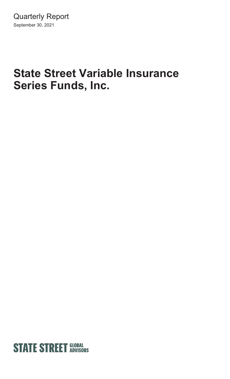# **State Street Variable Insurance Series Funds, Inc.**

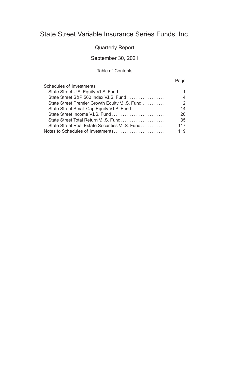### State Street Variable Insurance Series Funds, Inc.

### Quarterly Report

### September 30, 2021

### Table of Contents

### Page

| Schedules of Investments                        |     |
|-------------------------------------------------|-----|
|                                                 |     |
|                                                 | 4   |
| State Street Premier Growth Equity V.I.S. Fund  | 12  |
| State Street Small-Cap Equity V.I.S. Fund       | 14  |
|                                                 | 20  |
|                                                 | 35  |
| State Street Real Estate Securities V.I.S. Fund | 117 |
|                                                 | 119 |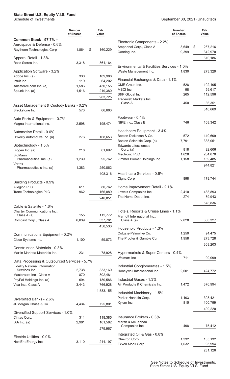### <span id="page-2-0"></span>**State Street U.S. Equity V.I.S. Fund**

|                                                                                      | <b>Number</b><br>of Shares | Fair<br>Value |                                                     | <b>Number</b><br>of Shares | Fair<br>Value     |
|--------------------------------------------------------------------------------------|----------------------------|---------------|-----------------------------------------------------|----------------------------|-------------------|
| Common Stock - 97.7% †                                                               |                            |               | Electronic Components - 2.2%                        |                            |                   |
| Aerospace & Defense - 0.6%                                                           |                            |               | Amphenol Corp., Class A                             | 3,649                      | \$<br>267,216     |
| Raytheon Technologies Corp.                                                          | 1,864                      | 160,229<br>\$ | Corning Inc.                                        | 9,399                      | 342,970           |
| Apparel Retail - 1.3%<br>Ross Stores Inc.                                            | 3,318                      | 361,164       |                                                     |                            | 610,186           |
|                                                                                      |                            |               | Environmental & Facilities Services - 1.0%          |                            |                   |
| Application Software - 3.2%                                                          |                            |               | Waste Management Inc.                               | 1,830                      | 273,329           |
| Adobe Inc. (a)                                                                       | 330                        | 189,988       |                                                     |                            |                   |
| Intuit Inc.                                                                          | 119                        | 64,202        | Financial Exchanges & Data - 1.1%<br>CME Group Inc. | 528                        | 102,105           |
| salesforce.com Inc. (a)                                                              | 1,586                      | 430,155       | MSCI Inc.                                           | 98                         | 59,617            |
| Splunk Inc. (a)                                                                      | 1,516                      | 219,380       | S&P Global Inc.                                     | 265                        | 112,596           |
|                                                                                      |                            | 903,725       | Tradeweb Markets Inc.,                              |                            |                   |
| Asset Management & Custody Banks - 0.2%                                              |                            |               | Class A                                             | 450                        | 36,351            |
| Blackstone Inc.                                                                      | 573                        | 66,663        |                                                     |                            | 310,669           |
|                                                                                      |                            |               | Footwear - 0.4%                                     |                            |                   |
| Auto Parts & Equipment - 0.7%<br>Magna International Inc.                            | 2,598                      |               | NIKE Inc., Class B                                  | 746                        | 108,342           |
|                                                                                      |                            | 195,474       |                                                     |                            |                   |
| Automotive Retail - 0.6%                                                             |                            |               | Healthcare Equipment - 3.4%                         |                            |                   |
| O'Reilly Automotive Inc. (a)                                                         | 276                        | 168,653       | Becton Dickinson & Co.                              | 572                        | 140,609           |
|                                                                                      |                            |               | Boston Scientific Corp. (a)                         | 7,791                      | 338,051           |
| Biotechnology - 1.5%<br>Biogen Inc. (a)                                              | 218                        | 61,692        | <b>Edwards Lifesciences</b><br>Corp. (a)            | 818                        | 92,606            |
| <b>BioMarin</b>                                                                      |                            |               | <b>Medtronic PLC</b>                                | 1,628                      | 204,070           |
| Pharmaceutical Inc. (a)                                                              | 1,239                      | 95,762        | Zimmer Biomet Holdings Inc.                         | 1,158                      | 169,485           |
| Vertex<br>Pharmaceuticals Inc. (a)                                                   | 1,383                      | 250,862       |                                                     |                            | 944,821           |
|                                                                                      |                            |               |                                                     |                            |                   |
|                                                                                      |                            | 408,316       | Healthcare Services - 0.6%<br>Cigna Corp.           | 898                        | 179,744           |
| Building Products - 0.9%                                                             |                            |               |                                                     |                            |                   |
| Allegion PLC                                                                         | 611                        | 80,762        | Home Improvement Retail - 2.1%                      |                            |                   |
| Trane Technologies PLC                                                               | 962                        | 166,089       | Lowe's Companies Inc.                               | 2,410                      | 488,893           |
|                                                                                      |                            | 246,851       | The Home Depot Inc.                                 | 274                        | 89,943            |
|                                                                                      |                            |               |                                                     |                            | 578,836           |
| Cable & Satellite - 1.6%<br>Charter Communications Inc.,                             |                            |               | Hotels, Resorts & Cruise Lines - 1.1%               |                            |                   |
| Class A (a)                                                                          | 155                        | 112,772       | Marriott International Inc.,                        |                            |                   |
| Comcast Corp., Class A                                                               | 6,039                      | 337,761       | Class A (a)                                         | 2,028                      | 300,327           |
|                                                                                      |                            | 450,533       |                                                     |                            |                   |
|                                                                                      |                            |               | Household Products - 1.3%                           |                            |                   |
| Communications Equipment - 0.2%                                                      |                            |               | Colgate-Palmolive Co.<br>The Procter & Gamble Co.   | 1,250<br>1,958             | 94,475<br>273,728 |
| Cisco Systems Inc.                                                                   | 1,100                      | 59,873        |                                                     |                            |                   |
| <b>Construction Materials - 0.3%</b>                                                 |                            |               |                                                     |                            | 368,203           |
| Martin Marietta Materials Inc.                                                       | 231                        | 78,928        | Hypermarkets & Super Centers - 0.4%                 |                            |                   |
|                                                                                      |                            |               | Walmart Inc.                                        | 711                        | 99,099            |
| Data Processing & Outsourced Services - 5.7%<br><b>Fidelity National Information</b> |                            |               | Industrial Conglomerates - 1.5%                     |                            |                   |
| Services Inc.                                                                        | 2,738                      | 333,160       | Honeywell International Inc.                        | 2,001                      | 424,772           |
| Mastercard Inc., Class A                                                             | 870                        | 302,481       |                                                     |                            |                   |
| PayPal Holdings Inc. (a)                                                             | 694                        | 180,586       | Industrial Gases - 1.3%                             |                            |                   |
| Visa Inc., Class A                                                                   | 3,443                      | 766,928       | Air Products & Chemicals Inc.                       | 1,472                      | 376,994           |
|                                                                                      |                            | 1,583,155     | Industrial Machinery - 1.5%                         |                            |                   |
| Diversified Banks - 2.6%                                                             |                            |               | Parker-Hannifin Corp.                               | 1,103                      | 308,421           |
| JPMorgan Chase & Co.                                                                 | 4,434                      | 725,801       | Xylem Inc.                                          | 815                        | 100,799           |
|                                                                                      |                            |               |                                                     |                            | 409,220           |
| Diversified Support Services - 1.0%                                                  |                            |               |                                                     |                            |                   |
| Cintas Corp.                                                                         | 311                        | 118,385       | Insurance Brokers - 0.3%                            |                            |                   |
| IAA Inc. (a)                                                                         | 2,961                      | 161,582       | Marsh & McLennan<br>Companies Inc.                  | 498                        | 75,412            |
|                                                                                      |                            | 279,967       |                                                     |                            |                   |
| Electric Utilities - 0.9%                                                            |                            |               | Integrated Oil & Gas - 0.8%                         |                            |                   |
| NextEra Energy Inc.                                                                  | 3,110                      | 244,197       | Chevron Corp.                                       | 1,332                      | 135,132           |
|                                                                                      |                            |               | Exxon Mobil Corp.                                   | 1,632                      | 95,994            |
|                                                                                      |                            |               |                                                     |                            | 231,126           |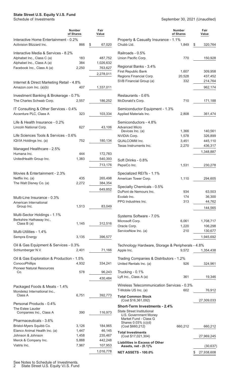### **State Street U.S. Equity V.I.S. Fund**

|                                                                   | <b>Number</b><br>of Shares | Fair<br>Value |                                                                 | <b>Number</b><br>of Shares | Fair<br>Value      |
|-------------------------------------------------------------------|----------------------------|---------------|-----------------------------------------------------------------|----------------------------|--------------------|
| Interactive Home Entertainment - 0.2%<br>Activision Blizzard Inc. | 866                        | \$<br>67,020  | Property & Casualty Insurance - 1.1%<br>Chubb Ltd.              | 1,849                      | \$<br>320,764      |
| Interactive Media & Services - 8.2%                               |                            |               | Railroads - 0.5%                                                |                            |                    |
| Alphabet Inc., Class C (a)                                        | 183                        | 487,752       | Union Pacific Corp.                                             | 770                        | 150,928            |
| Alphabet Inc., Class A (a)                                        | 384                        | 1,026,632     |                                                                 |                            |                    |
| Facebook Inc., Class A (a)                                        | 2,250                      | 763,627       | Regional Banks - 3.4%                                           |                            |                    |
|                                                                   |                            | 2,278,011     | First Republic Bank<br>Regions Financial Corp.                  | 1,607<br>20,528            | 309,958<br>437,452 |
|                                                                   |                            |               | SVB Financial Group (a)                                         | 332                        | 214,764            |
| Internet & Direct Marketing Retail - 4.8%                         | 407                        |               |                                                                 |                            | 962,174            |
| Amazon.com Inc. (a)(b)                                            |                            | 1,337,011     |                                                                 |                            |                    |
| Investment Banking & Brokerage - 0.7%<br>The Charles Schwab Corp. | 2,557                      | 186,252       | Restaurants - 0.6%<br>McDonald's Corp.                          | 710                        | 171,188            |
| IT Consulting & Other Services - 0.4%                             |                            |               | Semiconductor Equipment - 1.3%                                  |                            |                    |
| Accenture PLC, Class A                                            | 323                        | 103,334       | Applied Materials Inc.                                          | 2,808                      | 361,474            |
|                                                                   |                            |               |                                                                 |                            |                    |
| Life & Health Insurance - 0.2%                                    |                            |               | Semiconductors - 4.8%                                           |                            |                    |
| Lincoln National Corp.                                            | 627                        | 43,106        | <b>Advanced Micro</b><br>Devices Inc. (a)                       | 1,366                      | 140,561            |
| Life Sciences Tools & Services - 0.6%                             |                            |               | NVIDIA Corp.                                                    | 1,578                      | 326,899            |
| IQVIA Holdings Inc. (a)                                           | 752                        | 180,134       | QUALCOMM Inc.                                                   | 3,451                      | 445,110            |
|                                                                   |                            |               | Texas Instruments Inc.                                          | 2,270                      | 436,317            |
| Managed Healthcare - 2.5%                                         |                            |               |                                                                 |                            | 1,348,887          |
| Humana Inc.                                                       | 444                        | 172,783       |                                                                 |                            |                    |
| UnitedHealth Group Inc.                                           | 1,383                      | 540,393       | Soft Drinks - 0.8%                                              |                            |                    |
|                                                                   |                            | 713,176       | PepsiCo Inc.                                                    | 1,531                      | 230,278            |
| Movies & Entertainment - 2.3%                                     |                            |               | Specialized REITs - 1.1%                                        |                            |                    |
| Netflix Inc. (a)                                                  | 435                        | 265,498       | American Tower Corp.                                            | 1,110                      | 294,605            |
| The Walt Disney Co. (a)                                           | 2,272                      | 384,354       |                                                                 |                            |                    |
|                                                                   |                            | 649,852       | Specialty Chemicals - 0.5%                                      |                            |                    |
|                                                                   |                            |               | DuPont de Nemours Inc.                                          | 934                        | 63,503             |
| Multi-Line Insurance - 0.3%                                       |                            |               | Ecolab Inc.                                                     | 174                        | 36,300             |
| American International                                            |                            |               | PPG Industries Inc.                                             | 313                        | 44,762             |
| Group Inc.                                                        | 1,513                      | 83,049        |                                                                 |                            | 144,565            |
| Multi-Sector Holdings - 1.1%                                      |                            |               | Systems Software - 7.0%                                         |                            |                    |
| Berkshire Hathaway Inc.,                                          |                            |               | Microsoft Corp.                                                 | 6,061                      | 1,708,717          |
| Class $B(a)$                                                      | 1,145                      | 312,516       | Oracle Corp.                                                    | 1,220                      | 106,298            |
| Multi-Utilities - 1.4%                                            |                            |               | ServiceNow Inc. (a)                                             | 210                        | 130,677            |
| Sempra Energy                                                     | 3,135                      | 396,577       |                                                                 |                            | 1,945,692          |
|                                                                   |                            |               |                                                                 |                            |                    |
| Oil & Gas Equipment & Services - 0.3%<br>Schlumberger N.V.        | 2,401                      | 71,166        | Technology Hardware, Storage & Peripherals - 4.8%<br>Apple Inc. | 9,572                      | 1,354,438          |
|                                                                   |                            |               |                                                                 |                            |                    |
| Oil & Gas Exploration & Production - 1.5%                         |                            |               | Trading Companies & Distributors - 1.2%                         |                            |                    |
| ConocoPhillips                                                    | 4,932                      | 334,241       | United Rentals Inc. (a)                                         | 926                        | 324,961            |
| <b>Pioneer Natural Resources</b><br>Co.                           | 578                        | 96,243        | Trucking - 0.1%                                                 |                            |                    |
|                                                                   |                            | 430,484       | Lyft Inc., Class A (a)                                          | 361                        | 19,346             |
|                                                                   |                            |               |                                                                 |                            |                    |
| Packaged Foods & Meats - 1.4%                                     |                            |               | Wireless Telecommunication Services - 0.3%                      |                            |                    |
| Mondelez International Inc.,<br>Class A                           | 6,751                      | 392,773       | T-Mobile US Inc. (a)                                            | 602                        | 76,912             |
|                                                                   |                            |               | <b>Total Common Stock</b><br>(Cost \$16,361,092)                |                            | 27,309,033         |
| Personal Products - 0.4%                                          |                            |               | <b>Short-Term Investments - 2.4%</b>                            |                            |                    |
| The Estee Lauder                                                  |                            |               | <b>State Street Institutional</b>                               |                            |                    |
| Companies Inc., Class A                                           | 390                        | 116,973       | U.S. Government Money                                           |                            |                    |
| Pharmaceuticals - 3.6%                                            |                            |               | Market Fund - Class G                                           |                            |                    |
| Bristol-Myers Squibb Co.                                          | 3,126                      | 184,965       | Shares 0.03% (c)(d)<br>(Cost \$660,212)                         | 660,212                    | 660,212            |
| Elanco Animal Health Inc. (a)                                     | 1,447                      | 46,145        | <b>Total Investments</b>                                        |                            |                    |
| Johnson & Johnson                                                 | 1,458                      | 235,467       | (Cost \$17,021,304)                                             |                            | 27,969,245         |
| Merck & Company Inc.                                              | 5,888                      | 442,248       | <b>Liabilities in Excess of Other</b>                           |                            |                    |
| Viatris Inc.                                                      | 7,967                      | 107,953       | Assets, net - (0.1)%                                            |                            | (30, 637)          |
|                                                                   |                            | 1,016,778     | <b>NET ASSETS - 100.0%</b>                                      |                            | 27,938,608<br>\$   |
|                                                                   |                            |               |                                                                 |                            |                    |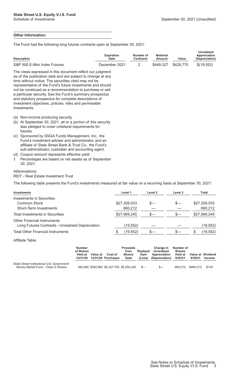#### **Other Information:**

The Fund had the following long futures contracts open at September 30, 2021:

| <b>Description</b> |                                                                                                                                                                                                                                                                                                                                                                                                                                                                                                           | <b>Expiration</b><br><b>Date</b> | Number of<br><b>Contracts</b> | <b>Notional</b><br>Amount | Value     | <b>Unrealized</b><br>Appreciation<br>(Depreciation) |
|--------------------|-----------------------------------------------------------------------------------------------------------------------------------------------------------------------------------------------------------------------------------------------------------------------------------------------------------------------------------------------------------------------------------------------------------------------------------------------------------------------------------------------------------|----------------------------------|-------------------------------|---------------------------|-----------|-----------------------------------------------------|
|                    | S&P 500 E-Mini Index Futures                                                                                                                                                                                                                                                                                                                                                                                                                                                                              | December 2021                    | 2                             | \$449,327                 | \$429,775 | \$(19,552)                                          |
|                    | The views expressed in this document reflect our judgment<br>as of the publication date and are subject to change at any<br>time without notice. The securities cited may not be<br>representative of the Fund's future investments and should<br>not be construed as a recommendation to purchase or sell<br>a particular security. See the Fund's summary prospectus<br>and statutory prospectus for complete descriptions of<br>investment objectives, policies, risks and permissible<br>investments. |                                  |                               |                           |           |                                                     |
| (a)<br>(b)         | Non-income producing security.<br>At September 30, 2021, all or a portion of this security<br>was pledged to cover collateral requirements for<br>futures.                                                                                                                                                                                                                                                                                                                                                |                                  |                               |                           |           |                                                     |
| (C)                | Sponsored by SSGA Funds Management, Inc., the<br>Fund's investment adviser and administrator, and an<br>affiliate of State Street Bank & Trust Co., the Fund's<br>sub-administrator, custodian and accounting agent.                                                                                                                                                                                                                                                                                      |                                  |                               |                           |           |                                                     |
| (d)                | Coupon amount represents effective yield.                                                                                                                                                                                                                                                                                                                                                                                                                                                                 |                                  |                               |                           |           |                                                     |
| t                  | Percentages are based on net assets as of September<br>30, 2021.                                                                                                                                                                                                                                                                                                                                                                                                                                          |                                  |                               |                           |           |                                                     |

#### Abbreviations:

REIT - Real Estate Investment Trust

The following table presents the Fund's investments measured at fair value on a recurring basis at September 30, 2021:

| Investments                                      | Level 1      | Level 2 | Level 3 | Total        |
|--------------------------------------------------|--------------|---------|---------|--------------|
| Investments in Securities                        |              |         |         |              |
| Common Stock                                     | \$27,309,033 | $S-$    | S—      | \$27,309,033 |
| Short-Term Investments                           | 660,212      |         |         | 660,212      |
| Total Investments in Securities                  | \$27,969,245 | s—      | S—      | \$27,969,245 |
| <b>Other Financial Instruments</b>               |              |         |         |              |
| Long Futures Contracts - Unrealized Depreciation | (19, 552)    |         |         | (19, 552)    |
| <b>Total Other Financial Instruments</b>         | (19, 552)    |         | S—      | (19, 552)    |
|                                                  |              |         |         |              |

Affiliate Table

|                                                                                  | <b>Number</b><br>of Shares<br>Held at<br>12/31/20 | Value at | Cost of<br>12/31/20 Purchases             | <b>Proceeds</b><br>from<br><b>Shares</b><br>Sold | Realized<br>Gain<br>(Loss) | <b>Change in</b><br>Unrealized<br>Appreciation<br>(Depreciation) | Number of<br><b>Shares</b><br>Held at<br>9/30/21 | Value at Dividend<br>9/30/21 | <b>Income</b> |
|----------------------------------------------------------------------------------|---------------------------------------------------|----------|-------------------------------------------|--------------------------------------------------|----------------------------|------------------------------------------------------------------|--------------------------------------------------|------------------------------|---------------|
| State Street Institutional U.S. Government<br>Money Market Fund - Class G Shares |                                                   |          | 582,660 \$582,660 \$5,327,792 \$5,250,240 |                                                  | $S-$                       | $S-$                                                             | 660.212                                          | \$660.212                    | \$130         |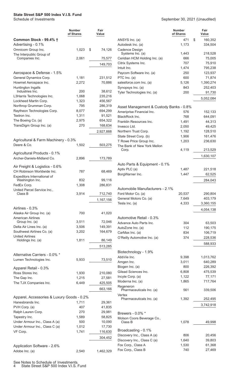<span id="page-5-0"></span>

#### September 30, 2021 (Unaudited)

|                                                | <b>Number</b><br>of Shares | Fair<br>Value |                                                                      | <b>Number</b><br>of Shares | Fair<br>Value |
|------------------------------------------------|----------------------------|---------------|----------------------------------------------------------------------|----------------------------|---------------|
| Common Stock - 99.4% †                         |                            |               | ANSYS Inc. (a)                                                       | 471                        | \$<br>160,352 |
| Advertising - 0.1%                             |                            |               | Autodesk Inc. (a)                                                    | 1,173                      | 334,504       |
| Omnicom Group Inc.<br>The Interpublic Group of | 1,023                      | 74,126<br>\$  | Cadence Design<br>Systems Inc. (a)                                   | 1,443                      | 218,528       |
| Companies Inc.                                 | 2,061                      | 75,577        | Ceridian HCM Holding Inc. (a)                                        | 666                        | 75,005        |
|                                                |                            | 149,703       | Citrix Systems Inc.                                                  | 707                        | 75,910        |
|                                                |                            |               | Intuit Inc.                                                          | 1,474                      | 795,238       |
| Aerospace & Defense - 1.5%                     |                            |               | Paycom Software Inc. (a)                                             | 250                        | 123,937       |
| General Dynamics Corp.                         | 1,181                      | 231,512       | PTC Inc. (a)                                                         | 600                        | 71,874        |
| Howmet Aerospace Inc.                          | 2,272                      | 70,886        | salesforce.com Inc. (a)                                              | 5,126                      | 1,390,274     |
| Huntington Ingalls<br>Industries Inc.          | 200                        | 38,612        | Synopsys Inc. (a)                                                    | 843                        | 252,403       |
| L3Harris Technologies Inc.                     | 1,068                      | 235,216       | Tyler Technologies Inc. (a)                                          | 200                        | 91,730        |
| Lockheed Martin Corp.                          | 1,323                      | 456,567       |                                                                      |                            | 5,052,084     |
| Northrop Grumman Corp.                         | 795                        | 286,319       |                                                                      |                            |               |
| Raytheon Technologies Corp.                    | 8,077                      | 694,299       | Asset Management & Custody Banks - 0.8%<br>Ameriprise Financial Inc. | 576                        | 152,133       |
| Textron Inc.                                   | 1,311                      | 91,521        | BlackRock Inc.                                                       | 768                        | 644,091       |
| The Boeing Co. (a)                             | 2,975                      | 654,322       | Franklin Resources Inc.                                              | 1,491                      | 44,313        |
| TransDigm Group Inc. (a)                       | 270                        | 168,634       | Invesco Ltd.                                                         | 2,050                      | 49,425        |
|                                                |                            | 2,927,888     | Northern Trust Corp.                                                 | 1,192                      | 128,510       |
|                                                |                            |               | State Street Corp. (b)                                               | 1,906                      | 161,476       |
| Agricultural & Farm Machinery - 0.3%           |                            |               | T Rowe Price Group Inc.                                              | 1,203                      | 236,630       |
| Deere & Co.                                    | 1,502                      | 503,275       | The Bank of New York Mellon                                          |                            |               |
|                                                |                            |               | Corp.                                                                | 4,119                      | 213,529       |
| Agricultural Products - 0.1%                   |                            |               |                                                                      |                            | 1,630,107     |
| Archer-Daniels-Midland Co.                     | 2,896                      | 173,789       |                                                                      |                            |               |
| Air Freight & Logistics - 0.6%                 |                            |               | Auto Parts & Equipment - 0.1%                                        |                            |               |
| CH Robinson Worldwide Inc.                     | 787                        | 68,469        | Aptiv PLC (a)                                                        | 1,487                      | 221,518       |
| Expeditors International of                    |                            |               | BorgWarner Inc.                                                      | 1,447                      | 62,525        |
| Washington Inc.                                | 832                        | 99,116        |                                                                      |                            | 284,043       |
| FedEx Corp.                                    | 1,308                      | 286,831       |                                                                      |                            |               |
| United Parcel Service Inc.,                    |                            |               | Automobile Manufacturers - 2.1%                                      |                            |               |
| Class B                                        | 3,914                      | 712,740       | Ford Motor Co. (a)                                                   | 20,537                     | 290,804       |
|                                                |                            | 1,167,156     | General Motors Co. (a)                                               | 7,649                      | 403,179       |
|                                                |                            |               | Tesla Inc. (a)                                                       | 4,333                      | 3,360,155     |
| Airlines - 0.3%                                |                            |               |                                                                      |                            | 4,054,138     |
| Alaska Air Group Inc. (a)                      | 700                        | 41,020        |                                                                      |                            |               |
| <b>American Airlines</b><br>Group Inc. (a)     | 3,511                      | 72,046        | Automotive Retail - 0.3%                                             |                            |               |
| Delta Air Lines Inc. (a)                       | 3,506                      | 149,391       | Advance Auto Parts Inc.                                              | 304                        | 63,503        |
| Southwest Airlines Co. (a)                     | 3,202                      | 164,679       | AutoZone Inc. (a)                                                    | 112                        | 190,175       |
| <b>United Airlines</b>                         |                            |               | CarMax Inc. (a)                                                      | 834                        | 106,719       |
| Holdings Inc. (a)                              | 1,811                      | 86,149        | O'Reilly Automotive Inc. (a)                                         | 374                        | 228,536       |
|                                                |                            | 513,285       |                                                                      |                            | 588,933       |
|                                                |                            |               | Biotechnology - 1.9%                                                 |                            |               |
| Alternative Carriers - 0.0% *                  |                            |               | AbbVie Inc.                                                          | 9,398                      | 1,013,762     |
| Lumen Technologies Inc.                        | 5,933                      | 73,510        | Amgen Inc.                                                           | 3,011                      | 640,289       |
|                                                |                            |               | Biogen Inc. (a)                                                      | 800                        | 226,392       |
| Apparel Retail - 0.3%                          |                            |               | Gilead Sciences Inc.                                                 | 6,808                      | 475,539       |
| Ross Stores Inc.                               | 1,930                      | 210,080       | Incyte Corp. (a)                                                     | 1,122                      | 77,171        |
| The Gap Inc.                                   | 1,215                      | 27,581        | Moderna Inc. (a)                                                     | 1,865                      | 717,764       |
| The TJX Companies Inc.                         | 6,449                      | 425,505       | Regeneron                                                            |                            |               |
|                                                |                            | 663,166       | Pharmaceuticals Inc. (a)                                             | 561                        | 339,506       |
| Apparel, Accessories & Luxury Goods - 0.2%     |                            |               | Vertex                                                               |                            |               |
| Hanesbrands Inc.                               | 1,711                      | 29,361        | Pharmaceuticals Inc. (a)                                             | 1,392                      | 252,495       |
| PVH Corp. (a)                                  | 407                        | 41,835        |                                                                      |                            | 3,742,918     |
| Ralph Lauren Corp.                             | 270                        | 29,981        | Brewers - 0.0% *                                                     |                            |               |
| Tapestry Inc.                                  | 1,589                      | 58,825        | Molson Coors Beverage Co.,                                           |                            |               |
| Under Armour Inc., Class A (a)                 | 500                        | 10,090        | Class B                                                              | 1,078                      | 49,998        |
| Under Armour Inc., Class C (a)                 | 1,012                      | 17,730        |                                                                      |                            |               |
| VF Corp.                                       | 1,741                      | 116,630       | Broadcasting - 0.1%                                                  |                            |               |
|                                                |                            | 304,452       | Discovery Inc., Class A (a)                                          | 806                        | 20,456        |
|                                                |                            |               | Discovery Inc., Class C (a)                                          | 1,640                      | 39,803        |
| Application Software - 2.6%                    |                            |               | Fox Corp., Class A                                                   | 1,530                      | 61,368        |
| Adobe Inc. (a)                                 | 2,540                      | 1,462,329     | Fox Corp., Class B                                                   | 740                        | 27,469        |

See Notes to Schedule of Investments.

4 State Street S&P 500 Index V.I.S. Fund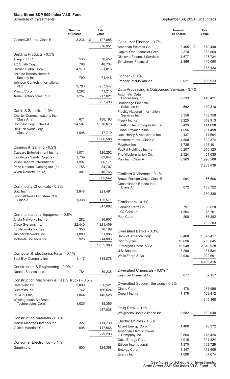|                                               | <b>Number</b><br>of Shares | Fair<br>Value |
|-----------------------------------------------|----------------------------|---------------|
| ViacomCBS Inc., Class B                       | 3,236                      | \$<br>127,855 |
|                                               |                            | 276,951       |
| Building Products - 0.5%                      |                            |               |
| Allegion PLC                                  | 533                        | 70,452        |
| AO Smith Corp.                                | 798                        | 48,734        |
| Carrier Global Corp.                          | 4,270                      | 221,015       |
| Fortune Brands Home &<br>Security Inc.        | 799                        | 71.446        |
| Johnson Controls International<br>PLC         | 3,783                      | 257,547       |
| Masco Corp.                                   | 1,282                      | 71,215        |
| Trane Technologies PLC                        | 1,257                      | 217,021       |
|                                               |                            | 957,430       |
| Cable & Satellite - 1.0%                      |                            |               |
| Charter Communications Inc.,                  |                            |               |
| Class A (a)                                   | 671                        | 488,193       |
| Comcast Corp., Class A<br>DISH Network Corp., | 24,507                     | 1,370,676     |
| Class A (a)                                   | 1,098                      | 47,719        |
|                                               |                            | 1,906,588     |
| Casinos & Gaming - 0.2%                       |                            |               |
| Caesars Entertainment Inc. (a)                | 1,071                      | 120,252       |
| Las Vegas Sands Corp. (a)                     | 1,739                      | 63,647        |
| <b>MGM Resorts International</b>              | 1,997                      | 86,171        |
| Penn National Gaming Inc. (a)                 | 755                        | 54,707        |
| Wynn Resorts Ltd. (a)                         | 481                        | 40,765        |
|                                               |                            | 365,542       |
| Commodity Chemicals - 0.2%                    |                            |               |
| Dow Inc.                                      | 3,848                      | 221,491       |
| LyondellBasell Industries N.V.,<br>Class A    | 1,338                      | 125,571       |
|                                               |                            | 347,062       |
| Communications Equipment - 0.8%               |                            |               |
| Arista Networks Inc. (a)                      | 282                        | 96,907        |
| Cisco Systems Inc.                            | 22,440                     | 1,221,409     |
| F5 Networks Inc. (a)                          | 353                        | 70,169        |
| Juniper Networks Inc.                         | 1,889                      | 51,985        |
| Motorola Solutions Inc.                       | 925                        | 214,896       |
|                                               |                            | 1,655,366     |
| Computer & Electronics Retail - 0.1%          |                            |               |
| Best Buy Company Inc.                         | 1,117                      | 118,078       |
| Construction & Engineering - 0.0% *           |                            |               |
| Quanta Services Inc.                          | 784                        | 89,235        |
| Construction Machinery & Heavy Trucks - 0.5%  |                            |               |
| Caterpillar Inc.                              | 2,899                      | 556,521       |
| Cummins Inc.                                  | 742                        | 166,624       |
| PACCAR Inc.                                   | 1,844                      | 145,528       |
| Westinghouse Air Brake<br>Technologies Corp.  | 1,025                      | 88,365        |
|                                               |                            | 957,038       |
| Construction Materials - 0.1%                 |                            |               |
| Martin Marietta Materials Inc.                | 327                        | 111,730       |
| Vulcan Materials Co.                          | 695                        | 117,566       |
|                                               |                            | 229,296       |
|                                               |                            |               |
| Consumer Electronics - 0.1%                   |                            |               |
| Garmin Ltd.                                   | 800                        | 124,368       |

|                                                                | Number<br>of Shares | Fair<br>Value |
|----------------------------------------------------------------|---------------------|---------------|
| Consumer Finance - 0.7%                                        |                     |               |
| American Express Co.                                           | 3,405               | \$<br>570,440 |
| Capital One Financial Corp.                                    | 2,370               | 383,869       |
| <b>Discover Financial Services</b>                             | 1,577               | 193,734       |
| <b>Synchrony Financial</b>                                     | 2,866               | 140,090       |
|                                                                |                     | 1,288,133     |
| Copper - $0.1\%$                                               |                     |               |
| Freeport-McMoRan Inc.                                          | 8,021               | 260,923       |
| Data Processing & Outsourced Services - 3.7%<br>Automatic Data |                     |               |
| Processing Inc.<br><b>Broadridge Financial</b>                 | 2,233               | 446,421       |
| Solutions Inc.                                                 | 662                 | 110,316       |
| <b>Fidelity National Information</b><br>Services Inc.          | 3,356               | 408,358       |
| Fiserv Inc. (a)                                                | 3,225               | 349,913       |
| FleetCor Technologies Inc. (a)                                 | 439                 | 114,698       |
| Global Payments Inc.                                           | 1,596               | 251,498       |
| Jack Henry & Associates Inc.                                   | 437                 | 71,694        |
| Mastercard Inc., Class A                                       | 4,580               | 1,592,374     |
| Paychex Inc.                                                   | 1,735               | 195,101       |
| PayPal Holdings Inc. (a)                                       | 6,207               | 1,615,123     |
| The Western Union Co.                                          | 2,524               | 51,035        |
| Visa Inc., Class A                                             | 8,963               | 1,996,508     |
|                                                                |                     | 7,203,039     |
| Distillers & Vintners - 0.1%                                   |                     |               |
| Brown-Forman Corp., Class B                                    | 994                 | 66,608        |
| Constellation Brands Inc.,<br>Class A                          | 872                 | 183,722       |
|                                                                |                     | 250,330       |
|                                                                |                     |               |
| Distributors - 0.1%                                            |                     |               |
| Genuine Parts Co.                                              | 797                 | 96,620        |
| LKQ Corp. (a)                                                  | 1,564               | 78,701        |
| Pool Corp.                                                     | 200                 | 86,882        |
|                                                                |                     | 262,203       |
| Diversified Banks - 3.3%                                       |                     |               |
| Bank of America Corp.                                          | 39,468              | 1,675,417     |
| Citigroup Inc.                                                 | 10.696              | 750,645       |
| JPMorgan Chase & Co.                                           | 15,948              | 2,610,528     |
| U.S. Bancorp                                                   | 7,260               | 431,534       |
| Wells Fargo & Co.                                              | 22,036              | 1,022,691     |
|                                                                |                     | 6,490,815     |
| Diversified Chemicals - 0.0% *                                 |                     |               |
| Eastman Chemical Co.                                           | 617                 | 62,157        |
| Diversified Support Services - 0.2%                            |                     |               |
| Cintas Corp.                                                   | 478                 | 181,956       |
| Copart Inc. (a)                                                | 1,178               | 163,412       |
|                                                                |                     | 345,368       |
| Drug Retail - 0.1%                                             |                     |               |
| Walgreens Boots Alliance Inc.                                  | 3,882               | 182,648       |
| Electric Utilities - 1.6%                                      |                     |               |
| Alliant Energy Corp.                                           | 1,400               | 78,372        |
| <b>American Electric Power</b>                                 |                     |               |
| Company Inc.                                                   | 2,666               | 216,426       |
| Duke Energy Corp.                                              | 4,015               | 391,824       |
| <b>Edison International</b>                                    | 1,870               | 103,729       |
| Entergy Corp.                                                  | 1,147               | 113,909       |
| Evergy Inc.                                                    | 1,088               | 67,674        |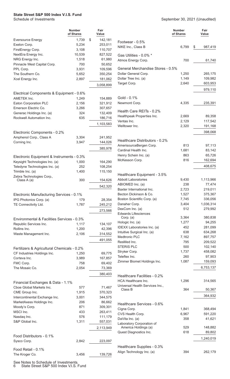|                                                  | <b>Number</b><br>of Shares | Fair<br>Value      |                                                       | <b>Number</b><br>of Shares | Fair<br>Value      |
|--------------------------------------------------|----------------------------|--------------------|-------------------------------------------------------|----------------------------|--------------------|
| <b>Eversource Energy</b>                         | 1,739                      | \$<br>142,181      | Footwear - 0.5%                                       |                            |                    |
| Exelon Corp.                                     | 5,234                      | 253,011            | NIKE Inc., Class B                                    | 6,799                      | \$<br>987,419      |
| FirstEnergy Corp.                                | 3,108                      | 110,707            |                                                       |                            |                    |
| NextEra Energy Inc.                              | 10,539                     | 827,522            | Gas Utilities - 0.0% *                                |                            |                    |
| NRG Energy Inc.                                  | 1,518                      | 61,980             | Atmos Energy Corp.                                    | 700                        | 61,740             |
| Pinnacle West Capital Corp.                      | 700                        | 50,652             | General Merchandise Stores - 0.5%                     |                            |                    |
| PPL Corp.<br>The Southern Co.                    | 3,931<br>5,652             | 109,596<br>350,254 | Dollar General Corp.                                  | 1,250                      | 265,175            |
| Xcel Energy Inc.                                 | 2,897                      | 181,062            | Dollar Tree Inc. (a)                                  | 1,149                      | 109,982            |
|                                                  |                            |                    | Target Corp.                                          | 2,640                      | 603,953            |
|                                                  |                            | 3,058,899          |                                                       |                            | 979,110            |
| Electrical Components & Equipment - 0.6%         |                            |                    |                                                       |                            |                    |
| <b>AMETEK Inc.</b>                               | 1,249                      | 154,889            | Gold - 0.1%                                           |                            |                    |
| Eaton Corporation PLC                            | 2,156                      | 321,912            | Newmont Corp.                                         | 4,335                      | 235,391            |
| Emerson Electric Co.                             | 3,266                      | 307,657            | Health Care REITs - 0.2%                              |                            |                    |
| Generac Holdings Inc. (a)                        | 324                        | 132,409            | Healthpeak Properties Inc.                            | 2.669                      | 89,358             |
| Rockwell Automation Inc.                         | 635                        | 186,716            | Ventas Inc.                                           | 2,129                      | 117,542            |
|                                                  |                            | 1,103,583          | Welltower Inc.                                        | 2,320                      | 191,168            |
| Electronic Components - 0.2%                     |                            |                    |                                                       |                            | 398,068            |
| Amphenol Corp., Class A                          | 3,304                      | 241,952            |                                                       |                            |                    |
| Corning Inc.                                     | 3,947                      | 144,026            | Healthcare Distributors - 0.2%                        |                            |                    |
|                                                  |                            |                    | AmerisourceBergen Corp.                               | 813                        | 97,113             |
|                                                  |                            | 385,978            | Cardinal Health Inc.                                  | 1,681                      | 83,142             |
| Electronic Equipment & Instruments - 0.3%        |                            |                    | Henry Schein Inc. (a)                                 | 863                        | 65,726             |
| Keysight Technologies Inc. (a)                   | 1,000                      | 164,290            | McKesson Corp.                                        | 816                        | 162,694            |
| Teledyne Technologies Inc. (a)                   | 252                        | 108,254            |                                                       |                            | 408,675            |
| Trimble Inc. (a)                                 | 1,400                      | 115,150            |                                                       |                            |                    |
| Zebra Technologies Corp.,                        |                            |                    | Healthcare Equipment - 3.5%                           |                            |                    |
| Class A (a)                                      | 300                        | 154,626            | <b>Abbott Laboratories</b>                            | 9,430                      | 1,113,966          |
|                                                  |                            | 542,320            | ABIOMED Inc. (a)                                      | 238                        | 77,474             |
|                                                  |                            |                    | Baxter International Inc.                             | 2,723                      | 219,011            |
| Electronic Manufacturing Services - 0.1%         |                            |                    | Becton Dickinson & Co.<br>Boston Scientific Corp. (a) | 1,527<br>7,745             | 375,367<br>336,056 |
| IPG Photonics Corp. (a)<br>TE Connectivity Ltd.  | 179<br>1,787               | 28,354<br>245,212  | Danaher Corp.                                         | 3,404                      | 1,036,314          |
|                                                  |                            |                    | DexCom Inc. (a)                                       | 512                        | 279,992            |
|                                                  |                            | 273,566            | <b>Edwards Lifesciences</b>                           |                            |                    |
| Environmental & Facilities Services - 0.3%       |                            |                    | Corp. (a)                                             | 3,364                      | 380,838            |
| Republic Services Inc.                           | 1,117                      | 134,107            | Hologic Inc. (a)                                      | 1,277                      | 94,255             |
| Rollins Inc.                                     | 1,200                      | 42,396             | IDEXX Laboratories Inc. (a)                           | 452                        | 281,099            |
| Waste Management Inc.                            | 2,106                      | 314,552            | Intuitive Surgical Inc. (a)                           | 638                        | 634,268            |
|                                                  |                            | 491,055            | Medtronic PLC                                         | 7,162                      | 897,757            |
|                                                  |                            |                    | ResMed Inc.                                           | 795                        | 209,522            |
| Fertilizers & Agricultural Chemicals - 0.2%      |                            |                    | <b>STERIS PLC</b>                                     | 500                        | 102,140            |
| CF Industries Holdings Inc.                      | 1,250                      | 69,775             | Stryker Corp.                                         | 1,737                      | 458,082            |
| Corteva Inc.                                     | 3,989                      | 167,857            | Teleflex Inc.                                         | 260                        | 97,903             |
| FMC Corp.                                        | 758                        | 69,402             | Zimmer Biomet Holdings Inc.                           | 1,087                      | 159,093            |
| The Mosaic Co.                                   | 2,054                      | 73,369             |                                                       |                            | 6,753,137          |
|                                                  |                            | 380,403            | Healthcare Facilities - 0.2%                          |                            |                    |
|                                                  |                            |                    | <b>HCA Healthcare Inc.</b>                            | 1,296                      | 314,565            |
| Financial Exchanges & Data - 1.1%                |                            |                    | Universal Health Services Inc.,                       |                            |                    |
| Cboe Global Markets Inc.                         | 577                        | 71,467             | Class B                                               | 364                        | 50,367             |
| CME Group Inc.<br>Intercontinental Exchange Inc. | 1,915<br>3,001             | 370,323<br>344,575 |                                                       |                            | 364,932            |
| MarketAxess Holdings Inc.                        | 206                        | 86,662             |                                                       |                            |                    |
| Moody's Corp.                                    | 871                        | 309,301            | Healthcare Services - 0.6%                            |                            |                    |
| MSCI Inc.                                        | 433                        | 263,411            | Cigna Corp.                                           | 1,841                      | 368,494            |
| Nasdaq Inc.                                      | 576                        | 111,179            | CVS Health Corp.                                      | 6,967                      | 591,220            |
| S&P Global Inc.                                  | 1,311                      | 557,031            | DaVita Inc. (a)                                       | 358                        | 41,621             |
|                                                  |                            |                    | Laboratory Corporation of<br>America Holdings (a)     | 529                        | 148,882            |
|                                                  |                            | 2,113,949          | Quest Diagnostics Inc.                                | 618                        | 89,802             |
| Food Distributors - 0.1%                         |                            |                    |                                                       |                            |                    |
| Sysco Corp.                                      | 2,842                      | 223,097            |                                                       |                            | 1,240,019          |
|                                                  |                            |                    | Healthcare Supplies - 0.3%                            |                            |                    |
| Food Retail - 0.1%                               |                            |                    | Align Technology Inc. (a)                             | 394                        | 262,179            |
| The Kroger Co.                                   | 3,456                      | 139,726            |                                                       |                            |                    |

See Notes to Schedule of Investments.

6 State Street S&P 500 Index V.I.S. Fund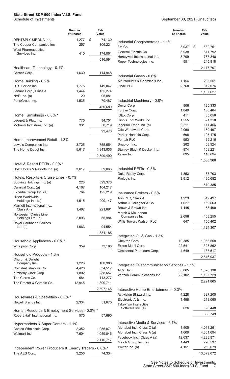|                                                       | <b>Number</b><br>of Shares | Fair<br>Value          |                                                 | <b>Number</b><br>of Shares | Fair<br>Value        |
|-------------------------------------------------------|----------------------------|------------------------|-------------------------------------------------|----------------------------|----------------------|
| DENTSPLY SIRONA Inc.                                  | 1,277                      | 74,130<br>\$           | Industrial Conglomerates - 1.1%                 |                            |                      |
| The Cooper Companies Inc.                             | 257                        | 106,221                | 3M Co.                                          | 3,037                      | \$<br>532,751        |
| <b>West Pharmaceutical</b><br>Services Inc.           | 410                        | 174,061                | General Electric Co.                            | 5,938                      | 611,792              |
|                                                       |                            |                        | Honeywell International Inc.                    | 3,709                      | 787,346              |
|                                                       |                            | 616,591                | Roper Technologies Inc.                         | 551                        | 245,818              |
| Healthcare Technology - 0.1%                          |                            |                        |                                                 |                            | 2,177,707            |
| Cerner Corp.                                          | 1,630                      | 114,948                |                                                 |                            |                      |
|                                                       |                            |                        | Industrial Gases - 0.6%                         |                            |                      |
| Home Building - 0.2%<br>D.R. Horton Inc.              | 1,775                      | 149,047                | Air Products & Chemicals Inc.<br>Linde PLC      | 1,154<br>2,768             | 295,551<br>812,076   |
| Lennar Corp., Class A                                 | 1,444                      | 135,274                |                                                 |                            |                      |
| NVR Inc. (a)                                          | 20                         | 95,881                 |                                                 |                            | 1,107,627            |
| PulteGroup Inc.                                       | 1,535                      | 70,487                 | Industrial Machinery - 0.8%                     |                            |                      |
|                                                       |                            | 450,689                | Dover Corp.                                     | 806                        | 125,333              |
|                                                       |                            |                        | Fortive Corp.                                   | 1,849                      | 130,484              |
| Home Furnishings - 0.0% *                             |                            |                        | <b>IDEX Corp.</b>                               | 411                        | 85,056               |
| Leggett & Platt Inc.                                  | 775                        | 34,751                 | Illinois Tool Works Inc.                        | 1,555                      | 321,310              |
| Mohawk Industries Inc. (a)                            | 331                        | 58,719                 | Ingersoll Rand Inc. (a)<br>Otis Worldwide Corp. | 2,211<br>2,060             | 111,456<br>169,497   |
|                                                       |                            | 93,470                 | Parker-Hannifin Corp.                           | 698                        | 195,175              |
| Home Improvement Retail - 1.3%                        |                            |                        | Pentair PLC                                     | 953                        | 69,216               |
| Lowe's Companies Inc.                                 | 3,725                      | 755,654                | Snap-on Inc.                                    | 282                        | 58,924               |
| The Home Depot Inc.                                   | 5,617                      | 1,843,836              | Stanley Black & Decker Inc.                     | 874                        | 153,221              |
|                                                       |                            | 2,599,490              | Xylem Inc.                                      | 895                        | 110,694              |
|                                                       |                            |                        |                                                 |                            | 1,530,366            |
| Hotel & Resort REITs - 0.0% *                         |                            |                        |                                                 |                            |                      |
| Host Hotels & Resorts Inc. (a)                        | 3,617                      | 59,066                 | Industrial REITs - 0.3%<br>Duke Realty Corp.    | 1,853                      |                      |
| Hotels, Resorts & Cruise Lines - 0.7%                 |                            |                        | Prologis Inc.                                   | 3,912                      | 88,703<br>490,682    |
| Booking Holdings Inc. (a)                             | 223                        | 529,373                |                                                 |                            |                      |
| Carnival Corp. (a)                                    | 4,167                      | 104,217                |                                                 |                            | 579,385              |
| Expedia Group Inc. (a)                                | 764                        | 125,219                | Insurance Brokers - 0.6%                        |                            |                      |
| <b>Hilton Worldwide</b><br>Holdings Inc. (a)          | 1,515                      | 200,147                | Aon PLC, Class A                                | 1,223                      | 349,497              |
| Marriott International Inc.,                          |                            |                        | Arthur J Gallagher & Co.                        | 1,027                      | 152,663              |
| Class A (a)                                           | 1,497                      | 221,691                | Brown & Brown Inc.                              | 1,145                      | 63,490               |
| Norwegian Cruise Line                                 |                            |                        | Marsh & McLennan<br>Companies Inc.              | 2,696                      | 408,255              |
| Holdings Ltd. (a)<br>Royal Caribbean Cruises          | 2,096                      | 55,984                 | Willis Towers Watson PLC                        | 647                        | 150,402              |
| Ltd. $(a)$                                            | 1,063                      | 94,554                 |                                                 |                            | 1,124,307            |
|                                                       |                            | 1,331,185              |                                                 |                            |                      |
|                                                       |                            |                        | Integrated Oil & Gas - 1.3%                     |                            |                      |
| Household Appliances - 0.0% *                         |                            |                        | Chevron Corp.                                   | 10,385                     | 1,053,558            |
| Whirlpool Corp.                                       | 359                        | 73,186                 | Exxon Mobil Corp.<br>Occidental Petroleum Corp. | 22,541<br>4,649            | 1,325,862<br>137,517 |
| Household Products - 1.3%                             |                            |                        |                                                 |                            |                      |
| Church & Dwight                                       |                            |                        |                                                 |                            | 2,516,937            |
| Company Inc.                                          | 1,223                      | 100,983                | Integrated Telecommunication Services - 1.1%    |                            |                      |
| Colgate-Palmolive Co.<br>Kimberly-Clark Corp.         | 4,426<br>1,802             | 334,517<br>238,657     | AT&T Inc.                                       | 38,065                     | 1,028,136            |
| The Clorox Co.                                        | 684                        | 113,277                | Verizon Communications Inc.                     | 22,102                     | 1,193,729            |
| The Procter & Gamble Co.                              | 12,945                     | 1,809,711              |                                                 |                            | 2,221,865            |
|                                                       |                            | 2,597,145              | Interactive Home Entertainment - 0.3%           |                            |                      |
|                                                       |                            |                        | Activision Blizzard Inc.                        | 4,228                      | 327,205              |
| Housewares & Specialties - 0.0% *                     |                            |                        | Electronic Arts Inc.                            | 1,498                      | 213,090              |
| Newell Brands Inc.                                    | 2,334                      | 51,675                 | Take-Two Interactive                            |                            |                      |
| Human Resource & Employment Services - 0.0% *         |                            |                        | Software Inc. (a)                               | 626                        | 96,448               |
| Robert Half International Inc.                        | 575                        | 57,690                 |                                                 |                            | 636,743              |
|                                                       |                            |                        | Interactive Media & Services - 6.7%             |                            |                      |
| Hypermarkets & Super Centers - 1.1%                   |                            |                        | Alphabet Inc., Class C (a)                      | 1,505                      | 4,011,291            |
| Costco Wholesale Corp.<br>Walmart Inc.                | 2,352<br>7,604             | 1,056,871<br>1,059,846 | Alphabet Inc., Class A (a)                      | 1,609                      | 4,301,694            |
|                                                       |                            |                        | Facebook Inc., Class A (a)                      | 12,637                     | 4,288,871            |
|                                                       |                            | 2,116,717              | Match Group Inc. (a)                            | 1,443                      | 226,537              |
| Independent Power Producers & Energy Traders - 0.0% * |                            |                        | Twitter Inc. (a)                                | 4,151                      | 250,679              |
| The AES Corp.                                         | 3,256                      | 74,334                 |                                                 |                            | 13,079,072           |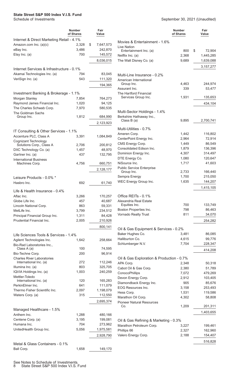|                                                       | <b>Number</b><br>of Shares | Fair<br>Value   |                                           | <b>Number</b><br>of Shares | Fair<br>Value      |
|-------------------------------------------------------|----------------------------|-----------------|-------------------------------------------|----------------------------|--------------------|
| Internet & Direct Marketing Retail - 4.1%             |                            |                 | Movies & Entertainment - 1.6%             |                            |                    |
| Amazon.com Inc. (a)(c)                                | 2,328                      | \$<br>7,647,573 | <b>Live Nation</b>                        |                            |                    |
| eBay Inc.                                             | 3,486                      | 242,870         | Entertainment Inc. (a)                    | 800                        | \$<br>72,904       |
| Etsy Inc. (a)                                         | 700                        | 145,572         | Netflix Inc. (a)                          | 2,368                      | 1,445,285          |
|                                                       |                            | 8,036,015       | The Walt Disney Co. (a)                   | 9,689                      | 1,639,088          |
| Internet Services & Infrastructure - 0.1%             |                            |                 |                                           |                            | 3, 157, 277        |
| Akamai Technologies Inc. (a)                          | 794                        | 83,045          |                                           |                            |                    |
| VeriSign Inc. (a)                                     | 543                        | 111,320         | Multi-Line Insurance - 0.2%               |                            |                    |
|                                                       |                            |                 | American International<br>Group Inc.      | 4,463                      | 244,974            |
|                                                       |                            | 194,365         | Assurant Inc.                             | 339                        | 53,477             |
| Investment Banking & Brokerage - 1.1%                 |                            |                 | The Hartford Financial                    |                            |                    |
| Morgan Stanley                                        | 7,854                      | 764,273         | Services Group Inc.                       | 1,931                      | 135,653            |
| Raymond James Financial Inc.                          | 1,020                      | 94,125          |                                           |                            | 434,104            |
| The Charles Schwab Corp.                              | 7,970                      | 580,535         |                                           |                            |                    |
| The Goldman Sachs                                     |                            |                 | Multi-Sector Holdings - 1.4%              |                            |                    |
| Group Inc.                                            | 1,812                      | 684,990         | Berkshire Hathaway Inc.,<br>Class B (a)   | 9,895                      | 2,700,741          |
|                                                       |                            | 2,123,923       |                                           |                            |                    |
|                                                       |                            |                 | Multi-Utilities - 0.7%                    |                            |                    |
| IT Consulting & Other Services - 1.1%                 |                            |                 | Ameren Corp.                              | 1,442                      | 116,802            |
| Accenture PLC, Class A                                | 3,391                      | 1,084,849       | CenterPoint Energy Inc.                   | 2,964                      | 72,914             |
| Cognizant Technology<br>Solutions Corp., Class A      | 2,706                      | 200,812         | CMS Energy Corp.                          | 1,449                      | 86,549             |
| DXC Technology Co. (a)                                | 1,457                      | 48,970          | Consolidated Edison Inc.                  | 1,879                      | 136,396            |
| Gartner Inc. (a)                                      | 437                        | 132,795         | Dominion Energy Inc.                      | 4,307                      | 314,497            |
| <b>International Business</b>                         |                            |                 | DTE Energy Co.                            | 1,080                      | 120,647            |
| Machines Corp.                                        | 4,756                      | 660,751         | NiSource Inc.                             | 1,717                      | 41,603             |
|                                                       |                            | 2,128,177       | <b>Public Service Enterprise</b>          |                            |                    |
|                                                       |                            |                 | Group Inc.<br>Sempra Energy               | 2,733<br>1,700             | 166,440<br>215,050 |
| Leisure Products - 0.0% *                             |                            |                 | WEC Energy Group Inc.                     | 1,635                      | 144,207            |
| Hasbro Inc.                                           | 692                        | 61,740          |                                           |                            |                    |
| Life & Health Insurance - 0.4%                        |                            |                 |                                           |                            | 1,415,105          |
| Aflac Inc.                                            | 3,266                      | 170,257         | Office REITs - 0.1%                       |                            |                    |
| Globe Life Inc.                                       | 457                        | 40,687          | Alexandria Real Estate                    |                            |                    |
| Lincoln National Corp.                                | 863                        | 59,331          | Equities Inc.                             | 700                        | 133,749            |
| MetLife Inc.                                          | 3,799                      | 234,512         | Boston Properties Inc.                    | 798                        | 86,463             |
| Principal Financial Group Inc.                        | 1,311                      | 84,428          | Vornado Realty Trust                      | 811                        | 34,070             |
| Prudential Financial Inc.                             | 2,005                      | 210,926         |                                           |                            | 254,282            |
|                                                       |                            | 800,141         |                                           |                            |                    |
|                                                       |                            |                 | Oil & Gas Equipment & Services - 0.2%     |                            |                    |
| Life Sciences Tools & Services - 1.4%                 |                            |                 | Baker Hughes Co.                          | 3,481                      | 86,085             |
| Agilent Technologies Inc.                             | 1,642                      | 258,664         | Halliburton Co.                           | 4,615                      | 99,776             |
| Bio-Rad Laboratories Inc.,                            |                            |                 | Schlumberger N.V.                         | 7,704                      | 228,347            |
| Class A (a)                                           | 100                        | 74,595          |                                           |                            | 414,208            |
| Bio-Techne Corp.<br><b>Charles River Laboratories</b> | 200                        | 96,914          | Oil & Gas Exploration & Production - 0.7% |                            |                    |
| International Inc. (a)                                | 272                        | 112,246         | APA Corp.                                 | 2,348                      | 50,318             |
| Illumina Inc. (a)                                     | 803                        | 325,705         | Cabot Oil & Gas Corp.                     | 2,380                      | 51,789             |
| IQVIA Holdings Inc. (a)                               | 1,003                      | 240,259         | ConocoPhillips                            | 7,072                      | 479,269            |
| Mettler-Toledo                                        |                            |                 | Devon Energy Corp.                        | 2,912                      | 103,405            |
| International Inc. (a)                                | 120                        | 165,283         | Diamondback Energy Inc.                   | 905                        | 85,676             |
| PerkinElmer Inc.                                      | 641                        | 111,079         | EOG Resources Inc.                        | 3,158                      | 253,493            |
| Thermo Fisher Scientific Inc.                         | 2,097                      | 1,198,079       | Hess Corp.                                | 1,531                      | 119,586            |
| Waters Corp. (a)                                      | 315                        | 112,550         | Marathon Oil Corp.                        | 4,302                      | 58,808             |
|                                                       |                            | 2,695,374       | <b>Pioneer Natural Resources</b>          |                            |                    |
|                                                       |                            |                 | Co.                                       | 1,209                      | 201,311            |
| Managed Healthcare - 1.5%<br>Anthem Inc.              | 1,288                      | 480,166         |                                           |                            | 1,403,655          |
| Centene Corp. (a)                                     | 3,195                      | 199,081         |                                           |                            |                    |
| Humana Inc.                                           | 704                        | 273,962         | Oil & Gas Refining & Marketing - 0.3%     |                            |                    |
| UnitedHealth Group Inc.                               | 5,056                      | 1,975,581       | Marathon Petroleum Corp.                  | 3,227                      | 199,461            |
|                                                       |                            | 2,928,790       | Phillips 66<br>Valero Energy Corp.        | 2,327<br>2,188             | 162,960<br>154,407 |
|                                                       |                            |                 |                                           |                            |                    |
| Metal & Glass Containers - 0.1%                       |                            |                 |                                           |                            | 516,828            |
| Ball Corp.                                            | 1,658                      | 149,170         |                                           |                            |                    |
|                                                       |                            |                 |                                           |                            |                    |

See Notes to Schedule of Investments. 8 State Street S&P 500 Index V.I.S. Fund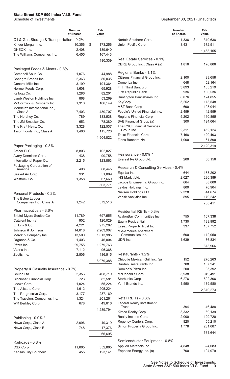|                                           | <b>Number</b><br>of Shares | Fair<br>Value |                                                    | <b>Number</b><br>of Shares | Fair<br>Value     |
|-------------------------------------------|----------------------------|---------------|----------------------------------------------------|----------------------------|-------------------|
| Oil & Gas Storage & Transportation - 0.2% |                            |               | Norfolk Southern Corp.                             | 1,336                      | \$<br>319,638     |
| Kinder Morgan Inc.                        | 10,356                     | \$<br>173,256 | Union Pacific Corp.                                | 3,431                      | 672,511           |
| ONEOK Inc.                                | 2,408                      | 139,640       |                                                    |                            |                   |
| The Williams Companies Inc.               | 6,455                      | 167,443       |                                                    |                            | 1,468,155         |
|                                           |                            | 480,339       | Real Estate Services - 0.1%                        |                            |                   |
|                                           |                            |               | CBRE Group Inc., Class A (a)                       | 1,816                      | 176,806           |
| Packaged Foods & Meats - 0.8%             |                            |               |                                                    |                            |                   |
| Campbell Soup Co.                         | 1,076                      | 44,988        | Regional Banks - 1.1%                              |                            |                   |
| Conagra Brands Inc.                       | 2,363                      | 80,035        | Citizens Financial Group Inc.                      | 2,100                      | 98,658            |
| General Mills Inc.                        | 3,199                      | 191,364       | Comerica Inc.                                      | 648                        | 52,164            |
| Hormel Foods Corp.                        | 1,608                      | 65,928        | Fifth Third Bancorp                                | 3,893                      | 165,219           |
| Kellogg Co.                               | 1,286                      | 82,201        | First Republic Bank                                | 936                        | 180,536           |
| Lamb Weston Holdings Inc.                 | 868                        | 53,269        | Huntington Bancshares Inc.                         | 8,076                      | 124,855           |
| McCormick & Company Inc.                  | 1,310                      | 106,149       | KeyCorp                                            | 5,252                      | 113,548           |
| Mondelez International Inc.,              |                            |               | M&T Bank Corp.                                     | 690                        | 103,044           |
| Class A                                   | 7,403                      | 430,707       | People's United Financial Inc.                     | 2,459                      | 42,959            |
| The Hershey Co.                           | 789                        | 133,538       | Regions Financial Corp.                            | 5,202                      | 110,855           |
| The JM Smucker Co.                        | 653                        | 78,380        | SVB Financial Group (a)                            | 300                        | 194,064           |
| The Kraft Heinz Co.                       | 3,328                      | 122,537       | The PNC Financial Services                         |                            |                   |
| Tyson Foods Inc., Class A                 | 1,466                      | 115,726       | Group Inc.                                         | 2,311                      | 452,124           |
|                                           |                            | 1,504,822     | Truist Financial Corp.                             | 7,168                      | 420,403           |
|                                           |                            |               | Zions Bancorp NA                                   | 1,000                      | 61,890            |
| Paper Packaging - 0.3%                    |                            |               |                                                    |                            | 2,120,319         |
| Amcor PLC                                 | 8,803                      | 102,027       | Reinsurance - 0.0% *                               |                            |                   |
| Avery Dennison Corp.                      | 438                        | 90,758        |                                                    |                            |                   |
| International Paper Co.                   | 2,215                      | 123,863       | Everest Re Group Ltd.                              | 200                        | 50,156            |
| Packaging Corporation of                  |                            |               | Research & Consulting Services - 0.4%              |                            |                   |
| America                                   | 498                        | 68,445        | Equifax Inc.                                       | 644                        | 163,202           |
| Sealed Air Corp.                          | 931                        | 51,009        | IHS Markit Ltd.                                    | 2,027                      | 236,389           |
| Westrock Co.                              | 1,358                      | 67,669        | Jacobs Engineering Group Inc.                      | 664                        | 88,000            |
|                                           |                            | 503,771       | Leidos Holdings Inc.                               | 800                        | 76,904            |
| Personal Products - 0.2%                  |                            |               | Nielsen Holdings PLC                               | 2,328                      | 44,674            |
| The Estee Lauder                          |                            |               | Verisk Analytics Inc.                              | 895                        | 179,242           |
| Companies Inc., Class A                   | 1,242                      | 372,513       |                                                    |                            | 788,411           |
|                                           |                            |               |                                                    |                            |                   |
| Pharmaceuticals - 3.6%                    |                            |               | Residential REITs - 0.3%                           |                            |                   |
| Bristol-Myers Squibb Co.                  | 11,789                     | 697,555       | AvalonBay Communities Inc.                         | 755                        | 167,338           |
| Catalent Inc. (a)                         | 902                        | 120,029       | <b>Equity Residential</b>                          | 1,730                      | 139,992           |
| Eli Lilly & Co.                           | 4,221                      | 975,262       | Essex Property Trust Inc.                          | 337                        | 107,752           |
| Johnson & Johnson                         | 14,018                     | 2,263,907     | Mid-America Apartment                              |                            |                   |
| Merck & Company Inc.                      | 13,500                     | 1,013,985     | Communities Inc.                                   | 600                        | 112,050           |
| Organon & Co.                             | 1,403                      | 46,004        | UDR Inc.                                           | 1,639                      | 86,834            |
| Pfizer Inc.                               | 29,755                     | 1,279,763     |                                                    |                            | 613,966           |
| Viatris Inc.                              | 7,112                      | 96,368        |                                                    |                            |                   |
| Zoetis Inc.                               | 2,506                      | 486,515       | Restaurants - 1.2%                                 |                            |                   |
|                                           |                            | 6,979,388     | Chipotle Mexican Grill Inc. (a)                    | 152                        | 276,263           |
|                                           |                            |               | Darden Restaurants Inc.                            | 708                        | 107,241           |
| Property & Casualty Insurance - 0.7%      |                            |               | Domino's Pizza Inc.                                | 200                        | 95,392            |
| Chubb Ltd.                                | 2,356                      | 408,719       | McDonald's Corp.                                   | 3,938                      | 949,491           |
| Cincinnati Financial Corp.                | 723                        | 82,581        | Starbucks Corp.                                    | 6,276                      | 692,306           |
| Loews Corp.                               | 1,024                      | 55,224        | Yum! Brands Inc.                                   | 1,550                      | 189,580           |
| The Allstate Corp.                        | 1,612                      | 205,224       |                                                    |                            | 2,310,273         |
| The Progressive Corp.                     | 3,177                      | 287,169       |                                                    |                            |                   |
| The Travelers Companies Inc.              | 1,324                      | 201,261       | Retail REITs - 0.3%                                |                            |                   |
| WR Berkley Corp.                          | 678                        | 49,616        | <b>Federal Realty Investment</b><br>Trust          | 394                        | 46,488            |
|                                           |                            | 1,289,794     | Kimco Realty Corp.                                 | 3,332                      | 69,139            |
|                                           |                            |               |                                                    |                            |                   |
| Publishing - 0.0% *                       |                            |               | Realty Income Corp.                                | 2,000                      | 129,720           |
| News Corp., Class A                       | 2,096                      | 49,319        | Regency Centers Corp.<br>Simon Property Group Inc. | 820<br>1,778               | 55,210<br>231,087 |
| News Corp., Class B                       | 748                        | 17,376        |                                                    |                            |                   |
|                                           |                            | 66,695        |                                                    |                            | 531,644           |
|                                           |                            |               | Semiconductor Equipment - 0.8%                     |                            |                   |
| Railroads - 0.8%                          |                            |               | Applied Materials Inc.                             | 4,848                      | 624,083           |
| CSX Corp.                                 | 11,865                     | 352,865       | Enphase Energy Inc. (a)                            | 700                        | 104,979           |
| Kansas City Southern                      | 455                        | 123,141       |                                                    |                            |                   |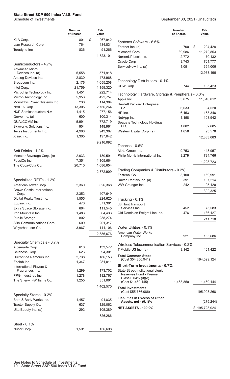|                                                    | <b>Number</b><br>of Shares | Fair<br>Value      |
|----------------------------------------------------|----------------------------|--------------------|
| KLA Corp.                                          | 801                        | \$<br>267,942      |
| Lam Research Corp.                                 | 764                        | 434,831            |
| Teradyne Inc.                                      | 836                        | 91,266             |
|                                                    |                            | 1,523,101          |
| Semiconductors - 4.7%                              |                            |                    |
| <b>Advanced Micro</b>                              |                            |                    |
| Devices Inc. (a)                                   | 5,558                      | 571,918            |
| Analog Devices Inc.                                | 2,830                      | 473,968            |
| Broadcom Inc.                                      | 2,176                      | 1,055,208          |
| Intel Corp.                                        | 21,759                     | 1,159,320          |
| Microchip Technology Inc.                          | 1,451                      | 222,714            |
| Micron Technology Inc.                             | 5,956                      | 422,757            |
| Monolithic Power Systems Inc.                      | 236                        | 114,384            |
| <b>NVIDIA Corp.</b>                                | 13,305                     | 2,756,264          |
| NXP Semiconductors N.V.                            | 1,415                      | 277,156            |
| Qorvo Inc. (a)<br>QUALCOMM Inc.                    | 600                        | 100,314            |
| Skyworks Solutions Inc.                            | 5,991<br>904               | 772,719<br>148,961 |
| Texas Instruments Inc.                             | 4,908                      | 943,367            |
| Xilinx Inc.                                        | 1,305                      | 197,042            |
|                                                    |                            | 9,216,092          |
|                                                    |                            |                    |
| Soft Drinks - 1.2%<br>Monster Beverage Corp. (a)   | 2,033                      | 180,591            |
| PepsiCo Inc.                                       | 7,351                      | 1,105,664          |
| The Coca-Cola Co.                                  | 20,710                     | 1,086,654          |
|                                                    |                            | 2,372,909          |
|                                                    |                            |                    |
| Specialized REITs - 1.2%                           |                            |                    |
| American Tower Corp.<br>Crown Castle International | 2,360                      | 626,368            |
| Corp.                                              | 2,352                      | 407,649            |
| Digital Realty Trust Inc.                          | 1,555                      | 224,620            |
| Equinix Inc.                                       | 470                        | 371,361            |
| Extra Space Storage Inc.                           | 664                        | 111,545            |
| Iron Mountain Inc.                                 | 1,483                      | 64,436             |
| <b>Public Storage</b>                              | 802                        | 238,274            |
| SBA Communications Corp.                           | 609                        | 201,317            |
| Weyerhaeuser Co.                                   | 3,967                      | 141,106            |
|                                                    |                            | 2,386,676          |
| Specialty Chemicals - 0.7%                         |                            |                    |
| Albemarle Corp.                                    | 610                        | 133,572            |
| Celanese Corp.                                     | 626                        | 94,301             |
| DuPont de Nemours Inc.                             | 2,738                      | 186,156            |
| Ecolab Inc.<br>International Flavors &             | 1,347                      | 281,011            |
| Fragrances Inc.                                    | 1,299                      | 173,702            |
| PPG Industries Inc.                                | 1,278                      | 182,767            |
| The Sherwin-Williams Co.                           | 1,255                      | 351,061            |
|                                                    |                            | 1,402,570          |
| Specialty Stores - 0.2%                            |                            |                    |
| Bath & Body Works Inc.                             | 1,457                      | 91,835             |
| Tractor Supply Co.                                 | 637                        | 129,062            |
| Ulta Beauty Inc. (a)                               | 292                        | 105,389            |
|                                                    |                            | 326,286            |
| Steel - 0.1%                                       |                            |                    |
| Nucor Corp.                                        | 1,591                      | 156,698            |
|                                                    |                            |                    |

|                                                                                       | <b>Number</b><br>of Shares | Fair<br>Value |
|---------------------------------------------------------------------------------------|----------------------------|---------------|
| Systems Software - 6.6%                                                               |                            |               |
| Fortinet Inc. (a)                                                                     | 700                        | \$<br>204,428 |
| Microsoft Corp.                                                                       | 39,986                     | 11,272,853    |
| NortonLifeLock Inc.                                                                   | 2,772                      | 70,132        |
| Oracle Corp.                                                                          | 8,743                      | 761,777       |
| ServiceNow Inc. (a)                                                                   | 1,051                      | 654,006       |
|                                                                                       |                            | 12,963,196    |
| Technology Distributors - 0.1%                                                        |                            |               |
| CDW Corp.                                                                             | 744                        | 135,423       |
| Technology Hardware, Storage & Peripherals - 6.3%                                     |                            |               |
| Apple Inc.                                                                            | 83,675                     | 11,840,012    |
| <b>Hewlett Packard Enterprise</b>                                                     |                            |               |
| Co.                                                                                   | 6,633                      | 94,520        |
| HP Inc.                                                                               | 6,153                      | 168,346       |
| NetApp Inc.                                                                           | 1,158                      | 103,942       |
| Seagate Technology Holdings<br>PL C                                                   |                            |               |
| Western Digital Corp. (a)                                                             | 1,002<br>1,658             | 82,685        |
|                                                                                       |                            | 93,578        |
|                                                                                       |                            | 12,383,083    |
| Tobacco - $0.6\%$                                                                     |                            |               |
| Altria Group Inc.                                                                     | 9,753                      | 443,957       |
| Philip Morris International Inc.                                                      | 8,279                      | 784,766       |
|                                                                                       |                            | 1,228,723     |
| Trading Companies & Distributors - 0.2%                                               |                            |               |
| Fastenal Co.                                                                          | 3,100                      | 159,991       |
| United Rentals Inc. (a)                                                               | 391                        | 137,214       |
| WW Grainger Inc.                                                                      | 242                        | 95,120        |
|                                                                                       |                            | 392,325       |
| Trucking - 0.1%                                                                       |                            |               |
| <b>JB Hunt Transport</b>                                                              |                            |               |
| Services Inc.                                                                         | 452                        | 75,583        |
| Old Dominion Freight Line Inc.                                                        | 476                        | 136,127       |
|                                                                                       |                            | 211,710       |
| Water Utilities - 0.1%                                                                |                            |               |
| American Water Works                                                                  |                            |               |
| Company Inc.                                                                          | 921                        | 155,686       |
| Wireless Telecommunication Services - 0.2%                                            |                            |               |
| T-Mobile US Inc. (a)                                                                  | 3,142                      | 401,422       |
| Total Common Stock<br>(Cost \$54,306,941)                                             |                            | 194,529,124   |
| <b>Short-Term Investments - 0.7%</b>                                                  |                            |               |
| State Street Institutional Liquid<br>Reserves Fund - Premier<br>Class $0.04\%$ (d)(e) |                            |               |
| (Cost \$1,469,145)                                                                    | 1,468,850                  | 1,469,144     |
| <b>Total Investments</b><br>(Cost \$55,776,086)                                       |                            | 195,998,268   |
| <b>Liabilities in Excess of Other</b><br>Assets, net - (0.1)%                         |                            | (275, 244)    |
| <b>NET ASSETS - 100.0%</b>                                                            |                            | \$195,723,024 |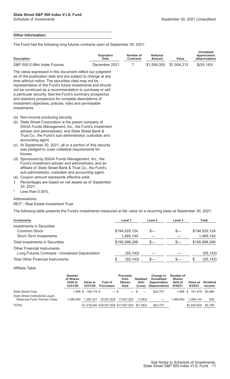#### **Other Information:**

The Fund had the following long futures contracts open at September 30, 2021:

| Expiration<br>Number of | <b>Notional</b><br>Amount          | Value | <b>Unrealized</b><br>Appreciation<br>(Depreciation) |  |
|-------------------------|------------------------------------|-------|-----------------------------------------------------|--|
|                         |                                    |       | $\$(55.143)$                                        |  |
|                         | Date<br>Contracts<br>December 2021 |       | \$1,559,355 \$1,504,212                             |  |

The views expressed in this document reflect our judgment as of the publication date and are subject to change at any time without notice. The securities cited may not be representative of the Fund's future investments and should not be construed as a recommendation to purchase or sell a particular security. See the Fund's summary prospectus and statutory prospectus for complete descriptions of investment objectives, policies, risks and permissible investments.

- (a) Non-income producing security.
- (b) State Street Corporation is the parent company of SSGA Funds Management, Inc., the Fund's investment adviser and administrator, and State Street Bank & Trust Co., the Fund's sub-administrator, custodian and accounting agent.
- (c) At September 30, 2021, all or a portion of this security was pledged to cover collateral requirements for futures.
- (d) Sponsored by SSGA Funds Management, Inc., the Fund's investment adviser and administrator, and an affiliate of State Street Bank & Trust Co., the Fund's sub-administrator, custodian and accounting agent.
- (e) Coupon amount represents effective yield.
- † Percentages are based on net assets as of September 30, 2021.
- Less than  $0.05%$ .

#### Abbreviations:

#### REIT - Real Estate Investment Trust

The following table presents the Fund's investments measured at fair value on a recurring basis at September 30, 2021:

| Investments                                                                            | Level 1       | Level 2 | Level 3 | Total         |
|----------------------------------------------------------------------------------------|---------------|---------|---------|---------------|
| <b>Investments in Securities</b>                                                       |               |         |         |               |
| Common Stock                                                                           | \$194,529,124 |         | \$—     | \$194,529,124 |
| Short-Term Investments                                                                 | 1,469,144     |         |         | 1,469,144     |
| Total Investments in Securities                                                        | \$195,998,268 | $S-$    | $S-$    | \$195,998,268 |
| <b>Other Financial Instruments</b><br>Long Futures Contracts - Unrealized Depreciation | (55, 143)     |         |         | (55, 143)     |
| <b>Total Other Financial Instruments</b>                                               | (55, 143)     |         | S—      | (55, 143)     |
|                                                                                        |               |         |         |               |

#### Affiliate Table

|                                                                   | <b>Number</b><br>of Shares<br>Held at<br>12/31/20 | Value at<br>12/31/20 | Cost of<br><b>Purchases</b> | <b>Proceeds</b><br>from<br><b>Shares</b><br>Sold | <b>Realized</b><br>Gain<br>(Loss) | Change in<br>Unrealized<br>Appreciation<br>(Depreciation) | Number of<br><b>Shares</b><br><b>Held at</b><br>9/30/21 | Value at<br>9/30/21 | <b>Dividend</b><br><b>Income</b> |
|-------------------------------------------------------------------|---------------------------------------------------|----------------------|-----------------------------|--------------------------------------------------|-----------------------------------|-----------------------------------------------------------|---------------------------------------------------------|---------------------|----------------------------------|
| State Street Corp.                                                |                                                   | 1.906 \$ 138.719 \$  | $-$ \$                      |                                                  | $-$ \$                            | \$22.757                                                  |                                                         | 1.906 \$ 161.476    | \$3.069                          |
| State Street Institutional Liquid<br>Reserves Fund, Premier Class | 1.280.065                                         | 1.280.321            | 18,037,829                  | 17,847,923                                       | (1,083)                           |                                                           | 1.468.850                                               | 1.469.144           | 639                              |
| <b>TOTAL</b>                                                      |                                                   |                      |                             | \$1,419,040 \$18,037,829 \$17,847,923 \$(1,083)  |                                   | \$22,757                                                  |                                                         | \$1,630,620         | \$3,708                          |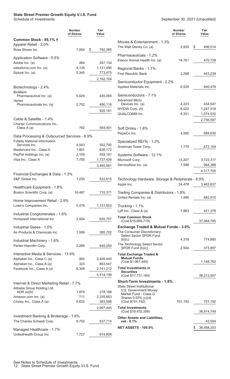#### <span id="page-13-0"></span>**State Street Premier Growth Equity V.I.S. Fund**

|                                                                         | <b>Number</b><br>of Shares | Fair<br>Value |                                                           | <b>Number</b><br>of Shares | Fair<br>Value |
|-------------------------------------------------------------------------|----------------------------|---------------|-----------------------------------------------------------|----------------------------|---------------|
| Common Stock - 95.1% †                                                  |                            |               | Movies & Entertainment - 1.3%                             |                            |               |
| Apparel Retail - 2.0%                                                   |                            |               | The Walt Disney Co. (a)                                   | 2,935                      | 496,514<br>\$ |
| Ross Stores Inc.                                                        | 7,004                      | 762,385<br>\$ |                                                           |                            |               |
| Application Software - 5.5%                                             |                            |               | Pharmaceuticals - 1.2%                                    |                            |               |
| Adobe Inc. (a)                                                          | 464                        | 267,134       | Elanco Animal Health Inc. (a)                             | 14,761                     | 470,728       |
| salesforce.com Inc. (a)                                                 | 4,135                      | 1,121,495     | Regional Banks - 1.1%                                     |                            |               |
| Splunk Inc. (a)                                                         | 5,345                      | 773,475       | First Republic Bank                                       | 2,298                      | 443,238       |
|                                                                         |                            | 2,162,104     | Semiconductor Equipment - 2.2%                            |                            |               |
| Biotechnology - 2.4%                                                    |                            |               | Applied Materials Inc.                                    | 6,529                      | 840,478       |
| <b>BioMarin</b>                                                         |                            |               |                                                           |                            |               |
| Pharmaceutical Inc. (a)                                                 | 5,629                      | 435,065       | Semiconductors - 7.1%<br><b>Advanced Micro</b>            |                            |               |
| Vertex<br>Pharmaceuticals Inc. (a)                                      | 2,702                      | 490,116       | Devices Inc. (a)                                          | 4,223                      | 434,547       |
|                                                                         |                            | 925,181       | NVIDIA Corp. (b)                                          | 6,022                      | 1,247,518     |
|                                                                         |                            |               | QUALCOMM Inc.                                             | 8,331                      | 1,074,532     |
| Cable & Satellite - 1.4%                                                |                            |               |                                                           |                            | 2,756,597     |
| Charter Communications Inc.,<br>Class A (a)                             | 762                        | 554,401       | Soft Drinks - 1.8%                                        |                            |               |
|                                                                         |                            |               | PepsiCo Inc.                                              | 4,585                      | 689,630       |
| Data Processing & Outsourced Services - 8.9%                            |                            |               |                                                           |                            |               |
| <b>Fidelity National Information</b><br>Services Inc.                   | 4,543                      | 552,792       | Specialized REITs - 1.2%                                  |                            |               |
| Mastercard Inc., Class A                                                | 1,801                      | 626,172       | American Tower Corp.                                      | 1,779                      | 472,164       |
| PayPal Holdings Inc. (a)                                                | 2,149                      | 559,191       | Systems Software - 12.1%                                  |                            |               |
| Visa Inc., Class A                                                      | 7,755                      | 1,727,426     | Microsoft Corp.                                           | 13,207                     | 3,723,317     |
|                                                                         |                            | 3,465,581     | ServiceNow Inc. (a)                                       | 1,598                      | 994,388       |
|                                                                         |                            |               |                                                           |                            | 4,717,705     |
| Financial Exchanges & Data - 1.3%<br>S&P Global Inc.                    | 1,230                      | 522,615       | Technology Hardware, Storage & Peripherals - 8.9%         |                            |               |
|                                                                         |                            |               | Apple Inc.                                                | 24,478                     | 3,463,637     |
| Healthcare Equipment - 1.8%                                             |                            |               |                                                           |                            |               |
| Boston Scientific Corp. (a)                                             | 16,487                     | 715,371       | Trading Companies & Distributors - 1.8%                   |                            |               |
| Home Improvement Retail - 2.9%                                          |                            |               | United Rentals Inc. (a)                                   | 1,946                      | 682,910       |
| Lowe's Companies Inc.                                                   | 5,578                      | 1,131,553     | Trucking - 1.1%                                           |                            |               |
|                                                                         |                            |               | Lyft Inc., Class A (a)                                    | 7,863                      | 421,378       |
| Industrial Conglomerates - 1.6%<br>Honeywell International Inc.         | 2,924                      | 620,707       | <b>Total Common Stock</b>                                 |                            |               |
|                                                                         |                            |               | (Cost \$16,669,719)                                       |                            | 37,064,795    |
| Industrial Gases - 1.0%                                                 |                            |               | <b>Exchange Traded &amp; Mutual Funds - 3.0%</b>          |                            |               |
| Air Products & Chemicals Inc.                                           | 1,506                      | 385,702       | The Consumer Discretionary<br>Select Sector SPDR Fund     |                            |               |
| Industrial Machinery - 1.6%                                             |                            |               | (b)(c)                                                    | 4,318                      | 774,865       |
| Parker-Hannifin Corp.                                                   | 2,289                      | 640,050       | The Technology Select Sector<br>SPDR Fund (b)(c)          | 2,504                      | 373,897       |
| Interactive Media & Services - 13.9%                                    |                            |               |                                                           |                            |               |
| Alphabet Inc., Class C (a)                                              | 904                        | 2,409,440     | <b>Total Exchange Traded &amp;</b><br><b>Mutual Funds</b> |                            |               |
| Alphabet Inc., Class A (a)                                              | 323                        | 863,547       | (Cost \$1,061,445)                                        |                            | 1,148,762     |
| Facebook Inc., Class A (a)                                              | 6,309                      | 2,141,212     | <b>Total Investments in</b>                               |                            |               |
|                                                                         |                            | 5,414,199     | <b>Securities</b><br>(Cost \$17,731,164)                  |                            | 38,213,557    |
|                                                                         |                            |               | <b>Short-Term Investments - 1.8%</b>                      |                            |               |
| Internet & Direct Marketing Retail - 7.7%<br>Alibaba Group Holding Ltd. |                            |               | <b>State Street Institutional</b>                         |                            |               |
| ADR $(a)(b)$                                                            | 1,879                      | 278,186       | U.S. Government Money<br>Market Fund - Class G            |                            |               |
| Amazon.com Inc. (a)                                                     | 711                        | 2,335,663     | Shares 0.03% (c)(d)                                       |                            |               |
| Chewy Inc., Class A (a)                                                 | 5,632                      | 383,596       | (Cost \$701,192)                                          | 701,192                    | 701,192       |
|                                                                         |                            | 2,997,445     | <b>Total Investments</b>                                  |                            |               |
| Investment Banking & Brokerage - 1.6%                                   |                            |               | (Cost \$18,432,356)                                       |                            | 38,914,749    |
| The Charles Schwab Corp.                                                | 8,755                      | 637,714       | <b>Other Assets and Liabilities,</b><br>net - 0.1%        |                            | 43,504        |
|                                                                         |                            |               | <b>NET ASSETS - 100.0%</b>                                |                            | 38,958,253    |
| Managed Healthcare - 1.7%<br>UnitedHealth Group Inc.                    | 1,727                      | 674,808       |                                                           |                            |               |
|                                                                         |                            |               |                                                           |                            |               |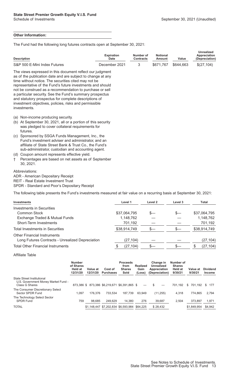#### **Other Information:**

The Fund had the following long futures contracts open at September 30, 2021:

| <b>Description</b>                                                                                                                                                                                                                                                                                                                                                                                                                                                                                        | <b>Expiration</b><br><b>Date</b> | Number of<br><b>Contracts</b> | <b>Notional</b><br><b>Amount</b> | Value     | Unrealized<br>Appreciation<br>(Depreciation) |
|-----------------------------------------------------------------------------------------------------------------------------------------------------------------------------------------------------------------------------------------------------------------------------------------------------------------------------------------------------------------------------------------------------------------------------------------------------------------------------------------------------------|----------------------------------|-------------------------------|----------------------------------|-----------|----------------------------------------------|
| S&P 500 E-Mini Index Futures                                                                                                                                                                                                                                                                                                                                                                                                                                                                              | December 2021                    | 3                             | \$671,767                        | \$644,663 | \$(27,104)                                   |
| The views expressed in this document reflect our judgment<br>as of the publication date and are subject to change at any<br>time without notice. The securities cited may not be<br>representative of the Fund's future investments and should<br>not be construed as a recommendation to purchase or sell<br>a particular security. See the Fund's summary prospectus<br>and statutory prospectus for complete descriptions of<br>investment objectives, policies, risks and permissible<br>investments. |                                  |                               |                                  |           |                                              |
| (a) Non-income producing security.                                                                                                                                                                                                                                                                                                                                                                                                                                                                        |                                  |                               |                                  |           |                                              |

- (b) At September 30, 2021, all or a portion of this security was pledged to cover collateral requirements for futures.
- (c) Sponsored by SSGA Funds Management, Inc., the Fund's investment adviser and administrator, and an affiliate of State Street Bank & Trust Co., the Fund's sub-administrator, custodian and accounting agent.
- (d) Coupon amount represents effective yield.
- † Percentages are based on net assets as of September 30, 2021.

#### Abbreviations:

ADR - American Depositary Receipt

REIT - Real Estate Investment Trust

SPDR - Standard and Poor's Depositary Receipt

The following table presents the Fund's investments measured at fair value on a recurring basis at September 30, 2021:

| <b>Investments</b>                               | Level 1      | Level 2 | Level 3 | Total        |
|--------------------------------------------------|--------------|---------|---------|--------------|
| Investments in Securities                        |              |         |         |              |
| Common Stock                                     | \$37,064,795 |         | S—      | \$37,064,795 |
| Exchange Traded & Mutual Funds                   | 1,148,762    |         |         | 1,148,762    |
| Short-Term Investments                           | 701,192      |         |         | 701,192      |
| <b>Total Investments in Securities</b>           | \$38,914,749 |         |         | \$38,914,749 |
| <b>Other Financial Instruments</b>               |              |         |         |              |
| Long Futures Contracts - Unrealized Depreciation | (27, 104)    |         |         | (27, 104)    |
| <b>Total Other Financial Instruments</b>         | (27, 104)    |         |         | (27, 104)    |

#### Affiliate Table

|                                                                                     | <b>Number</b><br>of Shares<br>Held at<br>12/31/20 | Value at<br>12/31/20                          | Cost of<br><b>Purchases</b>                  | <b>Proceeds</b><br>from<br><b>Shares</b><br>Sold | <b>Realized</b><br>Gain<br>(Loss) | Change in<br>Unrealized<br>Appreciation<br>(Depreciation) | Number of<br><b>Shares</b><br><b>Held at</b><br>9/30/21 | Value at<br>9/30/21  | <b>Dividend</b><br><b>Income</b> |
|-------------------------------------------------------------------------------------|---------------------------------------------------|-----------------------------------------------|----------------------------------------------|--------------------------------------------------|-----------------------------------|-----------------------------------------------------------|---------------------------------------------------------|----------------------|----------------------------------|
| State Street Institutional<br>U.S. Government Money Market Fund -<br>Class G Shares |                                                   | 873,386 \$ 873,386 \$6,219,671 \$6,391,865 \$ |                                              |                                                  |                                   |                                                           | 701.192                                                 | 701.192 \$ 177<br>S. |                                  |
| The Consumer Discretionary Select<br>Sector SPDR Fund                               | 1.097                                             | 176.376                                       | 733.534                                      | 187.739                                          | 63.949                            | (11, 255)                                                 | 4.318                                                   | 774.865              | 2.794                            |
| The Technology Select Sector<br>SPDR Fund                                           | 759                                               | 98.685                                        | 249.629                                      | 14.380                                           | 276                               | 39,687                                                    | 2.504                                                   | 373.897              | 1,971                            |
| <b>TOTAL</b>                                                                        |                                                   |                                               | \$1,148,447 \$7,202,834 \$6,593,984 \$64,225 |                                                  |                                   | \$28,432                                                  |                                                         | \$1,849,954          | \$4,942                          |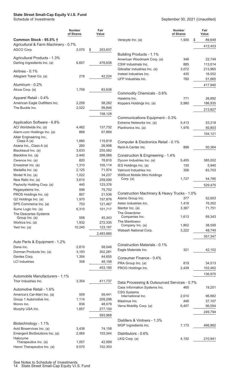#### <span id="page-15-0"></span>**State Street Small-Cap Equity V.I.S. Fund**

#### Schedule of Investments September 30, 2021 (Unaudited)

|                                         | <b>Number</b><br>of Shares | Fair<br>Value     |                                                | <b>Number</b><br>of Shares | Fair<br>Value |
|-----------------------------------------|----------------------------|-------------------|------------------------------------------------|----------------------------|---------------|
| <b>Common Stock - 95.5% †</b>           |                            |                   | Veracyte Inc. (a)                              | 1,930<br>S                 | 89,649        |
| Agricultural & Farm Machinery - 0.7%    |                            |                   |                                                |                            | 412,453       |
| AGCO Corp.                              | 2,070                      | \$<br>253,637     |                                                |                            |               |
| Agricultural Products - 1.3%            |                            |                   | Building Products - 1.1%                       |                            |               |
| Darling Ingredients Inc. (a)            | 6,657                      | 478,638           | American Woodmark Corp. (a)                    | 348                        | 22,749        |
|                                         |                            |                   | CSW Industrials Inc.                           | 885                        | 113,014       |
| Airlines - 0.1%                         |                            |                   | Gibraltar Industries Inc. (a)                  | 3,072                      | 213,965       |
| Allegiant Travel Co. (a)                | 216                        | 42,224            | Insteel Industries Inc.<br>UFP Industries Inc. | 435<br>760                 | 16,552        |
|                                         |                            |                   |                                                |                            | 51,665        |
| Aluminum - 0.2%                         |                            |                   |                                                |                            | 417,945       |
| Alcoa Corp. (a)                         | 1,709                      | 83,638            | Commodity Chemicals - 0.6%                     |                            |               |
| Apparel Retail - 0.4%                   |                            |                   | Hawkins Inc.                                   | 771                        | 26,892        |
| American Eagle Outfitters Inc.          | 2,259                      | 58,282            | Koppers Holdings Inc. (a)                      | 5,980                      | 186,935       |
| The Buckle Inc.                         | 2,522                      | 99,846            |                                                |                            | 213,827       |
|                                         |                            | 158,128           |                                                |                            |               |
|                                         |                            |                   | Communications Equipment - 0.3%                |                            |               |
| Application Software - 6.8%             |                            |                   | Extreme Networks Inc. (a)                      | 5,413                      | 53,318        |
| ACI Worldwide Inc. (a)                  | 4,482                      | 137,732           | Plantronics Inc. (a)                           | 1,976                      | 50,803        |
| Alarm.com Holdings Inc. (a)             | 868                        | 67,869            |                                                |                            | 104,121       |
| Altair Engineering Inc.,                |                            |                   |                                                |                            |               |
| Class A (a)<br>Asana Inc., Class A (a)  | 1,680<br>260               | 115,819<br>26,998 | Computer & Electronics Retail - 0.1%           |                            |               |
| Blackbaud Inc. (a)                      | 3,633                      | 255,582           | Rent-A-Center Inc.                             | 896                        | 50,364        |
| Blackline Inc. (a)                      | 2,440                      | 288,066           | Construction & Engineering - 1.4%              |                            |               |
| Cerence Inc. (a)                        | 820                        | 78,810            | Dycom Industries Inc. (a)                      | 5,405                      | 385,052       |
| Envestnet Inc. (a)                      | 1,310                      | 105,114           | IES Holdings Inc. (a)                          | 130                        | 5,940         |
| Medallia Inc. (a)                       | 2,125                      | 71,974            | Valmont Industries Inc.                        | 356                        | 83,703        |
| Model N Inc. (a)                        | 1,022                      | 34,237            | WillScot Mobile Mini Holdings                  |                            |               |
| New Relic Inc. (a)                      | 3,610                      | 259,090           | Corp. (a)                                      | 1,727                      | 54,780        |
| Paylocity Holding Corp. (a)             | 440                        | 123,376           |                                                |                            | 529,475       |
| Pegasystems Inc.                        | 596                        | 75,752            |                                                |                            |               |
| PROS Holdings Inc. (a)                  | 607                        | 21,536            | Construction Machinery & Heavy Trucks - 1.0%   |                            |               |
| Q2 Holdings Inc. (a)                    | 1,970                      | 157,876           | Alamo Group Inc.                               | 377                        | 52,603        |
| SPS Commerce Inc. (a)                   | 753                        | 121,467           | Astec Industries Inc.                          | 1,418                      | 76,302        |
| Sumo Logic Inc. (a)                     | 6,310                      | 101,717           | Meritor Inc. (a)<br>The Greenbrier             | 3,367                      | 71,751        |
| The Descartes Systems<br>Group Inc. (a) | 558                        | 45,343            | Companies Inc.                                 | 1,613                      | 69,343        |
| Workiva Inc. (a)                        | 1,932                      | 272,335           | The Manitowoc                                  |                            |               |
| Yext Inc. (a)                           | 10,240                     | 123,187           | Company Inc. (a)                               | 1,802                      | 38,599        |
|                                         |                            |                   | Wabash National Corp.                          | 3,222                      | 48,749        |
|                                         |                            | 2,483,880         |                                                |                            | 357,347       |
| Auto Parts & Equipment - 1.2%           |                            |                   |                                                |                            |               |
| Dana Inc.                               | 2,610                      | 58,046            | Construction Materials - 0.1%                  |                            |               |
| Dorman Products Inc. (a)                | 3,193                      | 302,281           | Eagle Materials Inc.                           | 321                        | 42,102        |
| Gentex Corp.                            | 1,354                      | 44,655            | Consumer Finance - 0.4%                        |                            |               |
| <b>LCI</b> Industries                   | 358                        | 48,198            | PRA Group Inc. (a)                             | 819                        | 34,513        |
|                                         |                            | 453,180           | PROG Holdings Inc.                             | 2,439                      | 102,462       |
|                                         |                            |                   |                                                |                            | 136,975       |
| Automobile Manufacturers - 1.1%         |                            |                   |                                                |                            |               |
| Thor Industries Inc.                    | 3,354                      | 411,737           | Data Processing & Outsourced Services - 0.7%   |                            |               |
| Automotive Retail - 1.6%                |                            |                   | Cass Information Systems Inc.                  | 460                        | 19,251        |
| America's Car-Mart Inc. (a)             | 509                        | 59,441            | <b>CSG Systems</b>                             |                            |               |
| Group 1 Automotive Inc.                 | 1,114                      | 209,298           | International Inc.                             | 2,010                      | 96,882        |
| Monro Inc.                              | 836                        | 48,079            | Maximus Inc.                                   | 446                        | 37,107        |
| Murphy USA Inc.                         | 1,657                      | 277,150           | Verra Mobility Corp. (a)                       | 6,407                      | 96,554        |
|                                         |                            | 593,968           |                                                |                            | 249,794       |
|                                         |                            |                   | Distillers & Vintners - 1.3%                   |                            |               |
| Biotechnology - 1.1%                    |                            |                   | MGP Ingredients Inc.                           | 7,173                      | 466,962       |
| Avid Bioservices Inc. (a)               | 3,438                      | 74,158            |                                                |                            |               |
| Emergent BioSolutions Inc. (a)          | 2,064                      | 103,344           | Distributors - 0.6%                            |                            |               |
| Halozyme                                |                            |                   | LKQ Corp. (a)                                  | 4,192                      | 210,941       |
| Therapeutics Inc. (a)                   | 1,057                      | 42,999            |                                                |                            |               |
| Heron Therapeutics Inc. (a)             | 9,570                      | 102,303           |                                                |                            |               |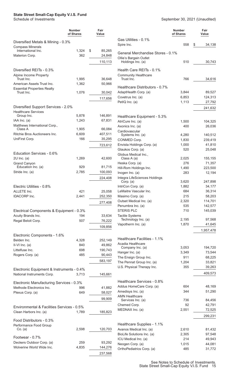## **State Street Small-Cap Equity V.I.S. Fund** Schedule of Investments

|                                                                   | Number<br>of Shares | Fair<br>Value     |  |
|-------------------------------------------------------------------|---------------------|-------------------|--|
| Diversified Metals & Mining - 0.3%                                |                     |                   |  |
| <b>Compass Minerals</b>                                           |                     |                   |  |
| International Inc.                                                | 1,324               | \$<br>85,265      |  |
| Materion Corp.                                                    | 362                 | 24,848            |  |
|                                                                   |                     | 110,113           |  |
| Diversified REITs - 0.3%                                          |                     |                   |  |
| Alpine Income Property                                            |                     |                   |  |
| Trust Inc.                                                        | 1,995               | 36,648            |  |
| American Assets Trust Inc.                                        | 1,362               | 50,966            |  |
| <b>Essential Properties Realty</b>                                |                     |                   |  |
| Trust Inc.                                                        | 1,076               | 30,042            |  |
|                                                                   |                     | 117,656           |  |
| Diversified Support Services - 2.0%<br><b>Healthcare Services</b> |                     |                   |  |
| Group Inc.                                                        | 5,878               | 146,891           |  |
| IAA Inc. (a)                                                      | 1,243               | 67,831            |  |
| Matthews International Corp.,<br>Class A                          | 1,905               | 66,084            |  |
| Ritchie Bros Auctioneers Inc.                                     | 6,609               | 407,511           |  |
| UniFirst Corp.                                                    | 166                 | 35,295            |  |
|                                                                   |                     | 723,612           |  |
|                                                                   |                     |                   |  |
| Education Services - 0.6%                                         |                     |                   |  |
| $2U$ Inc. (a)                                                     | 1,269               | 42,600            |  |
| <b>Grand Canyon</b><br>Education Inc. (a)                         | 929                 | 81,715            |  |
| Stride Inc. (a)                                                   | 2,785               | 100,093           |  |
|                                                                   |                     | 224,408           |  |
|                                                                   |                     |                   |  |
| Electric Utilities - 0.8%                                         |                     |                   |  |
| ALLETE Inc.                                                       | 421                 | 25,058            |  |
| <b>IDACORP</b> Inc.                                               | 2,441               | 252,350           |  |
|                                                                   |                     | 277,408           |  |
| Electrical Components & Equipment - 0.3%                          |                     |                   |  |
| Acuity Brands Inc.                                                | 194                 | 33,634            |  |
| Regal Beloit Corp.                                                | 507                 | 76,222            |  |
|                                                                   |                     | 109,856           |  |
|                                                                   |                     |                   |  |
| Electronic Components - 1.6%                                      |                     |                   |  |
| Belden Inc.                                                       | 4,328               | 252,149           |  |
| II-VI Inc. (a)                                                    | 840<br>698          | 49,862            |  |
| Littelfuse Inc.<br>Rogers Corp. (a)                               | 485                 | 190,743<br>90,443 |  |
|                                                                   |                     |                   |  |
|                                                                   |                     | 583,197           |  |
| Electronic Equipment & Instruments - 0.4%                         |                     |                   |  |
| National Instruments Corp.                                        | 3,713               | 145,661           |  |
| Electronic Manufacturing Services - 0.3%                          |                     |                   |  |
| Methode Electronics Inc.                                          | 996                 | 41,882            |  |
| Plexus Corp. (a)                                                  | 649                 | 58,027            |  |
|                                                                   |                     | 99,909            |  |
|                                                                   |                     |                   |  |
| Environmental & Facilities Services - 0.5%                        |                     |                   |  |
| Clean Harbors Inc. (a)                                            | 1,789               | 185,823           |  |
| Food Distributors - 0.3%                                          |                     |                   |  |
| Performance Food Group                                            |                     |                   |  |
| Co. (a)                                                           | 2,598               | 120,703           |  |
| Footwear - 0.7%                                                   |                     |                   |  |
| Deckers Outdoor Corp. (a)                                         | 259                 | 93,292            |  |
| Wolverine World Wide Inc.                                         | 4,835               | 144,276           |  |
|                                                                   |                     | 237,568           |  |

|                                                   | <b>Number</b><br>of Shares | Fair<br>Value     |  |  |
|---------------------------------------------------|----------------------------|-------------------|--|--|
| Gas Utilities - 0.1%<br>Spire Inc.                | 558                        | \$<br>34,138      |  |  |
| General Merchandise Stores - 0.1%                 |                            |                   |  |  |
| Ollie's Bargain Outlet<br>Holdings Inc. (a)       | 510                        | 30,743            |  |  |
| Health Care REITs - 0.1%                          |                            |                   |  |  |
| <b>Community Healthcare</b><br>Trust Inc.         | 766                        | 34,616            |  |  |
| Healthcare Distributors - 0.7%                    |                            |                   |  |  |
| AdaptHealth Corp. (a)                             | 3,844                      | 89,527            |  |  |
| Covetrus Inc. (a)                                 | 6,853                      | 124,313           |  |  |
| PetIQ Inc. (a)                                    | 1,113                      | 27,792<br>241,632 |  |  |
| Healthcare Equipment - 5.3%                       |                            |                   |  |  |
| AtriCure Inc. (a)                                 | 1,500                      | 104,325           |  |  |
| Axonics Inc. (a)                                  | 400                        | 26,036            |  |  |
| Cardiovascular                                    |                            |                   |  |  |
| Systems Inc. (a)                                  | 4,280                      | 140,512           |  |  |
| CONMED Corp.                                      | 1,830                      | 239,419           |  |  |
| Envista Holdings Corp. (a)                        | 1,000                      | 41,810            |  |  |
| Glaukos Corp. (a)<br>Globus Medical Inc.,         | 520                        | 25,048            |  |  |
| Class A (a)                                       | 2,025                      | 155,155           |  |  |
| Heska Corp. (a)                                   | 276                        | 71,357            |  |  |
| Hill-Rom Holdings Inc.                            | 1,490                      | 223,500           |  |  |
| Inogen Inc. $(a)$                                 | 283                        | 12,194            |  |  |
| Integra LifeSciences Holdings                     |                            |                   |  |  |
| Corp. (a)                                         | 3,620                      | 247,898           |  |  |
| IntriCon Corp. (a)<br>LeMaitre Vascular Inc.      | 1,882<br>684               | 34,177<br>36,314  |  |  |
| Masimo Corp. (a)                                  | 215                        | 58,203            |  |  |
| Outset Medical Inc. (a)                           | 2,320                      | 114,701           |  |  |
| Penumbra Inc. (a)                                 | 535                        | 142,577           |  |  |
| <b>STERIS PLC</b>                                 | 710                        | 145,039           |  |  |
| <b>Tactile Systems</b>                            |                            |                   |  |  |
| Technology Inc. (a)                               | 2,195                      | 97,568            |  |  |
| Vapotherm Inc. (a)                                | 1,870                      | 41,645            |  |  |
|                                                   |                            | 1,957,478         |  |  |
| Healthcare Facilities - 1.1%<br>Acadia Healthcare |                            |                   |  |  |
| Company Inc. (a)                                  | 3,053                      | 194,720           |  |  |
| Hanger Inc. (a)                                   | 3,349                      | 73,544            |  |  |
| The Ensign Group Inc.                             | 911                        | 68,225            |  |  |
| The Pennat Group Inc. (a)                         | 1,204                      | 33,821            |  |  |
| U.S. Physical Therapy Inc.                        | 355                        | 39,263            |  |  |
|                                                   |                            | 409,573           |  |  |
| Healthcare Services - 0.8%                        |                            |                   |  |  |
| Addus HomeCare Corp. (a)                          | 604                        | 48,169            |  |  |
| Amedisys Inc. (a)                                 | 344                        | 51,290            |  |  |
| <b>AMN Healthcare</b>                             |                            |                   |  |  |
| Services Inc. (a)<br>Chemed Corp.                 | 736<br>92                  | 84,456<br>42,791  |  |  |
| MEDNAX Inc. (a)                                   | 2,551                      | 72,525            |  |  |
|                                                   |                            | 299,231           |  |  |
| Healthcare Supplies - 1.1%                        |                            |                   |  |  |
| Avanos Medical Inc. (a)                           | 2,610                      | 81,432            |  |  |
| BioLife Solutions Inc. (a)                        | 2,305                      | 97,548            |  |  |
| ICU Medical Inc. (a)                              | 214                        | 49,943            |  |  |
| Neogen Corp. (a)                                  | 1,015                      | 44,081            |  |  |
| OrthoPediatrics Corp. (a)                         | 485                        | 31,772            |  |  |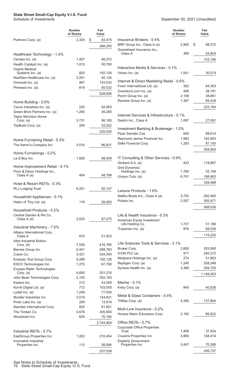#### **State Street Small-Cap Equity V.I.S. Fund**

|                                                 | <b>Number</b><br>of Shares | Fair<br>Value     |                                           | <b>Number</b><br>of Shares | Fair<br>Value |
|-------------------------------------------------|----------------------------|-------------------|-------------------------------------------|----------------------------|---------------|
| Pulmonx Corp. (a)                               | 2,320                      | \$<br>83,474      | Insurance Brokers - 0.4%                  |                            |               |
|                                                 |                            | 388,250           | BRP Group Inc., Class A (a)               | 2,955                      | \$<br>98,372  |
|                                                 |                            |                   | Goosehead Insurance Inc.,                 |                            |               |
| Healthcare Technology - 1.4%                    |                            |                   | Class A                                   | 360                        | 54,824        |
| Certara Inc. (a)                                | 1,407                      | 46,572            |                                           |                            | 153,196       |
| Health Catalyst Inc. (a)                        | 1,015                      | 50,760            |                                           |                            |               |
| <b>Inspire Medical</b>                          |                            |                   | Interactive Media & Services - 0.1%       |                            |               |
| Systems Inc. (a)<br>NextGen Healthcare Inc. (a) | 825<br>3,201               | 192,126<br>45,134 | Vimeo Inc. (a)                            | 1,041                      | 30,574        |
| Omnicell Inc. (a)                               | 967                        | 143,532           | Internet & Direct Marketing Retail - 0.6% |                            |               |
| Phreesia Inc. (a)                               | 819                        | 50,532            | Fiverr International Ltd. (a)             | 352                        | 64,303        |
|                                                 |                            |                   | Overstock.com Inc. (a)                    | 490                        | 38,181        |
|                                                 |                            | 528,656           | Porch Group Inc. (a)                      | 2,198                      | 38,861        |
| Home Building - 0.6%                            |                            |                   | Revolve Group Inc. (a)                    | 1,367                      | 84,439        |
| Cavco Industries Inc. (a)                       | 220                        | 52,083            |                                           |                            | 225,784       |
| Green Brick Partners Inc. (a)                   | 1,280                      | 26,265            |                                           |                            |               |
| <b>Taylor Morrison Home</b>                     |                            |                   | Internet Services & Infrastructure - 0.1% |                            |               |
| Corp. (a)                                       | 3,731                      | 96,185            | Switch Inc., Class A                      | 1,067                      | 27,091        |
| TopBuild Corp. (a)                              | 254                        | 52,022            |                                           |                            |               |
|                                                 |                            | 226,555           | Investment Banking & Brokerage - 1.0%     |                            |               |
|                                                 |                            |                   | Piper Sandler Cos.                        | 640                        | 88,614        |
| Home Furnishing Retail - 0.3%                   |                            |                   | Raymond James Financial Inc.              | 1,982                      | 182,853       |
| The Aaron's Company Inc.                        | 3,516                      | 96,831            | Stifel Financial Corp.                    | 1,283                      | 87,193        |
|                                                 |                            |                   |                                           |                            | 358,660       |
| Home Furnishings - 0.2%                         |                            |                   |                                           |                            |               |
| La-Z-Boy Inc.                                   | 1,829                      | 58,949            | IT Consulting & Other Services - 0.9%     |                            |               |
| Home Improvement Retail - 0.1%                  |                            |                   | Globant S.A. (a)                          | 423                        | 118,867       |
| Floor & Decor Holdings Inc.,                    |                            |                   | <b>Grid Dynamics</b><br>Holdings Inc. (a) | 1,785                      | 52,158        |
| Class A (a)                                     | 404                        | 48,799            | Unisys Corp. (a)                          | 6,701                      | 168,463       |
|                                                 |                            |                   |                                           |                            |               |
| Hotel & Resort REITs - 0.3%                     |                            |                   |                                           |                            | 339,488       |
| <b>RLJ Lodging Trust</b>                        | 6,201                      | 92,147            | Leisure Products - 1.6%                   |                            |               |
| Household Appliances - 0.1%                     |                            |                   | Malibu Boats Inc., Class A (a)            | 3,752                      | 262,565       |
| Helen of Troy Ltd. (a)                          | 116                        | 26,063            | Polaris Inc.                              | 2,557                      | 305,971       |
|                                                 |                            |                   |                                           |                            | 568,536       |
| Household Products - 0.2%                       |                            |                   |                                           |                            |               |
| Central Garden & Pet Co.,                       |                            |                   | Life & Health Insurance - 0.3%            |                            |               |
| Class A (a)                                     | 2,025                      | 87,075            | American Equity Investment                |                            |               |
| Industrial Machinery - 7.5%                     |                            |                   | Life Holding Co.                          | 1,731                      | 51,186        |
| Albany International Corp.,                     |                            |                   | Trupanion Inc. (a)                        | 876                        | 68,039        |
| Class A                                         | 670                        | 51,503            |                                           |                            | 119,225       |
| Altra Industrial Motion                         |                            |                   |                                           |                            |               |
| Corp. (b)                                       | 7,530                      | 416,785           | Life Sciences Tools & Services - 3.1%     |                            |               |
| Barnes Group Inc.                               | 6,441                      | 268,783           | Bruker Corp.                              | 2,600                      | 203,060       |
| Crane Co.                                       | 3,421                      | 324,345           | ICON PLC (a)                              | 917                        | 240,272       |
| Enerpac Tool Group Corp.                        | 9,268                      | 192,126           | Medpace Holdings Inc. (a)                 | 274                        | 51,863        |
| ESCO Technologies Inc.                          | 1,270                      | 97,790            | Repligen Corp. (a)                        | 1,240                      | 358,348       |
| Evoqua Water Technologies                       | 6,690                      | 251,276           | Syneos Health Inc. (a)                    | 3,369                      | 294,720       |
| Corp. (a)<br>John Bean Technologies Corp.       | 2,150                      | 302,183           |                                           |                            | 1,148,263     |
| Kadant Inc.                                     | 212                        | 43,269            | Marine - 0.1%                             |                            |               |
| Kornit Digital Ltd. (a)                         | 712                        | 103,055           | Kirby Corp. (a)                           | 845                        | 40,526        |
| Lydall Inc. (a)                                 | 1,249                      | 77,550            |                                           |                            |               |
| Mueller Industries Inc.                         | 3,519                      | 144,631           | Metal & Glass Containers - 0.4%           |                            |               |
| Proto Labs Inc. (a)                             | 209                        | 13,919            | TriMas Corp. (a)                          | 4,260                      | 137,854       |
| Standex International Corp.                     | 825                        | 81,601            |                                           |                            |               |
| The Timken Co.                                  | 4,676                      | 305,904           | Multi-Line Insurance - 0.2%               |                            |               |
| Woodward Inc.                                   | 620                        | 70,184            | Horace Mann Educators Corp.               | 2,182                      | 86,822        |
|                                                 |                            | 2,744,904         | Office REITs - 0.7%                       |                            |               |
|                                                 |                            |                   | <b>Corporate Office Properties</b>        |                            |               |
| Industrial REITs - 0.7%                         |                            |                   | Trust                                     | 1,406                      | 37,934        |
| EastGroup Properties Inc.                       | 1,263                      | 210,454           | Cousins Properties Inc.                   | 3,980                      | 148,414       |
| Innovative Industrial                           |                            |                   | <b>Easterly Government</b>                |                            |               |
| Properties Inc.                                 | 115                        | 26,584            | Properties Inc.                           | 3,407                      | 70,389        |
|                                                 |                            | 237,038           |                                           |                            | 256,737       |
|                                                 |                            |                   |                                           |                            |               |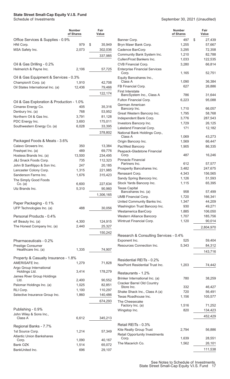## **State Street Small-Cap Equity V.I.S. Fund** Schedule of Investments

|                                                      | Number<br>of Shares | Fair<br>Value     |
|------------------------------------------------------|---------------------|-------------------|
| Office Services & Supplies - 0.9%                    |                     |                   |
| HNI Corp.                                            | 979                 | \$<br>35,949      |
| MSA Safety Inc.                                      | 2,073               | 302,036           |
|                                                      |                     | 337,985           |
| Oil & Gas Drilling - 0.2%                            |                     |                   |
| Helmerich & Payne Inc.                               | 2,106               | 57,725            |
| Oil & Gas Equipment & Services - 0.3%                |                     |                   |
| ChampionX Corp. (a)                                  | 1,910               | 42,708            |
| Oil States International Inc. (a)                    | 12,436              | 79,466            |
|                                                      |                     | 122,174           |
|                                                      |                     |                   |
| Oil & Gas Exploration & Production - 1.0%            |                     |                   |
| Cimarex Energy Co.<br>Denbury Inc. (a)               | 405<br>768          | 35,316<br>53,952  |
| Northern Oil & Gas Inc.                              | 3,791               | 81,128            |
| PDC Energy Inc.                                      | 3,693               | 175,011           |
| Southwestern Energy Co. (a)                          | 6,028               | 33,395            |
|                                                      |                     |                   |
|                                                      |                     | 378,802           |
| Packaged Foods & Meats - 3.6%                        |                     |                   |
| Calavo Growers Inc.                                  | 350                 | 13,384            |
| Freshpet Inc. (a)                                    | 489                 | 69,776            |
| Hostess Brands Inc. (a)                              | 13,500              | 234,495           |
| J&J Snack Foods Corp.                                | 735                 | 112,323           |
| John B Sanfilippo & Son Inc.                         | 247                 | 20,185            |
| Lancaster Colony Corp.                               | 1,315               | 221,985           |
| Sanderson Farms Inc.                                 | 1,676               | 315,423           |
| The Simply Good Foods                                |                     |                   |
| Co. (a)<br>Utz Brands Inc.                           | 6,600<br>5,310      | 227,634<br>90,960 |
|                                                      |                     |                   |
|                                                      |                     | 1,306,165         |
| Paper Packaging - 0.1%                               |                     |                   |
| UFP Technologies Inc. (a)                            | 488                 | 30,056            |
| Personal Products - 0.4%                             |                     |                   |
| elf Beauty Inc. (a)                                  | 4,300               | 124,915           |
| The Honest Company Inc. (a)                          | 2,440               | 25,327            |
|                                                      |                     | 150,242           |
|                                                      |                     |                   |
| Pharmaceuticals - 0.2%                               |                     |                   |
| Prestige Consumer                                    |                     |                   |
| Healthcare Inc. (a)                                  | 1,335               | 74,907            |
| Property & Casualty Insurance - 1.8%                 |                     |                   |
| AMERISAFE Inc.                                       | 1,279               | 71,828            |
| Argo Group International<br>Holdings Ltd.            | 3.414               | 178,279           |
| James River Group Holdings                           |                     |                   |
| Ltd.                                                 | 2,400               | 90,552            |
| Palomar Holdings Inc. (a)                            | 1,025               | 82,851            |
| RLI Corp.                                            | 1,100               | 110,297           |
| Selective Insurance Group Inc.                       | 1,860               | 140,486           |
|                                                      |                     | 674,293           |
| Publishing - 0.9%                                    |                     |                   |
| John Wiley & Sons Inc.,                              |                     |                   |
| Class A                                              | 6,612               | 345,213           |
|                                                      |                     |                   |
| Regional Banks - 7.7%                                |                     |                   |
| 1st Source Corp.<br><b>Atlantic Union Bankshares</b> | 1,214               | 57,349            |
| Corp.                                                | 1,090               | 40,167            |
| <b>Bank OZK</b>                                      | 1,514               | 65,072            |
| BankUnited Inc.                                      | 696                 | 29,107            |

|                                                                  | Number<br>of Shares | Fair<br>Value    |
|------------------------------------------------------------------|---------------------|------------------|
| Banner Corp.                                                     | 497                 | \$<br>27,439     |
| Bryn Mawr Bank Corp.                                             | 1,255               | 57,667           |
| Cadence BanCorp                                                  | 3,295               | 72,358           |
| Community Bank System Inc.                                       | 1,210               | 82,788           |
| Cullen/Frost Bankers Inc.                                        | 1,033               | 122,535          |
| CVB Financial Corp.                                              | 3,280               | 66,814           |
| <b>Enterprise Financial Services</b><br>Corp.                    | 1,165               | 52,751           |
| Equity Bancshares Inc.,<br>Class A                               | 1,090               | 36,384           |
| FB Financial Corp.                                               | 627                 | 26,886           |
| <b>First Interstate</b><br>BancSystem Inc., Class A              | 786                 | 31,644           |
| Fulton Financial Corp.                                           | 6,223               | 95,088           |
| German American<br>Bancorp Inc.                                  | 1,710               | 66,057           |
| Great Western Bancorp Inc.                                       | 1,795               | 58,768           |
| Independent Bank Corp.                                           | 3,776               | 287,543          |
| Investors Bancorp Inc.                                           | 1,729               | 26,125           |
| Lakeland Financial Corp.<br>National Bank Holdings Corp.,        | 171                 | 12,182           |
| Class A                                                          | 1,069               | 43,273           |
| Origin Bancorp Inc.                                              | 1,569               | 66,447           |
| PacWest Bancorp<br>Peapack-Gladstone Financial<br>Corp.          | 1,905<br>487        | 86,335<br>16,246 |
| Pinnacle Financial<br>Partners Inc.                              | 612                 | 57,577           |
| Prosperity Bancshares Inc.                                       | 3,482               | 247,675          |
| Renasant Corp.                                                   | 4,343               | 156,565          |
| Sandy Spring Bancorp Inc.                                        | 1,126               | 51,593           |
| Stock Yards Bancorp Inc.<br><b>Texas Capital</b>                 | 1,115               | 65,395           |
| Bancshares Inc. (a)                                              | 958                 | 57,499           |
| <b>UMB Financial Corp.</b>                                       | 1,720               | 166,341          |
| United Community Banks Inc.                                      | 1,347               | 44,209           |
| Washington Trust Bancorp Inc.                                    | 930                 | 49,271           |
| Westamerica BanCorp                                              | 1,885               | 106,050          |
| Western Alliance Bancorp                                         | 1,707               | 185,756          |
| Wintrust Financial Corp.                                         | 1,120               | 90,014           |
|                                                                  |                     | 2,804,970        |
| Research & Consulting Services - 0.4%<br>Exponent Inc.           | 525                 | 59,404           |
| Resources Connection Inc.                                        | 5,343               | 84,312           |
|                                                                  |                     | 143,716          |
|                                                                  |                     |                  |
| Residential REITs - 0.2%<br>NexPoint Residential Trust Inc.      | 1,203               | 74,442           |
| Restaurants - 1.2%                                               |                     |                  |
| Brinker International Inc. (a)                                   | 780                 | 38,259           |
| <b>Cracker Barrel Old Country</b><br>Store Inc.                  | 332                 | 46,427           |
| Shake Shack Inc., Class A (a)                                    | 720                 | 56,491           |
| Texas Roadhouse Inc.                                             | 1,156               | 105,577          |
| The Cheesecake<br>Factory Inc. (a)                               | 1,516               | 71,252           |
| Wingstop Inc.                                                    | 820                 | 134,423          |
|                                                                  |                     | 452,429          |
| Retail REITs - 0.3%                                              |                     |                  |
| Kite Realty Group Trust<br><b>Retail Opportunity Investments</b> | 2,794               | 56,886           |
| Corp.                                                            | 1,639               | 28,551           |
| The Macerich Co.                                                 | 1,562               | 26,101           |
|                                                                  |                     | 111,538          |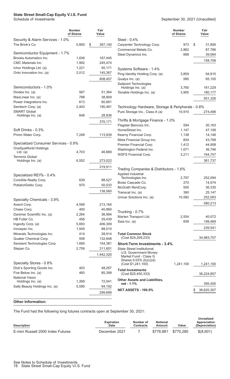### **State Street Small-Cap Equity V.I.S. Fund**

| Schedule of Investments | September 30, 2021 (Unaudited) |
|-------------------------|--------------------------------|
|                         |                                |

|                                      | <b>Number</b><br>of Shares | Fair<br>Value |                                                   | <b>Number</b><br>of Shares |    | Fair<br>Value |
|--------------------------------------|----------------------------|---------------|---------------------------------------------------|----------------------------|----|---------------|
| Security & Alarm Services - 1.0%     |                            |               | Steel - 0.4%                                      |                            |    |               |
| The Brink's Co.                      | 5,800                      | \$<br>367,140 | Carpenter Technology Corp.                        | 973                        | \$ | 31,856        |
|                                      |                            |               | Commercial Metals Co.                             | 2,882                      |    | 87,786        |
| Semiconductor Equipment - 1.7%       |                            |               | Steel Dynamics Inc.                               | 668                        |    | 39,064        |
| Brooks Automation Inc.               | 1,636                      | 167,445       |                                                   |                            |    |               |
| CMC Materials Inc.                   | 1,992                      | 245,474       |                                                   |                            |    | 158,706       |
| Ichor Holdings Ltd. (a)              | 1,221                      | 50,171        | Systems Software - 1.4%                           |                            |    |               |
| Onto Innovation Inc. (a)             | 2,012                      | 145,367       | Ping Identity Holding Corp. (a)                   | 3,859                      |    | 94,815        |
|                                      |                            | 608,457       | Qualys Inc. (a)                                   | 585                        |    | 65,105        |
|                                      |                            |               | Sailpoint Technologies                            |                            |    |               |
| Semiconductors - 1.0%                |                            |               | Holdings Inc. (a)                                 | 3,760                      |    | 161,229       |
| Diodes Inc. (a)                      | 567                        | 51,364        | Tenable Holdings Inc. (a)                         | 3,905                      |    | 180,177       |
| MaxLinear Inc. (a)                   | 788                        | 38,809        |                                                   |                            |    | 501,326       |
| Power Integrations Inc.              | 613                        | 60,681        |                                                   |                            |    |               |
| Semtech Corp. (a)                    | 2,443                      | 190,481       | Technology Hardware, Storage & Peripherals - 0.8% |                            |    |               |
| <b>SMART Global</b>                  |                            |               | Pure Storage Inc., Class A (a)                    | 10,910                     |    | 274,496       |
| Holdings Inc. (a)                    | 648                        | 28,836        |                                                   |                            |    |               |
|                                      |                            | 370,171       | Thrifts & Mortgage Finance - 1.0%                 |                            |    |               |
|                                      |                            |               | Flagstar Bancorp Inc.                             | 594                        |    | 30,163        |
| Soft Drinks - 0.3%                   |                            |               | HomeStreet Inc.                                   | 1,147                      |    | 47,199        |
| Primo Water Corp.                    | 7,248                      | 113,939       | Kearny Financial Corp.                            | 1,138                      |    | 14,146        |
|                                      |                            |               | Meta Financial Group Inc.                         | 834                        |    | 43,768        |
| Specialized Consumer Services - 0.9% |                            |               | Premier Financial Corp.                           | 1,412                      |    | 44,958        |
| OneSpaWorld Holdings<br>$Ltd.$ (a)   | 4,703                      | 46,889        | Washington Federal Inc.                           | 1,071                      |    | 36,746        |
| <b>Terminix Global</b>               |                            |               | <b>WSFS Financial Corp.</b>                       | 3,211                      |    | 164,757       |
| Holdings Inc. (a)                    | 6,552                      | 273,022       |                                                   |                            |    | 381,737       |
|                                      |                            | 319,911       |                                                   |                            |    |               |
|                                      |                            |               | Trading Companies & Distributors - 1.6%           |                            |    |               |
| Specialized REITs - 0.4%             |                            |               | Applied Industrial                                |                            |    |               |
| CoreSite Realty Corp.                | 639                        | 88,527        | Technologies Inc.                                 | 2,797                      |    | 252,094       |
| PotlatchDeltic Corp.                 | 970                        | 50,033        | Boise Cascade Co.                                 | 270                        |    | 14,574        |
|                                      |                            | 138,560       | McGrath RentCorp.                                 | 505                        |    | 36,335        |
|                                      |                            |               | Transcat Inc. (a)                                 | 390                        |    | 25,147        |
| Specialty Chemicals - 3.9%           |                            |               | Univar Solutions Inc. (a)                         | 10,582                     |    | 252,063       |
| Avient Corp.                         | 4,599                      | 213,164       |                                                   |                            |    | 580,213       |
| Chase Corp.                          | 400                        | 40,860        |                                                   |                            |    |               |
| Danimer Scientific Inc. (a)          | 2,264                      | 36,994        | Trucking - 0.7%                                   |                            |    |               |
| HB Fuller Co.                        | 456                        | 29,439        | Marten Transport Ltd.                             | 2,554                      |    | 40,072        |
| Ingevity Corp. (a)                   | 5,693                      | 406,309       | Saia Inc. (a)                                     | 838                        |    | 199,469       |
| Innospec Inc.                        | 1,045                      | 88,010        |                                                   |                            |    | 239,541       |
| Minerals Technologies Inc.           | 414                        | 28,914        | <b>Total Common Stock</b>                         |                            |    |               |
| Quaker Chemical Corp.                | 558                        | 132,648       | (Cost \$24,209,233)                               |                            |    | 34,983,757    |
| Sensient Technologies Corp.          | 1,695                      | 154,381       | <b>Short-Term Investments - 3.4%</b>              |                            |    |               |
| Stepan Co.                           | 2,759                      | 311,601       | <b>State Street Institutional</b>                 |                            |    |               |
|                                      |                            |               | U.S. Government Money                             |                            |    |               |
|                                      |                            | 1,442,320     | Market Fund - Class G                             |                            |    |               |
| Specialty Stores - 0.8%              |                            |               | Shares 0.03% (b)(c)(d)                            |                            |    |               |
| Dick's Sporting Goods Inc.           | 403                        | 48,267        | (Cost \$1,241,100)                                | 1,241,100                  |    | 1,241,100     |
| Five Below Inc. (a)                  | 483                        | 85,399        | <b>Total Investments</b>                          |                            |    |               |
| <b>National Vision</b>               |                            |               | (Cost \$25,450,333)                               |                            |    | 36,224,857    |
| Holdings Inc. (a)                    | 1,269                      | 72,041        | <b>Other Assets and Liabilities,</b>              |                            |    |               |
| Sally Beauty Holdings Inc. (a)       | 5,590                      | 94,192        | net - 1.1%                                        |                            |    | 395,450       |
|                                      |                            | 299,899       | <b>NET ASSETS - 100.0%</b>                        |                            | S  | 36,620,307    |
|                                      |                            |               |                                                   |                            |    |               |
| <b>Other Information:</b>            |                            |               |                                                   |                            |    |               |

The Fund had the following long futures contracts open at September 30, 2021:

| <b>Description</b>                | <b>Expiration</b><br><b>Date</b> | Number of<br>Contracts | <b>Notional</b><br>Amount | Value     | Unrealized<br>Appreciation<br>(Depreciation) |
|-----------------------------------|----------------------------------|------------------------|---------------------------|-----------|----------------------------------------------|
| E-mini Russell 2000 Index Futures | December 2021                    |                        | \$778.881                 | \$770.280 | \$(8,601)                                    |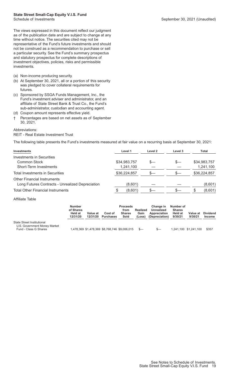### **State Street Small-Cap Equity V.I.S. Fund**

The views expressed in this document reflect our judgment as of the publication date and are subject to change at any time without notice. The securities cited may not be representative of the Fund's future investments and should not be construed as a recommendation to purchase or sell a particular security. See the Fund's summary prospectus and statutory prospectus for complete descriptions of investment objectives, policies, risks and permissible investments.

- (a) Non-income producing security.
- (b) At September 30, 2021, all or a portion of this security was pledged to cover collateral requirements for futures.
- (c) Sponsored by SSGA Funds Management, Inc., the Fund's investment adviser and administrator, and an affiliate of State Street Bank & Trust Co., the Fund's sub-administrator, custodian and accounting agent.
- (d) Coupon amount represents effective yield.
- † Percentages are based on net assets as of September 30, 2021.

#### Abbreviations:

#### REIT - Real Estate Investment Trust

The following table presents the Fund's investments measured at fair value on a recurring basis at September 30, 2021:

| Investments                                      | Level 1      | Level 2 | Level 3 | Total        |
|--------------------------------------------------|--------------|---------|---------|--------------|
| <b>Investments in Securities</b>                 |              |         |         |              |
| <b>Common Stock</b>                              | \$34,983,757 |         |         | \$34,983,757 |
| Short-Term Investments                           | 1,241,100    |         |         | 1,241,100    |
| <b>Total Investments in Securities</b>           | \$36,224,857 |         | $s-$    | \$36,224,857 |
| <b>Other Financial Instruments</b>               |              |         |         |              |
| Long Futures Contracts - Unrealized Depreciation | (8,601)      |         |         | (8,601)      |
| <b>Total Other Financial Instruments</b>         | (8,601)<br>S |         |         | (8,601)      |

#### Affiliate Table

|                                                                                     | <b>Number</b><br>of Shares<br><b>Held at</b><br>12/31/20 | Value at<br>12/31/20 | Cost of<br><b>Purchases</b>                   | <b>Proceeds</b><br>from<br><b>Shares</b><br>Sold | <b>Realized</b><br>Gain<br>(Loss) | Change in<br>Unrealized<br>Appreciation<br>(Depreciation) | Number of<br><b>Shares</b><br><b>Held at</b><br>9/30/21 | Value at<br>9/30/21   | <b>Dividend</b><br><b>Income</b> |
|-------------------------------------------------------------------------------------|----------------------------------------------------------|----------------------|-----------------------------------------------|--------------------------------------------------|-----------------------------------|-----------------------------------------------------------|---------------------------------------------------------|-----------------------|----------------------------------|
| State Street Institutional<br>U.S. Government Money Market<br>Fund - Class G Shares |                                                          |                      | 1,478,369 \$1,478,369 \$8,768,746 \$9,006,015 |                                                  | $s-$                              | $s-$                                                      |                                                         | 1,241,100 \$1,241,100 | \$357                            |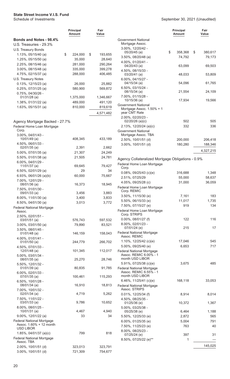<span id="page-21-0"></span>

|                                                              | Principal<br>Amount  | Fair<br>Value        |
|--------------------------------------------------------------|----------------------|----------------------|
| <b>Bonds and Notes - 98.4%</b>                               |                      |                      |
| U.S. Treasuries - 29.3%                                      |                      |                      |
| U.S. Treasury Bonds<br>1.13%, 05/15/40 (a)                   | \$<br>224,000        | \$<br>193,655        |
| $1.25\%$ , 05/15/50 (a)                                      | 35,000               | 28,640               |
| 2.25%, 08/15/46 (a)                                          | 281,000              | 290,264              |
| 3.00%, 08/15/48 (a)                                          | 335,000              | 399,278              |
| 4.75%, 02/15/37 (a)                                          | 288,000              | 406,485              |
| U.S. Treasury Notes                                          |                      |                      |
| $0.13\%$ , 12/15/23 (a)                                      | 26,000               | 25,882               |
| $0.25\%$ , $07/31/25$ (a)                                    | 580,900              | 569,872              |
| 0.75%, 04/30/26 -                                            |                      |                      |
| $01/31/28$ (a)<br>$1.38\%$ , 01/31/22 (a)                    | 1,375,000<br>489,000 | 1,346,667<br>491,120 |
| $1.63\%$ , 05/15/31 (a)                                      | 810,000              | 819,619              |
|                                                              |                      |                      |
|                                                              |                      | 4,571,482            |
| Agency Mortgage Backed - 27.7%<br>Federal Home Loan Mortgage |                      |                      |
| Corp.                                                        |                      |                      |
| 3.00%, 04/01/43 -                                            |                      |                      |
| 10/01/49 (a)                                                 | 408,345              | 433,189              |
| 4.50%, 06/01/33 -<br>$02/01/35$ (a)                          | 2,391                | 2,662                |
| 5.00%, 07/01/35 (a)                                          | 21,307               | 24,249               |
| 5.50%, 01/01/38 (a)                                          | 21,505               | 24,781               |
| 6.00%, 04/01/29 -                                            |                      |                      |
| 11/01/37 (a)                                                 | 69,645               | 79,427               |
| $6.50\%$ , 02/01/29 (a)                                      | 29<br>60,000         | 34                   |
| 6.93%, $06/01/26$ (a)(b)<br>7.00%, 12/01/29 -                |                      | 75,667               |
| 08/01/36 (a)                                                 | 16,373               | 18,945               |
| 7.50%, 01/01/30 -                                            |                      |                      |
| 09/01/33 (a)                                                 | 3,456                | 3,883                |
| 8.00%, 11/01/30 (a)                                          | 3,400                | 3,833                |
| 8.50%, 04/01/30 (a)<br><b>Federal National Mortgage</b>      | 3,013                | 3,772                |
| Assoc.                                                       |                      |                      |
| 2.50%, 02/01/51 -                                            |                      |                      |
| $03/01/51$ (a)                                               | 576,743              | 597,532              |
| $3.00\%$ , 03/01/50 (a)                                      | 79,890               | 83,521               |
| 3.50%, 08/01/45 -<br>$01/01/48$ (a)                          | 146,159              | 158,043              |
| 4.00%, 01/01/41 -                                            |                      |                      |
| $01/01/50$ (a)                                               | 244,779              | 266,702              |
| 4.50%, 07/01/33 -                                            | 101,345              | 112,017              |
| 12/01/48 (a)<br>5.00%, 03/01/34 -                            |                      |                      |
| 08/01/35 (a)                                                 | 25,270               | 28,746               |
| 5.50%, 12/01/32 -                                            |                      |                      |
| $01/01/39$ (a)                                               | 80,835               | 91,785               |
| $6.00\%$ , 02/01/33 -<br>$07/01/35$ (a)                      | 100,461              | 115,293              |
| 6.50%, 10/01/28 -                                            |                      |                      |
| 08/01/34 (a)                                                 | 16,910               | 18,813               |
| 7.00%, 10/01/32 -<br>$02/01/34$ (a)                          | 4,719                | 5,262                |
| 7.50%, 11/01/22 -                                            |                      |                      |
| $03/01/33$ (a)                                               | 9,786                | 10,652               |
| 8.00%, 08/01/25 -                                            |                      |                      |
| 10/01/31 (a)                                                 | 4,467                | 4,940                |
| 9.00%, 12/01/22 (a)<br><b>Federal National Mortgage</b>      | 33                   | 34                   |
| Assoc. 1.60% + 12 month                                      |                      |                      |
| USD LIBOR                                                    |                      |                      |
| 1.85%, 04/01/37 (a)(c)                                       | 799                  | 818                  |
| <b>Federal National Mortgage</b><br>Assoc. TBA               |                      |                      |
| 2.00%, 10/01/51 (d)                                          | 323,013              | 323,791              |
| 3.00%, 10/01/51 (d)                                          | 721,309              | 754,677              |

|                                                                               | Principal<br>Amount | Fair<br>Value           |
|-------------------------------------------------------------------------------|---------------------|-------------------------|
| <b>Government National</b><br>Mortgage Assoc.                                 |                     |                         |
| 3.00%, 12/20/42 -                                                             | \$                  |                         |
| 05/20/45 (a)<br>$3.50\%$ , 08/20/48 (a)                                       | 358,368<br>74,792   | \$<br>380,617<br>79,173 |
| 4.00%, 01/20/41 -                                                             |                     |                         |
| 04/20/43 (a)<br>4.50%, 08/15/33 -                                             | 63,099              | 69,503                  |
| 03/20/41 (a)<br>6.00%, 04/15/27 -                                             | 48,033              | 53,809                  |
| 04/15/34 (a)                                                                  | 54,096              | 61,765                  |
| 6.50%, 03/15/24 -<br>08/15/34 (a)                                             | 21,554              | 24,109                  |
| 7.00%, 01/15/28 -<br>10/15/36 (a)                                             | 17,934              | 19,566                  |
| Government National<br>Mortgage Assoc. $1.50\% + 1$<br>year CMT Rate          |                     |                         |
| 2.00%, 02/20/23 -                                                             |                     |                         |
| $02/20/26$ (a)(c)<br>2.13%, 12/20/24 (a)(c)                                   | 502<br>332          | 505<br>336              |
| <b>Government National</b>                                                    |                     |                         |
| Mortgage Assoc. TBA                                                           |                     |                         |
| 2.50%, 10/01/51 (d)                                                           | 200,000             | 206,418                 |
| 3.00%, 10/01/51 (d)                                                           | 180,280             | 188,346                 |
|                                                                               |                     | 4,327,215               |
| Agency Collateralized Mortgage Obligations - 0.9%                             |                     |                         |
| Federal Home Loan Mortgage<br>Corp.                                           |                     |                         |
| $0.08\%$ , 09/25/43 (c)(e)                                                    | 316,688             | 1,348                   |
| 2.51%, 07/25/29                                                               | 55,000              | 58,637                  |
| 4.05%, 09/25/28 (c)                                                           | 31,000              | 36,059                  |
| Federal Home Loan Mortgage<br>Corp. REMIC                                     |                     |                         |
| 3.50%, 11/15/30 (e)                                                           | 7,161               | 183                     |
| 5.50%, 06/15/33 (e)                                                           | 11,017              | 1,735                   |
| 7.50%, 07/15/27 (e)                                                           | 919                 | 134                     |
| Federal Home Loan Mortgage<br>Corp. STRIPS                                    |                     |                         |
| $0.00\%$ , 08/01/27 (f)                                                       | 122                 | 116                     |
| 8.00%, 02/01/23 -                                                             |                     |                         |
| 07/01/24 (e)<br><b>Federal National Mortgage</b><br>Assoc. REMIC              | 215                 | 17                      |
| 1.10%, 12/25/42 (c)(e)                                                        | 17,046              | 545                     |
| 5.00%, 09/25/40 (e)                                                           | 6,653               | 717                     |
| <b>Federal National Mortgage</b><br>Assoc. REMIC 6.00% - 1                    |                     |                         |
| month USD LIBOR                                                               |                     |                         |
| 5.91%, 07/25/38 (c)(e)                                                        | 3,675               | 485                     |
| <b>Federal National Mortgage</b><br>Assoc. REMIC 6.55% - 1<br>month USD LIBOR |                     |                         |
| 6.46%, $11/25/41$ (c)(e)                                                      | 168,118             | 33,053                  |
| <b>Federal National Mortgage</b><br>Assoc. STRIPS                             |                     |                         |
| 0.01%, 12/25/34 (f)                                                           | 8,914               | 8,014                   |
| 4.50%, 08/25/35 -<br>01/25/36 (e)                                             | 10,372              | 1,367                   |
| 5.00%, 03/25/38 -                                                             |                     |                         |
| 05/25/38 (e)<br>5.50%, 12/25/33 (e)                                           | 6,464<br>2,872      | 1,188<br>565            |
| 6.00%, $01/25/35$ (e)                                                         | 5,004               | 791                     |
| 7.50%, 11/25/23 (e)                                                           | 763                 | 40                      |
| 8.00%, 08/25/23 -                                                             |                     |                         |
| 07/25/24 (e)<br>8.50%, 07/25/22 (e)**                                         | 397<br>1            | 31                      |
|                                                                               |                     | 145,025                 |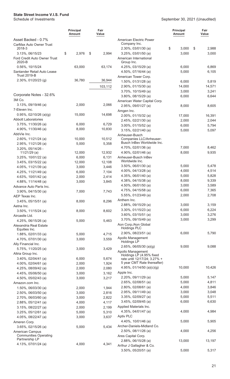| Asset Backed - 0.7%<br>American Electric Power<br>Company Inc.<br>CarMax Auto Owner Trust<br>\$<br>3,000<br>\$<br>2018-3<br>2.30%, 03/01/30 (a)<br>2,988<br>\$<br>2,976<br>2,994<br>3,000<br>3,000<br>3.13%, 06/15/23<br>\$<br>$3.25\%$ , 03/01/50 (a)<br>Ford Credit Auto Owner Trust<br>American International<br>2020-B<br>Group Inc.<br>63,000<br>0.56%, 10/15/24<br>63,174<br>4.25%, 03/15/29 (a)<br>6,000<br>6,869<br>4.50%, 07/16/44 (a)<br>Santander Retail Auto Lease<br>5,000<br>6,105<br><b>Trust 2019-B</b><br>American Tower Corp.<br>36,780<br>2.30%, 01/20/23 (g)<br>36,944<br>1.50%, 01/31/28 (a)<br>6,000<br>5,819<br>2.90%, 01/15/30 (a)<br>14,000<br>14,571<br>103,112<br>3.70%, 10/15/49 (a)<br>3,000<br>3,241<br>Corporate Notes - 32.6%<br>3.80%, 08/15/29 (a)<br>6,000<br>6,644<br>3M Co.<br>American Water Capital Corp.<br>2,000<br>$3.13\%$ , 09/19/46 (a)<br>2,066<br>2.95%, 09/01/27 (a)<br>8,000<br>8,605<br>7-Eleven Inc.<br>Amgen Inc.<br>$0.95\%$ , 02/10/26 (a)(g)<br>15,000<br>14,698<br>2.00%, 01/15/32 (a)<br>17,000<br>16,391<br><b>Abbott Laboratories</b><br>2.45%, 02/21/30 (a)<br>2,000<br>2,044<br>6,729<br>3.75%, 11/30/26 (a)<br>6,000<br>3.00%, 01/15/52 (a)<br>6,000<br>5,794<br>4.90%, 11/30/46 (a)<br>8,000<br>10,830<br>3.15%, 02/21/40 (a)<br>5,000<br>5,097<br>AbbVie Inc.<br>Anheuser-Busch<br>2.60%, 11/21/24 (a)<br>10,000<br>10,512<br>Companies LLC/Anheuser-<br>Busch InBev Worldwide Inc.<br>5,000<br>5,358<br>2.95%, 11/21/26 (a)<br>4.70%, 02/01/36 (a)<br>7,000<br>8,462<br>3.20%, 05/14/26 -<br>8,000<br>9,935<br>$11/21/29$ (a)<br>12,000<br>12,932<br>4.90%, 02/01/46 (a)<br>6,000<br>6,131<br>Anheuser-Busch InBev<br>3.25%, 10/01/22 (a)<br>Worldwide Inc.<br>12,108<br>$3.45\%$ , 03/15/22 (a)<br>12,000<br>3.50%, 06/01/30 (a)<br>5,000<br>5,478<br>3,446<br>4.05%, 11/21/39 (a)<br>3,000<br>4.00%, 04/13/28 (a)<br>4,000<br>4,514<br>6,000<br>7,104<br>4.25%, $11/21/49$ (a)<br>4.35%, $06/01/40$ (a)<br>5,000<br>5,828<br>4.63%, 10/01/42 (a)<br>2,000<br>2,414<br>4.38%, 04/15/38 (a)<br>8,000<br>9,339<br>4.88%, 11/14/48 (a)<br>3,000<br>3,845<br>4.50%, 06/01/50 (a)<br>3,000<br>3,589<br>Advance Auto Parts Inc.<br>4.75%, 04/15/58 (a)<br>6,000<br>7,365<br>3.90%, 04/15/30 (a)<br>7,000<br>7,743<br>2,000<br>2,708<br>5.55%, 01/23/49 (a)<br>AEP Texas Inc.<br>Anthem Inc.<br>8,000<br>8,296<br>$3.45\%$ , 05/15/51 (a)<br>2.88%, 09/15/29 (a)<br>3,000<br>3,159<br>Aetna Inc.<br>3.30%, 01/15/23 (a)<br>6,000<br>6,224<br>8,000<br>8,602<br>3.50%, 11/15/24 (a)<br>3.60%, 03/15/51 (a)<br>3,000<br>3,276<br>Aircastle Ltd.<br>3,000<br>3,299<br>3.70%, 09/15/49 (a)<br>5,000<br>5,463<br>4.25%, 06/15/26 (a)<br>Aon Corp./Aon Global<br>Alexandria Real Estate<br><b>Holdings PLC</b><br>Equities Inc.<br>2.90%, 08/23/51 (a)<br>6,000<br>5,790<br>5,000<br>1.88%, 02/01/33 (a)<br>4,715<br>Apollo Management<br>3,000<br>3,559<br>4.70%, 07/01/30 (a)<br>Holdings LP<br>Ally Financial Inc.<br>2.65%, 06/05/30 (a)(g)<br>9,000<br>9,088<br>5.75%, 11/20/25 (a)<br>3,000<br>3,429<br>Apollo Management<br>Altria Group Inc.<br>Holdings LP (4.95% fixed<br>$3.40\%$ , 02/04/41 (a)<br>6,000<br>5,674<br>rate until 12/17/24; 3.27% +<br>5 year CMT Rate thereafter)<br>4.00%, 02/04/61 (a)<br>2,000<br>1,924<br>4.95%, 01/14/50 (a)(c)(g)<br>10,000<br>10,426<br>2,080<br>4.25%, $08/09/42$ (a)<br>2,000<br>Apple Inc.<br>3,162<br>4.45%, 05/06/50 (a)<br>3,000<br>2.20%, 09/11/29 (a)<br>5,000<br>5,147<br>3,217<br>4.50%, 05/02/43 (a)<br>3,000<br>2.65%, 02/08/51 (a)<br>5,000<br>4,811<br>Amazon.com Inc.<br>2.80%, 02/08/61 (a)<br>4,000<br>3,846<br>$1.50\%$ , 06/03/30 (a)<br>2,000<br>1,944<br>2.95%, 09/11/49 (a)<br>3,000<br>3,048<br>2.50%, 06/03/50 (a)<br>3,000<br>2,816<br>3.35%, 02/09/27 (a)<br>5,000<br>5,511<br>2,822<br>2.70%, 06/03/60 (a)<br>3,000<br>6,000<br>3.45%, 02/09/45 (a)<br>6,630<br>4,117<br>2.88%, 05/12/41 (a)<br>4,000<br>Applied Materials Inc.<br>2,000<br>2,199<br>3.15%, 08/22/27 (a)<br>4.35%, 04/01/47 (a)<br>4,000<br>4,984<br>5,000<br>5,310<br>$3.25\%$ , 05/12/61 (a)<br>Aptiv PLC<br>3,637<br>4.05%, 08/22/47 (a)<br>3,000<br>4.40%, 10/01/46 (a)<br>5,000<br>5,905<br>Ameren Corp.<br>Archer-Daniels-Midland Co.<br>3.65%, 02/15/26 (a)<br>5,000<br>5,434<br>2.50%, 08/11/26 (a)<br>4,000<br>4,256<br>American Campus<br><b>Communities Operating</b><br>Ares Capital Corp.<br>Partnership LP<br>2.88%, 06/15/28 (a)<br>13,000<br>13,197<br>4.13%, 07/01/24 (a)<br>4,000<br>4,341<br>Arthur J Gallagher & Co.<br>3.50%, 05/20/51 (a)<br>5,000<br>5,317 | <b>Principal</b><br>Amount | Fair<br>Value | <b>Principal</b><br><b>Amount</b> | Fair<br>Value |
|-------------------------------------------------------------------------------------------------------------------------------------------------------------------------------------------------------------------------------------------------------------------------------------------------------------------------------------------------------------------------------------------------------------------------------------------------------------------------------------------------------------------------------------------------------------------------------------------------------------------------------------------------------------------------------------------------------------------------------------------------------------------------------------------------------------------------------------------------------------------------------------------------------------------------------------------------------------------------------------------------------------------------------------------------------------------------------------------------------------------------------------------------------------------------------------------------------------------------------------------------------------------------------------------------------------------------------------------------------------------------------------------------------------------------------------------------------------------------------------------------------------------------------------------------------------------------------------------------------------------------------------------------------------------------------------------------------------------------------------------------------------------------------------------------------------------------------------------------------------------------------------------------------------------------------------------------------------------------------------------------------------------------------------------------------------------------------------------------------------------------------------------------------------------------------------------------------------------------------------------------------------------------------------------------------------------------------------------------------------------------------------------------------------------------------------------------------------------------------------------------------------------------------------------------------------------------------------------------------------------------------------------------------------------------------------------------------------------------------------------------------------------------------------------------------------------------------------------------------------------------------------------------------------------------------------------------------------------------------------------------------------------------------------------------------------------------------------------------------------------------------------------------------------------------------------------------------------------------------------------------------------------------------------------------------------------------------------------------------------------------------------------------------------------------------------------------------------------------------------------------------------------------------------------------------------------------------------------------------------------------------------------------------------------------------------------------------------------------------------------------------------------------------------------------------------------------------------------------------------------------------------------------------------------------------------------------------------------------------------------------------------------------------------------------------------------------------------------------------------------------------------------------------------------------------------------------------------------------------------------------------------------------------------------------------------------------------------------------------------------------------------------------------------------------------------------------------------------------------------------------------------------------------------------------------------------------------------|----------------------------|---------------|-----------------------------------|---------------|
|                                                                                                                                                                                                                                                                                                                                                                                                                                                                                                                                                                                                                                                                                                                                                                                                                                                                                                                                                                                                                                                                                                                                                                                                                                                                                                                                                                                                                                                                                                                                                                                                                                                                                                                                                                                                                                                                                                                                                                                                                                                                                                                                                                                                                                                                                                                                                                                                                                                                                                                                                                                                                                                                                                                                                                                                                                                                                                                                                                                                                                                                                                                                                                                                                                                                                                                                                                                                                                                                                                                                                                                                                                                                                                                                                                                                                                                                                                                                                                                                                                                                                                                                                                                                                                                                                                                                                                                                                                                                                                                                                                                     |                            |               |                                   |               |
|                                                                                                                                                                                                                                                                                                                                                                                                                                                                                                                                                                                                                                                                                                                                                                                                                                                                                                                                                                                                                                                                                                                                                                                                                                                                                                                                                                                                                                                                                                                                                                                                                                                                                                                                                                                                                                                                                                                                                                                                                                                                                                                                                                                                                                                                                                                                                                                                                                                                                                                                                                                                                                                                                                                                                                                                                                                                                                                                                                                                                                                                                                                                                                                                                                                                                                                                                                                                                                                                                                                                                                                                                                                                                                                                                                                                                                                                                                                                                                                                                                                                                                                                                                                                                                                                                                                                                                                                                                                                                                                                                                                     |                            |               |                                   |               |
|                                                                                                                                                                                                                                                                                                                                                                                                                                                                                                                                                                                                                                                                                                                                                                                                                                                                                                                                                                                                                                                                                                                                                                                                                                                                                                                                                                                                                                                                                                                                                                                                                                                                                                                                                                                                                                                                                                                                                                                                                                                                                                                                                                                                                                                                                                                                                                                                                                                                                                                                                                                                                                                                                                                                                                                                                                                                                                                                                                                                                                                                                                                                                                                                                                                                                                                                                                                                                                                                                                                                                                                                                                                                                                                                                                                                                                                                                                                                                                                                                                                                                                                                                                                                                                                                                                                                                                                                                                                                                                                                                                                     |                            |               |                                   |               |
|                                                                                                                                                                                                                                                                                                                                                                                                                                                                                                                                                                                                                                                                                                                                                                                                                                                                                                                                                                                                                                                                                                                                                                                                                                                                                                                                                                                                                                                                                                                                                                                                                                                                                                                                                                                                                                                                                                                                                                                                                                                                                                                                                                                                                                                                                                                                                                                                                                                                                                                                                                                                                                                                                                                                                                                                                                                                                                                                                                                                                                                                                                                                                                                                                                                                                                                                                                                                                                                                                                                                                                                                                                                                                                                                                                                                                                                                                                                                                                                                                                                                                                                                                                                                                                                                                                                                                                                                                                                                                                                                                                                     |                            |               |                                   |               |
|                                                                                                                                                                                                                                                                                                                                                                                                                                                                                                                                                                                                                                                                                                                                                                                                                                                                                                                                                                                                                                                                                                                                                                                                                                                                                                                                                                                                                                                                                                                                                                                                                                                                                                                                                                                                                                                                                                                                                                                                                                                                                                                                                                                                                                                                                                                                                                                                                                                                                                                                                                                                                                                                                                                                                                                                                                                                                                                                                                                                                                                                                                                                                                                                                                                                                                                                                                                                                                                                                                                                                                                                                                                                                                                                                                                                                                                                                                                                                                                                                                                                                                                                                                                                                                                                                                                                                                                                                                                                                                                                                                                     |                            |               |                                   |               |
|                                                                                                                                                                                                                                                                                                                                                                                                                                                                                                                                                                                                                                                                                                                                                                                                                                                                                                                                                                                                                                                                                                                                                                                                                                                                                                                                                                                                                                                                                                                                                                                                                                                                                                                                                                                                                                                                                                                                                                                                                                                                                                                                                                                                                                                                                                                                                                                                                                                                                                                                                                                                                                                                                                                                                                                                                                                                                                                                                                                                                                                                                                                                                                                                                                                                                                                                                                                                                                                                                                                                                                                                                                                                                                                                                                                                                                                                                                                                                                                                                                                                                                                                                                                                                                                                                                                                                                                                                                                                                                                                                                                     |                            |               |                                   |               |
|                                                                                                                                                                                                                                                                                                                                                                                                                                                                                                                                                                                                                                                                                                                                                                                                                                                                                                                                                                                                                                                                                                                                                                                                                                                                                                                                                                                                                                                                                                                                                                                                                                                                                                                                                                                                                                                                                                                                                                                                                                                                                                                                                                                                                                                                                                                                                                                                                                                                                                                                                                                                                                                                                                                                                                                                                                                                                                                                                                                                                                                                                                                                                                                                                                                                                                                                                                                                                                                                                                                                                                                                                                                                                                                                                                                                                                                                                                                                                                                                                                                                                                                                                                                                                                                                                                                                                                                                                                                                                                                                                                                     |                            |               |                                   |               |
|                                                                                                                                                                                                                                                                                                                                                                                                                                                                                                                                                                                                                                                                                                                                                                                                                                                                                                                                                                                                                                                                                                                                                                                                                                                                                                                                                                                                                                                                                                                                                                                                                                                                                                                                                                                                                                                                                                                                                                                                                                                                                                                                                                                                                                                                                                                                                                                                                                                                                                                                                                                                                                                                                                                                                                                                                                                                                                                                                                                                                                                                                                                                                                                                                                                                                                                                                                                                                                                                                                                                                                                                                                                                                                                                                                                                                                                                                                                                                                                                                                                                                                                                                                                                                                                                                                                                                                                                                                                                                                                                                                                     |                            |               |                                   |               |
|                                                                                                                                                                                                                                                                                                                                                                                                                                                                                                                                                                                                                                                                                                                                                                                                                                                                                                                                                                                                                                                                                                                                                                                                                                                                                                                                                                                                                                                                                                                                                                                                                                                                                                                                                                                                                                                                                                                                                                                                                                                                                                                                                                                                                                                                                                                                                                                                                                                                                                                                                                                                                                                                                                                                                                                                                                                                                                                                                                                                                                                                                                                                                                                                                                                                                                                                                                                                                                                                                                                                                                                                                                                                                                                                                                                                                                                                                                                                                                                                                                                                                                                                                                                                                                                                                                                                                                                                                                                                                                                                                                                     |                            |               |                                   |               |
|                                                                                                                                                                                                                                                                                                                                                                                                                                                                                                                                                                                                                                                                                                                                                                                                                                                                                                                                                                                                                                                                                                                                                                                                                                                                                                                                                                                                                                                                                                                                                                                                                                                                                                                                                                                                                                                                                                                                                                                                                                                                                                                                                                                                                                                                                                                                                                                                                                                                                                                                                                                                                                                                                                                                                                                                                                                                                                                                                                                                                                                                                                                                                                                                                                                                                                                                                                                                                                                                                                                                                                                                                                                                                                                                                                                                                                                                                                                                                                                                                                                                                                                                                                                                                                                                                                                                                                                                                                                                                                                                                                                     |                            |               |                                   |               |
|                                                                                                                                                                                                                                                                                                                                                                                                                                                                                                                                                                                                                                                                                                                                                                                                                                                                                                                                                                                                                                                                                                                                                                                                                                                                                                                                                                                                                                                                                                                                                                                                                                                                                                                                                                                                                                                                                                                                                                                                                                                                                                                                                                                                                                                                                                                                                                                                                                                                                                                                                                                                                                                                                                                                                                                                                                                                                                                                                                                                                                                                                                                                                                                                                                                                                                                                                                                                                                                                                                                                                                                                                                                                                                                                                                                                                                                                                                                                                                                                                                                                                                                                                                                                                                                                                                                                                                                                                                                                                                                                                                                     |                            |               |                                   |               |
|                                                                                                                                                                                                                                                                                                                                                                                                                                                                                                                                                                                                                                                                                                                                                                                                                                                                                                                                                                                                                                                                                                                                                                                                                                                                                                                                                                                                                                                                                                                                                                                                                                                                                                                                                                                                                                                                                                                                                                                                                                                                                                                                                                                                                                                                                                                                                                                                                                                                                                                                                                                                                                                                                                                                                                                                                                                                                                                                                                                                                                                                                                                                                                                                                                                                                                                                                                                                                                                                                                                                                                                                                                                                                                                                                                                                                                                                                                                                                                                                                                                                                                                                                                                                                                                                                                                                                                                                                                                                                                                                                                                     |                            |               |                                   |               |
|                                                                                                                                                                                                                                                                                                                                                                                                                                                                                                                                                                                                                                                                                                                                                                                                                                                                                                                                                                                                                                                                                                                                                                                                                                                                                                                                                                                                                                                                                                                                                                                                                                                                                                                                                                                                                                                                                                                                                                                                                                                                                                                                                                                                                                                                                                                                                                                                                                                                                                                                                                                                                                                                                                                                                                                                                                                                                                                                                                                                                                                                                                                                                                                                                                                                                                                                                                                                                                                                                                                                                                                                                                                                                                                                                                                                                                                                                                                                                                                                                                                                                                                                                                                                                                                                                                                                                                                                                                                                                                                                                                                     |                            |               |                                   |               |
|                                                                                                                                                                                                                                                                                                                                                                                                                                                                                                                                                                                                                                                                                                                                                                                                                                                                                                                                                                                                                                                                                                                                                                                                                                                                                                                                                                                                                                                                                                                                                                                                                                                                                                                                                                                                                                                                                                                                                                                                                                                                                                                                                                                                                                                                                                                                                                                                                                                                                                                                                                                                                                                                                                                                                                                                                                                                                                                                                                                                                                                                                                                                                                                                                                                                                                                                                                                                                                                                                                                                                                                                                                                                                                                                                                                                                                                                                                                                                                                                                                                                                                                                                                                                                                                                                                                                                                                                                                                                                                                                                                                     |                            |               |                                   |               |
|                                                                                                                                                                                                                                                                                                                                                                                                                                                                                                                                                                                                                                                                                                                                                                                                                                                                                                                                                                                                                                                                                                                                                                                                                                                                                                                                                                                                                                                                                                                                                                                                                                                                                                                                                                                                                                                                                                                                                                                                                                                                                                                                                                                                                                                                                                                                                                                                                                                                                                                                                                                                                                                                                                                                                                                                                                                                                                                                                                                                                                                                                                                                                                                                                                                                                                                                                                                                                                                                                                                                                                                                                                                                                                                                                                                                                                                                                                                                                                                                                                                                                                                                                                                                                                                                                                                                                                                                                                                                                                                                                                                     |                            |               |                                   |               |
|                                                                                                                                                                                                                                                                                                                                                                                                                                                                                                                                                                                                                                                                                                                                                                                                                                                                                                                                                                                                                                                                                                                                                                                                                                                                                                                                                                                                                                                                                                                                                                                                                                                                                                                                                                                                                                                                                                                                                                                                                                                                                                                                                                                                                                                                                                                                                                                                                                                                                                                                                                                                                                                                                                                                                                                                                                                                                                                                                                                                                                                                                                                                                                                                                                                                                                                                                                                                                                                                                                                                                                                                                                                                                                                                                                                                                                                                                                                                                                                                                                                                                                                                                                                                                                                                                                                                                                                                                                                                                                                                                                                     |                            |               |                                   |               |
|                                                                                                                                                                                                                                                                                                                                                                                                                                                                                                                                                                                                                                                                                                                                                                                                                                                                                                                                                                                                                                                                                                                                                                                                                                                                                                                                                                                                                                                                                                                                                                                                                                                                                                                                                                                                                                                                                                                                                                                                                                                                                                                                                                                                                                                                                                                                                                                                                                                                                                                                                                                                                                                                                                                                                                                                                                                                                                                                                                                                                                                                                                                                                                                                                                                                                                                                                                                                                                                                                                                                                                                                                                                                                                                                                                                                                                                                                                                                                                                                                                                                                                                                                                                                                                                                                                                                                                                                                                                                                                                                                                                     |                            |               |                                   |               |
|                                                                                                                                                                                                                                                                                                                                                                                                                                                                                                                                                                                                                                                                                                                                                                                                                                                                                                                                                                                                                                                                                                                                                                                                                                                                                                                                                                                                                                                                                                                                                                                                                                                                                                                                                                                                                                                                                                                                                                                                                                                                                                                                                                                                                                                                                                                                                                                                                                                                                                                                                                                                                                                                                                                                                                                                                                                                                                                                                                                                                                                                                                                                                                                                                                                                                                                                                                                                                                                                                                                                                                                                                                                                                                                                                                                                                                                                                                                                                                                                                                                                                                                                                                                                                                                                                                                                                                                                                                                                                                                                                                                     |                            |               |                                   |               |
|                                                                                                                                                                                                                                                                                                                                                                                                                                                                                                                                                                                                                                                                                                                                                                                                                                                                                                                                                                                                                                                                                                                                                                                                                                                                                                                                                                                                                                                                                                                                                                                                                                                                                                                                                                                                                                                                                                                                                                                                                                                                                                                                                                                                                                                                                                                                                                                                                                                                                                                                                                                                                                                                                                                                                                                                                                                                                                                                                                                                                                                                                                                                                                                                                                                                                                                                                                                                                                                                                                                                                                                                                                                                                                                                                                                                                                                                                                                                                                                                                                                                                                                                                                                                                                                                                                                                                                                                                                                                                                                                                                                     |                            |               |                                   |               |
|                                                                                                                                                                                                                                                                                                                                                                                                                                                                                                                                                                                                                                                                                                                                                                                                                                                                                                                                                                                                                                                                                                                                                                                                                                                                                                                                                                                                                                                                                                                                                                                                                                                                                                                                                                                                                                                                                                                                                                                                                                                                                                                                                                                                                                                                                                                                                                                                                                                                                                                                                                                                                                                                                                                                                                                                                                                                                                                                                                                                                                                                                                                                                                                                                                                                                                                                                                                                                                                                                                                                                                                                                                                                                                                                                                                                                                                                                                                                                                                                                                                                                                                                                                                                                                                                                                                                                                                                                                                                                                                                                                                     |                            |               |                                   |               |
|                                                                                                                                                                                                                                                                                                                                                                                                                                                                                                                                                                                                                                                                                                                                                                                                                                                                                                                                                                                                                                                                                                                                                                                                                                                                                                                                                                                                                                                                                                                                                                                                                                                                                                                                                                                                                                                                                                                                                                                                                                                                                                                                                                                                                                                                                                                                                                                                                                                                                                                                                                                                                                                                                                                                                                                                                                                                                                                                                                                                                                                                                                                                                                                                                                                                                                                                                                                                                                                                                                                                                                                                                                                                                                                                                                                                                                                                                                                                                                                                                                                                                                                                                                                                                                                                                                                                                                                                                                                                                                                                                                                     |                            |               |                                   |               |
|                                                                                                                                                                                                                                                                                                                                                                                                                                                                                                                                                                                                                                                                                                                                                                                                                                                                                                                                                                                                                                                                                                                                                                                                                                                                                                                                                                                                                                                                                                                                                                                                                                                                                                                                                                                                                                                                                                                                                                                                                                                                                                                                                                                                                                                                                                                                                                                                                                                                                                                                                                                                                                                                                                                                                                                                                                                                                                                                                                                                                                                                                                                                                                                                                                                                                                                                                                                                                                                                                                                                                                                                                                                                                                                                                                                                                                                                                                                                                                                                                                                                                                                                                                                                                                                                                                                                                                                                                                                                                                                                                                                     |                            |               |                                   |               |
|                                                                                                                                                                                                                                                                                                                                                                                                                                                                                                                                                                                                                                                                                                                                                                                                                                                                                                                                                                                                                                                                                                                                                                                                                                                                                                                                                                                                                                                                                                                                                                                                                                                                                                                                                                                                                                                                                                                                                                                                                                                                                                                                                                                                                                                                                                                                                                                                                                                                                                                                                                                                                                                                                                                                                                                                                                                                                                                                                                                                                                                                                                                                                                                                                                                                                                                                                                                                                                                                                                                                                                                                                                                                                                                                                                                                                                                                                                                                                                                                                                                                                                                                                                                                                                                                                                                                                                                                                                                                                                                                                                                     |                            |               |                                   |               |
|                                                                                                                                                                                                                                                                                                                                                                                                                                                                                                                                                                                                                                                                                                                                                                                                                                                                                                                                                                                                                                                                                                                                                                                                                                                                                                                                                                                                                                                                                                                                                                                                                                                                                                                                                                                                                                                                                                                                                                                                                                                                                                                                                                                                                                                                                                                                                                                                                                                                                                                                                                                                                                                                                                                                                                                                                                                                                                                                                                                                                                                                                                                                                                                                                                                                                                                                                                                                                                                                                                                                                                                                                                                                                                                                                                                                                                                                                                                                                                                                                                                                                                                                                                                                                                                                                                                                                                                                                                                                                                                                                                                     |                            |               |                                   |               |
|                                                                                                                                                                                                                                                                                                                                                                                                                                                                                                                                                                                                                                                                                                                                                                                                                                                                                                                                                                                                                                                                                                                                                                                                                                                                                                                                                                                                                                                                                                                                                                                                                                                                                                                                                                                                                                                                                                                                                                                                                                                                                                                                                                                                                                                                                                                                                                                                                                                                                                                                                                                                                                                                                                                                                                                                                                                                                                                                                                                                                                                                                                                                                                                                                                                                                                                                                                                                                                                                                                                                                                                                                                                                                                                                                                                                                                                                                                                                                                                                                                                                                                                                                                                                                                                                                                                                                                                                                                                                                                                                                                                     |                            |               |                                   |               |
|                                                                                                                                                                                                                                                                                                                                                                                                                                                                                                                                                                                                                                                                                                                                                                                                                                                                                                                                                                                                                                                                                                                                                                                                                                                                                                                                                                                                                                                                                                                                                                                                                                                                                                                                                                                                                                                                                                                                                                                                                                                                                                                                                                                                                                                                                                                                                                                                                                                                                                                                                                                                                                                                                                                                                                                                                                                                                                                                                                                                                                                                                                                                                                                                                                                                                                                                                                                                                                                                                                                                                                                                                                                                                                                                                                                                                                                                                                                                                                                                                                                                                                                                                                                                                                                                                                                                                                                                                                                                                                                                                                                     |                            |               |                                   |               |
|                                                                                                                                                                                                                                                                                                                                                                                                                                                                                                                                                                                                                                                                                                                                                                                                                                                                                                                                                                                                                                                                                                                                                                                                                                                                                                                                                                                                                                                                                                                                                                                                                                                                                                                                                                                                                                                                                                                                                                                                                                                                                                                                                                                                                                                                                                                                                                                                                                                                                                                                                                                                                                                                                                                                                                                                                                                                                                                                                                                                                                                                                                                                                                                                                                                                                                                                                                                                                                                                                                                                                                                                                                                                                                                                                                                                                                                                                                                                                                                                                                                                                                                                                                                                                                                                                                                                                                                                                                                                                                                                                                                     |                            |               |                                   |               |
|                                                                                                                                                                                                                                                                                                                                                                                                                                                                                                                                                                                                                                                                                                                                                                                                                                                                                                                                                                                                                                                                                                                                                                                                                                                                                                                                                                                                                                                                                                                                                                                                                                                                                                                                                                                                                                                                                                                                                                                                                                                                                                                                                                                                                                                                                                                                                                                                                                                                                                                                                                                                                                                                                                                                                                                                                                                                                                                                                                                                                                                                                                                                                                                                                                                                                                                                                                                                                                                                                                                                                                                                                                                                                                                                                                                                                                                                                                                                                                                                                                                                                                                                                                                                                                                                                                                                                                                                                                                                                                                                                                                     |                            |               |                                   |               |
|                                                                                                                                                                                                                                                                                                                                                                                                                                                                                                                                                                                                                                                                                                                                                                                                                                                                                                                                                                                                                                                                                                                                                                                                                                                                                                                                                                                                                                                                                                                                                                                                                                                                                                                                                                                                                                                                                                                                                                                                                                                                                                                                                                                                                                                                                                                                                                                                                                                                                                                                                                                                                                                                                                                                                                                                                                                                                                                                                                                                                                                                                                                                                                                                                                                                                                                                                                                                                                                                                                                                                                                                                                                                                                                                                                                                                                                                                                                                                                                                                                                                                                                                                                                                                                                                                                                                                                                                                                                                                                                                                                                     |                            |               |                                   |               |
|                                                                                                                                                                                                                                                                                                                                                                                                                                                                                                                                                                                                                                                                                                                                                                                                                                                                                                                                                                                                                                                                                                                                                                                                                                                                                                                                                                                                                                                                                                                                                                                                                                                                                                                                                                                                                                                                                                                                                                                                                                                                                                                                                                                                                                                                                                                                                                                                                                                                                                                                                                                                                                                                                                                                                                                                                                                                                                                                                                                                                                                                                                                                                                                                                                                                                                                                                                                                                                                                                                                                                                                                                                                                                                                                                                                                                                                                                                                                                                                                                                                                                                                                                                                                                                                                                                                                                                                                                                                                                                                                                                                     |                            |               |                                   |               |
|                                                                                                                                                                                                                                                                                                                                                                                                                                                                                                                                                                                                                                                                                                                                                                                                                                                                                                                                                                                                                                                                                                                                                                                                                                                                                                                                                                                                                                                                                                                                                                                                                                                                                                                                                                                                                                                                                                                                                                                                                                                                                                                                                                                                                                                                                                                                                                                                                                                                                                                                                                                                                                                                                                                                                                                                                                                                                                                                                                                                                                                                                                                                                                                                                                                                                                                                                                                                                                                                                                                                                                                                                                                                                                                                                                                                                                                                                                                                                                                                                                                                                                                                                                                                                                                                                                                                                                                                                                                                                                                                                                                     |                            |               |                                   |               |
|                                                                                                                                                                                                                                                                                                                                                                                                                                                                                                                                                                                                                                                                                                                                                                                                                                                                                                                                                                                                                                                                                                                                                                                                                                                                                                                                                                                                                                                                                                                                                                                                                                                                                                                                                                                                                                                                                                                                                                                                                                                                                                                                                                                                                                                                                                                                                                                                                                                                                                                                                                                                                                                                                                                                                                                                                                                                                                                                                                                                                                                                                                                                                                                                                                                                                                                                                                                                                                                                                                                                                                                                                                                                                                                                                                                                                                                                                                                                                                                                                                                                                                                                                                                                                                                                                                                                                                                                                                                                                                                                                                                     |                            |               |                                   |               |
|                                                                                                                                                                                                                                                                                                                                                                                                                                                                                                                                                                                                                                                                                                                                                                                                                                                                                                                                                                                                                                                                                                                                                                                                                                                                                                                                                                                                                                                                                                                                                                                                                                                                                                                                                                                                                                                                                                                                                                                                                                                                                                                                                                                                                                                                                                                                                                                                                                                                                                                                                                                                                                                                                                                                                                                                                                                                                                                                                                                                                                                                                                                                                                                                                                                                                                                                                                                                                                                                                                                                                                                                                                                                                                                                                                                                                                                                                                                                                                                                                                                                                                                                                                                                                                                                                                                                                                                                                                                                                                                                                                                     |                            |               |                                   |               |
|                                                                                                                                                                                                                                                                                                                                                                                                                                                                                                                                                                                                                                                                                                                                                                                                                                                                                                                                                                                                                                                                                                                                                                                                                                                                                                                                                                                                                                                                                                                                                                                                                                                                                                                                                                                                                                                                                                                                                                                                                                                                                                                                                                                                                                                                                                                                                                                                                                                                                                                                                                                                                                                                                                                                                                                                                                                                                                                                                                                                                                                                                                                                                                                                                                                                                                                                                                                                                                                                                                                                                                                                                                                                                                                                                                                                                                                                                                                                                                                                                                                                                                                                                                                                                                                                                                                                                                                                                                                                                                                                                                                     |                            |               |                                   |               |
|                                                                                                                                                                                                                                                                                                                                                                                                                                                                                                                                                                                                                                                                                                                                                                                                                                                                                                                                                                                                                                                                                                                                                                                                                                                                                                                                                                                                                                                                                                                                                                                                                                                                                                                                                                                                                                                                                                                                                                                                                                                                                                                                                                                                                                                                                                                                                                                                                                                                                                                                                                                                                                                                                                                                                                                                                                                                                                                                                                                                                                                                                                                                                                                                                                                                                                                                                                                                                                                                                                                                                                                                                                                                                                                                                                                                                                                                                                                                                                                                                                                                                                                                                                                                                                                                                                                                                                                                                                                                                                                                                                                     |                            |               |                                   |               |
|                                                                                                                                                                                                                                                                                                                                                                                                                                                                                                                                                                                                                                                                                                                                                                                                                                                                                                                                                                                                                                                                                                                                                                                                                                                                                                                                                                                                                                                                                                                                                                                                                                                                                                                                                                                                                                                                                                                                                                                                                                                                                                                                                                                                                                                                                                                                                                                                                                                                                                                                                                                                                                                                                                                                                                                                                                                                                                                                                                                                                                                                                                                                                                                                                                                                                                                                                                                                                                                                                                                                                                                                                                                                                                                                                                                                                                                                                                                                                                                                                                                                                                                                                                                                                                                                                                                                                                                                                                                                                                                                                                                     |                            |               |                                   |               |
|                                                                                                                                                                                                                                                                                                                                                                                                                                                                                                                                                                                                                                                                                                                                                                                                                                                                                                                                                                                                                                                                                                                                                                                                                                                                                                                                                                                                                                                                                                                                                                                                                                                                                                                                                                                                                                                                                                                                                                                                                                                                                                                                                                                                                                                                                                                                                                                                                                                                                                                                                                                                                                                                                                                                                                                                                                                                                                                                                                                                                                                                                                                                                                                                                                                                                                                                                                                                                                                                                                                                                                                                                                                                                                                                                                                                                                                                                                                                                                                                                                                                                                                                                                                                                                                                                                                                                                                                                                                                                                                                                                                     |                            |               |                                   |               |
|                                                                                                                                                                                                                                                                                                                                                                                                                                                                                                                                                                                                                                                                                                                                                                                                                                                                                                                                                                                                                                                                                                                                                                                                                                                                                                                                                                                                                                                                                                                                                                                                                                                                                                                                                                                                                                                                                                                                                                                                                                                                                                                                                                                                                                                                                                                                                                                                                                                                                                                                                                                                                                                                                                                                                                                                                                                                                                                                                                                                                                                                                                                                                                                                                                                                                                                                                                                                                                                                                                                                                                                                                                                                                                                                                                                                                                                                                                                                                                                                                                                                                                                                                                                                                                                                                                                                                                                                                                                                                                                                                                                     |                            |               |                                   |               |
|                                                                                                                                                                                                                                                                                                                                                                                                                                                                                                                                                                                                                                                                                                                                                                                                                                                                                                                                                                                                                                                                                                                                                                                                                                                                                                                                                                                                                                                                                                                                                                                                                                                                                                                                                                                                                                                                                                                                                                                                                                                                                                                                                                                                                                                                                                                                                                                                                                                                                                                                                                                                                                                                                                                                                                                                                                                                                                                                                                                                                                                                                                                                                                                                                                                                                                                                                                                                                                                                                                                                                                                                                                                                                                                                                                                                                                                                                                                                                                                                                                                                                                                                                                                                                                                                                                                                                                                                                                                                                                                                                                                     |                            |               |                                   |               |
|                                                                                                                                                                                                                                                                                                                                                                                                                                                                                                                                                                                                                                                                                                                                                                                                                                                                                                                                                                                                                                                                                                                                                                                                                                                                                                                                                                                                                                                                                                                                                                                                                                                                                                                                                                                                                                                                                                                                                                                                                                                                                                                                                                                                                                                                                                                                                                                                                                                                                                                                                                                                                                                                                                                                                                                                                                                                                                                                                                                                                                                                                                                                                                                                                                                                                                                                                                                                                                                                                                                                                                                                                                                                                                                                                                                                                                                                                                                                                                                                                                                                                                                                                                                                                                                                                                                                                                                                                                                                                                                                                                                     |                            |               |                                   |               |
|                                                                                                                                                                                                                                                                                                                                                                                                                                                                                                                                                                                                                                                                                                                                                                                                                                                                                                                                                                                                                                                                                                                                                                                                                                                                                                                                                                                                                                                                                                                                                                                                                                                                                                                                                                                                                                                                                                                                                                                                                                                                                                                                                                                                                                                                                                                                                                                                                                                                                                                                                                                                                                                                                                                                                                                                                                                                                                                                                                                                                                                                                                                                                                                                                                                                                                                                                                                                                                                                                                                                                                                                                                                                                                                                                                                                                                                                                                                                                                                                                                                                                                                                                                                                                                                                                                                                                                                                                                                                                                                                                                                     |                            |               |                                   |               |
|                                                                                                                                                                                                                                                                                                                                                                                                                                                                                                                                                                                                                                                                                                                                                                                                                                                                                                                                                                                                                                                                                                                                                                                                                                                                                                                                                                                                                                                                                                                                                                                                                                                                                                                                                                                                                                                                                                                                                                                                                                                                                                                                                                                                                                                                                                                                                                                                                                                                                                                                                                                                                                                                                                                                                                                                                                                                                                                                                                                                                                                                                                                                                                                                                                                                                                                                                                                                                                                                                                                                                                                                                                                                                                                                                                                                                                                                                                                                                                                                                                                                                                                                                                                                                                                                                                                                                                                                                                                                                                                                                                                     |                            |               |                                   |               |
|                                                                                                                                                                                                                                                                                                                                                                                                                                                                                                                                                                                                                                                                                                                                                                                                                                                                                                                                                                                                                                                                                                                                                                                                                                                                                                                                                                                                                                                                                                                                                                                                                                                                                                                                                                                                                                                                                                                                                                                                                                                                                                                                                                                                                                                                                                                                                                                                                                                                                                                                                                                                                                                                                                                                                                                                                                                                                                                                                                                                                                                                                                                                                                                                                                                                                                                                                                                                                                                                                                                                                                                                                                                                                                                                                                                                                                                                                                                                                                                                                                                                                                                                                                                                                                                                                                                                                                                                                                                                                                                                                                                     |                            |               |                                   |               |
|                                                                                                                                                                                                                                                                                                                                                                                                                                                                                                                                                                                                                                                                                                                                                                                                                                                                                                                                                                                                                                                                                                                                                                                                                                                                                                                                                                                                                                                                                                                                                                                                                                                                                                                                                                                                                                                                                                                                                                                                                                                                                                                                                                                                                                                                                                                                                                                                                                                                                                                                                                                                                                                                                                                                                                                                                                                                                                                                                                                                                                                                                                                                                                                                                                                                                                                                                                                                                                                                                                                                                                                                                                                                                                                                                                                                                                                                                                                                                                                                                                                                                                                                                                                                                                                                                                                                                                                                                                                                                                                                                                                     |                            |               |                                   |               |
|                                                                                                                                                                                                                                                                                                                                                                                                                                                                                                                                                                                                                                                                                                                                                                                                                                                                                                                                                                                                                                                                                                                                                                                                                                                                                                                                                                                                                                                                                                                                                                                                                                                                                                                                                                                                                                                                                                                                                                                                                                                                                                                                                                                                                                                                                                                                                                                                                                                                                                                                                                                                                                                                                                                                                                                                                                                                                                                                                                                                                                                                                                                                                                                                                                                                                                                                                                                                                                                                                                                                                                                                                                                                                                                                                                                                                                                                                                                                                                                                                                                                                                                                                                                                                                                                                                                                                                                                                                                                                                                                                                                     |                            |               |                                   |               |
|                                                                                                                                                                                                                                                                                                                                                                                                                                                                                                                                                                                                                                                                                                                                                                                                                                                                                                                                                                                                                                                                                                                                                                                                                                                                                                                                                                                                                                                                                                                                                                                                                                                                                                                                                                                                                                                                                                                                                                                                                                                                                                                                                                                                                                                                                                                                                                                                                                                                                                                                                                                                                                                                                                                                                                                                                                                                                                                                                                                                                                                                                                                                                                                                                                                                                                                                                                                                                                                                                                                                                                                                                                                                                                                                                                                                                                                                                                                                                                                                                                                                                                                                                                                                                                                                                                                                                                                                                                                                                                                                                                                     |                            |               |                                   |               |
|                                                                                                                                                                                                                                                                                                                                                                                                                                                                                                                                                                                                                                                                                                                                                                                                                                                                                                                                                                                                                                                                                                                                                                                                                                                                                                                                                                                                                                                                                                                                                                                                                                                                                                                                                                                                                                                                                                                                                                                                                                                                                                                                                                                                                                                                                                                                                                                                                                                                                                                                                                                                                                                                                                                                                                                                                                                                                                                                                                                                                                                                                                                                                                                                                                                                                                                                                                                                                                                                                                                                                                                                                                                                                                                                                                                                                                                                                                                                                                                                                                                                                                                                                                                                                                                                                                                                                                                                                                                                                                                                                                                     |                            |               |                                   |               |
|                                                                                                                                                                                                                                                                                                                                                                                                                                                                                                                                                                                                                                                                                                                                                                                                                                                                                                                                                                                                                                                                                                                                                                                                                                                                                                                                                                                                                                                                                                                                                                                                                                                                                                                                                                                                                                                                                                                                                                                                                                                                                                                                                                                                                                                                                                                                                                                                                                                                                                                                                                                                                                                                                                                                                                                                                                                                                                                                                                                                                                                                                                                                                                                                                                                                                                                                                                                                                                                                                                                                                                                                                                                                                                                                                                                                                                                                                                                                                                                                                                                                                                                                                                                                                                                                                                                                                                                                                                                                                                                                                                                     |                            |               |                                   |               |
|                                                                                                                                                                                                                                                                                                                                                                                                                                                                                                                                                                                                                                                                                                                                                                                                                                                                                                                                                                                                                                                                                                                                                                                                                                                                                                                                                                                                                                                                                                                                                                                                                                                                                                                                                                                                                                                                                                                                                                                                                                                                                                                                                                                                                                                                                                                                                                                                                                                                                                                                                                                                                                                                                                                                                                                                                                                                                                                                                                                                                                                                                                                                                                                                                                                                                                                                                                                                                                                                                                                                                                                                                                                                                                                                                                                                                                                                                                                                                                                                                                                                                                                                                                                                                                                                                                                                                                                                                                                                                                                                                                                     |                            |               |                                   |               |
|                                                                                                                                                                                                                                                                                                                                                                                                                                                                                                                                                                                                                                                                                                                                                                                                                                                                                                                                                                                                                                                                                                                                                                                                                                                                                                                                                                                                                                                                                                                                                                                                                                                                                                                                                                                                                                                                                                                                                                                                                                                                                                                                                                                                                                                                                                                                                                                                                                                                                                                                                                                                                                                                                                                                                                                                                                                                                                                                                                                                                                                                                                                                                                                                                                                                                                                                                                                                                                                                                                                                                                                                                                                                                                                                                                                                                                                                                                                                                                                                                                                                                                                                                                                                                                                                                                                                                                                                                                                                                                                                                                                     |                            |               |                                   |               |
|                                                                                                                                                                                                                                                                                                                                                                                                                                                                                                                                                                                                                                                                                                                                                                                                                                                                                                                                                                                                                                                                                                                                                                                                                                                                                                                                                                                                                                                                                                                                                                                                                                                                                                                                                                                                                                                                                                                                                                                                                                                                                                                                                                                                                                                                                                                                                                                                                                                                                                                                                                                                                                                                                                                                                                                                                                                                                                                                                                                                                                                                                                                                                                                                                                                                                                                                                                                                                                                                                                                                                                                                                                                                                                                                                                                                                                                                                                                                                                                                                                                                                                                                                                                                                                                                                                                                                                                                                                                                                                                                                                                     |                            |               |                                   |               |
|                                                                                                                                                                                                                                                                                                                                                                                                                                                                                                                                                                                                                                                                                                                                                                                                                                                                                                                                                                                                                                                                                                                                                                                                                                                                                                                                                                                                                                                                                                                                                                                                                                                                                                                                                                                                                                                                                                                                                                                                                                                                                                                                                                                                                                                                                                                                                                                                                                                                                                                                                                                                                                                                                                                                                                                                                                                                                                                                                                                                                                                                                                                                                                                                                                                                                                                                                                                                                                                                                                                                                                                                                                                                                                                                                                                                                                                                                                                                                                                                                                                                                                                                                                                                                                                                                                                                                                                                                                                                                                                                                                                     |                            |               |                                   |               |
|                                                                                                                                                                                                                                                                                                                                                                                                                                                                                                                                                                                                                                                                                                                                                                                                                                                                                                                                                                                                                                                                                                                                                                                                                                                                                                                                                                                                                                                                                                                                                                                                                                                                                                                                                                                                                                                                                                                                                                                                                                                                                                                                                                                                                                                                                                                                                                                                                                                                                                                                                                                                                                                                                                                                                                                                                                                                                                                                                                                                                                                                                                                                                                                                                                                                                                                                                                                                                                                                                                                                                                                                                                                                                                                                                                                                                                                                                                                                                                                                                                                                                                                                                                                                                                                                                                                                                                                                                                                                                                                                                                                     |                            |               |                                   |               |
|                                                                                                                                                                                                                                                                                                                                                                                                                                                                                                                                                                                                                                                                                                                                                                                                                                                                                                                                                                                                                                                                                                                                                                                                                                                                                                                                                                                                                                                                                                                                                                                                                                                                                                                                                                                                                                                                                                                                                                                                                                                                                                                                                                                                                                                                                                                                                                                                                                                                                                                                                                                                                                                                                                                                                                                                                                                                                                                                                                                                                                                                                                                                                                                                                                                                                                                                                                                                                                                                                                                                                                                                                                                                                                                                                                                                                                                                                                                                                                                                                                                                                                                                                                                                                                                                                                                                                                                                                                                                                                                                                                                     |                            |               |                                   |               |
|                                                                                                                                                                                                                                                                                                                                                                                                                                                                                                                                                                                                                                                                                                                                                                                                                                                                                                                                                                                                                                                                                                                                                                                                                                                                                                                                                                                                                                                                                                                                                                                                                                                                                                                                                                                                                                                                                                                                                                                                                                                                                                                                                                                                                                                                                                                                                                                                                                                                                                                                                                                                                                                                                                                                                                                                                                                                                                                                                                                                                                                                                                                                                                                                                                                                                                                                                                                                                                                                                                                                                                                                                                                                                                                                                                                                                                                                                                                                                                                                                                                                                                                                                                                                                                                                                                                                                                                                                                                                                                                                                                                     |                            |               |                                   |               |
|                                                                                                                                                                                                                                                                                                                                                                                                                                                                                                                                                                                                                                                                                                                                                                                                                                                                                                                                                                                                                                                                                                                                                                                                                                                                                                                                                                                                                                                                                                                                                                                                                                                                                                                                                                                                                                                                                                                                                                                                                                                                                                                                                                                                                                                                                                                                                                                                                                                                                                                                                                                                                                                                                                                                                                                                                                                                                                                                                                                                                                                                                                                                                                                                                                                                                                                                                                                                                                                                                                                                                                                                                                                                                                                                                                                                                                                                                                                                                                                                                                                                                                                                                                                                                                                                                                                                                                                                                                                                                                                                                                                     |                            |               |                                   |               |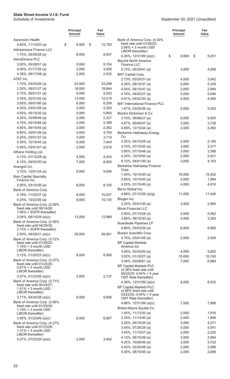|                                                                           | <b>Principal</b><br>Amount | Fair<br>Value    |                                                                                      | <b>Principal</b><br><b>Amount</b> | Fair<br>Value  |
|---------------------------------------------------------------------------|----------------------------|------------------|--------------------------------------------------------------------------------------|-----------------------------------|----------------|
| <b>Ascension Health</b><br>4.85%, 11/15/53 (a)<br>Astrazeneca Finance LLC | \$<br>9,000                | \$<br>12,793     | Bank of America Corp. (4.30%<br>fixed rate until 01/28/25;<br>$2.66\% + 3$ month USD |                                   |                |
| 1.75%, 05/28/28 (a)                                                       | 8,000                      | 8,047            | LIBOR thereafter)<br>4.30%, 12/31/99 (a)(c)                                          | \$<br>9,000                       | \$<br>9,201    |
| AstraZeneca PLC                                                           |                            |                  | <b>Barrick North America</b>                                                         |                                   |                |
| 3.00%, 05/28/51 (a)                                                       | 5,000                      | 5,154            | Finance LLC                                                                          |                                   |                |
| 4.00%, 01/17/29 (a)                                                       | 3,000                      | 3,426            | 5.70%, 05/30/41 (a)                                                                  | 3,000                             | 4,058          |
| 4.38%, 08/17/48 (a)                                                       | 2,000                      | 2,533            | <b>BAT Capital Corp.</b>                                                             |                                   |                |
| AT&T Inc.                                                                 |                            | 23,298           | 2.73%, 03/25/31 (a)                                                                  | 4,000                             | 3,942          |
| 1.70%, 03/25/26 (a)<br>2.30%, 06/01/27 (a)                                | 23,000<br>18,000           | 18,644           | 4.39%, 08/15/37 (a)<br>4.54%, 08/15/47 (a)                                           | 5,000<br>2,000                    | 5,339          |
| 2.75%, 06/01/31 (a)                                                       | 9,000                      | 9,243            | 4.70%, 04/02/27 (a)                                                                  | 5,000                             | 2,084<br>5,646 |
| $3.30\%$ , 02/01/52 (a)                                                   | 13,000                     | 12,519           | 4.91%, 04/02/30 (a)                                                                  | 4,000                             | 4,585          |
| $3.85\%$ , 06/01/60 (a)                                                   | 6,000                      | 6,209            | <b>BAT International Finance PLC</b>                                                 |                                   |                |
| 4.35%, 03/01/29 (a)                                                       | 2,000                      | 2,293            | 1.67%, 03/25/26 (a)                                                                  | 5,000                             | 5,003          |
| 4.50%, 05/15/35 (a)                                                       | 5,000                      | 5,850            | Becton Dickinson & Co.                                                               |                                   |                |
| 4.55%, 03/09/49 (a)                                                       | 2,000                      | 2,327            | 3.70%, 06/06/27 (a)                                                                  | 9,000                             | 9,950          |
| 4.75%, 05/15/46 (a)                                                       | 2,000                      | 2,389            | 4.67%, 06/06/47 (a)                                                                  | 3,000                             | 3,736          |
| 4.80%, 06/15/44 (a)                                                       | 2,000                      | 2,382            | 4.69%, 12/15/44 (a)                                                                  | 2,000                             | 2,482          |
| 4.85%, 03/01/39 (a)                                                       | 4,000                      | 4,793            | Berkshire Hathaway Energy                                                            |                                   |                |
| 5.25%, 03/01/37 (a)                                                       | 3,000                      | 3,714            | Co.<br>$3.25\%$ , 04/15/28 (a)                                                       | 2,000                             | 2,180          |
| 5.35%, 12/15/43 (a)                                                       | 6,000                      | 7,443            | 3.70%, 07/15/30 (a)                                                                  | 3,000                             | 3,377          |
| 5.45%, 03/01/47 (a)<br>Athene Holding Ltd.                                | 2,000                      | 2,610            | 3.80%, 07/15/48 (a)                                                                  | 3,000                             | 3,386          |
| 4.13%, 01/12/28 (a)                                                       | 4,000                      | 4,443            | 4.25%, 10/15/50 (a)                                                                  | 2,000                             | 2,421          |
| 6.15%, $04/03/30$ (a)                                                     | 7,000                      | 8,820            | 6.13%, $04/01/36$ (a)                                                                | 3,000                             | 4,153          |
| Avangrid Inc.                                                             |                            |                  | Berkshire Hathaway Finance                                                           |                                   |                |
| 3.15%, 12/01/24 (a)                                                       | 9,000                      | 9,590            | Corp.                                                                                |                                   |                |
| <b>Bain Capital Specialty</b>                                             |                            |                  | 1.45%, 10/15/30 (a)                                                                  | 16,000                            | 15,402         |
| Finance Inc.                                                              |                            |                  | 2.85%, 10/15/50 (a)                                                                  | 2,000                             | 1,964          |
| 2.95%, 03/10/26 (a)                                                       | 8,000                      | 8,155            | 4.25%, 01/15/49 (a)<br>Berry Global Inc.                                             | 4,000                             | 4,910          |
| Bank of America Corp.                                                     |                            |                  | 4.88%, 07/15/26 (a)(g)                                                               | 11,000                            | 11,546         |
| 4.18%, 11/25/27 (a)<br>4.25%, 10/22/26 (a)                                | 9,000<br>9,000             | 10,027<br>10,135 | Biogen Inc.                                                                          |                                   |                |
| Bank of America Corp. (2.09%                                              |                            |                  | 2.25%, 05/01/30 (a)                                                                  | 3,000                             | 2,980          |
| fixed rate until 06/14/28;                                                |                            |                  | <b>Block Financial LLC</b>                                                           |                                   |                |
| 1.06% + SOFR thereafter)                                                  |                            |                  | 2.50%, 07/15/28 (a)                                                                  | 5,000                             | 5,062          |
| $2.09\%$ , 06/14/29 (a)(c)                                                | 13,000                     | 12,989           | $3.88\%$ , 08/15/30 (a)                                                              | 3,000                             | 3,263          |
| Bank of America Corp. (2.59%<br>fixed rate until 04/29/30;                |                            |                  | <b>Boardwalk Pipelines LP</b>                                                        |                                   |                |
| 2.15% + SOFR thereafter)                                                  |                            |                  | 4.80%, 05/03/29 (a)                                                                  | 6,000                             | 6,865          |
| $2.59\%$ , 04/29/31 (a)(c)                                                | 28,000                     | 28,561           | Boston Scientific Corp.                                                              |                                   |                |
| Bank of America Corp. (3.12%                                              |                            |                  | 4.70%, 03/01/49 (a)                                                                  | 2,000                             | 2,549          |
| fixed rate until 01/20/22;<br>$1.16\% + 3$ month USD                      |                            |                  | <b>BP Capital Markets</b><br>America Inc.                                            |                                   |                |
| LIBOR thereafter)                                                         |                            |                  | $3.00\%$ , 02/24/50 (a)                                                              | 4,000                             | 3,852          |
| $3.12\%$ , 01/20/23 (a)(c)                                                | 8,000                      | 8,066            | $3.02\%$ , 01/16/27 (a)                                                              | 10,000                            | 10,745         |
| Bank of America Corp. (3.37%                                              |                            |                  | $3.38\%$ , 02/08/61 (a)                                                              | 7,000                             | 6,964          |
| fixed rate until 01/23/25;<br>$0.81\% + 3$ month USD                      |                            |                  | <b>BP Capital Markets PLC</b>                                                        |                                   |                |
| LIBOR thereafter)                                                         |                            |                  | (4.38% fixed rate until<br>06/22/25; 4.04% + 5 year                                  |                                   |                |
| 3.37%, 01/23/26 (a)(c)                                                    | 2,000                      | 2,137            | <b>CMT</b> Rate thereafter)                                                          |                                   |                |
| Bank of America Corp. (3.71%                                              |                            |                  | 4.38%, $12/31/99$ (a)(c)                                                             | 8,000                             | 8,532          |
| fixed rate until 04/24/27;<br>$1.51\% + 3$ month USD                      |                            |                  | <b>BP Capital Markets PLC</b>                                                        |                                   |                |
| LIBOR thereafter)                                                         |                            |                  | (4.88% fixed rate until<br>$03/22/30$ ; 4.40% + 5 year                               |                                   |                |
| $3.71\%$ , 04/24/28 (a)(c)                                                | 9,000                      | 9,890            | CMT Rate thereafter)                                                                 |                                   |                |
| Bank of America Corp. (3.95%<br>fixed rate until 01/23/48;                |                            |                  | 4.88%, 12/31/99 (a)(c)                                                               | 7,000                             | 7,686          |
| $1.19% + 3$ month USD                                                     |                            |                  | Bristol-Myers Squibb Co.                                                             |                                   |                |
| LIBOR thereafter)                                                         |                            |                  | $1.45\%$ , 11/13/30 (a)                                                              | 2,000                             | 1,916          |
| $3.95\%$ , 01/23/49 (a)(c)                                                | 6,000                      | 6,967            | 2.35%, 11/13/40 (a)                                                                  | 2,000                             | 1,899          |
| Bank of America Corp. (4.27%<br>fixed rate until 07/23/28;                |                            |                  | 3.20%, 06/15/26 (a)                                                                  | 3,000                             | 3,271          |
| $1.31\% + 3$ month USD                                                    |                            |                  | 3.40%, 07/26/29 (a)                                                                  | 5,000                             | 5,541          |
| LIBOR thereafter)                                                         |                            |                  | 3.45%, 11/15/27 (a)<br>4.13%, 06/15/39 (a)                                           | 2,000<br>3,000                    | 2,220<br>3,584 |
| 4.27%, 07/23/29 (a)(c)                                                    | 3,000                      | 3,402            | 4.25%, 10/26/49 (a)                                                                  | 3,000                             | 3,722          |
|                                                                           |                            |                  | 4.55%, 02/20/48 (a)                                                                  | 2,000                             | 2,566          |
|                                                                           |                            |                  | 5.00%, 08/15/45 (a)                                                                  | 2,000                             | 2,688          |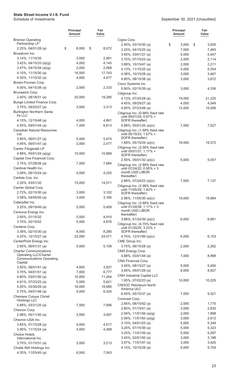|                                                               | <b>Principal</b><br><b>Amount</b> | Fair<br>Value   |                                                                                 | <b>Principal</b><br>Amount | Fair<br>Value  |
|---------------------------------------------------------------|-----------------------------------|-----------------|---------------------------------------------------------------------------------|----------------------------|----------------|
| <b>Brixmor Operating</b><br>Partnership LP                    |                                   |                 | Cigna Corp.                                                                     |                            |                |
| $2.25\%$ , 04/01/28 (a)                                       | \$<br>8,000                       | \$<br>8,072     | 2.40%, 03/15/30 (a)<br>3.25%, 04/15/25 (a)                                      | \$<br>3,000<br>7,000       | \$<br>3,050    |
| Broadcom Inc.                                                 |                                   |                 | 3.40%, 03/01/27 (a)                                                             | 5,000                      | 7,483<br>5,457 |
| 3.14%, 11/15/35                                               | 3,000                             | 2,991           | 3.75%, 07/15/23 (a)                                                             | 2,000                      | 2,114          |
| $3.42\%$ , 04/15/33 (a)(g)                                    | 4,000                             | 4,145           | 3.88%, 10/15/47 (a)                                                             | 2,000                      | 2,211          |
| $3.47\%$ , 04/15/34 (a)(g)                                    | 2,000                             | 2,068           | 4.13%, 11/15/25 (a)                                                             | 5,000                      | 5,554          |
| 4.15%, 11/15/30 (a)                                           | 16,000                            | 17,743          | 4.38%, 10/15/28 (a)                                                             | 3,000                      | 3,467          |
| 4.30%, 11/15/32 (a)                                           | 4,000                             | 4,477           | 4.80%, 08/15/38 (a)                                                             | 3,000                      | 3,672          |
| Brown-Forman Corp.                                            |                                   |                 | Cisco Systems Inc.                                                              |                            |                |
| 4.00%, 04/15/38 (a)                                           | 2,000                             | 2,333           | 5.90%, 02/15/39 (a)                                                             | 3,000                      | 4,336          |
| Brunswick Corp.                                               |                                   |                 | Citigroup Inc.                                                                  |                            |                |
| 2.40%, 08/18/31 (a)                                           | 20,000                            | 19,280          | 4.13%, 07/25/28 (a)                                                             | 19,000                     | 21,220         |
| Bunge Limited Finance Corp.                                   |                                   |                 | 4.45%, 09/29/27 (a)                                                             | 4,000                      | 4,549          |
| 3.75%, 09/25/27 (a)                                           | 3,000                             | 3,313           | 4.65%, 07/23/48 (a)                                                             | 12,000                     | 15,506         |
| <b>Burlington Northern Santa</b><br>Fe LLC                    |                                   |                 | Citigroup Inc. (0.98% fixed rate<br>until 05/01/24; 0.67% +                     |                            |                |
| 4.15%, 12/15/48 (a)                                           | 4,000                             | 4,861           | SOFR thereafter)                                                                |                            |                |
| 4.55%, 09/01/44 (a)                                           | 7,000                             | 8,813           | $0.98\%$ , $05/01/25$ (a)(c)                                                    | 7,000                      | 7,027          |
| <b>Canadian Natural Resources</b><br>Ltd.                     |                                   |                 | Citigroup Inc. (1.68% fixed rate<br>until 05/15/23; 1.67% +<br>SOFR thereafter) |                            |                |
| $3.85\%$ , 06/01/27 (a)                                       | 5,000                             | 5,474           | 1.68%, $05/15/24$ (a)(c)                                                        | 19,000                     | 19,372         |
| 4.95%, 06/01/47 (a)<br>Cantor Fitzgerald LP                   | 2,000                             | 2,477           | Citigroup Inc. (2.56% fixed rate                                                |                            |                |
| 4.88%, $05/01/24$ (a)(g)                                      | 10,000                            | 10,889          | until 05/01/31; 1.17% +                                                         |                            |                |
| Capital One Financial Corp.                                   |                                   |                 | SOFR thereafter)                                                                |                            |                |
| 3.75%, 07/28/26 (a)                                           | 7,000                             | 7,684           | $2.56\%$ , 05/01/32 (a)(c)                                                      | 5,000                      | 5,057          |
| Cardinal Health Inc.                                          |                                   |                 | Citigroup Inc. (2.88% fixed rate<br>until 07/24/22; 0.95% + 3                   |                            |                |
| 3.08%, 06/15/24 (a)                                           | 4,000                             | 4,225           | month USD LIBOR                                                                 |                            |                |
| Carlisle Cos. Inc.                                            |                                   |                 | thereafter)                                                                     |                            |                |
| 2.20%, 03/01/32                                               | 15,000                            | 14,571          | $2.88\%$ , 07/24/23 (a)(c)                                                      | 7,000                      | 7,137          |
| Carrier Global Corp.                                          |                                   |                 | Citigroup Inc. (2.98% fixed rate                                                |                            |                |
| 2.72%, 02/15/30 (a)                                           | 3,000                             | 3,102           | until 11/05/29; 1.42% +<br>SOFR thereafter)                                     |                            |                |
| 3.58%, 04/05/50 (a)                                           | 3,000                             | 3,185           | 2.98%, $11/05/30$ (a)(c)                                                        | 19,000                     | 19,984         |
| Caterpillar Inc.                                              |                                   |                 | Citigroup Inc. (3.88% fixed rate                                                |                            |                |
| 3.25%, 09/19/49 (a)                                           | 5,000                             | 5,409           | until 01/24/38; 1.17% + 3                                                       |                            |                |
| Cenovus Energy Inc.                                           |                                   |                 | month USD LIBOR<br>thereafter)                                                  |                            |                |
| 2.65%, 01/15/32                                               | 5,000                             | 4,910           | $3.88\%$ , $01/24/39$ (a)(c)                                                    | 6,000                      | 6,861          |
| 3.75%, 02/15/52                                               | 5,000                             | 4,876           | Citigroup Inc. (4.70% fixed rate                                                |                            |                |
| Centene Corp.                                                 |                                   |                 | until 01/30/25; 3.23% +                                                         |                            |                |
| 3.38%, 02/15/30 (a)                                           | 8,000                             | 8,280           | SOFR thereafter)                                                                |                            |                |
| 4.25%, 12/15/27 (a)                                           | 23,000                            | 24,071          | 4.70%, 12/31/99 (a)(c)                                                          | 6,000                      | 6,153          |
| CenterPoint Energy Inc.                                       |                                   |                 | CME Group Inc.                                                                  |                            |                |
| 2.65%, 06/01/31 (a)                                           | 5,000                             | 5,108           | 3.75%, 06/15/28 (a)                                                             | 2,000                      | 2,262          |
| <b>Charter Communications</b><br><b>Operating LLC/Charter</b> |                                   |                 | CMS Energy Corp.                                                                | 7,000                      |                |
| <b>Communications Operating</b>                               |                                   |                 | 4.88%, 03/01/44 (a)<br>CNA Financial Corp.                                      |                            | 8,968          |
| Capital                                                       |                                   |                 | 3.45%, 08/15/27 (a)                                                             | 5,000                      | 5,490          |
| $3.50\%$ , 06/01/41 (a)                                       | 4,000                             | 3,937           | $3.90\%$ , $05/01/29$ (a)                                                       | 8,000                      | 8,927          |
| $3.70\%$ , 04/01/51 (a)                                       | 7,000                             | 6,777           | <b>CNH Industrial Capital LLC</b>                                               |                            |                |
| 4.80%, 03/01/50 (a)                                           | 10,000                            | 11,264          | 1.95%, 07/02/23 (a)                                                             | 10,000                     | 10,225         |
| 4.91%, 07/23/25 (a)                                           | 5,000<br>16,000                   | 5,621<br>18,686 | <b>CNOOC Petroleum North</b>                                                    |                            |                |
| 5.05%, 03/30/29 (a)<br>5.75%, 04/01/48 (a)                    | 5,000                             | 6,324           | America ULC                                                                     |                            |                |
| Cheniere Corpus Christi                                       |                                   |                 | 6.40%, 05/15/37 (a)                                                             | 7,000                      | 9,321          |
| <b>Holdings LLC</b>                                           |                                   |                 | Comcast Corp.                                                                   |                            |                |
| 5.88%, 03/31/25 (a)                                           | 7,000                             | 7,906           | 2.65%, 08/15/62 (a)                                                             | 2,000                      | 1,770          |
| Chevron Corp.                                                 |                                   |                 | 2.80%, 01/15/51 (a)                                                             | 3,000                      | 2,835          |
| $2.98\%$ , 05/11/40 (a)                                       | 3,000                             | 3,097           | 2.94%, $11/01/56$ (a)(g)                                                        | 2,000                      | 1,898          |
| Chevron USA Inc.                                              |                                   |                 | 2.99%, $11/01/63$ (a)(g)                                                        | 3,000                      | 2,812          |
| $3.85\%$ , 01/15/28 (a)                                       | 4,000                             | 4,517           | 3.10%, 04/01/25 (a)                                                             | 5,000                      | 5,349          |
| $3.90\%$ , $11/15/24$ (a)                                     | 4,000                             | 4,368           | 3.20%, 07/15/36 (a)                                                             | 5,000                      | 5,323          |
| <b>Choice Hotels</b>                                          |                                   |                 | 3.25%, 11/01/39 (a)<br>3.45%, 02/01/50 (a)                                      | 5,000<br>3,000             | 5,287<br>3,188 |
| International Inc.                                            | 3,000                             | 3,213           | 3.97%, 11/01/47 (a)                                                             | 3,000                      | 3,420          |
| $3.70\%$ , 01/15/31 (a)<br>Chubb INA Holdings Inc.            |                                   |                 | 4.15%, 10/15/28 (a)                                                             | 5,000                      | 5,754          |
| 4.35%, 11/03/45 (a)                                           | 6,000                             | 7,543           |                                                                                 |                            |                |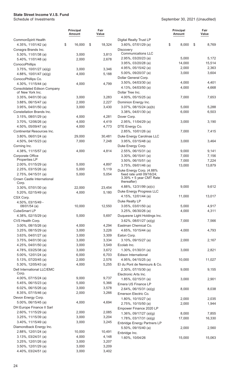|                                                           | <b>Principal</b><br>Amount | Fair<br>Value  |                                                        | <b>Principal</b><br><b>Amount</b> | Fair<br>Value   |
|-----------------------------------------------------------|----------------------------|----------------|--------------------------------------------------------|-----------------------------------|-----------------|
| CommonSpirit Health                                       |                            |                | <b>Digital Realty Trust LP</b>                         |                                   |                 |
| 4.35%, 11/01/42 (a)                                       | \$<br>16,000               | \$<br>18,324   | 3.60%, 07/01/29 (a)                                    | \$<br>8,000                       | \$<br>8,769     |
| Conagra Brands Inc.                                       |                            |                | <b>Discovery</b>                                       |                                   |                 |
| 5.30%, 11/01/38 (a)                                       | 3,000                      | 3,813          | <b>Communications LLC</b>                              |                                   |                 |
| 5.40%, 11/01/48 (a)                                       | 2,000                      | 2,678          | 2.95%, 03/20/23 (a)<br>3.95%, 03/20/28 (a)             | 5,000<br>14,000                   | 5,172<br>15,514 |
| ConocoPhillips                                            |                            |                | 4.95%, 05/15/42 (a)                                    | 2,000                             | 2,363           |
| 3.75%, 10/01/27 (a)(g)                                    | 3,000                      | 3,346          | 5.00%, 09/20/37 (a)                                    | 3,000                             | 3,604           |
| 4.88%, $10/01/47$ (a)(g)                                  | 4,000                      | 5,188          | Dollar General Corp.                                   |                                   |                 |
| ConocoPhillips Co.                                        |                            | 4,799          | 3.50%, 04/03/30 (a)                                    | 4,000                             | 4,401           |
| 4.30%, 11/15/44 (a)<br><b>Consolidated Edison Company</b> | 4,000                      |                | 4.13%, 04/03/50 (a)                                    | 4,000                             | 4,668           |
| of New York Inc.                                          |                            |                | Dollar Tree Inc.                                       |                                   |                 |
| 3.35%, 04/01/30 (a)                                       | 3,000                      | 3,283          | 4.00%, 05/15/25 (a)                                    | 7,000                             | 7,653           |
| $3.88\%$ , 06/15/47 (a)                                   | 2,000                      | 2,227          | Dominion Energy Inc.                                   |                                   |                 |
| 3.95%, 04/01/50 (a)                                       | 3,000                      | 3,430          | 3.07%, 08/15/24 (a)(b)                                 | 5,000                             | 5,288           |
| Constellation Brands Inc.                                 |                            |                | 3.38%, 04/01/30 (a)                                    | 6,000                             | 6,503           |
| 3.15%, 08/01/29 (a)                                       | 4,000                      | 4,281          | Dover Corp.                                            |                                   |                 |
| 3.70%, 12/06/26 (a)                                       | 4,000                      | 4,419          | 2.95%, 11/04/29 (a)                                    | 3,000                             | 3,190           |
| 4.50%, 05/09/47 (a)                                       | 4,000                      | 4,773          | DTE Energy Co.                                         |                                   |                 |
| Continental Resources Inc.                                |                            |                | 2.85%, 10/01/26 (a)                                    | 7,000                             | 7,415           |
| 3.80%, 06/01/24 (a)                                       | 29,000                     | 30,481         | Duke Energy Carolinas LLC                              |                                   |                 |
| 4.50%, 04/15/23 (a)                                       | 7,000                      | 7,248          | 3.95%, 03/15/48 (a)                                    | 3,000                             | 3,464           |
| Corning Inc.                                              |                            |                | Duke Energy Corp.                                      |                                   |                 |
| 4.38%, 11/15/57 (a)                                       | 4,000                      | 4,814          | 2.55%, 06/15/31 (a)                                    | 9,000                             | 9,141           |
| Corporate Office<br>Properties LP                         |                            |                | 3.30%, 06/15/41 (a)                                    | 7,000                             | 7,156           |
| 2.00%, 01/15/29 (a)                                       | 5,000                      | 4,897          | 3.50%, 06/15/51 (a)                                    | 7,000                             | 7,224           |
| 2.25%, 03/15/26 (a)                                       | 5,000                      | 5,119          | 3.75%, 09/01/46 (a)                                    | 13,000                            | 13,879          |
| 2.75%, 04/15/31 (a)                                       | 5,000                      | 5,054          | Duke Energy Corp. (4.88%<br>fixed rate until 09/16/24; |                                   |                 |
| Crown Castle International<br>Corp.                       |                            |                | 3.39% + 5 year CMT Rate<br>thereafter)                 |                                   |                 |
| 3.30%, 07/01/30 (a)                                       | 22,000                     | 23,454         | 4.88%, 12/31/99 (a)(c)                                 | 9,000                             | 9,612           |
| 5.20%, 02/15/49 (a)                                       | 4,000                      | 5,180          | Duke Energy Progress LLC                               |                                   |                 |
| CSX Corp.                                                 |                            |                | 4.15%, 12/01/44 (a)                                    | 11,000                            | 13,017          |
| 4.50%, 03/15/49 -                                         |                            |                | Duke Realty LP                                         |                                   |                 |
| 08/01/54 (a)                                              | 10,000                     | 12,550         | 3.05%, 03/01/50 (a)                                    | 5,000                             | 4,917           |
| CubeSmart LP                                              |                            |                | 3.25%, 06/30/26 (a)                                    | 4,000                             | 4,311           |
| 4.38%, 02/15/29 (a)                                       | 5,000                      | 5,697          | Duquesne Light Holdings Inc.                           |                                   |                 |
| CVS Health Corp.                                          |                            |                | $3.62\%$ , 08/01/27 (a)(g)                             | 7,000                             | 7,566           |
| $3.00\%$ , 08/15/26 (a)                                   | 4,000                      | 4,294          | Eastman Chemical Co.                                   |                                   |                 |
| 3.25%, 08/15/29 (a)<br>3.63%, 04/01/27 (a)                | 3,000                      | 3,226<br>3,309 | 4.65%, 10/15/44 (a)<br>Eaton Corp.                     | 4,000                             | 4,793           |
| 3.75%, 04/01/30 (a)                                       | 3,000<br>3,000             | 3,334          | 3.10%, 09/15/27 (a)                                    | 2,000                             | 2,167           |
| 4.25%, 04/01/50 (a)                                       | 3,000                      | 3,549          | Ecolab Inc.                                            |                                   |                 |
| 4.78%, 03/25/38 (a)                                       | 3,000                      | 3,672          | 1.30%, 01/30/31 (a)                                    | 3,000                             | 2,821           |
| 5.00%, 12/01/24 (a)                                       | 6,000                      | 6,703          | Edison International                                   |                                   |                 |
| 5.13%, 07/20/45 (a)                                       | 2,000                      | 2,576          | 4.95%, 04/15/25 (a)                                    | 10,000                            | 11,027          |
| 5.30%, 12/05/43 (a)                                       | 4,000                      | 5,255          | El du Pont de Nemours & Co.                            |                                   |                 |
| Dell International LLC/EMC                                |                            |                | 2.30%, 07/15/30 (a)                                    | 9,000                             | 9,155           |
| Corp.                                                     |                            |                | Electronic Arts Inc.                                   |                                   |                 |
| 4.00%, 07/15/24 (a)                                       | 9,000                      | 9,737          | 1.85%, 02/15/31 (a)                                    | 3,000                             | 2,901           |
| 5.45%, 06/15/23 (a)                                       | 5,000                      | 5,366          | Emera US Finance LP                                    |                                   |                 |
| 6.02%, $06/15/26$ (a)                                     | 3,000                      | 3,578          | $2.64\%$ , 06/15/31 (a)(g)                             | 8,000                             | 8,038           |
| 8.35%, 07/15/46 (a)                                       | 2,000                      | 3,266          | Emerson Electric Co.                                   |                                   |                 |
| Devon Energy Corp.                                        |                            |                | 1.80%, 10/15/27 (a)                                    | 2,000                             | 2,035           |
| 5.00%, 06/15/45 (a)                                       | 4,000                      | 4,694          | 2.75%, 10/15/50 (a)                                    | 2,000                             | 1,944           |
| DH Europe Finance II Sarl                                 |                            |                | Empower Finance 2020 LP                                |                                   |                 |
| 2.60%, 11/15/29 (a)                                       | 2,000                      | 2,085          | 1.36%, 09/17/27 (a)(g)                                 | 8,000                             | 7,855           |
| 3.25%, 11/15/39 (a)                                       | 3,000                      | 3,204          | $1.78\%$ , 03/17/31 (a)(g)                             | 17,000                            | 16,330          |
| 3.40%, 11/15/49 (a)                                       | 3,000                      | 3,245          | Enbridge Energy Partners LP                            |                                   |                 |
| Diamondback Energy Inc.                                   |                            |                | 5.50%, 09/15/40 (a)                                    | 2,000                             | 2,560           |
| 2.88%, 12/01/24 (a)                                       | 10,000                     | 10,491         | Enbridge Inc.                                          |                                   |                 |
| $3.13\%$ , 03/24/31 (a)                                   | 4,000                      | 4,148          | 1.60%, 10/04/26                                        | 15,000                            | 15,063          |
| 3.25%, 12/01/26 (a)<br>3.50%, 12/01/29 (a)                | 3,000<br>3,000             | 3,207<br>3,209 |                                                        |                                   |                 |
| 4.40%, 03/24/51 (a)                                       | 3,000                      | 3,402          |                                                        |                                   |                 |
|                                                           |                            |                |                                                        |                                   |                 |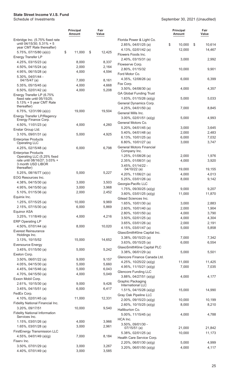|                                                                                           | <b>Principal</b><br>Amount | Fair<br>Value  |                                                      | Principal<br><b>Amount</b> | Fair<br>Value   |
|-------------------------------------------------------------------------------------------|----------------------------|----------------|------------------------------------------------------|----------------------------|-----------------|
| Enbridge Inc. (5.75% fixed rate<br>until 04/15/30; 5.31% + 5<br>year CMT Rate thereafter) |                            |                | Florida Power & Light Co.<br>2.85%, 04/01/25 (a)     | \$<br>10,000               | 10,614<br>\$    |
| 5.75%, 07/15/80 (a)(c)                                                                    | \$<br>11,000               | \$<br>12,425   | 4.13%, $02/01/42$ (a)<br>Flowers Foods Inc.          | 12,000                     | 14,467          |
| Energy Transfer LP                                                                        |                            |                | 2.40%, 03/15/31 (a)                                  | 3,000                      | 2,992           |
| 4.25%, 03/15/23 (a)<br>4.50%, 04/15/24 (a)                                                | 8,000<br>2,000             | 8,337<br>2,164 | Flowserve Corp.                                      |                            |                 |
| 4.95%, 06/15/28 (a)                                                                       | 4,000                      | 4,594          | 2.80%, 01/15/32                                      | 10,000                     | 9,901           |
| 5.30%, 04/01/44 -                                                                         |                            |                | Ford Motor Co.                                       |                            |                 |
| $04/15/47$ (a)                                                                            | 7,000                      | 8,161          | 4.35%, 12/08/26 (a)<br>Fox Corp.                     | 6,000                      | 6,399           |
| $5.35\%$ , 05/15/45 (a)                                                                   | 4,000<br>4,000             | 4,668<br>5,208 | $3.50\%$ , 04/08/30 (a)                              | 4,000                      | 4,357           |
| 6.50%, 02/01/42 (a)<br>Energy Transfer LP (6.75%                                          |                            |                | <b>GA Global Funding Trust</b>                       |                            |                 |
| fixed rate until 05/15/25;<br>$5.13% + 5$ year CMT Rate<br>thereafter)                    |                            |                | 1.63%, 01/15/26 (a)(g)<br>General Dynamics Corp.     | 5,000                      | 5,033           |
| 6.75%, 12/31/99 (a)(c)                                                                    | 19,000                     | 19,504         | 4.25%, 04/01/50 (a)                                  | 7,000                      | 8,845           |
| Energy Transfer LP/Regency                                                                |                            |                | General Mills Inc.                                   |                            | 4,993           |
| Energy Finance Corp.                                                                      |                            |                | $3.00\%$ , 02/01/51 (a)(g)<br>General Motors Co.     | 5,000                      |                 |
| 4.50%, 11/01/23 (a)                                                                       | 4,000                      | 4,260          | $5.20\%$ , 04/01/45 (a)                              | 3,000                      | 3,645           |
| Enstar Group Ltd.<br>3.10%, 09/01/31 (a)                                                  | 5,000                      | 4,925          | 5.40%, 04/01/48 (a)                                  | 2,000                      | 2,483           |
| <b>Enterprise Products</b>                                                                |                            |                | 6.13%, $10/01/25$ (a)                                | 6,000                      | 7,032           |
| <b>Operating LLC</b>                                                                      |                            |                | 6.80%, 10/01/27 (a)                                  | 3,000                      | 3,747           |
| 4.25%, 02/15/48 (a)                                                                       | 6,000                      | 6,798          | <b>General Motors Financial</b><br>Company Inc.      |                            |                 |
| <b>Enterprise Products</b><br>Operating LLC (5.25% fixed                                  |                            |                | 1.25%, 01/08/26 (a)                                  | 2,000                      | 1,976           |
| rate until 08/16/27; 3.03% +                                                              |                            |                | 2.35%, 01/08/31 (a)                                  | 4,000                      | 3,920           |
| 3 month USD LIBOR<br>thereafter)                                                          |                            |                | $3.45\%, 01/14/22 -$<br>04/10/22 (a)                 | 19,000                     | 19,155          |
| 5.25%, 08/16/77 (a)(c)                                                                    | 5,000                      | 5,227          | 4.20%, 11/06/21 (a)                                  | 4,000                      | 4,013           |
| EOG Resources Inc.                                                                        |                            |                | 5.25%, 03/01/26 (a)                                  | 8,000                      | 9,142           |
| 4.38%, 04/15/30 (a)                                                                       | 3,000                      | 3,503          | Georgia-Pacific LLC                                  |                            |                 |
| 4.95%, 04/15/50 (a)<br>5.10%, 01/15/36 (a)                                                | 3,000<br>2,000             | 3,968<br>2,452 | 1.75%, 09/30/25 (a)(g)                               | 9,000                      | 9,207           |
| Equinix Inc.                                                                              |                            |                | $3.60\%$ , 03/01/25 (a)(g)                           | 11,000                     | 11,870          |
| 1.25%, 07/15/25 (a)                                                                       | 10,000                     | 9,969          | Gilead Sciences Inc.<br>1.65%, 10/01/30 (a)          | 3,000                      | 2,883           |
| 2.15%, 07/15/30 (a)                                                                       | 6,000                      | 5,869          | 2.60%, 10/01/40 (a)                                  | 2,000                      | 1,904           |
| <b>Equinor ASA</b>                                                                        |                            |                | 2.80%, 10/01/50 (a)                                  | 4,000                      | 3,790           |
| 3.25%, 11/18/49 (a)                                                                       | 4,000                      | 4,216          | 3.50%, 02/01/25 (a)                                  | 4,000                      | 4,304           |
| <b>ERP Operating LP</b><br>4.50%, 07/01/44 (a)                                            | 8,000                      | 10,020         | $3.65\%$ , 03/01/26 (a)                              | 2,000                      | 2,191           |
| <b>Everest Reinsurance</b>                                                                |                            |                | 4.15%, 03/01/47 (a)<br>GlaxoSmithKline Capital Inc.  | 5,000                      | 5,858           |
| Holdings Inc.                                                                             |                            |                | $3.38\%$ , 05/15/23 (a)                              | 7,000                      | 7,342           |
| 3.13%, 10/15/52                                                                           | 15,000                     | 14,652         | 3.63%, 05/15/25 (a)                                  | 6,000                      | 6,554           |
| <b>Eversource Energy</b><br>3.45%, 01/15/50 (a)                                           | 5,000                      | 5,242          | GlaxoSmithKline Capital PLC                          |                            |                 |
| Exelon Corp.                                                                              |                            |                | $3.38\%$ , 06/01/29 (a)                              | 5,000                      | 5,501           |
| $3.50\%$ , 06/01/22 (a)                                                                   | 9,000                      | 9,157          | Glencore Finance Canada Ltd.                         |                            |                 |
| 4.05%, 04/15/30 (a)                                                                       | 5,000                      | 5,660          | 4.25%, 10/25/22 (a)(g)<br>4.95%, $11/15/21$ (a)(g)   | 11,000<br>7,000            | 11,425<br>7,035 |
| 4.45%, 04/15/46 (a)                                                                       | 5,000                      | 6,043          | <b>Glencore Funding LLC</b>                          |                            |                 |
| 4.70%, 04/15/50 (a)<br>Exxon Mobil Corp.                                                  | 4,000                      | 5,049          | $3.88\%$ , 04/27/51 (a)(g)                           | 4,000                      | 4,177           |
| 2.61%, 10/15/30 (a)                                                                       | 9,000                      | 9,426          | Graphic Packaging                                    |                            |                 |
| $3.45\%$ , 04/15/51 (a)                                                                   | 6,000                      | 6,417          | International LLC<br>1.51%, $04/15/26$ (a)(g)        | 15,000                     | 14,990          |
| FedEx Corp.                                                                               |                            |                | Gray Oak Pipeline LLC                                |                            |                 |
| 4.10%, 02/01/45 (a)                                                                       | 11,000                     | 12,331         | 2.00%, 09/15/23 (a)(g)                               | 10,000                     | 10,199          |
| Fidelity National Financial Inc.                                                          |                            |                | 2.60%, $10/15/25$ (a)(g)                             | 8,000                      | 8,210           |
| 3.20%, 09/17/51<br><b>Fidelity National Information</b>                                   | 10,000                     | 9,540          | Halliburton Co.                                      |                            |                 |
| Services Inc.                                                                             |                            |                | 5.00%, 11/15/45 (a)                                  | 4,000                      | 4,788           |
| 1.15%, 03/01/26 (a)                                                                       | 4,000                      | 3,966          | HCA Inc.<br>3.50%, 09/01/30 -                        |                            |                 |
| 1.65%, 03/01/28 (a)                                                                       | 3,000                      | 2,961          | $07/15/51$ (a)                                       | 21,000                     | 21,842          |
| FirstEnergy Transmission LLC<br>4.55%, $04/01/49$ (a)(g)                                  | 7,000                      | 8,184          | 5.38%, 02/01/25 (a)                                  | 10,000                     | 11,173          |
| Fisery Inc.                                                                               |                            |                | Health Care Service Corp.                            |                            |                 |
| $3.50\%$ , $07/01/29$ (a)                                                                 | 3,000                      | 3,267          | 2.20%, 06/01/30 (a)(g)<br>$3.20\%$ , 06/01/50 (a)(g) | 5,000<br>4,000             | 4,999<br>4,117  |
| 4.40%, 07/01/49 (a)                                                                       | 3,000                      | 3,585          |                                                      |                            |                 |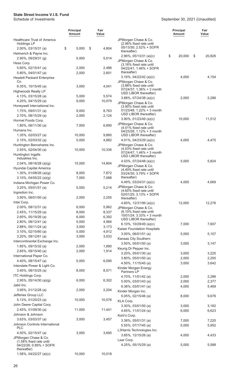|                                                          | <b>Principal</b><br>Amount | Fair<br>Value  |                                                         | <b>Principal</b><br><b>Amount</b> | Fair<br>Value  |
|----------------------------------------------------------|----------------------------|----------------|---------------------------------------------------------|-----------------------------------|----------------|
| <b>Healthcare Trust of America</b><br><b>Holdings LP</b> |                            |                | JPMorgan Chase & Co.<br>(2.96% fixed rate until         |                                   |                |
| $2.00\%$ , 03/15/31 (a)                                  | \$<br>5,000                | \$<br>4,804    | 05/13/30; 2.52% + SOFR<br>thereafter)                   |                                   |                |
| Helmerich & Payne Inc.<br>2.90%, 09/29/31 (g)            | 5,000                      | 5,014          | $2.96\%$ , 05/13/31 (a)(c)                              | \$<br>20,000                      | \$<br>20,826   |
| Hess Corp.                                               |                            |                | JPMorgan Chase & Co.<br>(3.16% fixed rate until         |                                   |                |
| 5.60%, 02/15/41 (a)                                      | 2,000                      | 2,486          | 04/22/41; 1.46% + SOFR                                  |                                   |                |
| 5.80%, 04/01/47 (a)                                      | 2,000                      | 2,601          | thereafter)                                             |                                   |                |
| <b>Hewlett Packard Enterprise</b><br>Co.                 |                            |                | $3.16\%$ , 04/22/42 (a)(c)                              | 4,000                             | 4,154          |
| 6.35%, $10/15/45$ (a)                                    | 3,000                      | 4,041          | JPMorgan Chase & Co.<br>(3.88% fixed rate until         |                                   |                |
| <b>Highwoods Realty LP</b>                               |                            |                | 07/24/37; 1.36% + 3 month                               |                                   |                |
| 4.13%, 03/15/28 (a)                                      | 5,000                      | 5,574          | USD LIBOR thereafter)<br>$3.88\%$ , 07/24/38 (a)(c)     | 2,000                             | 2,286          |
| 4.20%, 04/15/29 (a)                                      | 9,000                      | 10,079         | JPMorgan Chase & Co.                                    |                                   |                |
| Honeywell International Inc.                             |                            |                | (3.90% fixed rate until                                 |                                   |                |
| 1.75%, 09/01/31 (a)                                      | 9,000                      | 8,763          | 01/23/48; 1.22% + 3 month<br>USD LIBOR thereafter)      |                                   |                |
| 2.70%, 08/15/29 (a)<br>Hormel Foods Corp.                | 2,000                      | 2,124          | 3.90%, $01/23/49$ (a)(c)                                | 10,000                            | 11,512         |
| $1.80\%$ , 06/11/30 (a)                                  | 7,000                      | 6,890          | JPMorgan Chase & Co.                                    |                                   |                |
| Humana Inc.                                              |                            |                | (4.01% fixed rate until<br>$04/23/28$ ; 1.12% + 3 month |                                   |                |
| 1.35%, 02/03/27 (a)                                      | 10,000                     | 9,860          | USD LIBOR thereafter)                                   |                                   |                |
| 2.15%, 02/03/32 (a)                                      | 5,000                      | 4,882          | 4.01%, $04/23/29$ (a)(c)                                | 4,000                             | 4,475          |
| Huntington Bancshares Inc.                               |                            |                | JPMorgan Chase & Co.                                    |                                   |                |
| 2.55%, 02/04/30 (a)                                      | 10,000                     | 10,336         | (4.03% fixed rate until<br>07/24/47; 1.46% + 3 month    |                                   |                |
| Huntington Ingalls<br>Industries Inc.                    |                            |                | USD LIBOR thereafter)                                   |                                   |                |
| 2.04%, 08/16/28 (a)(g)                                   | 15,000                     | 14,804         | 4.03%, 07/24/48 (a)(c)                                  | 5,000                             | 5,824          |
| Hyundai Capital America                                  |                            |                | JPMorgan Chase & Co.<br>(4.49% fixed rate until         |                                   |                |
| 1.30%, 01/08/26 (a)(g)                                   | 8,000                      | 7,872          | 03/24/30; 3.79% + SOFR                                  |                                   |                |
| 3.10%, 04/05/22 (a)(g)                                   | 7,000                      | 7,088          | thereafter)                                             |                                   |                |
| Indiana Michigan Power Co.                               |                            |                | 4.49%, 03/24/31 (a)(c)<br>JPMorgan Chase & Co.          | 4,000                             | 4,669          |
| 3.25%, 05/01/51 (a)                                      | 5,000                      | 5,214          | (4.60% fixed rate until                                 |                                   |                |
| Ingredion Inc.<br>3.90%, 06/01/50 (a)                    | 2,000                      | 2,255          | 02/01/25; 3.13% + SOFR                                  |                                   |                |
| Intel Corp.                                              |                            |                | thereafter)<br>4.60%, 12/31/99 (a)(c)                   | 12,000                            | 12,276         |
| 2.00%, 08/12/31 (a)                                      | 6,000                      | 5,962          | JPMorgan Chase & Co.                                    |                                   |                |
| 2.45%, 11/15/29 (a)                                      | 8,000                      | 8,337          | (6.10% fixed rate until                                 |                                   |                |
| 2.60%, 05/19/26 (a)                                      | 6,000                      | 6,392          | 10/01/24; 3.33% + 3 month<br>USD LIBOR thereafter)      |                                   |                |
| 2.80%, 08/12/41 (a)                                      | 5,000                      | 4,984          | 6.10%, $10/29/49$ (a)(c)                                | 7,000                             | 7,607          |
| 2.88%, 05/11/24 (a)                                      | 3,000<br>5,000             | 3,173<br>4,912 | Kaiser Foundation Hospitals                             |                                   |                |
| $3.10\%$ , 02/15/60 (a)<br>$3.20\%$ , 08/12/61 (a)       | 3,000                      | 3,033          | $3.00\%$ , 06/01/51 (a)                                 | 5,000                             | 5,107          |
| Intercontinental Exchange Inc.                           |                            |                | Kansas City Southern                                    |                                   |                |
| 1.85%, 09/15/32 (a)                                      | 2,000                      | 1,890          | $3.50\%$ , 05/01/50 (a)                                 | 3,000                             | 3,147          |
| 2.65%, 09/15/40 (a)                                      | 2,000                      | 1,914          | Keurig Dr Pepper Inc.<br>3.20%, 05/01/30 (a)            | 3,000                             | 3,225          |
| International Paper Co.                                  |                            |                | $3.80\%$ , 05/01/50 (a)                                 | 2,000                             | 2,250          |
| 4.40%, 08/15/47 (a)                                      | 5,000                      | 6,090          | 4.50%, 11/15/45 (a)                                     | 3,000                             | 3,642          |
| Interstate Power & Light Co.<br>3.40%, 08/15/25 (a)      |                            |                | Kinder Morgan Energy                                    |                                   |                |
| <b>ITC Holdings Corp.</b>                                | 8,000                      | 8,571          | Partners LP                                             |                                   |                |
| 2.95%, $05/14/30$ (a)(g)                                 | 6,000                      | 6,302          | 4.70%, 11/01/42 (a)<br>5.00%, 03/01/43 (a)              | 2,000<br>2,000                    | 2,286<br>2,377 |
| Jabil Inc.                                               |                            |                | 6.38%, 03/01/41 (a)                                     | 4,000                             | 5,469          |
| 3.95%, 01/12/28 (a)                                      | 2,000                      | 2,204          | Kinder Morgan Inc.                                      |                                   |                |
| Jefferies Group LLC                                      |                            |                | 5.05%, 02/15/46 (a)                                     | 8,000                             | 9,676          |
| 5.13%, 01/20/23 (a)                                      | 10,000                     | 10,576         | KLA Corp.                                               |                                   |                |
| John Deere Capital Corp.                                 | 11,000                     | 11,441         | $3.30\%$ , 03/01/50 (a)                                 | 3,000                             | 3,162          |
| 2.45%, 01/09/30 (a)<br>Johnson & Johnson                 |                            |                | 4.65%, 11/01/24 (a)                                     | 6,000                             | 6,623          |
| 3.63%, 03/03/37 (a)                                      | 3,000                      | 3,457          | Kohl's Corp.                                            |                                   |                |
| Johnson Controls International                           |                            |                | 3.38%, 05/01/31 (a)<br>5.55%, 07/17/45 (a)              | 7,000<br>5,000                    | 7,220<br>5,952 |
| <b>PLC</b>                                               |                            |                | L3Harris Technologies Inc.                              |                                   |                |
| 4.50%, 02/15/47 (a)                                      | 3,000                      | 3,695          | 3.85%, 12/15/26 (a)                                     | 4,000                             | 4,433          |
| JPMorgan Chase & Co.<br>(1.58% fixed rate until          |                            |                | Lear Corp.                                              |                                   |                |
| 04/22/26; 0.89% + SOFR                                   |                            |                | 4.25%, $05/15/29$ (a)                                   | 5,000                             | 5,588          |
| thereafter)<br>1.58%, $04/22/27$ (a)(c)                  | 10,000                     | 10,018         |                                                         |                                   |                |
|                                                          |                            |                |                                                         |                                   |                |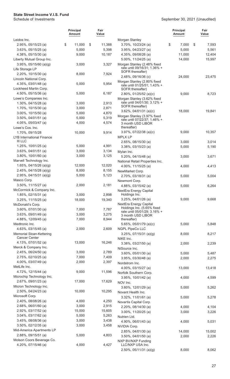| Leidos Inc.<br>Morgan Stanley<br>\$<br>11,000<br>\$<br>11,388<br>3.70%, 10/23/24 (a)<br>\$<br>7,000<br>\$<br>2.95%, 05/15/23 (a)<br>7,593<br>5,000<br>5,398<br>5,000<br>5,561<br>$3.63\%$ , 05/15/25 (a)<br>$3.95\%$ , 04/23/27 (a)<br>9,000<br>10,187<br>11,000<br>12,404<br>4.38%, 05/15/30 (a)<br>4.35%, 09/08/26 (a)<br>5.00%, 11/24/25 (a)<br>14,000<br>15,997<br>Liberty Mutual Group Inc.<br>$3.95\%$ , 05/15/60 (a)(g)<br>3,327<br>Morgan Stanley (2.48% fixed<br>3,000<br>rate until 09/16/31; 1.36% +<br>Life Storage LP<br>SOFR thereafter)<br>2.20%, 10/15/30 (a)<br>8,000<br>7,924<br>24,000<br>23,475<br>2.48%, 09/16/36 (c)<br>Lincoln National Corp.<br>Morgan Stanley (2.80% fixed<br>4.35%, 03/01/48 (a)<br>5,000<br>5,954<br>rate until 01/25/51; 1.43% +<br>Lockheed Martin Corp.<br>SOFR thereafter)<br>4.50%, 05/15/36 (a)<br>5,000<br>6,187<br>8,723<br>$2.80\%$ , 01/25/52 (a)(c)<br>9,000<br>Lowe's Companies Inc.<br>Morgan Stanley (3.62% fixed<br>rate until 04/01/30; 3.12% +<br>1.30%, 04/15/28 (a)<br>2,913<br>3,000<br>SOFR thereafter)<br>1.70%, 10/15/30 (a)<br>3,000<br>2,871<br>$3.62\%$ , 04/01/31 (a)(c)<br>18,000<br>19,841<br>$3.00\%$ , $10/15/50$ (a)<br>5,000<br>4,870<br>Morgan Stanley (3.97% fixed<br>$3.50\%$ , 04/01/51 (a)<br>5,000<br>5,319<br>rate until 07/22/37; 1.46% +<br>4.05%, 05/03/47 (a)<br>4,000<br>4,574<br>3 month USD LIBOR<br>thereafter)<br>Lowe's Cos. Inc.<br>$3.97\%$ , $07/22/38$ (a)(c)<br>9,000<br>10,357<br>1.70%, 09/15/28<br>10,000<br>9,914<br><b>MPLX LP</b><br>LYB International Finance<br><b>III LLC</b><br>$2.65\%$ , 08/15/30 (a)<br>3,000<br>3,014<br>4,991<br>1.25%, 10/01/25 (a)<br>5,000<br>3.38%, 03/15/23 (a)<br>5,190<br>5,000<br>$3.63\%$ , 04/01/51 (a)<br>3,000<br>3,134<br>Mylan Inc.<br>3.80%, 10/01/60 (a)<br>3,125<br>3,000<br>5.20%, 04/15/48 (a)<br>3,000<br>3,671<br>Marvell Technology Inc.<br>National Retail Properties Inc.<br>1.65%, 04/15/26 (a)(g)<br>12,000<br>12,020<br>4.00%, 11/15/25 (a)<br>4,000<br>4,413<br>2.45%, 04/15/28 (a)(g)<br>8,000<br>8,155<br>NewMarket Corp.<br>5,000<br>2.95%, $04/15/31$ (a)(g)<br>5,123<br>2.70%, 03/18/31 (a)<br>5,000<br>5,004<br>Masco Corp.<br>Newmont Corp.<br>3.50%, 11/15/27 (a)<br>2,000<br>2,181<br>4.88%, 03/15/42 (a)<br>5,000<br>6,264<br>McCormick & Company Inc.<br>NextEra Energy Capital<br>2,898<br>Holdings Inc.<br>1.85%, 02/15/31 (a)<br>3,000<br>9,000<br>9,668<br>3.25%, 04/01/26 (a)<br>18,000<br>19,340<br>$3.25\%$ , 11/15/25 (a)<br>NextEra Energy Capital<br>McDonald's Corp.<br>Holdings Inc. (5.65% fixed<br>3.60%, 07/01/30 (a)<br>7,000<br>7,787<br>rate until 05/01/29; 3.16% +<br>$3.63\%$ , 09/01/49 (a)<br>3,000<br>3,275<br>3 month USD LIBOR<br>4.88%, 12/09/45 (a)<br>7,000<br>8,944<br>thereafter)<br>Medtronic Inc.<br>5.65%, 05/01/79 (a)(c)<br>5,000<br>5,848<br>2,000<br>4.63%, 03/15/45 (a)<br>2,609<br>NGPL PipeCo LLC<br>8,217<br>Memorial Sloan-Kettering<br>$3.25\%$ , 07/15/31 (a)(g)<br>8,000<br><b>Cancer Center</b><br>NIKE Inc.<br>13,000<br>16,246<br>4.13%, 07/01/52 (a)<br>3.38%, 03/27/50 (a)<br>2,000<br>2,239<br>Merck & Company Inc.<br>NiSource Inc.<br>2.45%, 06/24/50 (a)<br>3,000<br>2,789<br>$3.60\%$ , 05/01/30 (a)<br>5,000<br>5,487<br>2.75%, 02/10/25 (a)<br>7,000<br>7,409<br>$3.95\%$ , 03/30/48 (a)<br>2,000<br>2,275<br>4.00%, 03/07/49 (a)<br>2,000<br>2,397<br>Nordstrom Inc.<br>MetLife Inc.<br>4.00%, 03/15/27 (a)<br>13,000<br>13,418<br>4.72%, 12/15/44 (a)<br>9,000<br>11,596<br>Norfolk Southern Corp.<br>Microchip Technology Inc.<br>3.95%, 10/01/42 (a)<br>4,000<br>4,599<br>17,000<br>2.67%, 09/01/23 (a)<br>17,629<br>NOV Inc.<br>Micron Technology Inc.<br>$3.60\%$ , $12/01/29$ (a)<br>5,000<br>5,262<br>10,000<br>$2.50\%$ , 04/24/23 (a)<br>10,295<br>Novant Health Inc.<br>Microsoft Corp.<br>3.32%, 11/01/61 (a)<br>5,000<br>5,278<br>2.40%, 08/08/26 (a)<br>4,000<br>4,250<br>Novartis Capital Corp.<br>2,915<br>2.68%, 06/01/60 (a)<br>3,000<br>$2.20\%$ , 08/14/30 (a)<br>4,000<br>4,104<br>15,000<br>15,605<br>2.92%, 03/17/52 (a)<br>$3.00\%$ , $11/20/25$ (a)<br>3,000<br>3,226<br>3.04%, 03/17/62 (a)<br>5,000<br>5,263<br>Nutrien Ltd.<br>3.45%, 08/08/36 (a)<br>3,000<br>3,438<br>4.90%, 06/01/43 (a)<br>4,000<br>5,031<br>$3.50\%$ , 02/12/35 (a)<br>3,000<br>3,458<br>NVIDIA Corp.<br>Mid-America Apartments LP<br>2.85%, 04/01/30 (a)<br>14,000<br>15,002<br>2.88%, 09/15/51 (a)<br>5,000<br>4,803<br>$3.50\%$ , 04/01/50 (a)<br>2,000<br>2,226<br>Molson Coors Beverage Co.<br>NXP BV/NXP Funding<br>4.20%, 07/15/46 (a)<br>4,000<br>4,427<br>LLC/NXP USA Inc.<br>$2.50\%$ , 05/11/31 (a)(g)<br>8,000<br>8,062 |  | <b>Principal</b><br>Amount | Fair<br>Value | <b>Principal</b><br><b>Amount</b> | Fair<br>Value |
|------------------------------------------------------------------------------------------------------------------------------------------------------------------------------------------------------------------------------------------------------------------------------------------------------------------------------------------------------------------------------------------------------------------------------------------------------------------------------------------------------------------------------------------------------------------------------------------------------------------------------------------------------------------------------------------------------------------------------------------------------------------------------------------------------------------------------------------------------------------------------------------------------------------------------------------------------------------------------------------------------------------------------------------------------------------------------------------------------------------------------------------------------------------------------------------------------------------------------------------------------------------------------------------------------------------------------------------------------------------------------------------------------------------------------------------------------------------------------------------------------------------------------------------------------------------------------------------------------------------------------------------------------------------------------------------------------------------------------------------------------------------------------------------------------------------------------------------------------------------------------------------------------------------------------------------------------------------------------------------------------------------------------------------------------------------------------------------------------------------------------------------------------------------------------------------------------------------------------------------------------------------------------------------------------------------------------------------------------------------------------------------------------------------------------------------------------------------------------------------------------------------------------------------------------------------------------------------------------------------------------------------------------------------------------------------------------------------------------------------------------------------------------------------------------------------------------------------------------------------------------------------------------------------------------------------------------------------------------------------------------------------------------------------------------------------------------------------------------------------------------------------------------------------------------------------------------------------------------------------------------------------------------------------------------------------------------------------------------------------------------------------------------------------------------------------------------------------------------------------------------------------------------------------------------------------------------------------------------------------------------------------------------------------------------------------------------------------------------------------------------------------------------------------------------------------------------------------------------------------------------------------------------------------------------------------------------------------------------------------------------------------------------------------------------------------------------------------------------------------------------------------------------------------------------------------------------------------------------------------------------------------------------------------------------------------------------------------------------------------------------------------------------------------------------------------------------------------------------------------------------------------------------------------------------------------------------------------------------------------------------------------------------------------------|--|----------------------------|---------------|-----------------------------------|---------------|
|                                                                                                                                                                                                                                                                                                                                                                                                                                                                                                                                                                                                                                                                                                                                                                                                                                                                                                                                                                                                                                                                                                                                                                                                                                                                                                                                                                                                                                                                                                                                                                                                                                                                                                                                                                                                                                                                                                                                                                                                                                                                                                                                                                                                                                                                                                                                                                                                                                                                                                                                                                                                                                                                                                                                                                                                                                                                                                                                                                                                                                                                                                                                                                                                                                                                                                                                                                                                                                                                                                                                                                                                                                                                                                                                                                                                                                                                                                                                                                                                                                                                                                                                                                                                                                                                                                                                                                                                                                                                                                                                                                                                                                                                        |  |                            |               |                                   |               |
|                                                                                                                                                                                                                                                                                                                                                                                                                                                                                                                                                                                                                                                                                                                                                                                                                                                                                                                                                                                                                                                                                                                                                                                                                                                                                                                                                                                                                                                                                                                                                                                                                                                                                                                                                                                                                                                                                                                                                                                                                                                                                                                                                                                                                                                                                                                                                                                                                                                                                                                                                                                                                                                                                                                                                                                                                                                                                                                                                                                                                                                                                                                                                                                                                                                                                                                                                                                                                                                                                                                                                                                                                                                                                                                                                                                                                                                                                                                                                                                                                                                                                                                                                                                                                                                                                                                                                                                                                                                                                                                                                                                                                                                                        |  |                            |               |                                   |               |
|                                                                                                                                                                                                                                                                                                                                                                                                                                                                                                                                                                                                                                                                                                                                                                                                                                                                                                                                                                                                                                                                                                                                                                                                                                                                                                                                                                                                                                                                                                                                                                                                                                                                                                                                                                                                                                                                                                                                                                                                                                                                                                                                                                                                                                                                                                                                                                                                                                                                                                                                                                                                                                                                                                                                                                                                                                                                                                                                                                                                                                                                                                                                                                                                                                                                                                                                                                                                                                                                                                                                                                                                                                                                                                                                                                                                                                                                                                                                                                                                                                                                                                                                                                                                                                                                                                                                                                                                                                                                                                                                                                                                                                                                        |  |                            |               |                                   |               |
|                                                                                                                                                                                                                                                                                                                                                                                                                                                                                                                                                                                                                                                                                                                                                                                                                                                                                                                                                                                                                                                                                                                                                                                                                                                                                                                                                                                                                                                                                                                                                                                                                                                                                                                                                                                                                                                                                                                                                                                                                                                                                                                                                                                                                                                                                                                                                                                                                                                                                                                                                                                                                                                                                                                                                                                                                                                                                                                                                                                                                                                                                                                                                                                                                                                                                                                                                                                                                                                                                                                                                                                                                                                                                                                                                                                                                                                                                                                                                                                                                                                                                                                                                                                                                                                                                                                                                                                                                                                                                                                                                                                                                                                                        |  |                            |               |                                   |               |
|                                                                                                                                                                                                                                                                                                                                                                                                                                                                                                                                                                                                                                                                                                                                                                                                                                                                                                                                                                                                                                                                                                                                                                                                                                                                                                                                                                                                                                                                                                                                                                                                                                                                                                                                                                                                                                                                                                                                                                                                                                                                                                                                                                                                                                                                                                                                                                                                                                                                                                                                                                                                                                                                                                                                                                                                                                                                                                                                                                                                                                                                                                                                                                                                                                                                                                                                                                                                                                                                                                                                                                                                                                                                                                                                                                                                                                                                                                                                                                                                                                                                                                                                                                                                                                                                                                                                                                                                                                                                                                                                                                                                                                                                        |  |                            |               |                                   |               |
|                                                                                                                                                                                                                                                                                                                                                                                                                                                                                                                                                                                                                                                                                                                                                                                                                                                                                                                                                                                                                                                                                                                                                                                                                                                                                                                                                                                                                                                                                                                                                                                                                                                                                                                                                                                                                                                                                                                                                                                                                                                                                                                                                                                                                                                                                                                                                                                                                                                                                                                                                                                                                                                                                                                                                                                                                                                                                                                                                                                                                                                                                                                                                                                                                                                                                                                                                                                                                                                                                                                                                                                                                                                                                                                                                                                                                                                                                                                                                                                                                                                                                                                                                                                                                                                                                                                                                                                                                                                                                                                                                                                                                                                                        |  |                            |               |                                   |               |
|                                                                                                                                                                                                                                                                                                                                                                                                                                                                                                                                                                                                                                                                                                                                                                                                                                                                                                                                                                                                                                                                                                                                                                                                                                                                                                                                                                                                                                                                                                                                                                                                                                                                                                                                                                                                                                                                                                                                                                                                                                                                                                                                                                                                                                                                                                                                                                                                                                                                                                                                                                                                                                                                                                                                                                                                                                                                                                                                                                                                                                                                                                                                                                                                                                                                                                                                                                                                                                                                                                                                                                                                                                                                                                                                                                                                                                                                                                                                                                                                                                                                                                                                                                                                                                                                                                                                                                                                                                                                                                                                                                                                                                                                        |  |                            |               |                                   |               |
|                                                                                                                                                                                                                                                                                                                                                                                                                                                                                                                                                                                                                                                                                                                                                                                                                                                                                                                                                                                                                                                                                                                                                                                                                                                                                                                                                                                                                                                                                                                                                                                                                                                                                                                                                                                                                                                                                                                                                                                                                                                                                                                                                                                                                                                                                                                                                                                                                                                                                                                                                                                                                                                                                                                                                                                                                                                                                                                                                                                                                                                                                                                                                                                                                                                                                                                                                                                                                                                                                                                                                                                                                                                                                                                                                                                                                                                                                                                                                                                                                                                                                                                                                                                                                                                                                                                                                                                                                                                                                                                                                                                                                                                                        |  |                            |               |                                   |               |
|                                                                                                                                                                                                                                                                                                                                                                                                                                                                                                                                                                                                                                                                                                                                                                                                                                                                                                                                                                                                                                                                                                                                                                                                                                                                                                                                                                                                                                                                                                                                                                                                                                                                                                                                                                                                                                                                                                                                                                                                                                                                                                                                                                                                                                                                                                                                                                                                                                                                                                                                                                                                                                                                                                                                                                                                                                                                                                                                                                                                                                                                                                                                                                                                                                                                                                                                                                                                                                                                                                                                                                                                                                                                                                                                                                                                                                                                                                                                                                                                                                                                                                                                                                                                                                                                                                                                                                                                                                                                                                                                                                                                                                                                        |  |                            |               |                                   |               |
|                                                                                                                                                                                                                                                                                                                                                                                                                                                                                                                                                                                                                                                                                                                                                                                                                                                                                                                                                                                                                                                                                                                                                                                                                                                                                                                                                                                                                                                                                                                                                                                                                                                                                                                                                                                                                                                                                                                                                                                                                                                                                                                                                                                                                                                                                                                                                                                                                                                                                                                                                                                                                                                                                                                                                                                                                                                                                                                                                                                                                                                                                                                                                                                                                                                                                                                                                                                                                                                                                                                                                                                                                                                                                                                                                                                                                                                                                                                                                                                                                                                                                                                                                                                                                                                                                                                                                                                                                                                                                                                                                                                                                                                                        |  |                            |               |                                   |               |
|                                                                                                                                                                                                                                                                                                                                                                                                                                                                                                                                                                                                                                                                                                                                                                                                                                                                                                                                                                                                                                                                                                                                                                                                                                                                                                                                                                                                                                                                                                                                                                                                                                                                                                                                                                                                                                                                                                                                                                                                                                                                                                                                                                                                                                                                                                                                                                                                                                                                                                                                                                                                                                                                                                                                                                                                                                                                                                                                                                                                                                                                                                                                                                                                                                                                                                                                                                                                                                                                                                                                                                                                                                                                                                                                                                                                                                                                                                                                                                                                                                                                                                                                                                                                                                                                                                                                                                                                                                                                                                                                                                                                                                                                        |  |                            |               |                                   |               |
|                                                                                                                                                                                                                                                                                                                                                                                                                                                                                                                                                                                                                                                                                                                                                                                                                                                                                                                                                                                                                                                                                                                                                                                                                                                                                                                                                                                                                                                                                                                                                                                                                                                                                                                                                                                                                                                                                                                                                                                                                                                                                                                                                                                                                                                                                                                                                                                                                                                                                                                                                                                                                                                                                                                                                                                                                                                                                                                                                                                                                                                                                                                                                                                                                                                                                                                                                                                                                                                                                                                                                                                                                                                                                                                                                                                                                                                                                                                                                                                                                                                                                                                                                                                                                                                                                                                                                                                                                                                                                                                                                                                                                                                                        |  |                            |               |                                   |               |
|                                                                                                                                                                                                                                                                                                                                                                                                                                                                                                                                                                                                                                                                                                                                                                                                                                                                                                                                                                                                                                                                                                                                                                                                                                                                                                                                                                                                                                                                                                                                                                                                                                                                                                                                                                                                                                                                                                                                                                                                                                                                                                                                                                                                                                                                                                                                                                                                                                                                                                                                                                                                                                                                                                                                                                                                                                                                                                                                                                                                                                                                                                                                                                                                                                                                                                                                                                                                                                                                                                                                                                                                                                                                                                                                                                                                                                                                                                                                                                                                                                                                                                                                                                                                                                                                                                                                                                                                                                                                                                                                                                                                                                                                        |  |                            |               |                                   |               |
|                                                                                                                                                                                                                                                                                                                                                                                                                                                                                                                                                                                                                                                                                                                                                                                                                                                                                                                                                                                                                                                                                                                                                                                                                                                                                                                                                                                                                                                                                                                                                                                                                                                                                                                                                                                                                                                                                                                                                                                                                                                                                                                                                                                                                                                                                                                                                                                                                                                                                                                                                                                                                                                                                                                                                                                                                                                                                                                                                                                                                                                                                                                                                                                                                                                                                                                                                                                                                                                                                                                                                                                                                                                                                                                                                                                                                                                                                                                                                                                                                                                                                                                                                                                                                                                                                                                                                                                                                                                                                                                                                                                                                                                                        |  |                            |               |                                   |               |
|                                                                                                                                                                                                                                                                                                                                                                                                                                                                                                                                                                                                                                                                                                                                                                                                                                                                                                                                                                                                                                                                                                                                                                                                                                                                                                                                                                                                                                                                                                                                                                                                                                                                                                                                                                                                                                                                                                                                                                                                                                                                                                                                                                                                                                                                                                                                                                                                                                                                                                                                                                                                                                                                                                                                                                                                                                                                                                                                                                                                                                                                                                                                                                                                                                                                                                                                                                                                                                                                                                                                                                                                                                                                                                                                                                                                                                                                                                                                                                                                                                                                                                                                                                                                                                                                                                                                                                                                                                                                                                                                                                                                                                                                        |  |                            |               |                                   |               |
|                                                                                                                                                                                                                                                                                                                                                                                                                                                                                                                                                                                                                                                                                                                                                                                                                                                                                                                                                                                                                                                                                                                                                                                                                                                                                                                                                                                                                                                                                                                                                                                                                                                                                                                                                                                                                                                                                                                                                                                                                                                                                                                                                                                                                                                                                                                                                                                                                                                                                                                                                                                                                                                                                                                                                                                                                                                                                                                                                                                                                                                                                                                                                                                                                                                                                                                                                                                                                                                                                                                                                                                                                                                                                                                                                                                                                                                                                                                                                                                                                                                                                                                                                                                                                                                                                                                                                                                                                                                                                                                                                                                                                                                                        |  |                            |               |                                   |               |
|                                                                                                                                                                                                                                                                                                                                                                                                                                                                                                                                                                                                                                                                                                                                                                                                                                                                                                                                                                                                                                                                                                                                                                                                                                                                                                                                                                                                                                                                                                                                                                                                                                                                                                                                                                                                                                                                                                                                                                                                                                                                                                                                                                                                                                                                                                                                                                                                                                                                                                                                                                                                                                                                                                                                                                                                                                                                                                                                                                                                                                                                                                                                                                                                                                                                                                                                                                                                                                                                                                                                                                                                                                                                                                                                                                                                                                                                                                                                                                                                                                                                                                                                                                                                                                                                                                                                                                                                                                                                                                                                                                                                                                                                        |  |                            |               |                                   |               |
|                                                                                                                                                                                                                                                                                                                                                                                                                                                                                                                                                                                                                                                                                                                                                                                                                                                                                                                                                                                                                                                                                                                                                                                                                                                                                                                                                                                                                                                                                                                                                                                                                                                                                                                                                                                                                                                                                                                                                                                                                                                                                                                                                                                                                                                                                                                                                                                                                                                                                                                                                                                                                                                                                                                                                                                                                                                                                                                                                                                                                                                                                                                                                                                                                                                                                                                                                                                                                                                                                                                                                                                                                                                                                                                                                                                                                                                                                                                                                                                                                                                                                                                                                                                                                                                                                                                                                                                                                                                                                                                                                                                                                                                                        |  |                            |               |                                   |               |
|                                                                                                                                                                                                                                                                                                                                                                                                                                                                                                                                                                                                                                                                                                                                                                                                                                                                                                                                                                                                                                                                                                                                                                                                                                                                                                                                                                                                                                                                                                                                                                                                                                                                                                                                                                                                                                                                                                                                                                                                                                                                                                                                                                                                                                                                                                                                                                                                                                                                                                                                                                                                                                                                                                                                                                                                                                                                                                                                                                                                                                                                                                                                                                                                                                                                                                                                                                                                                                                                                                                                                                                                                                                                                                                                                                                                                                                                                                                                                                                                                                                                                                                                                                                                                                                                                                                                                                                                                                                                                                                                                                                                                                                                        |  |                            |               |                                   |               |
|                                                                                                                                                                                                                                                                                                                                                                                                                                                                                                                                                                                                                                                                                                                                                                                                                                                                                                                                                                                                                                                                                                                                                                                                                                                                                                                                                                                                                                                                                                                                                                                                                                                                                                                                                                                                                                                                                                                                                                                                                                                                                                                                                                                                                                                                                                                                                                                                                                                                                                                                                                                                                                                                                                                                                                                                                                                                                                                                                                                                                                                                                                                                                                                                                                                                                                                                                                                                                                                                                                                                                                                                                                                                                                                                                                                                                                                                                                                                                                                                                                                                                                                                                                                                                                                                                                                                                                                                                                                                                                                                                                                                                                                                        |  |                            |               |                                   |               |
|                                                                                                                                                                                                                                                                                                                                                                                                                                                                                                                                                                                                                                                                                                                                                                                                                                                                                                                                                                                                                                                                                                                                                                                                                                                                                                                                                                                                                                                                                                                                                                                                                                                                                                                                                                                                                                                                                                                                                                                                                                                                                                                                                                                                                                                                                                                                                                                                                                                                                                                                                                                                                                                                                                                                                                                                                                                                                                                                                                                                                                                                                                                                                                                                                                                                                                                                                                                                                                                                                                                                                                                                                                                                                                                                                                                                                                                                                                                                                                                                                                                                                                                                                                                                                                                                                                                                                                                                                                                                                                                                                                                                                                                                        |  |                            |               |                                   |               |
|                                                                                                                                                                                                                                                                                                                                                                                                                                                                                                                                                                                                                                                                                                                                                                                                                                                                                                                                                                                                                                                                                                                                                                                                                                                                                                                                                                                                                                                                                                                                                                                                                                                                                                                                                                                                                                                                                                                                                                                                                                                                                                                                                                                                                                                                                                                                                                                                                                                                                                                                                                                                                                                                                                                                                                                                                                                                                                                                                                                                                                                                                                                                                                                                                                                                                                                                                                                                                                                                                                                                                                                                                                                                                                                                                                                                                                                                                                                                                                                                                                                                                                                                                                                                                                                                                                                                                                                                                                                                                                                                                                                                                                                                        |  |                            |               |                                   |               |
|                                                                                                                                                                                                                                                                                                                                                                                                                                                                                                                                                                                                                                                                                                                                                                                                                                                                                                                                                                                                                                                                                                                                                                                                                                                                                                                                                                                                                                                                                                                                                                                                                                                                                                                                                                                                                                                                                                                                                                                                                                                                                                                                                                                                                                                                                                                                                                                                                                                                                                                                                                                                                                                                                                                                                                                                                                                                                                                                                                                                                                                                                                                                                                                                                                                                                                                                                                                                                                                                                                                                                                                                                                                                                                                                                                                                                                                                                                                                                                                                                                                                                                                                                                                                                                                                                                                                                                                                                                                                                                                                                                                                                                                                        |  |                            |               |                                   |               |
|                                                                                                                                                                                                                                                                                                                                                                                                                                                                                                                                                                                                                                                                                                                                                                                                                                                                                                                                                                                                                                                                                                                                                                                                                                                                                                                                                                                                                                                                                                                                                                                                                                                                                                                                                                                                                                                                                                                                                                                                                                                                                                                                                                                                                                                                                                                                                                                                                                                                                                                                                                                                                                                                                                                                                                                                                                                                                                                                                                                                                                                                                                                                                                                                                                                                                                                                                                                                                                                                                                                                                                                                                                                                                                                                                                                                                                                                                                                                                                                                                                                                                                                                                                                                                                                                                                                                                                                                                                                                                                                                                                                                                                                                        |  |                            |               |                                   |               |
|                                                                                                                                                                                                                                                                                                                                                                                                                                                                                                                                                                                                                                                                                                                                                                                                                                                                                                                                                                                                                                                                                                                                                                                                                                                                                                                                                                                                                                                                                                                                                                                                                                                                                                                                                                                                                                                                                                                                                                                                                                                                                                                                                                                                                                                                                                                                                                                                                                                                                                                                                                                                                                                                                                                                                                                                                                                                                                                                                                                                                                                                                                                                                                                                                                                                                                                                                                                                                                                                                                                                                                                                                                                                                                                                                                                                                                                                                                                                                                                                                                                                                                                                                                                                                                                                                                                                                                                                                                                                                                                                                                                                                                                                        |  |                            |               |                                   |               |
|                                                                                                                                                                                                                                                                                                                                                                                                                                                                                                                                                                                                                                                                                                                                                                                                                                                                                                                                                                                                                                                                                                                                                                                                                                                                                                                                                                                                                                                                                                                                                                                                                                                                                                                                                                                                                                                                                                                                                                                                                                                                                                                                                                                                                                                                                                                                                                                                                                                                                                                                                                                                                                                                                                                                                                                                                                                                                                                                                                                                                                                                                                                                                                                                                                                                                                                                                                                                                                                                                                                                                                                                                                                                                                                                                                                                                                                                                                                                                                                                                                                                                                                                                                                                                                                                                                                                                                                                                                                                                                                                                                                                                                                                        |  |                            |               |                                   |               |
|                                                                                                                                                                                                                                                                                                                                                                                                                                                                                                                                                                                                                                                                                                                                                                                                                                                                                                                                                                                                                                                                                                                                                                                                                                                                                                                                                                                                                                                                                                                                                                                                                                                                                                                                                                                                                                                                                                                                                                                                                                                                                                                                                                                                                                                                                                                                                                                                                                                                                                                                                                                                                                                                                                                                                                                                                                                                                                                                                                                                                                                                                                                                                                                                                                                                                                                                                                                                                                                                                                                                                                                                                                                                                                                                                                                                                                                                                                                                                                                                                                                                                                                                                                                                                                                                                                                                                                                                                                                                                                                                                                                                                                                                        |  |                            |               |                                   |               |
|                                                                                                                                                                                                                                                                                                                                                                                                                                                                                                                                                                                                                                                                                                                                                                                                                                                                                                                                                                                                                                                                                                                                                                                                                                                                                                                                                                                                                                                                                                                                                                                                                                                                                                                                                                                                                                                                                                                                                                                                                                                                                                                                                                                                                                                                                                                                                                                                                                                                                                                                                                                                                                                                                                                                                                                                                                                                                                                                                                                                                                                                                                                                                                                                                                                                                                                                                                                                                                                                                                                                                                                                                                                                                                                                                                                                                                                                                                                                                                                                                                                                                                                                                                                                                                                                                                                                                                                                                                                                                                                                                                                                                                                                        |  |                            |               |                                   |               |
|                                                                                                                                                                                                                                                                                                                                                                                                                                                                                                                                                                                                                                                                                                                                                                                                                                                                                                                                                                                                                                                                                                                                                                                                                                                                                                                                                                                                                                                                                                                                                                                                                                                                                                                                                                                                                                                                                                                                                                                                                                                                                                                                                                                                                                                                                                                                                                                                                                                                                                                                                                                                                                                                                                                                                                                                                                                                                                                                                                                                                                                                                                                                                                                                                                                                                                                                                                                                                                                                                                                                                                                                                                                                                                                                                                                                                                                                                                                                                                                                                                                                                                                                                                                                                                                                                                                                                                                                                                                                                                                                                                                                                                                                        |  |                            |               |                                   |               |
|                                                                                                                                                                                                                                                                                                                                                                                                                                                                                                                                                                                                                                                                                                                                                                                                                                                                                                                                                                                                                                                                                                                                                                                                                                                                                                                                                                                                                                                                                                                                                                                                                                                                                                                                                                                                                                                                                                                                                                                                                                                                                                                                                                                                                                                                                                                                                                                                                                                                                                                                                                                                                                                                                                                                                                                                                                                                                                                                                                                                                                                                                                                                                                                                                                                                                                                                                                                                                                                                                                                                                                                                                                                                                                                                                                                                                                                                                                                                                                                                                                                                                                                                                                                                                                                                                                                                                                                                                                                                                                                                                                                                                                                                        |  |                            |               |                                   |               |
|                                                                                                                                                                                                                                                                                                                                                                                                                                                                                                                                                                                                                                                                                                                                                                                                                                                                                                                                                                                                                                                                                                                                                                                                                                                                                                                                                                                                                                                                                                                                                                                                                                                                                                                                                                                                                                                                                                                                                                                                                                                                                                                                                                                                                                                                                                                                                                                                                                                                                                                                                                                                                                                                                                                                                                                                                                                                                                                                                                                                                                                                                                                                                                                                                                                                                                                                                                                                                                                                                                                                                                                                                                                                                                                                                                                                                                                                                                                                                                                                                                                                                                                                                                                                                                                                                                                                                                                                                                                                                                                                                                                                                                                                        |  |                            |               |                                   |               |
|                                                                                                                                                                                                                                                                                                                                                                                                                                                                                                                                                                                                                                                                                                                                                                                                                                                                                                                                                                                                                                                                                                                                                                                                                                                                                                                                                                                                                                                                                                                                                                                                                                                                                                                                                                                                                                                                                                                                                                                                                                                                                                                                                                                                                                                                                                                                                                                                                                                                                                                                                                                                                                                                                                                                                                                                                                                                                                                                                                                                                                                                                                                                                                                                                                                                                                                                                                                                                                                                                                                                                                                                                                                                                                                                                                                                                                                                                                                                                                                                                                                                                                                                                                                                                                                                                                                                                                                                                                                                                                                                                                                                                                                                        |  |                            |               |                                   |               |
|                                                                                                                                                                                                                                                                                                                                                                                                                                                                                                                                                                                                                                                                                                                                                                                                                                                                                                                                                                                                                                                                                                                                                                                                                                                                                                                                                                                                                                                                                                                                                                                                                                                                                                                                                                                                                                                                                                                                                                                                                                                                                                                                                                                                                                                                                                                                                                                                                                                                                                                                                                                                                                                                                                                                                                                                                                                                                                                                                                                                                                                                                                                                                                                                                                                                                                                                                                                                                                                                                                                                                                                                                                                                                                                                                                                                                                                                                                                                                                                                                                                                                                                                                                                                                                                                                                                                                                                                                                                                                                                                                                                                                                                                        |  |                            |               |                                   |               |
|                                                                                                                                                                                                                                                                                                                                                                                                                                                                                                                                                                                                                                                                                                                                                                                                                                                                                                                                                                                                                                                                                                                                                                                                                                                                                                                                                                                                                                                                                                                                                                                                                                                                                                                                                                                                                                                                                                                                                                                                                                                                                                                                                                                                                                                                                                                                                                                                                                                                                                                                                                                                                                                                                                                                                                                                                                                                                                                                                                                                                                                                                                                                                                                                                                                                                                                                                                                                                                                                                                                                                                                                                                                                                                                                                                                                                                                                                                                                                                                                                                                                                                                                                                                                                                                                                                                                                                                                                                                                                                                                                                                                                                                                        |  |                            |               |                                   |               |
|                                                                                                                                                                                                                                                                                                                                                                                                                                                                                                                                                                                                                                                                                                                                                                                                                                                                                                                                                                                                                                                                                                                                                                                                                                                                                                                                                                                                                                                                                                                                                                                                                                                                                                                                                                                                                                                                                                                                                                                                                                                                                                                                                                                                                                                                                                                                                                                                                                                                                                                                                                                                                                                                                                                                                                                                                                                                                                                                                                                                                                                                                                                                                                                                                                                                                                                                                                                                                                                                                                                                                                                                                                                                                                                                                                                                                                                                                                                                                                                                                                                                                                                                                                                                                                                                                                                                                                                                                                                                                                                                                                                                                                                                        |  |                            |               |                                   |               |
|                                                                                                                                                                                                                                                                                                                                                                                                                                                                                                                                                                                                                                                                                                                                                                                                                                                                                                                                                                                                                                                                                                                                                                                                                                                                                                                                                                                                                                                                                                                                                                                                                                                                                                                                                                                                                                                                                                                                                                                                                                                                                                                                                                                                                                                                                                                                                                                                                                                                                                                                                                                                                                                                                                                                                                                                                                                                                                                                                                                                                                                                                                                                                                                                                                                                                                                                                                                                                                                                                                                                                                                                                                                                                                                                                                                                                                                                                                                                                                                                                                                                                                                                                                                                                                                                                                                                                                                                                                                                                                                                                                                                                                                                        |  |                            |               |                                   |               |
|                                                                                                                                                                                                                                                                                                                                                                                                                                                                                                                                                                                                                                                                                                                                                                                                                                                                                                                                                                                                                                                                                                                                                                                                                                                                                                                                                                                                                                                                                                                                                                                                                                                                                                                                                                                                                                                                                                                                                                                                                                                                                                                                                                                                                                                                                                                                                                                                                                                                                                                                                                                                                                                                                                                                                                                                                                                                                                                                                                                                                                                                                                                                                                                                                                                                                                                                                                                                                                                                                                                                                                                                                                                                                                                                                                                                                                                                                                                                                                                                                                                                                                                                                                                                                                                                                                                                                                                                                                                                                                                                                                                                                                                                        |  |                            |               |                                   |               |
|                                                                                                                                                                                                                                                                                                                                                                                                                                                                                                                                                                                                                                                                                                                                                                                                                                                                                                                                                                                                                                                                                                                                                                                                                                                                                                                                                                                                                                                                                                                                                                                                                                                                                                                                                                                                                                                                                                                                                                                                                                                                                                                                                                                                                                                                                                                                                                                                                                                                                                                                                                                                                                                                                                                                                                                                                                                                                                                                                                                                                                                                                                                                                                                                                                                                                                                                                                                                                                                                                                                                                                                                                                                                                                                                                                                                                                                                                                                                                                                                                                                                                                                                                                                                                                                                                                                                                                                                                                                                                                                                                                                                                                                                        |  |                            |               |                                   |               |
|                                                                                                                                                                                                                                                                                                                                                                                                                                                                                                                                                                                                                                                                                                                                                                                                                                                                                                                                                                                                                                                                                                                                                                                                                                                                                                                                                                                                                                                                                                                                                                                                                                                                                                                                                                                                                                                                                                                                                                                                                                                                                                                                                                                                                                                                                                                                                                                                                                                                                                                                                                                                                                                                                                                                                                                                                                                                                                                                                                                                                                                                                                                                                                                                                                                                                                                                                                                                                                                                                                                                                                                                                                                                                                                                                                                                                                                                                                                                                                                                                                                                                                                                                                                                                                                                                                                                                                                                                                                                                                                                                                                                                                                                        |  |                            |               |                                   |               |
|                                                                                                                                                                                                                                                                                                                                                                                                                                                                                                                                                                                                                                                                                                                                                                                                                                                                                                                                                                                                                                                                                                                                                                                                                                                                                                                                                                                                                                                                                                                                                                                                                                                                                                                                                                                                                                                                                                                                                                                                                                                                                                                                                                                                                                                                                                                                                                                                                                                                                                                                                                                                                                                                                                                                                                                                                                                                                                                                                                                                                                                                                                                                                                                                                                                                                                                                                                                                                                                                                                                                                                                                                                                                                                                                                                                                                                                                                                                                                                                                                                                                                                                                                                                                                                                                                                                                                                                                                                                                                                                                                                                                                                                                        |  |                            |               |                                   |               |
|                                                                                                                                                                                                                                                                                                                                                                                                                                                                                                                                                                                                                                                                                                                                                                                                                                                                                                                                                                                                                                                                                                                                                                                                                                                                                                                                                                                                                                                                                                                                                                                                                                                                                                                                                                                                                                                                                                                                                                                                                                                                                                                                                                                                                                                                                                                                                                                                                                                                                                                                                                                                                                                                                                                                                                                                                                                                                                                                                                                                                                                                                                                                                                                                                                                                                                                                                                                                                                                                                                                                                                                                                                                                                                                                                                                                                                                                                                                                                                                                                                                                                                                                                                                                                                                                                                                                                                                                                                                                                                                                                                                                                                                                        |  |                            |               |                                   |               |
|                                                                                                                                                                                                                                                                                                                                                                                                                                                                                                                                                                                                                                                                                                                                                                                                                                                                                                                                                                                                                                                                                                                                                                                                                                                                                                                                                                                                                                                                                                                                                                                                                                                                                                                                                                                                                                                                                                                                                                                                                                                                                                                                                                                                                                                                                                                                                                                                                                                                                                                                                                                                                                                                                                                                                                                                                                                                                                                                                                                                                                                                                                                                                                                                                                                                                                                                                                                                                                                                                                                                                                                                                                                                                                                                                                                                                                                                                                                                                                                                                                                                                                                                                                                                                                                                                                                                                                                                                                                                                                                                                                                                                                                                        |  |                            |               |                                   |               |
|                                                                                                                                                                                                                                                                                                                                                                                                                                                                                                                                                                                                                                                                                                                                                                                                                                                                                                                                                                                                                                                                                                                                                                                                                                                                                                                                                                                                                                                                                                                                                                                                                                                                                                                                                                                                                                                                                                                                                                                                                                                                                                                                                                                                                                                                                                                                                                                                                                                                                                                                                                                                                                                                                                                                                                                                                                                                                                                                                                                                                                                                                                                                                                                                                                                                                                                                                                                                                                                                                                                                                                                                                                                                                                                                                                                                                                                                                                                                                                                                                                                                                                                                                                                                                                                                                                                                                                                                                                                                                                                                                                                                                                                                        |  |                            |               |                                   |               |
|                                                                                                                                                                                                                                                                                                                                                                                                                                                                                                                                                                                                                                                                                                                                                                                                                                                                                                                                                                                                                                                                                                                                                                                                                                                                                                                                                                                                                                                                                                                                                                                                                                                                                                                                                                                                                                                                                                                                                                                                                                                                                                                                                                                                                                                                                                                                                                                                                                                                                                                                                                                                                                                                                                                                                                                                                                                                                                                                                                                                                                                                                                                                                                                                                                                                                                                                                                                                                                                                                                                                                                                                                                                                                                                                                                                                                                                                                                                                                                                                                                                                                                                                                                                                                                                                                                                                                                                                                                                                                                                                                                                                                                                                        |  |                            |               |                                   |               |
|                                                                                                                                                                                                                                                                                                                                                                                                                                                                                                                                                                                                                                                                                                                                                                                                                                                                                                                                                                                                                                                                                                                                                                                                                                                                                                                                                                                                                                                                                                                                                                                                                                                                                                                                                                                                                                                                                                                                                                                                                                                                                                                                                                                                                                                                                                                                                                                                                                                                                                                                                                                                                                                                                                                                                                                                                                                                                                                                                                                                                                                                                                                                                                                                                                                                                                                                                                                                                                                                                                                                                                                                                                                                                                                                                                                                                                                                                                                                                                                                                                                                                                                                                                                                                                                                                                                                                                                                                                                                                                                                                                                                                                                                        |  |                            |               |                                   |               |
|                                                                                                                                                                                                                                                                                                                                                                                                                                                                                                                                                                                                                                                                                                                                                                                                                                                                                                                                                                                                                                                                                                                                                                                                                                                                                                                                                                                                                                                                                                                                                                                                                                                                                                                                                                                                                                                                                                                                                                                                                                                                                                                                                                                                                                                                                                                                                                                                                                                                                                                                                                                                                                                                                                                                                                                                                                                                                                                                                                                                                                                                                                                                                                                                                                                                                                                                                                                                                                                                                                                                                                                                                                                                                                                                                                                                                                                                                                                                                                                                                                                                                                                                                                                                                                                                                                                                                                                                                                                                                                                                                                                                                                                                        |  |                            |               |                                   |               |
|                                                                                                                                                                                                                                                                                                                                                                                                                                                                                                                                                                                                                                                                                                                                                                                                                                                                                                                                                                                                                                                                                                                                                                                                                                                                                                                                                                                                                                                                                                                                                                                                                                                                                                                                                                                                                                                                                                                                                                                                                                                                                                                                                                                                                                                                                                                                                                                                                                                                                                                                                                                                                                                                                                                                                                                                                                                                                                                                                                                                                                                                                                                                                                                                                                                                                                                                                                                                                                                                                                                                                                                                                                                                                                                                                                                                                                                                                                                                                                                                                                                                                                                                                                                                                                                                                                                                                                                                                                                                                                                                                                                                                                                                        |  |                            |               |                                   |               |
|                                                                                                                                                                                                                                                                                                                                                                                                                                                                                                                                                                                                                                                                                                                                                                                                                                                                                                                                                                                                                                                                                                                                                                                                                                                                                                                                                                                                                                                                                                                                                                                                                                                                                                                                                                                                                                                                                                                                                                                                                                                                                                                                                                                                                                                                                                                                                                                                                                                                                                                                                                                                                                                                                                                                                                                                                                                                                                                                                                                                                                                                                                                                                                                                                                                                                                                                                                                                                                                                                                                                                                                                                                                                                                                                                                                                                                                                                                                                                                                                                                                                                                                                                                                                                                                                                                                                                                                                                                                                                                                                                                                                                                                                        |  |                            |               |                                   |               |
|                                                                                                                                                                                                                                                                                                                                                                                                                                                                                                                                                                                                                                                                                                                                                                                                                                                                                                                                                                                                                                                                                                                                                                                                                                                                                                                                                                                                                                                                                                                                                                                                                                                                                                                                                                                                                                                                                                                                                                                                                                                                                                                                                                                                                                                                                                                                                                                                                                                                                                                                                                                                                                                                                                                                                                                                                                                                                                                                                                                                                                                                                                                                                                                                                                                                                                                                                                                                                                                                                                                                                                                                                                                                                                                                                                                                                                                                                                                                                                                                                                                                                                                                                                                                                                                                                                                                                                                                                                                                                                                                                                                                                                                                        |  |                            |               |                                   |               |
|                                                                                                                                                                                                                                                                                                                                                                                                                                                                                                                                                                                                                                                                                                                                                                                                                                                                                                                                                                                                                                                                                                                                                                                                                                                                                                                                                                                                                                                                                                                                                                                                                                                                                                                                                                                                                                                                                                                                                                                                                                                                                                                                                                                                                                                                                                                                                                                                                                                                                                                                                                                                                                                                                                                                                                                                                                                                                                                                                                                                                                                                                                                                                                                                                                                                                                                                                                                                                                                                                                                                                                                                                                                                                                                                                                                                                                                                                                                                                                                                                                                                                                                                                                                                                                                                                                                                                                                                                                                                                                                                                                                                                                                                        |  |                            |               |                                   |               |
|                                                                                                                                                                                                                                                                                                                                                                                                                                                                                                                                                                                                                                                                                                                                                                                                                                                                                                                                                                                                                                                                                                                                                                                                                                                                                                                                                                                                                                                                                                                                                                                                                                                                                                                                                                                                                                                                                                                                                                                                                                                                                                                                                                                                                                                                                                                                                                                                                                                                                                                                                                                                                                                                                                                                                                                                                                                                                                                                                                                                                                                                                                                                                                                                                                                                                                                                                                                                                                                                                                                                                                                                                                                                                                                                                                                                                                                                                                                                                                                                                                                                                                                                                                                                                                                                                                                                                                                                                                                                                                                                                                                                                                                                        |  |                            |               |                                   |               |
|                                                                                                                                                                                                                                                                                                                                                                                                                                                                                                                                                                                                                                                                                                                                                                                                                                                                                                                                                                                                                                                                                                                                                                                                                                                                                                                                                                                                                                                                                                                                                                                                                                                                                                                                                                                                                                                                                                                                                                                                                                                                                                                                                                                                                                                                                                                                                                                                                                                                                                                                                                                                                                                                                                                                                                                                                                                                                                                                                                                                                                                                                                                                                                                                                                                                                                                                                                                                                                                                                                                                                                                                                                                                                                                                                                                                                                                                                                                                                                                                                                                                                                                                                                                                                                                                                                                                                                                                                                                                                                                                                                                                                                                                        |  |                            |               |                                   |               |
|                                                                                                                                                                                                                                                                                                                                                                                                                                                                                                                                                                                                                                                                                                                                                                                                                                                                                                                                                                                                                                                                                                                                                                                                                                                                                                                                                                                                                                                                                                                                                                                                                                                                                                                                                                                                                                                                                                                                                                                                                                                                                                                                                                                                                                                                                                                                                                                                                                                                                                                                                                                                                                                                                                                                                                                                                                                                                                                                                                                                                                                                                                                                                                                                                                                                                                                                                                                                                                                                                                                                                                                                                                                                                                                                                                                                                                                                                                                                                                                                                                                                                                                                                                                                                                                                                                                                                                                                                                                                                                                                                                                                                                                                        |  |                            |               |                                   |               |
|                                                                                                                                                                                                                                                                                                                                                                                                                                                                                                                                                                                                                                                                                                                                                                                                                                                                                                                                                                                                                                                                                                                                                                                                                                                                                                                                                                                                                                                                                                                                                                                                                                                                                                                                                                                                                                                                                                                                                                                                                                                                                                                                                                                                                                                                                                                                                                                                                                                                                                                                                                                                                                                                                                                                                                                                                                                                                                                                                                                                                                                                                                                                                                                                                                                                                                                                                                                                                                                                                                                                                                                                                                                                                                                                                                                                                                                                                                                                                                                                                                                                                                                                                                                                                                                                                                                                                                                                                                                                                                                                                                                                                                                                        |  |                            |               |                                   |               |
|                                                                                                                                                                                                                                                                                                                                                                                                                                                                                                                                                                                                                                                                                                                                                                                                                                                                                                                                                                                                                                                                                                                                                                                                                                                                                                                                                                                                                                                                                                                                                                                                                                                                                                                                                                                                                                                                                                                                                                                                                                                                                                                                                                                                                                                                                                                                                                                                                                                                                                                                                                                                                                                                                                                                                                                                                                                                                                                                                                                                                                                                                                                                                                                                                                                                                                                                                                                                                                                                                                                                                                                                                                                                                                                                                                                                                                                                                                                                                                                                                                                                                                                                                                                                                                                                                                                                                                                                                                                                                                                                                                                                                                                                        |  |                            |               |                                   |               |
|                                                                                                                                                                                                                                                                                                                                                                                                                                                                                                                                                                                                                                                                                                                                                                                                                                                                                                                                                                                                                                                                                                                                                                                                                                                                                                                                                                                                                                                                                                                                                                                                                                                                                                                                                                                                                                                                                                                                                                                                                                                                                                                                                                                                                                                                                                                                                                                                                                                                                                                                                                                                                                                                                                                                                                                                                                                                                                                                                                                                                                                                                                                                                                                                                                                                                                                                                                                                                                                                                                                                                                                                                                                                                                                                                                                                                                                                                                                                                                                                                                                                                                                                                                                                                                                                                                                                                                                                                                                                                                                                                                                                                                                                        |  |                            |               |                                   |               |
|                                                                                                                                                                                                                                                                                                                                                                                                                                                                                                                                                                                                                                                                                                                                                                                                                                                                                                                                                                                                                                                                                                                                                                                                                                                                                                                                                                                                                                                                                                                                                                                                                                                                                                                                                                                                                                                                                                                                                                                                                                                                                                                                                                                                                                                                                                                                                                                                                                                                                                                                                                                                                                                                                                                                                                                                                                                                                                                                                                                                                                                                                                                                                                                                                                                                                                                                                                                                                                                                                                                                                                                                                                                                                                                                                                                                                                                                                                                                                                                                                                                                                                                                                                                                                                                                                                                                                                                                                                                                                                                                                                                                                                                                        |  |                            |               |                                   |               |
|                                                                                                                                                                                                                                                                                                                                                                                                                                                                                                                                                                                                                                                                                                                                                                                                                                                                                                                                                                                                                                                                                                                                                                                                                                                                                                                                                                                                                                                                                                                                                                                                                                                                                                                                                                                                                                                                                                                                                                                                                                                                                                                                                                                                                                                                                                                                                                                                                                                                                                                                                                                                                                                                                                                                                                                                                                                                                                                                                                                                                                                                                                                                                                                                                                                                                                                                                                                                                                                                                                                                                                                                                                                                                                                                                                                                                                                                                                                                                                                                                                                                                                                                                                                                                                                                                                                                                                                                                                                                                                                                                                                                                                                                        |  |                            |               |                                   |               |
|                                                                                                                                                                                                                                                                                                                                                                                                                                                                                                                                                                                                                                                                                                                                                                                                                                                                                                                                                                                                                                                                                                                                                                                                                                                                                                                                                                                                                                                                                                                                                                                                                                                                                                                                                                                                                                                                                                                                                                                                                                                                                                                                                                                                                                                                                                                                                                                                                                                                                                                                                                                                                                                                                                                                                                                                                                                                                                                                                                                                                                                                                                                                                                                                                                                                                                                                                                                                                                                                                                                                                                                                                                                                                                                                                                                                                                                                                                                                                                                                                                                                                                                                                                                                                                                                                                                                                                                                                                                                                                                                                                                                                                                                        |  |                            |               |                                   |               |
|                                                                                                                                                                                                                                                                                                                                                                                                                                                                                                                                                                                                                                                                                                                                                                                                                                                                                                                                                                                                                                                                                                                                                                                                                                                                                                                                                                                                                                                                                                                                                                                                                                                                                                                                                                                                                                                                                                                                                                                                                                                                                                                                                                                                                                                                                                                                                                                                                                                                                                                                                                                                                                                                                                                                                                                                                                                                                                                                                                                                                                                                                                                                                                                                                                                                                                                                                                                                                                                                                                                                                                                                                                                                                                                                                                                                                                                                                                                                                                                                                                                                                                                                                                                                                                                                                                                                                                                                                                                                                                                                                                                                                                                                        |  |                            |               |                                   |               |
|                                                                                                                                                                                                                                                                                                                                                                                                                                                                                                                                                                                                                                                                                                                                                                                                                                                                                                                                                                                                                                                                                                                                                                                                                                                                                                                                                                                                                                                                                                                                                                                                                                                                                                                                                                                                                                                                                                                                                                                                                                                                                                                                                                                                                                                                                                                                                                                                                                                                                                                                                                                                                                                                                                                                                                                                                                                                                                                                                                                                                                                                                                                                                                                                                                                                                                                                                                                                                                                                                                                                                                                                                                                                                                                                                                                                                                                                                                                                                                                                                                                                                                                                                                                                                                                                                                                                                                                                                                                                                                                                                                                                                                                                        |  |                            |               |                                   |               |
|                                                                                                                                                                                                                                                                                                                                                                                                                                                                                                                                                                                                                                                                                                                                                                                                                                                                                                                                                                                                                                                                                                                                                                                                                                                                                                                                                                                                                                                                                                                                                                                                                                                                                                                                                                                                                                                                                                                                                                                                                                                                                                                                                                                                                                                                                                                                                                                                                                                                                                                                                                                                                                                                                                                                                                                                                                                                                                                                                                                                                                                                                                                                                                                                                                                                                                                                                                                                                                                                                                                                                                                                                                                                                                                                                                                                                                                                                                                                                                                                                                                                                                                                                                                                                                                                                                                                                                                                                                                                                                                                                                                                                                                                        |  |                            |               |                                   |               |
|                                                                                                                                                                                                                                                                                                                                                                                                                                                                                                                                                                                                                                                                                                                                                                                                                                                                                                                                                                                                                                                                                                                                                                                                                                                                                                                                                                                                                                                                                                                                                                                                                                                                                                                                                                                                                                                                                                                                                                                                                                                                                                                                                                                                                                                                                                                                                                                                                                                                                                                                                                                                                                                                                                                                                                                                                                                                                                                                                                                                                                                                                                                                                                                                                                                                                                                                                                                                                                                                                                                                                                                                                                                                                                                                                                                                                                                                                                                                                                                                                                                                                                                                                                                                                                                                                                                                                                                                                                                                                                                                                                                                                                                                        |  |                            |               |                                   |               |
|                                                                                                                                                                                                                                                                                                                                                                                                                                                                                                                                                                                                                                                                                                                                                                                                                                                                                                                                                                                                                                                                                                                                                                                                                                                                                                                                                                                                                                                                                                                                                                                                                                                                                                                                                                                                                                                                                                                                                                                                                                                                                                                                                                                                                                                                                                                                                                                                                                                                                                                                                                                                                                                                                                                                                                                                                                                                                                                                                                                                                                                                                                                                                                                                                                                                                                                                                                                                                                                                                                                                                                                                                                                                                                                                                                                                                                                                                                                                                                                                                                                                                                                                                                                                                                                                                                                                                                                                                                                                                                                                                                                                                                                                        |  |                            |               |                                   |               |
|                                                                                                                                                                                                                                                                                                                                                                                                                                                                                                                                                                                                                                                                                                                                                                                                                                                                                                                                                                                                                                                                                                                                                                                                                                                                                                                                                                                                                                                                                                                                                                                                                                                                                                                                                                                                                                                                                                                                                                                                                                                                                                                                                                                                                                                                                                                                                                                                                                                                                                                                                                                                                                                                                                                                                                                                                                                                                                                                                                                                                                                                                                                                                                                                                                                                                                                                                                                                                                                                                                                                                                                                                                                                                                                                                                                                                                                                                                                                                                                                                                                                                                                                                                                                                                                                                                                                                                                                                                                                                                                                                                                                                                                                        |  |                            |               |                                   |               |
|                                                                                                                                                                                                                                                                                                                                                                                                                                                                                                                                                                                                                                                                                                                                                                                                                                                                                                                                                                                                                                                                                                                                                                                                                                                                                                                                                                                                                                                                                                                                                                                                                                                                                                                                                                                                                                                                                                                                                                                                                                                                                                                                                                                                                                                                                                                                                                                                                                                                                                                                                                                                                                                                                                                                                                                                                                                                                                                                                                                                                                                                                                                                                                                                                                                                                                                                                                                                                                                                                                                                                                                                                                                                                                                                                                                                                                                                                                                                                                                                                                                                                                                                                                                                                                                                                                                                                                                                                                                                                                                                                                                                                                                                        |  |                            |               |                                   |               |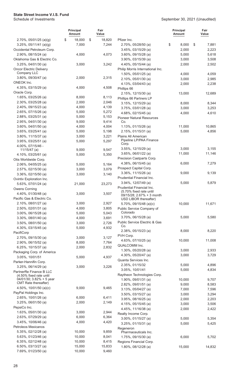|                                                  | <b>Principal</b><br>Amount | Fair<br>Value  |                                                      | <b>Principal</b><br><b>Amount</b> | Fair<br>Value  |
|--------------------------------------------------|----------------------------|----------------|------------------------------------------------------|-----------------------------------|----------------|
| $2.70\%$ , 05/01/25 (a)(g)                       | \$<br>18,000               | \$<br>18,820   | Pfizer Inc.                                          |                                   |                |
| $3.25\%$ , 05/11/41 (a)(g)                       | 7,000                      | 7,244          | 2.70%, 05/28/50 (a)                                  | \$<br>8,000                       | \$<br>7,881    |
| Occidental Petroleum Corp.                       |                            |                | $3.45\%$ , 03/15/29 (a)                              | 2,000                             | 2,223          |
| 2.90%, 08/15/24 (a)                              | 4,000                      | 4,073          | 3.60%, 09/15/28 (a)                                  | 5,000                             | 5,618          |
| Oklahoma Gas & Electric Co.                      |                            |                | 3.90%, 03/15/39 (a)                                  | 3,000                             | 3,508          |
| 3.25%, 04/01/30 (a)                              | 3,000                      | 3,242          | 4.40%, 05/15/44 (a)                                  | 2,000                             | 2,502          |
| <b>Oncor Electric Delivery</b><br>Company LLC    |                            |                | Philip Morris International Inc.                     |                                   |                |
| 3.80%, 09/30/47 (a)                              | 2,000                      | 2,315          | 1.50%, 05/01/25 (a)<br>2.10%, 05/01/30 (a)           | 4,000                             | 4,059          |
| ONEOK Inc.                                       |                            |                | 4.13%, 03/04/43 (a)                                  | 3,000<br>2,000                    | 2,985<br>2,238 |
| 4.35%, 03/15/29 (a)                              | 4,000                      | 4,508          | Phillips 66                                          |                                   |                |
| Oracle Corp.                                     |                            |                | 2.15%, 12/15/30 (a)                                  | 13,000                            | 12,689         |
| 1.65%, 03/25/26 (a)                              | 8,000                      | 8,113          | Phillips 66 Partners LP                              |                                   |                |
| 2.30%, 03/25/28 (a)                              | 2,000                      | 2,046          | 3.15%, 12/15/29 (a)                                  | 8,000                             | 8,344          |
| 2.40%, 09/15/23 (a)                              | 4,000                      | 4,139          | $3.75\%$ , 03/01/28 (a)                              | 3,000                             | 3,253          |
| 2.65%, 07/15/26 (a)                              | 5,000                      | 5,272          | 4.68%, 02/15/45 (a)                                  | 4,000                             | 4,610          |
| 2.88%, 03/25/31 (a)                              | 5,000                      | 5,153          | <b>Pioneer Natural Resources</b>                     |                                   |                |
| 2.95%, 04/01/30 (a)                              | 9,000                      | 9,414          | Co.                                                  |                                   |                |
| $3.60\%$ , 04/01/50 (a)                          | 4,000                      | 4,004          | 1.13%, 01/15/26 (a)                                  | 11,000                            | 10,865         |
| $3.65\%$ , 03/25/41 (a)                          | 5,000                      | 5,198          | 2.15%, 01/15/31 (a)                                  | 5,000                             | 4,856          |
| 3.80%, 11/15/37 (a)                              | 3,000                      | 3,221          | Plains All American                                  |                                   |                |
| $3.95\%$ , 03/25/51 (a)                          | 5,000                      | 5,297          | Pipeline LP/PAA Finance<br>Corp.                     |                                   |                |
| 4.00%, 07/15/46 -                                |                            |                | 3.55%, 12/15/29 (a)                                  | 3,000                             | 3,155          |
| $11/15/47$ (a)                                   | 9,000                      | 9,547          | 3.65%, 06/01/22 (a)                                  | 11,000                            | 11,146         |
| 4.10%, 03/25/61 (a)                              | 5,000                      | 5,350          | Precision Castparts Corp.                            |                                   |                |
| Otis Worldwide Corp.                             | 5,000                      | 5,164          | 4.38%, 06/15/45 (a)                                  | 6,000                             | 7,279          |
| 2.06%, 04/05/25 (a)<br>2.57%, 02/15/30 (a)       | 3,000                      | 3,079          | Prospect Capital Corp.                               |                                   |                |
| $3.36\%$ , 02/15/50 (a)                          | 3,000                      | 3,140          | 3.36%, 11/15/26 (a)                                  | 9,000                             | 9,139          |
| Ovintiv Exploration Inc.                         |                            |                | <b>Prudential Financial Inc.</b>                     |                                   |                |
| 5.63%, 07/01/24 (a)                              | 21,000                     | 23,273         | 3.94%, 12/07/49 (a)                                  | 5,000                             | 5,879          |
| Owens Corning                                    |                            |                | Prudential Financial Inc.                            |                                   |                |
| 4.40%, 01/30/48 (a)                              | 3,000                      | 3,507          | (5.70% fixed rate until<br>09/15/28; 2.67% + 3 month |                                   |                |
| Pacific Gas & Electric Co.                       |                            |                | USD LIBOR thereafter)                                |                                   |                |
| 2.10%, 08/01/27 (a)                              | 3,000                      | 2,927          | 5.70%, 09/15/48 (a)(c)                               | 10,000                            | 11,671         |
| $2.50\%$ , 02/01/31 (a)                          | 4,000                      | 3,805          | Public Service Company of                            |                                   |                |
| $3.00\%$ , 06/15/28 (a)                          | 5,000                      | 5,043          | Colorado                                             |                                   |                |
| $3.30\%$ , 08/01/40 (a)                          | 4,000                      | 3,691          | 3.70%, 06/15/28 (a)                                  | 5,000                             | 5,580          |
| $3.50\%$ , 08/01/50 (a)                          | 3,000                      | 2,726          | Public Service Electric & Gas                        |                                   |                |
| 4.30%, 03/15/45 (a)                              | 5,000                      | 4,932          | Co.                                                  |                                   |                |
| PacifiCorp                                       |                            |                | 2.38%, 05/15/23 (a)<br>PVH Corp.                     | 8,000                             | 8,220          |
| 2.70%, 09/15/30 (a)                              | 3,000                      | 3,127          | 4.63%, 07/10/25 (a)                                  | 10,000                            | 11,008         |
| 2.90%, 06/15/52 (a)                              | 8,000                      | 7,764          | QUALCOMM Inc.                                        |                                   |                |
| 6.25%, $10/15/37$ (a)                            | 2,000                      | 2,832          | 1.30%, 05/20/28 (a)                                  | 3,000                             | 2,933          |
| Packaging Corp. of America                       |                            |                | 4.30%, 05/20/47 (a)                                  | 3,000                             | 3,729          |
| 3.05%, 10/01/51                                  | 5,000                      | 4,937          | Quanta Services Inc.                                 |                                   |                |
| Parker-Hannifin Corp.<br>$3.25\%$ , 06/14/29 (a) |                            |                | 2.35%, 01/15/32                                      | 5,000                             | 4,896          |
| PartnerRe Finance B LLC                          | 3,000                      | 3,226          | 3.05%, 10/01/41                                      | 5,000                             | 4,834          |
| (4.50% fixed rate until                          |                            |                | Raytheon Technologies Corp.                          |                                   |                |
| 04/01/30; 3.82% + 5 year                         |                            |                | $1.90\%$ , 09/01/31 (a)                              | 10,000                            | 9,707          |
| CMT Rate thereafter)                             |                            |                | $2.82\%$ , 09/01/51 (a)                              | 9,000                             | 8,583          |
| 4.50%, $10/01/50$ (a)(c)                         | 9,000                      | 9,465          | $3.13\%$ , 05/04/27 (a)                              | 7,000                             | 7,596          |
| PayPal Holdings Inc.                             |                            |                | 3.50%, 03/15/27 (a)                                  | 3,000                             | 3,294          |
| 2.65%, 10/01/26 (a)<br>$3.25\%$ , 06/01/50 (a)   | 6,000<br>2,000             | 6,411<br>2,149 | 3.95%, 08/16/25 (a)                                  | 2,000                             | 2,203          |
| PepsiCo Inc.                                     |                            |                | 4.15%, $05/15/45$ (a)                                | 3,000                             | 3,506          |
| 1.63%, 05/01/30 (a)                              | 3,000                      | 2,944          | 4.45%, 11/16/38 (a)                                  | 2,000                             | 2,422          |
| 2.63%, 07/29/29 (a)                              | 6,000                      | 6,364          | Realty Income Corp.                                  |                                   |                |
| 3.45%, 10/06/46 (a)                              | 4,000                      | 4,420          | $3.00\%$ , 01/15/27 (a)                              | 5,000                             | 5,354          |
| Petroleos Mexicanos                              |                            |                | 3.25%, 01/15/31 (a)                                  | 5,000                             | 5,425          |
| 5.35%, 02/12/28 (a)                              | 10,000                     | 9,859          | Regeneron<br>Pharmaceuticals Inc.                    |                                   |                |
| 5.63%, 01/23/46 (a)                              | 10,000                     | 8,041          | 1.75%, 09/15/30 (a)                                  | 6,000                             | 5,702          |
| 6.35%, $02/12/48$ (a)                            | 10,000                     | 8,415          | Regions Financial Corp.                              |                                   |                |
| 6.50%, 03/13/27 (a)                              | 15,000                     | 15,833         | 1.80%, 08/12/28 (a)                                  | 15,000                            | 14,832         |
| 7.69%, 01/23/50 (a)                              | 10,000                     | 9,460          |                                                      |                                   |                |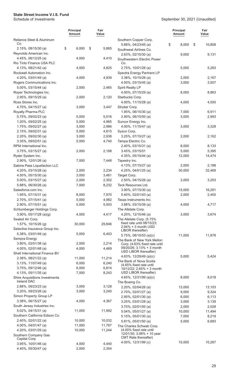|                                                             | <b>Principal</b><br>Amount | Fair<br>Value |                                                      | <b>Principal</b><br><b>Amount</b> | Fair<br>Value  |
|-------------------------------------------------------------|----------------------------|---------------|------------------------------------------------------|-----------------------------------|----------------|
| Reliance Steel & Aluminum<br>Co.                            |                            |               | Southern Copper Corp.<br>5.88%, 04/23/45 (a)         | \$<br>8,000                       | 10,808<br>\$   |
| 2.15%, 08/15/30 (a)<br>Reynolds American Inc.               | \$<br>6,000                | \$<br>5,865   | Southwest Airlines Co.<br>2.63%, 02/10/30 (a)        | 9,000                             | 9,131          |
| 4.45%, 06/12/25 (a)<br>Rio Tinto Finance USA PLC            | 4,000                      | 4,410         | Southwestern Electric Power<br>Co.                   |                                   |                |
| 4.13%, 08/21/42 (a)<br>Rockwell Automation Inc.             | 4,000                      | 4,825         | 2.75%, 10/01/26 (a)<br>Spectra Energy Partners LP    | 5,000                             | 5,263          |
| 4.20%, 03/01/49 (a)<br>Rogers Communications Inc.           | 4,000                      | 4,939         | 3.38%, 10/15/26 (a)<br>4.50%, 03/15/45 (a)           | 2,000<br>3,000                    | 2,167<br>3,507 |
| 5.00%, 03/15/44 (a)<br>Roper Technologies Inc.              | 2,000                      | 2,465         | Spirit Realty LP<br>4.00%, 07/15/29 (a)              | 8,000                             | 8,863          |
| 2.95%, 09/15/29 (a)<br>Ross Stores Inc.                     | 2,000                      | 2,120         | Starbucks Corp.<br>4.00%, 11/15/28 (a)               | 4,000                             | 4,550          |
| 4.70%, 04/15/27 (a)                                         | 3,000                      | 3,447         | Stryker Corp.                                        |                                   |                |
| Royalty Pharma PLC                                          |                            |               | 1.95%, 06/15/30 (a)                                  | 7,000                             | 6,911          |
| $0.75\%$ , 09/02/23 (a)                                     | 5,000                      | 5,016         | 2.90%, 06/15/50 (a)                                  | 3,000                             | 2,993          |
| 1.20%, 09/02/25 (a)                                         | 5,000                      | 4,965         | Suncor Energy Inc.                                   |                                   |                |
| 1.75%, 09/02/27 (a)<br>2.15%, 09/02/31 (a)                  | 3,000                      | 2,986         | 4.00%, 11/15/47 (a)                                  | 3,000                             | 3,328          |
| 2.20%, 09/02/30 (a)                                         | 5,000<br>3,000             | 4,815         | Sysco Corp.<br>3.25%, 07/15/27 (a)                   |                                   |                |
|                                                             |                            | 2,938         |                                                      | 2,000                             | 2,162          |
| 3.35%, 09/02/51 (a)<br>RPM International Inc.               | 5,000                      | 4,740         | Tampa Electric Co.                                   |                                   |                |
|                                                             |                            |               | 2.40%, 03/15/31 (a)<br>3.45%, 03/15/51               | 8,000<br>5,000                    | 8,133          |
| 3.75%, 03/15/27 (a)                                         | 2,000                      | 2,188         |                                                      |                                   | 5,395          |
| Ryder System Inc.<br>2.90%, 12/01/26 (a)                    |                            |               | 4.35%, 05/15/44 (a)                                  | 12,000                            | 14,474         |
| Sabine Pass Liquefaction LLC                                | 7,000                      | 7,448         | Tapestry Inc.<br>4.13%, 07/15/27 (a)                 | 2,000                             | 2,188          |
| 4.20%, 03/15/28 (a)                                         | 2,000                      | 2,234         | 4.25%, 04/01/25 (a)                                  | 30,000                            | 32,469         |
| 4.50%, 05/15/30 (a)                                         | 3,000                      | 3,461         | Target Corp.                                         |                                   |                |
| 5.00%, 03/15/27 (a)                                         | 2,000                      | 2,302         | 2.50%, 04/15/26 (a)                                  | 3,000                             | 3,203          |
| 5.88%, 06/30/26 (a)                                         | 7,000                      | 8,232         | Teck Resources Ltd.                                  |                                   |                |
| Salesforce.com Inc.                                         |                            |               | 3.90%, 07/15/30 (a)                                  | 15,000                            | 16,291         |
| 1.95%, 07/15/31 (a)                                         | 8,000                      | 7,970         | $5.40\%$ , 02/01/43 (a)                              | 2,000                             | 2,455          |
| 2.70%, 07/15/41 (a)                                         | 5,000                      | 4,982         | Texas Instruments Inc.                               |                                   |                |
| 2.90%, 07/15/51 (a)                                         | 5,000                      | 5,003         | 3.88%, 03/15/39 (a)                                  | 4,000                             | 4,717          |
| Schlumberger Holdings Corp.                                 |                            |               | The Allstate Corp.                                   |                                   |                |
| $3.90\%$ , $05/17/28$ (a)(g)                                | 4,000                      | 4,417         | 4.20%, 12/15/46 (a)                                  | 3,000                             | 3,674          |
| Sealed Air Corp.                                            |                            |               | The Allstate Corp. (5.75%                            |                                   |                |
| 1.57%, 10/15/26 (g)                                         | 30,000                     | 29,846        | fixed rate until 08/15/23;                           |                                   |                |
| Selective Insurance Group Inc.                              |                            |               | $2.94\% + 3$ month USD<br>LIBOR thereafter)          |                                   |                |
| 5.38%, 03/01/49 (a)                                         | 5,000                      | 6,403         | $5.75\%$ , 08/15/53 (a)(c)                           | 11,000                            | 11,878         |
| Sempra Energy                                               |                            |               | The Bank of New York Mellon                          |                                   |                |
| 3.80%, 02/01/38 (a)                                         | 2,000                      | 2,214         | Corp. (4.63% fixed rate until                        |                                   |                |
| 4.00%, 02/01/48 (a)                                         | 4,000                      | 4,469         | $09/20/26$ ; 3.13% + 3 month                         |                                   |                |
| Shell International Finance BV                              |                            |               | USD LIBOR thereafter)                                |                                   |                |
| 2.38%, 08/21/22 (a)                                         | 11,000                     | 11,214        | 4.63%, 12/29/49 (a)(c)                               | 5,000                             | 5,424          |
| 3.13%, 11/07/49 (a)                                         | 6,000                      | 6,240         | The Bank of Nova Scotia<br>(4.65% fixed rate until   |                                   |                |
| 3.75%, 09/12/46 (a)                                         | 6,000                      | 6,814         | 10/12/22; 2.65% + 3 month                            |                                   |                |
| 4.13%, 05/11/35 (a)                                         | 7,000                      | 8,243         | USD LIBOR thereafter)                                |                                   |                |
| <b>Shire Acquisitions Investments</b><br><b>Ireland DAC</b> |                            |               | 4.65%, 12/31/99 (a)(c)<br>The Boeing Co.             | 8,000                             | 8,018          |
| $2.88\%$ , 09/23/23 (a)                                     | 3,000                      | 3,128         | 2.20%, 02/04/26 (a)                                  | 13,000                            | 13,103         |
| 3.20%, 09/23/26 (a)                                         | 3,000                      | 3,240         | 2.70%, 02/01/27 (a)                                  | 9,000                             | 9,324          |
| Simon Property Group LP                                     |                            |               | 2.95%, 02/01/30 (a)                                  | 6,000                             | 6,113          |
| 3.38%, 06/15/27 (a)                                         | 4,000                      | 4,367         | 3.25%, 03/01/28 (a)                                  | 3,000                             | 3,139          |
| South Jersey Industries Inc.                                |                            |               | 3.75%, 02/01/50 (a)                                  | 2,000                             | 2,028          |
| 5.02%, 04/15/31 (a)                                         | 11,000                     | 11,992        | 5.04%, 05/01/27 (a)                                  | 10,000                            | 11,494         |
| Southern California Edison Co.                              |                            |               | 5.15%, 05/01/30 (a)                                  | 7,000                             | 8,219          |
| 2.40%, 02/01/22 (a)                                         | 10,000                     | 10,032        | 5.81%, 05/01/50 (a)                                  | 5,000                             | 6,683          |
| 4.00%, 04/01/47 (a)                                         | 11,000                     | 11,767        | The Charles Schwab Corp.                             |                                   |                |
| 4.20%, 03/01/29 (a)                                         | 10,000                     | 11,244        | (4.00% fixed rate until<br>12/01/30; 3.08% + 10 year |                                   |                |
| Southern Company Gas<br>Capital Corp.                       |                            |               | CMT Rate thereafter)                                 |                                   |                |
| 3.95%, 10/01/46 (a)                                         | 4,000                      | 4,440         | 4.00%, 12/31/99 (c)                                  | 10,000                            | 10,267         |
| 4.40%, 05/30/47 (a)                                         | 2,000                      | 2,354         |                                                      |                                   |                |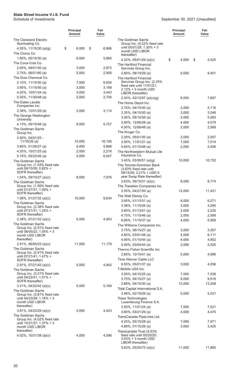5.63%, 05/20/75 (a)(c) 11,000 11,865

|                                                                                | <b>Principal</b><br>Amount | Fair<br>Value  |                                                                                                    | <b>Principal</b><br><b>Amount</b> | Fair<br>Value  |
|--------------------------------------------------------------------------------|----------------------------|----------------|----------------------------------------------------------------------------------------------------|-----------------------------------|----------------|
| The Cleveland Electric                                                         |                            |                | The Goldman Sachs                                                                                  |                                   |                |
| Illuminating Co.<br>4.55%, $11/15/30$ (a)(g)<br>The Clorox Co.                 | \$<br>6,000                | \$<br>6,966    | Group Inc. (4.22% fixed rate<br>until 05/01/28; 1.30% + 3<br>month USD LIBOR                       |                                   |                |
| $1.80\%$ , 05/15/30 (a)                                                        | 6,000                      | 5,860          | thereafter)<br>4.22%, 05/01/29 (a)(c)                                                              | \$<br>4,000                       | \$<br>4,525    |
| The Coca-Cola Co.                                                              |                            |                | The Hartford Financial                                                                             |                                   |                |
| $2.60\%$ , 06/01/50 (a)                                                        | 3,000                      | 2,873          | Services Group Inc.                                                                                |                                   |                |
| 2.75%, 06/01/60 (a)                                                            | 3,000                      | 2,900          | 2.80%, 08/19/29 (a)                                                                                | 9,000                             | 9,401          |
| The Dow Chemical Co.                                                           |                            |                | The Hartford Financial                                                                             |                                   |                |
| 2.10%, 11/15/30 (a)                                                            | 7,000                      | 6,934          | Services Group Inc. (2.25%<br>fixed rate until $11/01/21$ ;                                        |                                   |                |
| $3.60\%$ , $11/15/50$ (a)<br>4.25%, 10/01/34 (a)                               | 3,000<br>3,000             | 3,189<br>3,443 | $2.13% + 3$ month USD                                                                              |                                   |                |
| 5.55%, 11/30/48 (a)                                                            | 2,000                      | 2,745          | LIBOR thereafter)                                                                                  |                                   |                |
| The Estee Lauder                                                               |                            |                | 2.25%, 02/12/67 (a)(c)(g)<br>The Home Depot Inc.                                                   | 8,000                             | 7,687          |
| Companies Inc.                                                                 |                            |                | 2.70%, 04/15/30 (a)                                                                                | 2,000                             | 2,116          |
| 2.38%, 12/01/29 (a)                                                            | 3,000                      | 3,114          | 3.35%, 04/15/50 (a)                                                                                | 3,000                             | 3,246          |
| The George Washington                                                          |                            |                | $3.50\%$ , 09/15/56 (a)                                                                            | 5,000                             | 5,583          |
| University<br>4.13%, 09/15/48 (a)                                              | 8,000                      | 9,757          | 3.90%, 12/06/28 (a)                                                                                | 4,000                             | 4,579          |
| The Goldman Sachs                                                              |                            |                | 4.50%, 12/06/48 (a)                                                                                | 2,000                             | 2,569          |
| Group Inc.                                                                     |                            |                | The Kroger Co.                                                                                     |                                   |                |
| 3.50%, 04/01/25 -                                                              |                            |                | $2.20\%$ , 05/01/30 (a)                                                                            | 2,000                             | 2,007          |
| $11/16/26$ (a)                                                                 | 15,000                     | 16,195         | 2.95%, 11/01/21 (a)                                                                                | 7,000                             | 7,014          |
| $3.85\%$ , 01/26/27 (a)                                                        | 9,000                      | 9,888          | 4.65%, 01/15/48 (a)                                                                                | 2,000                             | 2,456          |
| 4.25%, $10/21/25$ (a)<br>5.15%, 05/22/45 (a)                                   | 2,000<br>5,000             | 2,216<br>6,547 | The Northwestern Mutual Life<br>Insurance Co.                                                      |                                   |                |
| The Goldman Sachs                                                              |                            |                | $3.45\%$ , 03/30/51 (a)(g)                                                                         | 10,000                            | 10,732         |
| Group Inc. (1.54% fixed rate<br>until 09/10/26; 0.82% +<br>SOFR thereafter)    |                            |                | The Toronto-Dominion Bank<br>(3.63% fixed rate until<br>09/15/26; 2.21% + USD 5                    |                                   |                |
| 1.54%, 09/10/27 (a)(c)                                                         | 8,000                      | 7,976          | year Swap Rate thereafter)                                                                         |                                   |                |
| The Goldman Sachs                                                              |                            |                | $3.63\%$ , 09/15/31 (a)(c)                                                                         | 8,000                             | 8,774          |
| Group Inc. (1.99% fixed rate                                                   |                            |                | The Travelers Companies Inc.                                                                       |                                   |                |
| until 01/27/31; 1.09% +<br>SOFR thereafter)                                    |                            |                | 2.55%, 04/27/50 (a)                                                                                | 12,000                            | 11,431         |
| 1.99%, 01/27/32 (a)(c)                                                         | 10,000                     | 9,634          | The Walt Disney Co.                                                                                |                                   |                |
| The Goldman Sachs                                                              |                            |                | 2.65%, 01/13/31 (a)                                                                                | 6,000                             | 6,271          |
| Group Inc. (2.38% fixed rate                                                   |                            |                | 3.38%, 11/15/26 (a)                                                                                | 3,000                             | 3,290          |
| until 07/21/31; 1.25% +<br>SOFR thereafter)                                    |                            |                | 3.60%, 01/13/51 (a)<br>4.75%, 11/15/46 (a)                                                         | 2,000<br>2,000                    | 2,235<br>2,599 |
| $2.38\%$ , 07/21/32 (a)(c)                                                     | 5,000                      | 4,953          | 6.65%, $11/15/37$ (a)                                                                              | 4,000                             | 5,959          |
| The Goldman Sachs                                                              |                            |                | The Williams Companies Inc.                                                                        |                                   |                |
| Group Inc. (2.91% fixed rate<br>until 06/05/22; 1.05% + 3                      |                            |                | $3.75\%$ , 06/15/27 (a)                                                                            | 3,000                             | 3,307          |
| month USD LIBOR                                                                |                            |                | 4.85%, 03/01/48 (a)                                                                                | 5,000                             | 6,111          |
| thereafter)                                                                    |                            |                | 4.90%, 01/15/45 (a)                                                                                | 4,000                             | 4,802          |
| $2.91\%$ , 06/05/23 (a)(c)                                                     | 11,000                     | 11,179         | 5.40%, 03/04/44 (a)                                                                                | 2,000                             | 2,525          |
| The Goldman Sachs<br>Group Inc. (2.91% fixed rate                              |                            |                | Thermo Fisher Scientific Inc.                                                                      |                                   |                |
| until 07/21/41; 1.47% +                                                        |                            |                | 2.80%, 10/15/41 (a)                                                                                | 5,000                             | 4,986          |
| SOFR thereafter)                                                               |                            |                | Time Warner Cable LLC                                                                              |                                   |                |
| 2.91%, 07/21/42 (a)(c)                                                         | 5,000                      | 4,942          | 6.55%, $05/01/37$ (a)<br>T-Mobile USA Inc.                                                         | 3,000                             | 4,056          |
| The Goldman Sachs<br>Group Inc. (3.21% fixed rate                              |                            |                | 3.50%, 04/15/25 (a)                                                                                | 7,000                             | 7,536          |
| until 04/22/41; 1.51% +                                                        |                            |                | $3.75\%$ , 04/15/27 (a)                                                                            | 9,000                             | 9,916          |
| SOFR thereafter)                                                               |                            |                | $3.88\%$ , 04/15/30 (a)                                                                            | 12,000                            | 13,258         |
| $3.21\%$ , 04/22/42 (a)(c)                                                     | 5,000                      | 5,169          | Total Capital International S.A.                                                                   |                                   |                |
| The Goldman Sachs<br>Group Inc. (3.81% fixed rate<br>until 04/23/28; 1.16% + 3 |                            |                | 3.46%, 02/19/29 (a)<br><b>Trane Technologies</b>                                                   | 5,000                             | 5,531          |
| month USD LIBOR<br>thereafter)                                                 |                            |                | Luxembourg Finance S.A.                                                                            |                                   |                |
| $3.81\%$ , 04/23/29 (a)(c)                                                     | 4,000                      | 4,423          | $3.55\%$ , 11/01/24 (a)<br>$3.80\%$ , $03/21/29$ (a)                                               | 7,000<br>4,000                    | 7,521<br>4,470 |
| The Goldman Sachs                                                              |                            |                | TransCanada PipeLines Ltd.                                                                         |                                   |                |
| Group Inc. (4.02% fixed rate                                                   |                            |                | 4.25%, 05/15/28 (a)                                                                                | 7,000                             | 7,971          |
| until 10/31/37; 1.37% + 3<br>month USD LIBOR                                   |                            |                | 4.88%, 01/15/26 (a)                                                                                | 3,000                             | 3,425          |
| thereafter)<br>4.02%, $10/31/38$ (a)(c)                                        | 4,000                      | 4,596          | Transcanada Trust (5.63%<br>fixed rate until 05/20/25;<br>3.53% + 3 month USD<br>LIBOR thereafter) |                                   |                |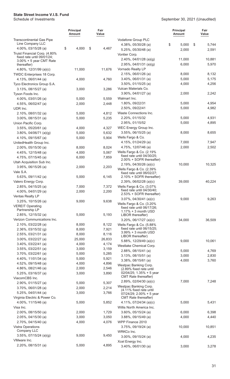|                                                  | <b>Principal</b><br>Amount | Fair<br>Value  |                                                        | <b>Principal</b><br><b>Amount</b> | Fair<br>Value |
|--------------------------------------------------|----------------------------|----------------|--------------------------------------------------------|-----------------------------------|---------------|
| <b>Transcontinental Gas Pipe</b>                 |                            |                | Vodafone Group PLC                                     |                                   |               |
| Line Company LLC<br>4.00%, 03/15/28 (a)          | \$<br>4,000                | \$<br>4,467    | 4.38%, 05/30/28 (a)                                    | \$<br>5,000                       | \$<br>5,744   |
| Truist Financial Corp. (4.80%                    |                            |                | 5.25%, 05/30/48 (a)                                    | 2,000                             | 2,591         |
| fixed rate until 09/01/24;                       |                            |                | Vontier Corp.                                          |                                   |               |
| $3.00\% + 5$ year CMT Rate                       |                            |                | 2.40%, 04/01/28 (a)(g)                                 | 11,000                            | 10,881        |
| thereafter)                                      |                            |                | 2.95%, 04/01/31 (a)(g)<br>Vornado Realty LP            | 6,000                             | 5,970         |
| 4.80%, 12/31/99 (a)(c)                           | 11,000                     | 11,676         | $2.15\%$ , 06/01/26 (a)                                | 8,000                             | 8,132         |
| TWDC Enterprises 18 Corp.<br>4.13%, 06/01/44 (a) |                            |                | 3.40%, 06/01/31 (a)                                    | 5,000                             | 5,175         |
| Tyco Electronics Group S.A.                      | 4,000                      | 4,760          | $3.50\%$ , 01/15/25 (a)                                | 4,000                             | 4,256         |
| 3.13%, 08/15/27 (a)                              | 3,000                      | 3,286          | Vulcan Materials Co.                                   |                                   |               |
| Tyson Foods Inc.                                 |                            |                | 3.90%, 04/01/27 (a)                                    | 2,000                             | 2,242         |
| 4.00%, 03/01/26 (a)                              | 5,000                      | 5,559          | Walmart Inc.                                           |                                   |               |
| 4.55%, 06/02/47 (a)                              | 2,000                      | 2,448          | 1.80%, 09/22/31                                        | 5,000                             | 4,954         |
| UDR Inc.                                         |                            |                | 2.50%, 09/22/41                                        | 5,000                             | 4,982         |
| $2.10\%$ , 08/01/32 (a)                          | 5,000                      | 4,812          | Waste Connections Inc.                                 |                                   |               |
| 3.00%, 08/15/31 (a)                              | 5,000                      | 5,235          | 2.20%, 01/15/32                                        | 5,000                             | 4,931         |
| Union Pacific Corp.                              |                            |                | 2.95%, 01/15/52                                        | 5,000                             | 4,895         |
| $3.55\%$ , 05/20/61 (a)                          | 4,000                      | 4,327          | WEC Energy Group Inc.                                  |                                   |               |
| $3.80\%$ , 04/06/71 (a)(g)                       | 5,000                      | 5,632          | $3.55\%$ , 06/15/25 (a)                                | 8,000                             | 8,655         |
| 4.10%, 09/15/67 (a)                              | 5,000                      | 5,904          | Wells Fargo & Co.                                      |                                   |               |
| UnitedHealth Group Inc.                          |                            |                | 4.15%, 01/24/29 (a)                                    | 7,000                             | 7,947         |
| 2.00%, 05/15/30 (a)                              | 8,000                      | 8,024          | 4.75%, 12/07/46 (a)                                    | 2,000                             | 2,502         |
| 4.45%, 12/15/48 (a)                              | 4,000                      | 5,067          | Wells Fargo & Co. (2.19%)                              |                                   |               |
| 4.75%, 07/15/45 (a)                              | 6,000                      | 7,859          | fixed rate until 04/30/25;                             |                                   |               |
| Utah Acquisition Sub Inc.                        |                            |                | 2.00% + SOFR thereafter)                               |                                   |               |
| 3.95%, 06/15/26 (a)                              | 2,000                      | 2,203          | 2.19%, $04/30/26$ (a)(c)<br>Wells Fargo & Co. (2.39%   | 10,000                            | 10,325        |
| Vale S.A.                                        |                            |                | fixed rate until 06/02/27;                             |                                   |               |
| 5.63%, 09/11/42 (a)                              | 5,000                      | 6,145          | 2.10% + SOFR thereafter)                               |                                   |               |
| Valero Energy Corp.                              |                            |                | 2.39%, $06/02/28$ (a)(c)                               | 39,000                            | 40,224        |
| 2.85%, 04/15/25 (a)                              | 7,000                      | 7,372          | Wells Fargo & Co. (3.07%                               |                                   |               |
| 4.00%, 04/01/29 (a)                              | 2,000                      | 2,200          | fixed rate until 04/30/40;                             |                                   |               |
| Ventas Realty LP                                 |                            |                | 2.53% + SOFR thereafter)<br>$3.07\%$ , 04/30/41 (a)(c) | 9,000                             | 9,263         |
| 3.25%, 10/15/26 (a)                              | 9,000                      | 9,638          | Wells Fargo & Co. (3.20%                               |                                   |               |
| <b>VEREIT Operating</b>                          |                            |                | fixed rate until 06/17/26;                             |                                   |               |
| Partnership LP                                   |                            |                | $1.17% + 3$ month USD                                  |                                   |               |
| 2.85%, 12/15/32 (a)                              | 5,000                      | 5,193          | LIBOR thereafter)                                      |                                   |               |
| Verizon Communications Inc.                      |                            |                | $3.20\%$ , 06/17/27 (a)(c)                             | 34,000                            | 36,509        |
| 2.10%, 03/22/28 (a)<br>2.36%, 03/15/32 (g)       | 8,000<br>8,000             | 8,122<br>7,921 | Wells Fargo & Co. (5.88%<br>fixed rate until 06/15/25: |                                   |               |
| $2.55\%$ , 03/21/31 (a)                          | 8,000                      | 8,116          | $3.99\% + 3$ month USD                                 |                                   |               |
| 3.00%, 03/22/27 (a)                              | 25,000                     | 26,833         | LIBOR thereafter)                                      |                                   |               |
| $3.40\%$ , $03/22/41$ (a)                        | 4,000                      | 4,174          | 5.88%, 12/29/49 (a)(c)                                 | 9,000                             | 10,061        |
| $3.55\%$ , 03/22/51 (a)                          | 3,000                      | 3,159          | Westlake Chemical Corp.                                |                                   |               |
| $3.70\%$ , 03/22/61 (a)                          | 5,000                      | 5,285          | $2.88\%$ , 08/15/41 (a)                                | 5,000                             | 4,769         |
| 4.40%, 11/01/34 (a)                              | 5,000                      | 5,921          | $3.13\%$ , 08/15/51 (a)                                | 3,000                             | 2,830         |
| 4.52%, 09/15/48 (a)                              | 4,000                      | 4,896          | 3.38%, 08/15/61 (a)                                    | 4,000                             | 3,760         |
| 4.86%, 08/21/46 (a)                              | 2,000                      | 2,546          | Westpac Banking Corp.<br>(2.89% fixed rate until       |                                   |               |
| 5.25%, 03/16/37 (a)                              | 3,000                      | 3,890          | $02/04/25$ ; 1.35% + 5 year                            |                                   |               |
| ViacomCBS Inc.                                   |                            |                | <b>CMT</b> Rate thereafter)                            |                                   |               |
| $2.90\%$ , 01/15/27 (a)                          | 5,000                      | 5,307          | 2.89%, 02/04/30 (a)(c)                                 | 7,000                             | 7,248         |
| 3.70%, 06/01/28 (a)                              | 2,000                      | 2,214          | Westpac Banking Corp.                                  |                                   |               |
| $5.25\%$ , 04/01/44 (a)                          | 3,000                      | 3,766          | (4.11% fixed rate until<br>$07/24/29$ ; 2.00% + 5 year |                                   |               |
| Virginia Electric & Power Co.                    |                            |                | <b>CMT</b> Rate thereafter)                            |                                   |               |
| 4.00%, 11/15/46 (a)                              | 5,000                      | 5,852          | 4.11%, $07/24/34$ (a)(c)                               | 5,000                             | 5,431         |
| Visa Inc.                                        |                            |                | Willis North America Inc.                              |                                   |               |
| $2.00\%$ , 08/15/50 (a)                          | 2,000                      | 1,729          | 3.60%, 05/15/24 (a)                                    | 6,000                             | 6,398         |
| $2.05\%$ , 04/15/30 (a)                          | 3,000                      | 3,050          | $3.88\%$ , 09/15/49 (a)                                | 4,000                             | 4,440         |
| 2.70%, 04/15/40 (a)                              | 4,000                      | 4,076          | WPP Finance 2010                                       |                                   |               |
| Vistra Operations                                |                            |                | 3.75%, 09/19/24 (a)                                    | 10,000                            | 10,851        |
| Company LLC                                      |                            |                | WRKCo Inc.                                             |                                   |               |
| $3.55\%$ , 07/15/24 (a)(g)                       | 9,000                      | 9,450          | 3.00%, 09/15/24 (a)                                    | 4,000                             | 4,235         |
| VMware Inc.                                      |                            |                | Xcel Energy Inc.                                       |                                   |               |
| 2.20%, 08/15/31 (a)                              | 5,000                      | 4,895          | 3.40%, 06/01/30 (a)                                    | 3,000                             | 3,278         |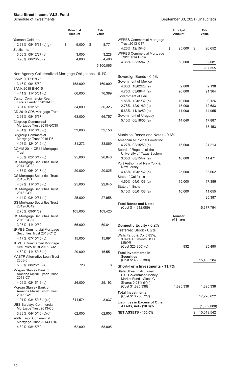|                                                               | <b>Principal</b><br>Amount | Fair<br>Value |                                             |
|---------------------------------------------------------------|----------------------------|---------------|---------------------------------------------|
| Yamana Gold Inc.                                              |                            |               | <b>WFRBS Comme</b>                          |
| $2.63\%$ , 08/15/31 (a)(g)<br>Zoetis Inc.                     | \$<br>9,000                | \$<br>8,771   | Trust 2013-C1<br>4.26%, 12/15/4             |
| 3.00%, 09/12/27 (a)                                           | 3,000                      | 3,228         | <b>WFRBS Comme</b>                          |
| 3.90%, 08/20/28 (a)                                           | 4,000                      | 4,496         | Trust 2014-LC <sup>®</sup>                  |
|                                                               |                            | 5,100,065     | 4.35%, 03/15/4                              |
|                                                               |                            |               |                                             |
| Non-Agency Collateralized Mortgage Obligations - 6.1%         |                            |               | Sovereign Bon                               |
| <b>BANK 2017-BNK7</b>                                         |                            |               | Government of N                             |
| 3.18%, 09/15/60<br><b>BANK 2018-BNK15</b>                     | 158,000                    | 169,900       | 4.00%, 10/02/2                              |
| 4.41%, 11/15/61 (c)                                           | 66,000                     | 76,389        | 4.75%, 03/08/4                              |
| <b>Cantor Commercial Real</b>                                 |                            |               | Government of F                             |
| Estate Lending 2019-CF3                                       |                            |               | 1.86%, 12/01/3                              |
| 3.01%, 01/15/53                                               | 34,000                     | 36,326        | 2.78%, 12/01/6                              |
| CD 2019-CD8 Mortgage Trust                                    |                            |               | 5.63%, 11/18/5<br>Government of U           |
| 2.91%, 08/15/57<br><b>Citigroup Commercial</b>                | 63,000                     | 66,757        | 5.10%, 06/18/5                              |
| Mortgage Trust 2015-GC35                                      |                            |               |                                             |
| 4.61%, 11/10/48 (c)                                           | 33,000                     | 32,156        |                                             |
| <b>Citigroup Commercial</b>                                   |                            |               | <b>Municipal Bond</b>                       |
| Mortgage Trust 2016-P6<br>4.03%, 12/10/49 (c)                 | 31,273                     | 33,869        | American Munici                             |
| COMM 2014-CR14 Mortgage                                       |                            |               | 6.27%, 02/15/5<br>Board of Regent           |
| Trust                                                         |                            |               | University of T                             |
| 4.53%, 02/10/47 (c)                                           | 25,000                     | 26,848        | 3.35%, 08/15/4                              |
| <b>GS Mortgage Securities Trust</b><br>2014-GC22              |                            |               | Port Authority of                           |
| 4.85%, 06/10/47 (c)                                           | 20,000                     | 20,825        | New Jersey<br>4.46%, 10/01/6                |
| <b>GS Mortgage Securities Trust</b>                           |                            |               | State of Californi                          |
| 2015-GS1                                                      |                            |               | 4.60%, 04/01/3                              |
| 4.57%, 11/10/48 (c)<br><b>GS Mortgage Securities Trust</b>    | 25,000                     | 22,045        | State of Illinois                           |
| 2018-GS9                                                      |                            |               | 5.10%, 06/01/3                              |
| 4.14%, 03/10/51 (c)                                           | 25,000                     | 27,958        |                                             |
| <b>GS Mortgage Securities Trust</b><br>2019-GC42              |                            |               | <b>Total Bonds and</b>                      |
| 2.75%, 09/01/52                                               | 105,000                    | 109,420       | (Cost \$14,912,                             |
| <b>GS Mortgage Securities Trust</b>                           |                            |               |                                             |
| 2019-GSA1                                                     |                            |               |                                             |
| 3.05%, 11/10/52                                               | 56,000                     | 59,841        | <b>Domestic Equ</b>                         |
| <b>JPMBB Commercial Mortgage</b><br>Securities Trust 2013-C12 |                            |               | <b>Preferred Stock</b>                      |
| 4.17%, 07/15/45 (c)                                           | 15,000                     | 15,691        | Wells Fargo & Co<br>$3.09\% + 3$ mor        |
| <b>JPMBB Commercial Mortgage</b>                              |                            |               | <b>LIBOR</b>                                |
| Securities Trust 2015-C32                                     |                            |               | (Cost \$23,300)                             |
| 4.80%, 11/15/48 (c)<br><b>MASTR Alternative Loan Trust</b>    | 20,000                     | 16,551        | <b>Total Investmen</b><br><b>Securities</b> |
| 2003-5                                                        |                            |               | (Cost \$14,935,                             |
| 5.00%, 08/25/18 (e)                                           | 726                        | 8             | <b>Short-Term In</b>                        |
| Morgan Stanley Bank of<br>America Merrill Lynch Trust         |                            |               | <b>State Street Insti</b>                   |
| 2013-C7                                                       |                            |               | U.S. Governme<br>Market Fund -              |
| 4.26%, $02/15/46$ (c)                                         | 26,000                     | 25,193        | <b>Shares 0.03%</b>                         |
| Morgan Stanley Bank of                                        |                            |               | (Cost \$1,825,3                             |
| America Merrill Lynch Trust<br>2015-C21                       |                            |               | <b>Total Investmen</b>                      |
| 1.01%, 03/15/48 (c)(e)                                        | 341,574                    | 8,037         | (Cost \$16,760,                             |
| <b>UBS-Barclays Commercial</b>                                |                            |               | Liabilities in Exe<br>Assets, net - (       |
| Mortgage Trust 2013-C6                                        |                            | 62,803        | <b>NET ASSETS - 1</b>                       |
| $3.88\%$ , 04/10/46 (c)(g)<br>Wells Fargo Commercial          | 62,000                     |               |                                             |
| Mortgage Trust 2014-LC16                                      |                            |               |                                             |

4.32%, 08/15/50 62,000 58,005

|                                                                       | Principal<br>Amount        | Fair<br>Value    |
|-----------------------------------------------------------------------|----------------------------|------------------|
| <b>WFRBS Commercial Mortgage</b><br>Trust 2013-C17                    |                            |                  |
| 4.26%, 12/15/46<br><b>WFRBS Commercial Mortgage</b>                   | \$<br>25,000               | \$<br>26,652     |
| Trust 2014-LC14<br>4.35%, 03/15/47 (c)                                | 58,000                     | 62,081           |
|                                                                       |                            | 957,355          |
|                                                                       |                            |                  |
| Sovereign Bonds - 0.5%<br>Government of Mexico                        |                            |                  |
| 4.00%, 10/02/23 (a)                                                   | 2,000                      | 2,138            |
| 4.75%, 03/08/44 (a)                                                   | 20,000                     | 21,364           |
| Government of Peru                                                    |                            |                  |
| 1.86%, 12/01/32 (a)                                                   | 10,000                     | 9,126            |
| 2.78%, 12/01/60 (a)<br>5.63%, 11/18/50 (a)                            | 15,000<br>11,000           | 12,683<br>14,955 |
| Government of Uruguay                                                 |                            |                  |
| 5.10%, 06/18/50 (a)                                                   | 14,040                     | 17,887           |
|                                                                       |                            | 78,153           |
|                                                                       |                            |                  |
| Municipal Bonds and Notes - 0.6%                                      |                            |                  |
| American Municipal Power Inc.<br>$6.27\%$ , 02/15/50 (a)              | 15,000                     | 21,213           |
| Board of Regents of the                                               |                            |                  |
| University of Texas System                                            |                            |                  |
| 3.35%, 08/15/47 (a)                                                   | 10,000                     | 11,471           |
| Port Authority of New York &<br>New Jersey                            |                            |                  |
| 4.46%, 10/01/62 (a)<br>State of California                            | 25,000                     | 33,662           |
| 4.60%, 04/01/38 (a)                                                   | 15,000                     | 17,386           |
| State of Illinois                                                     |                            |                  |
| 5.10%, 06/01/33 (a)                                                   | 10,000                     | 11,655           |
|                                                                       |                            | 95,387           |
| <b>Total Bonds and Notes</b>                                          |                            |                  |
| (Cost \$14,912,089)                                                   |                            | 15,377,794       |
|                                                                       | <b>Number</b><br>of Shares |                  |
| Domestic Equity - 0.2%                                                |                            |                  |
| Preferred Stock - 0.2%                                                |                            |                  |
| Wells Fargo & Co. 5.85%,<br>3.09% + 3 month USD<br><b>LIBOR</b>       |                            |                  |
| (Cost \$23,300) (c)                                                   | 932                        | 25,490           |
| Total Investments in<br><b>Securities</b>                             |                            |                  |
| (Cost \$14,935,389)                                                   |                            | 15,403,284       |
| <b>Short-Term Investments - 11.7%</b><br>State Street Institutional   |                            |                  |
| U.S. Government Money<br>Market Fund - Class G<br>Shares 0.03% (h)(i) |                            |                  |
| (Cost \$1,825,338)                                                    | 1,825,338                  | 1,825,338        |
| <b>Total Investments</b><br>(Cost \$16,760,727)                       |                            | 17,228,622       |
| <b>Liabilities in Excess of Other</b><br>Assets, net - (10.3)%        |                            | (1,609,080)      |
| <b>NET ASSETS - 100.0%</b>                                            |                            | \$<br>15,619,542 |
|                                                                       |                            |                  |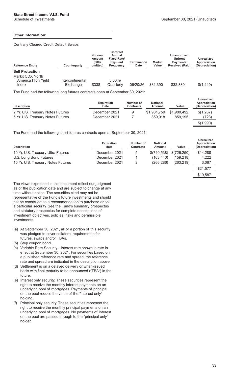\$19,587

#### **Other Information:**

Centrally Cleared Credit Default Swaps

| <b>Reference Entity</b> | Counterparty     | <b>Notional</b><br>Amount<br>(000s<br>omitted) | <b>Contract</b><br>Annual<br><b>Fixed Rate/</b><br><b>Payment</b><br>Frequency | <b>Termination</b><br>Date | <b>Market</b><br>Value | <b>Unamortized</b><br><b>Upfront</b><br><b>Pavments</b><br><b>Received (Paid)</b> | <b>Unrealized</b><br>Appreciation<br>(Depreciation) |
|-------------------------|------------------|------------------------------------------------|--------------------------------------------------------------------------------|----------------------------|------------------------|-----------------------------------------------------------------------------------|-----------------------------------------------------|
| <b>Sell Protection</b>  |                  |                                                |                                                                                |                            |                        |                                                                                   |                                                     |
| Markit CDX North        |                  |                                                |                                                                                |                            |                        |                                                                                   |                                                     |
| America High Yield      | Intercontinental |                                                | $5.00\%$ /                                                                     |                            |                        |                                                                                   |                                                     |
| Index                   | Exchange         | \$338                                          | Quarterly                                                                      | 06/20/26                   | \$31,390               | \$32,830                                                                          | \$(1,440)                                           |
|                         |                  |                                                |                                                                                | -------                    |                        |                                                                                   |                                                     |

The Fund had the following long futures contracts open at September 30, 2021:

| <b>Description</b>                | <b>Expiration</b><br><b>Date</b> | Number of<br><b>Contracts</b> | <b>Notional</b><br>Amount | Value       | <b>Unrealized</b><br>Appreciation<br>(Depreciation) |
|-----------------------------------|----------------------------------|-------------------------------|---------------------------|-------------|-----------------------------------------------------|
| 2 Yr. U.S. Treasury Notes Futures | December 2021                    | 9                             | \$1,981,759               | \$1,980,492 | \$(1,267)                                           |
| 5 Yr. U.S. Treasury Notes Futures | December 2021                    |                               | 859,918                   | 859.195     | (723)                                               |
|                                   |                                  |                               |                           |             | \$(1,990)                                           |

The Fund had the following short futures contracts open at September 30, 2021:

| <b>Description</b>                 | <b>Expiration</b><br>date | Number of<br><b>Contracts</b> | <b>Notional</b><br>Amount | Value        | Unrealized<br>Appreciation<br>(Depreciation) |
|------------------------------------|---------------------------|-------------------------------|---------------------------|--------------|----------------------------------------------|
| 10 Yr. U.S. Treasury Ultra Futures | December 2021             | 5                             | \$(740,538)               | \$(726, 250) | \$14,288                                     |
| U.S. Long Bond Futures             | December 2021             |                               | (163.440)                 | (159.218)    | 4,222                                        |
| 10 Yr. U.S. Treasury Notes Futures | December 2021             |                               | (266, 286)                | (263, 219)   | 3,067                                        |
|                                    |                           |                               |                           |              | \$21,577                                     |

The views expressed in this document reflect our judgment as of the publication date and are subject to change at any time without notice. The securities cited may not be representative of the Fund's future investments and should not be construed as a recommendation to purchase or sell a particular security. See the Fund's summary prospectus and statutory prospectus for complete descriptions of investment objectives, policies, risks and permissible investments.

- (a) At September 30, 2021, all or a portion of this security was pledged to cover collateral requirements for futures, swaps and/or TBAs.
- (b) Step coupon bond.
- (c) Variable Rate Security Interest rate shown is rate in effect at September 30, 2021. For securities based on a published reference rate and spread, the reference rate and spread are indicated in the description above.
- (d) Settlement is on a delayed delivery or when-issued basis with final maturity to be announced ("TBA") in the future.
- (e) Interest only security. These securities represent the right to receive the monthly interest payments on an underlying pool of mortgages. Payments of principal on the pool reduce the value of the "interest only" holding.
- (f) Principal only security. These securities represent the right to receive the monthly principal payments on an underlying pool of mortgages. No payments of interest on the pool are passed through to the "principal only" holder.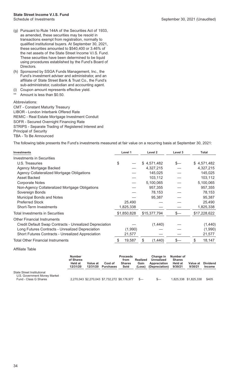- (g) Pursuant to Rule 144A of the Securities Act of 1933, as amended, these securities may be resold in transactions exempt from registration, normally to qualified institutional buyers. At September 30, 2021, these securities amounted to \$540,400 or 3.46% of the net assets of the State Street Income V.I.S. Fund. These securities have been determined to be liquid using procedures established by the Fund's Board of Directors.
- (h) Sponsored by SSGA Funds Management, Inc., the Fund's investment adviser and administrator, and an affiliate of State Street Bank & Trust Co., the Fund's sub-administrator, custodian and accounting agent.
- (i) Coupon amount represents effective yield. Amount is less than \$0.50.

#### Abbreviations:

CMT - Constant Maturity Treasury LIBOR - London Interbank Offered Rate REMIC - Real Estate Mortgage Investment Conduit SOFR - Secured Overnight Financing Rate STRIPS - Separate Trading of Registered Interest and Principal of Security TBA - To Be Announced

The following table presents the Fund's investments measured at fair value on a recurring basis at September 30, 2021:

| <b>Investments</b>                                             |    | Level 1     | Level 2       | Level 3 | <b>Total</b> |  |
|----------------------------------------------------------------|----|-------------|---------------|---------|--------------|--|
| Investments in Securities                                      |    |             |               |         |              |  |
| U.S. Treasuries                                                | \$ |             | \$4,571,482   | \$—     | \$4,571,482  |  |
| Agency Mortgage Backed                                         |    |             | 4,327,215     |         | 4,327,215    |  |
| Agency Collateralized Mortgage Obligations                     |    |             | 145,025       |         | 145,025      |  |
| Asset Backed                                                   |    |             | 103,112       |         | 103,112      |  |
| <b>Corporate Notes</b>                                         |    |             | 5,100,065     |         | 5,100,065    |  |
| Non-Agency Collateralized Mortgage Obligations                 |    |             | 957,355       |         | 957,355      |  |
| Sovereign Bonds                                                |    |             | 78,153        |         | 78,153       |  |
| Municipal Bonds and Notes                                      |    |             | 95,387        |         | 95,387       |  |
| <b>Preferred Stock</b>                                         |    | 25,490      |               |         | 25,490       |  |
| <b>Short-Term Investments</b>                                  |    | 1,825,338   |               |         | 1,825,338    |  |
| Total Investments in Securities                                |    | \$1,850,828 | \$15,377,794  | \$—     | \$17,228,622 |  |
| <b>Other Financial Instruments</b>                             |    |             |               |         |              |  |
| <b>Credit Default Swap Contracts - Unrealized Depreciation</b> |    |             | (1,440)       |         | (1,440)      |  |
| Long Futures Contracts - Unrealized Depreciation               |    | (1,990)     |               |         | (1,990)      |  |
| <b>Short Futures Contracts - Unrealized Appreciation</b>       |    | 21,577      |               |         | 21,577       |  |
| Total Other Financial Instruments                              | \$ | 19,587      | \$<br>(1,440) | \$-     | \$<br>18,147 |  |

Affiliate Table

|                                                                                     | <b>Number</b><br>of Shares<br>Held at<br>12/31/20 | Value at<br>12/31/20 | Cost of<br><b>Purchases</b>                   | <b>Proceeds</b><br>from<br><b>Shares</b><br>Sold | Realized<br>Gain<br>(Loss) | Change in<br>Unrealized<br>Appreciation<br>(Depreciation) | Number of<br><b>Shares</b><br><b>Held at</b><br>9/30/21 | Value at<br>9/30/21   | <b>Dividend</b><br><b>Income</b> |
|-------------------------------------------------------------------------------------|---------------------------------------------------|----------------------|-----------------------------------------------|--------------------------------------------------|----------------------------|-----------------------------------------------------------|---------------------------------------------------------|-----------------------|----------------------------------|
| State Street Institutional<br>U.S. Government Money Market<br>Fund - Class G Shares |                                                   |                      | 2,270,043 \$2,270,043 \$7,732,272 \$8,176,977 |                                                  | $s-$                       | $S-$                                                      |                                                         | 1,825,338 \$1,825,338 | \$405                            |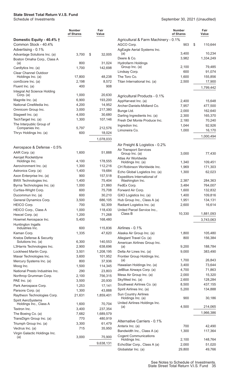|                                            | <b>Number</b><br>of Shares | Fair<br>Value |                                                  | <b>Number</b><br>of Shares | Fair<br>Value       |
|--------------------------------------------|----------------------------|---------------|--------------------------------------------------|----------------------------|---------------------|
| Domestic Equity - 40.4% †                  |                            |               | Agricultural & Farm Machinery - 0.1%             |                            |                     |
| Common Stock - 40.4%                       |                            |               | AGCO Corp.                                       | 903                        | \$<br>110,644       |
| Advertising - 0.1%                         |                            |               | AgEagle Aerial Systems Inc.                      |                            |                     |
| Advantage Solutions Inc. (a)               | 3,700                      | \$<br>32,005  | (a)<br>Deere & Co.                               | 3,400<br>3,982             | 10,234<br>1,334,249 |
| Boston Omaha Corp., Class A<br>(a)         | 800                        | 31,024        | <b>Hydrofarm Holdings</b>                        |                            |                     |
| Cardlytics Inc. (a)                        | 1,700                      | 142,698       | Group Inc. (a)                                   | 2,100                      | 79,485              |
| <b>Clear Channel Outdoor</b>               |                            |               | Lindsay Corp.                                    | 600                        | 91,074              |
| Holdings Inc. (a)                          | 17,800                     | 48,238        | The Toro Co.                                     | 1,600                      | 155,856             |
| comScore Inc. (a)                          | 2,198                      | 8,572         | Titan International Inc. (a)                     | 2,500                      | 17,900              |
| Fluent Inc. (a)                            | 400                        | 908           |                                                  |                            | 1,799,442           |
| Integral Ad Science Holding                |                            |               |                                                  |                            |                     |
| Corp. $(a)$                                | 1,000                      | 20,630        | Agricultural Products - 0.1%                     |                            |                     |
| Magnite Inc. (a)                           | 6,900                      | 193,200       | AppHarvest Inc. (a)                              | 2,400                      | 15,648              |
| National CineMedia Inc.                    | 4,200                      | 14,952        | Archer-Daniels-Midland Co.                       | 7,957                      | 477,500             |
| Omnicom Group Inc.                         | 3,000                      | 217,380       | Bunge Ltd.                                       | 2,000                      | 162,640             |
| Stagwell Inc. (a)                          | 4,000                      | 30,680        | Darling Ingredients Inc. (a)                     | 2,300                      | 165,370             |
| TechTarget Inc. (a)                        | 1,300                      | 107,146       | Fresh Del Monte Produce Inc.                     | 2,180                      | 70,240              |
| The Interpublic Group of<br>Companies Inc. | 5,797                      | 212,576       | Ingredion Inc.                                   | 1,044                      | 92,926              |
| Thryv Holdings Inc. (a)                    | 600                        | 18,024        | Limoneira Co.                                    | 1,000                      | 16,170              |
|                                            |                            |               |                                                  |                            | 1,000,494           |
|                                            |                            | 1,078,033     |                                                  |                            |                     |
| Aerospace & Defense - 0.5%                 |                            |               | Air Freight & Logistics - 0.2%                   |                            |                     |
| AAR Corp. (a)                              | 1,600                      | 51,888        | <b>Air Transport Services</b><br>Group Inc. (a)  | 3,000                      | 77,430              |
| Aerojet Rocketdyne                         |                            |               | Atlas Air Worldwide                              |                            |                     |
| Holdings Inc.                              | 4,100                      | 178,555       | Holdings Inc. (a)                                | 1,340                      | 109,451             |
| Aerovironment Inc. (a)                     | 1,300                      | 112,216       | CH Robinson Worldwide Inc.                       | 1,969                      | 171,303             |
| Astronics Corp. (a)                        | 1,400                      | 19,684        | Echo Global Logistics Inc. (a)                   | 1,300                      | 62,023              |
| Axon Enterprise Inc. (a)                   | 900                        | 157,518       | Expeditors International of                      |                            |                     |
| <b>BWX Technologies Inc.</b>               | 1,400                      | 75,404        | Washington Inc.                                  | 2,387                      | 284,363             |
| Byrna Technologies Inc. (a)                | 1,000                      | 21,860        | FedEx Corp.                                      | 3,484                      | 764,007             |
| Curtiss-Wright Corp.                       | 600                        | 75,708        | Forward Air Corp.                                | 1,600                      | 132,832             |
| Ducommun Inc. (a)                          | 600                        | 30,210        | GXO Logistics Inc. (a)                           | 1,400                      | 109,816             |
| General Dynamics Corp.                     | 3,500                      | 686,105       | Hub Group Inc., Class A (a)                      | 1,951                      | 134,131             |
| HEICO Corp.                                | 700                        | 92,309        | Radiant Logistics Inc. (a)                       | 2,600                      | 16,614              |
| HEICO Corp., Class A                       | 1,000                      | 118,430       | United Parcel Service Inc.,<br>Class B           | 10,330                     | 1,881,093           |
| Hexcel Corp. (a)                           | 1,200                      | 71,268        |                                                  |                            |                     |
| Howmet Aerospace Inc.                      | 5,400                      | 168,480       |                                                  |                            | 3,743,063           |
| Huntington Ingalls<br>Industries Inc.      | 600                        | 115,836       | Airlines - 0.1%                                  |                            |                     |
| Kaman Corp.                                | 1,335                      | 47,620        | Alaska Air Group Inc. (a)                        | 1,800                      | 105,480             |
| Kratos Defense & Security                  |                            |               | Allegiant Travel Co. (a)                         | 800                        | 156,384             |
| Solutions Inc. (a)                         | 6,300                      | 140,553       | American Airlines Group Inc.                     |                            |                     |
| L3Harris Technologies Inc.                 | 2,900                      | 638,696       | (a)                                              | 9,200                      | 188,784             |
| Lockheed Martin Corp.                      | 3,501                      | 1,208,195     | Delta Air Lines Inc. (a)                         | 9,000                      | 383,490             |
| Maxar Technologies Inc.                    | 3,600                      | 101,952       | Frontier Group Holdings Inc.                     |                            |                     |
| Mercury Systems Inc. (a)                   | 800                        | 37,936        | (a)                                              | 1,700                      | 26,843              |
| Moog Inc.                                  | 1,500                      | 114,345       | Hawaiian Holdings Inc. (a)                       | 3,400                      | 73,644              |
| National Presto Industries Inc.            | 290                        | 23,803        | JetBlue Airways Corp. (a)                        | 4,700                      | 71,863              |
| Northrop Grumman Corp.                     | 2,100                      | 756,315       | Mesa Air Group Inc. (a)                          | 2,000                      | 15,320              |
| PAE Inc. (a)                               | 3,500                      | 20,930        | SkyWest Inc. (a)                                 | 2,600                      | 128,284             |
| Park Aerospace Corp.                       | 1,253                      | 17,141        | Southwest Airlines Co. (a)                       | 8,500                      | 437,155             |
| Parsons Corp. (a)                          | 1,300                      | 43,888        | Spirit Airlines Inc. (a)                         | 5,200                      | 134,888             |
| Raytheon Technologies Corp.                | 21,631                     | 1,859,401     | <b>Sun Country Airlines</b><br>Holdings Inc. (a) | 900                        | 30,186              |
| Spirit AeroSystems                         | 1,600                      | 70,704        | United Airlines Holdings Inc.                    |                            |                     |
| Holdings Inc., Class A<br>Textron Inc.     | 3,400                      | 237,354       | (a)                                              | 4,500                      | 214,065             |
| The Boeing Co. (a)                         | 7,682                      | 1,689,579     |                                                  |                            | 1,966,386           |
| TransDigm Group Inc. (a)                   | 770                        | 480,919       |                                                  |                            |                     |
| Triumph Group Inc. (a)                     | 3,300                      | 61,479        | Alternative Carriers - 0.1%                      |                            |                     |
| Vectrus Inc. (a)                           | 715                        | 35,950        | Anterix Inc. (a)                                 | 700                        | 42,490              |
| Virgin Galactic Holdings Inc.              |                            |               | Bandwidth Inc., Class A (a)                      | 1,300                      | 117,364             |
| (a)                                        | 3,000                      | 75,900        | <b>Cogent Communications</b>                     |                            |                     |
|                                            |                            | 9,638,131     | Holdings Inc.<br>EchoStar Corp., Class A (a)     | 2,100<br>2,000             | 148,764<br>51,020   |
|                                            |                            |               | Globalstar Inc. (a)                              | 29,800                     | 49,766              |
|                                            |                            |               |                                                  |                            |                     |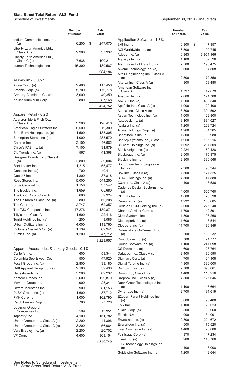|                                                             | <b>Number</b><br>of Shares | Fair<br>Value       |
|-------------------------------------------------------------|----------------------------|---------------------|
| Iridium Communications Inc.<br>(a)                          | 6,200                      | \$<br>247,070       |
| Liberty Latin America Ltd.,<br>Class A (a)                  | 2,900                      | 37,932              |
| Liberty Latin America Ltd.,<br>Class C (a)                  | 7,638                      | 100,211             |
| Lumen Technologies Inc.                                     | 15,300                     | 189,567             |
|                                                             |                            | 984,184             |
| Aluminum - 0.0% *                                           |                            |                     |
| Alcoa Corp. (a)                                             | 2,400                      | 117,456             |
| Arconic Corp. (a)                                           | 5,700                      | 179,778             |
| Century Aluminum Co. (a)<br>Kaiser Aluminum Corp.           | 3,000<br>800               | 40,350<br>87,168    |
|                                                             |                            | 424,752             |
| Apparel Retail - 0.2%                                       |                            |                     |
| Abercrombie & Fitch Co.,                                    |                            |                     |
| Class A (a)                                                 | 3,200                      | 120,416             |
| American Eagle Outfitters Inc.                              | 8,500                      | 219,300             |
| Boot Barn Holdings Inc. (a)                                 | 1,500                      | 133,305             |
| Burlington Stores Inc. (a)<br>Caleres Inc.                  | 1,000                      | 283,570             |
| Chico's FAS Inc. (a)                                        | 2,100<br>7,100             | 46,662<br>31,879    |
| Citi Trends Inc. (a)                                        | 567                        | 41,368              |
| Designer Brands Inc., Class A                               |                            |                     |
| (a)                                                         | 2,800                      | 39,004              |
| Foot Locker Inc.                                            | 1,215                      | 55,477              |
| Genesco Inc. (a)                                            | 700                        | 40,411              |
| Guess? Inc.                                                 | 1,800                      | 37,818              |
| Ross Stores Inc.                                            | 5,000                      | 544,250             |
| Shoe Carnival Inc.<br>The Buckle Inc.                       | 1,158<br>1,659             | 37,542<br>65,680    |
| The Cato Corp., Class A                                     | 600                        | 9,924               |
| The Children's Place Inc. (a)                               | 800                        | 60,208              |
| The Gap Inc.                                                | 2,747                      | 62,357              |
| The TJX Companies Inc.                                      | 17,276                     | 1,139,871           |
| Tilly's Inc., Class A                                       | 1,600                      | 22,416              |
| Torrid Holdings Inc. (a)                                    | 200                        | 3,086               |
| Urban Outfitters Inc. (a)                                   | 4,000                      | 118,760             |
| Victoria's Secret & Co. (a)                                 | 1,139                      | 62,941              |
| Zumiez Inc. (a)                                             | 1,200                      | 47,712<br>3,223,957 |
|                                                             |                            |                     |
| Apparel, Accessories & Luxury Goods - 0.1%<br>Carter's Inc. | 600                        | 58,344              |
| Columbia Sportswear Co.                                     | 500                        | 47,920              |
| Fossil Group Inc. (a)                                       | 2,800                      | 33,180              |
| G-III Apparel Group Ltd. (a)                                | 2,100                      | 59,430              |
| Hanesbrands Inc.                                            | 5,200                      | 89,232              |
| Kontoor Brands Inc.                                         | 2,600                      | 129,870             |
| Movado Group Inc.                                           | 900                        | 28,341              |
| Oxford Industries Inc.                                      | 900                        | 81,153              |
| PLBY Group Inc. (a)                                         | 1,600                      | 37,712              |
| PVH Corp. (a)                                               | 1,000                      | 102,790             |
| Ralph Lauren Corp.<br>Superior Group of                     | 700                        | 77,728              |
| Companies Inc.                                              | 599                        | 13,951              |
| Tapestry Inc.                                               | 4,100                      | 151,782             |
| Under Armour Inc., Class A (a)                              | 2,200                      | 44,396              |
| Under Armour Inc., Class C (a)                              | 3,200                      | 56,064              |
| Vera Bradley Inc. (a)<br>VF Corp.                           | 2,200<br>4,600             | 20,702              |
|                                                             |                            | 308,154             |
|                                                             |                            | 1,340,749           |

|                                               | <b>Number</b><br>of Shares | Fair<br>Value      |
|-----------------------------------------------|----------------------------|--------------------|
| Application Software - 1.7%                   |                            |                    |
| 8x8 Inc. (a)                                  | 6,300                      | \$<br>147,357      |
| ACI Worldwide Inc. (a)                        | 6,500                      | 199,745            |
| Adobe Inc. (a)                                | 6,863                      | 3,951,166          |
| Agilysys Inc. (a)                             | 1,100                      | 57,596             |
| Alarm.com Holdings Inc. (a)                   | 2,500                      | 195,475            |
| Alkami Technology Inc. (a)                    | 600                        | 14,808             |
| Altair Engineering Inc., Class A              |                            |                    |
| (a)                                           | 2,500                      | 172,350            |
| Alteryx Inc., Class A (a)                     | 800                        | 58,480             |
| American Software Inc.,<br>Class A            | 1,797                      | 42,679             |
| Anaplan Inc. (a)                              | 2,000                      | 121,780            |
| ANSYS Inc. (a)                                | 1,200                      | 408,540            |
| Appfolio Inc., Class A (a)                    | 1,000                      | 120,400            |
| Asana Inc., Class A (a)                       | 3,800                      | 394,592            |
| Aspen Technology Inc. (a)                     | 1,000                      | 122,800            |
| Autodesk Inc. (a)                             | 3,100                      | 884,027            |
| Avalara Inc. (a)                              | 1,200                      | 209,724            |
| Avaya Holdings Corp. (a)                      | 4,260                      | 84,305             |
| Benefitfocus Inc. (a)                         | 1,800                      | 19,980             |
| Bentley Systems Inc., Class B                 | 1,900                      | 115,216            |
| Bill.com Holdings Inc. (a)                    | 1,092                      | 291,509            |
| Black Knight Inc. (a)                         | 2,224                      | 160,128            |
| Blackbaud Inc. (a)<br>Blackline Inc. (a)      | 2,500<br>2,800             | 175,875<br>330,568 |
| Bottomline Technologies de                    |                            |                    |
| Inc. (a)                                      | 2,300                      | 90,344             |
| Box Inc., Class A (a)                         | 7,500                      | 177,525            |
| BTRS Holdings Inc. (a)                        | 4,500                      | 47,880             |
| C3.ai Inc., Class A (a)                       | 400                        | 18,536             |
| Cadence Design Systems Inc.                   | 4,000                      |                    |
| (a)<br>CDK Global Inc.                        | 1,800                      | 605,760<br>76,590  |
| Cerence Inc. (a)                              | 1,932                      | 185,685            |
| Ceridian HCM Holding Inc. (a)                 | 2,000                      | 225,240            |
| ChannelAdvisor Corp. (a)                      | 1,700                      | 42,891             |
| Citrix Systems Inc.                           | 1,800                      | 193,266            |
| Cleanspark Inc. (a)                           | 1,600                      | 18,544             |
| Cloudera Inc. (a)                             | 11,700                     | 186,849            |
| Cornerstone OnDemand Inc.                     |                            |                    |
| (a)                                           | 3,200                      | 183,232            |
| Couchbase Inc. (a)<br>Coupa Software Inc. (a) | 700<br>1,100               | 21,777<br>241,098  |
| CS Disco Inc. (a)                             | 600                        | 28,764             |
| Datadog Inc., Class A (a)                     | 3,400                      | 480,590            |
| Digimarc Corp. (a)                            | 700                        | 24,108             |
| Digital Turbine Inc. (a)                      | 4,800                      | 330,000            |
| DocuSign Inc. (a)                             | 2,700                      | 695,061            |
| Domo Inc., Class B (a)                        | 1,400                      | 118,216            |
| Dropbox Inc., Class A (a)                     | 4,300                      | 125,646            |
| Duck Creek Technologies Inc.                  |                            |                    |
| (a)                                           | 1,100                      | 48,664             |
| Dynatrace Inc. (a)                            | 2,700                      | 191,619            |
| E2open Parent Holdings Inc.<br>(a)            | 8,000                      | 90,400             |
| Ebix Inc.                                     | 1,100                      | 29,623             |
| eGain Corp. (a)                               | 300                        | 3,060              |
| Elastic N.V. (a)                              | 900                        | 134,091            |
| Envestnet Inc. (a)                            | 2,800                      | 224,672            |
| Everbridge Inc. (a)                           | 500                        | 75,520             |
| EverCommerce Inc. (a)                         | 1,400                      | 23,086             |
| Fair Isaac Corp. (a)                          | 370                        | 147,234            |
| Five9 Inc. (a)                                | 900                        | 143,766            |
| GTY Technology Holdings Inc.<br>(a)           | 400                        | 3,008              |
| Guidewire Software Inc. (a)                   | 1,200                      | 142,644            |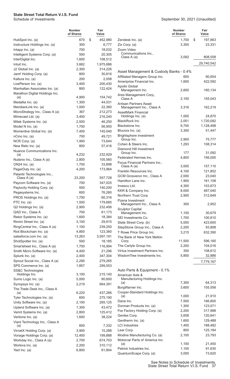|                                                                 | Number<br>of Shares | Fair<br>Value      |                |
|-----------------------------------------------------------------|---------------------|--------------------|----------------|
| HubSpot Inc. (a)                                                | 670                 | \$<br>452,980      | Ž              |
| Instructure Holdings Inc. (a)                                   | 300                 | 6,777              | Z              |
| Intapp Inc. $(a)$                                               | 700                 | 18,032             | Ž              |
| Intelligent Systems Corp. (a)                                   | 500                 | 20,305             |                |
| InterDigital Inc.                                               | 1,600               | 108,512            |                |
| Intuit Inc.                                                     | 3,662               | 1,975,686          |                |
| J2 Global Inc. (a)                                              | 2,300               | 314,226            |                |
| Jamf Holding Corp. (a)                                          | 800                 | 30,816             | $\overline{v}$ |
| Kaltura Inc. (a)                                                | 200                 | 2,058              | $\overline{v}$ |
| LivePerson Inc. (a)                                             | 3,400               | 200,430            | ŀ              |
| Manhattan Associates Inc. (a)<br>Marathon Digital Holdings Inc. | 800                 | 122,424            | ŀ              |
| (a)                                                             | 4,900               | 154,742            |                |
| Medallia Inc. (a)                                               | 1,300               | 44,031             | l              |
| MeridianLink Inc. (a)                                           | 1,000               | 22,360             |                |
| MicroStrategy Inc., Class A (a)                                 | 367                 | 212,273            | ŀ              |
| Mimecast Ltd. (a)<br>Mitek Systems Inc. (a)                     | 3,400<br>2,500      | 216,240<br>46,250  | E              |
| Model N Inc. (a)                                                | 1,700               | 56,950             | E              |
| Momentive Global Inc. (a)                                       | 7,400               | 145,040            | E              |
| nCino Inc. (a)                                                  | 700                 | 49,721             | E              |
| NCR Corp. (a)                                                   | 1,900               | 73,644             |                |
| New Relic Inc. (a)                                              | 800                 | 57,416             | Ç              |
| Nuance Communications Inc.<br>(a)                               | 4,232               | 232,929            | D              |
| Nutanix Inc., Class A (a)                                       | 2,800               | 105,560            | F              |
| ON $24$ Inc. (a)                                                | 1,700               | 33,898             | F              |
| PagerDuty Inc. (a)                                              | 4,200               | 173,964            |                |
| Palantir Technologies Inc.,                                     |                     |                    | F              |
| Class A (a)                                                     | 23,200              | 557,728            | $\mathsf{C}$   |
| Paycom Software Inc. (a)                                        | 700                 | 347,025            | ŀ              |
| Paylocity Holding Corp. (a)                                     | 500                 | 140,200            | I<br>ŀ         |
| Pegasystems Inc.                                                | 600                 | 76,260             |                |
| PROS Holdings Inc. (a)                                          | 1,700               | 60,316             | F              |
| PTC Inc. (a)                                                    | 1,500               | 179,685            |                |
| Q2 Holdings Inc. (a)                                            | 2,900               | 232,406            | Ś              |
| QAD Inc., Class A                                               | 700                 | 61,173             |                |
| Rekor Systems Inc. (a)                                          | 1,600               | 18,384             | Ś              |
| Rimini Street Inc. (a)                                          | 3,100               | 29,915             | Ś              |
| RingCentral Inc., Class A (a)<br>Riot Blockchain Inc. (a)       | 1,100<br>4,800      | 239,250<br>123,360 | S              |
| salesforce.com Inc. (a)                                         | 13,263              | 3,597,191          | Ī              |
| ShotSpotter Inc. (a)                                            | 500                 | 18,185             |                |
| Smartsheet Inc., Class A (a)                                    | 1,700               | 116,994            | $\overline{1}$ |
| Smith Micro Software Inc. (a)                                   | 4,400               | 21,296             | ١              |
| Splunk Inc. (a)                                                 | 2,400               | 347,304            | Λ              |
| Sprout Social Inc., Class A (a)                                 | 2,290               | 279,265            |                |
| SPS Commerce Inc. (a)                                           | 1,857               | 299,553            |                |
| SS&C Technologies<br>Holdings Inc.                              | 3,100               | 215,140            | l              |
| Sumo Logic Inc. (a)                                             | 5,000               | 80,600             |                |
| Synopsys Inc. (a)                                               | 2,219               | 664,391            |                |
| The Trade Desk Inc., Class A<br>(a)                             | 6,220               | 437,266            | E<br>O         |
| Tyler Technologies Inc. (a)                                     | 600                 | 275,190            |                |
| Unity Software Inc. (a)                                         | 2,100               | 265,125            | Ľ              |
| Upland Software Inc. (a)                                        | 1,300               | 43,472             | L              |
| Verint Systems Inc. (a)                                         | 2,800               | 125,412            | F              |
| Veritone Inc. (a)                                               | 1,600               | 38,224             | $\mathbf$      |
| Viant Technology Inc., Class A                                  |                     |                    | $\mathsf{C}$   |
| (a)                                                             | 600                 | 7,332              | $\mathsf{L}$   |
| VirnetX Holding Corp. (a)                                       | 3,900               | 15,288             | $\mathsf{L}$   |
| Vonage Holdings Corp. (a)                                       | 12,400              | 199,888            | Ŋ              |
| Workday Inc., Class A (a)                                       | 2,700               | 674,703            | Ņ              |
| Workiva Inc. (a)                                                | 2,200               | 310,112            | F              |
| Yext Inc. (a)                                                   | 6,800               | 81,804             |                |

|                                                                | <b>Number</b><br>of Shares | Fair<br>Value      |
|----------------------------------------------------------------|----------------------------|--------------------|
| Zendesk Inc. (a)                                               | 1,700                      | \$<br>197,863      |
| Zix Corp. (a)                                                  | 3,300                      | 23,331             |
| Zoom Video                                                     |                            |                    |
| Communications Inc.,                                           |                            |                    |
| Class A (a)                                                    | 3,092                      | 808,558            |
|                                                                |                            | 29,740,542         |
| Asset Management & Custody Banks - 0.4%                        |                            |                    |
| Affiliated Managers Group Inc.                                 | 600                        | 90,654             |
| Ameriprise Financial Inc.                                      | 1,600                      | 422,592            |
| Apollo Global                                                  |                            |                    |
| Management Inc.                                                | 2,600                      | 160,134            |
| Ares Management Corp.,<br>Class A                              | 2,100                      | 155,043            |
| Artisan Partners Asset                                         |                            |                    |
| Management Inc., Class A                                       | 3,316                      | 162,219            |
| AssetMark Financial<br>Holdings Inc. (a)                       | 1,000                      | 24,870             |
| <b>BlackRock Inc.</b>                                          | 2,051                      | 1,720,092          |
| Blackstone Inc.                                                | 9,700                      | 1,128,498          |
| Blucora Inc. (a)                                               | 3,300                      | 51,447             |
| Brightsphere Investment                                        |                            |                    |
| Group Inc.                                                     | 2,900                      | 75,777             |
| Cohen & Steers Inc.                                            | 1,293                      | 108,314            |
| Diamond Hill Investment<br>Group Inc.                          | 177                        | 31,092             |
| Federated Hermes Inc.                                          | 4,800                      | 156,000            |
| Focus Financial Partners Inc.,                                 |                            |                    |
| Class A (a)                                                    | 3,000                      | 157,110            |
| Franklin Resources Inc.                                        | 4,100                      | 121,852            |
| GCM Grosvenor Inc., Class A                                    | 2,000                      | 23,040             |
| Hamilton Lane Inc.                                             | 1,900                      | 161,158            |
| Invesco Ltd.                                                   | 4,300                      | 103,673            |
| KKR & Company Inc.                                             | 8,000                      | 487,040            |
| Northern Trust Corp.<br>Pzena Investment                       | 2,900                      | 312,649            |
| Management Inc., Class A                                       | 300                        | 2,952              |
| <b>Sculptor Capital</b><br>Management Inc.                     | 1,100                      | 30,679             |
| SEI Investments Co.                                            | 1,700                      | 100,810            |
| State Street Corp. (b)                                         | 5,000                      | 423,600            |
| StepStone Group Inc., Class A                                  | 2,200                      | 93,808             |
| T Rowe Price Group Inc.                                        | 3,215                      | 632,390            |
| The Bank of New York Mellon                                    |                            |                    |
| Corp.                                                          | 11,500                     | 596,160            |
| The Carlyle Group Inc.                                         | 2,200                      | 104,016            |
| Virtus Investment Partners Inc.<br>WisdomTree Investments Inc. | 350<br>5,800               | 108,612<br>32,886  |
|                                                                |                            |                    |
|                                                                |                            | 7,779,167          |
| Auto Parts & Equipment - 0.1%                                  |                            |                    |
| American Axle &<br>Manufacturing Holdings Inc.                 |                            |                    |
| (a)                                                            | 7,300                      | 64,313             |
| BorgWarner Inc.                                                | 3,600                      | 155,556            |
| Cooper-Standard Holdings Inc.                                  |                            |                    |
| (a)                                                            | 1,000                      | 21,910             |
| Dana Inc.                                                      | 7,500                      | 166,800            |
| Dorman Products Inc. (a)<br>Fox Factory Holding Corp. (a)      | 1,300<br>2,200             | 123,071<br>317,988 |
| Gentex Corp.                                                   | 3,658                      | 120,641            |
| Gentherm Inc. (a)                                              | 1,600                      | 129,488            |
| <b>LCI Industries</b>                                          | 1,400                      | 188,482            |
| Lear Corp.                                                     | 800                        | 125,184            |
| Modine Manufacturing Co. (a)                                   | 2,100                      | 23,793             |
| Motorcar Parts of America Inc.                                 |                            |                    |
| (a)                                                            | 1,100                      | 21,450             |
| Patrick Industries Inc.                                        | 1,100                      | 91,630             |
| QuantumScape Corp. (a)                                         | 3,000                      | 73,620             |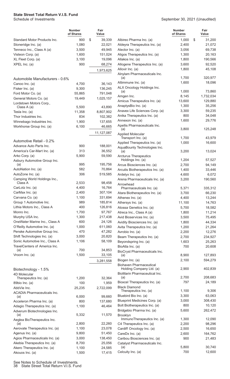|                                                | <b>Number</b><br>of Shares | Fair<br>Value    |                                                          | <b>Number</b><br>of Shares | Fair<br>Value    |
|------------------------------------------------|----------------------------|------------------|----------------------------------------------------------|----------------------------|------------------|
| Standard Motor Products Inc.                   | 900                        | \$<br>39,339     | Albireo Pharma Inc. (a)                                  | 1,000                      | \$<br>31,200     |
| Stoneridge Inc. (a)                            | 1,080                      | 22,021           | Aldeyra Therapeutics Inc. (a)                            | 2,400                      | 21,072           |
| Tenneco Inc., Class A (a)                      | 3,500                      | 49,945           | Alector Inc. (a)                                         | 3,056                      | 69,738           |
| Visteon Corp. (a)                              | 1,600                      | 151,024          | Aligos Therapeutics Inc. (a)                             | 1,300                      | 20,163           |
| XL Fleet Corp. (a)                             | 3,100                      | 19,096           | Allakos Inc. (a)                                         | 1,800                      | 190,566          |
| XPEL Inc. (a)                                  | 900                        | 68,274           | Allogene Therapeutics Inc. (a)                           | 3,600                      | 92,520           |
|                                                |                            | 1,973,625        | Allovir Inc. (a)                                         | 1,800                      | 45,108           |
|                                                |                            |                  | Alnylam Pharmaceuticals Inc.                             |                            |                  |
| Automobile Manufacturers - 0.6%                |                            |                  | (a)                                                      | 1,700                      | 320,977          |
| Canoo Inc. (a)                                 | 4,700                      | 36,143           | Altimmune Inc. (a)                                       | 1,600                      | 18,096           |
| Fisker Inc. (a)                                | 9,300                      | 136,245          | ALX Oncology Holdings Inc.                               |                            |                  |
| Ford Motor Co. (a)                             | 55,865                     | 791,048          | (a)                                                      | 1,000                      | 73,860           |
| General Motors Co. (a)                         | 19,449                     | 1,025,157        | Amgen Inc.                                               | 8,145                      | 1,732,034        |
| Lordstown Motors Corp.,                        |                            |                  | Amicus Therapeutics Inc. (a)                             | 13,600                     | 129,880          |
| Class A (a)                                    | 5,500                      | 43,890           | AnaptysBio Inc. (a)                                      | 1,300                      | 35,256           |
| Tesla Inc. (a)                                 | 11,358                     | 8,807,902        | Anavex Life Sciences Corp. (a)                           | 3,300                      | 59,235           |
| Thor Industries Inc.                           | 834                        | 102,382          | Anika Therapeutics Inc. (a)                              | 800<br>1,600               | 34,048<br>29,776 |
| Winnebago Industries Inc.                      | 1,900                      | 137,655          | Annexon Inc. (a)<br>Apellis Pharmaceuticals Inc.         |                            |                  |
| Workhorse Group Inc. (a)                       | 6,100                      | 46,665           | (a)                                                      | 3,800                      | 125,248          |
|                                                |                            | 11,127,087       | <b>Applied Molecular</b>                                 |                            |                  |
|                                                |                            |                  | Transport Inc. (a)                                       | 1,700                      | 43,979           |
| Automotive Retail - 0.2%                       |                            |                  | Applied Therapeutics Inc. (a)                            | 1,000                      | 16,600           |
| Advance Auto Parts Inc.                        | 900                        | 188,001          | AquaBounty Technologies Inc.                             |                            |                  |
| America's Car-Mart Inc. (a)                    | 313                        | 36,552           | (a)                                                      | 3,200                      | 13,024           |
| Arko Corp. (a)                                 | 5,900                      | 59,590           | <b>Arcturus Therapeutics</b>                             |                            |                  |
| Asbury Automotive Group Inc.                   | 995                        | 195,756          | Holdings Inc. (a)                                        | 1,204                      | 57,527           |
| (a)<br>AutoNation Inc. (a)                     | 582                        | 70,864           | Arcus Biosciences Inc. (a)                               | 2,700                      | 94,149           |
| AutoZone Inc. (a)                              | 306                        | 519,585          | Arcutis Biotherapeutics Inc. (a)                         | 1,400<br>4,600             | 33,446<br>6,072  |
| Camping World Holdings Inc.,                   |                            |                  | Ardelyx Inc. (a)<br>Arena Pharmaceuticals Inc. (a)       | 3,200                      | 190,560          |
| Class A                                        | 2,533                      | 98,458           | Arrowhead                                                |                            |                  |
| CarLotz Inc. (a)                               | 4,400                      | 16,764           | Pharmaceuticals Inc. (a)                                 | 5,371                      | 335,312          |
| CarMax Inc. (a)                                | 2,400                      | 307,104          | Atara Biotherapeutics Inc. (a)                           | 3,700                      | 66,230           |
| Carvana Co. (a)                                | 1,100                      | 331,694          | Athenex Inc. (a)                                         | 4,400                      | 13,244           |
| Group 1 Automotive Inc.                        | 989                        | 185,814          | Athersys Inc. (a)                                        | 11,100                     | 14,763           |
| Lithia Motors Inc., Class A                    | 400                        | 126,816          | Atossa Genetics Inc. (a)                                 | 5,700                      | 18,582           |
| Monro Inc.                                     | 1,700                      | 97,767           | Atreca Inc., Class A (a)                                 | 1,800                      | 11,214           |
| Murphy USA Inc.                                | 1,300                      | 217,438          | Avid Bioservices Inc. (a)                                | 3,500                      | 75,495           |
| OneWater Marine Inc., Class A                  | 600                        | 24,126           | Avidity Biosciences Inc. (a)                             | 1,800                      | 44,334           |
| O'Reilly Automotive Inc. (a)                   | 1,000                      | 611,060          | Avita Therapeutics Inc. (a)                              | 1,200                      | 21,264           |
| Penske Automotive Group Inc.                   | 470                        | 47,282           | Avrobio Inc. (a)                                         | 2,200                      | 12,276           |
| Shift Technologies Inc. (a)                    | 3,000                      | 20,820           | Beam Therapeutics Inc. (a)                               | 2,700                      | 234,927          |
| Sonic Automotive Inc., Class A                 | 1,106                      | 58,109           | Beyondspring Inc. (a)                                    | 1,603                      | 25,263           |
| TravelCenters of America Inc.                  |                            |                  | BioAtla Inc. (a)                                         | 700                        | 20,608           |
| (a)                                            | 700                        | 34,853           | BioCryst Pharmaceuticals Inc.                            |                            |                  |
| Vroom Inc. (a)                                 | 1,500                      | 33,105           | (a)                                                      | 8,900                      | 127,893          |
|                                                |                            | 3,281,558        | Biogen Inc. (a)                                          | 2,100                      | 594,279          |
|                                                |                            |                  | <b>Biohaven Pharmaceutical</b>                           |                            |                  |
| Biotechnology - 1.5%                           |                            |                  | Holding Company Ltd. (a)<br>BioMarin Pharmaceutical Inc. | 2,900                      | 402,839          |
| 4D Molecular<br>Therapeutics Inc. (a)          | 1,200                      | 32,364           | (a)                                                      | 2,700                      | 208,683          |
| 89bio Inc. (a)                                 | 100                        | 1,959            | Bioxcel Therapeutics Inc. (a)                            | 797                        | 24,189           |
| AbbVie Inc.                                    | 25,235                     | 2,722,099        | <b>Black Diamond</b>                                     |                            |                  |
| <b>ACADIA Pharmaceuticals Inc.</b>             |                            |                  | Therapeutics Inc. (a)                                    | 1,100                      | 9,306            |
| (a)                                            | 6,000                      | 99,660           | Bluebird Bio Inc. (a)                                    | 3,300                      | 63,063           |
| Acceleron Pharma Inc. (a)                      | 800                        | 137,680          | Blueprint Medicines Corp. (a)                            | 3,000                      | 308,430          |
| Adagio Therapeutics Inc. (a)                   | 1,100                      | 46,464           | Bolt Biotherapeutics Inc. (a)                            | 800                        | 10,120           |
| Adverum Biotechnologies Inc.                   |                            |                  | Bridgebio Pharma Inc. (a)                                | 5,600                      | 262,472          |
| (a)                                            | 5,332                      | 11,570           | <b>Brooklyn</b>                                          |                            |                  |
| Aeglea BioTherapeutics Inc.                    |                            |                  | ImmunoTherapeutics Inc. (a)                              | 1,300                      | 12,090           |
| (a)                                            | 2,800                      | 22,260           | C4 Therapeutics Inc. (a)                                 | 2,200                      | 98,296           |
| Aerovate Therapeutics Inc. (a)                 | 1,100                      | 23,078           | Cardiff Oncology Inc. (a)                                | 2,500                      | 16,650           |
| Agenus Inc. (a)                                | 9,800                      | 51,450           | CareDx Inc. (a)                                          | 2,600                      | 164,762          |
| Agios Pharmaceuticals Inc. (a)                 | 3,000                      | 138,450          | Caribou Biosciences Inc. (a)                             | 900                        | 21,483           |
| Akebia Therapeutics Inc. (a)                   | 8,700                      | 25,056           | Catalyst Pharmaceuticals Inc.<br>(a)                     | 5,800                      | 30,740           |
| Akero Therapeutics Inc. (a)<br>Akouos Inc. (a) | 1,100<br>1,500             | 24,585<br>17,415 | Celcuity Inc. (a)                                        | 700                        | 12,600           |
|                                                |                            |                  |                                                          |                            |                  |

See Notes to Schedule of Investments.

38 State Street Total Return V.I.S. Fund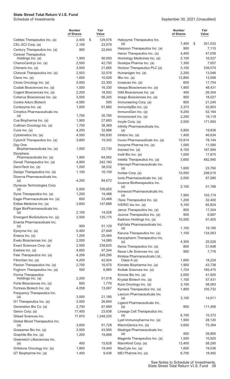|                                                                | <b>Number</b><br>of Shares | Fair<br>Value       |                                                            | <b>Number</b><br>of Shares | Fair<br>Value     |
|----------------------------------------------------------------|----------------------------|---------------------|------------------------------------------------------------|----------------------------|-------------------|
| Celldex Therapeutics Inc. (a)                                  | 2,400                      | \$<br>129,576       | Halozyme Therapeutics Inc.                                 |                            |                   |
| CEL-SCI Corp. (a)                                              | 2,100                      | 23,079              | (a)                                                        | 7,400                      | \$<br>301,032     |
| Century Therapeutics Inc. (a)                                  | 900                        | 22,644              | Harpoon Therapeutics Inc. (a)                              | 900                        | 7,110             |
| <b>Cerevel Therapeutics</b><br>Holdings Inc. (a)               | 1,900                      | 56,050              | Heron Therapeutics Inc. (a)<br>Homology Medicines Inc. (a) | 4,400<br>2,100             | 47,036<br>16,527  |
| ChemoCentryx Inc. (a)                                          | 2,500                      | 42,750              | Hookipa Pharma Inc. (a)                                    | 1,300                      | 7,657             |
| Chimerix Inc. (a)                                              | 3,500                      | 21,665              | Horizon Therapeutics PLC (a)                               | 3,100                      | 339,574           |
| Chinook Therapeutics Inc. (a)                                  | 2,553                      | 32,576              | Humanigen Inc. (a)                                         | 2,200                      | 13,046            |
| Clene Inc. (a)                                                 | 1,600                      | 10,928              | iBio Inc. (a)                                              | 12,800                     | 13,568            |
| Clovis Oncology Inc. (a)                                       | 5,000                      | 22,300              | Icosavax Inc. (a)                                          | 600                        | 17,754            |
| Codiak Biosciences Inc. (a)                                    | 1,000                      | 16,330              | Ideaya Biosciences Inc. (a)                                | 1,900                      | 48,431            |
| Cogent Biosciences Inc. (a)                                    | 2,200                      | 18,502              | IGM Biosciences Inc. (a)                                   | 400                        | 26,304            |
| Coherus Biosciences Inc. (a)                                   | 3,500                      | 56,245              | Imago Biosciences Inc. (a)                                 | 900                        | 18,027            |
| Contra Aduro Biotech                                           | 4,580                      | 595                 | Immuneering Corp. (a)                                      | 800                        | 21,240            |
| Cortexyme Inc. (a)                                             | 1,000                      | 91,660              | ImmunityBio Inc. (a)                                       | 3,373                      | 32,853            |
| Crinetics Pharmaceuticals Inc.                                 |                            |                     | ImmunoGen Inc. (a)                                         | 9,200                      | 52,164            |
| (a)                                                            | 1,700                      | 35,785              | Immunovant Inc. (a)                                        | 2,200                      | 19,118            |
| Cue Biopharma Inc. (a)                                         | 1,900                      | 27,683              | Incyte Corp. (a)                                           | 2,500                      | 171,950           |
| Cullinan Oncology Inc. (a)                                     | 1,700<br>4,200             | 38,369<br>32,886    | Infinity Pharmaceuticals Inc.                              | 5,800                      | 19,836            |
| Curis Inc. (a)<br>Cytokinetics Inc. (a)                        | 4,500                      | 160,830             | (a)<br>Inhibrx Inc. (a)                                    | 1,400                      | 46,634            |
| CytomX Therapeutics Inc. (a)                                   | 3,800                      | 19,342              | Inovio Pharmaceuticals Inc. (a)                            | 10,914                     | 78,144            |
| Day One                                                        |                            |                     | Inozyme Pharma Inc. (a)                                    | 1,000                      | 11,590            |
| Biopharmaceuticals Inc. (a)                                    | 1,000                      | 23,730              | Insmed Inc. (a)                                            | 6,100                      | 167,994           |
| Deciphera                                                      |                            |                     | Instil Bio Inc. (a)                                        | 1,000                      | 17,875            |
| Pharmaceuticals Inc. (a)                                       | 1,900                      | 64,562              | Intellia Therapeutics Inc. (a)                             | 3,600                      | 482,940           |
| Denali Therapeutics Inc. (a)                                   | 4,800                      | 242,160             | Intercept Pharmaceuticals Inc.                             |                            |                   |
| DermTech Inc. (a)                                              | 1,200                      | 38,532              | (a)                                                        | 1,600                      | 23,760            |
| Design Therapeutics Inc. (a)                                   | 1,100                      | 16,159              | Invitae Corp. (a)                                          | 10,500                     | 298,515           |
| Dicerna Pharmaceuticals Inc.<br>(a)                            | 4,200                      | 84,672              | Ionis Pharmaceuticals Inc. (a)                             | 2,000                      | 67,080            |
| Dynavax Technologies Corp.                                     |                            |                     | lovance Biotherapeutics Inc.<br>(a)                        | 2,100                      | 51,786            |
| (a)                                                            | 5,500                      | 105,655             | Ironwood Pharmaceuticals Inc.                              |                            |                   |
| Dyne Therapeutics Inc. (a)                                     | 1,200                      | 19,488              | (a)                                                        | 7,900                      | 103,174           |
| Eagle Pharmaceuticals Inc. (a)                                 | 600                        | 33,468              | iTeos Therapeutics Inc. (a)                                | 1,200                      | 32,400            |
| Editas Medicine Inc. (a)                                       | 3,600                      | 147,888             | IVERIC bio Inc. (a)                                        | 5,100                      | 82,824            |
| Eiger BioPharmaceuticals Inc.<br>(a)                           | 2,100                      | 14,028              | Janux Therapeutics Inc. (a)                                | 800                        | 17,304            |
| Emergent BioSolutions Inc. (a)                                 | 2,500                      | 125,175             | Jounce Therapeutics Inc. (a)                               | 900                        | 6,687             |
| Enanta Pharmaceuticals Inc.                                    |                            |                     | Kadmon Holdings Inc. (a)                                   | 10,500                     | 91,455            |
| (a)                                                            | 900                        | 51,129              | KalVista Pharmaceuticals Inc.<br>(a)                       | 1,100                      | 19,195            |
| Epizyme Inc. (a)                                               | 5,400                      | 27,648              | Karuna Therapeutics Inc. (a)                               | 1,100                      | 134,563           |
| Erasca Inc. (a)                                                | 1,200                      | 25,464              | Karyopharm Therapeutics Inc.                               |                            |                   |
| Evelo Biosciences Inc. (a)                                     | 2,000                      | 14,080              | (a)                                                        | 4,300                      | 25,026            |
| Exact Sciences Corp. (a)                                       | 2,500                      | 238,625             | Keros Therapeutics Inc. (a)                                | 800                        | 31,648            |
| Exelixis Inc. (a)                                              | 4,600                      | 97,244              | Kezar Life Sciences Inc. (a)                               | 900                        | 7,776             |
| Fate Therapeutics Inc. (a)                                     | 4,206                      | 249,290             | Kiniksa Pharmaceuticals Ltd.,                              |                            |                   |
| FibroGen Inc. (a)                                              | 4,200<br>2,700             | 42,924<br>16,470    | Class A (a)                                                | 1,600<br>1,900             | 18,224            |
| Flexion Therapeutics Inc. (a)<br>Foghorn Therapeutics Inc. (a) | 500                        | 6,965               | Kinnate Biopharma Inc. (a)<br>Kodiak Sciences Inc. (a)     | 1,724                      | 43,738<br>165,470 |
| Forma Therapeutics                                             |                            |                     | Kronos Bio Inc. (a)                                        | 2,000                      | 41,920            |
| Holdings Inc. (a)                                              | 2,200                      | 51,018              | Krystal Biotech Inc. (a)                                   | 1,100                      | 57,431            |
| Forte Biosciences Inc. (a)                                     | 600                        | 1,776               | Kura Oncology Inc. (a)                                     | 3,100                      | 58,063            |
| Fortress Biotech Inc. (a)                                      | 4,058                      | 13,067              | Kymera Therapeutics Inc. (a)                               | 1,800                      | 105,732           |
| Frequency Therapeutics Inc.                                    |                            |                     | Lexicon Pharmaceuticals Inc.                               |                            |                   |
| (a)                                                            | 3,000                      | 21,180              | (a)                                                        | 3,100                      | 14,911            |
| G1 Therapeutics Inc. (a)                                       | 2,000                      | 26,840              | Ligand Pharmaceuticals Inc.                                |                            |                   |
| Generation Bio Co. (a)<br>Geron Corp. (a)                      | 2,700                      | 67,689              | (a)                                                        | 800                        | 111,456           |
| Gilead Sciences Inc.                                           | 17,400<br>17,870           | 23,838<br>1,248,220 | Lineage Cell Therapeutics Inc.<br>(a)                      | 6,100                      | 15,372            |
| Global Blood Therapeutics Inc.                                 |                            |                     | Lyell Immunopharma Inc. (a)                                | 1,900                      | 28,120            |
| (a)                                                            | 3,600                      | 91,728              | MacroGenics Inc. (a)                                       | 3,600                      | 75,384            |
| Gossamer Bio Inc. (a)                                          | 3,500                      | 43,995              | Madrigal Pharmaceuticals Inc.                              |                            |                   |
| Graphite Bio Inc. (a)                                          | 1,200                      | 19,668              | (a)                                                        | 500                        | 39,895            |
| Greenwich Lifesciences Inc.                                    |                            |                     | Magenta Therapeutics Inc. (a)                              | 1,500                      | 10,920            |
| (a)                                                            | 400                        | 15,628              | MannKind Corp. (a)                                         | 13,400                     | 58,290            |
| Gritstone Oncology Inc. (a)                                    | 1,800                      | 19,440              | MaxCyte Inc. (a)                                           | 1,600                      | 19,536            |
| GT Biopharma Inc. (a)                                          | 1,400                      | 9,436               | MEI Pharma Inc. (a)                                        | 6,700                      | 18,492            |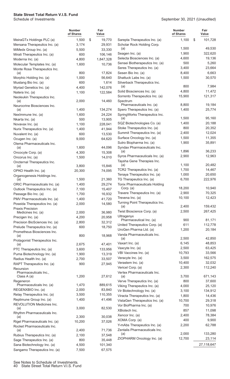|                                                            | <b>Number</b><br>of Shares | Fair<br>Value |                                                                 | <b>Number</b><br>of Shares | Fair<br>Value    |
|------------------------------------------------------------|----------------------------|---------------|-----------------------------------------------------------------|----------------------------|------------------|
| MeiraGTx Holdings PLC (a)                                  | 1,500                      | \$<br>19,770  | Sarepta Therapeutics Inc. (a)                                   | 1,100                      | \$<br>101,728    |
| Mersana Therapeutics Inc. (a)                              | 3,174                      | 29,931        | Scholar Rock Holding Corp.                                      |                            |                  |
| MiMedx Group Inc. (a)                                      | 5,500                      | 33,330        | (a)                                                             | 1,500                      | 49,530           |
| Mirati Therapeutics Inc. (a)                               | 600                        | 106,146       | Seagen Inc. (a)                                                 | 1,900                      | 322,620          |
| Moderna Inc. (a)                                           | 4,800                      | 1,847,328     | Selecta Biosciences Inc. (a)                                    | 4,600                      | 19,136           |
| Molecular Templates Inc. (a)                               | 1,600                      | 10,736        | Sensei Biotherapeutics Inc. (a)                                 | 500                        | 5,260            |
| Monte Rosa Therapeutics Inc.                               |                            |               | Seres Therapeutics Inc. (a)                                     | 3,400                      | 23,664           |
| (a)                                                        | 800                        | 17,824        | Sesen Bio Inc. (a)                                              | 8,400                      | 6,663            |
| Morphic Holding Inc. (a)                                   | 1,000                      | 56,640        | Shattuck Labs Inc. (a)                                          | 1,500                      | 30,570           |
| Mustang Bio Inc. (a)                                       | 600                        | 1,614         | Silverback Therapeutics Inc.<br>(a)                             | 800                        | 7,984            |
| Myriad Genetics Inc. (a)                                   | 4,400                      | 142,076       | Solid Biosciences Inc. (a)                                      | 4,800                      | 11,472           |
| Natera Inc. (a)                                            | 1,100                      | 122,584       | Sorrento Therapeutics Inc. (a)                                  | 15,900                     | 121,317          |
| Neoleukin Therapeutics Inc.<br>(a)                         | 2,000                      | 14,460        | Spectrum                                                        |                            |                  |
| Neurocrine Biosciences Inc.                                |                            |               | Pharmaceuticals Inc. (a)                                        | 8,800                      | 19,184           |
| (a)                                                        | 1,400                      | 134,274       | Spero Therapeutics Inc. (a)                                     | 1,400                      | 25,774           |
| NexImmune Inc. (a)                                         | 1,600                      | 24,224        | SpringWorks Therapeutics Inc.                                   |                            |                  |
| Nkarta Inc. (a)                                            | 500                        | 13,905        | (a)                                                             | 1,500                      | 95,160           |
| Novavax Inc. (a)                                           | 1,100                      | 228,041       | SQZ Biotechnologies Co. (a)                                     | 1,400                      | 20,188           |
| Nurix Therapeutics Inc. (a)                                | 1,400                      | 41,944        | Stoke Therapeutics Inc. (a)                                     | 800                        | 20,352           |
| Nuvalent Inc. (a)                                          | 600                        | 13,530        | Summit Therapeutics Inc. (a)                                    | 2,400                      | 12,024           |
| Ocugen Inc. (a)                                            | 9,000                      | 64,620        | Surface Oncology Inc. (a)                                       | 1,500                      | 11,355           |
| Olema Pharmaceuticals Inc.                                 |                            |               | Sutro Biopharma Inc. (a)                                        | 1,900                      | 35,891           |
| (a)                                                        | 1,600                      | 44,096        | Syndax Pharmaceuticals Inc.                                     | 1,896                      | 36,233           |
| Oncocyte Corp. (a)                                         | 4,300                      | 15,308        | (a)<br>Syros Pharmaceuticals Inc. (a)                           | 2,900                      | 12,963           |
| Oncorus Inc. (a)                                           | 1,500                      | 14,010        | Taysha Gene Therapies Inc.                                      |                            |                  |
| Oncternal Therapeutics Inc.<br>(a)                         | 3,800                      | 15,846        | (a)                                                             | 1,100                      | 20,482           |
| OPKO Health Inc. (a)                                       | 20,300                     | 74,095        | TCR2 Therapeutics Inc. (a)                                      | 1,700                      | 14,467           |
| Organogenesis Holdings Inc.                                |                            |               | Tenaya Therapeutics Inc. (a)                                    | 1,000                      | 20,650           |
| (a)                                                        | 1,500                      | 21,360        | TG Therapeutics Inc. (a)                                        | 6,700                      | 222,976          |
| ORIC Pharmaceuticals Inc. (a)                              | 1,400                      | 29,274        | Tonix Pharmaceuticals Holding                                   |                            |                  |
| Outlook Therapeutics Inc. (a)                              | 7,100                      | 15,407        | Corp. (a)                                                       | 18,200                     | 10,940           |
| Passage Bio Inc. (a)                                       | 1,700                      | 16,932        | Travere Therapeutics Inc. (a)                                   | 2,900                      | 70,325           |
| PMV Pharmaceuticals Inc. (a)                               | 1,400                      | 41,720        | Trevena Inc. (a)                                                | 10,100                     | 12,423           |
| Poseida Therapeutics Inc. (a)                              | 2,000                      | 14,580        | Turning Point Therapeutics Inc.                                 |                            |                  |
| <b>Praxis Precision</b>                                    |                            |               | (a)<br>Twist Bioscience Corp. (a)                               | 2,400                      | 159,432          |
| Medicines Inc. (a)                                         | 2,000                      | 36,980        |                                                                 | 2,500                      | 267,425          |
| Precigen Inc. (a)                                          | 4,200                      | 20,958        | Ultragenyx<br>Pharmaceutical Inc. (a)                           | 900                        | 81,171           |
| Precision BioSciences Inc. (a)                             | 2,800                      | 32,312        | United Therapeutics Corp. (a)                                   | 611                        | 112,778          |
| Prelude Therapeutics Inc. (a)                              | 600                        | 18,750        | UroGen Pharma Ltd. (a)                                          | 1,200                      | 20,184           |
| Prometheus Biosciences Inc.<br>(a)                         | 800                        | 18,968        | Vanda Pharmaceuticals Inc.                                      |                            |                  |
| Protagonist Therapeutics Inc.                              |                            |               | (a)                                                             | 2,500                      | 42,850           |
| (a)                                                        | 2,675                      | 47,401        | Vaxart Inc. (a)                                                 | 6,145                      | 48,853           |
| PTC Therapeutics Inc. (a)                                  | 3,600                      | 133,956       | Vaxcyte Inc. (a)                                                | 2,500                      | 63,425           |
| Puma Biotechnology Inc. (a)                                | 1,900                      | 13,319        | VBI Vaccines Inc. (a)                                           | 10,793                     | 33,566           |
| Radius Health Inc. (a)                                     | 2,700                      | 33,507        | Veracyte Inc. (a)                                               | 3,500                      | 162,575          |
| RAPT Therapeutics Inc. (a)                                 | 900                        | 27,945        | Verastem Inc. (a)                                               | 10,400                     | 32,032           |
| Recursion                                                  |                            |               | Vericel Corp. (a)                                               | 2,300                      | 112,240          |
| Pharmaceuticals Inc.,                                      |                            |               | Vertex Pharmaceuticals Inc.                                     |                            |                  |
| Class A (a)                                                | 1,200                      | 27,612        | (a)                                                             | 3,700                      | 671,143          |
| Regeneron<br>Pharmaceuticals Inc. (a)                      | 1,470                      | 889,615       | Verve Therapeutics Inc. (a)                                     | 800                        | 37,600           |
| REGENXBIO Inc. (a)                                         | 2,000                      | 83,840        | Viking Therapeutics Inc. (a)<br>Vir Biotechnology Inc. (a)      | 4,000                      | 25,120           |
| Relay Therapeutics Inc. (a)                                | 3,500                      | 110,355       |                                                                 | 3,100                      | 134,912          |
| Replimune Group Inc. (a)                                   | 1,400                      | 41,496        | Viracta Therapeutics Inc. (a)<br>VistaGen Therapeutics Inc. (a) | 1,800                      | 14,436           |
| REVOLUTION Medicines Inc.                                  |                            |               | Vor BioPharma Inc. (a)                                          | 10,700<br>700              | 29,318<br>10,976 |
| (a)                                                        | 3,000                      | 82,530        | XBiotech Inc.                                                   | 857                        | 11,098           |
| Rhythm Pharmaceuticals Inc.                                |                            |               | Xencor Inc. (a)                                                 | 2,400                      | 78,384           |
| (a)                                                        | 2,300                      | 30,038        | XOMA Corp. (a)                                                  | 400                        | 9,900            |
| Rigel Pharmaceuticals Inc. (a)                             | 10,200                     | 37,026        | Y-mAbs Therapeutics Inc. (a)                                    | 2,200                      | 62,788           |
| Rocket Pharmaceuticals Inc.                                |                            | 71,736        | Zentalis Pharmaceuticals Inc.                                   |                            |                  |
| (a)                                                        | 2,400<br>2,100             | 37,548        | (a)                                                             | 2,000                      | 133,280          |
| Rubius Therapeutics Inc. (a)<br>Sage Therapeutics Inc. (a) | 800                        | 35,448        | ZIOPHARM Oncology Inc. (a)                                      | 12,700                     | 23,114           |
| Sana Biotechnology Inc. (a)                                | 4,500                      | 101,340       |                                                                 |                            | 27,118,647       |
| Sangamo Therapeutics Inc. (a)                              | 7,500                      | 67,575        |                                                                 |                            |                  |
|                                                            |                            |               |                                                                 |                            |                  |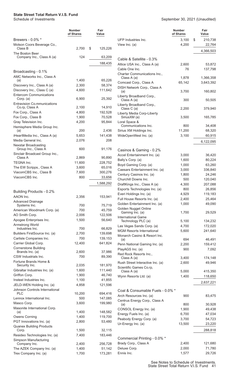#### September 30, 2021 (Unaudited)

**Fair**

|                                                    | <b>Number</b><br>of Shares | Fair<br>Value      |                                                 | <b>Number</b><br>of Shares | Fair<br>Value     |
|----------------------------------------------------|----------------------------|--------------------|-------------------------------------------------|----------------------------|-------------------|
| Brewers - 0.0% *                                   |                            |                    | UFP Industries Inc.                             | 3,100                      | 210,738<br>\$     |
| Molson Coors Beverage Co.,                         |                            |                    | View Inc. (a)                                   | 4,200                      | 22,764            |
| Class B                                            | 2,700                      | \$<br>125,226      |                                                 |                            | 4,366,503         |
| The Boston Beer<br>Company Inc., Class A (a)       | 124                        | 63,209             |                                                 |                            |                   |
|                                                    |                            | 188,435            | Cable & Satellite - 0.3%                        |                            |                   |
|                                                    |                            |                    | Altice USA Inc., Class A (a)<br>Cable One Inc.  | 2,600<br>76                | 53,872<br>137,798 |
| Broadcasting - 0.1%                                |                            |                    | Charter Communications Inc.,                    |                            |                   |
| AMC Networks Inc., Class A                         |                            |                    | Class A (a)                                     | 1,878                      | 1,366,358         |
| (a)<br>Discovery Inc., Class A (a)                 | 1,400<br>2,300             | 65,226<br>58,374   | Comcast Corp., Class A                          | 65,142                     | 3,643,392         |
| Discovery Inc., Class C (a)                        | 4,600                      | 111,642            | DISH Network Corp., Class A                     |                            |                   |
| <b>Entercom Communications</b>                     |                            |                    | (a)                                             | 3,700                      | 160,802           |
| Corp. (a)                                          | 6,900                      | 25,392             | Liberty Broadband Corp.,<br>Class A (a)         | 300                        | 50,505            |
| <b>Entravision Co.mmunications</b>                 |                            |                    | Liberty Broadband Corp.,                        |                            |                   |
| Co.rp, Class A                                     | 2,100                      | 14,910             | Class $C(a)$                                    | 2,200                      | 379,940           |
| Fox Corp., Class A<br>Fox Corp., Class B           | 4,800<br>1,900             | 192,528<br>70,528  | Liberty Media Corp-Liberty<br>SiriusXM (a)      | 3,500                      | 165,785           |
| Gray Television Inc.                               | 4,200                      | 95,844             | Loral Space &                                   |                            |                   |
| Hemisphere Media Group Inc.                        |                            |                    | Communications Inc.                             | 800                        | 34,408            |
| (a)                                                | 200                        | 2.436              | Sirius XM Holdings Inc.                         | 11,200                     | 68,320            |
| iHeartMedia Inc., Class A (a)                      | 5,653                      | 141,438            | WideOpenWest Inc. (a)                           | 3,100                      | 60,915            |
| Media General Inc.                                 | 2,076                      | 208                |                                                 |                            | 6,122,095         |
| <b>Nexstar Broadcasting</b><br>Group Inc., Class A | 600                        | 91,176             |                                                 |                            |                   |
| Sinclair Broadcast Group Inc.,                     |                            |                    | Casinos & Gaming - 0.2%                         |                            |                   |
| Class A                                            | 2,869                      | 90,890             | Accel Entertainment Inc. (a)                    | 3,000                      | 36,420            |
| <b>TEGNA Inc.</b>                                  | 11,600                     | 228,752            | Bally's Corp. (a)<br>Boyd Gaming Corp. (a)      | 1,600<br>1,000             | 80,224<br>63,260  |
| The EW Scripps., Class A                           | 3,600                      | 65,016             | Caesars Entertainment Inc. (a)                  | 3,000                      | 336,840           |
| ViacomCBS Inc., Class B                            | 7,600                      | 300,276            | Century Casinos Inc. (a)                        | 1,800                      | 24,246            |
| ViacomCBS Inc.                                     | 800                        | 33,656             | Churchill Downs Inc.                            | 500                        | 120,040           |
|                                                    |                            | 1,588,292          | DraftKings Inc., Class A (a)                    | 4,300                      | 207,088           |
| Building Products - 0.2%                           |                            |                    | Esports Technologies Inc. (a)                   | 800                        | 26,856            |
| AAON Inc.                                          | 2,356                      | 153,941            | Everi Holdings Inc. (a)                         | 4,929                      | 119,183           |
| <b>Advanced Drainage</b>                           |                            |                    | Full House Resorts Inc. (a)                     | 2,400                      | 25,464            |
| Systems Inc.                                       | 700                        | 75,719             | Golden Entertainment Inc. (a)                   | 1,000                      | 49,090            |
| American Woodmark Corp. (a)                        | 700                        | 45,759             | Golden Nugget Online<br>Gaming Inc. (a)         | 1,700                      | 29,529            |
| AO Smith Corp.                                     | 2,006                      | 122,506            | <b>International Game</b>                       |                            |                   |
| Apogee Enterprises Inc.                            | 1,500                      | 56,640             | Technology PLC (a)                              | 5,100                      | 134,232           |
| Armstrong World<br>Industries Inc.                 | 700                        | 66,829             | Las Vegas Sands Corp. (a)                       | 4,700                      | 172,020           |
| Builders FirstSource Inc. (a)                      | 2,700                      | 139,698            | <b>MGM Resorts International</b>                | 5,600                      | 241,640           |
| Carlisle Companies Inc.                            | 700                        | 139,153            | Monarch Casino & Resort Inc.<br>(a)             | 694                        | 46,491            |
| Carrier Global Corp.                               | 12,400                     | 641,824            | Penn National Gaming Inc. (a)                   | 2,200                      | 159,412           |
| <b>Cornerstone Building</b>                        |                            |                    | PlayAGS Inc. (a)                                | 900                        | 7,092             |
| Brands Inc. (a)                                    | 2,600                      | 37,986             | Red Rock Resorts Inc.,                          |                            |                   |
| CSW Industrials Inc.                               | 700                        | 89,390             | Class A (a)                                     | 3,400                      | 174,148           |
| Fortune Brands Home &<br>Security Inc.             | 2,035                      | 181,970            | Rush Street Interactive Inc. (a)                | 2,600                      | 49,946            |
| Gibraltar Industries Inc. (a)                      | 1,600                      | 111,440            | Scientific Games Co.rp,<br>Class A (a)          | 5,000                      | 415,350           |
| Griffon Corp.                                      | 1,900                      | 46,740             | Wynn Resorts Ltd. (a)                           | 1,400                      | 118,650           |
| Insteel Industries Inc.                            | 1,100                      | 41,855             |                                                 |                            |                   |
| JELD-WEN Holding Inc. (a)                          | 4,858                      | 121,596            |                                                 |                            | 2,637,221         |
| Johnson Controls International                     |                            |                    | Coal & Consumable Fuels - 0.0% *                |                            |                   |
| <b>PLC</b>                                         | 10,200<br>500              | 694,416            | Arch Resources Inc. (a)                         | 900                        | 83,475            |
| Lennox International Inc.<br>Masco Corp.           | 3,600                      | 147,085<br>199,980 | Centrus Energy Corp., Class A                   |                            |                   |
| Masonite International Corp.                       |                            |                    | (a)                                             | 800                        | 30,928            |
| (a)                                                | 1,400                      | 148,582            | CONSOL Energy Inc. (a)<br>Energy Fuels Inc. (a) | 1,900<br>6,700             | 49,438<br>47,034  |
| Owens Corning                                      | 1,400                      | 119,700            | Peabody Energy Corp. (a)                        | 3,700                      | 54,723            |
| PGT Innovations Inc. (a)                           | 2,800                      | 53,480             | Ur-Energy Inc. (a)                              | 13,500                     | 23,220            |
| <b>Quanex Building Products</b>                    |                            |                    |                                                 |                            | 288,818           |
| Corp.<br>Resideo Technologies Inc. (a)             | 1,500<br>7,400             | 32,115<br>183,446  |                                                 |                            |                   |
| Simpson Manufacturing                              |                            |                    | Commercial Printing - 0.0% *                    |                            |                   |
| Company Inc.                                       | 2,400                      | 256,728            | Brady Corp., Class A                            | 2,400                      | 121,680           |
| The AZEK Company Inc. (a)                          | 1,400                      | 51,142             | Deluxe Corp.                                    | 2,000                      | 71,780            |
| Trex Company Inc. (a)                              | 1,700                      | 173,281            | Ennis Inc.                                      | 1,577                      | 29,726            |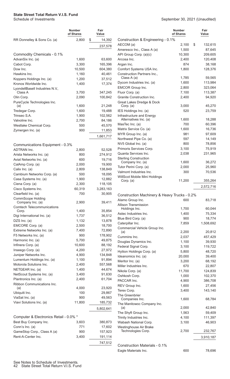#### **State Street Total Return V.I.S. Fund**

Schedule of Investments

|                                                                 | Number<br>of Shares | Fair<br>Value    |
|-----------------------------------------------------------------|---------------------|------------------|
| RR Donnelley & Sons Co. (a)                                     | 2,800               | \$<br>14,392     |
|                                                                 |                     | 237,578          |
| Commodity Chemicals - 0.1%                                      |                     |                  |
| AdvanSix Inc. (a)                                               | 1,600               | 63,600           |
| Cabot Corp.                                                     | 3,300               | 165,396          |
| Dow Inc.                                                        | 10,500              | 604,380          |
| Hawkins Inc.                                                    | 1,160               | 40,461           |
| Koppers Holdings Inc. (a)                                       | 1,200               | 37,512           |
| Kronos Worldwide Inc.<br>LyondellBasell Industries N.V.,        | 1,400               | 17,374           |
| Class A                                                         | 3,700               | 347,245          |
| Olin Corp.                                                      | 2,090               | 100,842          |
| PureCycle Technologies Inc.<br>(a)                              | 1,600               | 21,248           |
| Tredegar Corp.                                                  | 1,600               | 19,488           |
| Trinseo S.A.                                                    | 1,900               | 102,562          |
| Valvoline Inc.                                                  | 2,700               | 84,186           |
| Westlake Chemical Corp.                                         | 500                 | 45,570           |
| Zymergen Inc. (a)                                               | 900                 | 11,853           |
|                                                                 |                     | 1,661,717        |
| Communications Equipment - 0.3%                                 |                     |                  |
| <b>ADTRAN Inc.</b>                                              | 2,800               | 52,528           |
| Arista Networks Inc. (a)                                        | 800                 | 274,912          |
| Aviat Networks Inc. (a)                                         | 600                 | 19,716           |
| CalAmp Corp. (a)                                                | 2,000               | 19,900           |
| Calix Inc. (a)                                                  | 2,809               | 138,849          |
| Cambium Networks Corp. (a)                                      | 500                 | 18,095           |
| Casa Systems Inc. (a)                                           | 1,900               | 12,882           |
| Ciena Corp. (a)                                                 | 2,300               | 118,105          |
| Cisco Systems Inc.                                              | 60,319              | 3,283,163        |
| Clearfield Inc. (a)                                             | 700                 | 30,905           |
| CommScope Holding<br>Company Inc. (a)                           | 2,900               | 39,411           |
| <b>Comtech Telecommunications</b>                               |                     |                  |
| Corp.                                                           | 1,400               | 35,854           |
| Digi International Inc. (a)                                     | 1,737               | 36,512           |
| DZS $Inc. (a)$                                                  | 1,132               | 13,878           |
| EMCORE Corp. (a)<br>Extreme Networks Inc. (a)                   | 2,500<br>7,400      | 18,700<br>72,890 |
| F5 Networks Inc. (a)                                            | 900                 | 178,902          |
| Harmonic Inc. (a)                                               | 5,700               | 49,875           |
| Infinera Corp. (a)                                              | 10,600              | 88,192           |
| Inseego Corp. (a)                                               | 4,200               | 27,972           |
| Juniper Networks Inc.                                           | 4,900               | 134,848          |
| Lumentum Holdings Inc. (a)                                      | 1,100               | 91,894           |
| Motorola Solutions Inc.                                         | 2,400               | 557,568          |
| NETGEAR Inc. (a)                                                | 1,400               | 44,674           |
| NetScout Systems Inc. (a)                                       | 3,400               | 91,630           |
| Plantronics Inc. (a)                                            | 2,400               | 61,704           |
| Ribbon Communications Inc.                                      | 4,000               |                  |
| (a)                                                             | 100                 | 23,920<br>29,867 |
| Ubiquiti Inc.<br>ViaSat Inc. (a)                                | 900                 | 49,563           |
| Viavi Solutions Inc. (a)                                        | 11,800              | 185,732          |
|                                                                 |                     | 5,802,641        |
|                                                                 |                     |                  |
| Computer & Electronics Retail - 0.0% *<br>Best Buy Company Inc. | 3,603               | 380,873          |
| Conn's Inc. (a)                                                 | 771                 | 17,602           |
| GameStop Corp., Class A (a)                                     | 900                 | 157,923          |
| Rent-A-Center Inc.                                              | 3,400               | 191,114          |
|                                                                 |                     | 747,512          |
|                                                                 |                     |                  |

| September 30, 2021 (Unaudited) |  |  |  |
|--------------------------------|--|--|--|
|--------------------------------|--|--|--|

|                                                    | Number<br>of Shares | Fair<br>Value |
|----------------------------------------------------|---------------------|---------------|
| Construction & Engineering - 0.1%                  |                     |               |
| AECOM (a)                                          | 2,100               | \$<br>132,615 |
| Ameresco Inc., Class A (a)                         | 1,500               | 87,645        |
| API Group Corp. (a)(c)                             | 10,300              | 209,605       |
| Arcosa Inc.                                        | 2,400               | 120,408       |
| Argan Inc.                                         | 874                 | 38,168        |
| Comfort Systems USA Inc.                           | 1,800               | 128,376       |
| <b>Construction Partners Inc</b><br>Class $A(a)$   | 1,785               | 59,565        |
| Dycom Industries Inc. (a)                          | 1,600               | 113,984       |
| <b>EMCOR Group Inc.</b>                            | 2,800               | 323,064       |
| Fluor Corp. (a)                                    | 7,100               | 113,387       |
| Granite Construction Inc.                          | 2,400               | 94,920        |
| Great Lakes Dredge & Dock                          |                     |               |
| Corp. (a)                                          | 3,000<br>520        | 45,270        |
| IES Holdings Inc. (a)                              |                     | 23,759        |
| Infrastructure and Energy<br>Alternatives Inc. (a) | 1,600               | 18,288        |
| MasTec Inc. (a)                                    | 700                 | 60,396        |
| Matrix Service Co. (a)                             | 1.600               | 16,736        |
| MYR Group Inc. (a)                                 | 981                 | 97,609        |
| Northwest Pipe Co. (a)                             | 597                 | 14,149        |
| NV5 Global Inc. (a)                                | 800                 | 78,856        |
| Primoris Services Corp.                            | 3,100               | 75,919        |
| Quanta Services Inc.                               | 2,038               | 231,965       |
| <b>Sterling Construction</b>                       |                     |               |
| Company Inc. (a)                                   | 1,600               | 36,272        |
| Tutor Perini Corp. (a)                             | 2,000               | 25,960        |
| Valmont Industries Inc.                            | 300                 | 70,536        |
| WillScot Mobile Mini Holdings                      |                     |               |
| Corp. $(a)$                                        | 11,200              | 355,264       |
|                                                    |                     | 2,572,716     |
|                                                    |                     |               |
| Construction Machinery & Heavy Trucks - 0.2%       | 600                 |               |
| Alamo Group Inc.<br><b>Allison Transmission</b>    |                     | 83,718        |
| Holdings Inc.                                      | 1,700               | 60,044        |
| Astec Industries Inc.                              | 1,400               | 75,334        |
| Blue Bird Corp. (a)                                | 900                 | 18,774        |
| Caterpillar Inc.                                   | 7,859               | 1,508,692     |
| Commercial Vehicle Group Inc.                      |                     |               |
| (a)                                                | 2,200               | 20,812        |
| Cummins Inc.                                       | 2,037               | 457,429       |
| Douglas Dynamics Inc.                              | 1,100               | 39,930        |
| Federal Signal Corp.                               | 3,100               | 119,722       |
| Hyliion Holdings Corp. (a)                         | 5,800               | 48,720        |
| Ideanomics Inc. (a)                                | 20,000              | 39,400        |
| Meritor Inc. (a)                                   | 3,200               | 68,192        |
| Miller Industries Inc.                             | 670                 | 22,807        |
| Nikola Corp. (a)                                   | 11,700              | 124,839       |
| Oshkosh Corp.                                      | 1,000               | 102,370       |
| PACCAR Inc.                                        | 4,900               | 386,708       |
| REV Group Inc.                                     | 1,600               | 27,456        |
| Terex Corp.                                        | 3,400               | 143,140       |
| The Greenbrier<br>Companies Inc.                   | 1,600               | 68,784        |
| The Manitowoc Company Inc.                         |                     |               |
| (a)                                                | 2,000               | 42,840        |
| The Shyft Group Inc.                               | 1,563               | 59,409        |
| Trinity Industries Inc.                            | 4,100               | 111,397       |
| Wabash National Corp.                              | 3,100               | 46,903        |
| Westinghouse Air Brake                             |                     |               |
| Technologies Corp.                                 | 2,700               | 232,767       |
|                                                    |                     | 3,910,187     |
|                                                    |                     |               |
| Construction Materials - 0.1%                      |                     |               |
| Eagle Materials Inc.                               | 600                 | 78,696        |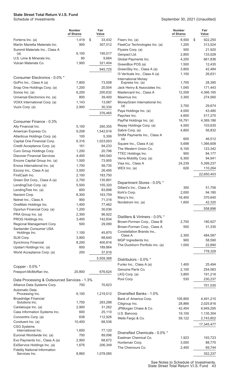|                                                                      | <b>Number</b><br>of Shares | Fair<br>Value    |                                                   | <b>Number</b><br>of Shares | Fair<br>Value    |
|----------------------------------------------------------------------|----------------------------|------------------|---------------------------------------------------|----------------------------|------------------|
| Forterra Inc. (a)                                                    | 1,419                      | \$<br>33,432     | Fiserv Inc. (a)                                   | 8,500                      | \$<br>922,250    |
| Martin Marietta Materials Inc.                                       | 900                        | 307,512          | FleetCor Technologies Inc. (a)                    | 1,200                      | 313,524          |
| Summit Materials Inc., Class A                                       |                            |                  | Flywire Corp. (a)                                 | 500                        | 21,920           |
| (a)                                                                  | 6,100                      | 195,017          | Genpact Ltd.                                      | 2,800                      | 133,028          |
| U.S. Lime & Minerals Inc.                                            | 80                         | 9,664            | Global Payments Inc.                              | 4,200                      | 661,836          |
| Vulcan Materials Co.                                                 | 1,900                      | 321,404          | GreenBox POS (a)                                  | 1,500                      | 12,435           |
|                                                                      |                            | 945,725          | GreenSky Inc., Class A (a)                        | 3,800                      | 42,484           |
| Consumer Electronics - 0.0% *                                        |                            |                  | I3 Verticals Inc., Class A (a)                    | 1,100                      | 26,631           |
| GoPro Inc., Class A (a)                                              | 7,800                      | 73,008           | <b>International Money</b><br>Express Inc. (a)    | 1,700                      | 28,390           |
| Snap One Holdings Corp. (a)                                          | 1,200                      | 20,004           | Jack Henry & Associates Inc.                      | 1,045                      | 171,443          |
| Sonos Inc. (a)                                                       | 6,200                      | 200,632          | Mastercard Inc., Class A                          | 12,558                     | 4,366,165        |
| Universal Electronics Inc. (a)                                       | 800                        | 39,400           | Maximus Inc.                                      | 3,300                      | 274,560          |
| VOXX International Corp. (a)                                         | 1,143                      | 13,087           | MoneyGram International Inc.                      |                            |                  |
| Vuzix Corp. (a)                                                      | 2,900                      | 30,334           | (a)                                               | 3,700                      | 29,674           |
|                                                                      |                            | 376,465          | Paya Holdings Inc. (a)                            | 4,000                      | 43,480           |
|                                                                      |                            |                  | Paychex Inc.                                      | 4,600                      | 517,270          |
| Consumer Finance - 0.3%                                              |                            |                  | PayPal Holdings Inc. (a)                          | 16,791                     | 4,369,186        |
| Ally Financial Inc.                                                  | 5,100                      | 260,355          | Repay Holdings Corp. (a)                          | 4,500                      | 103,635          |
| American Express Co.                                                 | 9,208                      | 1,542,616        | Sabre Corp. (a)                                   | 4,800                      | 56,832           |
| Atlanticus Holdings Corp. (a)                                        | 100                        | 5,306            | Shift4 Payments Inc., Class A                     |                            |                  |
| Capital One Financial Corp.                                          | 6,316                      | 1,023,003        | (a)                                               | 600                        | 46,512           |
| Credit Acceptance Corp. (a)                                          | 161                        | 94,233           | Square Inc., Class A (a)<br>The Western Union Co. | 5,698<br>6,100             | 1,366,608        |
| Curo Group Holdings Corp.                                            | 1,200                      | 20,796           | TTEC Holdings Inc.                                | 900                        | 123,342          |
| <b>Discover Financial Services</b>                                   | 4,400                      | 540,540          | Verra Mobility Corp. (a)                          | 6,300                      | 84,177<br>94,941 |
| Encore Capital Group Inc. (a)                                        | 1,500                      | 73,905           | Visa Inc., Class A                                | 24,239                     | 5,399,237        |
| Enova International Inc. (a)                                         | 1,700                      | 58,735           | WEX Inc. $(a)$                                    | 626                        | 110,264          |
| Ezcorp Inc., Class A (a)                                             | 3,500                      | 26,495           |                                                   |                            |                  |
| FirstCash Inc.                                                       | 2,100                      | 183,750          |                                                   |                            | 22,650,403       |
| Green Dot Corp., Class A (a)                                         | 2,700                      | 135,891          | Department Stores - 0.0% *                        |                            |                  |
| LendingClub Corp. (a)                                                | 5,500                      | 155,320          | Dillard's Inc., Class A                           | 300                        | 51,756           |
| LendingTree Inc. (a)                                                 | 600                        | 83,898           | Kohl's Corp.                                      | 2,000                      | 94,180           |
| Navient Corp.                                                        | 8,300                      | 163,759          | Macy's Inc.                                       | 16,400                     | 370,640          |
| Nelnet Inc., Class A                                                 | 900                        | 71,316           | Nordstrom Inc. (a)                                | 1,600                      | 42,320           |
| OneMain Holdings Inc.                                                | 1,400<br>1,200             | 77,462<br>30,036 |                                                   |                            | 558,896          |
| Oportun Financial Corp. (a)<br>PRA Group Inc. (a)                    | 2,300                      | 96,922           |                                                   |                            |                  |
| PROG Holdings Inc.                                                   | 3,400                      | 142,834          | Distillers & Vintners - 0.0% *                    |                            |                  |
| Regional Management Corp.                                            | 500                        | 29,090           | Brown-Forman Corp., Class B                       | 2,700                      | 180,927          |
| Santander Consumer USA                                               |                            |                  | Brown-Forman Corp., Class A                       | 500                        | 31,335           |
| Holdings Inc.                                                        | 1,100                      | 45,870           | Constellation Brands Inc.,                        |                            |                  |
| SLM Corp.                                                            | 3,900                      | 68,640           | Class A<br>MGP Ingredients Inc.                   | 2,300<br>900               | 484,587          |
| <b>Synchrony Financial</b>                                           | 8,200                      | 400,816          | The Duckhorn Portfolio Inc. (a)                   | 1,000                      | 58,590<br>22,890 |
| Upstart Holdings Inc. (a)                                            | 600                        | 189,864          |                                                   |                            |                  |
| World Acceptance Corp. (a)                                           | 200                        | 37,916           |                                                   |                            | 778,329          |
|                                                                      |                            | 5,559,368        | Distributors - 0.0% *                             |                            |                  |
|                                                                      |                            |                  | Funko Inc., Class A (a)                           | 1,400                      | 25,494           |
| Copper - 0.0% *                                                      |                            |                  | Genuine Parts Co.                                 | 2,100                      | 254,583          |
| Freeport-McMoRan Inc.                                                | 20,800                     | 676,624          | LKQ Corp. (a)                                     | 3,800                      | 191,216          |
| Data Processing & Outsourced Services - 1.3%                         |                            |                  | Pool Corp.                                        | 530                        | 230,237          |
| Alliance Data Systems Corp.                                          | 700                        | 70,623           |                                                   |                            | 701,530          |
| Automatic Data<br>Processing Inc.                                    | 6,100                      | 1,219,512        | Diversified Banks - 1.0%                          |                            |                  |
| <b>Broadridge Financial</b>                                          |                            |                  | Bank of America Corp.                             | 105,800                    | 4,491,210        |
| Solutions Inc.                                                       | 1,700                      | 283,288          | Citigroup Inc.                                    | 28,866                     | 2,025,816        |
| Cantaloupe Inc. (a)                                                  | 2,900                      | 31,262           | JPMorgan Chase & Co.                              | 42,454                     | 6,949,295        |
| Cass Information Systems Inc.                                        | 600                        | 25,110           | U.S. Bancorp                                      | 19,100                     | 1,135,304        |
| Concentrix Corp. (a)                                                 | 638                        | 112,926          | Wells Fargo & Co.                                 | 59,122                     | 2,743,852        |
| Conduent Inc. (a)                                                    | 10,400                     | 68,536           |                                                   |                            |                  |
| <b>CSG Systems</b>                                                   |                            |                  |                                                   |                            | 17,345,477       |
| International Inc.                                                   | 1,600                      | 77,120           | Diversified Chemicals - 0.0% *                    |                            |                  |
| Euronet Worldwide Inc. (a)                                           | 700                        | 89,096           | Eastman Chemical Co.                              | 1,923                      | 193,723          |
| Evo Payments Inc., Class A (a)                                       | 2,900                      | 68,672           | Huntsman Corp.                                    | 3,000                      | 88,770           |
| ExlService Holdings Inc. (a)<br><b>Fidelity National Information</b> | 1,676                      | 206,349          | The Chemours Co.                                  | 2,400                      | 69,744           |
| Services Inc.                                                        | 8,860                      | 1,078,085        |                                                   |                            | 352,237          |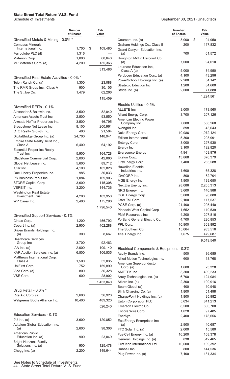|                                                                | Number<br>of Shares | Fair<br>Value |
|----------------------------------------------------------------|---------------------|---------------|
| Diversified Metals & Mining - 0.0% *                           |                     |               |
| <b>Compass Minerals</b>                                        |                     |               |
| International Inc.                                             | 1,700               | \$<br>109,480 |
| Ferroglobe PLC (d)<br>Materion Corp.                           | 1,316<br>1,000      | 68,640        |
| MP Materials Corp. (a)                                         | 4,200               | 135,366       |
|                                                                |                     |               |
|                                                                |                     | 313,486       |
| Diversified Real Estate Activities - 0.0% *                    |                     |               |
| Tejon Ranch Co. (a)                                            | 1,300               | 23,088        |
| The RMR Group Inc., Class A                                    | 900                 | 30,105        |
| The St Joe Co.                                                 | 1,479               | 62,266        |
|                                                                |                     | 115,459       |
| Diversified REITs - 0.1%                                       |                     |               |
| Alexander & Baldwin Inc.                                       | 3,500               | 82,040        |
| American Assets Trust Inc.                                     | 2,500               | 93,550        |
| Armada Hoffler Properties Inc.                                 | 3,500               | 46,795        |
| Broadstone Net Lease Inc.                                      | 8,100               | 200,961       |
| CTO Realty Growth Inc.                                         | 400                 | 21,504        |
| DigitalBridge Group Inc. (a)                                   | 24,700              | 148,941       |
| Empire State Realty Trust Inc.,                                |                     |               |
| Class A                                                        | 6,400               | 64,192        |
| <b>Essential Properties Realty</b><br>Trust Inc.               | 5,900               | 164,728       |
| Gladstone Commercial Corp.                                     | 2,000               | 42,060        |
| Global Net Lease Inc.                                          | 5,600               | 89,712        |
| iStar Inc.                                                     | 4,100               | 102,828       |
| One Liberty Properties Inc.                                    | 985                 | 30,033        |
| PS Business Parks Inc.                                         | 1,084               | 169,906       |
| STORE Capital Corp.                                            | 3,600               | 115,308       |
| <b>VEREIT Inc.</b>                                             | 3,200               | 144,736       |
| Washington Real Estate                                         |                     |               |
| <b>Investment Trust</b>                                        | 4,200               | 103,950       |
| WP Carey Inc.                                                  | 2,400               | 175,296       |
|                                                                |                     | 1,796,540     |
| Diversified Support Services - 0.1%                            |                     |               |
| Cintas Corp.                                                   | 1,200               | 456,792       |
| Copart Inc. (a)                                                | 2,900               | 402,288       |
| Driven Brands Holdings Inc.                                    |                     |               |
| (a)                                                            | 300                 | 8,667         |
| <b>Healthcare Services</b>                                     |                     |               |
| Group Inc.                                                     | 3,700               | 92,463        |
| IAA Inc. (a)                                                   | 2,000               | 109,140       |
| KAR Auction Services Inc. (a)<br>Matthews International Corp., | 6,500               | 106,535       |
| Class A                                                        | 1,500               | 52,035        |
| UniFirst Corp.                                                 | 752                 | 159,890       |
| Viad Corp. (a)                                                 | 800                 | 36,328        |
| VSE Corp.                                                      | 600                 | 28,902        |
|                                                                |                     | 1,453,040     |
|                                                                |                     |               |
| Drug Retail - 0.0% *                                           |                     |               |
| Rite Aid Corp. (a)                                             | 2,600               | 36,920        |
| Walgreens Boots Alliance Inc.                                  | 10,400              | 489,320       |
|                                                                |                     | 526,240       |
| Education Services - 0.1%                                      |                     |               |
| $2U$ Inc. (a)                                                  | 3,600               | 120,852       |
| Adtalem Global Education Inc.                                  |                     |               |
| (a)                                                            | 2,600               | 98,306        |
| American Public<br>Education Inc. (a)                          | 900                 | 23,049        |
| <b>Bright Horizons Family</b>                                  |                     |               |
| Solutions Inc. (a)                                             | 900                 | 125,478       |
| Chegg Inc. (a)                                                 | 2,200               | 149,644       |

|                                                                | Number<br>of Shares | Fair<br>Value      |
|----------------------------------------------------------------|---------------------|--------------------|
| Coursera Inc. (a)                                              | 3,000               | \$<br>94,950       |
| Graham Holdings Co., Class B<br>Grand Canyon Education Inc.    | 200                 | 117,832            |
| (a)<br>Houghton Mifflin Harcourt Co.                           | 700                 | 61,572             |
| (a)<br>Laureate Education Inc.,                                | 7,000               | 94,010             |
| Class A (a)                                                    | 5,000               | 84,950             |
| Perdoceo Education Corp. (a)                                   | 4,100               | 43,296             |
| PowerSchool Holdings Inc. (a)                                  | 2,200               | 54,142             |
| Strategic Eduction Inc.                                        | 1,200               | 84,600             |
| Stride Inc. (a)                                                | 2,000               | 71,880             |
|                                                                |                     | 1,224,561          |
| Electric Utilities - 0.5%                                      |                     |                    |
| ALLETE Inc.                                                    | 3,000               | 178,560            |
| Alliant Energy Corp.                                           | 3,700               | 207,126            |
| <b>American Electric Power</b>                                 |                     |                    |
| Company Inc.                                                   | 7,000               | 568,260            |
| Avangrid Inc.                                                  | 898                 | 43,643             |
| Duke Energy Corp.                                              | 10,986              | 1,072,124          |
| Edison International                                           | 5,300<br>3,000      | 293,991            |
| Entergy Corp.<br>Evergy Inc.                                   | 3,100               | 297,930<br>192,820 |
| <b>Eversource Energy</b>                                       | 4,941               | 403,976            |
| Exelon Corp.                                                   | 13,868              | 670,379            |
| FirstEnergy Corp.                                              | 7,400               | 263,588            |
| <b>Hawaiian Electric</b>                                       |                     |                    |
| Industries Inc.                                                | 1,600               | 65,328             |
| <b>IDACORP</b> Inc.                                            | 800                 | 82,704             |
| MGE Energy Inc.                                                | 1,900               | 139,650            |
| NextEra Energy Inc.                                            | 28,086              | 2,205,313          |
| NRG Energy Inc.                                                | 3,600               | 146,988            |
| OGE Energy Corp.                                               | 3,000               | 98,880             |
| Otter Tail Corp.                                               | 2,100               | 117,537            |
| PG&E Corp. (a)                                                 | 21,400              | 205,440            |
| Pinnacle West Capital Corp.                                    | 1,652               | 119,539            |
| PNM Resources Inc.                                             | 4,200               | 207,816            |
| Portland General Electric Co.                                  | 4,700               | 220,853            |
| PPL Corp.                                                      | 10,900              | 303,892            |
| The Southern Co.                                               | 15,064              | 933,516            |
| Xcel Energy Inc.                                               | 7,675               | 479,687            |
|                                                                |                     | 9,519,540          |
| Electrical Components & Equipment - 0.3%<br>Acuity Brands Inc. | 500                 | 86,685             |
| Allied Motion Technologies Inc.                                | 600                 | 18,768             |
| American Superconductor                                        |                     |                    |
| Corp. (a)                                                      | 1,600               | 23,328             |
| <b>AMETEK Inc.</b>                                             | 3,300               | 409,233            |
| Array Technologies Inc. (a)                                    | 6,700               | 124,084            |
| Atkore Inc. (a)                                                | 2,300               | 199,916            |
| Beam Global (a)                                                | 400                 | 10,948             |
| Blink Charging Co. (a)                                         | 1,800               | 51,498             |
| ChargePoint Holdings Inc. (a)                                  | 1,800               | 35,982             |
| Eaton Corporation PLC                                          | 5,634               | 841,213            |
| Emerson Electric Co.                                           | 8,500               | 800,700            |
| Encore Wire Corp.                                              | 1,028               | 97,485             |
| <b>EnerSys</b>                                                 | 2,400               | 178,656            |
| Eos Energy Enterprises Inc.<br>(a)                             | 2,900               | 40,687             |
| FTC Solar Inc. (a)                                             | 2,000               | 15,580             |
| FuelCell Energy Inc. (a)                                       | 16,200              | 108,378            |
| Generac Holdings Inc. (a)                                      | 838                 | 342,465            |
| GrafTech International Ltd.                                    | 10,600              | 109,392            |
| Hubbell Inc.                                                   | 800                 | 144,536            |
| Plug Power Inc. (a)                                            | 7,100               | 181,334            |

See Notes to Schedule of Investments. 44 State Street Total Return V.I.S. Fund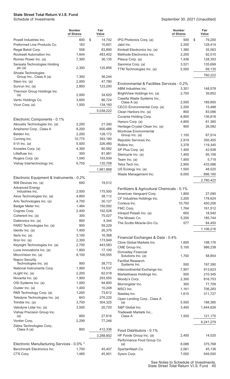September 30, 2021 (Unaudited)

**Fair Value**

**Number of Shares**

|                                                             | <b>Number</b><br>of Shares | Fair<br>Value      |                                             | <b>Number</b><br>of Shares | Fair<br>Value |
|-------------------------------------------------------------|----------------------------|--------------------|---------------------------------------------|----------------------------|---------------|
| Powell Industries Inc.                                      | 600                        | \$<br>14,742       | IPG Photonics Corp. (a)                     | 500                        | \$<br>79,200  |
| Preformed Line Products Co.                                 | 163                        | 10,601             | Jabil Inc.                                  | 2,200                      | 128,414       |
| Regal Beloit Corp.                                          | 558                        | 83,890             | Kimball Electronics Inc. (a)                | 1,380                      | 35,563        |
| Rockwell Automation Inc.                                    | 1,644                      | 483,402            | Methode Electronics Inc.                    | 2,200                      | 92,510        |
| Romeo Power Inc. (a)                                        | 7,300                      | 36,135             | Plexus Corp. (a)                            | 1,436                      | 128,393       |
| Sensata Technologies Holding                                |                            |                    | Sanmina Corp. (a)                           | 3,521                      | 135,699       |
| plc(a)                                                      | 2,300                      | 125,856            | TTM Technologies Inc. (a)                   | 5,500                      | 69,135        |
| Shoals Technologies<br>Group Inc., Class A (a)              | 1,300                      | 36,244             |                                             |                            | 760,222       |
| Stem Inc. (a)                                               | 2,000                      | 47,780             | Environmental & Facilities Services - 0.2%  |                            |               |
| Sunrun Inc. (a)                                             | 2,800                      | 123,200            | ABM Industries Inc.                         | 3,301                      | 148,578       |
| Thermon Group Holdings Inc.                                 |                            |                    | BrightView Holdings Inc. (a)                | 2,700                      | 39,852        |
| (a)                                                         | 2,000                      | 34,620             | Casella Waste Systems Inc.,                 |                            |               |
| Vertiv Holdings Co.                                         | 3,600                      | 86,724             | Class A (a)                                 | 2,500                      | 189,850       |
| Vicor Corp. (a)                                             | 1,000                      | 134,160            | CECO Environmental Corp. (a)                | 2,200                      | 15,488        |
|                                                             |                            | 5,038,222          | Clean Harbors Inc. (a)                      | 800                        | 83,096        |
|                                                             |                            |                    | Covanta Holding Corp.                       | 6,800                      | 136,816       |
| Electronic Components - 0.1%                                |                            |                    | Harsco Corp. (a)                            | 4,800                      | 81,360        |
| Akoustis Technologies Inc. (a)                              | 2,200                      | 21,340             | Heritage-Crystal Clean Inc. (a)             | 900                        | 26,082        |
| Amphenol Corp., Class A<br>Belden Inc.                      | 8,200                      | 600,486            | Montrose Environmental                      |                            |               |
|                                                             | 2,200                      | 128,172            | Group Inc. (a)                              | 1,100                      | 67,914        |
| Corning Inc.<br>II-VI Inc. (a)                              | 10,775<br>5,500            | 393,180<br>326,480 | Republic Services Inc.                      | 2,919                      | 350,455       |
| Knowles Corp. (a)                                           | 4,300                      | 80,582             | Rollins Inc.                                | 3,378                      | 119,345       |
| Littelfuse Inc.                                             | 300                        | 81,981             | SP Plus Corp. (a)                           | 1,400                      | 42,938        |
| Rogers Corp. (a)                                            | 1,040                      | 193,939            | Stericycle Inc. (a)                         | 1,400                      | 95,158        |
| Vishay Intertechnology Inc.                                 | 6,755                      | 135,708            | Team Inc. (a)                               | 1,900                      | 5,719         |
|                                                             |                            |                    | Tetra Tech Inc.                             | 2,900                      | 433,086       |
|                                                             |                            | 1,961,868          | US Ecology Inc. (a)                         | 1,500                      | 48,525        |
| Electronic Equipment & Instruments - 0.2%                   |                            |                    | Waste Management Inc.                       | 6,000                      | 896,160       |
| 908 Devices Inc. (a)                                        | 600                        | 19,512             |                                             |                            | 2,780,422     |
| <b>Advanced Energy</b>                                      |                            |                    | Fertilizers & Agricultural Chemicals - 0.1% |                            |               |
| Industries Inc.                                             | 2,000                      | 175,500            | American Vanguard Corp.                     | 1,800                      | 27,090        |
| Aeva Technologies Inc. (a)                                  | 4,800                      | 38,112             | CF Industries Holdings Inc.                 | 3,200                      | 178,624       |
| Arlo Technologies Inc. (a)                                  | 4,700                      | 30,127             | Corteva Inc.                                | 10,700                     | 450,256       |
| Badger Meter Inc.                                           | 1,484                      | 150,092            | FMC Corp.                                   | 1,764                      | 161,512       |
| Cognex Corp.                                                | 2,400                      | 192,528            | Intrepid Potash Inc. (a)                    | 600                        | 18,540        |
| Coherent Inc. (a)                                           | 300                        | 75,027             | The Mosaic Co.                              | 5,200                      | 185,744       |
| Daktronics Inc. (a)                                         | 800                        | 4,344              | The Scotts Miracle-Gro Co.                  | 577                        | 84,450        |
| FARO Technologies Inc. (a)                                  | 900                        | 59,229             |                                             |                            | 1,106,216     |
| Identiv Inc. (a)                                            | 1,400                      | 26,376             |                                             |                            |               |
| Iteris Inc. (a)                                             | 3,100                      | 16,368             | Financial Exchanges & Data - 0.4%           |                            |               |
| Itron Inc. (a)                                              | 2,300                      | 173,949            | Cboe Global Markets Inc.                    | 1,600                      | 198,176       |
| Keysight Technologies Inc. (a)<br>Luna Innovations Inc. (a) | 2,700<br>1,800             | 443,583<br>17,100  | CME Group Inc.                              | 5,100                      | 986,238       |
| MicroVision Inc. (a)                                        | 9,100                      | 100,555            | Donnelley Financial                         |                            |               |
| Napco Security                                              |                            |                    | Solutions Inc. (a)                          | 1,700                      | 58,854        |
| Technologies Inc. (a)                                       | 900                        | 38,772             | <b>FactSet Research</b><br>Systems Inc.     | 500                        | 197,390       |
| National Instruments Corp.                                  | 1,900                      | 74,537             | Intercontinental Exchange Inc.              | 7,957                      | 913,623       |
| nLight Inc. (a)                                             | 2,200                      | 62,018             | MarketAxess Holdings Inc.                   | 500                        | 210,345       |
| Novanta Inc. (a)                                            | 1,900                      | 293,550            | Moody's Corp.                               | 2,300                      | 816,753       |
| OSI Systems Inc. (a)                                        | 1,000                      | 94,800             | Morningstar Inc.                            | 300                        | 77,709        |
| Ouster Inc. (a)                                             | 1,400                      | 10,248             | MSCI Inc.                                   | 1,161                      | 706,283       |
| PAR Technology Corp. (a)                                    | 1,200                      | 73,812             | Nasdaq Inc.                                 | 1,615                      | 311,727       |
| Teledyne Technologies Inc. (a)                              | 643                        | 276,220            | Open Lending Corp., Class A                 |                            |               |
| Trimble Inc. (a)                                            | 3,700                      | 304,325            | (a)                                         | 5,500                      | 198,385       |
| Velodyne Lidar Inc. (a)                                     | 3,500                      | 20,720             | S&P Global Inc.                             | 3,400                      | 1,444,626     |
| Vishay Precision Group Inc.                                 |                            |                    | Tradeweb Markets Inc.,                      |                            |               |
| (a)                                                         | 800                        | 27,816             | Class A                                     | 1,500                      | 121,170       |
| Vontier Corp.                                               | 2,299                      | 77,246             |                                             |                            | 6,241,279     |
| Zebra Technologies Corp.,<br>Class A (a)                    | 800                        | 412,336            | Food Distributors - 0.1%                    |                            |               |
|                                                             |                            | 3,288,802          | HF Foods Group Inc. (a)                     | 2,400                      | 14,520        |
|                                                             |                            |                    | Performance Food Group Co.                  |                            |               |
| Electronic Manufacturing Services - 0.0% *                  |                            |                    | (a)                                         | 8,088                      | 375,768       |
| Benchmark Electronics Inc.                                  | 1,700                      | 45,407             | SpartanNash Co.                             | 2,061                      | 45,136        |
| CTS Corp.                                                   | 1,485                      | 45,901             | Sysco Corp.                                 | 7,000                      | 549,500       |
|                                                             |                            |                    |                                             |                            |               |

See Notes to Schedule of Investments. State Street Total Return V.I.S. Fund 45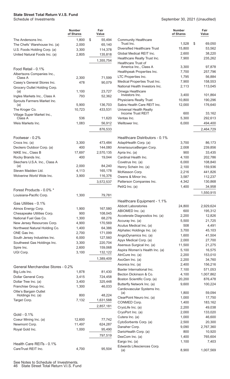|                                                     | <b>Number</b><br>of Shares | Fair<br>Value     |                                                          | <b>Number</b><br>of Shares | Fair<br>Value        |
|-----------------------------------------------------|----------------------------|-------------------|----------------------------------------------------------|----------------------------|----------------------|
| The Andersons Inc.                                  | 1,800                      | \$<br>55,494      | <b>Community Healthcare</b>                              |                            |                      |
| The Chefs' Warehouse Inc. (a)                       | 2,000                      | 65,140            | Trust Inc.                                               | 1,528                      | \$<br>69,050         |
| U.S. Foods Holding Corp. (a)                        | 3,300                      | 114,378           | Diversified Healthcare Trust<br>Global Medical REIT Inc. | 15,800<br>2,600            | 53,562<br>38,220     |
| United Natural Foods Inc. (a)                       | 2,805                      | 135,818           | Healthcare Realty Trust Inc.                             | 7,900                      | 235,262              |
|                                                     |                            | 1,355,754         | Healthcare Trust of                                      |                            |                      |
| Food Retail - 0.1%                                  |                            |                   | America Inc., Class A                                    | 3,300                      | 97,878               |
| Albertsons Companies Inc.,                          |                            |                   | Healthpeak Properties Inc.                               | 7,700                      | 257,796              |
| Class A                                             | 2,300                      | 71,599            | LTC Properties Inc.                                      | 1,795                      | 56,884               |
| Casey's General Stores Inc.                         | 478                        | 90,079            | Medical Properties Trust Inc.                            | 7,900                      | 158,553              |
| Grocery Outlet Holding Corp.                        |                            |                   | National Health Investors Inc.                           | 2,113                      | 113,045              |
| (a)                                                 | 1,100                      | 23,727            | Omega Healthcare<br>Investors Inc.                       |                            | 101,864              |
| Ingles Markets Inc., Class A                        | 793                        | 52,362            | <b>Physicians Realty Trust</b>                           | 3,400<br>10,800            | 190,296              |
| Sprouts Farmers Market Inc.<br>(a)                  | 5,900                      | 136,703           | Sabra Health Care REIT Inc.                              | 12,000                     | 176,640              |
| The Kroger Co.                                      | 10,723                     | 433,531           | Universal Health Realty                                  |                            |                      |
| Village Super Market Inc.,                          |                            |                   | Income Trust REIT                                        | 600                        | 33,162               |
| Class A                                             | 536                        | 11,620            | Ventas Inc.                                              | 5,300                      | 292,613              |
| Weis Markets Inc.                                   | 1,083                      | 56,912            | Welltower Inc.                                           | 6,000                      | 494,400              |
|                                                     |                            | 876,533           |                                                          |                            | 2,464,729            |
| Footwear - 0.2%                                     |                            |                   | Healthcare Distributors - 0.1%                           |                            |                      |
| Crocs Inc. (a)                                      | 3,300                      | 473,484           | AdaptHealth Corp. (a)                                    | 3,700                      | 86,173               |
| Deckers Outdoor Corp. (a)                           | 400                        | 144,080           | AmerisourceBergen Corp.                                  | 2,008                      | 239,856              |
| NIKE Inc., Class B                                  | 17,697                     | 2,570,135         | Apria Inc. (a)                                           | 900                        | 33,435               |
| Rocky Brands Inc.                                   | 400                        | 19,044            | Cardinal Health Inc.                                     | 4,100                      | 202,786              |
| Skechers U.S.A. Inc., Class A                       |                            |                   | Covetrus Inc. (a)                                        | 6,000                      | 108,840              |
| (a)                                                 | 2,000                      | 84,240            | Henry Schein Inc. (a)                                    | 2,100                      | 159,936              |
| Steven Madden Ltd.                                  | 4,113                      | 165,178           | McKesson Corp.                                           | 2,216                      | 441,826              |
| Wolverine World Wide Inc.                           | 3,900                      | 116,376           | Owens & Minor Inc.                                       | 3,587                      | 112,237              |
|                                                     |                            | 3,572,537         | Patterson Companies Inc.                                 | 4,342                      | 130,868              |
| Forest Products - 0.0% *                            |                            |                   | PetIQ Inc. (a)                                           | 1,400                      | 34,958               |
| Louisiana-Pacific Corp.                             | 1,300                      | 79,781            |                                                          |                            | 1,550,915            |
|                                                     |                            |                   | Healthcare Equipment - 1.1%                              |                            |                      |
| Gas Utilities - 0.1%                                |                            |                   | <b>Abbott Laboratories</b>                               | 24,800                     | 2,929,624            |
| Atmos Energy Corp.                                  | 1,900                      | 167,580           | ABIOMED Inc. (a)                                         | 600                        | 195,312              |
| Chesapeake Utilities Corp.                          | 900                        | 108,045           | Accelerate Diagnostics Inc. (a)                          | 2,200                      | 12,826               |
| National Fuel Gas Co.<br>New Jersey Resources Corp. | 1,300                      | 68,276<br>170,569 | Accuray Inc. (a)                                         | 5,500                      | 21,725               |
| Northwest Natural Holding Co.                       | 4,900<br>1,400             | 64,386            | Acutus Medical Inc. (a)                                  | 508                        | 4,491                |
| ONE Gas Inc.                                        | 2,700                      | 171,099           | Alphatec Holdings Inc. (a)                               | 3,700                      | 45,103               |
| South Jersey Industries Inc.                        | 6,000                      | 127,560           | AngioDynamics Inc. (a)                                   | 1,600                      | 41,504               |
| Southwest Gas Holdings Inc.                         | 3,300                      | 220,704           | Apyx Medical Corp. (a)                                   | 2,000                      | 27,700               |
| Spire Inc.                                          | 2,600                      | 159,068           | Asensus Surgical Inc. (a)                                | 11,500                     | 21,275               |
| UGI Corp.                                           | 3,100                      | 132,122           | Aspira Women's Health Inc. (a)                           | 5,100                      | 16,575               |
|                                                     |                            | 1,389,409         | AtriCure Inc. (a)                                        | 2,200                      | 153,010              |
|                                                     |                            |                   | AxoGen Inc. (a)                                          | 2,200                      | 34,760               |
| General Merchandise Stores - 0.2%                   |                            |                   | Axonics Inc. (a)                                         | 2,400                      | 156,216              |
| Big Lots Inc.                                       | 1,878                      | 81,430            | Baxter International Inc.<br>Becton Dickinson & Co.      | 7,100<br>4,100             | 571,053              |
| Dollar General Corp.                                | 3,415                      | 724,458           | Boston Scientific Corp. (a)                              |                            | 1,007,862<br>876,478 |
| Dollar Tree Inc. (a)                                | 3,400                      | 325,448           | Butterfly Network Inc. (a)                               | 20,200<br>9,600            | 100,224              |
| Franchise Group Inc.                                | 1,300                      | 46,033            | Cardiovascular Systems Inc.                              |                            |                      |
| Ollie's Bargain Outlet                              |                            |                   | (a)                                                      | 1,800                      | 59,094               |
| Holdings Inc. (a)                                   | 800                        | 48,224            | ClearPoint Neuro Inc. (a)                                | 1,000                      | 17,750               |
| Target Corp.                                        | 7,132                      | 1,631,588         | CONMED Corp.                                             | 1,400                      | 183,162              |
|                                                     |                            | 2,857,181         | CryoLife Inc. (a)                                        | 2,200                      | 49,038               |
| Gold - 0.1%                                         |                            |                   | CryoPort Inc. (a)                                        | 2,000                      | 133,020              |
|                                                     | 12,600                     |                   | Cutera Inc. (a)                                          | 1,000                      | 46,600               |
| Coeur Mining Inc. (a)<br>Newmont Corp.              | 11,497                     | 77,742<br>624,287 | CytoSorbents Corp. (a)                                   | 2,500                      | 20,300               |
| Royal Gold Inc.                                     | 1,000                      | 95,490            | Danaher Corp.                                            | 9,090                      | 2,767,360            |
|                                                     |                            |                   | DarioHealth Corp. (a)                                    | 800                        | 10,920               |
|                                                     |                            | 797,519           | DexCom Inc. (a)                                          | 1,400                      | 765,604              |
| Health Care REITs - 0.1%                            |                            |                   | Eargo Inc. (a)                                           | 1,100                      | 7,403                |
| CareTrust REIT Inc.                                 | 4,700                      | 95,504            | Edwards Lifesciences Corp.<br>(a)                        | 8,900                      | 1,007,569            |
|                                                     |                            |                   |                                                          |                            |                      |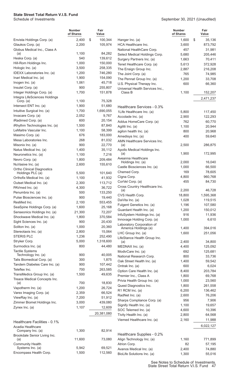September 30, 2021 (Unaudited)

|                                                         | <b>Number</b><br>of Shares | Fair<br>Value      |                                                    | <b>Number</b><br>of Shares | Fair<br>Value |
|---------------------------------------------------------|----------------------------|--------------------|----------------------------------------------------|----------------------------|---------------|
| Envista Holdings Corp. (a)                              | 2,400                      | \$<br>100,344      | Hanger Inc. (a)                                    | 1,600                      | \$<br>35,136  |
| Glaukos Corp. (a)                                       | 2,200                      | 105,974            | HCA Healthcare Inc.                                | 3,600                      | 873,792       |
| Globus Medical Inc., Class A                            |                            |                    | National HealthCare Corp.                          | 457                        | 31,981        |
| (a)                                                     | 1,100                      | 84,282             | Select Medical Holdings Corp.                      | 5,680                      | 205,446       |
| Heska Corp. (a)                                         | 540                        | 139,612            | Surgery Partners Inc. (a)                          | 1,663                      | 70,411        |
| Hill-Rom Holdings Inc.                                  | 1,000                      | 150,000            | Tenet Healthcare Corp. (a)                         | 5,613                      | 372,928       |
| Hologic Inc. (a)                                        | 3,500                      | 258,335            | The Ensign Group Inc.                              | 2,887                      | 216,208       |
| IDEXX Laboratories Inc. (a)                             | 1,200                      | 746,280            | The Joint Corp. (a)                                | 765                        | 74,985        |
| Inari Medical Inc. (a)                                  | 1,900                      | 154,090            | The Pennat Group Inc. (a)                          | 1,200                      | 33,708        |
| Inogen Inc. (a)                                         | 1,061                      | 45,718             | U.S. Physical Therapy Inc.                         | 600                        | 66,360        |
| Insulet Corp. (a)                                       | 900                        | 255,807            | Universal Health Services Inc.,                    |                            |               |
| Integer Holdings Corp. (a)                              | 1,700                      | 151,878            | Class B                                            | 1,100                      | 152,207       |
| Integra LifeSciences Holdings                           | 1,100                      | 75,328             |                                                    |                            | 2,471,237     |
| Corp. (a)                                               | 1,900                      | 51,680             |                                                    |                            |               |
| Intersect ENT Inc. (a)<br>Intuitive Surgical Inc. (a)   | 1,700                      |                    | Healthcare Services - 0.3%                         |                            |               |
| Invacare Corp. (a)                                      | 2,052                      | 1,690,055<br>9,767 | 1Life Healthcare Inc. (a)                          | 5,800                      | 117,450       |
|                                                         | 600                        |                    | Accolade Inc. (a)                                  | 2,900                      | 122,293       |
| iRadimed Corp. (a)                                      | 1,500                      | 20,154             | Addus HomeCare Corp. (a)                           | 762                        | 60,770        |
| iRhythm Technologies Inc. (a)<br>LeMaitre Vascular Inc. | 1,100                      | 87,840<br>58,399   | Agiliti Inc. (a)                                   | 1,100                      | 20,944        |
| Masimo Corp. (a)                                        | 676                        | 183,000            | agilon health Inc. (a)                             | 800                        | 20,968        |
| Mesa Laboratories Inc.                                  | 268                        | 81,032             | Amedisys Inc. (a)                                  | 400                        | 59,640        |
|                                                         | 900                        | 22,770             | AMN Healthcare Services Inc.                       | 2,500                      | 286,875       |
| Misonix Inc. (a)                                        |                            |                    | (a)                                                |                            |               |
| Natus Medical Inc. (a)                                  | 1,400                      | 35,112             | Apollo Medical Holdings Inc.<br>(a)                | 1,900                      | 172,995       |
| Neuronetics Inc. (a)                                    | 1,100                      | 7,216              | Aveanna Healthcare                                 |                            |               |
| Nevro Corp. (a)                                         | 1,800                      | 209,484            | Holdings Inc. (a)                                  | 2,000                      | 16,040        |
| NuVasive Inc. (a)                                       | 2,600                      | 155,610            | Castle Biosciences Inc. (a)                        | 1,000                      | 66,500        |
| <b>Ortho Clinical Diagnostics</b><br>Holdings PLC (a)   | 5,500                      | 101,640            | Chemed Corp.                                       | 169                        | 78,605        |
| Orthofix Medical Inc. (a)                               | 1,100                      | 41,932             | Cigna Corp.                                        | 4,800                      | 960,768       |
| Outset Medical Inc. (a)                                 | 2,300                      | 113,712            | CorVel Corp. (a)                                   | 455                        | 84,730        |
| PAVmed Inc. (a)                                         | 4,300                      | 36,722             | Cross Country Healthcare Inc.                      |                            |               |
| Penumbra Inc. (a)                                       | 500                        | 133,250            | (a)                                                | 2,200                      | 46,728        |
| Pulse Biosciences Inc. (a)                              | 900                        | 19,440             | CVS Health Corp.                                   | 18,800                     | 1,595,368     |
| ResMed Inc.                                             | 2,100                      | 553,455            | DaVita Inc. (a)                                    | 1,028                      | 119,515       |
| SeaSpine Holdings Corp. (a)                             | 1,600                      | 25,168             | Fulgent Genetics Inc. (a)                          | 1,196                      | 107,580       |
| Senseonics Holdings Inc. (a)                            | 21,300                     | 72,207             | Guardant Health Inc. (a)                           | 1,200                      | 150,012       |
| Shockwave Medical Inc. (a)                              | 1,800                      | 370,584            | InfuSystem Holdings Inc. (a)                       | 916                        | 11,936        |
| Sight Sciences Inc. (a)                                 | 900                        | 20,430             | Innovage Holding Corp. (a)                         | 1,000                      | 6,610         |
| Soliton Inc. (a)                                        | 1,000                      | 20,360             | Laboratory Corporation of                          |                            |               |
| Stereotaxis Inc. (a)                                    | 2,800                      | 15,064             | America Holdings (a)                               | 1,400                      | 394,016       |
| <b>STERIS PLC</b>                                       | 1,236                      | 252,490            | LHC Group Inc. (a)<br>LifeStance Health Group Inc. | 1,600                      | 251,056       |
| Stryker Corp.                                           | 5,000                      | 1,318,600          | (a)                                                | 2,400                      | 34,800        |
| Surmodics Inc. (a)                                      | 800                        | 44,480             | MEDNAX Inc. (a)                                    | 4,400                      | 125,092       |
| <b>Tactile Systems</b>                                  |                            |                    | ModivCare Inc. (a)                                 | 692                        | 125,681       |
| Technology Inc. (a)                                     | 900                        | 40,005             | National Research Corp.                            | 800                        | 33,736        |
| Talis Biomedical Corp. (a)                              | 300                        | 1,875              | Oak Street Health Inc. (a)                         | 1,400                      | 59,542        |
| Tandem Diabetes Care Inc. (a)                           | 900                        | 107,442            | Ontrak Inc. (a)                                    | 600                        | 6,024         |
| Teleflex Inc.                                           | 700                        | 263,585            | Option Care Health Inc. (a)                        | 8,400                      | 203,784       |
| TransMedics Group Inc. (a)                              | 1,500                      | 49,635             | Premier Inc., Class A                              | 1,800                      | 69,768        |
| Treace Medical Concepts Inc.                            |                            |                    | Privia Health Group Inc. (a)                       | 1,000                      | 23,560        |
| (a)                                                     | 700                        | 18,830             | Quest Diagnostics Inc.                             | 1,800                      | 261,558       |
| Vapotherm Inc. (a)                                      | 1,200                      | 26,724             | R1 RCM Inc. (a)                                    | 6,200                      | 136,462       |
| Varex Imaging Corp. (a)                                 | 2,359                      | 66,524             | RadNet Inc. (a)                                    | 2,600                      | 76,206        |
| ViewRay Inc. (a)                                        | 7,200                      | 51,912             | Sharps Compliance Corp. (a)                        | 956                        | 7,906         |
| Zimmer Biomet Holdings Inc.                             | 3,000                      | 439,080            | Signify Health Inc. (a)                            | 1,100                      | 19,657        |
| Zynex Inc. (a)                                          | 1,107                      | 12,609             | SOC Telemed Inc. (a)                               | 4,600                      | 10,396        |
|                                                         |                            | 20,381,080         | Tivity Health Inc. (a)                             | 2,800                      | 64,568        |
|                                                         |                            |                    | Viemed Healthcare Inc. (a)                         | 2,160                      | 11,988        |
| Healthcare Facilities - 0.1%                            |                            |                    |                                                    |                            | 6,022,127     |
| Acadia Healthcare<br>Company Inc. (a)                   | 1,300                      | 82,914             |                                                    |                            |               |
| Brookdale Senior Living Inc.                            |                            |                    | Healthcare Supplies - 0.2%                         |                            |               |
| (a)                                                     | 11,600                     | 73,080             | Align Technology Inc. (a)                          | 1,160                      | 771,899       |
| <b>Community Health</b>                                 |                            |                    | Atrion Corp.                                       | 82                         | 57,195        |
| Systems Inc. (a)                                        | 5,942                      | 69,521             | Avanos Medical Inc. (a)                            | 2,400                      | 74,880        |
| Encompass Health Corp.                                  | 1,500                      | 112,560            | BioLife Solutions Inc. (a)                         | 1,300                      | 55,016        |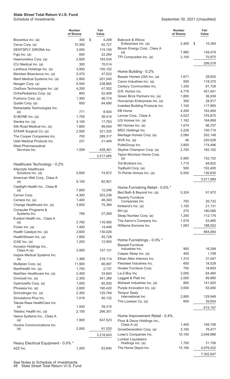|                                                | <b>Number</b><br>of Shares | Fair<br>Value    |                                             | <b>Number</b><br>of Shares | Fair<br>Value    |
|------------------------------------------------|----------------------------|------------------|---------------------------------------------|----------------------------|------------------|
| Bioventus Inc. (a)                             | 300                        | \$<br>4,248      | Babcock & Wilcox                            |                            |                  |
| Cerus Corp. (a)                                | 10,300                     | 62,727           | Enterprises Inc. (a)                        | 2,400                      | \$<br>15,384     |
| DENTSPLY SIRONA Inc.                           | 3,000                      | 174,150          | Bloom Energy Corp., Class A                 |                            |                  |
| Figs Inc. $(a)$                                | 600                        | 22,284           | (a)                                         | 7,985                      | 149,479          |
| Haemonetics Corp. (a)                          | 2,600                      | 183,534          | TPI Composites Inc. (a)                     | 2,100                      | 70,875           |
| ICU Medical Inc. (a)                           | 300                        | 70,014           |                                             |                            | 299,578          |
| Lantheus Holdings Inc. (a)                     | 3,900                      | 100,152          | Home Building - 0.2%                        |                            |                  |
| Meridian Bioscience Inc. (a)                   | 2,470                      | 47,523           | Beazer Homes USA Inc. (a)                   | 1,671                      | 28,825           |
| Merit Medical Systems Inc. (a)                 | 2,800                      | 201,040          | Cavco Industries Inc. (a)                   | 500                        | 118,370          |
| Neogen Corp. (a)                               | 5,500                      | 238,865          | Century Communities Inc.                    | 1,330                      | 81,728           |
| OraSure Technologies Inc. (a)                  | 4,200                      | 47,502           | D.R. Horton Inc.                            | 4,776                      | 401,041          |
| OrthoPediatrics Corp. (a)                      | 800                        | 52,408           | Green Brick Partners Inc. (a)               | 1,800                      | 36,936           |
| Pulmonx Corp. (a)                              | 1,300                      | 46,774           | Hovnanian Enterprises Inc. (a)              | 300                        | 28,917           |
| Quidel Corp. (a)                               | 600                        | 84,690           | Installed Building Products Inc.            | 1,100                      | 117,865          |
| Retractable Technologies Inc.                  | 771                        |                  | <b>KB Home</b>                              | 4,200                      | 163,464          |
| (a)                                            |                            | 8,504            | Lennar Corp., Class A                       | 4,023                      | 376,875          |
| SI-BONE Inc. (a)                               | 1,700<br>3,100             | 36,414<br>17,763 | LGI Homes Inc. (a)                          | 1,162                      | 164,899          |
| Sientra Inc. (a)<br>Silk Road Medical Inc. (a) | 1,800                      | 99,054           | M/I Homes Inc. (a)                          | 1,674                      | 96,757           |
| STAAR Surgical Co. (a)                         | 2,500                      | 321,325          | MDC Holdings Inc.                           | 3,226                      | 150,719          |
| The Cooper Companies Inc.                      | 700                        | 289,317          | Meritage Homes Corp. (a)                    | 2,084                      | 202,148          |
| Utah Medical Products Inc.                     | 231                        | 21,446           | NVR Inc. (a)                                | 46                         | 220,528          |
| <b>West Pharmaceutical</b>                     |                            |                  | PulteGroup Inc.                             | 3,800                      | 174,496          |
| Services Inc.                                  | 1,009                      | 428,361          | Skyline Champion Corp. (a)                  | 2,700                      | 162,162          |
|                                                |                            | 3,517,085        | Taylor Morrison Home Corp.                  |                            |                  |
|                                                |                            |                  | (a)                                         | 5,900                      | 152,102          |
| Healthcare Technology - 0.2%                   |                            |                  | Toll Brothers Inc.                          | 1,715                      | 94,822           |
| <b>Allscripts Healthcare</b>                   |                            |                  | TopBuild Corp. (a)                          | 500                        | 102,405          |
| Solutions Inc. (a)                             | 5,600                      | 74,872           | Tri Pointe Homes Inc. (a)                   | 6,500                      | 136,630          |
| American Well Corp., Class A                   |                            |                  |                                             |                            | 3,011,689        |
| (a)                                            | 9,100                      | 82,901           |                                             |                            |                  |
| Castlight Health Inc., Class B<br>(a)          | 7,800                      | 12,246           | Home Furnishing Retail - 0.0% *             |                            |                  |
| Cerner Corp.                                   | 4,300                      | 303,236          | Bed Bath & Beyond Inc. (a)                  | 5,324                      | 91,972           |
| Certara Inc. (a)                               | 1,400                      | 46,340           | <b>Haverty Furniture</b>                    | 793                        |                  |
| Change Healthcare Inc. (a)                     | 3,600                      | 75,384           | Companies Inc.<br>Kirkland's Inc. (a)       | 1,100                      | 26,732<br>21,131 |
| Computer Programs &                            |                            |                  | RH(a)                                       | 270                        | 180,066          |
| Systems Inc.                                   | 769                        | 27,269           | Sleep Number Corp. (a)                      | 1,200                      | 112,176          |
| Evolent Health Inc., Class A                   |                            |                  | The Aaron's Company Inc.                    | 1,579                      | 43,485           |
| (a)                                            | 3,760                      | 116,560          | Williams-Sonoma Inc.                        | 1,063                      | 188,502          |
| Forian Inc. (a)                                | 1,400                      | 14,448           |                                             |                            |                  |
| Health Catalyst Inc. (a)                       | 2,600                      | 130,026          |                                             |                            | 664,064          |
| HealthStream Inc. (a)                          | 1,600                      | 45,728           | Home Furnishings - 0.0% *                   |                            |                  |
| iCAD Inc. (a)                                  | 1,200                      | 12,900           | <b>Bassett Furniture</b>                    |                            |                  |
| Inovalon Holdings Inc.,<br>Class A (a)         | 3,900                      | 157,131          | Industries Inc.                             | 900                        | 16,299           |
| Inspire Medical Systems Inc.                   |                            |                  | Casper Sleep Inc. (a)                       | 400                        | 1,708            |
| (a)                                            | 1,366                      | 318,114          | Ethan Allen Interiors Inc.                  | 1,310                      | 31,047           |
| Multiplan Corp. (a)                            | 11,900                     | 66,997           | Flexsteel Industries Inc.                   | 600                        | 18,528           |
| NantHealth Inc. (a)                            | 1,700                      | 2,737            | Hooker Furniture Corp.                      | 700                        | 18,893           |
| NextGen Healthcare Inc. (a)                    | 2,400                      | 33,840           | La-Z-Boy Inc.                               | 2,000                      | 64,460           |
| Omnicell Inc. (a)                              | 2,300                      | 341,389          | Leggett & Platt Inc.                        | 2,000                      | 89,680           |
| OptimizeRx Corp. (a)                           | 1,000                      | 85,550           | Mohawk Industries Inc. (a)                  | 800                        | 141,920          |
| Phreesia Inc. (a)                              | 2,600                      | 160,420          | Purple Innovation Inc. (a)                  | 3,000                      | 63,060           |
| Schrodinger Inc. (a)                           | 2,300                      | 125,764          | <b>Tempur Sealy</b>                         |                            |                  |
| Simulations Plus Inc.                          | 1,016                      | 40,132           | International Inc.                          | 2,800                      | 129,948          |
| Tabula Rasa HealthCare Inc.                    |                            |                  | The Lovesac Co. (a)                         | 600                        | 39,654           |
| (a)                                            | 1,500                      | 39,315           |                                             |                            | 615,197          |
| Teladoc Health Inc. (a)                        | 2,100                      | 266,301          |                                             |                            |                  |
| Veeva Systems Inc., Class A                    |                            |                  | Home Improvement Retail - 0.4%              |                            |                  |
| (a)                                            | 1,900                      | 547,523          | Floor & Decor Holdings Inc.,<br>Class A (a) | 1,400                      | 169,106          |
| Vocera Communications Inc.<br>(a)              | 2,000                      | 91,520           | GrowGeneration Corp. (a)                    | 3,100                      | 76,477           |
|                                                |                            | 3,218,643        | Lowe's Companies Inc.                       | 10,100                     | 2,048,886        |
|                                                |                            |                  | Lumber Liquidators                          |                            |                  |
| Heavy Electrical Equipment - 0.0% *            |                            |                  | Holdings Inc. (a)                           | 1,700                      | 31,756           |
| AZZ Inc.                                       | 1,200                      | 63,840           | The Home Depot Inc.                         | 15,160                     | 4,976,422        |
|                                                |                            |                  |                                             |                            | 7,302,647        |
|                                                |                            |                  |                                             |                            |                  |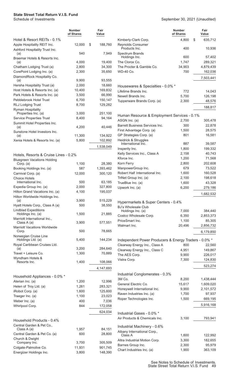|                                                                        | Number<br>of Shares | Fair<br>Value        |
|------------------------------------------------------------------------|---------------------|----------------------|
| Hotel & Resort REITs - 0.1%                                            |                     |                      |
| Apple Hospitality REIT Inc.                                            | 12,000              | \$<br>188,760        |
| Ashford Hospitality Trust Inc.<br>(a)<br>Braemar Hotels & Resorts Inc. | 540                 | 7,949                |
| (a)                                                                    | 4,000               | 19,400               |
| Chatham Lodging Trust (a)                                              | 2,800               | 34,300               |
| CorePoint Lodging Inc. (a)                                             | 2,300               | 35,650               |
| DiamondRock Hospitality Co.<br>(a)                                     | 9,900               | 93,555               |
| Hersha Hospitality Trust (a)                                           | 2,000               | 18,660               |
| Host Hotels & Resorts Inc. (a)                                         | 10,400              | 169,832              |
| Park Hotels & Resorts Inc. (a)                                         | 3,500               | 66,990               |
| Pebblebrook Hotel Trust                                                | 6,700               | 150,147              |
| <b>RLJ Lodging Trust</b>                                               | 8,700               | 129,282              |
| <b>Ryman Hospitality</b><br>Properties Inc. (a)                        | 3,000               | 251,100              |
| <b>Service Properties Trust</b>                                        | 8,400               | 94,164               |
| Summit Hotel Properties Inc.                                           |                     |                      |
| (a)                                                                    | 4,200               | 40,446               |
| Sunstone Hotel Investors Inc.                                          | 11,300              |                      |
| (a)<br>Xenia Hotels & Resorts Inc. (a)                                 | 5,800               | 134,922<br>102,892   |
|                                                                        |                     |                      |
|                                                                        |                     | 1,538,049            |
| Hotels, Resorts & Cruise Lines - 0.2%                                  |                     |                      |
| <b>Bluegreen Vacations Holding</b>                                     |                     |                      |
| Corp. (a)                                                              | 1,100               | 28,380               |
| Booking Holdings Inc. (a)<br>Carnival Corp. (a)                        | 587<br>12,000       | 1,393,462<br>300,120 |
| <b>Choice Hotels</b>                                                   |                     |                      |
| International Inc.                                                     | 500                 | 63,185               |
| Expedia Group Inc. (a)                                                 | 2,000               | 327,800              |
| Hilton Grand Vacations Inc. (a)                                        | 4,100               | 195,037              |
| Hilton Worldwide Holdings Inc.<br>(a)                                  | 3,900               | 515,229              |
| Hyatt Hotels Corp., Class A (a)                                        | 500                 | 38,550               |
| <b>Lindblad Expeditions</b>                                            |                     |                      |
| Holdings Inc. (a)                                                      | 1,500               | 21,885               |
| Marriott International Inc.,<br>Class A (a)                            | 3,900               | 577,551              |
| <b>Marriott Vacations Worldwide</b>                                    |                     |                      |
| Corp.                                                                  | 500                 | 78,665               |
| Norwegian Cruise Line<br>Holdings Ltd. (a)                             | 5,400               | 144,234              |
| Royal Caribbean Cruises Ltd.                                           |                     |                      |
| (a)                                                                    | 3,200               | 284,640              |
| Travel + Leisure Co.                                                   | 1,300               | 70,889               |
| Wyndham Hotels &<br>Resorts Inc.                                       | 1,400               |                      |
|                                                                        |                     | 108,066              |
|                                                                        |                     | 4,147,693            |
| Household Appliances - 0.0% *                                          |                     |                      |
| Aterian Inc. (a)                                                       | 1,200               | 12,996               |
| Helen of Troy Ltd. (a)                                                 | 1,261               | 283,321              |
| iRobot Corp. (a)                                                       | 1,600               | 125,600              |
| Traeger Inc. (a)                                                       | 1,100               | 23,023               |
| Weber Inc. (a)<br>Whirlpool Corp.                                      | 400<br>844          | 7,036<br>172,058     |
|                                                                        |                     |                      |
|                                                                        |                     | 624,034              |
| Household Products - 0.4%                                              |                     |                      |
| Central Garden & Pet Co.,                                              |                     |                      |
| Class A (a)                                                            | 1,957<br>600        | 84,151               |
| Central Garden & Pet Co. (a)<br>Church & Dwight                        |                     | 28,800               |
| Company Inc.                                                           | 3,700               | 305,509              |
| Colgate-Palmolive Co.                                                  | 11,931              | 901,745              |

Energizer Holdings Inc. 3,800 148,390

|                                                                   | Number<br>of Shares | Fair<br>Value      |
|-------------------------------------------------------------------|---------------------|--------------------|
| Kimberly-Clark Corp.                                              | 4,800               | \$<br>635,712      |
| Reynolds Consumer                                                 |                     |                    |
| Products Inc.<br><b>Spectrum Brands</b>                           | 400                 | 10,936             |
| Holdings Inc.                                                     | 600                 | 57,402             |
| The Clorox Co.                                                    | 1,747               | 289,321            |
| The Procter & Gamble Co.                                          | 34,903              | 4,879,439          |
| WD-40 Co.                                                         | 700                 | 162,036            |
|                                                                   |                     | 7,503,441          |
| Housewares & Specialties - 0.0% *                                 |                     |                    |
| Lifetime Brands Inc.                                              | 772                 | 14,043             |
| Newell Brands Inc.                                                | 5,700               | 126,198            |
| Tupperware Brands Corp. (a)                                       | 2,300               | 48,576<br>188,817  |
| Human Resource & Employment Services - 0.1%                       |                     |                    |
| ASGN Inc. (a)                                                     | 2,700               | 305,478            |
| Barrett Business Services Inc.                                    | 300                 | 22,878             |
| First Advantage Corp. (a)                                         | 1,500               | 28,575             |
| GP Strategies Corp. (a)                                           | 801                 | 16,581             |
| Heidrick & Struggles                                              |                     |                    |
| International Inc.                                                | 887                 | 39,587             |
| Insperity Inc.<br>Kelly Services Inc., Class A                    | 1,800<br>2,158      | 199,332<br>40,743  |
| Kforce Inc.                                                       | 1,200               | 71,568             |
| Korn Ferry                                                        | 2,800               | 202,608            |
| ManpowerGroup Inc.                                                | 679                 | 73,522             |
| Robert Half International Inc.                                    | 1,600               | 160,528            |
| TriNet Group Inc. (a)                                             | 2,100               | 198,618            |
| TrueBlue Inc. (a)                                                 | 1,600               | 43,328             |
| Upwork Inc. (a)                                                   | 6,200               | 279,186            |
|                                                                   |                     | 1,682,532          |
|                                                                   |                     |                    |
| Hypermarkets & Super Centers - 0.4%<br><b>BJ's Wholesale Club</b> |                     |                    |
| Holdings Inc. (a)                                                 | 7,000               | 384,440            |
| Costco Wholesale Corp.                                            | 6,350               | 2,853,373          |
| PriceSmart Inc.                                                   | 1,100               | 85,305             |
| Walmart Inc.                                                      | 20,496              | 2,856,732          |
|                                                                   |                     | 6,179,850          |
| Independent Power Producers & Energy Traders - 0.0% *             |                     |                    |
| Clearway Energy Inc., Class A                                     | 800                 | 22,560             |
| Clearway Energy Inc., Class C                                     | 4,951               | 149,867            |
| The AES Corp.                                                     | 9,900               | 226,017            |
| Vistra Corp.                                                      | 7,300               | 124,830            |
|                                                                   |                     | 523,274            |
| Industrial Conglomerates - 0.3%                                   |                     |                    |
| 3M Co.                                                            | 8,200               | 1,438,444          |
| General Electric Co.                                              | 15,617              | 1,609,020          |
| Honeywell International Inc.                                      | 9,900               | 2,101,572          |
| Raven Industries Inc. (a)                                         | 1,700               | 97,937             |
| Roper Technologies Inc.                                           | 1,500               | 669,195            |
|                                                                   |                     | 5,916,168          |
| Industrial Gases - 0.0% *                                         |                     |                    |
| Air Products & Chemicals Inc.                                     | 3,100               | 793,941            |
| Industrial Machinery - 0.6%                                       |                     |                    |
| Albany International Corp.,                                       |                     |                    |
| Class A<br>Altra Industrial Motion Corp.                          | 1,600<br>3,300      | 122,992<br>182,655 |
| Barnes Group Inc.                                                 | 2,300               | 95,979             |
| Chart Industries Inc. (a)                                         | 1,900               | 363,109            |
|                                                                   |                     |                    |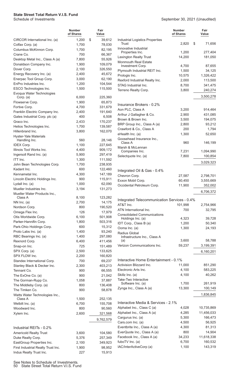#### September 30, 2021 (Unaudited)

|                                                   | <b>Number</b><br>of Shares | Fair<br>Value     |                                               | <b>Number</b><br>of Shares | Fair<br>Value         |
|---------------------------------------------------|----------------------------|-------------------|-----------------------------------------------|----------------------------|-----------------------|
| CIRCOR International Inc. (a)                     | 1,200                      | \$<br>39,612      | Industrial Logistics Properties               |                            |                       |
| Colfax Corp. (a)                                  | 1,700                      | 78,030            | Trust                                         | 2,820                      | \$<br>71,656          |
| Columbus McKinnon Corp.                           | 1,700                      | 82,195            | Innovative Industrial<br>Properties Inc.      | 1,200                      | 277,404               |
| Crane Co.                                         | 700                        | 66,367            | Lexington Realty Trust                        | 14,200                     | 181,050               |
| Desktop Metal Inc., Class A (a)                   | 7,800                      | 55,926            | <b>Monmouth Real Estate</b>                   |                            |                       |
| Donaldson Company Inc.                            | 1,900                      | 109,079           | Investment Corp.                              | 4,700                      | 87,655                |
| Dover Corp.<br>Energy Recovery Inc. (a)           | 2,100<br>2,400             | 326,550<br>45,672 | Plymouth Industrial REIT Inc.                 | 1,500                      | 34,125                |
| Enerpac Tool Group Corp.                          | 3,000                      | 62,190            | Prologis Inc.                                 | 10,575                     | 1,326,422             |
| EnPro Industries Inc.                             | 1,200                      | 104,544           | Rexford Industrial Realty Inc.                | 2,000                      | 113,500               |
| ESCO Technologies Inc.                            | 1,500                      | 115,500           | STAG Industrial Inc.                          | 8,700                      | 341,475               |
| Evoqua Water Technologies                         |                            |                   | Terreno Realty Corp.                          | 3,800                      | 240,274               |
| Corp. $(a)$                                       | 6,000                      | 225,360           |                                               |                            | 3,500,278             |
| Flowserve Corp.                                   | 1,900                      | 65,873            | Insurance Brokers - 0.2%                      |                            |                       |
| Fortive Corp.                                     | 4,700                      | 331,679           | Aon PLC, Class A                              | 3,200                      | 914,464               |
| Franklin Electric Company Inc.                    | 2,400                      | 191,640           | Arthur J Gallagher & Co.                      | 2,900                      | 431,085               |
| Gates Industrial Corp. plc (a)                    | 400                        | 6,508             | Brown & Brown Inc.                            | 3,500                      | 194,075               |
| Graco Inc.                                        | 2,433                      | 170,237           | BRP Group Inc., Class A (a)                   | 2,800                      | 93,212                |
| Helios Technologies Inc.                          | 1,700                      | 139,587           | Crawford & Co., Class A                       | 200                        | 1,794                 |
| Hillenbrand Inc.                                  | 3,800                      | 162,070           | eHealth Inc. (a)                              | 1,300                      | 52,650                |
| <b>Hyster-Yale Materials</b><br>Handling Inc.     | 560                        | 28,146            | Goosehead Insurance Inc.,                     |                            |                       |
| <b>IDEX Corp.</b>                                 | 1,100                      | 227,645           | Class A                                       | 960                        | 146,199               |
| Illinois Tool Works Inc.                          | 4,400                      | 909,172           | Marsh & McLennan                              |                            |                       |
| Ingersoll Rand Inc. (a)                           | 5,900                      | 297,419           | Companies Inc.                                | 7,231                      | 1,094,990             |
| ITT Inc.                                          | 1,300                      | 111,592           | Selectquote Inc. (a)                          | 7,800                      | 100,854               |
| John Bean Technologies Corp.                      | 1,700                      | 238,935           |                                               |                            | 3,029,323             |
| Kadant Inc.                                       | 600                        | 122,460           |                                               |                            |                       |
| Kennametal Inc.                                   | 4,300                      | 147,189           | Integrated Oil & Gas - 0.4%<br>Chevron Corp.  | 27,587                     | 2,798,701             |
| Lincoln Electric Holdings Inc.                    | 900                        | 115,911           | Exxon Mobil Corp.                             | 60,450                     | 3,555,669             |
| Lydall Inc. (a)                                   | 1,000                      | 62,090            | Occidental Petroleum Corp.                    | 11,900                     | 352,002               |
| Mueller Industries Inc.                           | 3,194                      | 131,273           |                                               |                            |                       |
| Mueller Water Products Inc.,                      |                            |                   |                                               |                            | 6,706,372             |
| Class A                                           | 8,100                      | 123,282           | Integrated Telecommunication Services - 0.4%  |                            |                       |
| $NN$ Inc. (a)                                     | 2,700                      | 14,175            | AT&T Inc.                                     | 101,998                    | 2,754,966             |
| Nordson Corp.                                     | 800                        | 190,520           | ATN International Inc.                        | 700                        | 32,795                |
| Omega Flex Inc.                                   | 126                        | 17,979            | <b>Consolidated Communications</b>            |                            |                       |
| Otis Worldwide Corp.                              | 6,100                      | 501,908           | Holdings Inc. (a)                             | 4,323                      | 39,728                |
| Parker-Hannifin Corp.<br>Park-Ohio Holdings Corp. | 1,800<br>600               | 503,316<br>15,312 | IDT Corp., Class B (a)                        | 1,200                      | 50,340                |
| Proto Labs Inc. (a)                               | 1,400                      | 93,240            | Ooma Inc. (a)                                 | 1,300                      | 24,193                |
| RBC Bearings Inc. (a)                             | 1,400                      | 297,080           | Radius Global                                 |                            |                       |
| Rexnord Corp.                                     | 6,400                      | 411,456           | Infrastructure Inc., Class A<br>(a)           | 3,600                      | 58,788                |
| Snap-on Inc.                                      | 725                        | 151,489           | Verizon Communications Inc.                   | 59,237                     | 3,199,391             |
| SPX Corp. (a)                                     | 2,500                      | 133,625           |                                               |                            | 6,160,201             |
| SPX FLOW Inc.                                     | 2,200                      | 160,820           |                                               |                            |                       |
| Standex International Corp.                       | 700                        | 69,237            | Interactive Home Entertainment - 0.1%         |                            |                       |
| Stanley Black & Decker Inc.                       | 2,300                      | 403,213           | Activision Blizzard Inc.                      | 11,000                     | 851,290               |
| Tennant Co.                                       | 900                        | 66,555            | Electronic Arts Inc.                          | 4,100                      | 583,225               |
| The ExOne Co. (a)                                 | 900                        | 21,042            | Skillz Inc. (a)                               | 4,100                      | 40,262                |
| The Gorman-Rupp Co.                               | 1,058                      | 37,887            | Take-Two Interactive                          |                            |                       |
| The Middleby Corp. (a)                            | 800                        | 136,408           | Software Inc. (a)                             | 1,700                      | 261,919               |
| The Timken Co.                                    | 900                        | 58,878            | Zynga Inc., Class A (a)                       | 13,300                     | 100,149               |
| Watts Water Technologies Inc.,<br>Class A         | 1,500                      | 252,135           |                                               |                            | 1,836,845             |
| Welbilt Inc. (a)                                  | 6,700                      | 155,708           | Interactive Media & Services - 2.1%           |                            |                       |
| Woodward Inc.                                     | 800                        | 90,560            | Alphabet Inc., Class C (a)                    | 4,028                      | 10,735,869            |
| Xylem Inc.                                        | 2,600                      | 321,568           | Alphabet Inc., Class A (a)                    | 4,285                      | 11,456,033            |
|                                                   |                            | 9,762,579         | Cargurus Inc. (a)                             | 5,300                      | 166,473               |
|                                                   |                            |                   | Cars.com Inc. (a)                             | 4,500                      | 56,925                |
| Industrial REITs - 0.2%                           |                            |                   | Eventbrite Inc., Class A (a)                  | 4,300                      | 81,313                |
| <b>Americold Realty Trust</b>                     | 3,600                      | 104,580           | EverQuote Inc., Class A (a)                   | 800                        | 14,904                |
| Duke Realty Corp.                                 | 5,376                      | 257,349           | Facebook Inc., Class A (a)<br>fuboTV Inc. (a) | 34,233<br>6,700            | 11,618,338<br>160,532 |
| EastGroup Properties Inc.                         | 2,100                      | 349,923           | IAC/InterActiveCorp (a)                       | 1,100                      | 143,319               |
| First Industrial Realty Trust Inc.                | 1,900                      | 98,952            |                                               |                            |                       |
| Indus Realty Trust Inc.                           | 227                        | 15,913            |                                               |                            |                       |

See Notes to Schedule of Investments. 50 State Street Total Return V.I.S. Fund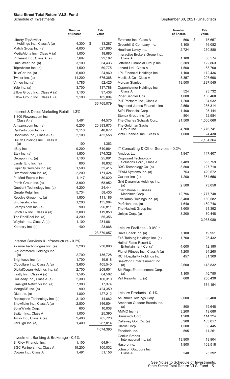|                                                          | <b>Number</b><br>of Shares | Fair<br>Value         |
|----------------------------------------------------------|----------------------------|-----------------------|
| <b>Liberty TripAdvisor</b><br>Holdings Inc., Class A (a) | 4,300                      | \$<br>13,287          |
| Match Group Inc. (a)                                     | 4,000                      | 627,960               |
| MediaAlpha Inc., Class A (a)                             | 1,000                      | 18,680                |
| Pinterest Inc., Class A (a)                              | 7,697                      | 392,162               |
| QuinStreet Inc. (a)                                      | 3,100                      | 54,436                |
| TripAdvisor Inc. (a)                                     | 1,500                      | 50,775                |
| TrueCar Inc. (a)                                         | 6,000                      | 24,960                |
| Twitter Inc. (a)                                         | 11,200                     | 676,368               |
| Vimeo Inc. (a)                                           | 1,785                      | 52,425                |
| Yelp Inc. (a)                                            | 3,700                      | 137,788               |
| Zillow Group Inc., Class A (a)                           | 1,100                      | 97,438                |
| Zillow Group Inc., Class C (a)                           | 2,100                      | 185,094<br>36,765,079 |
|                                                          |                            |                       |
| Internet & Direct Marketing Retail - 1.3%                |                            |                       |
| 1-800-Flowers.com Inc.,<br>Class A (a)                   | 1,461                      | 44,575                |
| Amazon.com Inc. (a)                                      | 6,205                      | 20,383,673            |
| CarParts.com Inc. (a)                                    | 3,118                      | 48,672                |
| DoorDash Inc., Class A (a)                               | 2,100                      | 432,558               |
| Duluth Holdings Inc., Class B<br>(a)                     | 100                        | 1,363                 |
| eBay Inc.                                                | 9,200                      | 640,964               |
| Etsy Inc. (a)                                            | 1,800                      | 374,328               |
| Groupon Inc. (a)                                         | 1,100                      | 25,091                |
| Lands' End Inc. (a)                                      | 800                        | 18,832                |
| Liquidity Services Inc. (a)                              | 1,500                      | 32,415                |
| Overstock.com Inc. (a)                                   | 2,200                      | 171,424               |
| PetMed Express Inc.                                      | 1,147                      | 30,820                |
| Porch Group Inc. (a)                                     | 3,900                      | 68,952                |
| Quotient Technology Inc. (a)                             | 4,200                      | 24,444                |
| Qurate Retail Inc.                                       | 5,734                      | 58,430                |
| Revolve Group Inc. (a)                                   | 1,800                      | 111,186               |
| Shutterstock Inc.                                        | 1,200                      | 135,984               |
| Stamps.com Inc. (a)<br>Stitch Fix Inc., Class A (a)      | 900<br>3,000               | 296,811<br>119,850    |
| The RealReal Inc. (a)                                    | 4,200                      | 55,356                |
| Wayfair Inc., Class A (a)                                | 1,100                      | 281,061               |
| Xometry Inc. (a)                                         | 400                        | 23,068                |
|                                                          |                            | 23,379,857            |
| Internet Services & Infrastructure - 0.2%                |                            |                       |
| Akamai Technologies Inc. (a)                             | 2,200                      | 230,098               |
| BigCommerce Holdings Inc.<br>(a)                         | 2,700                      | 136,728               |
| Brightcove Inc. (a)                                      | 1,700                      | 19,618                |
| Cloudflare Inc., Class A (a)                             | 3,600                      | 405,540               |
| DigitalOcean Holdings Inc. (a)                           | 2,700                      | 209,601               |
| Fastly Inc., Class A (a)                                 | 1,595                      | 64,502                |
| GoDaddy Inc., Class A (a)                                | 2,300                      | 160,310               |
| Limelight Networks Inc. (a)                              | 7,300                      | 17,374                |
| MongoDB Inc. (a)                                         | 900                        | 424,359               |
| Okta Inc. (a)                                            | 1,800                      | 427,212               |
| Rackspace Technology Inc. (a)                            | 3,100                      | 44,082                |
| Snowflake Inc., Class A (a)                              | 2,800                      | 846,804               |
| SolarWinds Corp.<br>Switch Inc., Class A                 | 600<br>1,000               | 10,038                |
| Twilio Inc., Class A (a)                                 | 2,400                      | 25,390<br>765,720     |
| VeriSign Inc. (a)                                        | 1,400                      | 287,014               |
|                                                          |                            | 4,074,390             |
| Investment Banking & Brokerage - 0.4%                    |                            |                       |
| B. Riley Financial Inc.                                  | 1,100                      | 64,944                |
| <b>BGC Partners Inc., Class A</b>                        | 19,200                     | 100,032               |
| Cowen Inc., Class A                                      | 1,491                      | 51,156                |

|                                                 | <b>Number</b><br>of Shares | Fair<br>Value    |
|-------------------------------------------------|----------------------------|------------------|
| Evercore Inc., Class A                          | 566                        | \$<br>75,657     |
| Greenhill & Company Inc.                        | 1,100                      | 16,082           |
| Houlihan Lokey Inc.                             | 2,724                      | 250,880          |
| Interactive Brokers Group Inc.,                 |                            |                  |
| Class A                                         | 1,100                      | 68,574           |
| Jefferies Financial Group Inc.                  | 3,309                      | 122,863          |
| Lazard Ltd., Class A                            | 1,500                      | 68,700           |
| LPL Financial Holdings Inc.                     | 1,100                      | 172,436          |
| Moelis & Co., Class A                           | 3,357                      | 207,698          |
| Morgan Stanley<br>Oppenheimer Holdings Inc.,    | 19,500                     | 1,897,545        |
| Class A                                         | 524                        | 23,732           |
| Piper Sandler Cos.                              | 1,000                      | 138,460          |
| PJT Partners Inc., Class A                      | 1,200                      | 94,932           |
| Raymond James Financial Inc.                    | 2,550                      | 235,314          |
| Stifel Financial Corp.                          | 1,400                      | 95,144           |
| Stonex Group Inc. (a)                           | 804                        | 52,984           |
| The Charles Schwab Corp.                        | 21,500                     | 1,566,060        |
| The Goldman Sachs                               |                            |                  |
| Group Inc.                                      | 4,700                      | 1,776,741        |
| Virtu Financial Inc., Class A                   | 1,000                      | 24,430           |
|                                                 |                            | 7,104,364        |
| IT Consulting & Other Services - 0.2%           |                            |                  |
| Amdocs Ltd.<br>Cognizant Technology             | 1,947                      | 147,407          |
| Solutions Corp., Class A                        | 7,489                      | 555,759          |
| DXC Technology Co. (a)                          | 3,800                      | 127,718          |
| EPAM Systems Inc. (a)                           | 753                        | 429,572          |
| Gartner Inc. (a)                                | 1,200                      | 364,656          |
| Grid Dynamics Holdings Inc.<br>(a)              | 2,500                      | 73,050           |
| <b>International Business</b><br>Machines Corp. | 12,796                     | 1,777,748        |
| LiveRamp Holdings Inc. (a)                      | 3,400                      | 160,582          |
| Perficient Inc. (a)                             | 1,640                      | 189,748          |
| The Hackett Group Inc.                          | 1,600                      | 31,392           |
| Unisys Corp. (a)                                | 3,200                      | 80,448           |
|                                                 |                            | 3,938,080        |
| Leisure Facilities - 0.0% *                     |                            |                  |
| Drive Shack Inc. (a)                            | 7,100                      | 19,951           |
| F45 Training Holdings Inc. (a)                  | 1,700                      | 25,432           |
| Hall of Fame Resort &                           |                            |                  |
| Entertainment Co. (a)                           | 4,600                      | 12,190           |
| Planet Fitness Inc., Class A (a)                | 1,200                      | 94,260           |
| RCI Hospitality Holdings Inc.                   | 457                        | 31,309           |
| SeaWorld Entertainment Inc.<br>(a)              | 2,600                      | 143,832          |
| Six Flags Entertainment Corp.                   | 1,100                      | 46,750           |
| (a)<br>Vail Resorts Inc. (a)                    | 600                        | 200,430          |
|                                                 |                            |                  |
|                                                 |                            | 574,154          |
| Leisure Products - 0.1%                         |                            |                  |
| Acushnet Holdings Corp.                         | 2,000                      | 93,400           |
| American Outdoor Brands Inc.                    | 800                        |                  |
| (a)                                             | 3,200                      | 19,648<br>19,680 |
| AMMO Inc. (a)<br>Brunswick Corp.                | 1,200                      | 114,324          |
| Callaway Golf Co. (a)                           | 5,900                      | 163,017          |
| Clarus Corp.                                    | 1,500                      | 38,445           |
| Escalade Inc.                                   | 595                        | 11,251           |
| <b>Genius Brands</b>                            |                            |                  |
| International Inc. (a)                          | 13,900                     | 18,904           |
| Hasbro Inc.                                     | 1,900                      | 169,518          |
| Johnson Outdoors Inc.,<br>Class A               | 240                        | 25,392           |
|                                                 |                            |                  |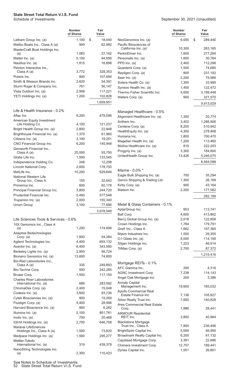#### September 30, 2021 (Unaudited)

|                                                             | <b>Number</b><br>of Shares | Fair<br>Value |                                                  | <b>Number</b><br>of Shares |   | Fair<br>Value     |
|-------------------------------------------------------------|----------------------------|---------------|--------------------------------------------------|----------------------------|---|-------------------|
| Latham Group Inc. (a)                                       | 1,100                      | \$<br>18,040  | NeoGenomics Inc. (a)                             | 6,000                      | S | 289,440           |
| Malibu Boats Inc., Class A (a)                              | 900                        | 62,982        | Pacific Biosciences of                           |                            |   |                   |
| MasterCraft Boat Holdings Inc.                              |                            |               | California Inc. (a)                              | 10,300                     |   | 263,165           |
| (a)                                                         | 1,083                      | 27,162        | PerkinElmer Inc.                                 | 1,600                      |   | 277,264           |
| Mattel Inc. (a)                                             | 5,100                      | 94,656        | Personalis Inc. (a)                              | 1,600                      |   | 30,784            |
| Nautilus Inc. (a)                                           | 1,815                      | 16,898        | PPD Inc. (a)                                     | 2,400                      |   | 112,296           |
| Peloton Interactive Inc.,<br>Class A (a)                    | 3,772                      | 328,353       | Quanterix Corp. (a)                              | 1,500                      |   | 74,685            |
| Polaris Inc.                                                | 900                        | 107,694       | Repligen Corp. (a)<br>Seer Inc. (a)              | 800<br>2,200               |   | 231,192<br>75,966 |
| Smith & Wesson Brands Inc.                                  | 2,620                      | 54,391        | Sotera Health Co. (a)                            | 1,300                      |   | 33,995            |
| Sturm Ruger & Company Inc.                                  | 761                        | 56,147        | Syneos Health Inc. (a)                           | 1,400                      |   | 122,472           |
| Vista Outdoor Inc. (a)                                      | 2,908                      | 117,221       | Thermo Fisher Scientific Inc.                    | 5,600                      |   | 3,199,448         |
| YETI Holdings Inc. (a)                                      | 1,200                      | 102,828       | Waters Corp. (a)                                 | 900                        |   | 321,570           |
|                                                             |                            | 1,659,951     |                                                  |                            |   | 9,913,029         |
| Life & Health Insurance - 0.2%                              |                            |               | Managed Healthcare - 0.5%                        |                            |   |                   |
| Aflac Inc.                                                  | 9,200                      | 479,596       | Alignment Healthcare Inc. (a)                    | 1,300                      |   | 20,774            |
| American Equity Investment                                  |                            |               | Anthem Inc.                                      | 3,452                      |   | 1,286,906         |
| Life Holding Co.                                            | 4,100                      | 121,237       | Centene Corp. (a)                                | 8,200                      |   | 510,942           |
| Bright Health Group Inc. (a)                                | 2,800                      | 22,848        | HealthEquity Inc. (a)                            | 4,300                      |   | 278,468           |
| Brighthouse Financial Inc. (a)                              | 1,370                      | 61,965        | Humana Inc.                                      | 1,800                      |   | 700,470           |
| Citizens Inc. (a)                                           | 3,100                      | 19,251        | Magellan Health Inc. (a)                         | 1,200                      |   | 113,460           |
| CNO Financial Group Inc.                                    | 6,200                      | 145,948       | Molina Healthcare Inc. (a)                       | 819                        |   | 222,203           |
| Genworth Financial Inc.,<br>Class A (a)                     | 25,000                     | 93,750        | Progyny Inc. (a)                                 | 3,300                      |   | 184,800           |
| Globe Life Inc.                                             | 1,500                      | 133,545       | UnitedHealth Group Inc.                          | 13,426                     |   | 5,246,075         |
| Independence Holding Co.                                    | 248                        | 12,298        |                                                  |                            |   | 8,564,098         |
| Lincoln National Corp.                                      | 2,600                      | 178,750       |                                                  |                            |   |                   |
| MetLife Inc.                                                | 10,200                     | 629,646       | Marine - 0.0% *                                  |                            |   |                   |
| <b>National Western Life</b>                                |                            |               | Eagle Bulk Shipping Inc. (a)                     | 700                        |   | 35,294            |
| Group Inc., Class A                                         | 155                        | 32,642        | Genco Shipping & Trading Ltd.                    | 1,300                      |   | 26,169            |
| Primerica Inc.                                              | 600                        | 92,178        | Kirby Corp. (a)                                  | 900                        |   | 43,164            |
| Principal Financial Group Inc.                              | 3,800                      | 244,720       | Matson Inc.                                      | 2,200                      |   | 177,562           |
| Prudential Financial Inc.                                   | 5,490                      | 577,548       |                                                  |                            |   | 282,189           |
| Trupanion Inc. (a)                                          | 2,000                      | 155,340       | Metal & Glass Containers - 0.1%                  |                            |   |                   |
| Unum Group                                                  | 3,100                      | 77,686        | AptarGroup Inc.                                  | 953                        |   | 113,741           |
|                                                             |                            | 3,078,948     | Ball Corp.                                       | 4,600                      |   | 413,862           |
| Life Sciences Tools & Services - 0.6%                       |                            |               | Berry Global Group Inc. (a)                      | 2,018                      |   | 122,856           |
| 10X Genomics Inc., Class A                                  |                            |               | Crown Holdings Inc.                              | 1,784                      |   | 179,791           |
| (a)                                                         | 1,200                      | 174,696       | Greif Inc., Class A                              | 1,662                      |   | 107,365           |
| Adaptive Biotechnologies                                    |                            |               | Myers Industries Inc.                            | 1,500                      |   | 29,355            |
| Corp. (a)                                                   | 1,600                      | 54,384        | O-I Glass Inc. (a)                               | 8,000                      |   | 114,160           |
| Agilent Technologies Inc.                                   | 4,400                      | 693,132       | Silgan Holdings Inc.                             | 1,223                      |   | 46,914            |
| Avantor Inc. (a)                                            | 8,400                      | 343,560       | TriMas Corp. (a)                                 | 2,700                      |   | 87,372            |
| Berkeley Lights Inc. (a)                                    | 2,900                      | 56,724        |                                                  |                            |   | 1,215,416         |
| Bionano Genomics Inc. (a)<br>Bio-Rad Laboratories Inc.,     | 13,600                     | 74,800        |                                                  |                            |   |                   |
| Class A (a)                                                 | 335                        | 249,893       | Mortgage REITs - 0.1%                            |                            |   |                   |
| Bio-Techne Corp.                                            | 500                        | 242,285       | AFC Gamma Inc.                                   | 200                        |   | 4,316             |
| Bruker Corp.                                                | 1,500                      | 117,150       | AGNC Investment Corp.                            | 7,238                      |   | 114,143           |
| <b>Charles River Laboratories</b><br>International Inc. (a) | 686                        | 283,092       | Angel Oak Mortgage Inc.<br><b>Annaly Capital</b> | 200                        |   | 3,386             |
| ChromaDex Corp. (a)                                         | 2,400                      | 15,048        | Management Inc.                                  | 19,600                     |   | 165,032           |
| Codexis Inc. (a)                                            | 3,600                      | 83,736        | Apollo Commercial Real                           |                            |   |                   |
| Cytek Biosciences Inc. (a)                                  | 900                        | 19,269        | Estate Finance Inc.                              | 7,136                      |   | 105,827           |
| Fluidigm Corp. (a)                                          | 4,400                      | 28,996        | Arbor Realty Trust Inc.                          | 7,600                      |   | 140,828           |
| Harvard Bioscience Inc. (a)                                 | 900                        | 6,282         | Ares Commercial Real Estate<br>Corp.             | 1,886                      |   | 28,441            |
| Illumina Inc. (a)                                           | 2,100                      | 851,781       | <b>ARMOUR Residential</b>                        |                            |   |                   |
| Inotiv Inc. (a)                                             | 700                        | 20,468        | REIT Inc.                                        | 3,800                      |   | 40,964            |
| IQVIA Holdings Inc. (a)                                     | 2,700                      | 646,758       | <b>Blackstone Mortgage</b>                       |                            |   |                   |
| Maravai LifeSciences                                        |                            |               | Trust Inc., Class A                              | 7,800                      |   | 236,496           |
| Holdings Inc., Class A (a)                                  | 1,500                      | 73,620        | BrightSpire Capital Inc.                         | 5,000                      |   | 46,950            |
| Medpace Holdings Inc. (a)                                   | 1,560                      | 295,277       | Broadmark Realty Capital Inc.                    | 6,200                      |   | 61,132            |
| Mettler-Toledo<br>International Inc. (a)                    | 319                        | 439,378       | Capstead Mortgage Corp.                          | 3,391                      |   | 22,686            |
| NanoString Technologies Inc.                                |                            |               | Chimera Investment Corp.                         | 12,757                     |   | 189,441           |
| (a)                                                         | 2,300                      | 110,423       | Dynex Capital Inc.                               | 1,551                      |   | 26,801            |

See Notes to Schedule of Investments. 52 State Street Total Return V.I.S. Fund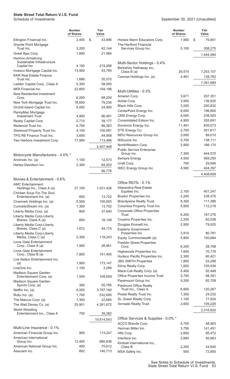#### **State Street Total Return V.I.S. Fund**

| Schedule of Investments | September 30, 2021 (Unaudited) |
|-------------------------|--------------------------------|
|                         |                                |

|                                                                       | <b>Number</b><br>of Shares | Fair<br>Value     |                                                              | <b>Number</b><br>of Shares | Fair<br>Value        |
|-----------------------------------------------------------------------|----------------------------|-------------------|--------------------------------------------------------------|----------------------------|----------------------|
| Ellington Financial Inc.<br><b>Granite Point Mortgage</b>             | 2,400                      | \$<br>43,896      | Horace Mann Educators Corp.<br>The Hartford Financial        | 1,900                      | \$<br>75,601         |
| Trust Inc.                                                            | 3,200                      | 42,144            | Services Group Inc.                                          | 5,100                      | 358,275              |
| Great Ajax Corp.                                                      | 1,600                      | 21,584            |                                                              |                            | 1,444,084            |
| <b>Hannon Armstrong</b><br>Sustainable Infrastructure<br>Capital Inc. | 4,100                      | 219,268           | Multi-Sector Holdings - 0.4%                                 |                            |                      |
| Invesco Mortgage Capital Inc.                                         | 13,900                     | 43,785            | Berkshire Hathaway Inc.,                                     |                            |                      |
| <b>KKR Real Estate Finance</b>                                        |                            |                   | Class $B(a)$<br>Cannae Holdings Inc. (a)                     | 26,574<br>4,461            | 7,253,107<br>138,782 |
| Trust Inc.                                                            | 1,686                      | 35,575            |                                                              |                            |                      |
| Ladder Capital Corp., Class A                                         | 5,300                      | 58,565            |                                                              |                            | 7,391,889            |
| <b>MFA Financial Inc.</b>                                             | 22,800                     | 104,196           | Multi-Utilities - 0.3%                                       |                            |                      |
| New Residential Investment<br>Corp.                                   | 6,200                      | 68,200            | Ameren Corp.                                                 | 3,671                      | 297,351              |
| New York Mortgage Trust Inc.                                          | 18,600                     | 79,236            | Avista Corp.                                                 | 3,500                      | 136,920              |
| Orchid Island Capital Inc.                                            | 5,092                      | 24,900            | Black Hills Corp.                                            | 3,200                      | 200,832              |
| PennyMac Mortgage                                                     |                            |                   | CenterPoint Energy Inc.                                      | 8,000                      | 196,800              |
| <b>Investment Trust</b>                                               | 4,900                      | 96,481            | CMS Energy Corp.                                             | 4,000                      | 238,920              |
| Ready Capital Corp.                                                   | 2,715                      | 39,177            | Consolidated Edison Inc.                                     | 4,900                      | 355,691<br>839,073   |
| Redwood Trust Inc.                                                    | 6,700<br>4,100             | 86,363<br>100,081 | Dominion Energy Inc.<br>DTE Energy Co.                       | 11,491<br>2,700            | 301,617              |
| Starwood Property Trust Inc.<br>TPG RE Finance Trust Inc.             | 3,600                      | 44,568            | MDU Resources Group Inc.                                     | 3,000                      | 89,010               |
| Two Harbors Investment Corp.                                          | 17,900                     | 113,486           | NiSource Inc.                                                | 5,700                      | 138,111              |
|                                                                       |                            |                   | NorthWestern Corp.                                           | 2,900                      | 166,170              |
|                                                                       |                            | 2,407,948         | <b>Public Service Enterprise</b>                             |                            |                      |
| Motorcycle Manufacturers - 0.0% *                                     |                            |                   | Group Inc.                                                   | 7,300                      | 444,570              |
| Arcimoto Inc. (a)                                                     | 1,100                      | 12,573            | Sempra Energy                                                | 4,500                      | 569,250              |
| Harley-Davidson Inc.                                                  | 2,300                      | 84,203            | Unitil Corp.                                                 | 700                        | 29,946               |
|                                                                       |                            | 96,776            | WEC Energy Group Inc.                                        | 4,585                      | 404,397              |
|                                                                       |                            |                   |                                                              |                            | 4,408,658            |
| Movies & Entertainment - 0.6%<br><b>AMC Entertainment</b>             |                            |                   | Office REITs - 0.1%                                          |                            |                      |
| Holdings Inc., Class A (a)                                            | 27,100                     | 1.031.426         | Alexandria Real Estate                                       |                            |                      |
| Chicken Soup For The Soul                                             |                            |                   | Equities Inc.                                                | 2,100                      | 401,247              |
| Entertainment Inc. (a)                                                | 600                        | 13,722            | Boston Properties Inc.                                       | 2,200                      | 238,370              |
| Cinemark Holdings Inc. (a)                                            | 5,500                      | 105,655           | <b>Brandywine Realty Trust</b>                               | 8,300                      | 111,386              |
| CuriosityStream Inc. (a)                                              | 1,300                      | 13,702            | Columbia Property Trust Inc.                                 | 5,900                      | 112,218              |
| Liberty Media Corp. (a)                                               | 800                        | 37,640            | <b>Corporate Office Properties</b><br>Trust                  | 6,200                      | 167,276              |
| Liberty Media Corp-Liberty<br>Braves, Class A (a)                     | 600                        | 16,146            | Cousins Properties Inc.                                      | 2,200                      | 82,038               |
| Liberty Media Corp-Liberty                                            |                            |                   | Douglas Emmett Inc.                                          | 2,500                      | 79,025               |
| Braves, Class C (a)                                                   | 1,672                      | 44,174            | <b>Easterly Government</b>                                   |                            |                      |
| Liberty Media Corp-Liberty<br>Media, Class C (a)                      | 2,300                      | 118,243           | Properties Inc.                                              | 3,910                      | 80,781               |
| Lions Gate Entertainment                                              |                            |                   | Equity Commonwealth (a)<br><b>Franklin Street Properties</b> | 5,800                      | 150,684              |
| Corp., Class A (a)                                                    | 1,900                      | 26,961            | Corp.                                                        | 6,200                      | 28,768               |
| Lions Gate Entertainment                                              |                            |                   | Highwoods Properties Inc.                                    | 1,600                      | 70,176               |
| Corp., Class B (a)                                                    | 7,800                      | 101,400           | Hudson Pacific Properties Inc.                               | 2,300                      | 60,421               |
| Live Nation Entertainment Inc.<br>(a)                                 | 1,900                      | 173,147           | <b>JBG SMITH Properties</b>                                  | 1,800                      | 53,298               |
| LiveOne Inc.                                                          | 1,100                      | 3,289             | Kilroy Realty Corp.                                          | 1,600                      | 105,936              |
| Madison Square Garden                                                 |                            |                   | Mack-Cali Realty Corp. (a)                                   | 5,400                      | 92,448               |
| Entertainment Corp. (a)                                               | 1,509                      | 109,659           | Office Properties Income Trust                               | 2,700                      | 68,391               |
| Madison Square Garden<br>Sports Corp. (a)                             | 300                        | 55,785            | Paramount Group Inc.                                         | 9,200                      | 82,708               |
| Netflix Inc. (a)                                                      | 6,205                      | 3,787,160         | <b>Piedmont Office Realty</b><br>Trust Inc., Class A         | 6,900                      | 120,267              |
| Roku Inc. (a)                                                         | 1,700                      | 532,695           | Postal Realty Trust Inc.                                     | 1,300                      | 24,232               |
| The Marcus Corp. (a)                                                  | 1,300                      | 22,685            | SL Green Realty Corp.                                        | 1,100                      | 77,924               |
| The Walt Disney Co. (a)                                               | 25,901                     | 4,381,672         | Vornado Realty Trust                                         | 2,600                      | 109,226              |
| World Wrestling                                                       |                            |                   |                                                              |                            | 2,316,820            |
| Entertainment Inc., Class A                                           | 700                        | 39,382            |                                                              |                            |                      |
|                                                                       |                            | 10,614,543        | Office Services & Supplies - 0.0% *                          |                            |                      |
| Multi-Line Insurance - 0.1%                                           |                            |                   | ACCO Brands Corp.                                            | 5,700                      | 48,963               |
| American Financial Group Inc.                                         | 900                        | 113,247           | Herman Miller Inc.<br>HNI Corp.                              | 3,756<br>2,600             | 141,451<br>95,472    |
| American International                                                |                            |                   | Interface Inc.                                               | 2,684                      | 40,663               |
| Group Inc.                                                            | 12,400                     | 680,636           | Kimball International Inc.,                                  |                            |                      |
| American National Group Inc.                                          | 400                        | 75,612            | Class B                                                      | 2,200                      | 24,640               |
| Assurant Inc.                                                         | 892                        | 140,713           | MSA Safety Inc.                                              | 500                        | 72,850               |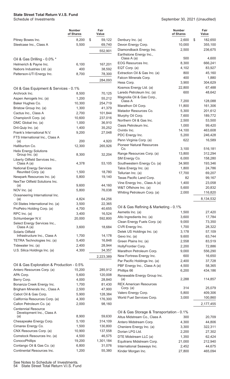| 8,200<br>\$<br>2,600<br>Pitney Bowes Inc.<br>59,122<br>Denbury Inc. (a)<br>Steelcase Inc., Class A<br>5,500<br>Devon Energy Corp.<br>10,000<br>69,740<br>Diamondback Energy Inc.<br>2,500<br>552,901<br>Earthstone Energy Inc.,<br>500<br>Class A (a)<br>Oil & Gas Drilling - 0.0% *<br>EOG Resources Inc.<br>8,300<br>6,100<br>167,201 | \$<br>182,650<br>355,100<br>236,675<br>4,600<br>666,241<br>83,927<br>45,160<br>1,880 |
|-----------------------------------------------------------------------------------------------------------------------------------------------------------------------------------------------------------------------------------------------------------------------------------------------------------------------------------------|--------------------------------------------------------------------------------------|
|                                                                                                                                                                                                                                                                                                                                         |                                                                                      |
|                                                                                                                                                                                                                                                                                                                                         |                                                                                      |
|                                                                                                                                                                                                                                                                                                                                         |                                                                                      |
|                                                                                                                                                                                                                                                                                                                                         |                                                                                      |
| Helmerich & Payne Inc.                                                                                                                                                                                                                                                                                                                  |                                                                                      |
| 4,102<br>EQT Corp. (a)<br>Nabors Industries Ltd. (a)<br>400<br>38,592                                                                                                                                                                                                                                                                   |                                                                                      |
| 800<br>Extraction Oil & Gas Inc. (a)<br>Patterson-UTI Energy Inc.<br>8,700<br>78,300<br>400                                                                                                                                                                                                                                             |                                                                                      |
| Falcon Minerals Corp.<br>284,093<br>Hess Corp.<br>3,900                                                                                                                                                                                                                                                                                 |                                                                                      |
| Kosmos Energy Ltd. (a)<br>22,800                                                                                                                                                                                                                                                                                                        | 304,629<br>67,488                                                                    |
| Oil & Gas Equipment & Services - 0.1%<br>Laredo Petroleum Inc. (a)<br>600                                                                                                                                                                                                                                                               | 48,642                                                                               |
| Archrock Inc.<br>70,125<br>8,500<br>Magnolia Oil & Gas Corp.,                                                                                                                                                                                                                                                                           |                                                                                      |
| 1,200<br>55,212<br>Aspen Aerogels Inc. (a)<br>7,200<br>Class A<br>10,300<br>254,719                                                                                                                                                                                                                                                     | 128,088                                                                              |
| Baker Hughes Co.<br>11,800<br>Marathon Oil Corp.<br>Bristow Group Inc. (a)<br>1,300<br>41,379                                                                                                                                                                                                                                           | 161,306                                                                              |
| Matador Resources Co.<br>5,300<br>Cactus Inc., Class A<br>2,700<br>101,844                                                                                                                                                                                                                                                              | 201,612                                                                              |
| Murphy Oil Corp.<br>7,600<br>10,600<br>237,016<br>ChampionX Corp. (a)                                                                                                                                                                                                                                                                   | 189,772                                                                              |
| Northern Oil & Gas Inc.<br>2,500<br>36,910<br>DMC Global Inc. (a)<br>1,000                                                                                                                                                                                                                                                              | 53,500                                                                               |
| Oasis Petroleum Inc.<br>1,000<br>1,400<br>35,252<br>Dril-Quip Inc. (a)                                                                                                                                                                                                                                                                  | 99,420                                                                               |
| 14,100<br>Ovintiv Inc.<br>Frank's International N.V.<br>9,200<br>27,048                                                                                                                                                                                                                                                                 | 463,608                                                                              |
| PDC Energy Inc.<br>5,200<br>FTS International Inc., Class A                                                                                                                                                                                                                                                                             | 246,428                                                                              |
| 622<br>Penn Virginia Corp. (a)<br>200<br>4,920<br>(a)                                                                                                                                                                                                                                                                                   | 16,589                                                                               |
| <b>Pioneer Natural Resources</b><br>Halliburton Co.<br>12,300<br>265,926<br>Co.<br>3,100                                                                                                                                                                                                                                                | 516,181                                                                              |
| <b>Helix Energy Solutions</b><br>Range Resources Corp. (a)<br>13,800                                                                                                                                                                                                                                                                    | 312,294                                                                              |
| 32,204<br>Group Inc. (a)<br>8,300<br>6,000<br>SM Energy Co.                                                                                                                                                                                                                                                                             | 158,280                                                                              |
| Liberty Oilfield Services Inc.,<br>Southwestern Energy Co. (a)<br>Class A (a)<br>4,378<br>53,105<br>34,900                                                                                                                                                                                                                              | 193,346                                                                              |
| <b>National Energy Services</b><br>Talos Energy Inc. (a)<br>1,800                                                                                                                                                                                                                                                                       | 24,786                                                                               |
| 1,500<br>18,780<br>Reunited Corp. (a)<br>Tellurian Inc. (a)<br>17,700                                                                                                                                                                                                                                                                   | 69,207                                                                               |
| Newpark Resources Inc. (a)<br>5,800<br>19,140<br>Texas Pacific Land Corp.<br>82                                                                                                                                                                                                                                                         | 99,167                                                                               |
| NexTier Oilfield Solutions Inc.<br>Vine Energy Inc., Class A (a)<br>1,400                                                                                                                                                                                                                                                               | 23,058                                                                               |
| 9,600<br>44,160<br>(a)<br>W&T Offshore Inc. (a)<br>5,600<br>76,038                                                                                                                                                                                                                                                                      | 20,832                                                                               |
| NOV Inc. $(a)$<br>5,800<br>Whiting Petroleum Corp. (a)<br>2,000<br>Oceaneering International Inc.                                                                                                                                                                                                                                       | 116,820                                                                              |
| 4,824<br>64,256<br>(a)                                                                                                                                                                                                                                                                                                                  | 8,134,532                                                                            |
| 3,500<br>22,365<br>Oil States International Inc. (a)                                                                                                                                                                                                                                                                                    |                                                                                      |
| Oil & Gas Refining & Marketing - 0.1%<br>40,655<br>ProPetro Holding Corp. (a)<br>4,700                                                                                                                                                                                                                                                  |                                                                                      |
| Aemetis Inc. (a)<br>1,500<br>3,400<br>16,524<br>RPC Inc. (a)                                                                                                                                                                                                                                                                            | 27,420                                                                               |
| Alto Ingredients Inc. (a)<br>3,600<br>592,800<br>20,000<br>Schlumberger N.V.                                                                                                                                                                                                                                                            | 17,784                                                                               |
| Clean Energy Fuels Corp. (a)<br>9,000<br>Select Energy Services Inc.,                                                                                                                                                                                                                                                                   | 73,350                                                                               |
| 1,700<br>CVR Energy Inc.<br>3,600<br>18,684<br>Class A (a)                                                                                                                                                                                                                                                                              | 28,322                                                                               |
| 3,178<br>Delek US Holdings Inc. (a)<br>Solaris Oilfield<br>14,178<br>Infrastructure Inc., Class A<br>1,700<br>Gevo Inc. (a)                                                                                                                                                                                                             | 57,109<br>63,744                                                                     |
| 9,600<br>5,400<br>TETRA Technologies Inc. (a)<br>16,848<br>Green Plains Inc. (a)<br>2,558                                                                                                                                                                                                                                               | 83,519                                                                               |
| 28,944<br>Tidewater Inc. (a)<br>2,400<br>HollyFrontier Corp.<br>2,200                                                                                                                                                                                                                                                                   | 72,886                                                                               |
| U.S. Silica Holdings Inc. (a)<br>4,300<br>34,357<br>Marathon Petroleum Corp.<br>9,000                                                                                                                                                                                                                                                   | 556,290                                                                              |
| 600<br>New Fortress Energy Inc.<br>2,223,389                                                                                                                                                                                                                                                                                            | 16,650                                                                               |
| Par Pacific Holdings Inc. (a)<br>2,400                                                                                                                                                                                                                                                                                                  | 37,728                                                                               |
| Oil & Gas Exploration & Production - 0.5%<br>4,500<br>PBF Energy Inc., Class A (a)                                                                                                                                                                                                                                                      | 58,365                                                                               |
| Antero Resources Corp. (a)<br>15,200<br>285,912<br>Phillips 66<br>6,200                                                                                                                                                                                                                                                                 | 434,186                                                                              |
| 5,600<br>APA Corp.<br>120,008<br>Renewable Energy Group Inc.                                                                                                                                                                                                                                                                            |                                                                                      |
| 2,288<br>(a)<br>4,000<br>28,840<br>Berry Corp.                                                                                                                                                                                                                                                                                          | 114,857                                                                              |
| <b>REX American Resources</b><br>1,700<br>Bonanza Creek Energy Inc.<br>81,430<br>314                                                                                                                                                                                                                                                    | 25,079                                                                               |
| Corp. $(a)$<br>47,900<br>Brigham Minerals Inc., Class A<br>2,500<br>5,800<br>Valero Energy Corp.                                                                                                                                                                                                                                        | 409,306                                                                              |
| Cabot Oil & Gas Corp.<br>5,900<br>128,384<br>World Fuel Services Corp.<br>3,000                                                                                                                                                                                                                                                         | 100,860                                                                              |
| California Resources Corp. (a)<br>176,300<br>4,300                                                                                                                                                                                                                                                                                      |                                                                                      |
| Callon Petroleum Co. (a)<br>98,160<br>2,000<br><b>Centennial Resource</b>                                                                                                                                                                                                                                                               | 2,177,455                                                                            |
| Oil & Gas Storage & Transportation - 0.1%<br>Development Inc., Class A<br>8,900<br>59,630<br>(a)                                                                                                                                                                                                                                        |                                                                                      |
| Altus Midstream Co., Class A<br>300<br>5,100<br>Chesapeake Energy Corp.<br>314,109                                                                                                                                                                                                                                                      | 20,709                                                                               |
| Antero Midstream Corp.<br>4,300<br>1,500<br>Cimarex Energy Co.<br>130,800<br>Cheniere Energy Inc. (a)<br>3,300                                                                                                                                                                                                                          | 44,806<br>322,311                                                                    |
| CNX Resources Corp. (a)<br>10,900<br>137,558<br>Dorian LPG Ltd.<br>2,200                                                                                                                                                                                                                                                                | 27,302                                                                               |
| Comstock Resources Inc. (a)<br>4,500<br>46,575<br>DTE Midstream LLC (a)<br>1,350                                                                                                                                                                                                                                                        | 62,424                                                                               |
| ConocoPhillips<br>19,200<br>1,301,184<br>Equitrans Midstream Corp.<br>21,000                                                                                                                                                                                                                                                            | 212,940                                                                              |
| Contango Oil & Gas Co. (a)<br>6,800<br>31,076<br>International Seaways Inc.<br>2,452                                                                                                                                                                                                                                                    | 44,675                                                                               |
| Continental Resources Inc.<br>55,380<br>1,200<br>Kinder Morgan Inc.<br>27,800                                                                                                                                                                                                                                                           | 465,094                                                                              |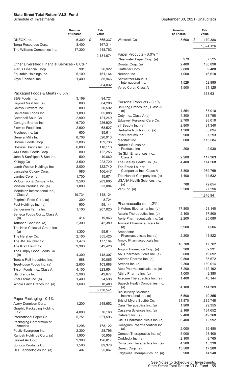|                                               | <b>Number</b><br>of Shares | Fair<br>Value |                                                    | <b>Number</b><br>of Shares | Fair<br>Value    |
|-----------------------------------------------|----------------------------|---------------|----------------------------------------------------|----------------------------|------------------|
| ONEOK Inc.                                    | 6,300                      | \$<br>365,337 | Westrock Co.                                       | 3,600                      | \$<br>179,388    |
| Targa Resources Corp.                         | 3,400                      | 167,314       |                                                    |                            | 1,324,126        |
| The Williams Companies Inc.                   | 17,300                     | 448,762       |                                                    |                            |                  |
|                                               |                            | 2,181,674     | Paper Products - 0.0% *                            |                            |                  |
|                                               |                            |               | Clearwater Paper Corp. (a)                         | 979                        | 37,525           |
| Other Diversified Financial Services - 0.0% * |                            |               | Domtar Corp. (a)                                   | 2,400                      | 130,896          |
| Alerus Financial Corp.                        | 901                        | 26,922        | Glatfelter Corp.                                   | 2,800                      | 39,480           |
| Equitable Holdings Inc.                       | 5,100                      | 151,164       | Neenah Inc.                                        | 1,000                      | 46,610           |
| Voya Financial Inc.                           | 1,400                      | 85,946        | Schweitzer-Mauduit<br>International Inc.           | 1,529                      | 52,995           |
|                                               |                            | 264,032       | Verso Corp., Class A                               | 1,500                      | 31,125           |
| Packaged Foods & Meats - 0.3%                 |                            |               |                                                    |                            |                  |
| B&G Foods Inc.                                | 3,169                      | 94,721        |                                                    |                            | 338,631          |
| Beyond Meat Inc. (a)                          | 800                        | 84,208        | Personal Products - 0.1%                           |                            |                  |
| Calavo Growers Inc.                           | 800                        | 30,592        | BellRing Brands Inc., Class A                      |                            |                  |
| Cal-Maine Foods Inc.                          | 1,800                      | 65,088        | (a)                                                | 1,854                      | 57,010           |
| Campbell Soup Co.                             | 2,900                      | 121,249       | Coty Inc., Class A (a)                             | 4,300                      | 33,798           |
| Conagra Brands Inc.                           | 6,700                      | 226,929       | Edgewell Personal Care Co.                         | 2,700                      | 98,010           |
| Flowers Foods Inc.                            | 2,900                      | 68,527        | elf Beauty Inc. (a)                                | 2,800                      | 81,340           |
| Freshpet Inc. (a)                             | 600                        | 85,614        | Herbalife Nutrition Ltd. (a)                       | 1,300                      | 55,094           |
| General Mills Inc.                            | 8,708                      | 520,913       | Inter Parfums Inc.                                 | 900                        | 67,293           |
| Hormel Foods Corp.                            | 3,896                      | 159,736       | Medifast Inc.                                      | 600                        | 115,584          |
| Hostess Brands Inc. (a)                       | 6,800                      | 118,116       | Nature's Sunshine<br>Products Inc.                 | 200                        | 2,930            |
| J&J Snack Foods Corp.                         | 800                        | 122,256       | Nu Skin Enterprises Inc.,                          |                            |                  |
| John B Sanfilippo & Son Inc.                  | 500                        | 40,860        | Class A                                            | 2,900                      | 117,363          |
| Kellogg Co.                                   | 3,500                      | 223,720       | The Beauty Health Co. (a)                          | 4,400                      | 114,268          |
| Lamb Weston Holdings Inc.                     | 2,000                      | 122,740       | The Estee Lauder                                   |                            |                  |
| Lancaster Colony Corp.                        | 986                        | 166,447       | Companies Inc., Class A                            | 3,300                      | 989,769          |
| Landec Corp. (a)                              | 1,700                      | 15,674        | The Honest Company Inc. (a)                        | 1,400                      | 14,532           |
| McCormick & Company Inc.                      | 3,500                      | 283,605       | <b>USANA Health Sciences Inc.</b><br>(a)           | 788                        | 72,654           |
| Mission Produce Inc. (a)                      | 1,800                      | 33,084        | Veru Inc. (a)                                      | 3,200                      | 27,296           |
| Mondelez International Inc.,<br>Class A       | 19,734                     | 1,148,124     |                                                    |                            | 1,846,941        |
| Pilgrim's Pride Corp. (a)                     | 300                        | 8,724         |                                                    |                            |                  |
| Post Holdings Inc. (a)                        | 900                        | 99,144        | Pharmaceuticals - 1.2%                             |                            |                  |
| Sanderson Farms Inc.                          | 1,100                      | 207,020       | 9 Meters Biopharma Inc. (a)                        | 17,800                     | 23,140           |
| Seneca Foods Corp., Class A                   |                            |               | Aclaris Therapeutics Inc. (a)                      | 2,100                      | 37,800           |
| (a)                                           | 414                        | 19,963        | Aerie Pharmaceuticals Inc. (a)                     | 2,200                      | 25,080           |
| Tattooed Chef Inc. (a)                        | 2,300                      | 42,389        | Amneal Pharmaceuticals Inc.                        |                            |                  |
| The Hain Celestial Group Inc.                 |                            |               | (a)                                                | 5,900                      | 31,506           |
| (a)                                           | 1,300                      | 55,614        | Amphastar<br>Pharmaceuticals Inc. (a)              | 2,200                      | 41,822           |
| The Hershey Co.                               | 2,100                      | 355,425       | Ampio Pharmaceuticals Inc.                         |                            |                  |
| The JM Smucker Co.<br>The Kraft Heinz Co.     | 1,476<br>9,300             | 177,164       | (a)                                                | 10,700                     | 17,762           |
| The Simply Good Foods Co.                     |                            | 342,426       | Angion Biomedica Corp. (a)                         | 300                        | 2,931            |
| (a)                                           | 4,300                      | 148,307       | ANI Pharmaceuticals Inc. (a)                       | 600                        | 19,692           |
| Tootsie Roll Industries Inc.                  | 988                        | 30,065        | Antares Pharma Inc. (a)                            | 9,800                      | 35,672           |
| TreeHouse Foods Inc. (a)                      | 2,600                      | 103,688       | Arvinas Inc. (a)                                   | 2,300                      | 189,014          |
| Tyson Foods Inc., Class A                     | 4,100                      | 323,654       | Atea Pharmaceuticals Inc. (a)                      | 3,200                      | 112,192          |
| Utz Brands Inc.                               | 2,900                      | 49,677        | Athira Pharma Inc. (a)                             | 1,000                      | 9,380            |
| Vital Farms Inc. (a)                          | 1,400                      | 24,598        | Axsome Therapeutics Inc. (a)                       | 1,400                      | 46,144           |
| Whole Earth Brands Inc. (a)                   | 1,600                      | 18,480        | Bausch Health Companies Inc.                       |                            |                  |
|                                               |                            | 5,738,541     | (a)<br><b>BioDelivery Sciences</b>                 | 4,100                      | 114,309          |
|                                               |                            |               | International Inc. (a)                             | 5,500                      | 19,855           |
| Paper Packaging - 0.1%                        |                            |               | Bristol-Myers Squibb Co.                           | 31,870                     | 1,885,748        |
| Avery Dennison Corp.                          | 1,200                      | 248,652       | Cara Therapeutics Inc. (a)                         | 1,900                      | 29,355           |
| <b>Graphic Packaging Holding</b><br>Co.       | 4,000                      | 76,160        | Cassava Sciences Inc. (a)                          | 2,169                      | 134,652          |
| International Paper Co.                       | 5,751                      | 321,596       | Catalent Inc. (a)                                  | 2,400                      | 319,368          |
| Packaging Corporation of                      |                            |               | Citius Pharmaceuticals Inc. (a)                    | 6,400                      | 12,992           |
| America                                       | 1,296                      | 178,122       | Collegium Pharmaceutical Inc.                      |                            |                  |
| Pactiv Evergreen Inc.                         | 2,300                      | 28,796        | (a)                                                | 2,000                      | 39,480           |
| Ranpak Holdings Corp. (a)                     | 1,900                      | 50,958        | Corcept Therapeutics Inc. (a)                      | 5,000                      | 98,400           |
| Sealed Air Corp.                              | 2,300                      | 126,017       | CorMedix Inc. (a)                                  | 2,100                      | 9,765            |
| Sonoco Products Co.                           | 1,500                      | 89,370        | Cymabay Therapeutics Inc. (a)                      | 4,200                      | 15,330           |
| UFP Technologies Inc. (a)                     | 407                        | 25,067        | Durect Corp. (a)<br>Edgewise Therapeutics Inc. (a) | 13,500<br>900              | 17,280<br>14,940 |
|                                               |                            |               |                                                    |                            |                  |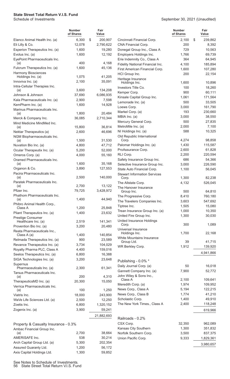|                                                      | <b>Number</b><br>of Shares | Fair<br>Value |                                              | <b>Number</b><br>of Shares | Fair<br>Value |
|------------------------------------------------------|----------------------------|---------------|----------------------------------------------|----------------------------|---------------|
| Elanco Animal Health Inc. (a)                        | 6,300                      | \$<br>200,907 | Cincinnati Financial Corp.                   | 2,100                      | \$<br>239,862 |
| Eli Lilly & Co.                                      | 12,078                     | 2,790,622     | CNA Financial Corp.                          | 200                        | 8,392         |
| Esperion Therapeutics Inc. (a)                       | 1,600                      | 19,280        | Donegal Group Inc., Class A                  | 729                        | 10,563        |
| Evolus Inc. (a)                                      | 1,600                      | 12,192        | Employers Holdings Inc.                      | 1,766                      | 69,739        |
| EyePoint Pharmaceuticals Inc.                        |                            |               | Erie Indemnity Co., Class A                  | 364                        | 64,945        |
| (a)                                                  | 400                        | 4,168         | Fidelity National Financial Inc.             | 4,100                      | 185,894       |
| Fulcrum Therapeutics Inc. (a)<br>Harmony Biosciences | 1,600                      | 45,136        | First American Financial Corp.               | 1,600                      | 107,280       |
| Holdings Inc. (a)                                    | 1,075                      | 41,205        | HCI Group Inc.                               | 200                        | 22,154        |
| Innoviva Inc. (a)                                    | 2,100                      | 35,091        | Heritage Insurance<br>Holdings Inc.          | 1,600                      | 10,896        |
| Intra-Cellular Therapies Inc.                        |                            |               | Investors Title Co.                          | 100                        | 18,260        |
| (a)                                                  | 3,600                      | 134,208       | Kemper Corp.                                 | 900                        | 60,111        |
| Johnson & Johnson                                    | 37,690                     | 6,086,935     | Kinsale Capital Group Inc.                   | 1,061                      | 171,564       |
| Kala Pharmaceuticals Inc. (a)                        | 2,900                      | 7,598         | Lemonade Inc. (a)                            | 500                        | 33,505        |
| KemPharm Inc. (a)                                    | 1,600                      | 14,928        | Loews Corp.                                  | 3,000                      | 161,790       |
| Marinus Pharmaceuticals Inc.                         |                            | 20,484        | Markel Corp. (a)                             | 193                        | 230,660       |
| (a)<br>Merck & Company Inc.                          | 1,800<br>36,085            | 2,710,344     | MBIA Inc. (a)                                | 3,000                      | 38,550        |
| Mind Medicine MindMed Inc.                           |                            |               | Mercury General Corp.                        | 500                        | 27,835        |
| (a)                                                  | 15,800                     | 36,814        | MetroMile Inc. (a)                           | 2,000                      | 7,100         |
| Nektar Therapeutics (a)                              | 2,600                      | 46,696        | NI Holdings Inc. (a)                         | 588                        | 10,325        |
| NGM Biopharmaceuticals Inc.                          |                            |               | Old Republic International                   |                            |               |
| (a)                                                  | 1,500                      | 31,530        | Corp.                                        | 4,274                      | 98,858        |
| Nuvation Bio Inc. (a)                                | 4,800                      | 47,712        | Palomar Holdings Inc. (a)                    | 1,430                      | 115,587       |
| Ocular Therapeutix Inc. (a)                          | 5,200                      | 52,000        | ProAssurance Corp.                           | 2,600                      | 61,828        |
| Omeros Corp. (a)                                     | 4,000                      | 55,160        | RLI Corp.                                    | 2,200                      | 220,594       |
| Oramed Pharmaceuticals Inc.                          |                            |               | Safety Insurance Group Inc.                  | 686                        | 54,366        |
| (a)                                                  | 1,600                      | 35,168        | Selective Insurance Group Inc.               | 3,000                      | 226,590       |
| Organon & Co.                                        | 3,890                      | 127,553       | State Auto Financial Corp.                   | 1,100                      | 56,045        |
| Pacira Pharmaceuticals Inc.<br>(a)                   | 2,500                      | 140,000       | <b>Stewart Information Services</b><br>Corp. | 1,300                      | 82,238        |
| Paratek Pharmaceuticals Inc.                         |                            |               | The Allstate Corp.                           | 4,132                      | 526,045       |
| (a)                                                  | 2,700                      | 13,122        | The Hanover Insurance                        |                            |               |
| Pfizer Inc.                                          | 79,725                     | 3,428,972     | Group Inc.                                   | 500                        | 64,810        |
| Phathom Pharmaceuticals Inc.                         |                            |               | The Progressive Corp.                        | 8,410                      | 760,180       |
| (a)                                                  | 1,400                      | 44,940        | The Travelers Companies Inc.                 | 3,603                      | 547,692       |
| Phibro Animal Health Corp.,<br>Class A               | 1,200                      | 25,848        | Tiptree Inc.                                 | 1,505                      | 15,080        |
| Pliant Therapeutics Inc. (a)                         | 1,400                      | 23,632        | Trean Insurance Group Inc. (a)               | 1,000                      | 10,350        |
| Prestige Consumer                                    |                            |               | United Fire Group Inc.                       | 1,300                      | 30,030        |
| Healthcare Inc. (a)                                  | 2,519                      | 141,341       | United Insurance Holdings                    |                            |               |
| Provention Bio Inc. (a)                              | 3,200                      | 20,480        | Corp.                                        | 300                        | 1,089         |
| Reata Pharmaceuticals Inc.,                          |                            |               | Universal Insurance<br>Holdings Inc.         | 1,700                      | 22,168        |
| Class A (a)                                          | 1,400                      | 140,854       | White Mountains Insurance                    |                            |               |
| Relmada Therapeutics Inc. (a)                        | 900                        | 23,589        | Group Ltd.                                   | 39                         | 41,715        |
| Revance Therapeutics Inc. (a)                        | 3,734                      | 104,029       | WR Berkley Corp.                             | 1,912                      | 139,920       |
| Royalty Pharma PLC, Class A                          | 4,400                      | 159,016       |                                              |                            | 4,941,866     |
| Seelos Therapeutics Inc. (a)                         | 6,800                      | 16,388        |                                              |                            |               |
| SIGA Technologies Inc. (a)                           | 3,200                      | 23,648        | Publishing - 0.0% *                          |                            |               |
| Supernus<br>Pharmaceuticals Inc. (a)                 | 2,300                      | 61,341        | Daily Journal Corp. (a)                      | 50                         | 16,018        |
| Tarsus Pharmaceuticals Inc.                          |                            |               | Gannett Company Inc. (a)                     | 7,900                      | 52,772        |
| (a)                                                  | 200                        | 4,310         | John Wiley & Sons Inc.,                      |                            |               |
| TherapeuticsMD Inc. (a)                              | 20,300                     | 15,050        | Class A                                      | 2,100                      | 109,641       |
| Verrica Pharmaceuticals Inc.                         |                            |               | Meredith Corp. (a)                           | 1,974                      | 109,952       |
| (a)                                                  | 100                        | 1,250         | News Corp., Class A                          | 5,194                      | 122,215       |
| Viatris Inc.                                         | 18,000                     | 243,900       | News Corp., Class B                          | 1,774                      | 41,210        |
| WaVe Life Sciences Ltd. (a)                          | 2,500                      | 12,250        | Scholastic Corp.                             | 1,400                      | 49,910        |
| Zoetis Inc.                                          | 6,800                      | 1,320,152     | The New York Times., Class A                 | 2,400                      | 118,248       |
| Zogenix Inc. (a)                                     | 3,900                      | 59,241        |                                              |                            | 619,966       |
|                                                      |                            | 21,882,693    | Railroads - 0.2%                             |                            |               |
|                                                      |                            |               | CSX Corp.                                    | 32,350                     | 962,089       |
| Property & Casualty Insurance - 0.3%                 |                            |               | Kansas City Southern                         | 1,300                      | 351,832       |
| Ambac Financial Group Inc.<br>(a)                    | 2,700                      | 38,664        | Norfolk Southern Corp.                       | 3,500                      | 837,375       |
| AMERISAFE Inc.                                       | 538                        | 30,214        | Union Pacific Corp.                          | 9,333                      | 1,829,361     |
| Arch Capital Group Ltd. (a)                          | 5,300                      | 202,354       |                                              |                            |               |
| Assured Guaranty Ltd.                                | 1,200                      | 56,172        |                                              |                            | 3,980,657     |
| Axis Capital Holdings Ltd.                           | 1,300                      | 59,852        |                                              |                            |               |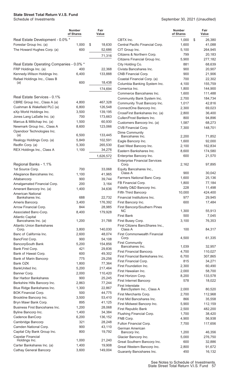|                                          | <b>Number</b><br>of Shares | Fair<br>Value    |                                               | <b>Number</b><br>of Shares | Fair<br>Value |
|------------------------------------------|----------------------------|------------------|-----------------------------------------------|----------------------------|---------------|
| Real Estate Development - 0.0% *         |                            |                  | CBTX Inc.                                     | 1,000                      | \$<br>26,380  |
| Forestar Group Inc. (a)                  | 1,000                      | \$<br>18,630     | Central Pacific Financial Corp.               | 1,600                      | 41,088        |
| The Howard Hughes Corp. (a)              | 600                        | 52,686           | CIT Group Inc.                                | 5,100                      | 264,945       |
|                                          |                            | 71,316           | Citizens & Northern Corp.                     | 799                        | 20,183        |
|                                          |                            |                  | Citizens Financial Group Inc.                 | 5,900                      | 277,182       |
| Real Estate Operating Companies - 0.0% * |                            |                  | City Holding Co.                              | 881                        | 68,639        |
| FRP Holdings Inc. (a)                    | 400                        | 22,368           | Civista Bancshares Inc.                       | 900                        | 20,907        |
| Kennedy-Wilson Holdings Inc.             | 6,400                      | 133,888          | CNB Financial Corp.                           | 900                        | 21,906        |
| Rafael Holdings Inc., Class B            |                            |                  | Coastal Financial Corp. (a)                   | 700                        | 22,302        |
| (a)                                      | 600                        | 18,438           | Columbia Banking System Inc.                  | 4,100                      | 155,759       |
|                                          |                            | 174,694          | Comerica Inc.                                 | 1,800                      | 144,900       |
|                                          |                            |                  | Commerce Bancshares Inc.                      | 1,600                      | 111,488       |
| Real Estate Services - 0.1%              |                            |                  | Community Bank System Inc.                    | 2,700                      | 184,734       |
| CBRE Group Inc., Class A (a)             | 4,800                      | 467,328          | Community Trust Bancorp Inc.                  | 1,017                      | 42,816        |
| Cushman & Wakefield PLC (a)              | 6,800                      | 126,548          | ConnectOne Bancorp Inc.                       | 2,300                      | 69,023        |
| eXp World Holdings Inc.                  | 3,500                      | 139,195          | CrossFirst Bankshares Inc. (a)                | 2,800                      | 36,400        |
| Jones Lang LaSalle Inc. (a)              | 700                        | 173,663          | Cullen/Frost Bankers Inc.                     | 800                        | 94,896        |
| Marcus & Millichap Inc. (a)              | 1,500                      | 60,930           | Customers Bancorp Inc. (a)                    | 1,587                      | 68,273        |
| Newmark Group Inc., Class A              | 8,600                      | 123,066          | CVB Financial Corp.                           | 7,300                      | 148,701       |
| Opendoor Technologies Inc.               |                            |                  | Dime Community                                |                            |               |
| (a)                                      | 6,500                      | 133,445          | Bancshares Inc.                               | 2,200                      | 71,852        |
| Realogy Holdings Corp. (a)               | 5,849                      | 102,591          | Eagle Bancorp Inc.                            | 1,600                      | 92,000        |
| Redfin Corp. (a)                         | 5,300                      | 265,530          | East West Bancorp Inc.                        | 2,100                      | 162,834       |
| REX Holdings Inc., Class A               | 1,100                      | 34,276           | Eastern Bankshares Inc.                       | 8,600                      | 174,580       |
|                                          |                            | 1,626,572        | Enterprise Bancorp Inc.                       | 600                        | 21,570        |
| Regional Banks - 1.1%                    |                            |                  | <b>Enterprise Financial Services</b><br>Corp. | 2,162                      | 97,895        |
| 1st Source Corp.                         | 700                        | 33,068           | Equity Bancshares Inc.,                       |                            |               |
| Allegiance Bancshares Inc.               | 1,100                      | 41,965           | Class A                                       | 900                        | 30,042        |
| Altabancorp                              | 900                        | 39,744           | Farmers National Banc Corp.                   | 1,600                      | 25,136        |
| Amalgamated Financial Corp.              | 200                        | 3,164            | FB Financial Corp.                            | 1,800                      | 77,184        |
| Amerant Bancorp Inc. (a)                 | 1,400                      | 34,636           | Fidelity D&D Bancorp Inc.                     | 228                        | 11,498        |
| <b>American National</b>                 |                            |                  | Fifth Third Bancorp                           | 10,000                     | 424,400       |
| Bankshares Inc.                          | 688                        | 22,732           | Financial Institutions Inc.                   | 977                        | 29,945        |
| Ameris Bancorp.                          | 3,400                      | 176,392          | First Bancorp Inc.                            | 600                        | 17,484        |
| Arrow Financial Corp.                    | 844                        | 28,985           | First Bancorp/Southern Pines                  |                            |               |
| Associated Banc-Corp.                    | 8,400                      | 179,928          | <b>NC</b>                                     | 1,300                      | 55,913        |
| <b>Atlantic Capital</b>                  |                            |                  | <b>First Bank</b>                             | 500                        | 7,045         |
| Bancshares Inc. (a)                      | 1,200                      | 31,788           | First Busey Corp.                             | 3,100                      | 76,353        |
| <b>Atlantic Union Bankshares</b>         | 3,800                      |                  | First Citizens BancShares Inc.,<br>Class A    | 100                        |               |
| Corp.<br>Banc of California Inc.         | 2,600                      | 140,030          | First Commonwealth Financial                  |                            | 84,317        |
| BancFirst Corp.                          | 900                        | 48,074<br>54,108 | Corp.                                         | 4,500                      | 61,335        |
| BancorpSouth Bank                        | 5,200                      | 154,856          | <b>First Community</b>                        |                            |               |
| Bank First Corp.                         | 421                        | 29,836           | Bancshares Inc.                               | 1,039                      | 32,957        |
| Bank of Hawaii Corp.                     | 600                        | 49,302           | First Financial Bancorp.                      | 4,700                      | 110,027       |
| Bank of Marin Bancorp                    | 775                        | 29,256           | First Financial Bankshares Inc.               | 6,700                      | 307,865       |
| Bank OZK                                 | 1,800                      | 77,364           | First Financial Corp.                         | 815                        | 34,271        |
| BankUnited Inc.                          | 5,200                      | 217,464          | First Foundation Inc.                         | 2,300                      | 60,490        |
| Banner Corp.                             | 2,000                      | 110,420          | First Hawaiian Inc.                           | 2,000                      | 58,700        |
| <b>Bar Harbor Bankshares</b>             | 900                        | 25,245           | First Horizon Corp.                           | 8,200                      | 133,578       |
| Berkshire Hills Bancorp Inc.             | 2,863                      | 77,244           | First Internet Bancorp                        | 578                        | 18,022        |
| Blue Ridge Bankshares Inc.               | 1,300                      | 22,867           | <b>First Interstate</b>                       |                            |               |
| <b>BOK Financial Corp.</b>               | 500                        | 44,775           | BancSystem Inc., Class A                      | 2,000                      | 80,520        |
| Brookline Bancorp Inc.                   | 3,500                      | 53,410           | First Merchants Corp.                         | 2,700                      | 112,968       |
| Bryn Mawr Bank Corp.                     | 895                        | 41,125           | First Mid Bancshares Inc.                     | 866                        | 35,558        |
| Business First Bancshares Inc.           | 1,200                      | 28,068           | First Midwest Bancorp Inc.                    | 5,900                      | 112,159       |
| Byline Bancorp Inc.                      | 1,400                      | 34,384           | First Republic Bank                           | 2,500                      | 482,200       |
| Cadence BanCorp                          | 6,200                      | 136,152          | Flushing Financial Corp.                      | 1,700                      | 38,420        |
| Cambridge Bancorp                        | 321                        | 28,248           | FNB Corp.                                     | 4,900                      | 56,938        |
| Camden National Corp.                    | 900                        | 43,110           | Fulton Financial Corp.                        | 7,700                      | 117,656       |
| Capital City Bank Group Inc.             | 800                        | 19,792           | German American<br>Bancorp Inc.               | 1,200                      | 46,356        |
| Capstar Financial                        |                            |                  | Glacier Bancorp Inc.                          | 5,000                      | 276,750       |
| Holdings Inc.                            | 1,000                      | 21,240           | Great Southern Bancorp Inc.                   | 600                        | 32,886        |
| Carter Bankshares Inc. (a)               | 1,400                      | 19,908           | Great Western Bancorp Inc.                    | 2,800                      | 91,672        |
| <b>Cathay General Bancorp</b>            | 3,600                      | 149,004          | Guaranty Bancshares Inc.                      | 450                        | 16,132        |
|                                          |                            |                  |                                               |                            |               |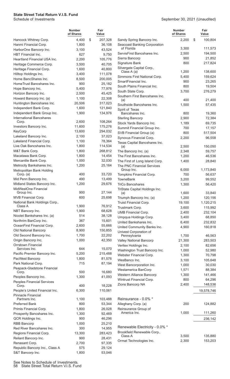|                                          | <b>Number</b><br>of Shares | Fair<br>Value |                                        | <b>Number</b><br>of Shares | Fair<br>Value     |
|------------------------------------------|----------------------------|---------------|----------------------------------------|----------------------------|-------------------|
| Hancock Whitney Corp.                    | 4,400                      | \$<br>207,328 | Sandy Spring Bancorp Inc.              | 2,200                      | \$<br>100,804     |
| Hanmi Financial Corp.                    | 1,800                      | 36,108        | Seacoast Banking Corporation           |                            |                   |
| HarborOne Bancorp Inc.                   | 3,100                      | 43,524        | of Florida                             | 3,300                      | 111,573           |
| <b>HBT</b> Financial Inc.                | 627                        | 9,750         | ServisFirst Bancshares Inc.            | 2,500                      | 194,500           |
| <b>Heartland Financial USA Inc.</b>      | 2,200                      | 105,776       | Sierra Bancorp                         | 900                        | 21,852            |
| Heritage Commerce Corp.                  | 3,500                      | 40,705        | Signature Bank                         | 800                        | 217,824           |
| Heritage Financial Corp.                 | 1,600                      | 40,800        | Silvergate Capital Corp.,              |                            |                   |
| Hilltop Holdings Inc.                    | 3,400                      | 111,078       | Class A (a)                            | 1,200                      | 138,600           |
| Home BancShares Inc.                     | 8,500                      | 200,005       | Simmons First National Corp.           | 5,400                      | 159,624           |
| HomeTrust Bancshares Inc.                | 900                        | 25,182        | SmartFinancial Inc.                    | 900                        | 23,265            |
| Hope Bancorp Inc.                        | 5,400                      | 77,976        | South Plains Financial Inc.            | 800                        | 19,504            |
| Horizon Bancorp Inc.                     | 2,500                      | 45,425        | South State Corp.                      | 3,700                      | 276,279           |
| Howard Bancorp Inc. (a)                  | 1,100                      | 22,308        | Southern First Bancshares Inc.<br>(a)  | 400                        | 21,400            |
| Huntington Bancshares Inc.               | 20,506                     | 317,023       | Southside Bancshares Inc.              | 1,500                      | 57,435            |
| Independent Bank Corp.                   | 1,600                      | 121,840       | Spirit of Texas                        |                            |                   |
| Independent Bank Group Inc.              | 1,900                      | 134,976       | Bancshares Inc.                        | 800                        | 19,360            |
| <b>International Bancshares</b>          |                            |               | <b>Sterling Bancorp</b>                | 2,900                      | 72,384            |
| Corp.                                    | 2,600                      | 108,264       | Stock Yards Bancorp Inc.               | 1,189                      | 69,735            |
| Investors Bancorp Inc.                   | 11,600                     | 175,276       | Summit Financial Group Inc.            | 700                        | 17,157            |
| KeyCorp                                  | 13,600                     | 294,032       | SVB Financial Group (a)                | 800                        | 517,504           |
| Lakeland Bancorp Inc.                    | 2,100                      | 37,023        | Synovus Financial Corp.                | 2,200                      | 96,558            |
| Lakeland Financial Corp.                 | 1,100                      | 78,364        | Texas Capital Bancshares Inc.          |                            |                   |
| Live Oak Bancshares Inc.                 | 1,800                      | 114,534       | (a)                                    | 2,500                      | 150,050           |
| M&T Bank Corp.                           | 1,800                      | 268,812       | The Bancorp Inc. (a)                   | 2,348                      | 59,757            |
| Macatawa Bank Corp.                      | 1,800                      | 14,454        | The First Bancshares Inc.              | 1,200                      | 46,536            |
| Mercantile Bank Corp.                    | 1,000                      | 32,030        | The First of Long Island Corp.         | 1,400                      | 28,840            |
| Metrocity Bankshares Inc.                | 1,200                      | 25,164        | The PNC Financial Services             |                            |                   |
| Metropolitan Bank Holding                |                            |               | Group Inc.                             | 6,000                      | 1,173,840         |
| Corp. (a)                                | 400                        | 33,720        | Tompkins Financial Corp.               | 700                        | 56,637            |
| Mid Penn Bancorp Inc.                    | 490                        | 13,499        | <b>TowneBank</b>                       | 3,200                      | 99,552            |
| Midland States Bancorp Inc.              | 1,200                      | 29,676        | <b>TriCo Bancshares</b>                | 1,300                      | 56,420            |
| MidWestOne Financial                     |                            |               | TriState Capital Holdings Inc.         |                            |                   |
| Group Inc.                               | 900                        | 27,144        | (a)                                    | 1,600                      | 33,840            |
| <b>MVB Financial Corp.</b>               | 600                        | 25,698        | Triumph Bancorp Inc. (a)               | 1,200                      | 120,156           |
| National Bank Holdings Corp.,<br>Class A | 1,900                      | 76,912        | Truist Financial Corp.                 | 19,100                     | 1,120,215         |
| NBT Bancorp Inc.                         | 1,900                      | 68,628        | Trustmark Corp.                        | 3,600                      | 115,992           |
| Nicolet Bankshares Inc. (a)              | 514                        | 38,128        | <b>UMB Financial Corp.</b>             | 2,400                      | 232,104           |
| Northrim BanCorp Inc.                    | 367                        | 15,601        | Umpqua Holdings Corp.                  | 3,400                      | 68,850            |
| OceanFirst Financial Corp.               | 2,600                      | 55,666        | United Bankshares Inc.                 | 6,400                      | 232,832           |
| Old National Bancorp                     | 8,900                      | 150,855       | United Community Banks Inc.            | 4,900                      | 160,818           |
| Old Second Bancorp Inc.                  | 1,700                      | 22,202        | Univest Corporation of<br>Pennsylvania | 1,700                      | 46,563            |
| Origin Bancorp Inc.                      | 1,000                      | 42,350        | Valley National Bancorp                | 21,300                     | 283,503           |
| Orrstown Financial                       |                            |               | Veritex Holdings Inc.                  | 2,100                      | 82,656            |
| Services Inc.                            | 644                        | 15,070        | Washington Trust Bancorp Inc.          | 1,000                      | 52,980            |
| Pacific Premier Bancorp Inc.             | 5,200                      | 215,488       | Webster Financial Corp.                | 1,300                      | 70,798            |
| PacWest Bancorp                          | 1,800                      | 81,576        | WesBanco Inc.                          | 3,100                      | 105,648           |
| Park National Corp.                      | 715                        | 87,194        | West Bancorporation Inc.               | 1,000                      | 30,030            |
| Peapack-Gladstone Financial              |                            |               | Westamerica BanCorp                    | 1,571                      | 88,384            |
| Corp.                                    | 500                        | 16,680        | Western Alliance Bancorp               | 1,300                      | 141,466           |
| Peoples Bancorp Inc.                     | 1,300                      | 41,093        | Wintrust Financial Corp.               | 800                        |                   |
| <b>Peoples Financial Services</b>        |                            |               | Zions Bancorp NA                       | 2,400                      | 64,296<br>148,536 |
| Corp.                                    | 400                        | 18,228        |                                        |                            |                   |
| People's United Financial Inc.           | 6,300                      | 110,061       |                                        |                            | 19,578,746        |
| Pinnacle Financial<br>Partners Inc.      |                            |               | Reinsurance - 0.0% *                   |                            |                   |
|                                          | 1,100<br>800               | 103,488       |                                        |                            |                   |
| <b>Preferred Bank</b>                    |                            | 53,344        | Alleghany Corp. (a)                    | 200                        | 124,882           |
| Primis Financial Corp.                   | 1,800                      | 26,028        | Reinsurance Group of<br>America Inc.   | 1,000                      | 111,260           |
| Prosperity Bancshares Inc.               | 1,300                      | 92,469        |                                        |                            |                   |
| QCR Holdings Inc.                        | 900                        | 46,296        |                                        |                            | 236,142           |
| <b>RBB Bancorp</b>                       | 1,000                      | 25,210        | Renewable Electricity - 0.0% *         |                            |                   |
| Red River Bancshares Inc.                | 300                        | 14,955        | Brookfield Renewable Corp.,            |                            |                   |
| Regions Financial Corp.                  | 13,300                     | 283,423       | Class A                                | 3,500                      | 135,880           |
| Reliant Bancorp Inc.                     | 900                        | 28,431        | Ormat Technologies Inc.                | 2,300                      | 153,203           |
| Renasant Corp.                           | 2,700                      | 97,335        |                                        |                            |                   |
| Republic Bancorp Inc., Class A           | 575                        | 29,124        |                                        |                            |                   |
| S&T Bancorp Inc.                         | 1,800                      | 53,046        |                                        |                            |                   |

See Notes to Schedule of Investments. 58 State Street Total Return V.I.S. Fund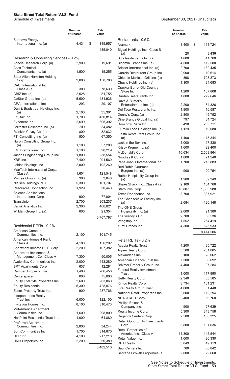|                                                           | <b>Number</b><br>of Shares | Fair<br>Value     |                                                   | <b>Number</b><br>of Shares | Fair<br>Value     |
|-----------------------------------------------------------|----------------------------|-------------------|---------------------------------------------------|----------------------------|-------------------|
| Sunnova Energy                                            |                            |                   | Restaurants - 0.5%                                |                            |                   |
| International Inc. (a)                                    | 4,431                      | \$<br>145,957     | Aramark                                           | 3,400                      | \$<br>111,724     |
|                                                           |                            | 435,040           | Biglari Holdings Inc., Class B<br>(a)             | 20                         | 3,436             |
| Research & Consulting Services - 0.2%                     |                            |                   | BJ's Restaurants Inc. (a)                         | 1,000                      | 41,760            |
| Acacia Research Corp. (a)                                 | 2,900                      | 19,691            | Bloomin' Brands Inc. (a)                          | 4,500                      | 112,500           |
| <b>Atlas Technical</b>                                    |                            |                   | Brinker International Inc. (a)                    | 2,700                      | 132,435           |
| Consultants Inc. (a)                                      | 1,500                      | 15,255            | Carrols Restaurant Group Inc.                     | 2,900                      | 10,614            |
| Booz Allen Hamilton Holding                               |                            |                   | Chipotle Mexican Grill Inc. (a)                   | 398                        | 723,373           |
| Corp.                                                     | 2,000                      | 158,700           | Chuy's Holdings Inc. (a)                          | 1,100                      | 34,683            |
| CACI International Inc.,<br>Class A (a)                   | 300                        | 78,630            | Cracker Barrel Old Country                        |                            |                   |
| CBIZ Inc. (a)                                             | 2,528                      | 81,755            | Store Inc.                                        | 1,200                      | 167,808           |
| CoStar Group Inc. (a)                                     | 5,600                      | 481,936           | Darden Restaurants Inc.                           | 1,800                      | 272,646           |
| CRA International Inc.                                    | 293                        | 29,107            | Dave & Buster's<br>Entertainment Inc. (a)         | 2,200                      | 84,326            |
| Dun & Bradstreet Holdings Inc.                            |                            |                   | Del Taco Restaurants Inc.                         | 1,900                      | 16,587            |
| (a)                                                       | 2,100                      | 35,301            | Denny's Corp. (a)                                 | 2,800                      | 45,752            |
| Equifax Inc.                                              | 1,700                      | 430,814           | Dine Brands Global Inc. (a)                       | 797                        | 64,724            |
| Exponent Inc.                                             | 2,699                      | 305,392           | Domino's Pizza Inc.                               | 490                        | 233,711           |
| Forrester Research Inc. (a)                               | 700                        | 34,482            | El Pollo Loco Holdings Inc. (a)                   | 1,129                      | 19,080            |
| Franklin Covey Co. (a)                                    | 800                        | 32,632            | Fiesta Restaurant Group Inc.                      |                            |                   |
| FTI Consulting Inc. (a)                                   | 500                        | 67,350            | (a)                                               | 1,400                      | 15,344            |
| Huron Consulting Group Inc.<br>(a)                        | 1,100                      | 57,200            | Jack in the Box Inc.                              | 1,000                      | 97,330            |
| ICF International Inc.                                    | 1,100                      | 98,219            | Krispy Kreme Inc. (a)                             | 1,600                      | 22,400            |
| Jacobs Engineering Group Inc.                             | 1,800                      | 238,554           | McDonald's Corp.                                  | 10,634                     | 2,563,964         |
| KBR Inc.                                                  | 7,400                      | 291,560           | Noodles & Co. (a)                                 | 1,800                      | 21,240            |
| Leidos Holdings Inc.                                      | 2,000                      | 192,260           | Papa John's International Inc.                    | 1,700                      | 215,883           |
| ManTech International Corp.,                              |                            |                   | <b>Red Robin Gourmet</b>                          | 900                        |                   |
| Class A                                                   | 1,601                      | 121,548           | Burgers Inc. (a)<br>Ruth's Hospitality Group Inc. |                            | 20,754            |
| Mistras Group Inc. (a)                                    | 300                        | 3,048             | (a)                                               | 1,900                      | 39,349            |
| Nielsen Holdings PLC                                      | 5,300                      | 101,707           | Shake Shack Inc., Class A (a)                     | 2,100                      | 164,766           |
| Resources Connection Inc.                                 | 1,929                      | 30,440            | Starbucks Corp.                                   | 16,807                     | 1,853,980         |
| <b>Science Applications</b>                               |                            |                   | Texas Roadhouse Inc.                              | 3,700                      | 337,921           |
| International Corp.                                       | 900                        | 77,004            | The Cheesecake Factory Inc.                       |                            |                   |
| TransUnion                                                | 2,700                      | 303,237           | (a)                                               | 2,684                      | 126,148           |
| Verisk Analytics Inc.                                     | 2,300                      | 460,621           | The ONE Group                                     |                            |                   |
| Willdan Group Inc. (a)                                    | 600                        | 21,354            | Hospitality Inc. (a)                              | 2,000                      | 21,380            |
|                                                           |                            | 3,767,797         | The Wendy's Co.                                   | 2,700<br>1,552             | 58,536<br>254,419 |
| Residential REITs - 0.2%                                  |                            |                   | Wingstop Inc.<br>Yum! Brands Inc.                 | 4,300                      | 525,933           |
| American Campus                                           |                            |                   |                                                   |                            |                   |
| Communities Inc.                                          | 2,100                      | 101,745           |                                                   |                            | 8,414,506         |
| American Homes 4 Rent,                                    |                            |                   | Retail REITs - 0.2%                               |                            |                   |
| Class A                                                   | 4,100                      | 156,292           | <b>Acadia Realty Trust</b>                        | 4,200                      | 85,722            |
| Apartment Income REIT Corp.                               | 2,200                      | 107,382           | Agree Realty Corp.                                | 3,500                      | 231,805           |
| Apartment Investment &                                    |                            |                   | Alexander's Inc.                                  | 100                        | 26,062            |
| Management Co., Class A                                   | 7,300<br>2,000             | 50,005<br>443,280 | American Finance Trust Inc.                       | 7,300                      | 58,692            |
| AvalonBay Communities Inc.<br><b>BRT Apartments Corp.</b> | 637                        | 12,281            | Brixmor Property Group Inc.                       | 4,400                      | 97,284            |
| <b>Camden Property Trust</b>                              | 1,400                      | 206,458           | <b>Federal Realty Investment</b>                  |                            |                   |
| Centerspace                                               | 800                        | 75,600            | Trust                                             | 1,000                      | 117,990           |
| Equity LifeStyle Properties Inc.                          | 2,600                      | 203,060           | Getty Realty Corp.                                | 2,340                      | 68,585            |
| <b>Equity Residential</b>                                 | 5,300                      | 428,876           | Kimco Realty Corp.                                | 8,734                      | 181,231           |
| Essex Property Trust Inc.                                 | 900                        | 287,766           | Kite Realty Group Trust                           | 4,000                      | 81,440            |
| Independence Realty                                       |                            |                   | National Retail Properties Inc.                   | 2,600                      | 112,294           |
| Trust Inc.                                                | 6,000                      | 122,100           | NETSTREIT Corp.                                   | 2,400                      | 56,760            |
| Invitation Homes Inc.                                     | 8,100                      | 310,473           | Phillips Edison &<br>Company Inc.                 | 900                        | 27,639            |
| Mid-America Apartment                                     |                            |                   | Realty Income Corp.                               | 5,300                      | 343,758           |
| Communities Inc.                                          | 1,600                      | 298,800           | Regency Centers Corp.                             | 2,500                      | 168,325           |
| NexPoint Residential Trust Inc.                           | 1,000                      | 61,880            | <b>Retail Opportunity Investments</b>             |                            |                   |
| <b>Preferred Apartment</b><br>Communities Inc.            | 2,800                      | 34,244            | Corp.                                             | 5,800                      | 101,036           |
| Sun Communities Inc.                                      | 1,700                      | 314,670           | Retail Properties of                              |                            |                   |
| UDR Inc.                                                  | 4,100                      | 217,218           | America Inc., Class A                             | 11,300                     | 145,544           |
| UMH Properties Inc.                                       | 2,200                      | 50,380            | Retail Value Inc.                                 | 1,000                      | 26,330            |
|                                                           |                            |                   | <b>RPT Realty</b>                                 | 3,849                      | 49,113            |
|                                                           |                            | 3,482,510         | Saul Centers Inc.                                 | 700                        | 30,842            |
|                                                           |                            |                   | Seritage Growth Properties (a)                    | 2,000                      | 29,660            |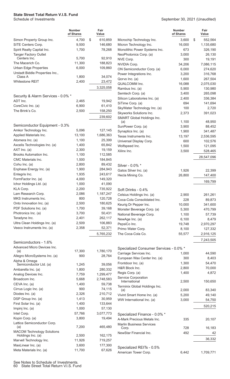|                                              | <b>Number</b><br>of Shares | Fair<br>Value       |                                                      | <b>Number</b><br>of Shares | Fair<br>Value        |
|----------------------------------------------|----------------------------|---------------------|------------------------------------------------------|----------------------------|----------------------|
| Simon Property Group Inc.                    | 4,700                      | \$<br>610,859       | Microchip Technology Inc.                            | 3,600                      | \$<br>552,564        |
| SITE Centers Corp.                           | 9,500                      | 146,680             | Micron Technology Inc.                               | 16,000                     | 1,135,680            |
| Spirit Realty Capital Inc.                   | 1,700                      | 78,268              | Monolithic Power Systems Inc.                        | 673                        | 326,190              |
| <b>Tanger Factory Outlet</b><br>Centers Inc. | 5,700                      | 92,910              | NeoPhotonics Corp. (a)                               | 3,000                      | 26,130               |
| The Macerich Co.                             | 11,300                     | 188,823             | NVE Corp.                                            | 300                        | 19,191               |
| <b>Urban Edge Properties</b>                 | 6,000                      | 109,860             | NVIDIA Corp.                                         | 34,206                     | 7,086,115            |
| Urstadt Biddle Properties Inc.,              |                            |                     | ON Semiconductor Corp. (a)                           | 6,000                      | 274,620              |
| Class A                                      | 1,800                      | 34,074              | Power Integrations Inc.<br>Qorvo Inc. (a)            | 3,200                      | 316,768              |
| Whitestone REIT                              | 2,400                      | 23,472              | QUALCOMM Inc.                                        | 1,600                      | 267,504              |
|                                              |                            | 3,325,058           | Rambus Inc. (a)                                      | 16,088<br>5,900            | 2,075,030<br>130,980 |
|                                              |                            |                     | Semtech Corp. (a)                                    | 3,400                      | 265,098              |
| Security & Alarm Services - 0.0% *           |                            |                     | Silicon Laboratories Inc. (a)                        | 2,400                      | 336,384              |
| ADT Inc.                                     | 2,465                      | 19,942              | SiTime Corp. (a)                                     | 694                        | 141,694              |
| CoreCivic Inc. (a)                           | 6,900                      | 61,410              | SkyWater Technology Inc. (a)                         | 100                        | 2,720                |
| The Brink's Co.                              | 2,500                      | 158,250             | Skyworks Solutions Inc.                              | 2,373                      | 391,023              |
|                                              |                            | 239,602             | SMART Global Holdings Inc.                           |                            |                      |
|                                              |                            |                     | (a)                                                  | 1,100                      | 48,950               |
| Semiconductor Equipment - 0.3%               |                            |                     | SunPower Corp. (a)                                   | 3,900                      | 88,452               |
| Amkor Technology Inc.                        | 5,096                      | 127,145             | Synaptics Inc. (a)                                   | 1,900                      | 341,487              |
| Applied Materials Inc.                       | 13,100                     | 1,686,363           | Texas Instruments Inc.                               | 13,197                     | 2,536,595            |
| Atomera Inc. (a)                             | 1,100                      | 25,399              | Universal Display Corp.                              | 600                        | 102,576              |
| Axcelis Technologies Inc. (a)                | 1,400                      | 65,842              | Wolfspeed Inc.                                       | 1,500                      | 121,095              |
| AXT Inc. (a)                                 | 2,300                      | 19,159              | Xilinx Inc.                                          | 3,500                      | 528,465              |
| Brooks Automation Inc.                       | 1,100                      | 112,585             |                                                      |                            | 28,547,096           |
| CMC Materials Inc.                           | 1,500                      | 184,845             |                                                      |                            |                      |
| Cohu Inc. (a)                                | 2,800<br>1,900             | 89,432              | Silver - 0.0% *                                      |                            |                      |
| Enphase Energy Inc. (a)                      | 1,935                      | 284,943             | Gatos Silver Inc. (a)                                | 1,926                      | 22,399               |
| Entegris Inc.<br>FormFactor Inc. (a)         | 4,000                      | 243,617<br>149,320  | Hecla Mining Co.                                     | 26,800                     | 147,400              |
| Ichor Holdings Ltd. (a)                      | 1,000                      | 41,090              |                                                      |                            | 169,799              |
| KLA Corp.                                    | 2,200                      | 735,922             |                                                      |                            |                      |
| Lam Research Corp.                           | 2,086                      | 1,187,247           | Soft Drinks - 0.4%                                   |                            |                      |
| MKS Instruments Inc.                         | 800                        | 120,728             | Celsius Holdings Inc. (a)                            | 2,900                      | 261,261              |
| Onto Innovation Inc. (a)                     | 2,500                      | 180,625             | Coca-Cola Consolidated Inc.<br>Keurig Dr Pepper Inc. | 228<br>10,000              | 89,873<br>341,600    |
| PDF Solutions Inc. (a)                       | 1,700                      | 39,168              | Monster Beverage Corp. (a)                           | 5,300                      | 470,799              |
| Photronics Inc. (a)                          | 3,700                      | 50,431              | National Beverage Corp.                              | 1,100                      | 57,739               |
| Teradyne Inc.                                | 2,401                      | 262,117             | NewAge Inc. (a)                                      | 6,100                      | 8,479                |
| Ultra Clean Holdings Inc. (a)                | 2,509                      | 106,883             | PepsiCo Inc.                                         | 19,748                     | 2,970,297            |
| Veeco Instruments Inc. (a)                   | 2,358                      | 52,371              | Primo Water Corp.                                    | 8,100                      | 127,332              |
|                                              |                            | 5,765,232           | The Coca-Cola Co.                                    | 55,577                     | 2,916,125            |
|                                              |                            |                     |                                                      |                            | 7,243,505            |
| Semiconductors - 1.6%                        |                            |                     |                                                      |                            |                      |
| Advanced Micro Devices Inc.                  | 17,300                     |                     | Specialized Consumer Services - 0.0% *               |                            |                      |
| (a)<br>Allegro MicroSystems Inc. (a)         | 900                        | 1,780,170<br>28,764 | Carriage Services Inc.                               | 1,000                      | 44,590               |
| Alpha & Omega                                |                            |                     | European Wax Center Inc. (a)                         | 300                        | 8,403                |
| Semiconductor Ltd. (a)                       | 1,245                      | 39,056              | Frontdoor Inc. (a)                                   | 1,300                      | 54,470               |
| Ambarella Inc. (a)                           | 1,800                      | 280,332             | H&R Block Inc.                                       | 2,800                      | 70,000               |
| Analog Devices Inc.                          | 7,759                      | 1,299,477           | Regis Corp. (a)                                      | 1,400                      | 4,872                |
| Broadcom Inc.                                | 5,668                      | 2,748,583           | Service Corporation                                  |                            |                      |
| CEVA Inc. (a)                                | 1,400                      | 59,738              | International<br>Terminix Global Holdings Inc.       | 2,500                      | 150,650              |
| Cirrus Logic Inc. (a)                        | 900                        | 74,115              | (a)                                                  | 2,000                      | 83,340               |
| Diodes Inc. (a)                              | 2,326                      | 210,712             | Vivint Smart Home Inc. (a)                           | 5,200                      | 49,140               |
| DSP Group Inc. (a)                           | 1,413                      | 30,959              | WW International Inc. (a)                            | 3,000                      | 54,750               |
| First Solar Inc. (a)                         | 1,400                      | 133,644             |                                                      |                            | 520,215              |
| Impinj Inc. (a)                              | 1,000                      | 57,130              |                                                      |                            |                      |
| Intel Corp.                                  | 57,766                     | 3,077,773           | Specialized Finance - 0.0% *                         |                            |                      |
| Kopin Corp. (a)                              | 3,800                      | 19,494              | A-Mark Precious Metals Inc.                          | 335                        | 20,107               |
| Lattice Semiconductor Corp.                  |                            | 465,480             | <b>Marlin Business Services</b>                      |                            |                      |
| (a)<br><b>MACOM Technology Solutions</b>     | 7,200                      |                     | Corp.                                                | 728                        | 16,183               |
| Holdings Inc. (a)                            | 2,500                      | 162,175             | NewStar Financial Inc.                               | 492                        | 42                   |
| Marvell Technology Inc.                      | 11,926                     | 719,257             |                                                      |                            | 36,332               |
| MaxLinear Inc. (a)                           | 3,600                      | 177,300             |                                                      |                            |                      |
| Meta Materials Inc. (a)                      | 11,700                     | 67,626              | Specialized REITs - 0.5%                             |                            |                      |
|                                              |                            |                     | American Tower Corp.                                 | 6,442                      | 1,709,771            |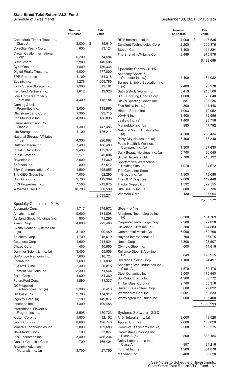|                                                     | <b>Number</b><br>of Shares | Fair<br>Value     |                                                          | <b>Number</b><br>of Shares | Fair<br>Value     |
|-----------------------------------------------------|----------------------------|-------------------|----------------------------------------------------------|----------------------------|-------------------|
| CatchMark Timber Trust Inc.,                        |                            |                   | RPM International Inc.                                   | 1,900                      | \$<br>147,535     |
| Class A                                             | 3,000                      | \$<br>35,610      | Sensient Technologies Corp.                              | 2,200                      | 200,376           |
| CoreSite Realty Corp.<br>Crown Castle International | 600                        | 83,124            | Stepan Co.                                               | 1,100                      | 124,234           |
| Corp.                                               | 6,200                      | 1,074,584         | The Sherwin-Williams Co.                                 | 3,489                      | 975,978           |
| CubeSmart                                           | 2,900                      | 140,505           |                                                          |                            | 6,482,699         |
| CyrusOne Inc.                                       | 1,800                      | 139,338           | Specialty Stores - 0.1%                                  |                            |                   |
| Digital Realty Trust Inc.                           | 4,000                      | 577,800           | Academy Sports &                                         |                            |                   |
| <b>EPR Properties</b>                               | 1,100                      | 54,318            | Outdoors Inc. (a)                                        | 4,100                      | 164,082           |
| Equinix Inc.                                        | 1,278                      | 1,009,786         | Barnes & Noble Education Inc.                            |                            |                   |
| Extra Space Storage Inc.                            | 1,900                      | 319,181           | (a)                                                      | 2,400                      | 23,976            |
| <b>Farmland Partners Inc.</b>                       | 1,612                      | 19,328            | Bath & Body Works Inc.                                   | 3,419                      | 215,500           |
| Four Corners Property<br>Trust Inc.                 | 4,400                      | 118,184           | Big 5 Sporting Goods Corp.<br>Dick's Sporting Goods Inc. | 1,000<br>887               | 23,040<br>106,236 |
| Gaming & Leisure                                    |                            |                   | Five Below Inc. (a)                                      | 800                        | 141,448           |
| Properties Inc.                                     | 3,000                      | 138,960           | Hibbett Sports Inc.                                      | 1,003                      | 70,952            |
| Gladstone Land Corp.                                | 1,305                      | 29,715            | JOANN Inc.                                               | 1,400                      | 15,596            |
| Iron Mountain Inc.                                  | 4,300                      | 186,835           | Leslie's Inc. (a)                                        | 1,400                      | 28,756            |
| Lamar Advertising Co.,<br>Class A                   | 1,300                      | 147,485           | MarineMax Inc. (a)                                       | 985                        | 47,792            |
| Life Storage Inc.                                   | 1,100                      | 126,214           | National Vision Holdings Inc.                            |                            |                   |
| <b>National Storage Affiliates</b>                  |                            |                   | (a)                                                      | 4,200                      | 238,434           |
| Trust                                               | 4,300                      | 226,997           | Party City Holdco Inc. (a)                               | 5,400                      | 38,340            |
| Outfront Media Inc.                                 | 7,400                      | 186,480           | Petco Health & Wellness<br>Company Inc. (a)              | 1,300                      | 27,430            |
| PotlatchDeltic Corp.                                | 3,400                      | 175,372           | Sally Beauty Holdings Inc. (a)                           | 5,700                      | 96,045            |
| Public Storage                                      | 2,171                      | 645,004           | Signet Jewelers Ltd.                                     | 2,700                      | 213,192           |
| Rayonier Inc.                                       | 2,000                      | 71,360            | Sportsman's Warehouse                                    |                            |                   |
| Safehold Inc.                                       | 800                        | 57,512            | Holdings Inc. (a)                                        | 1,970                      | 34,672            |
| SBA Communications Corp.<br>The GEO Group Inc.      | 1,500<br>7,000             | 495,855<br>52,290 | The Container Store<br>Group Inc. (a)                    | 1,900                      | 18,088            |
| Uniti Group Inc.                                    | 9,700                      | 119,989           | The ODP Corp. (a)                                        | 2,800                      | 112,448           |
| VICI Properties Inc.                                | 7,500                      | 213,075           | Tractor Supply Co.                                       | 1,592                      | 322,555           |
| Weyerhaeuser Co.                                    | 10,700                     | 380,599           | Ulta Beauty Inc. (a)                                     | 800                        | 288,736           |
|                                                     |                            | 8,535,271         | Winmark Corp.                                            | 130                        | 27,954            |
|                                                     |                            |                   |                                                          |                            | 2,255,272         |
| Specialty Chemicals - 0.4%                          |                            |                   |                                                          |                            |                   |
| Albemarle Corp.                                     | 1,717                      | 375,972           | Steel - 0.1%                                             |                            |                   |
| Amyris Inc. (a)                                     | 9,600                      | 131,808           | Allegheny Technologies Inc.<br>(a)                       | 6.300                      | 104,769           |
| Ashland Global Holdings Inc.                        | 800<br>4,800               | 71,296<br>222,480 | Carpenter Technology Corp.                               | 2,200                      | 72,028            |
| Avient Corp.<br>Axalta Coating Systems Ltd.         |                            |                   | Cleveland-Cliffs Inc. (a)                                | 6,300                      | 124,803           |
| (a)                                                 | 3,100                      | 90,489            | Commercial Metals Co.                                    | 6,000                      | 182,760           |
| Balchem Corp.                                       | 1,700                      | 246,619           | Haynes International Inc.                                | 700                        | 26,075            |
| Celanese Corp.                                      | 1,600                      | 241.024           | Nucor Corp.                                              | 4,300                      | 423,507           |
| Chase Corp.                                         | 400                        | 40,860            | Olympic Steel Inc.                                       | 600                        | 14,616            |
| Danimer Scientific Inc. (a)                         | 3,400                      | 55,556            | Reliance Steel & Aluminum                                |                            |                   |
| DuPont de Nemours Inc.                              | 7,600                      | 516,724           | Co.<br>Ryerson Holding Corp.                             | 849<br>1,100               | 120,915<br>24,497 |
| Ecolab Inc.                                         | 3,600                      | 751,032           | Schnitzer Steel Industries Inc.,                         |                            |                   |
| ECOVYST Inc.<br>Element Solutions Inc.              | 2,300                      | 26,818            | Class A                                                  | 1,579                      | 69,176            |
| Ferro Corp. (a)                                     | 3,300<br>4,000             | 71,544<br>81,360  | Steel Dynamics Inc.                                      | 3,000                      | 175,440           |
| FutureFuel Corp.                                    | 1,590                      | 11,337            | SunCoke Energy Inc.                                      | 4,900                      | 30,772            |
| <b>GCP Applied</b>                                  |                            |                   | TimkenSteel Corp. (a)                                    | 2,700                      | 35,316            |
| Technologies Inc. (a)                               | 2,300                      | 50,416            | United States Steel Corp.                                | 3,600                      | 79,092            |
| HB Fuller Co.                                       | 2,700                      | 174,312           | Warrior Met Coal Inc.                                    | 3,001                      | 69,833            |
| Ingevity Corp. (a)                                  | 2,100                      | 149,877           | Worthington Industries Inc.                              | 2,000                      | 105,400           |
| Innospec Inc.                                       | 1,300                      | 109,486           |                                                          |                            | 1,658,999         |
| International Flavors &<br>Fragrances Inc.          | 3,595                      | 480,723           | Systems Software - 2.2%                                  |                            |                   |
| Kraton Corp. (a)                                    | 1,800                      | 82,152            | A10 Networks Inc. (a)                                    | 3,600                      | 48,528            |
| Livent Corp. (a)                                    | 8,600                      | 198.746           | Appian Corp. (a)                                         | 2,000                      | 185,020           |
| Minerals Technologies Inc.                          | 2,000                      | 139,680           | CommVault Systems Inc. (a)                               | 2,500                      | 188,275           |
| NewMarket Corp.                                     | 100                        | 33,877            | Crowdstrike Holdings Inc.,                               |                            |                   |
| PPG Industries Inc.                                 | 3,400                      | 486,234           | Class A (a)                                              | 2,800                      | 688,184           |
| Quaker Chemical Corp.                               | 700                        | 166,404           | Dolby Laboratories Inc.,<br>Class A                      | 957                        | 84,216            |
| Rayonier Advanced                                   |                            |                   | Fortinet Inc. (a)                                        | 1,900                      | 554,876           |
| Materials Inc. (a)                                  | 3,700                      | 27,750            | Mandiant Inc.                                            | 3,400                      | 60,520            |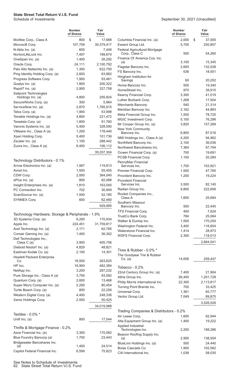September 30, 2021 (Unaudited)

|                                                              | <b>Number</b><br>of Shares | Fair<br>Value     |
|--------------------------------------------------------------|----------------------------|-------------------|
| McAfee Corp., Class A                                        | 800                        | \$<br>17,688      |
| Microsoft Corp.                                              | 107,759                    | 30,379,417        |
| N-Able Inc. (a)                                              | 600                        | 7,446             |
| NortonLifeLock Inc.                                          | 7,497                      | 189,674           |
| OneSpan Inc. (a)                                             | 1,400                      | 26,292            |
| Oracle Corp.                                                 | 24,111                     | 2,100,792         |
| Palo Alto Networks Inc. (a)                                  | 1,300                      | 622,700           |
| Ping Identity Holding Corp. (a)                              | 2,600                      | 63,882            |
| Progress Software Corp.                                      | 1,900                      | 93,461            |
| Qualys Inc. (a)                                              | 1,800                      | 200,322           |
| Rapid7 Inc. (a)                                              | 2,900                      | 327,758           |
| Sailpoint Technologies                                       |                            |                   |
| Holdings Inc. (a)                                            | 4,800                      | 205,824           |
| SecureWorks Corp. (a)                                        | 300                        | 5,964             |
| ServiceNow Inc. (a)                                          | 2,870                      | 1,785,915         |
| Telos Corp. (a)                                              | 1,900                      | 53,998            |
| Tenable Holdings Inc. (a)                                    | 4,800                      | 221,472           |
| Teradata Corp. (a)                                           | 1,600<br>5,400             | 91,760            |
| Varonis Systems Inc. (a)                                     |                            | 328,590           |
| VMware Inc., Class A (a)                                     | 1,200                      | 178,440           |
| Xperi Holding Corp.<br>Zscaler Inc. (a)                      | 5,400<br>1,100             | 101,736           |
|                                                              | 6,400                      | 288,442           |
| Zuora Inc., Class A (a)                                      |                            | 106,112           |
|                                                              |                            | 39,207,304        |
| Technology Distributors - 0.1%                               |                            |                   |
| Arrow Electronics Inc. (a)                                   | 1,067                      | 119,813           |
| Avnet Inc.                                                   | 1,500                      | 55,455            |
| CDW Corp.                                                    | 2,000                      | 364,040           |
| ePlus Inc. (a)                                               | 800                        | 82,088            |
| Insight Enterprises Inc. (a)                                 | 1,810                      | 163,045           |
| PC Connection Inc.                                           | 702                        | 30,909            |
| ScanSource Inc. (a)                                          | 1,500                      | 52,185            |
| SYNNEX Corp.                                                 | 600                        | 62,460            |
|                                                              |                            | 929,995           |
| Technology Hardware, Storage & Peripherals - 1.9%            |                            |                   |
| 3D Systems Corp. (a)                                         | 6,200                      | 170,934           |
| Apple Inc.                                                   | 224,451                    | 31,759,817        |
| Avid Technology Inc. (a)                                     | 2,171                      | 62,785            |
| Corsair Gaming Inc. (a)<br>Dell Technologies Inc.,           | 1,400                      | 36,302            |
| Class C (a)                                                  | 3,900                      | 405,756           |
| Diebold Nixdorf Inc. (a)                                     | 4,829                      | 48,821            |
| Eastman Kodak Co. (a)                                        | 2,100                      | 14,301            |
| <b>Hewlett Packard Enterprise</b><br>Co.                     | 18,500                     | 263,625           |
| HP Inc.                                                      | 16,900                     | 462,384           |
| NetApp Inc.                                                  | 3,200                      | 287,232           |
| Pure Storage Inc., Class A (a)                               | 3,700                      | 93,092            |
| Quantum Corp. (a)                                            | 2,600                      | 13,468            |
| Super Micro Computer Inc. (a)                                | 2,200                      | 80,454            |
| Turtle Beach Corp. (a)                                       | 800                        | 22,256            |
| Western Digital Corp. (a)                                    | 4,400                      | 248,336           |
| Xerox Holdings Corp.                                         | 2,500                      | 50,425            |
|                                                              |                            | 34,019,988        |
| Textiles - 0.0% *                                            |                            |                   |
| Unifi Inc. (a)                                               | 800                        | 17,544            |
|                                                              |                            |                   |
| Thrifts & Mortgage Finance - 0.2%<br>Axos Financial Inc. (a) | 3,300                      |                   |
| Blue Foundry Bancorp (a)                                     | 1,700                      | 170,082<br>23,443 |
| Bridgewater Bancshares Inc.                                  |                            |                   |
| (a)                                                          | 1,400                      | 24,514            |
| Capitol Federal Financial Inc.                               | 6,599                      | 75,823            |

|                                                    | <b>Number</b><br>of Shares | Fair<br>Value    |
|----------------------------------------------------|----------------------------|------------------|
| Columbia Financial Inc. (a)                        | 2,000                      | \$<br>37,000     |
| Essent Group Ltd.                                  | 5,700                      | 250,857          |
| Federal Agricultural Mortgage                      |                            |                  |
| Corp., Class C                                     | 500                        | 54,260           |
| Finance Of America Cos. Inc.<br>(a)                | 3,100                      | 15,345           |
| Flagstar Bancorp Inc.                              | 2,600                      | 132,028          |
| FS Bancorp Inc.                                    | 536                        | 18,551           |
| Hingham Institution for                            |                            |                  |
| Savings                                            | 60                         | 20,202           |
| Home Bancorp Inc.                                  | 500                        | 19,340           |
| HomeStreet Inc.                                    | 970                        | 39,915           |
| Kearny Financial Corp.                             | 3,300                      | 41,019           |
| Luther Burbank Corp.                               | 1,268                      | 17,004           |
| Merchants Bancorp                                  | 540                        | 21,314           |
| Meridian Bancorp Inc.                              | 2,162<br>1,500             | 44,883           |
| Meta Financial Group Inc.<br>MGIC Investment Corp. | 5,100                      | 78,720<br>76,296 |
| Mr Cooper Group Inc. (a)                           | 3,820                      | 157,269          |
| New York Community                                 |                            |                  |
| Bancorp Inc.                                       | 6,800                      | 87,516           |
| NMI Holdings Inc., Class A (a)                     | 4,200                      | 94,962           |
| Northfield Bancorp Inc.                            | 2,100                      | 36,036           |
| Northwest Bancshares Inc.                          | 7,364                      | 97,794           |
| Ocwen Financial Corp. (a)                          | 700                        | 19,691           |
| <b>PCSB Financial Corp.</b>                        | 1,100                      | 20,284           |
| PennyMac Financial<br>Services Inc.                | 1,700                      | 103,921          |
| Premier Financial Corp.                            | 1,500                      | 47,760           |
| Provident Bancorp Inc.                             | 1,200                      | 19,224           |
| <b>Provident Financial</b>                         |                            |                  |
| Services Inc.                                      | 3,500                      | 82,145           |
| Radian Group Inc.                                  | 9,800                      | 222,656          |
| Rocket Companies Inc.,                             |                            |                  |
| Class A<br>Southern Missouri                       | 1,600                      | 25,664           |
| Bancorp Inc.                                       | 500                        | 22,445           |
| TFS Financial Corp.                                | 400                        | 7,624            |
| TrustCo Bank Corp.                                 | 784                        | 25,064           |
| Walker & Dunlop Inc.                               | 1,500                      | 170,250          |
| Washington Federal Inc.                            | 3,400                      | 116,654          |
| Waterstone Financial Inc.                          | 1,414                      | 28,973           |
| <b>WSFS Financial Corp.</b>                        | 2,300                      | 118,013          |
|                                                    |                            | 2,664,541        |
| Tires & Rubber - 0.0% *                            |                            |                  |
| The Goodyear Tire & Rubber                         |                            |                  |
| Co. (a)                                            | 14,658                     | 259,447          |
|                                                    |                            |                  |
| Tobacco - $0.2%$                                   |                            |                  |
| 22nd Century Group Inc. (a)                        | 7,400                      | 21,904           |
| Altria Group Inc.                                  | 26,400                     | 1,201,728        |
| Philip Morris International Inc.                   | 22,300                     | 2,113,817        |
| Turning Point Brands Inc.<br>Universal Corp.       | 700<br>1,361               | 33,425<br>65,777 |
| Vector Group Ltd.                                  | 7,049                      | 89,875           |
|                                                    |                            |                  |
|                                                    |                            | 3,526,526        |
| Trading Companies & Distributors - 0.2%            |                            |                  |
| Air Lease Corp.                                    | 1,600                      | 62,944           |
| Alta Equipment Group Inc. (a)                      | 1,400                      | 19,222           |
| Applied Industrial                                 |                            |                  |
| Technologies Inc.                                  | 2,200                      | 198,286          |
| Beacon Roofing Supply Inc.<br>(a)                  | 2,900                      | 138,504          |
| BlueLinx Holdings Inc. (a)                         | 500                        | 24,440           |
| Boise Cascade Co.                                  | 1,900                      | 102,562          |
| CAI International Inc.                             | 1,038                      | 58,035           |

See Notes to Schedule of Investments. 62 State Street Total Return V.I.S. Fund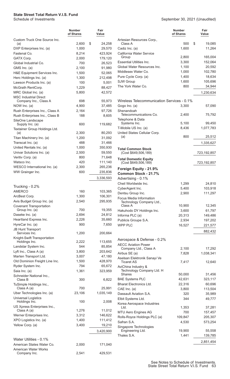|                                                       | <b>Number</b><br>of Shares | Fair<br>Value     |
|-------------------------------------------------------|----------------------------|-------------------|
| Custom Truck One Source Inc.<br>(a)                   | 2,600                      | \$<br>24,258      |
| DXP Enterprises Inc. (a)                              | 1,000                      | 29,570            |
| Fastenal Co.                                          | 8,214                      | 423,924           |
| GATX Corp.                                            | 2,000                      | 179,120           |
| Global Industrial Co.                                 | 700                        | 26,523            |
| GMS Inc. (a)                                          | 2,100                      | 91,980            |
| H&E Equipment Services Inc.<br>Herc Holdings Inc. (a) | 1,500<br>1,300             | 52,065<br>212,498 |
| Lawson Products Inc. (a)                              | 100                        | 5,001             |
| McGrath RentCorp.                                     | 1,229                      | 88,427            |
| MRC Global Inc. (a)                                   | 5,800                      | 42,572            |
| <b>MSC Industrial Direct</b><br>Company Inc., Class A | 698                        | 55,973            |
| NOW Inc. (a)                                          | 4.900                      | 37,485            |
| Rush Enterprises Inc., Class A                        | 2,164                      | 97,726            |
| Rush Enterprises Inc., Class B                        | 188                        | 8,605             |
| SiteOne Landscape<br>Supply Inc. (a)                  | 600                        | 119,682           |
| Textainer Group Holdings Ltd.<br>(a)                  | 2,300                      | 80,293            |
| Titan Machinery Inc. (a)                              | 1,200                      | 31,092            |
| Transcat Inc. (a)                                     | 488                        | 31,466            |
| United Rentals Inc. (a)                               | 1,000                      | 350,930           |
| Univar Solutions Inc. (a)                             | 2,500                      | 59,550            |
| Veritiv Corp. (a)                                     | 800                        | 71,648            |
| Watsco Inc.                                           | 420                        | 111,140           |
| WESCO International Inc. (a)                          | 2,300                      | 265,236           |
| WW Grainger Inc.                                      | 600                        | 235,836           |
|                                                       |                            | 3,336,593         |
| Trucking - 0.2%                                       |                            |                   |
| <b>AMERCO</b>                                         | 160                        | 103,365           |
| ArcBest Corp.                                         | 1,300                      | 106,301           |
| Avis Budget Group Inc. (a)                            | 2,540                      | 295,935           |
| <b>Covenant Transportation</b><br>Group Inc. (a)      | 700                        | 19,355            |
| Daseke Inc. (a)                                       | 2,694                      | 24,812            |
| Heartland Express Inc.                                | 2,226                      | 35,660            |
| HyreCar Inc. (a)                                      | 900                        | 7,650             |
| <b>JB Hunt Transport</b><br>Services Inc.             | 1,200                      | 200,664           |
| Knight-Swift Transportation                           |                            |                   |
| Holdings Inc.<br>Landstar System Inc.                 | 2,222<br>544               | 113,655<br>85,854 |
| Lyft Inc., Class A (a)                                | 3,800                      | 203,642           |
| Marten Transport Ltd.                                 | 3,007                      | 47,180            |
| Old Dominion Freight Line Inc.                        | 1,500                      | 428,970           |
| Ryder System Inc.                                     | 794                        | 65,672            |
| Saia Inc. (a)                                         | 1,361                      | 323,959           |
| Schneider National Inc.,<br>Class B                   | 300                        | 6,822             |
| TuSimple Holdings Inc.,<br>Class A (a)                | 700                        | 25,991            |
| Uber Technologies Inc. (a)                            | 23,106                     | 1,035,149         |
| <b>Universal Logistics</b>                            |                            |                   |
| Holdings Inc.<br>US Xpress Enterprises Inc.,          | 100                        | 2,008             |
| Class A (a)                                           | 1,276                      | 11,012            |
| Werner Enterprises Inc.                               | 3,312                      | 146,622           |
| XPO Logistics Inc. (a)                                | 1,400                      | 111,412           |
| Yellow Corp. (a)                                      | 3,400                      | 19,210            |
|                                                       |                            | 3,420,900         |
| Water Utilities - 0.1%                                |                            |                   |
| American States Water Co.                             | 2,000                      | 171,040           |
| <b>American Water Works</b><br>Company Inc.           | 2,541                      | 429,531           |
|                                                       |                            |                   |

|                                                                      | <b>Number</b><br>of Shares | Fair<br>Value      |
|----------------------------------------------------------------------|----------------------------|--------------------|
| Artesian Resources Corp.,<br>Class A                                 | 500                        | \$<br>19,085       |
| Cadiz Inc. (a)<br>California Water Service                           | 1,600                      | 11,264             |
| Group<br><b>Essential Utilities Inc.</b>                             | 2,800<br>3,300             | 165,004            |
| Global Water Resources Inc.                                          | 1,100                      | 152,064<br>20,592  |
| Middlesex Water Co.                                                  | 1,000                      | 102,780            |
| Pure Cycle Corp. (a)                                                 | 1,400                      | 18,634             |
| SJW Group                                                            | 1,600                      | 105,696            |
| The York Water Co.                                                   | 800                        | 34,944             |
|                                                                      |                            | 1,230,634          |
| Wireless Telecommunication Services - 0.1%                           |                            |                    |
| Gogo Inc. (a)<br>Shenandoah                                          | 3,300                      | 57,090             |
| Telecommunications Co.<br>Telephone & Data                           | 2,400                      | 75,792             |
| Systems Inc.                                                         | 5,100                      | 99,450             |
| T-Mobile US Inc. (a)                                                 | 8,436                      | 1,077,783          |
| United States Cellular Corp.<br>(a)                                  | 800                        | 25,512             |
|                                                                      |                            | 1,335,627          |
| <b>Total Common Stock</b><br>(Cost \$649,506,189)                    |                            | 723,192,857        |
| <b>Total Domestic Equity</b><br>(Cost \$649,506,189)                 |                            | 723,192,857        |
| Foreign Equity - 21.9%<br>Common Stock - 21.7%<br>Advertising - 0.1% |                            |                    |
| Cheil Worldwide Inc.                                                 | 1,299                      | 24,810             |
| CyberAgent Inc.                                                      | 5,400                      | 103,918            |
| Dentsu Group Inc.                                                    | 2,900                      | 111,297            |
| Focus Media Information<br>Technology Company Ltd.,                  |                            |                    |
| Class A                                                              | 10,900                     | 12,345             |
| Hakuhodo DY Holdings Inc.                                            | 3,600                      | 61,797             |
| Informa PLC (a)                                                      | 20,313                     | 149,486            |
| Publicis Groupe S.A.                                                 | 2,934                      | 197,202            |
| <b>WPP PLC</b>                                                       | 16,527                     | 221,577<br>882,432 |
| Aerospace & Defense - 0.2%                                           |                            |                    |
| <b>AECC Aviation Power</b>                                           |                            |                    |
| Company Ltd., Class A                                                | 2,100                      | 17,292             |
| Airbus SE (a)                                                        | 7,828                      | 1,038,341          |
| Aselsan Elektronik Sanayi Ve<br>Ticaret AS                           | 7,417                      | 12,640             |
| AviChina Industry &<br>Technology Company Ltd. H                     |                            |                    |
| Shares                                                               | 50,000                     | 31,456             |
| <b>BAE Systems PLC</b>                                               | 42,631                     | 323,117            |
| <b>Bharat Electronics Ltd.</b>                                       | 22,316                     | 60,696             |
| CAE Inc. (a)<br>Dassault Aviation S.A.                               | 3,800                      | 113,504            |
|                                                                      | 320<br>344                 | 35,989             |
| Elbit Systems Ltd.<br>Korea Aerospace Industries                     |                            | 49,777             |
| Ltd.                                                                 | 1,353                      | 37,281             |
| <b>MTU Aero Engines AG</b>                                           | 700                        | 157,457            |
| Rolls-Royce Holdings PLC (a)                                         | 109,847                    | 205,307            |
| Safran S.A.                                                          | 4,530                      | 573,254            |
| Singapore Technologies<br>Engineering Ltd.                           | 19,900                     | 55,558             |
| Thales S.A.                                                          | 1,441                      | 139,785            |
|                                                                      |                            | 2,851,454          |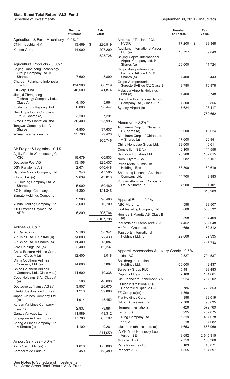|                                                                | <b>Number</b><br>of Shares | Fair<br>Value      |
|----------------------------------------------------------------|----------------------------|--------------------|
| Agricultural & Farm Machinery - 0.0% *                         |                            |                    |
| CNH Industrial N.V.                                            | 13,469                     | \$<br>226,519      |
| Kubota Corp.                                                   | 14,000                     | 297,209            |
|                                                                |                            | 523,728            |
| Agricultural Products - 0.0% *                                 |                            |                    |
| Beijing Dabeinong Technology<br>Group Company Ltd. A<br>Shares | 7,600                      | 8,890              |
| Charoen Pokphand Indonesia                                     |                            |                    |
| Thk PT<br>IOI Corp. Bhd                                        | 134,900<br>46,500          | 60,219<br>41,874   |
| Jiangxi Zhengbang<br>Technology Company Ltd.,                  |                            |                    |
| Class A                                                        | 4,100                      | 5,964              |
| Kuala Lumpur Kepong Bhd                                        | 8,000                      | 38,447             |
| New Hope Liuhe Company                                         |                            |                    |
| Ltd. A Shares (a)                                              | 3,200                      | 7,291              |
| Sime Darby Plantation Bhd                                      | 30,400                     | 25,996             |
| Tongwei Company Ltd. A<br>Shares                               | 4,800                      | 37,637             |
| Wilmar International Ltd.                                      | 25,706                     | 79,428             |
|                                                                |                            | 305,746            |
| Air Freight & Logistics - 0.1%                                 |                            |                    |
| Agility Public Warehousing Co.                                 |                            |                    |
| KSC                                                            | 18,679                     | 60,833             |
| Deutsche Post AG<br>DSV Panalpina A/S                          | 13,156<br>2,674            | 825,437<br>640,448 |
| Hyundai Glovis Company Ltd.                                    | 343                        | 47,505             |
| InPost S.A. (a)                                                | 2,639                      | 43,813             |
| SF Holding Company Ltd. A                                      |                            |                    |
| Shares                                                         | 5,000                      | 50,480             |
| SG Holdings Company Ltd.                                       | 4,300                      | 121,346            |
| Yamato Holdings Company                                        |                            |                    |
| Ltd.                                                           | 3,900<br>3,600             | 98,463<br>10,709   |
| Yunda Holding Company Ltd.<br>ZTO Express Cayman Inc.          |                            |                    |
| <b>ADR</b>                                                     | 6,809                      | 208,764            |
|                                                                |                            | 2,107,798          |
|                                                                |                            |                    |
| Airlines - 0.0% *                                              |                            |                    |
| Air Canada (a)                                                 | 2,100                      | 38,341             |
| Air China Ltd. H Shares (a)                                    | 34,000                     | 22,430             |
| Air China Ltd. A Shares (a)<br>ANA Holdings Inc. (a)           | 11,400<br>2,400            | 13,087<br>62,237   |
| China Eastern Airlines Corp.                                   |                            |                    |
| Ltd., Class A (a)<br><b>China Southern Airlines</b>            | 12,400                     | 9,018              |
| Company Ltd. (a)<br><b>China Southern Airlines</b>             | 14,000                     | 7,867              |
| Company Ltd., Class A (a)<br>Copa Holdings S.A., Class A       | 11,600                     | 10,338             |
| (a)                                                            | 500                        | 40,690             |
| Deutsche Lufthansa AG (a)                                      | 3,907                      | 26,670             |
| InterGlobe Aviation Ltd. (a)(c)<br>Japan Airlines Company Ltd. | 1,210                      | 32,880             |
| (a)<br>Korean Air Lines Company                                | 1,914                      | 45,452             |
| Ltd. $(a)$                                                     | 2,837                      | 79,884             |
| Qantas Airways Ltd. (a)                                        | 11,989                     | 48,312             |
| Singapore Airlines Ltd. (a)                                    | 17,700                     | 65,192             |
| Spring Airlines Company Ltd.<br>A Shares (a)                   | 1,100                      |                    |
|                                                                |                            | 9,261              |
|                                                                |                            | 511,659            |
| Airport Services - 0.0% *<br>Aena SME S.A. (a)(c)              | 1,016                      | 175,800            |
| Aeroports de Paris (a)                                         | 459                        | 58,489             |

|                                                                              | <b>Number</b><br>of Shares | Fair<br>Value      |
|------------------------------------------------------------------------------|----------------------------|--------------------|
| Airports of Thailand PCL<br><b>NVDR</b>                                      | 77,200                     | \$<br>138,348      |
| Auckland International Airport<br>Ltd. $(a)$                                 | 16,727                     | 89,849             |
| <b>Beijing Capital International</b><br>Airport Company Ltd. H<br>Shares (a) | 20,000                     | 11,724             |
| Grupo Aeroportuario del<br>Pacifico SAB de C.V. B<br>Shares (a)              | 7,400                      | 86,443             |
| Grupo Aeroportuario del<br>Sureste SAB de CV, Class B                        | 3,780                      | 70,978             |
| Malaysia Airports Holdings<br>Bhd (a)                                        | 11,400                     | 18,748             |
| Shanghai International Airport<br>Company Ltd., Class A (a)                  | 1,300                      | 8,856              |
| Sydney Airport (a)                                                           | 17,624                     | 103,417<br>762,652 |
| Aluminum - 0.0% *                                                            |                            |                    |
| Aluminum Corp. of China Ltd.<br>H Shares (a)                                 | 66,000                     | 49,024             |
| Aluminum Corp. of China Ltd.<br>A Shares (a)                                 | 17,600                     | 20,941             |
| China Hongqiao Group Ltd.                                                    | 32,000                     | 40,611             |
| Constellium SE (a)                                                           | 6,100                      | 114,558            |
| Hindalco Industries Ltd.                                                     | 23,988                     | 157,015            |
| Norsk Hydro ASA                                                              | 18,082                     | 135,157            |
| Press Metal Aluminium<br><b>Holdings Bhd</b>                                 | 58,800                     | 80,619             |
| Shandong Nanshan Aluminum<br>Company Ltd.                                    | 14,700                     | 9,883              |
| Yunnan Aluminium Company<br>Ltd. A Shares (a)                                | 4,900                      | 11,101             |
|                                                                              |                            | 618,909            |
|                                                                              |                            |                    |
| Apparel Retail - 0.1%                                                        |                            |                    |
| ABC-Mart Inc.                                                                | 598                        | 33,507             |
| Fast Retailing Company Ltd.<br>Hennes & Mauritz AB, Class B                  | 800                        | 588,532            |
| (a)                                                                          | 9,598                      | 194,409            |
| Industria de Diseno Textil S.A.                                              | 14,452                     | 532,048            |
| Mr Price Group Ltd.                                                          | 4,659                      | 62,312             |
| <b>Topsports International</b><br>Holdings Ltd. (c)                          | 29,000                     | 32,935             |
|                                                                              |                            | 1,443,743          |
| Apparel, Accessories & Luxury Goods - 0.5%                                   |                            |                    |
| adidas AG                                                                    | 2,527                      | 794,537            |
| Bosideng International<br>Holdings Ltd.                                      | 60,000                     | 42,437             |
| <b>Burberry Group PLC</b>                                                    | 5,481                      | 133,483            |
| Capri Holdings Ltd. (a)                                                      | 2,100                      | 101,661            |
| Cie Financiere Richemont S.A.                                                | 6,924                      | 717,202            |
| <b>Essilor International Cie</b><br>Generale d'Optique S.A.                  | 3,786                      | 723,853            |
| FF Group (a)(d)**                                                            | 1,860                      |                    |
| Fila Holdings Corp.                                                          | 898                        | 32,019             |
| Gildan Activewear Inc.                                                       | 2,700                      | 98,635             |
| Hermes International                                                         | 420                        | 579,789            |
| Kering S.A.                                                                  | 995                        | 707,075            |
| Li Ning Company Ltd.                                                         | 35,319                     | 407,078            |
| LPP S.A.                                                                     | 18                         | 67,082             |
| lululemon athletica Inc. (a)                                                 | 1,653                      | 668,969            |
| <b>LVMH Moet Hennessy Louis</b><br><b>Vuitton SE</b>                         |                            |                    |
|                                                                              | 3,692                      | 2,645,815          |
| Moncler S.p.A.                                                               | 2,759<br>103               | 168,360            |
| Page Industries Ltd.<br>Pandora A/S                                          | 1,355                      | 43,871<br>164,597  |
|                                                                              |                            |                    |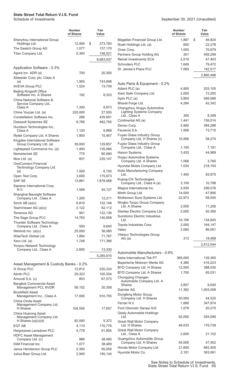|                                                             | Number<br>of Shares | Fair<br>Value     |
|-------------------------------------------------------------|---------------------|-------------------|
| Shenzhou International Group                                | 12,900              | \$<br>273,783     |
| Holdings Ltd.<br>The Swatch Group AG                        | 1,077               | 137,170           |
| Titan Company Ltd.                                          | 5,393               | 156,521           |
|                                                             |                     |                   |
|                                                             |                     | 8,663,937         |
| Application Software - 0.3%                                 |                     |                   |
| Agora Inc. ADR (a)                                          | 700                 | 20,300            |
| Atlassian Corp. plc, Class A                                |                     |                   |
| (a)<br><b>AVEVA Group PLC</b>                               | 1,900<br>1,524      | 743,698<br>73,709 |
| <b>Beijing Kingsoft Office</b>                              |                     |                   |
| Software Inc. A Shares                                      | 192                 | 8,323             |
| China National Software &<br>Service Company Ltd.,          |                     |                   |
| Class A                                                     | 1,300               | 9,873             |
| China Youzan Ltd. (a)                                       | 220,000             | 27,505            |
| Constellation Software Inc.                                 | 266                 | 435,691           |
| Dassault Systemes SE                                        | 8,789               | 462,765           |
| Hundsun Technologies Inc.,<br>Class A                       | 1,120               | 9,968             |
| Iflytek Company Ltd. A Shares                               | 1,900               | 15,467            |
| Kingdee International Software                              |                     |                   |
| Group Company Ltd. (a)                                      | 39,000              | 129,857           |
| Lightspeed Commerce Inc. (a)                                | 1,400               | 135,066           |
| Nemetschek SE                                               | 775                 | 80,990            |
| Nice Ltd. (a)                                               | 831                 | 235,147           |
| <b>OneConnect Financial</b><br>Technology Company Ltd.      |                     |                   |
| (a)                                                         | 1,500               | 6,150             |
| Open Text Corp.                                             | 3,600               | 175,673           |
| SAP SF                                                      | 13,881              | 1,878,088         |
| Sapiens International Corp.<br>N.V.                         | 1,568               | 45,127            |
| Shanghai Baosight Software<br>Company Ltd., Class A         |                     |                   |
| Sinch AB $(a)(c)$                                           | 1,200<br>6,810      | 12,211<br>132,148 |
| TeamViewer AG (a)(c)                                        | 2,122               | 62,112            |
| Temenos AG                                                  | 901                 | 122,136           |
| The Sage Group PLC                                          | 14,783              | 140,858           |
| <b>Thunder Software Technology</b><br>Company Ltd., Class A | 500                 | 9,640             |
| Weimob Inc. (a)(c)                                          | 25,000              | 36,085            |
| WiseTech Global Ltd.                                        | 1,894               | 71,767            |
| Xero Ltd. (a)                                               | 1,748               | 171,386           |
| Yonyou Network Technology<br>Company Ltd., Class A          | 2,600               | 13,330            |
|                                                             |                     | 5,265,070         |
| Asset Management & Custody Banks - 0.2%                     |                     |                   |
| 3i Group PLC                                                | 12,812              | 220,224           |
| Abrdn PLC                                                   | 29,323              | 100,354           |
| Amundi S.A. (c)                                             | 803                 | 67,573            |
| <b>Bangkok Commercial Asset</b><br>Management PCL NVDR      | 56,152              | 30,358            |
| <b>Brookfield Asset</b><br>Management Inc., Class A         | 17,000              | 910,755           |
| China Cinda Asset<br>Management Company Ltd.<br>H Shares    | 104,556             | 17,657            |
| China Huarong Asset                                         |                     |                   |
| Management Company Ltd.                                     |                     |                   |
| H Shares (a)(c)(d)                                          | 82,000              | 5,372             |
| EQT AB                                                      | 4,110               | 170,776           |

Hargreaves Lansdown PLC 4,778 91,805

Company Ltd. (c) 38,480 IGM Financial Inc. 1,077 38,469 Janus Henderson Group PLC 2,300 95,059 Julius Baer Group Ltd. 2,940 195,144

HDFC Asset Management

|                                                                                 | <b>Number</b><br>of Shares | Fair<br>Value     |
|---------------------------------------------------------------------------------|----------------------------|-------------------|
| Magellan Financial Group Ltd.                                                   | 1,867                      | \$<br>46,824      |
| Noah Holdings Ltd. (a)                                                          | 600                        | 22,278            |
| Onex Corp.                                                                      | 1,000                      | 70,679            |
| Partners Group Holding AG                                                       | 301                        | 469,299           |
| <b>Reinet Investments SCA</b>                                                   | 2,519                      | 47,403            |
| <b>Schroders PLC</b>                                                            | 1,649                      | 79,472            |
| St. James's Place PLC                                                           | 7,060                      | 142,517           |
|                                                                                 |                            | 2,860,498         |
| Auto Parts & Equipment - 0.2%                                                   |                            |                   |
| Adient PLC (a)                                                                  | 4,900                      | 203,105           |
| Aisin Seiki Company Ltd.                                                        | 2,000                      | 72,292            |
| Aptiv PLC (a)                                                                   | 3,800                      | 566,086           |
| Bharat Forge Ltd.                                                               | 4,284                      | 42,342            |
| Changzhou Xingyu Automotive<br><b>Lighting Systems Company</b><br>Ltd., Class A | 300                        | 8,399             |
| Continental AG (a)                                                              | 1,441                      | 156,514           |
| Denso Corp.                                                                     | 5,900                      | 384,288           |
| Faurecia S.A.                                                                   | 1,566                      | 73,715            |
| Fuyao Glass Industry Group                                                      |                            |                   |
| Company Ltd. H Shares (c)<br>Fuyao Glass Industry Group                         | 10,956                     | 58,274            |
| Company Ltd., Class A                                                           | 1,100                      | 7,181             |
| Hanon Systems                                                                   | 3,435                      | 44,989            |
| Huayu Automotive Systems                                                        |                            |                   |
| Company Ltd. A Shares                                                           | 1,068                      | 3,760             |
| Hyundai Mobis Company Ltd.                                                      | 1,034                      | 218,193           |
| Koito Manufacturing Company<br>Ltd.                                             | 1,400                      | 83,975            |
| Kuang-Chi Technologies                                                          |                            |                   |
| Company Ltd., Class A (a)                                                       | 3,100                      | 10,788            |
| Magna International Inc.                                                        | 3,935<br>14,000            | 296,076<br>47,895 |
| Minth Group Ltd.<br>Motherson Sumi Systems Ltd.                                 | 22,973                     | 69,545            |
| Ningbo Tuopu Group Company                                                      |                            |                   |
| Ltd. A Shares                                                                   | 2,000                      | 11,256            |
| Stanley Electric Company Ltd.                                                   | 2,000                      | 50,390            |
| Sumitomo Electric Industries                                                    |                            |                   |
| Ltd.                                                                            | 10,166                     | 134,845           |
| Toyota Industries Corp.                                                         | 2,000                      | 164,147           |
| Valeo                                                                           | 3,080                      | 86,001            |
| Vitesco Technologies Group<br>AG(a)                                             | 313                        | 18,488            |
|                                                                                 |                            | 2,812,544         |
|                                                                                 |                            |                   |
| Automobile Manufacturers - 0.6%                                                 |                            |                   |
| Astra International Tbk PT                                                      | 365,000                    | 139,360           |
| Bayerische Motoren Werke AG                                                     | 4,380                      | 416,223           |
| BYD Company Ltd. H Shares                                                       | 12,500                     | 388,530           |
| BYD Company Ltd. A Shares                                                       | 1,700                      | 65,531            |
| Chongqing Changan<br>Automobile Company Ltd. A                                  |                            |                   |
| <b>Shares</b><br>Daimler AG                                                     | 3,857                      | 9,930             |
| Dongfeng Motor Group                                                            | 11,362                     | 1,003,008         |
| Company Ltd. H Shares                                                           | 50,000                     | 44,525            |
| Ferrari N.V.                                                                    | 1,666                      | 347,874           |
| Ford Otomotiv Sanayi A/S                                                        | 1,078                      | 20,275            |
| Geely Automobile Holdings<br>Ltd.                                               | 92,000                     | 264,096           |
| <b>Great Wall Motor Company</b><br>Ltd. H Shares                                | 48,033                     | 176,739           |
| <b>Great Wall Motor Company</b><br>Ltd., Class A                                | 2,600                      | 21,102            |
| Guangzhou Automobile Group                                                      |                            |                   |
| Company Ltd. H Shares                                                           | 54,000                     | 47,452            |
| Honda Motor Company Ltd.                                                        | 21,600                     | 662,400           |
| Hyundai Motor Co.                                                               | 2,181                      | 363,061           |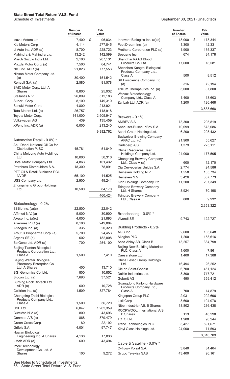|                                                          | <b>Number</b><br>of Shares | Fair<br>Value |
|----------------------------------------------------------|----------------------------|---------------|
| Isuzu Motors Ltd.                                        | 7,400                      | \$<br>96,034  |
| Kia Motors Corp.                                         | 4,114                      | 277,845       |
| Li Auto Inc. ADR (a)                                     | 8,700                      | 228,723       |
| Mahindra & Mahindra Ltd.                                 | 13,242                     | 142,599       |
| Maruti Suzuki India Ltd.                                 | 2,100                      | 207,131       |
| Mazda Motor Corp. (a)                                    | 7,500                      | 64,741        |
| NIO Inc. ADR (a)                                         | 21,823                     | 777,553       |
| Nissan Motor Company Ltd.<br>(a)                         | 30,400                     | 151,542       |
| Renault S.A. (a)                                         | 2,580                      | 91,578        |
| SAIC Motor Corp. Ltd. A                                  |                            |               |
| Shares                                                   | 8,800                      | 25,932        |
| Stellantis N.V.                                          | 26,899                     | 512,183       |
| Subaru Corp.                                             | 8,100                      | 149,310       |
| Suzuki Motor Corp.                                       | 4,800                      | 213,921       |
| Tata Motors Ltd. (a)                                     | 26,757                     | 118,918       |
| Toyota Motor Corp.                                       | 141,000                    | 2,505,947     |
| Volkswagen AG                                            | 439                        | 135,459       |
| XPeng Inc. ADR (a)                                       | 6,000                      | 213,240       |
|                                                          |                            | 9,882,762     |
| Automotive Retail - 0.0% *                               |                            |               |
| Abu Dhabi National Oil Co for                            |                            |               |
| <b>Distribution PJSC</b>                                 | 45,781                     | 51,849        |
| China Meidong Auto Holdings                              |                            |               |
| Ltd.                                                     | 10,000                     | 50,316        |
| Hotai Motor Company Ltd.                                 | 4,863                      | 101,432       |
| Petrobras Distribuidora S.A.                             | 18,300                     | 78,891        |
| PTT Oil & Retail Business PCL<br><b>NVDR</b>             | 55,100                     | 44.525        |
| USS Company Ltd.                                         | 2,900                      | 49.241        |
| Zhongsheng Group Holdings                                |                            |               |
| Ltd.                                                     | 10,500                     | 84,170        |
|                                                          |                            | 460,424       |
|                                                          |                            |               |
| Biotechnology - 0.2%                                     |                            |               |
| 3SBio Inc. (a)(c)                                        | 22,500                     | 22,042        |
| Affimed N.V. (a)                                         | 5,000                      | 30,900        |
| Akeso Inc. (a)(c)                                        | 4,000                      | 21,893        |
| Alkermes PLC (a)                                         | 8,100                      | 249,804       |
| Alteogen Inc. (a)                                        | 335                        | 20,320        |
| Arbutus Biopharma Corp. (a)                              | 5,700                      | 24,453        |
| Argenx SE (a)                                            | 602                        | 182,008       |
| BeiGene Ltd. ADR (a)                                     | 700                        | 254,100       |
| Beijing Tiantan Biological<br>Products Corporation Ltd., |                            |               |
| Class A                                                  | 1,500                      | 7,410         |
| Beijing Wantai Biological<br>Pharmacy Enterprise Co.     |                            |               |
| Ltd. A Shares                                            | 400                        | 13,710        |
| <b>BGI Genomics Co. Ltd.</b>                             | 800                        | 10,852        |
| Biocon Ltd. (a)                                          | 7,693                      | 37,521        |
| Burning Rock Biotech Ltd.                                |                            |               |
| ADR (a)                                                  | 600                        | 10,728        |
| Celltrion Inc. (a)                                       | 1,509                      | 327,784       |
| Chongqing Zhifei Biological<br>Products Company Ltd.,    |                            |               |
| Class A                                                  | 1,500                      | 36,720        |
| CSL Ltd.                                                 | 6,047                      | 1,262,359     |
| CureVac N.V. (a)                                         | 800                        | 43,696        |
| Genmab A/S (a)                                           | 868                        | 379,479       |
| Green Cross Corp.                                        | 80                         | 22,192        |
| Grifols S.A.                                             | 4,001                      | 97,747        |
| Hualan Biological                                        |                            |               |
| Engineering Inc. A Shares                                | 4,138                      | 17,836        |
| I-Mab ADR (a)                                            | 600                        | 43,494        |
| Imeik Technology<br>Development Co. Ltd. A               |                            |               |
| <b>Shares</b>                                            | 100                        | 9,272         |

|                                                            | <b>Number</b><br>of Shares | Fair<br>Value |
|------------------------------------------------------------|----------------------------|---------------|
| Innovent Biologics Inc. (a)(c)                             | 18,000                     | \$<br>173,344 |
| PeptiDream Inc. (a)                                        | 1,300                      | 42,331        |
| Prothena Corporation PLC (a)                               | 1,900                      | 135,337       |
| Seegene Inc.                                               | 674                        | 34,178        |
| Shanghai RAAS Blood<br>Products Co. Ltd.                   | 17,600                     | 18,581        |
| Shenzhen Kangtai Biological<br>Products Company Ltd.,      |                            |               |
| Class A                                                    | 500                        | 8,512         |
| SK Bioscience Company Ltd.<br>(a)                          | 316                        | 72,194        |
| Trillium Therapeutics Inc. (a)                             | 5,000                      | 87,800        |
| Walvax Biotechnology                                       |                            |               |
| Company Ltd., Class A                                      | 1,400                      | 13,603        |
| Zai Lab Ltd. ADR (a)                                       | 1,200                      | 126,468       |
|                                                            |                            | 3,838,668     |
|                                                            |                            |               |
| Brewers - 0.1%                                             |                            |               |
| AMBEV S.A.                                                 | 73,300                     | 205,819       |
| Anheuser-Busch InBev S.A.                                  | 10,099                     | 573,086       |
| Asahi Group Holdings Ltd.                                  | 6,200                      | 298,432       |
| <b>Budweiser Brewing Company</b><br>APAC Ltd. (c)          | 21,900                     | 55,627        |
|                                                            |                            |               |
| Carlsberg A/S<br>China Resources Beer                      | 1,379                      | 225,111       |
| Holdings Company Ltd.                                      | 24,000                     | 177,505       |
| Chongqing Brewery Company<br>Ltd., Class A (a)             | 600                        | 12,170        |
| Cia Cervecerias Unidas S.A.                                | 2,774                      | 24,586        |
| Heineken Holding N.V.                                      | 1,558                      | 135,734       |
| Heineken N.V.                                              | 3,426                      | 357,773       |
| Kirin Holdings Company Ltd.                                | 11,200                     | 207,349       |
| Tsingtao Brewery Company<br>Ltd. H Shares                  | 8,924                      | 70,198        |
| Tsingtao Brewery Company                                   |                            |               |
| Ltd., Class A                                              | 800                        | 9,932         |
|                                                            |                            | 2,353,322     |
|                                                            |                            |               |
| Broadcasting - 0.0% *                                      |                            |               |
| Vivendi SE                                                 | 9,743                      | 122,727       |
|                                                            |                            |               |
| Building Products - 0.2%                                   |                            |               |
| AGC Inc.                                                   | 2,600                      | 133,648       |
| Allegion PLC                                               | 1,200                      | 158,616       |
| Assa Abloy AB, Class B                                     | 13,257                     | 384,798       |
| <b>Beijing New Building Materials</b><br>PLC, Class A      | 1,600                      | 7,861         |
| Caesarstone Ltd.                                           | 1,400                      | 17,388        |
| China Lesso Group Holdings                                 |                            |               |
| Ltd.                                                       | 16,494                     | 26,252        |
| Cie de Saint-Gobain                                        | 6,700                      | 451,124       |
| Daikin Industries Ltd.                                     | 3,300                      | 717,721       |
| Geberit AG                                                 | 490                        | 359,412       |
| Guangdong Kinlong Hardware                                 |                            |               |
| Products Company Ltd.,                                     |                            |               |
| Class A                                                    | 700                        | 14,879        |
| Kingspan Group PLC                                         | 2,031                      | 202,696       |
| Lixil Corp.                                                | 3,600                      | 104,078       |
| Nibe Industrier AB, B Shares<br>ROCKWOOL International A/S | 18,802                     | 236,438       |
| <b>B</b> Shares                                            | 113                        | 48,290        |
| <b>TOTO Ltd.</b>                                           | 1,900                      | 90,244        |
| Trane Technologies PLC                                     | 3,427                      | 591,671       |
| Xinyi Glass Holdings Ltd.                                  | 24,000                     | 71,593        |
|                                                            |                            | 3,616,709     |
| Cable & Satellite - 0.0% *                                 |                            |               |
| Cyfrowy Polsat S.A.                                        | 3,840                      | 34,404        |
| Grupo Televisa SAB                                         | 43,400                     | 96,161        |

See Notes to Schedule of Investments.

66 State Street Total Return V.I.S. Fund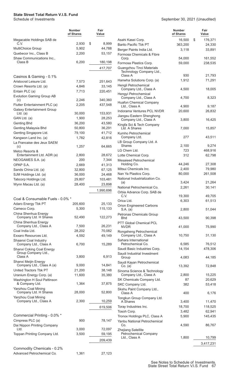#### **State Street Total Return V.I.S. Fund**

Schedule of Investments

|                                                                    | Number<br>of Shares | Fair<br>Value |
|--------------------------------------------------------------------|---------------------|---------------|
| Megacable Holdings SAB de<br>C.V.                                  | 2,930               | \$<br>8,999   |
| <b>MultiChoice Group</b>                                           | 5,902               | 44,788        |
| Quebecor Inc., Class B                                             | 2,200               | 53,157        |
| Shaw Communications Inc.,                                          |                     |               |
| Class B                                                            | 6,200               | 180,198       |
|                                                                    |                     | 417,707       |
| Casinos & Gaming - 0.1%                                            |                     |               |
| Aristocrat Leisure Ltd.                                            | 7,573               | 251,643       |
| Crown Resorts Ltd. (a)                                             | 4,846               | 33,145        |
| Entain PLC (a)                                                     | 7,713               | 220,451       |
| <b>Evolution Gaming Group AB</b>                                   |                     |               |
| (C)                                                                | 2,246               | 340,360       |
| Flutter Entertainment PLC (a)<br><b>Galaxy Entertainment Group</b> | 2,205               | 437,548       |
| Ltd. $(a)$                                                         | 30,000              | 153,931       |
| GAN Ltd. (a)                                                       | 1,900               | 28,253        |
| Genting Bhd                                                        | 36,200              | 43,580        |
| Genting Malaysia Bhd                                               | 50,800              | 36,291        |
| Genting Singapore Ltd.                                             | 79,100              | 41,712        |
| Kangwon Land Inc. (a)                                              | 1,782               | 42,816        |
| La Francaise des Jeux SAEM                                         | 1,257               | 64,665        |
| (c)<br>Melco Resorts &                                             |                     |               |
| Entertainment Ltd. ADR (a)                                         | 2,800               | 28,672        |
| NEOGAMES S.A. (a)                                                  | 200                 | 7,344         |
| OPAP S.A.                                                          | 2,669               | 41,313        |
| Sands China Ltd. (a)                                               | 32,800              | 67,125        |
| SJM Holdings Ltd. (a)                                              | 36,000              | 24,468        |
| Tabcorp Holdings Ltd.                                              | 29,807              | 103,481       |
| Wynn Macau Ltd. (a)                                                | 28,400              | 23,898        |
|                                                                    |                     | 1,990,696     |
| Coal & Consumable Fuels - 0.0% *                                   |                     |               |
| Adaro Energy Tbk PT                                                | 205,600             | 25,133        |
| Cameco Corp.                                                       | 5,300               | 115,133       |
| China Shenhua Energy<br>Company Ltd. H Shares                      | 52,490              | 122,273       |
| China Shenhua Energy                                               |                     |               |
| Company Ltd., Class A                                              | 7,500               | 26,231        |
| Coal India Ltd.                                                    | 28,202              | 70,082        |
| Exxaro Resources Ltd.                                              | 4,592               | 49.149        |
| Shaanxi Coal Industry                                              |                     |               |
| Company Ltd., Class A<br>Shanxi Coking Coal Energy                 | 6,700               | 15,289        |
| Group Company Ltd.,                                                |                     |               |
| Class A                                                            | 3,800               | 6,913         |
| Shanxi Meijin Energy<br>Company Ltd., Class A (a)                  | 9,000               | 14,841        |
| United Tractors Tbk PT                                             | 21,200              | 38,148        |
| Uranium Energy Corp. (a)                                           | 11,600              | 35,380        |
| Washington H Soul Pattinson                                        |                     |               |
| & Company Ltd.                                                     | 1,364               | 37,875        |
| Yanzhou Coal Mining<br>Company Ltd. H Shares                       | 28,000              | 52,800        |
| Yanzhou Coal Mining                                                |                     |               |
| Company Ltd., Class A                                              | 2,300               | 10,259        |
|                                                                    |                     | 619,506       |
| Commercial Printing - 0.0% *                                       |                     |               |
| Cimpress PLC (a)                                                   | 900                 | 78,147        |
| Dai Nippon Printing Company                                        |                     |               |
| Ltd.                                                               | 3,000               | 72,097        |
| Toppan Printing Company Ltd.                                       | 3,500               | 59,195        |
|                                                                    |                     | 209,439       |
| Commodity Chemicals - 0.2%                                         |                     |               |
| Advanced Petrochemical Co.                                         | 1,361               | 27,123        |

| September 30, 2021 (Unaudited) |  |  |
|--------------------------------|--|--|
|--------------------------------|--|--|

|                                                                          | <b>Number</b><br>of Shares | Fair<br>Value  |
|--------------------------------------------------------------------------|----------------------------|----------------|
| Asahi Kasei Corp.                                                        | 16,500                     | \$<br>176,371  |
| <b>Barito Pacific Tbk PT</b>                                             | 363,200                    | 24,330         |
| Berger Paints India Ltd.                                                 | 3,118                      | 33,891         |
| Formosa Chemicals & Fibre<br>Corp.                                       | 54,000                     | 161,552        |
| Formosa Plastics Corp.                                                   | 59,000                     | 238,535        |
| Guangzhou Tinci Materials<br>Technology Company Ltd.,                    |                            |                |
| Class A                                                                  | 930                        | 21,793         |
| Hanwha Solutions Corp. (a)<br>Hengli Petrochemical                       | 1,912                      | 71,291         |
| Company Ltd., Class A<br>Hengyi Petrochemical                            | 4,500                      | 18,005         |
| Company Ltd., Class A<br><b>Huafon Chemical Company</b><br>Ltd., Class A | 4,700<br>4,900             | 8,323<br>9,187 |
| Indorama Ventures PCL NVDR                                               | 20,600                     | 26,832         |
| Jiangsu Eastern Shenghong<br>Company Ltd., Class A                       | 3,800                      | 16,425         |
| Kingfa Sci & Tech Company<br>Ltd. A Shares                               | 7,000                      | 15,857         |
| Kumho Petrochemical                                                      | 277                        | 43,511         |
| Company Ltd.<br>LB Group Company Ltd. A                                  |                            |                |
| Shares                                                                   | 2,100<br>723               | 9,274          |
| LG Chem Ltd.                                                             |                            | 468,916        |
| Lotte Chemical Corp.<br>Mesaieed Petrochemical                           | 312                        | 62,798         |
| Holding Co.                                                              | 44,246                     | 27,308         |
| Mitsui Chemicals Inc.                                                    | 2,400                      | 79,980         |
| Nan Ya Plastics Corp.                                                    | 80,000                     | 261,508        |
| National Industrialization Co.                                           |                            |                |
| (a)                                                                      | 3,424                      | 21,264         |
| National Petrochemical Co.                                               | 2,261                      | 30,141         |
| Orbia Advance Corp. SAB de<br>C.V.                                       | 19,300                     | 49,705         |
| Orica Ltd.                                                               | 6,303                      | 61,513         |
| Orion Engineered Carbons<br>S.A. (a)                                     | 2,800                      | 51,044         |
| Petronas Chemicals Group<br><b>Bhd</b>                                   | 43,500                     | 90,398         |
| PTT Global Chemical PCL<br>NVDR                                          | 41,000                     | 75,990         |
| Rongsheng Petrochemical<br>Company Ltd., Class A                         | 10,750                     | 31,130         |
| Sahara International                                                     |                            |                |
| Petrochemical Co.                                                        | 6,585                      | 76,512         |
| Saudi Basic Industries Corp.                                             | 14,154                     | 478,306        |
| Saudi Industrial Investment<br>Group                                     | 4,083                      | 44,185         |
| Saudi Kayan Petrochemical<br>Co. (a)<br>Sinoma Science & Technology      | 13,392                     | 72,848         |
| Company Ltd., Class A                                                    | 2,800                      | 15,225         |
| SK Chemicals Company Ltd.                                                | 87                         | 20,629         |
| SKC Company Ltd.                                                         | 382                        | 53,418         |
| Skshu Paint Company Ltd.,<br>Class A                                     | 400                        | 6,176          |
| Tongkun Group Company Ltd.<br>A Shares                                   | 3,400                      | 11,470         |
| Toray Industries Inc.                                                    | 18,700                     | 118,525        |
| Tosoh Corp.                                                              | 3,482                      | 62,941         |
| Tronox Holdings PLC, Class A                                             | 5,900                      | 145,435        |
| <b>Yanbu National Petrochemical</b><br>Co.                               | 4,590                      | 86,767         |
| Zhejiang Satellite<br>Petrochemical Company                              |                            |                |
| Ltd., Class A                                                            | 1,800                      | 10,799         |
|                                                                          |                            | 3,417,231      |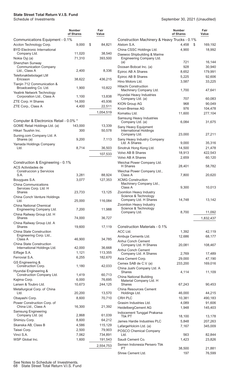|                                                                | Number<br>of Shares | Fair<br>Value      |  |  |
|----------------------------------------------------------------|---------------------|--------------------|--|--|
| Communications Equipment - 0.1%                                |                     |                    |  |  |
| Accton Technology Corp.<br><b>BYD Electronic International</b> | 9,000               | \$<br>84,821       |  |  |
| Company Ltd.                                                   | 11,020<br>71,310    | 38,540<br>393,500  |  |  |
| Nokia Oyj (a)<br>Shenzhen Sunway                               |                     |                    |  |  |
| <b>Communication Company</b><br>Ltd., Class A                  | 2,400               | 8,336              |  |  |
| Telefonaktiebolaget LM<br>Ericsson                             | 38,622              | 436,215            |  |  |
| Tianjin 712 Communication &<br>Broadcasting Co. Ltd.           | 1,900               | 10,822             |  |  |
| Yealink Network Technology<br>Corporation Ltd., Class A        | 1,100               | 13,838             |  |  |
| ZTE Corp. H Shares                                             | 14,000              | 45,936             |  |  |
| ZTE Corp., Class A                                             | 4,400               | 22,511             |  |  |
|                                                                |                     | 1,054,519          |  |  |
| Computer & Electronics Retail - 0.0% *                         |                     |                    |  |  |
| GOME Retail Holdings Ltd. (a)                                  | 143,000             | 13,339             |  |  |
| Hikari Tsushin Inc.                                            | 300                 | 50,578             |  |  |
| Suning.com Company Ltd. A<br>Shares (a)                        | 9,200               | 7,113              |  |  |
| Yamada Holdings Company<br>Ltd.                                | 8,714               | 36,503             |  |  |
|                                                                |                     | 107,533            |  |  |
|                                                                |                     |                    |  |  |
| Construction & Engineering - 0.1%<br><b>ACS Actividades de</b> |                     |                    |  |  |
| Construccion y Servicios<br>S.A.                               | 3,281               | 88,924             |  |  |
| Bouygues S.A.                                                  | 3,077               | 127,353            |  |  |
| China Communications                                           |                     |                    |  |  |
| Services Corp. Ltd. H<br><b>Shares</b>                         | 23,733              | 13,125             |  |  |
| China Conch Venture Holdings<br>Ltd.                           | 25,000              | 116,084            |  |  |
| China National Chemical                                        |                     |                    |  |  |
| Engineering Company Ltd.<br>China Railway Group Ltd. H         | 7,200               | 11,988             |  |  |
| Shares                                                         | 74,000              | 36,727             |  |  |
| China Railway Group Ltd. A<br>Shares                           | 19,600              | 17,119             |  |  |
| <b>China State Construction</b><br>Engineering Corp. Ltd.,     |                     |                    |  |  |
| Class A<br>China State Construction                            | 46,900              | 34,785             |  |  |
| International Holdings Ltd.                                    | 42,000              | 36,668             |  |  |
| Eiffage S.A.                                                   | 1,121               | 113,355            |  |  |
| Ferrovial S.A.                                                 | 6,255               | 182,670            |  |  |
| GS Engineering &<br>Construction Corp.                         | 1,180               | 42,033             |  |  |
| Hyundai Engineering &<br>Construction Company Ltd.             | 1,419               | 60,713             |  |  |
| Kajima Corp.                                                   | 6,000               | 76,695             |  |  |
| Larsen & Toubro Ltd.                                           | 10,673              | 244,125            |  |  |
| Metallurgical Corp. of China<br>Ltd.                           | 20,200              | 13,570             |  |  |
| Obayashi Corp.                                                 | 8,600               | 70,710             |  |  |
| Power Construction Corp. of                                    |                     |                    |  |  |
| China Ltd., Class A                                            | 16,300              | 21,392             |  |  |
| <b>Samsung Engineering</b><br>Company Ltd. (a)                 | 2,868               | 61,039             |  |  |
| Shimizu Corp.                                                  | 8,600               | 64,212             |  |  |
| Skanska AB, Class B                                            | 4,586               | 115,129            |  |  |
| Taisei Corp.                                                   | 2,500               | 79,903             |  |  |
| Vinci S.A.<br>WSP Global Inc.                                  | 7,062<br>1,600      | 734,891<br>191,543 |  |  |
|                                                                |                     | 2,554,753          |  |  |
|                                                                |                     |                    |  |  |

|                                                    | <b>Number</b><br>Fair<br>of Shares<br>Value |                   |  |  |
|----------------------------------------------------|---------------------------------------------|-------------------|--|--|
| Construction Machinery & Heavy Trucks - 0.1%       |                                             |                   |  |  |
| Alstom S.A.                                        | 4,458                                       | \$<br>169,192     |  |  |
| China CSSC Holdings Ltd.                           | 4,900                                       | 18,992            |  |  |
| Daewoo Shipbuilding & Marine                       |                                             |                   |  |  |
| Engineering Company Ltd.                           |                                             |                   |  |  |
| (a)                                                | 721                                         | 16,144            |  |  |
| Doosan Bobcat Inc. (a)                             | 928                                         | 30,940            |  |  |
| Epiroc AB A Shares<br>Epiroc AB B Shares           | 8,652<br>5,225                              | 179,991<br>92,606 |  |  |
| Hino Motors Ltd.                                   | 3,587                                       | 33,225            |  |  |
| <b>Hitachi Construction</b>                        |                                             |                   |  |  |
| Machinery Company Ltd.                             | 1,700                                       | 47,641            |  |  |
| Hyundai Heavy Industries                           |                                             |                   |  |  |
| Company Ltd. (a)                                   | 707                                         | 60,083            |  |  |
| KION Group AG<br>Knorr-Bremse AG                   | 968<br>976                                  | 90,049<br>104,478 |  |  |
| Komatsu Ltd.                                       | 11,600                                      | 277,104           |  |  |
| Samsung Heavy Industries                           |                                             |                   |  |  |
| Company Ltd. (a)                                   | 6,084                                       | 31,675            |  |  |
| Sany Heavy Equipment                               |                                             |                   |  |  |
| <b>International Holdings</b><br>Company Ltd.      | 23,000                                      | 27,211            |  |  |
| Sany Heavy Industry Company                        |                                             |                   |  |  |
| Ltd. A Shares                                      | 9,000                                       | 35,316            |  |  |
| Sinotruk Hong Kong Ltd.                            | 14,500                                      | 21,478            |  |  |
| <b>Volvo AB B Shares</b>                           | 18,913                                      | 422,543           |  |  |
| Volvo AB A Shares                                  | 2,659                                       | 60,120            |  |  |
| Weichai Power Company Ltd.<br>H Shares             | 28,401                                      | 58,782            |  |  |
| Weichai Power Company Ltd.,                        |                                             |                   |  |  |
| Class A<br><b>XCMG Construction</b>                | 7,800                                       | 20,620            |  |  |
| Machinery Company Ltd.,                            |                                             |                   |  |  |
| Class A                                            | 9,300                                       | 10,013            |  |  |
| Zoomlion Heavy Industry<br>Science & Technology    |                                             |                   |  |  |
| Company Ltd. H Shares                              | 14,748                                      | 13,142            |  |  |
| Zoomlion Heavy Industry                            |                                             |                   |  |  |
| Science & Technology                               | 8,700                                       |                   |  |  |
| Company Ltd.                                       |                                             | 11,092            |  |  |
|                                                    |                                             | 1,832,437         |  |  |
| Construction Materials - 0.1%                      |                                             |                   |  |  |
| ACC Ltd.                                           | 1,392                                       | 42,119            |  |  |
| Ambuja Cements Ltd.                                | 12,686                                      | 68,177            |  |  |
| Anhui Conch Cement                                 |                                             |                   |  |  |
| Company Ltd. H Shares                              | 20,081                                      | 108,467           |  |  |
| Anhui Conch Cement<br>Company Ltd. A Shares        | 2,769                                       | 17,489            |  |  |
| Asia Cement Corp.                                  | 29,000                                      | 47,190            |  |  |
| Cemex SAB de C.V. (a)                              | 233,200                                     | 169,016           |  |  |
| China Jushi Company Ltd. A                         |                                             |                   |  |  |
| Shares                                             | 4,114                                       | 11,109            |  |  |
| China National Building<br>Material Company Ltd. H |                                             |                   |  |  |
| <b>Shares</b>                                      | 67,243                                      | 90,453            |  |  |
| <b>China Resources Cement</b>                      |                                             |                   |  |  |
| Holdings Ltd.                                      | 46,000                                      | 44,215            |  |  |
| CRH PLC                                            | 10,381                                      | 490,183           |  |  |
| Grasim Industries Ltd.                             | 4,089                                       | 91,606<br>145,403 |  |  |
| HeidelbergCement AG<br>Indocement Tunggal Prakarsa | 1,948                                       |                   |  |  |
| Tbk PT                                             | 18,100                                      | 13,178            |  |  |
| James Hardie Industries PLC                        | 5,848                                       | 207,263           |  |  |
| LafargeHolcim Ltd. (a)                             | 7,167                                       | 345,009           |  |  |
| POSCO Chemical Company                             |                                             |                   |  |  |
| Ltd.                                               | 563                                         | 82,844            |  |  |
| Saudi Cement Co.<br>Semen Indonesia Persero Tbk    | 1,423                                       | 23,826            |  |  |
| PT                                                 | 38,500                                      | 21,881            |  |  |
| Shree Cement Ltd.                                  | 197                                         | 76,599            |  |  |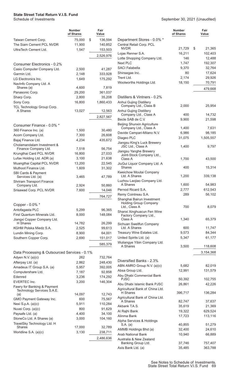|                                                           | <b>Number</b><br>of Shares | Fair<br>Value    |
|-----------------------------------------------------------|----------------------------|------------------|
| Taiwan Cement Corp.                                       | 75,000                     | \$<br>136,594    |
| The Siam Cement PCL NVDR                                  | 11,900                     | 140,852          |
| UltraTech Cement Ltd.                                     | 1,547                      | 153,503          |
|                                                           |                            | 2,526,976        |
|                                                           |                            |                  |
| Consumer Electronics - 0.2%                               |                            |                  |
| Casio Computer Company Ltd.                               | 2,500                      | 41,287           |
| Garmin Ltd.                                               | 2,148                      | 333,928          |
| LG Electronics Inc.                                       | 1,649                      | 175,292          |
| NavInfo Company Ltd. A<br>Shares (a)                      | 4,600                      | 7,819            |
| Panasonic Corp.                                           | 29,200                     | 361,037          |
| Sharp Corp.                                               | 2,800                      | 35,208           |
| Sony Corp.                                                | 16,800                     | 1,860,433        |
| TCL Technology Group Corp.                                |                            |                  |
| A Shares                                                  | 13,027                     | 12,563           |
|                                                           |                            | 2,827,567        |
|                                                           |                            |                  |
| Consumer Finance - 0.0% *                                 |                            |                  |
| 360 Finance Inc. (a)                                      | 1,500                      | 30,480           |
| Acom Company Ltd.                                         | 7,300                      | 26,608           |
| Bajaj Finance Ltd.<br>Cholamandalam Investment &          | 4,234                      | 435,672          |
| Finance Company Ltd.                                      | 7,518                      | 56,754           |
| Krungthai Card PCL NVDR                                   | 16,800                     | 27,033           |
| Lufax Holding Ltd. ADR (a)                                | 3,100                      | 21,638           |
| Muangthai Capital PCL NVDR                                | 13,200                     | 22,545           |
| Muthoot Finance Ltd.                                      | 1,609                      | 31,302           |
| SBI Cards & Payment                                       |                            |                  |
| Services Ltd. (a)                                         | 3,465                      | 47,789           |
| <b>Shriram Transport Finance</b>                          |                            |                  |
| Company Ltd.<br>Srisawad Corp. PCL NVDR                   | 2,924<br>7,600             | 50,860<br>14,046 |
|                                                           |                            |                  |
|                                                           |                            | 764,727          |
| Copper - 0.0% *                                           |                            |                  |
| Antofagasta PLC                                           | 5,299                      | 96,365           |
| First Quantum Minerals Ltd.                               | 8,000                      | 148,084          |
| Jiangxi Copper Company Ltd.                               |                            |                  |
| H Shares                                                  | 14,782                     | 26,299           |
| KGHM Polska Miedz S.A.                                    | 2,525                      | 99,613           |
| Lundin Mining Corp.                                       | 8,900                      | 64,001           |
| Southern Copper Corp.                                     | 2,690                      | 151,017          |
|                                                           |                            | 585,379          |
| Data Processing & Outsourced Services - 0.1%              |                            |                  |
| Adyen N.V. (a)(c)                                         | 262                        | 732,764          |
| Afterpay Ltd. (a)                                         | 2,862                      | 248,430          |
| Amadeus IT Group S.A. (a)                                 | 5,957                      | 392,005          |
| Computershare Ltd.                                        | 7,187                      | 92,858           |
| Edenred                                                   | 3,236                      | 174,292          |
| <b>EVERTEC Inc.</b>                                       | 3,200                      | 146,304          |
| Fawry for Banking & Payment<br>Technology Services S.A.E. |                            |                  |
| (a)                                                       | 14,097                     | 12,743           |
| GMO Payment Gateway Inc.                                  | 600                        | 75,567           |
| Nexi S.p.A. (a)(c)                                        | 5,911                      | 110,284          |
| Nuvei Corp. (a)(c)                                        | 800                        | 91,629           |
| Paysafe Ltd. (a)                                          | 4,400                      | 34,100           |
| StoneCo Ltd. A Shares (a)                                 | 3,000                      | 104,160          |
| TravelSky Technology Ltd. H<br>Shares                     | 17,000                     | 32,789           |
| Worldline S.A. (a)(c)                                     | 3,130                      | 238,711          |
|                                                           |                            | 2,486,636        |
|                                                           |                            |                  |

|                                                             | <b>Number</b><br>of Shares | Fair<br>Value      |
|-------------------------------------------------------------|----------------------------|--------------------|
| Department Stores - 0.0% *                                  |                            |                    |
| Central Retail Corp. PCL<br><b>NVDR</b>                     |                            | \$                 |
| Lojas Renner S.A.                                           | 21,729<br>16,211           | 21,365<br>102,403  |
| Lotte Shopping Company Ltd.                                 | 146                        | 12,488             |
| Next PLC                                                    | 1,747                      | 192,307            |
| <b>SACI Falabella</b>                                       | 9,370                      | 32,764             |
| Shinsegae Inc.                                              | 80                         | 17,624             |
| Trent Ltd.                                                  | 2,174                      | 29,926             |
| Woolworths Holdings Ltd.                                    | 18,150                     | 70,791             |
|                                                             |                            | 479,668            |
| Distillers & Vintners - 0.2%                                |                            |                    |
| Anhui Gujing Distillery                                     |                            |                    |
| Company Ltd., Class B                                       | 2,000                      | 25,954             |
| Anhui Gujing Distillery                                     |                            |                    |
| Company Ltd., Class A                                       | 400                        | 14,732             |
| Becle SAB de C.V.                                           | 9,900                      | 21,598             |
| <b>Beijing Shunxin Agriculture</b><br>Company Ltd., Class A | 1,400                      | 7,631              |
| Davide Campari-Milano N.V.                                  | 6,986                      | 98,185             |
| Diageo PLC                                                  | 31,075                     | 1,505,557          |
| Jiangsu King's Luck Brewery                                 |                            |                    |
| JSC Ltd., Class A                                           | 1,400                      | 9,797              |
| Jiangsu Yanghe Brewery                                      |                            |                    |
| Joint-Stock Company Ltd.,<br>Class A                        | 1,700                      | 43,500             |
| JiuGui Liquor Company Ltd. A                                |                            |                    |
| Shares<br>Kweichow Moutai Company                           | 400                        | 15,314             |
| Ltd. A Shares                                               | 1,200                      | 339,138            |
| Luzhou Laojiao Company Ltd.<br>A Shares                     | 1,600                      | 54,983             |
| Pernod Ricard S.A.                                          | 2,777                      | 612,543            |
| Remy Cointreau S.A.                                         | 289                        | 56,102             |
| Shanghai Bairun Investment                                  |                            |                    |
| <b>Holding Group Company</b>                                |                            |                    |
| Ltd., Class A                                               | 700                        | 8,079              |
| Shanxi Xinghuacun Fen Wine<br>Factory Company Ltd.,         |                            |                    |
| Class A                                                     | 1,340                      | 65,379             |
| Sichuan Swellfun Company                                    |                            |                    |
| Ltd. A Shares                                               | 600                        | 11,747             |
| Treasury Wine Estates Ltd.                                  | 9,573                      | 84,344             |
| United Spirits Ltd. (a)                                     | 5,347                      | 61,177             |
| Wuliangye Yibin Company Ltd.<br>A Shares                    | 3,500                      | 118,608            |
|                                                             |                            |                    |
|                                                             |                            | 3,154,368          |
| Diversified Banks - 2.3%                                    |                            |                    |
| ABN AMRO Group N.V. (a)(c)                                  | 5,682                      | 82,019             |
| Absa Group Ltd.                                             | 12,991                     | 131,579            |
| Abu Dhabi Commercial Bank                                   |                            |                    |
| <b>PJSC</b>                                                 | 50,392                     | 102,755            |
| Abu Dhabi Islamic Bank PJSC                                 | 26,861                     | 42,226             |
| Agricultural Bank of China Ltd.                             |                            |                    |
| H Shares                                                    | 396,717                    | 136,284            |
| Agricultural Bank of China Ltd.<br>A Shares                 | 82,747                     | 37,637             |
| Akbank T.A.S.                                               | 35,619                     | 21,369             |
| Al Rajhi Bank                                               | 19,322                     | 629,524            |
| Alinma Bank                                                 | 17,723                     | 113,116            |
| Alpha Services & Holdings                                   |                            |                    |
| S.A. (a)                                                    | 40,855                     | 51,279             |
| AMMB Holdings Bhd (a)                                       | 32,400                     | 24,610             |
| <b>Arab National Bank</b>                                   | 10,940                     | 66,889             |
| Australia & New Zealand                                     |                            |                    |
| Banking Group Ltd.                                          | 37,746<br>35,485           | 757,407<br>363,788 |
| Axis Bank Ltd. (a)                                          |                            |                    |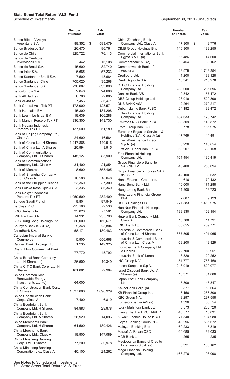|                                                     | <b>Number</b><br>of Shares | Fair<br>Value |                                                             | <b>Number</b><br>of Shares | Fair<br>Value      |
|-----------------------------------------------------|----------------------------|---------------|-------------------------------------------------------------|----------------------------|--------------------|
| Banco Bilbao Vizcaya<br>Argentaria S.A.             | 88,352                     | \$<br>583,479 | China Zheshang Bank<br>Company Ltd., Class A                | 17,800                     | \$<br>9,776        |
| Banco Bradesco S.A.                                 | 26,470                     | 86,761        | <b>CIMB Group Holdings Bhd</b>                              | 116,300                    | 132,255            |
| Banco de Chile                                      | 825,722                    | 76,113        | <b>Commercial International Bank</b>                        |                            |                    |
| Banco de Credito e                                  |                            |               | Egypt S.A.E. (a)                                            | 16,486                     | 44,600             |
| Inversiones S.A.                                    | 442                        | 16,108        | Commerzbank AG (a)                                          | 13,454                     | 89,162             |
| Banco do Brasil S.A.                                | 15,600                     | 82,740        | Commonwealth Bank of                                        |                            |                    |
| Banco Inter S.A.                                    | 6,685                      | 57,233        | Australia                                                   | 23,579                     | 1,748,354          |
| Banco Santander Brasil S.A.                         | 7,500                      | 48,684        | Credicorp Ltd.                                              | 1,200                      | 133,128            |
| <b>Banco Santander Chile</b>                        | 705,020                    | 35,268        | Credit Agricole S.A.                                        | 15,341                     | 210,978            |
| Banco Santander S.A.                                | 230,087                    | 833,890       | <b>CTBC Financial Holding</b><br>Company Ltd.               | 288,000                    | 235,696            |
| Bancolombia S.A.                                    | 2,846                      | 24,608        | Danske Bank A/S                                             | 9,342                      | 157,472            |
| Bank AlBilad (a)                                    | 6,700                      | 72,805        | DBS Group Holdings Ltd.                                     | 23,910                     | 529,890            |
| <b>Bank Al-Jazira</b>                               | 7,456                      | 36,471        | <b>DNB BANK ASA</b>                                         | 12,264                     | 279,217            |
| <b>Bank Central Asia Tbk PT</b>                     | 173,900                    | 423,571       | Dubai Islamic Bank PJSC                                     | 24,182                     | 32,472             |
| Bank Hapoalim BM                                    | 15,300                     | 134,298       | E.Sun Financial Holding                                     |                            |                    |
| Bank Leumi Le-Israel BM                             | 19,639                     | 166,288       | Company Ltd.                                                | 184,633                    | 173,742            |
| Bank Mandiri Persero Tbk PT                         | 336,300                    | 143,730       | Emirates NBD Bank PJSC                                      | 38,509                     | 148,872            |
| Bank Negara Indonesia<br>Persero Tbk PT             | 137,500                    | 51,189        | Erste Group Bank AG                                         | 3,778                      | 165,975            |
| Bank of Beijing Company Ltd.,                       |                            |               | Eurobank Ergasias Services &                                |                            |                    |
| Class A                                             | 24,600                     | 16,584        | Holdings S.A., Class A (a)                                  | 47,769                     | 44,491             |
| Bank of China Ltd. H Shares                         | 1,247,868                  | 440,916       | FinecoBank Banca Fineco                                     |                            |                    |
| Bank of China Ltd. A Shares                         | 20,994                     | 9,915         | S.p.A. (a)                                                  | 8,226                      | 148,654            |
| <b>Bank of Communications</b>                       |                            |               | First Abu Dhabi Bank PJSC<br><b>First Financial Holding</b> | 68,207                     | 330,158            |
| Company Ltd. H Shares                               | 145,127                    | 85,900        | Company Ltd.                                                | 161,454                    | 130,419            |
| <b>Bank of Communications</b>                       |                            |               | Grupo Financiero Banorte                                    |                            |                    |
| Company Ltd., Class A                               | 31,400                     | 21,854        | SAB de C.V.                                                 | 40,400                     | 260,694            |
| <b>Bank of Montreal</b>                             | 8,600                      | 858,405       | Grupo Financiero Inbursa SAB                                |                            |                    |
| Bank of Shanghai Company<br>Ltd., Class A           | 16,500                     | 18,648        | de CV(a)                                                    | 42,100                     | 39,632             |
| Bank of the Philippine Islands                      | 23,360                     | 37,300        | Hana Financial Group Inc.                                   | 4,616                      | 179,432            |
| Bank Polska Kasa Opieki S.A.                        | 3,335                      | 86,340        | Hang Seng Bank Ltd.                                         | 10,000                     | 171,288            |
| Bank Rakyat Indonesia                               |                            |               | Hong Leong Bank Bhd                                         | 11,900                     | 53,723             |
| Persero Tbk PT                                      | 1,059,509                  | 282,409       | Hong Leong Financial Group<br>Bhd                           | 2,087                      | 9,123              |
| Banque Saudi Fransi                                 | 8,801                      | 97,849        | <b>HSBC Holdings PLC</b>                                    | 271,383                    | 1,419,975          |
| <b>Barclays PLC</b>                                 | 225,160                    | 572,530       | Hua Nan Financial Holdings                                  |                            |                    |
| BDO Unibank Inc.                                    | 35,820                     | 77,581        | Company Ltd.                                                | 139,930                    | 102,154            |
| BNP Paribas S.A.                                    | 14,931                     | 955,790       | Huaxia Bank Company Ltd.,                                   |                            |                    |
| BOC Hong Kong Holdings Ltd.                         | 50,000                     | 150,671       | Class A                                                     | 13,700                     | 11,791             |
| Boubyan Bank KSCP (a)                               | 9,348                      | 23,804        | <b>ICICI Bank Ltd.</b>                                      | 80,855                     | 759,771            |
| CaixaBank S.A.                                      | 58,171                     | 180,483       | Industrial & Commercial Bank                                |                            |                    |
| Canadian Imperial Bank of                           |                            |               | of China Ltd. H Shares                                      | 887,505                    | 491,965            |
| Commerce                                            | 5,900                      | 656,668       | Industrial & Commercial Bank<br>of China Ltd., Class A      | 69,200                     | 49,829             |
| Capitec Bank Holdings Ltd.                          | 1,235                      | 149,325       | Industrial Bank Company Ltd.                                |                            |                    |
| Chang Hwa Commercial Bank<br>Ltd.                   | 77,770                     | 45,792        | A Shares                                                    | 22,700                     | 63,951             |
| China Bohai Bank Company                            |                            |               | Industrial Bank of Korea                                    | 3,320                      | 29,252             |
| Ltd. H Shares (c)                                   | 26,500                     | 10,349        | ING Groep N.V.                                              | 51,777                     | 753,150            |
| China CITIC Bank Corp. Ltd. H                       |                            |               | Intesa Sanpaolo S.p.A.                                      | 218,919                    | 620,077            |
| Shares                                              | 161,881                    | 72,964        | Israel Discount Bank Ltd. A                                 |                            |                    |
| China Common Rich                                   |                            |               | Shares (a)                                                  | 15,371                     | 81,086             |
| Renewable Energy<br>Investments Ltd. (d)            | 64,000                     |               | Japan Post Bank Company                                     |                            |                    |
| China Construction Bank Corp.                       |                            |               | Ltd.                                                        | 5,300<br>877               | 45,347             |
| H Shares                                            | 1,537,000                  | 1,096,929     | KakaoBank Corp. (a)                                         |                            | 50,664             |
| China Construction Bank                             |                            |               | KB Financial Group Inc.<br>KBC Group N.V.                   | 6,156<br>3,297             | 286,300<br>297,558 |
| Corp., Class A                                      | 7,400                      | 6,819         | Komercni banka A/S (a)                                      | 1,396                      | 56,554             |
| China Everbright Bank                               |                            |               | Kotak Mahindra Bank Ltd.                                    | 8,573                      | 230,720            |
| Company Ltd. H Shares                               | 84,883                     | 29,878        | Krung Thai Bank PCL NVDR                                    | 46,577                     | 15,031             |
| China Everbright Bank<br>Company Ltd. A Shares      | 26,920                     | 14,096        | Kuwait Finance House KSCP                                   | 71,540                     | 194,980            |
| China Merchants Bank                                |                            |               | Lloyds Banking Group PLC                                    | 940,296                    | 585,672            |
| Company Ltd. H Shares                               | 61,500                     | 489,426       | Malayan Banking Bhd                                         | 60,233                     | 115,819            |
| China Merchants Bank                                |                            |               | Masraf Al Rayan QSC                                         | 66,685                     | 82,033             |
| Company Ltd., Class A                               | 18,900                     | 147,089       | MCB Bank Ltd.                                               | 265                        | 235                |
| China Minsheng Banking                              |                            |               | Mediobanca Banca di Credito                                 |                            |                    |
| Corp. Ltd. H Shares                                 | 77,200                     | 30,978        | Finanziario S.p.A. (a)                                      | 8,321                      | 100,162            |
| China Minsheng Banking<br>Corporation Ltd., Class A | 40,100                     | 24,262        | Mega Financial Holding                                      |                            |                    |
|                                                     |                            |               | Company Ltd.                                                | 168,276                    | 193,098            |

See Notes to Schedule of Investments. 70 State Street Total Return V.I.S. Fund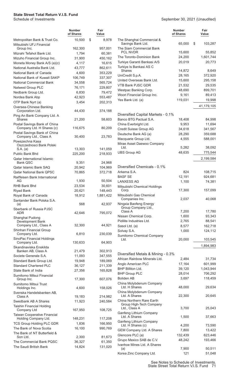|                                                           | <b>Number</b><br>of Shares | Fair<br>Value |                                                     | <b>Number</b><br>of Shares | Fair<br>Value |
|-----------------------------------------------------------|----------------------------|---------------|-----------------------------------------------------|----------------------------|---------------|
| Metropolitan Bank & Trust Co.<br>Mitsubishi UFJ Financial | 10,500                     | \$<br>8,978   | The Shanghai Commercial &<br>Savings Bank Ltd.      | 65,000                     | \$<br>103,287 |
| Group Inc.                                                | 162,300                    | 957,001       | The Siam Commercial Bank                            |                            |               |
| Mizrahi Tefahot Bank Ltd.                                 | 1,794                      | 60,381        | <b>PCL NVDR</b>                                     | 15,600                     | 55,852        |
| Mizuho Financial Group Inc.                               | 31,900                     | 450,162       | The Toronto-Dominion Bank                           | 24,200                     | 1,601,744     |
| Moneta Money Bank A/S (a)(c)                              | 4,117                      | 16,615        | Turkiye Garanti Bankasi A/S                         | 20,019                     | 20,773        |
| National Australia Bank Ltd.                              | 43,777                     | 862,611       | Turkiye Is Bankasi AS C<br><b>Shares</b>            | 14,872                     | 8,649         |
| National Bank of Canada                                   | 4,600                      | 353,229       | UniCredit S.p.A.                                    | 28,165                     | 372,920       |
| National Bank of Kuwait SAKP                              | 106,749                    | 337,307       | United Overseas Bank Ltd.                           | 15,600                     | 295,158       |
| National Commercial Bank                                  | 34,558                     | 565,724       | VTB Bank PJSC GDR                                   | 21,532                     | 29,535        |
| Natwest Group PLC                                         | 76,171                     | 229,807       | Westpac Banking Corp.                               | 48,690                     | 899,701       |
| Nedbank Group Ltd.                                        | 6,830                      | 79,472        | Woori Financial Group Inc.                          | 9,161                      | 89,413        |
| Nordea Bank Abp                                           | 42,923                     | 553,487       | Yes Bank Ltd. (a)                                   | 119,031                    | 19,998        |
| OTP Bank Nyrt (a)                                         | 3,454                      | 202,313       |                                                     |                            |               |
| Oversea-Chinese Banking<br>Corporation Ltd.               | 44,430                     | 374,188       |                                                     |                            | 41,179,105    |
| Ping An Bank Company Ltd. A                               |                            |               | Diversified Capital Markets - 0.1%                  |                            |               |
| <b>Shares</b>                                             | 21,200                     | 58,603        | Banco BTG Pactual S.A.                              | 18,408                     | 84,998        |
| Postal Savings Bank of China                              |                            |               | China Everbright Ltd.                               | 9,953                      | 11,694        |
| Company Ltd. H Shares (c)                                 | 116,675                    | 80,209        | Credit Suisse Group AG                              | 34,618                     | 341,567       |
| Postal Savings Bank of China<br>Company Ltd., Class A     | 30,400                     | 23,783        | Deutsche Bank AG (a)                                | 28,290                     | 359,688       |
| Powszechna Kasa                                           |                            |               | Macquarie Group Ltd.                                | 4,555                      | 588,001       |
| Oszczednosci Bank Polski                                  |                            |               | Mirae Asset Daewoo Company                          |                            |               |
| S.A. (a)                                                  | 13,303                     | 141,059       | Ltd.                                                | 5,282                      | 38,092        |
| <b>Public Bank Bhd</b>                                    | 225,200                    | 218,933       | <b>UBS Group AG</b>                                 | 48,635                     | 775,544       |
| <b>Qatar International Islamic</b><br><b>Bank QSC</b>     | 9,351                      | 24,968        |                                                     |                            | 2,199,584     |
| Qatar Islamic Bank SAQ                                    | 20,942                     | 104,969       | Diversified Chemicals - 0.1%                        |                            |               |
| <b>Qatar National Bank QPSC</b>                           | 70,865                     | 372,718       | Arkema S.A.                                         | 824                        | 108,715       |
| Raiffeisen Bank International                             |                            |               | <b>BASF SE</b>                                      | 12,191                     | 924,681       |
| AG                                                        | 1,930                      | 50,504        | <b>LANXESS AG</b>                                   | 1,100                      | 74,381        |
| RHB Bank Bhd                                              | 23,534                     | 30,601        | Mitsubishi Chemical Holdings                        |                            |               |
| <b>Riyad Bank</b>                                         | 20,621                     | 148,443       | Corp.                                               | 17,300                     | 157,099       |
| Royal Bank of Canada<br>Santander Bank Polska S.A.        | 18,912                     | 1,881,422     | Mitsubishi Gas Chemical<br>Companies Inc.           | 2,037                      | 40,068        |
| (a)                                                       | 568                        | 42,937        | Ningxia Baofeng Energy<br>Group Company Ltd.,       |                            |               |
| Sberbank of Russia PJSC<br>ADR.                           | 42,646                     | 795,072       | Class A                                             | 7,200                      | 17,780        |
| Shanghai Pudong                                           |                            |               | Nissan Chemical Corp.                               | 1,600                      | 93,343        |
| Development Bank                                          |                            |               | Pidilite Industries Ltd.                            | 2,765                      | 88,541        |
| Company Ltd., Class A                                     | 32,300                     | 44,921        | Sasol Ltd. (a)                                      | 8,577                      | 162,718       |
| Shinhan Financial Group                                   |                            |               | Solvay S.A.                                         | 1,000                      | 124,112       |
| Company Ltd.<br>SinoPac Financial Holdings                | 6,810                      | 230,039       | Sumitomo Chemical Company<br>Ltd.                   | 20,000                     | 103,545       |
| Company Ltd.                                              | 130,633                    | 64,903        |                                                     |                            |               |
| Skandinaviska Enskilda                                    |                            |               |                                                     |                            | 1,894,983     |
| Banken AB, Class A                                        | 21,479                     | 302,913       | Diversified Metals & Mining - 0.3%                  |                            |               |
| Societe Generale S.A.                                     | 11,093                     | 347,555       | African Rainbow Minerals Ltd.                       | 2,484                      | 31,734        |
| Standard Bank Group Ltd.                                  | 19,948                     | 189,069       | Anglo American PLC                                  | 17,164                     | 601,999       |
| <b>Standard Chartered PLC</b>                             | 36,127                     | 211,339       | BHP Billiton Ltd.                                   | 39,120                     | 1,043,944     |
| State Bank of India                                       | 27,356                     | 165,828       | <b>BHP Group PLC</b>                                | 28,014                     | 706,292       |
| Sumitomo Mitsui Financial                                 |                            |               | <b>Boliden AB</b>                                   | 3,697                      | 118,459       |
| Group Inc.<br>Sumitomo Mitsui Trust                       | 17,300                     | 607,076       | China Molybdenum Company                            |                            |               |
| Holdings Inc.                                             | 4,600                      | 158,026       | Ltd. H Shares                                       | 48,000                     | 29,634        |
| Svenska Handelsbanken AB,<br>Class A                      | 19,183                     | 214,982       | China Molybdenum Company<br>Ltd. A Shares           | 22,300                     | 20,645        |
| Swedbank AB A Shares                                      | 11,923                     | 240,584       | China Northern Rare Earth                           |                            |               |
| Taishin Financial Holding                                 |                            |               | Group High-Tech Company<br>Ltd., Class A            | 3,700                      | 25,043        |
| Company Ltd<br>Taiwan Cooperative Financial               | 167,950                    | 108,725       | Ganfeng Lithium Company                             |                            |               |
| Holding Company Ltd.                                      | 148,231                    | 117,208       | Ltd. A Shares                                       | 1,500                      | 37,663        |
| TCS Group Holding PLC GDR                                 | 1,836                      | 166,950       | <b>Ganfeng Lithium Company</b><br>Ltd. H Shares (c) | 4,200                      | 73,590        |
| The Bank of Nova Scotia                                   | 16,100                     | 990,769       | GEM Company Ltd. A Shares                           | 7,800                      | 13,422        |
| The Bank of NT Butterfield &                              |                            |               | Glencore PLC (a)                                    | 132,439                    | 623,446       |
| Son Ltd.                                                  | 2,300                      | 81,673        | Grupo Mexico SAB de C.V.                            | 48,242                     | 193,466       |
| The Commercial Bank PQSC                                  | 36,327                     | 61,350        | Ivanhoe Mines Ltd. A Shares                         |                            |               |
| The Saudi British Bank                                    | 14,824                     | 131,020       | (a)                                                 | 7,900                      | 50,511        |
|                                                           |                            |               | Korea Zinc Company Ltd.                             | 121                        | 51,048        |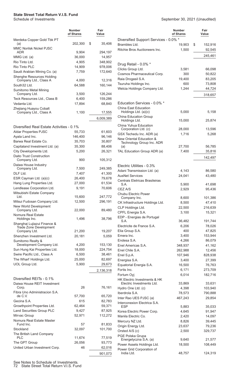|                                                         | Number<br>of Shares | Fair<br>Value |
|---------------------------------------------------------|---------------------|---------------|
| Merdeka Copper Gold Tbk PT<br>(a)                       | 202,300             | \$<br>35,406  |
| <b>MMC Norilsk Nickel PJSC</b><br>ADR                   | 9,904               | 294,197       |
| MMG Ltd. (a)                                            | 36,000              | 14,957        |
| Rio Tinto Ltd.                                          | 4,905               | 348,902       |
| Rio Tinto PLC                                           | 14,909              | 978,006       |
| Saudi Arabian Mining Co. (a)                            | 7,759               | 172,640       |
| Shenghe Resources Holding<br>Company Ltd., Class A      | 4,000               | 12,316        |
| South32 Ltd.                                            | 64,588              | 160,144       |
| Sumitomo Metal Mining<br>Company Ltd.                   | 3,500               | 126,244       |
| Teck Resources Ltd., Class B                            | 6,400               | 159,286       |
| Vedanta Ltd.                                            | 17,894              | 68,840        |
| Zhejiang Huayou Cobalt                                  |                     |               |
| Company Ltd., Class A                                   | 1,100               | 17,555        |
|                                                         |                     | 6,009,389     |
|                                                         |                     |               |
| Diversified Real Estate Activities - 0.1%               |                     |               |
| <b>Aldar Properties PJSC</b>                            | 55,733              | 61,603        |
| Ayala Land Inc.                                         | 146,400             | 96,146        |
| Barwa Real Estate Co.                                   | 35,703              | 30,807        |
| Capitaland Investment Ltd. (a)                          | 35,300              | 88,406        |
| City Developments Ltd.<br>Daito Trust Construction      | 5,200               | 26,321        |
| Company Ltd.<br>Daiwa House Industry                    | 900                 | 105,312       |
| Company Ltd.                                            | 7,500               | 249,385       |
| DLF Ltd.                                                | 7,407               | 41,300        |
| ESR Cayman Ltd. (a)(c)                                  | 26,400              | 79,678        |
| Hang Lung Properties Ltd.                               | 27,000              | 61,534        |
| Lendlease Corporation Ltd.                              | 9,191               | 70,606        |
| Mitsubishi Estate Company                               |                     |               |
| Ltd.                                                    | 15,600              | 247,772       |
| Mitsui Fudosan Company Ltd.                             | 12,500              | 296,191       |
| New World Development<br>Company Ltd.                   | 22,000              | 89,480        |
| Nomura Real Estate                                      |                     |               |
| Holdings Inc.                                           | 1,496               | 38,796        |
| Shanghai Lujiazui Finance &<br>Trade Zone Development   |                     |               |
| Company Ltd.                                            | 21,200              | 19,207        |
| Shenzhen Investment Ltd.                                | 20,181              | 5,059         |
| Sumitomo Realty &                                       |                     |               |
| Development Company Ltd.                                | 4,200               | 153,130       |
| Sun Hung Kai Properties Ltd.                            | 18,000              | 224,754       |
| Swire Pacific Ltd., Class A                             | 6,500               | 38,461        |
| The Wharf Holdings Ltd.                                 | 25,000              | 82,697        |
| UOL Group Ltd.                                          | 5,900               | 29,673        |
|                                                         |                     | 2,136,318     |
|                                                         |                     |               |
| Diversified REITs - 0.1%<br>Daiwa House REIT Investment |                     |               |
| Corp.<br>Fibra Uno Administracion S.A.                  | 26                  | 76,161        |
| de C.V.                                                 | 57,700              | 65,720        |
| Gecina S.A.                                             | 615                 | 82,783        |
| Growthpoint Properties Ltd.                             | 62,464              | 59,371        |
| <b>Land Securities Group PLC</b>                        | 9,427               | 87,925        |
| Mirvac Group                                            | 52,971              | 112,272       |
| Nomura Real Estate Master                               |                     |               |
| Fund Inc.                                               | 57                  | 81,833        |
| Stockland<br>The British Land Company                   | 32,097              | 101,700       |
| PLC                                                     | 11,674              | 77,519        |
| The GPT Group                                           | 26,056              | 93,773        |
| United Urban Investment Corp.                           | 46                  | 62,016        |
|                                                         |                     | 901,073       |
|                                                         |                     |               |

|                                                                      | <b>Number</b><br>of Shares | Fair<br>Value           |
|----------------------------------------------------------------------|----------------------------|-------------------------|
| Diversified Support Services - 0.0% *                                |                            |                         |
| Brambles Ltd.<br>Ritchie Bros Auctioneers Inc.                       | 19,903<br>1,500            | \$<br>152,916<br>92,545 |
|                                                                      |                            |                         |
|                                                                      |                            | 245,461                 |
| Drug Retail - 0.0% *                                                 |                            |                         |
| Clicks Group Ltd.                                                    | 3,581                      | 66,098                  |
| Cosmos Pharmaceutical Corp.                                          | 300                        | 50,822                  |
| Raia Drogasil S.A.<br>Tsuruha Holdings Inc.                          | 19,400<br>600              | 83,205<br>73,808        |
| Welcia Holdings Company Ltd.                                         | 1,244                      | 44,724                  |
|                                                                      |                            | 318,657                 |
| Education Services - 0.0% *                                          |                            |                         |
| China East Education<br>Holdings Ltd. (a)(c)                         | 5,000                      | 5,158                   |
| China Education Group                                                |                            |                         |
| Holdings Ltd.<br>China Yuhua Education                               | 15,000                     | 25,874                  |
| Corporation Ltd. (c)                                                 | 28,000                     | 13,596                  |
| GSX Techedu Inc. ADR (a)                                             | 1,716                      | 5,268                   |
| <b>New Oriental Education &amp;</b>                                  |                            |                         |
| Technology Group Inc. ADR<br>(a)                                     | 27,700                     | 56,785                  |
| TAL Education Group ADR (a)                                          | 7,400                      | 35,816                  |
|                                                                      |                            | 142,497                 |
|                                                                      |                            |                         |
| Electric Utilities - 0.3%                                            |                            |                         |
| Adani Transmission Ltd. (a)<br><b>AusNet Services</b>                | 4,143<br>24,041            | 86,580<br>43,480        |
| Centrais Eletricas Brasileiras                                       |                            |                         |
| S.A.                                                                 | 5,900                      | 41,698                  |
| CEZ A/S                                                              | 2,929                      | 95,436                  |
| Chubu Electric Power                                                 |                            |                         |
| Company Inc.<br>CK Infrastructure Holdings Ltd.                      | 8,600<br>8,500             | 101,386<br>47,410       |
| CLP Holdings Ltd.                                                    | 22,500                     | 216,639                 |
| CPFL Energia S.A.                                                    | 3,100                      | 15,321                  |
| EDP - Energias de Portugal                                           |                            |                         |
| S.A.<br>Electricite de France S.A.                                   | 36,482                     | 191,744<br>78,026       |
| Elia Group S.A.                                                      | 6,206<br>400               | 47,825                  |
| Emera Inc.                                                           | 3,400                      | 153,944                 |
| Endesa S.A.                                                          | 4,266                      | 86,079                  |
| Enel Americas S.A.                                                   | 348,937                    | 41,162                  |
| Enel Chile S.A.                                                      | 262,988                    | 12,456                  |
| Enel S.p.A.                                                          | 107,946                    | 828,938                 |
| Energisa S.A.                                                        | 3,400                      | 27,399                  |
| Equatorial Energia S.A.<br>Fortis Inc.                               | 16,500<br>6,171            | 76,763<br>273,709       |
| Fortum Oyj                                                           | 6,014                      | 182,716                 |
| <b>HK Electric Investments &amp; HK</b><br>Electric Investments Ltd. | 33,869                     | 33,631                  |
| Hydro One Ltd. (c)                                                   | 4,398                      | 103,940                 |
| Iberdrola S.A.                                                       | 78,573                     | 790,888                 |
| Inter Rao UES PJSC (a)                                               | 467,243                    | 29,854                  |
| Interconexion Electrica S.A.<br>ESP                                  | 5,883                      | 35,033                  |
| Korea Electric Power Corp.                                           | 4,645                      | 91,947                  |
| Manila Electric Co.                                                  | 2,420                      | 14,097                  |
| Mercury NZ Ltd.                                                      | 8,826                      | 39,445                  |
| Origin Energy Ltd.                                                   | 23,637                     | 79,236                  |
| Orsted A/S (c)                                                       | 2,500                      | 329,737                 |
| PGE Polska Grupa<br>Energetyczna S.A. (a)                            | 9,640                      | 21,577                  |
| Power Assets Holdings Ltd.                                           | 18,500                     | 108,449                 |
| Power Grid Corporation of                                            |                            |                         |
| India Ltd.                                                           | 48,757                     | 124,319                 |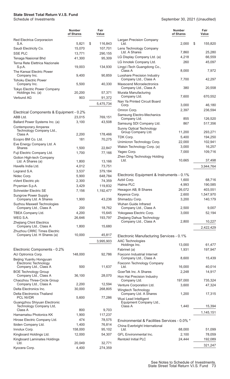|                                                                    | <b>Number</b><br>of Shares | Fair<br>Value      |
|--------------------------------------------------------------------|----------------------------|--------------------|
| Red Electrica Corporacion<br>S.A.                                  |                            | \$                 |
| Saudi Electricity Co.                                              | 5,821<br>15,070            | 116,843<br>107,701 |
| <b>SSE PLC</b>                                                     | 13,771                     | 290,155            |
| Tenaga Nasional Bhd                                                | 41,300                     | 95,309             |
| Terna Rete Elettrica Nazionale                                     |                            |                    |
| S.p.A.                                                             | 19,003                     | 134,930            |
| The Kansai Electric Power                                          | 9,400                      | 90,859             |
| Company Inc.<br><b>Tohoku Electric Power</b>                       |                            |                    |
| Company Inc.                                                       | 5,500                      | 40,330             |
| Tokyo Electric Power Company                                       |                            |                    |
| Holdings Inc. (a)                                                  | 20,200                     | 57,371             |
| Verbund AG                                                         | 903                        | 91,372             |
|                                                                    |                            | 5,475,734          |
| Electrical Components & Equipment - 0.2%                           |                            |                    |
| ABB Ltd.                                                           | 23,015                     | 769,151            |
| Ballard Power Systems Inc. (a)                                     | 3,100                      | 43,508             |
| <b>Contemporary Amperex</b><br>Technology Company Ltd.,            |                            |                    |
| Class A                                                            | 2,200                      | 178,466            |
| Ecopro BM Co. Ltd.                                                 | 181                        | 70,275             |
| Eve Energy Company Ltd. A<br>Shares                                | 1,500                      | 22,847             |
| Fuji Electric Company Ltd.                                         | 1,700                      | 77,166             |
| Gotion High-tech Company                                           |                            |                    |
| Ltd. A Shares (a)                                                  | 1,800                      | 13,166             |
| Havells India Ltd.                                                 | 4,012                      | 73,751             |
| Legrand S.A.                                                       | 3,537                      | 379,184            |
| Nidec Corp.<br>nVent Electric plc                                  | 5,900<br>2,300             | 648,784<br>74,359  |
| Prysmian S.p.A.                                                    | 3,429                      | 119,832            |
| <b>Schneider Electric SE</b>                                       | 7,156                      | 1,192,477          |
| <b>Sungrow Power Supply</b><br>Company Ltd. A Shares               | 1,900                      | 43,236             |
| Suzhou Maxwell Technologies                                        |                            |                    |
| Company Ltd., Class A                                              | 200                        | 18,762             |
| TBEA Company Ltd.                                                  | 4,200                      | 15,645             |
| WEG S.A.<br><b>Zhejiang Chint Electrics</b>                        | 26,646                     | 193,797            |
| Company Ltd., Class A                                              | 1,800                      | 15,680             |
| Zhuzhou CRRC Times Electric                                        |                            |                    |
| Company Ltd. H Shares (a)                                          | 10,000                     | 45,817             |
|                                                                    |                            | 3,995,903          |
| Electronic Components - 0.2%                                       |                            |                    |
| AU Optronics Corp.                                                 | 148,000                    | 92,786             |
| Beijing Yuanliu Hongyuan                                           |                            |                    |
| Electronic Technology<br>Company Ltd., Class A                     | 500                        | 11,637             |
| <b>BOE Technology Group</b>                                        |                            |                    |
| Company Ltd., Class A                                              | 36,100                     | 28,070             |
| Chaozhou Three-Circle Group<br>Company Ltd., Class A               | 2,200                      | 12,594             |
| Delta Electronics Inc.                                             | 30,000                     | 268,805            |
| Delta Electronics Thailand<br><b>PCL NVDR</b>                      | 5,600                      | 77,286             |
| Guangzhou Shiyuan Electronic<br>Technology Company Ltd,<br>Class A | 800                        |                    |
| Hamamatsu Photonics KK                                             | 1,900                      | 9,703<br>117,237   |
| Hirose Electric Company Ltd.                                       | 474                        | 78,575             |
| Ibiden Company Ltd.                                                | 1,400                      | 76,814             |
| Innolux Corp.                                                      | 158,000                    | 95,102             |
| Kingboard Holdings Ltd.                                            | 12,000                     | 54,307             |
| Kingboard Laminates Holdings                                       |                            |                    |
| Ltd.<br>Kyocera Corp.                                              | 20,049<br>4,400            | 32,771<br>274,359  |
|                                                                    |                            |                    |

|                                                              | Number<br>of Shares | Fair<br>Value |
|--------------------------------------------------------------|---------------------|---------------|
| <b>Largan Precision Company</b><br>Ltd.                      | 2,000               | \$<br>155,820 |
| Lens Technology Company<br>Ltd. A Shares                     | 7,860               | 25,280        |
| LG Display Company Ltd. (a)                                  | 4,218               | 66,559        |
| LG Innotek Company Ltd.                                      | 260                 | 45,097        |
| Lingyi iTech Guangdong Co.,<br>Class A                       | 8,000               | 7,972         |
| Luxshare Precision Industry<br>Company Ltd., Class A         | 7,700               | 42,297        |
| <b>Maxscend Microelectronics</b><br>Company Ltd., Class A    | 380                 | 20,558        |
| Murata Manufacturing<br>Company Ltd.                         | 7,600               | 670,552       |
| Nan Ya Printed Circuit Board<br>Corp.                        | 3,000               | 46,180        |
| Omron Corp.                                                  | 2,397               | 236,594       |
| Samsung Electro-Mechanics<br>Company Ltd.                    | 855                 | 126,520       |
| Samsung SDI Company Ltd.<br><b>Sunny Optical Technology</b>  | 867                 | 517,356       |
| Group Company Ltd.                                           | 11,200              | 293,271       |
| TDK Corp.                                                    | 5,400               | 194,250       |
| Unimicron Technology Corp.                                   | 22,000              | 102,941       |
| Walsin Technology Corp. (a)                                  | 3,000               | 16,257        |
| Yageo Corp.                                                  | 7,000               | 109,716       |
| Zhen Ding Technology Holding<br>Ltd.                         | 10,665              | 37,498        |
|                                                              |                     | 3,944,764     |
| Electronic Equipment & Instruments - 0.1%                    |                     |               |
| Azbil Corp.                                                  | 1,600               | 68,716        |
| Halma PLC                                                    | 4,993               | 190,585       |
| Hexagon AB, B Shares                                         | 26,072              | 403,551       |
| Keyence Corp.                                                | 2,600               | 1,547,970     |
| Shimadzu Corp.                                               | 3,200               | 140,179       |
| Wuhan Guide Infrared                                         |                     |               |
| Company Ltd., Class A                                        | 2,500               | 9,007         |
| Yokogawa Electric Corp.                                      | 3,000               | 52,194        |
| Zhejiang Dahua Technology<br>Company Ltd., Class A           | 2,800               | 10,227        |
|                                                              |                     | 2,422,429     |
| Electronic Manufacturing Services - 0.1%                     |                     |               |
| <b>AAC Technologies</b>                                      |                     |               |
| Holdings Inc.                                                | 13,000              | 61,477        |
| Fabrinet (a)                                                 | 1,931               | 197,947       |
| Foxconn Industrial Internet<br>Company Ltd., Class A         | 8,600               | 15,439        |
| Foxconn Technology Company<br>Ltd.                           | 16,000              | 40,014        |
| GoerTek Inc. A Shares                                        | 2,248               | 14,917        |
| Hon Hai Precision Industry<br>Company Ltd.                   | 197,000             | 735,324       |
| Venture Corporation Ltd.                                     | 3,600               | 47,324        |
| Wingtech Technology<br>Company Ltd. A Shares                 | 1,200               | 17,315        |
| Wuxi Lead Intelligent<br>Equipment Company Ltd.,             |                     |               |
| Class A                                                      | 1,440               | 15,394        |
|                                                              |                     | 1,145,151     |
| Environmental & Facilities Services - 0.0% *                 |                     |               |
| China Everbright International                               |                     |               |
| Ltd.                                                         | 68,000              | 51,099        |
| <b>GFL Environmental Inc.</b><br><b>Rentokil Initial PLC</b> | 2,100<br>24,444     | 78,059        |
|                                                              |                     | 192,089       |
|                                                              |                     | 321,247       |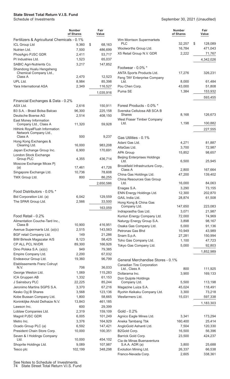|                                                                     | <b>Number</b><br>of Shares | Fair<br>Value    |
|---------------------------------------------------------------------|----------------------------|------------------|
| Fertilizers & Agricultural Chemicals - 0.1%                         |                            |                  |
| <b>ICL Group Ltd</b>                                                | 9,360                      | \$<br>68,163     |
| Nutrien Ltd.                                                        | 7,500                      | 486,699          |
| PhosAgro PJSC GDR                                                   | 2,411                      | 53,717           |
| PI Industries Ltd.                                                  | 1,523                      | 65,037           |
| SABIC Agri-Nutrients Co.                                            | 3,217                      | 147,852          |
| Shandong Hualu Hengsheng<br>Chemical Company Ltd.,<br>Class A       |                            |                  |
| UPL Ltd.                                                            | 2,470<br>8,984             | 12,523<br>85,398 |
| <b>Yara International ASA</b>                                       | 2,349                      | 116,527          |
|                                                                     |                            | 1,035,916        |
| Financial Exchanges & Data - 0.2%                                   |                            |                  |
| ASX Ltd.                                                            | 2,616                      | 150,911          |
| B3 S.A. - Brasil Bolsa Balcao                                       | 96,300                     | 225,158          |
| Deutsche Boerse AG                                                  | 2,514                      | 408,150          |
| East Money Information<br>Company Ltd., Class A                     | 11,320                     | 59,928           |
| Hithink RoyalFlush Information<br>Network Company Ltd.,             |                            |                  |
| Class A<br>Hong Kong Exchanges &                                    | 500                        | 9,237            |
| Clearing Ltd.                                                       | 16,000                     | 983,208          |
| Japan Exchange Group Inc.<br>London Stock Exchange                  | 6,900                      | 170,691          |
| Group PLC<br>Moscow Exchange Micex Pj                               | 4,355                      | 436,714          |
| (a)                                                                 | 17,461                     | 41,726           |
| Singapore Exchange Ltd.                                             | 10,736                     | 78,608           |
| TMX Group Ltd.                                                      | 800                        | 86,255           |
|                                                                     |                            | 2,650,586        |
| Food Distributors - 0.0% *                                          |                            |                  |
| Bid Corporation Ltd. (a)                                            | 6,042                      | 129,559          |
| The SPAR Group Ltd.                                                 | 2,566                      | 33,500           |
|                                                                     |                            | 163,059          |
| Food Retail - 0.2%                                                  |                            |                  |
| Alimentation Couche-Tard Inc.,                                      |                            |                  |
| Class B                                                             | 10,900                     | 416,951          |
| Avenue Supermarts Ltd. (a)(c)                                       | 2,515                      | 143,563          |
| BGF retail Company Ltd.                                             | 149                        | 21,286           |
| <b>BIM Birlesik Magazalar A/S</b>                                   | 8,123                      | 58,425           |
| CP ALL PCL NVDR                                                     | 89,300                     | 166,926          |
| Dino Polska S.A. (a)(c)                                             | 949                        | 79,385           |
| Empire Company Ltd.                                                 | 2,200                      | 67,032           |
| Endeavour Group Ltd.<br><b>Etablissements Franz Colruyt</b><br>N.V. | 19,360<br>706              | 96,799<br>36,033 |
| George Weston Ltd.                                                  | 1,069                      | 115,283          |
| ICA Gruppen AB                                                      | 1,332                      | 61,153           |
| J Sainsbury PLC                                                     | 22,225                     | 85,244           |
| Jeronimo Martins SGPS S.A.                                          | 3,370                      | 67,216           |
| Kesko Oyj B Shares                                                  | 3,568                      | 123,136          |
| Kobe Bussan Company Ltd.                                            | 1,800                      | 58,665           |
| Koninklijke Ahold Delhaize N.V.                                     | 13,843                     | 461,185          |
| Lawson Inc.                                                         | 600                        | 29,399           |
| Loblaw Companies Ltd.                                               | 2,319                      | 159,109          |
| Magnit PJSC GDR                                                     | 6,005                      | 101,249          |
| Metro Inc.                                                          | 3,376                      | 164,929          |
| Ocado Group PLC (a)                                                 | 6,592                      | 147,421          |
| President Chain Store Corp.                                         | 10,000                     | 100,351          |
| Seven & I Holdings Company<br>Ltd.                                  | 10,000                     | 454,102          |
| Shoprite Holdings Ltd.                                              | 9,089                      | 107,987          |
| Tesco plc                                                           | 102,199                    | 348,298          |

|                                                                  | <b>Number</b><br>of Shares | Fair<br>Value     |
|------------------------------------------------------------------|----------------------------|-------------------|
| Wm Morrison Supermarkets                                         |                            |                   |
| PLC                                                              | 32,257                     | \$<br>128,089     |
| Woolworths Group Ltd.                                            | 16,784                     | 471,043           |
| X5 Retail Group N.V. GDR                                         | 2,222                      | 71,767            |
|                                                                  |                            | 4,342,026         |
| Footwear - 0.0% *                                                |                            |                   |
| ANTA Sports Products Ltd.<br>Feng TAY Enterprise Company<br>Ltd. | 17,276                     | 326,231<br>61,484 |
| Pou Chen Corp.                                                   | 8,000<br>43,000            | 51,808            |
| Puma SE                                                          | 1,384                      | 153,932           |
|                                                                  |                            | 593,455           |
| Forest Products - 0.0% *                                         |                            |                   |
| Svenska Cellulosa AB SCA B                                       |                            |                   |
| Shares                                                           | 8,168                      | 126,673           |
| West Fraser Timber Company<br>Ltd.                               | 1,198                      | 100,882           |
|                                                                  |                            | 227,555           |
| Gas Utilities - 0.1%                                             |                            |                   |
| Adani Gas Ltd.                                                   | 4,271                      | 81,887            |
| AltaGas Ltd.                                                     | 3,700                      | 72,987            |
| <b>APA Group</b>                                                 | 15,852                     | 98,657            |
| <b>Beijing Enterprises Holdings</b><br>Ltd.                      | 6,500                      | 25,945            |
| Brookfield Infrastructure Corp.,                                 |                            |                   |
| Class A                                                          | 2,800                      | 167,664           |
| China Gas Holdings Ltd.<br>China Resources Gas Group             | 47,200                     | 139,402           |
| Ltd.                                                             | 16,000                     | 84,063            |
| Enagas S.A.                                                      | 3,290                      | 73,155            |
| ENN Energy Holdings Ltd.                                         | 12,300                     | 202,870           |
| GAIL India Ltd.<br>Hong Kong & China Gas                         | 28,874                     | 61,508            |
| Company Ltd.                                                     | 147,650                    | 223,083           |
| Indraprastha Gas Ltd.                                            | 3,071                      | 21,987            |
| Kunlun Energy Company Ltd.                                       | 72,000                     | 74,969            |
| Naturgy Energy Group S.A.                                        | 3,898                      | 98,167            |
| Osaka Gas Company Ltd.                                           | 5,000                      | 91,136            |
| Petronas Gas Bhd                                                 | 10,949                     | 43,989            |
| Snam S.p.A.                                                      | 27,281                     | 150,994           |
| Toho Gas Company Ltd.                                            | 1,100                      | 47,723            |
| Tokyo Gas Company Ltd.                                           | 5,000                      | 92,803            |
|                                                                  |                            | 1,852,989         |
| General Merchandise Stores - 0.1%                                |                            |                   |
| Canadian Tire Corporation                                        |                            |                   |
| Ltd., Class A                                                    | 800                        | 111,925           |
| Dollarama Inc.                                                   | 3,900                      | 169,133           |
| Don Quijote Holdings<br>Company Ltd.                             | 5,500                      | 113,198           |
| Magazine Luiza S.A.                                              | 45,024                     | 118,491           |
| Ryohin Keikaku Company Ltd.                                      | 3,300                      | 73,218            |
| Wesfarmers Ltd.                                                  | 15,031                     | 597,338           |
|                                                                  |                            | 1,183,303         |
| Gold - 0.2%                                                      |                            |                   |
| Agnico Eagle Mines Ltd.                                          | 3,341                      | 173,294           |
| Aneka Tambang Tbk                                                | 160,400                    | 25,414            |
| AngloGold Ashanti Ltd.                                           | 7,504                      | 120,330           |
| B2Gold Corp.                                                     | 16,500                     | 56,396            |
| Barrick Gold Corp.                                               | 23,500                     | 424,237           |
| Cia de Minas Buenaventura                                        |                            |                   |
| S.A.A. ADR (a)                                                   | 3,800                      | 25,688            |
| Evolution Mining Ltd.                                            | 26,337                     | 66,538            |
| Franco-Nevada Corp.                                              | 2,605                      | 338,361           |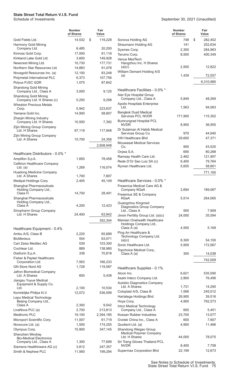|                                                              | Number<br>of Shares | Fair<br>Value    |
|--------------------------------------------------------------|---------------------|------------------|
| Gold Fields Ltd.                                             | 14.532              | \$<br>119,228    |
| Harmony Gold Mining                                          |                     |                  |
| Company Ltd.<br>Kinross Gold Corp.                           | 6,485<br>17,000     | 20,200<br>91,116 |
| Kirkland Lake Gold Ltd.                                      | 3,600               | 149,928          |
| Newcrest Mining Ltd.                                         | 10,730              | 177,731          |
| Northern Star Resources Ltd.                                 | 14,883              | 91,078           |
| Novagold Resources Inc. (a)                                  | 12,100              | 83,248           |
| Polymetal International PLC                                  | 6,373               | 107,756          |
| Polyus PJSC GDR<br>Shandong Gold Mining                      | 1,075               | 87,842           |
| Company Ltd., Class A<br>Shandong Gold Mining                | 3,000               | 9,125            |
| Company Ltd. H Shares (c)                                    | 5,250               | 9,298            |
| <b>Wheaton Precious Metals</b><br>Corp.                      | 5,942               | 223,637          |
| Yamana Gold Inc.                                             | 14,900              | 58,807           |
| Zhaojin Mining Industry<br>Company Ltd. H Shares             | 10,500              | 7,392            |
| Zijin Mining Group Company<br>Ltd. H Shares                  | 97,119              | 117,948          |
| Zijin Mining Group Company<br>Ltd. A Shares                  | 15,700              | 24,356           |
|                                                              |                     | 2,608,948        |
|                                                              |                     |                  |
| Healthcare Distributors - 0.0% *<br>Amplifon S.p.A.          | 1,650               | 78,458           |
| <b>Celltrion Healthcare Company</b><br>Ltd. $(a)$            | 1,269               | 116,074          |
| Huadong Medicine Company<br>Ltd. A Shares                    | 1,700               | 7,807            |
| Medipal Holdings Corp.                                       | 2,405               | 45,149           |
| Shanghai Pharmaceuticals<br>Holding Company Ltd.,<br>Class H | 14,700              | 28,491           |
| Shanghai Pharmaceuticals<br>Holding Company Ltd.,            |                     |                  |
| Class A<br>Sinopharm Group Company                           | 4,200               | 12,423           |
| Ltd. H Shares                                                | 24,400              | 63,942           |
|                                                              |                     | 352,344          |
| Healthcare Equipment - 0.4%                                  |                     |                  |
| Ambu A/S, Class B                                            | 2,220               | 65,689           |
| <b>BioMerieux</b>                                            | 554                 | 63,071           |
| Carl Zeiss Meditec AG                                        | 539                 | 103,300          |
| Cochlear Ltd.                                                | 889                 | 138,980          |
| DiaSorin S.p.A.                                              | 338                 | 70,818           |
| Fisher & Paykel Healthcare<br>Corporation Ltd.               | 7,563               | 166,233          |
| <b>GN Store Nord AS</b>                                      | 1,728               | 119,587          |
| Jafron Biomedical Company<br>Ltd. A Shares                   | 600                 | 5,438            |
| Jiangsu Yuyue Medical<br>Equipment & Supply Co.              |                     |                  |
| Ltd.                                                         | 2,100               | 10,534           |
| Koninklijke Philips N.V.                                     | 12,072              | 536,599          |
| Lepu Medical Technology<br>Beijing Company Ltd.,             |                     |                  |
| Class A<br>LivaNova PLC (a)                                  | 2,300<br>2,700      | 9,542<br>213,813 |
| <b>Medtronic PLC</b>                                         | 19,100              | 2,394,185        |
| Microport Scientific Corp.                                   | 11,007              | 61,719           |
| Novocure Ltd. (a)                                            | 1,500               | 174,255          |
| Olympus Corp.                                                | 15,900              | 347,145          |
| Shenzhen Mindray<br><b>Bio-Medical Electronics</b>           |                     |                  |
| Company Ltd., Class A                                        | 1,300               | 77,699           |
| Siemens Healthineers AG (c)                                  | 3,812               | 247,357          |
| Smith & Nephew PLC                                           | 11,560              | 199,294          |

|                                                          | Number<br>of Shares | Fair<br>Value |
|----------------------------------------------------------|---------------------|---------------|
| Sonova Holding AG                                        | 748                 | \$<br>282,402 |
| Straumann Holding AG                                     | 141                 | 252,634       |
| Sysmex Corp.                                             | 2,300               | 284,963       |
| Terumo Corp.                                             | 8,500               | 400,349       |
| Venus MedTech<br>Hangzhou Inc. H Shares<br>(a)(c)        | 2,500               | 12,822        |
| William Demant Holding A/S<br>(a)                        | 1,439               | 72,557        |
|                                                          |                     |               |
|                                                          |                     | 6,310,985     |
| Healthcare Facilities - 0.0% *                           |                     |               |
| Aier Eye Hospital Group                                  |                     |               |
| Company Ltd., Class A                                    | 5,849               | 48,269        |
| Apollo Hospitals Enterprise                              |                     |               |
| Ltd.                                                     | 1,563               | 94,063        |
| <b>Bangkok Dusit Medical</b><br><b>Services PCL NVDR</b> | 171,900             | 115,302       |
| Bumrungrad Hospital PCL                                  |                     |               |
| <b>NVDR</b>                                              | 8,900               | 36,955        |
| Dr Sulaiman Al Habib Medical                             |                     |               |
| Services Group Co.                                       | 970                 | 44,940        |
| IHH Healthcare Bhd                                       | 29,600              | 47,371        |
| <b>Mouwasat Medical Services</b><br>Co.                  | 905                 | 43,525        |
| Orpea S.A.                                               | 690                 | 80,268        |
| Ramsay Health Care Ltd.                                  | 2,462               | 121,907       |
| Rede D'Or Sao Luiz SA (c)                                | 6,400               | 79,764        |
| Ryman Healthcare Ltd.                                    | 5,655               | 58,801        |
|                                                          |                     |               |
|                                                          |                     | 771,165       |
| Healthcare Services - 0.0% *                             |                     |               |
| Fresenius Medical Care AG &                              |                     |               |
| Company KGaA                                             | 2.694               | 189,067       |
| Fresenius SE & Company                                   |                     |               |
| <b>KGaA</b>                                              | 5,514               | 264,065       |
| Guangzhou Kingmed<br>Diagnostics Group Company           |                     |               |
| Ltd., Class A                                            | 500                 | 7,909         |
| Jinxin Fertility Group Ltd. (a)(c)                       | 24,000              | 35,594        |
| <b>Meinian Onehealth Healthcare</b>                      |                     |               |
| Holdings Company Ltd.,<br>Class A (a)                    | 4,500               | 5,169         |
| Ping An Healthcare &                                     |                     |               |
| Technology Company Ltd.                                  |                     |               |
| (a)(c)                                                   | 8,300               | 54,100        |
| Sonic Healthcare Ltd.                                    | 5,959               | 172,067       |
| Topchoice Medical Corp.,                                 |                     |               |
| Class A (a)                                              | 300                 | 14,038        |
|                                                          |                     | 742,009       |
| Healthcare Supplies - 0.1%                               |                     |               |
| Alcon Inc.                                               | 6,621               | 535,590       |
| Asahi Intecc Company Ltd.                                | 2,800               | 76,496        |
| Autobio Diagnostics Company                              |                     |               |
| Ltd. A Shares                                            | 1,731               | 14,295        |
| Coloplast A/S, Class B                                   | 1,566               | 245,012       |
| Hartalega Holdings Bhd                                   | 26,900              | 39,516        |
| Hoya Corp.                                               | 4,900               | 762,573       |
| Intco Medical Technology<br>Company Ltd., Class A        | 600                 | 5,451         |
| Kossan Rubber Industries                                 | 23,700              | 13,077        |
| Ovctek China Inc., Class A                               | 600                 | 7,607         |
| Quotient Ltd. (a)                                        | 4,900               | 11,466        |
| Shandong Weigao Group                                    |                     |               |
| <b>Medical Polymer Company</b>                           |                     |               |
| Ltd. H Shares                                            | 44,000              | 78,075        |
| Sri Trang Gloves Thailand PCL<br><b>NVDR</b>             | 8,400               | 7,758         |
| <b>Supermax Corporation Bhd</b>                          | 22,199              | 12,673        |
|                                                          |                     |               |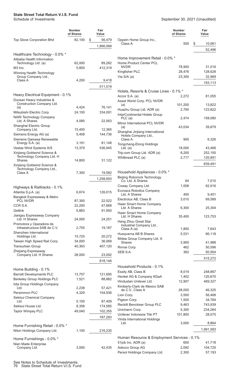|                                                                                             | Number<br>of Shares | Fair<br>Value     |
|---------------------------------------------------------------------------------------------|---------------------|-------------------|
| Top Glove Corporation Bhd                                                                   | 82,100              | \$<br>56,479      |
|                                                                                             |                     | 1,866,068         |
| Healthcare Technology - 0.0% *<br>Alibaba Health Information                                |                     |                   |
| Technology Ltd. (a)                                                                         | 62,000              | 89,282            |
| M3 Inc.                                                                                     | 5,800               | 412,319           |
| Winning Health Technology                                                                   |                     |                   |
| Group Company Ltd.,<br>Class A                                                              | 4,200               | 9,418             |
|                                                                                             |                     |                   |
|                                                                                             |                     | 511,019           |
| Heavy Electrical Equipment - 0.1%<br>Doosan Heavy Industries &<br>Construction Company Ltd. |                     |                   |
| (a)                                                                                         | 4,424               | 76,141            |
| Mitsubishi Electric Corp.                                                                   | 24,100              | 334,091           |
| <b>NARI Technology Company</b><br>Ltd. A Shares                                             | 4,080               | 22,563            |
| Shanghai Electric Group                                                                     |                     |                   |
| Company Ltd.                                                                                | 15,400              | 12,365            |
| Siemens Energy AG (a)                                                                       | 5,408               | 144,736           |
| Siemens Gamesa Renewable<br>Energy S.A. (a)                                                 | 3,191               | 81,148            |
| Vestas Wind Systems A/S                                                                     | 13,379              | 536,945           |
| Xinjiang Goldwind Science &                                                                 |                     |                   |
| Technology Company Ltd. H                                                                   |                     |                   |
| Shares                                                                                      | 14,800              | 31,122            |
| Xinjiang Goldwind Science &<br>Technology Company Ltd.,                                     |                     |                   |
| Class A                                                                                     | 7,300               | 19,582            |
|                                                                                             |                     | 1,258,693         |
|                                                                                             |                     |                   |
| Highways & Railtracks - 0.1%                                                                |                     |                   |
| Atlantia S.p.A. (a)                                                                         | 6,674               | 126,015           |
| Bangkok Expressway & Metro<br><b>PCL NVDR</b>                                               | 87,300              | 22,522            |
| CCR S.A.                                                                                    | 22,200              | 47,668            |
| Getlink                                                                                     | 5,883               | 91,950            |
| Jiangsu Expressway Company                                                                  |                     |                   |
| Ltd. H Shares                                                                               | 24,000              | 24,251            |
| Promotora y Operadora de<br>Infraestructura SAB de C.V.                                     | 2,755               | 19,187            |
| Shenzhen International                                                                      |                     |                   |
| Holdings Ltd.                                                                               | 15,725              | 20,272            |
| Taiwan High Speed Rail Corp.<br>Transurban Group                                            | 34,000<br>40,363    | 36,069<br>407,120 |
| Zhejiang Expressway                                                                         |                     |                   |
| Company Ltd. H Shares                                                                       | 28,000              | 23,092            |
|                                                                                             |                     | 818,146           |
|                                                                                             |                     |                   |
| Home Building - 0.1%<br><b>Barratt Developments PLC</b>                                     |                     |                   |
| <b>Berkeley Group Holdings PLC</b>                                                          | 13,757<br>1,521     | 121,695<br>88,882 |
| lida Group Holdings Company                                                                 |                     |                   |
| Ltd.                                                                                        | 2,238               | 57,421            |
| Persimmon PLC                                                                               | 4,329               | 154,936           |
| Sekisui Chemical Company                                                                    |                     |                   |
| Ltd.                                                                                        | 5,100               | 87,409            |
| Sekisui House Ltd.                                                                          | 8,358               | 174,585           |
| Taylor Wimpey PLC                                                                           | 49,040              | 102,355           |
|                                                                                             |                     | 787,283           |
| Home Furnishing Retail - 0.0% *                                                             |                     |                   |
| Nitori Holdings Company Ltd.                                                                | 1,100               | 216,235           |
|                                                                                             |                     |                   |
| Home Furnishings - 0.0% *                                                                   |                     |                   |
| Nien Made Enterprise                                                                        |                     |                   |
| Company Ltd.                                                                                | 3,000               | 42,435            |

|                                                                   | Number<br>of Shares | Fair<br>Value     |
|-------------------------------------------------------------------|---------------------|-------------------|
| Oppein Home Group Inc.,<br>Class A                                | 500                 | \$<br>10,061      |
|                                                                   |                     | 52,496            |
|                                                                   |                     |                   |
| Home Improvement Retail - 0.0% *                                  |                     |                   |
| Home Product Center PCL<br><b>NVDR</b>                            | 78,900              | 31,516            |
| Kingfisher PLC                                                    | 28,476              | 128,628           |
| Via S/A (a)                                                       | 23,300              | 32,969            |
|                                                                   |                     | 193,113           |
| Hotels, Resorts & Cruise Lines - 0.1% *                           |                     |                   |
| Accor S.A. (a)                                                    | 2,272               | 81,055            |
| Asset World Corp. PCL NVDR                                        |                     |                   |
| (a)<br>Huazhu Group Ltd. ADR (a)                                  | 101,200<br>2,700    | 13,822<br>123,822 |
| InterContinental Hotels Group                                     |                     |                   |
| PLC(a)                                                            | 2,474               | 158,080           |
| Minor International PCL NVDR<br>(a)                               | 43,034              | 39,879            |
| Shanghai Jinjiang International                                   |                     |                   |
| Hotels Company Ltd.,                                              |                     |                   |
| Class A<br>Tongcheng-Elong Holdings                               | 900                 | 6,326             |
| Ltd. $(a)$                                                        | 18,000              | 43,466            |
| Trip.com Group Ltd. ADR (a)                                       | 8,200               | 252,150           |
| Whitbread PLC (a)                                                 | 2,717               | 120,891           |
|                                                                   |                     | 839,491           |
| Household Appliances - 0.0% *                                     |                     |                   |
| <b>Beijing Roborock Technology</b>                                |                     |                   |
| Co. Ltd. A Shares                                                 | 64                  | 7,010             |
| Coway Company Ltd.<br><b>Ecovacs Robotics Company</b>             | 1,008               | 62,916            |
| Ltd. A Shares                                                     | 400                 | 9,401             |
| Electrolux AB, Class B                                            | 3,010               | 69,589            |
| Haier Smart Home Company<br>Ltd. A Shares                         | 6,300               | 25,304            |
| Haier Smart Home Company                                          |                     |                   |
| Ltd. H Shares                                                     | 35,400              | 123,753           |
| Hang Zhou Great Star<br>Industrial Company Ltd.,                  |                     |                   |
| Class A (a)                                                       | 1,800               | 7,643             |
| Husqvarna AB B Shares                                             | 5,531               | 66,118            |
| Midea Group Company Ltd. A<br>Shares                              | 3,900               | 41,988            |
| Rinnai Corp.                                                      | 462                 | 50,596            |
| SEB S.A.                                                          | 362                 | 50,954            |
|                                                                   |                     | 515,272           |
| Household Products - 0.1%                                         |                     |                   |
| Essity AB, Class B                                                | 8,019               | 248,867           |
| Henkel AG & Company KGaA                                          | 1,402               | 120,670           |
| Hindustan Unilever Ltd.                                           | 12,907              | 469,327           |
| Kimberly-Clark de Mexico SAB<br>de C.V., Class A                  | 28,000              | 46,325            |
| Lion Corp.                                                        | 3,500               | 56,468            |
| Pigeon Corp.                                                      | 1,500               | 34,784            |
| Reckitt Benckiser Group PLC                                       | 9,463               | 743,939           |
| Unicharm Corp.                                                    | 5,300               | 234,264           |
| Unilever Indonesia Tbk PT<br>Vinda International Holdings         | 101,800             | 28,075            |
| Ltd.                                                              | 3,000               | 8,864             |
|                                                                   |                     | 1,991,583         |
|                                                                   |                     |                   |
| Human Resource & Employment Services - 0.1%<br>51job Inc. ADR (a) | 600                 | 41,718            |
| Adecco Group AG                                                   | 2,092               | 104,720           |
| Persol Holdings Company Ltd.                                      | 2,300               | 57,193            |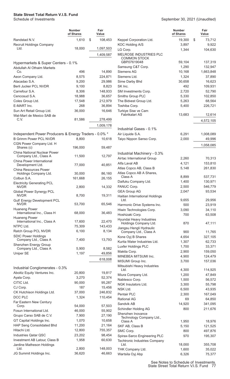|                                                                   | Number<br>of Shares | Fair<br>Value     |
|-------------------------------------------------------------------|---------------------|-------------------|
| Randstad N.V.<br><b>Recruit Holdings Company</b>                  | 1,610               | \$<br>108,453     |
| Ltd.                                                              | 18,000              | 1,097,503         |
|                                                                   |                     | 1,409,587         |
| Hypermarkets & Super Centers - 0.1%<br>Abdullah Al Othaim Markets |                     |                   |
| Co.                                                               | 496                 | 14,890            |
| Aeon Company Ltd.<br>Atacadao S.A.                                | 8,575<br>9,200      | 224,871<br>29,986 |
| <b>Berli Jucker PCL NVDR</b>                                      | 9,100               | 8,823             |
| Carrefour S.A.                                                    | 8,306               | 148,933           |
| Cencosud S.A.                                                     | 18,988              | 36,657            |
| Coles Group Ltd.                                                  | 17.548              | 212,979           |
| E-MART Inc.                                                       | 268                 | 36,894            |
| Sun Art Retail Group Ltd.                                         | 36,000              | 16,646            |
| Wal-Mart de Mexico SAB de<br>C.V.                                 | 81,586              | 278,499           |
|                                                                   |                     | 1,009,178         |
| Independent Power Producers & Energy Traders - 0.0% *             |                     |                   |
| <b>B Grimm Power PCL NVDR</b>                                     | 8,800               | 10,618            |
| CGN Power Company Ltd. H<br>Shares (c)                            | 196,000             | 59,487            |
| <b>China National Nuclear Power</b><br>Company Ltd., Class A      | 11,500              | 12,797            |
| China Power International                                         |                     |                   |
| Development Ltd.<br>China Resources Power                         | 77,000              | 40,851            |
| Holdings Company Ltd.<br>Colbun S.A.                              | 30,000<br>161,668   | 86,160<br>26,155  |
| <b>Electricity Generating PCL</b>                                 |                     |                   |
| NVDR<br>Global Power Synergy PCL                                  | 2,800               | 14,332            |
| NVDR<br><b>Gulf Energy Development PCL</b>                        | 8,700               | 19,311            |
| <b>NVDR</b><br><b>Huaneng Power</b>                               | 53,700              | 65,546            |
| International Inc., Class H<br><b>Huaneng Power</b>               | 68,000              | 36,483            |
| International Inc., Class A                                       | 17,600              | 22,470            |
| NTPC Ltd.                                                         | 75,309              | 143,433           |
| Ratch Group PCL NVDR                                              | 6,100               | 8,134             |
| <b>SDIC Power Holdings</b><br>Company Ltd., Class A               | 7,400               | 13,793            |
| Shenzhen Energy Group                                             |                     |                   |
| Company Ltd., Class A<br>Uniper SE                                | 5,900<br>1,197      | 8,582<br>49,856   |
|                                                                   |                     | 618,008           |
| Industrial Conglomerates - 0.3%                                   |                     |                   |
| Aboitiz Equity Ventures Inc.                                      | 20,800              | 19,817            |
| Ayala Corp.                                                       | 3,270               | 52,374            |
| CITIC Ltd.                                                        | 90,000              | 95,287            |
| CJ Corp.                                                          | 187                 | 15,456            |
| CK Hutchison Holdings Ltd.                                        | 37,000              | 246,832           |
| DCC PLC                                                           | 1,324               | 110,454           |
| Far Eastern New Century<br>Corp.                                  | 54,000              | 57,503            |
| Fosun International Ltd.                                          | 46,000              | 55,902            |
| Grupo Carso SAB de C.V.                                           | 7,900               | 27,190            |
| GT Capital Holdings Inc.                                          | 1,070               | 10,658            |
| HAP Seng Consolidated Bhd                                         | 11,200              | 21,164            |
| Hitachi Ltd.                                                      | 12,800              | 755,357           |
| <b>Industries Qatar QSC</b>                                       | 23,202              | 98,454            |
| Investment AB Latour, Class B<br>Jardine Matheson Holdings        | 1,958               | 60,630            |
| Ltd.                                                              | 2,800               | 148,003           |
| JG Summit Holdings Inc.                                           | 36,620              | 46,663            |

|                                                          | Number<br>of Shares | Fair<br>Value       |
|----------------------------------------------------------|---------------------|---------------------|
| Keppel Corporation Ltd.                                  | 19,300              | \$<br>73,712        |
| KOC Holding A/S                                          | 3,897               | 9,922               |
| LG Corp.                                                 | 1,344               | 104,630             |
| MELROSE INDUSTRIES PLC                                   |                     |                     |
| <b>COMMON STOCK</b>                                      |                     |                     |
| GBP.07619048                                             | 59,104              | 137,319             |
| Samsung C&T Corp.<br>Siemens AG                          | 1,290<br>10,168     | 132,947             |
| Siemens Ltd.                                             | 1,324               | 1,663,848<br>37,890 |
| Sime Darby Bhd                                           | 30,658              | 16,623              |
| SK Inc.                                                  | 492                 | 109,931             |
| SM Investments Corp.                                     | 2,720               | 52,790              |
| Smiths Group PLC                                         | 5,330               | 102,850             |
| The Bidvest Group Ltd.                                   | 5,263               | 68,564              |
| Toshiba Corp.                                            | 5,400               | 226,721             |
| Turkiye Sise ve Cam                                      |                     |                     |
| Fabrikalari AS                                           | 13,683              | 12,614              |
|                                                          |                     | 4,572,105           |
|                                                          |                     |                     |
| Industrial Gases - 0.1%                                  |                     |                     |
| Air Liquide S.A.                                         | 6,291               | 1,008,089           |
| Taiyo Nippon Sanso Corp.                                 | 2,000               | 49,996              |
|                                                          |                     | 1,058,085           |
|                                                          |                     |                     |
| Industrial Machinery - 0.3%                              |                     |                     |
| Airtac International Group                               | 2,260               | 70,313              |
| Alfa Laval AB                                            | 4,121               | 153,810             |
| Atlas Copco AB, Class B                                  | 5,148               | 261,830             |
| Atlas Copco AB A Shares,<br>Class A                      | 8,899               | 537,731             |
| Daifuku Company Ltd.                                     | 1,400               | 130,971             |
| FANUC Corp.                                              | 2,500               | 546,779             |
| <b>GEA Group AG</b>                                      | 2,047               | 93,534              |
| Haitian International Holdings                           |                     |                     |
| Ltd.                                                     | 9,655               | 29,956              |
| Harmonic Drive Systems Inc.                              | 500                 | 23,919              |
| Hiwin Technologies Corp.                                 | 3,090               | 34,110              |
| Hoshizaki Corp.                                          | 700                 | 63,508              |
| Hyundai Heavy Industries                                 |                     |                     |
| Holdings Company Ltd.                                    | 870                 | 47,111              |
| Jiangsu Hengli Hydraulic<br>Company Ltd., Class A        | 900                 | 11,765              |
| Kone Oyj B Shares                                        | 4,654               | 327,105             |
| Kurita Water Industries Ltd.                             | 1,307               | 62,733              |
| Luxfer Holdings PLC                                      | 1,700               | 33,371              |
| Makita Corp.                                             | 2,900               | 159,050             |
| MINEBEA MITSUMI Inc.                                     | 4,900               | 124,479             |
| MISUMI Group Inc.                                        | 3,700               | 157,036             |
| Mitsubishi Heavy Industries                              |                     |                     |
| Ltd.                                                     | 4,300               | 114,925             |
| Miura Company Ltd.                                       | 1,200               | 47,849              |
| Nabtesco Corp.                                           | 1,500               | 56,572              |
| NGK Insulators Ltd.                                      | 3,300               | 55,798              |
| NSK Ltd.                                                 | 6,500               | 43,935              |
| Pentair PLC                                              | 2,300               | 167,049             |
| <b>Rational AG</b>                                       | 69                  | 64,850              |
| Sandvik AB                                               | 14,920              | 341,095             |
| Schindler Holding AG                                     | 800                 | 211,676             |
| Shenzhen Inovance<br>Technology Company Ltd.,<br>Class A |                     |                     |
| SKF AB, Class B                                          | 1,950<br>5,150      | 18,976<br>121,525   |
| SMC Corp.                                                | 800                 | 497,876             |
| Spirax-Sarco Engineering PLC                             | 970                 | 195,307             |
| <b>Techtronic Industries Company</b>                     |                     |                     |
| Ltd.                                                     | 18,000              | 355,708             |
| THK Company Ltd.                                         | 1,600               | 35,022              |
| Wartsila Oyj Abp                                         | 6,326               | 75,377              |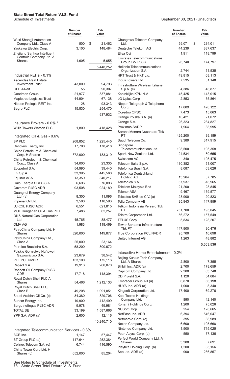|                                                                                  | <b>Number</b><br>of Shares | Fair<br>Value     |                                                      | <b>Number</b><br>of Shares | Fair<br>Value            |
|----------------------------------------------------------------------------------|----------------------------|-------------------|------------------------------------------------------|----------------------------|--------------------------|
| Wuxi Shangji Automation                                                          | 500                        | \$<br>21,462      | Chunghwa Telecom Company<br>Ltd.                     | 59,071                     |                          |
| Company Ltd., Class A                                                            |                            |                   | Deutsche Telekom AG                                  |                            | \$<br>234,011<br>887,637 |
| Yaskawa Electric Corp.<br>Zhejiang Sanhua Intelligent<br>Controls Company Ltd. A | 3,100                      | 148,484           | Elisa Oyj                                            | 44,239<br>1,911            | 118,799                  |
| <b>Shares</b>                                                                    | 1,605                      | 5,655             | <b>Emirates Telecommunications</b><br>Group Co. PJSC | 26,740                     | 174,797                  |
|                                                                                  |                            | 5,448,252         | Hellenic Telecommunications<br>Organization S.A.     | 2,744                      | 51,535                   |
| Industrial REITs - 0.1%                                                          |                            |                   | HKT Trust & HKT Ltd.                                 | 49,815                     | 68,113                   |
| <b>Ascendas Real Estate</b>                                                      |                            |                   | Indus Towers Ltd.                                    | 7,535                      | 31,148                   |
| <b>Investment Trust</b>                                                          | 43,000                     | 94,793            | Infrastrutture Wireless Italiane                     |                            |                          |
| <b>GLP J-Reit</b>                                                                | 55                         | 90,307            | $S.p.A.$ (c)                                         | 4,386                      | 48,877                   |
| Goodman Group                                                                    | 21,977<br>44,904           | 337,881<br>67,138 | Koninklijke KPN N.V.<br>LG Uplus Corp.               | 45,425<br>2,853            | 143,015                  |
| Mapletree Logistics Trust<br>Nippon Prologis REIT Inc.                           | 28                         | 93,343            | Nippon Telegraph & Telephone                         |                            | 35,864                   |
| Segro PLC                                                                        | 15,830                     | 254,470           | Corp.                                                | 17,009                     | 470,122                  |
|                                                                                  |                            |                   | Ooredoo QPSC                                         | 7,473                      | 15,063                   |
|                                                                                  |                            | 937,932           | Orange Polska S.A. (a)                               | 10,421                     | 21,072                   |
| Insurance Brokers - 0.0% *                                                       |                            |                   | Orange S.A.                                          | 26,323                     | 284,827                  |
| Willis Towers Watson PLC                                                         | 1,800                      | 418,428           | Proximus SADP                                        | 1,964                      | 38,995                   |
|                                                                                  |                            |                   | Sarana Menara Nusantara Tbk                          |                            |                          |
| Integrated Oil & Gas - 0.6%                                                      |                            |                   | PT                                                   | 425,200                    | 39,189                   |
| <b>BP PLC</b>                                                                    | 268,852                    | 1,225,445         | Saudi Telecom Co.                                    | 9,389                      | 317,915                  |
| Cenovus Energy Inc.                                                              | 17,700                     | 178,418           | Singapore<br>Telecommunications Ltd.                 | 108,500                    | 195,358                  |
| China Petroleum & Chemical                                                       |                            |                   | Spark New Zealand Ltd.                               | 24,534                     | 80,655                   |
| Corp. H Shares<br>China Petroleum & Chemical                                     | 372,000                    | 183,319           | Swisscom AG                                          | 340                        | 195,475                  |
| Corp., Class A                                                                   | 34,000                     | 23,335            | Telecom Italia S.p.A.                                | 130,382                    | 51,007                   |
| Ecopetrol S.A.                                                                   | 54,990                     | 39,440            | Telefonica Brasil S.A.                               | 8,087                      | 63,626                   |
| Eni S.p.A.                                                                       | 33,395                     | 445,560           | <b>Telefonica Deutschland</b>                        |                            |                          |
| Equinor ASA                                                                      | 13,359                     | 340,217           | <b>Holding AG</b>                                    | 13,264                     | 37,785                   |
| Galp Energia SGPS S.A.                                                           | 6,696                      | 76,093            | Telefonica S.A.                                      | 67,937                     | 318,965                  |
| Gazprom PJSC ADR                                                                 | 93,508                     | 924,189           | Telekom Malaysia Bhd                                 | 21,200                     | 28,845                   |
| Guanghui Energy Company                                                          |                            |                   | <b>Telenor ASA</b>                                   | 9,467                      | 159,577                  |
| Ltd. (a)                                                                         | 8,300                      | 11,096            | Telesites SAB de C.V. (a)                            | 23,900                     | 20,823                   |
| Imperial Oil Ltd.                                                                | 3,500                      | 110,593           | Telia Company AB                                     | 35,943                     | 147,959                  |
| LUKOIL PJSC ADR                                                                  | 6,551                      | 621,815           | Telkom Indonesia Persero Tbk                         |                            |                          |
| MOL Hungarian Oil & Gas PLC                                                      | 7,486                      | 62,257            | PT                                                   | 761,700                    | 195,045                  |
| Oil & Natural Gas Corporation                                                    | 45,765                     | 88,477            | Telstra Corporation Ltd.                             | 56,272                     | 157,549                  |
| Ltd.<br>OMV AG                                                                   | 1,983                      | 119,469           | TELUS Corp.<br>Tower Bersama Infrastructure          | 5,834                      | 128,207                  |
| PetroChina Company Ltd. H                                                        |                            |                   | Tbk PT                                               | 147,900                    | 30,476                   |
| <b>Shares</b>                                                                    | 320,000                    | 149,877           | True Corporation PCL NVDR                            | 95,700                     | 10,698                   |
| PetroChina Company Ltd.,                                                         |                            |                   | United Internet AG                                   | 1,263                      | 48,882                   |
| Class A                                                                          | 25,000                     | 23,164            |                                                      |                            | 5,663,536                |
| Petroleo Brasileiro S.A.<br>Polskie Gornictwo Naftowe i                          | 58,200                     | 300,672           |                                                      |                            |                          |
| Gazownictwo S.A.                                                                 | 23,679                     | 38,542            | Interactive Home Entertainment - 0.2%                |                            |                          |
| PTT PCL NVDR                                                                     | 153,100                    | 175,116           | Beijing Kunlun Tech Company<br>Ltd. A Shares         | 2,800                      | 7,355                    |
| Repsol S.A.                                                                      | 19,913                     | 260,070           | Bilibili Inc. ADR (a)                                | 2,700                      | 178,659                  |
| Rosneft Oil Company PJSC                                                         |                            |                   | Capcom Company Ltd.                                  | 2,300                      | 63,748                   |
| <b>GDR</b>                                                                       | 17,718                     | 148,394           | CD Projekt S.A.                                      | 1,120                      | 54,084                   |
| Royal Dutch Shell PLC A<br>Shares                                                |                            |                   | Embracer Group AB (a)                                | 6,870                      | 66,198                   |
| Royal Dutch Shell PLC,                                                           | 54,466                     | 1,212,133         | HUYA Inc. ADR (a)                                    | 1,000                      | 8,340                    |
| Class B                                                                          | 49,208                     | 1,091,051         | Kingsoft Corporation Ltd.                            | 17,400                     | 69,276                   |
| Saudi Arabian Oil Co. (c)                                                        | 34,380                     | 329,706           | Koei Tecmo Holdings                                  |                            |                          |
| Suncor Energy Inc.                                                               | 19,900                     | 412,499           | Company Ltd.                                         | 890                        | 42,140                   |
| Surgutneftegas PJSC ADR                                                          | 9,978                      | 49,981            | Konami Holdings Corp.                                | 1,200                      | 75,026                   |
| <b>TOTAL SE</b>                                                                  | 33,199                     | 1,587,666         | NCSoft Corp.                                         | 254                        | 128,665                  |
| YPF S.A. ADR (a)                                                                 | 2,600                      | 12,116            | NetEase Inc. ADR                                     | 6,394                      | 546,047                  |
|                                                                                  |                            | 10,240,710        | Netmarble Corp. (c)                                  | 395                        | 38,989                   |
|                                                                                  |                            |                   | Nexon Company Ltd.                                   | 6,600                      | 105,668                  |
| Integrated Telecommunication Services - 0.3%                                     |                            |                   | Nintendo Company Ltd.                                | 1,500                      | 715,025                  |
| BCE Inc.                                                                         | 1,147                      | 57,447            | Pearl Abyss Corp. (a)                                | 550                        | 37,136                   |
| BT Group PLC (a)                                                                 | 117,644                    | 252,384           | Perfect World Company Ltd. A<br><b>Shares</b>        | 3,300                      | 7,691                    |
| Cellnex Telecom S.A. (c)                                                         | 6,744                      | 416,590           | Playtika Holding Corp. (a)                           | 1,200                      | 33,156                   |
| China Tower Corp Ltd. H                                                          |                            |                   | Sea Ltd. ADR (a)                                     | 900                        | 286,857                  |
| Shares (c)                                                                       | 652,000                    | 85,204            |                                                      |                            |                          |

See Notes to Schedule of Investments.

78 State Street Total Return V.I.S. Fund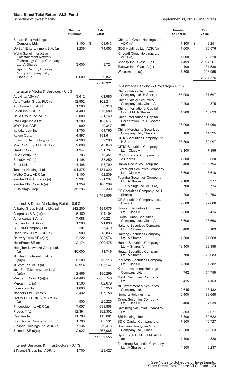|                                                                                  | Number<br>of Shares | Fair<br>Value      |
|----------------------------------------------------------------------------------|---------------------|--------------------|
| Square Enix Holdings                                                             | 1,100               | \$<br>58,643       |
| Company Ltd.<br>UbiSoft Entertainment S.A. (a)                                   | 1,236               | 74,053             |
| Wuhu Sangi Interactive                                                           |                     |                    |
| <b>Entertainment Network</b><br><b>Technology Group Company</b><br>Ltd. A Shares |                     |                    |
| Zhejiang Century Huatong                                                         | 3,000               | 9,724              |
| Group Company Ltd.,                                                              |                     |                    |
| Class A (a)                                                                      | 8,600               | 9,841              |
|                                                                                  |                     | 2,616,321          |
|                                                                                  |                     |                    |
| Interactive Media & Services - 0.5%                                              |                     |                    |
| Adevinta ASA (a)                                                                 | 3,612               | 61,985             |
| Auto Trader Group PLC (c)<br>Autohome Inc. ADR                                   | 12,952<br>1,200     | 102,214<br>56,316  |
| Baidu Inc. ADR (a)                                                               | 4,400               | 676,500            |
| Hello Group Inc. ADR                                                             | 3,000               | 31,740             |
| Info Edge India Ltd.                                                             | 1,200               | 103,577            |
| <b>JOYY Inc. ADR</b>                                                             | 900                 | 49,347             |
| Kakaku.com Inc.                                                                  | 1,700               | 54,760             |
| Kakao Corp.                                                                      | 4,897               | 481,611            |
| Kuaishou Technology (a)(c)                                                       | 4,900               | 52,296             |
| Mail.Ru Group Ltd. GDR (a)                                                       | 2,098               | 43,048             |
| NAVER Corp.                                                                      | 1,947               | 631,737            |
| REA Group Ltd.                                                                   | 706                 | 79,451             |
| Scout24 AG (c)                                                                   | 1,198               | 83,250             |
| Seek Ltd.                                                                        | 4,498               | 98,799             |
| Tencent Holdings Ltd.                                                            | 91,875              | 5,484,820          |
| Weibo Corp. ADR (a)                                                              | 1,100               | 52,239             |
| Yandex N.V. A Shares (a)                                                         | 3,397               | 271,237            |
| Yandex NV, Class A (a)                                                           | 1,359               | 108,299            |
| Z Holdings Corp.                                                                 | 35,296              | 225,330            |
|                                                                                  |                     | 8,748,556          |
| Internet & Direct Marketing Retail - 0.6%                                        |                     |                    |
| Alibaba Group Holding Ltd. (a)                                                   | 242,200             | 4,484,076          |
| Allegro.eu S.A. (a)(c)                                                           | 6,460               | 94,104             |
| Americanas S.A. (a)                                                              | 7,088               | 40,221             |
| Baozun Inc. ADR (a)                                                              | 1,200               | 21,036             |
| CJ ENM Company Ltd.                                                              | 201                 | 25,470             |
| Dada Nexus Ltd. ADR (a)                                                          | 900                 | 18,036             |
| Delivery Hero SE (a)(c)                                                          | 2,222               | 283,574            |
| HelloFresh SE (a)                                                                | 2,174               | 200,475            |
| HengTen Networks Group Ltd.                                                      |                     |                    |
| (a)                                                                              | 40,000              | 11,746             |
| JD Health International Inc.<br>(a)(c)                                           | 5,200               | 50,113             |
| JD.com Inc. ADR (a)                                                              | 13,914              | 1,005,147          |
| Just Eat Takeaway.com N.V.                                                       |                     |                    |
| (a)(c)                                                                           | 2,466               | 180,269            |
| Meituan, Class B (a)(c)                                                          | 64,400              | 2,055,740          |
| Mercari Inc. (a)                                                                 | 1,500               | 82,679             |
| momo.com Inc.                                                                    | 1,000               | 57,956             |
| Naspers Ltd., Class N                                                            | 3,432               | 567,758            |
| <b>OZON HOLDINGS PLC ADR</b>                                                     |                     |                    |
| (a)<br>Pinduoduo Inc. ADR (a)                                                    | 500<br>7,057        | 25,225             |
| Prosus N.V.                                                                      | 12,391              | 639,858<br>992,302 |
| Rakuten Inc.                                                                     | 11,700              | 113,681            |
| Start Today Company Ltd.                                                         | 1,700               | 63,531             |
| Vipshop Holdings Ltd. ADR (a)                                                    | 7,134               | 79,473             |
| Zalando SE (a)(c)                                                                | 2,927               | 267,085            |
|                                                                                  |                     | 11,359,555         |
|                                                                                  |                     |                    |
| Internet Services & Infrastructure - 0.1%                                        |                     |                    |
| 21 Vianet Group Inc. ADR (a)                                                     | 1,700               | 29,427             |

|                                                         | Number<br>of Shares | Fair<br>Value         |
|---------------------------------------------------------|---------------------|-----------------------|
| Chindata Group Holdings Ltd.                            |                     |                       |
| ADR (a)<br>GDS Holdings Ltd. ADR (a)                    | 1,100<br>1,600      | \$<br>9,251<br>90,576 |
| Kingsoft Cloud Holdings Ltd.                            |                     |                       |
| ADR (a)                                                 | 1,000               | 28,320                |
| Shopify Inc., Class A (a)<br>Tucows Inc., Class A (a)   | 1,499<br>400        | 2,034,267<br>31,580   |
| Wix.com Ltd. (a)                                        | 1,500               | 293,955               |
|                                                         |                     | 2,517,376             |
| Investment Banking & Brokerage - 0.1%                   |                     |                       |
| <b>China Galaxy Securities</b><br>Company Ltd. H Shares | 65,000              | 37,697                |
| <b>China Galaxy Securities</b><br>Company Ltd., Class A | 9,200               | 14,875                |
| China International Capital                             |                     |                       |
| Corp. Ltd. A Shares<br>China International Capital      | 1,200               | 10,629                |
| Corporation Ltd. H Shares                               |                     |                       |
| (c)<br><b>China Merchants Securities</b>                | 26,000              | 67,968                |
| Company Ltd., Class A                                   | 5,100               | 14,395                |
| CITIC Securities Company Ltd.                           |                     |                       |
| <b>H</b> Shares<br><b>CITIC Securities Company</b>      | 35,500              | 89,997                |
| Ltd., Class A<br>CSC Financial Company Ltd.             | 12,100              | 47,196                |
| A Shares                                                | 4,000               | 19,050                |
| Daiwa Securities Group Inc.                             | 19,400              | 112,794               |
| <b>Everbright Securities Company</b><br>Ltd., Class A   | 3,600               | 8,616                 |
| <b>Founder Securities Company</b>                       |                     |                       |
| Ltd. A Shares<br>Futu Holdings Ltd. ADR (a)             | 7,100<br>700        | 8,977<br>63,714       |
| GF Securities Company Ltd. H<br><b>Shares</b>           | 14,200              | 24,763                |
| GF Securities Company Ltd.,<br>Class A                  | 7,000               | 22,606                |
| <b>Guosen Securities Company</b><br>Ltd., Class A       | 6,800               | 12,414                |
| Guotai Junan Securities<br>Company Ltd., Class A        | 8,600               | 23,668                |
| <b>Haitong Securities Company</b><br>Ltd. H Shares      | 36,400              | 33,183                |
| <b>Haitong Securities Company</b><br>Ltd. A Shares      | 11,500              | 21,568                |
| Huatai Securities Company<br>Ltd H Shares (c)           | 19,400              | 29,898                |
| Huatai Securities Company<br>Ltd. A Shares              | 10,700              | 28,083                |
| <b>Industrial Securities Company</b><br>Ltd., Class A   | 7,500               | 11,382                |
| Korea Investment Holdings<br>Company Ltd.               | 762                 | 54,759                |
| Meritz Securities Company<br>Ltd.                       | 3,415               | 14,153                |
| <b>NH Investment &amp; Securities</b><br>Company Ltd.   | 2,645               | 28,482                |
| Nomura Holdings Inc.                                    | 40,400              | 198,668               |
| <b>Orient Securities Company</b><br>Ltd., Class A       | 6,400               | 14,939                |
| <b>Samsung Securities Company</b><br>Ltd.               | 803                 | 32,077                |
| SBI Holdings Inc.                                       | 3,300               | 80,622                |
| SDIC Capital Company Ltd.                               | 7,900               | 10,727                |
| Shenwan Hongyuan Group<br>Company Ltd., Class A         | 26,200              | 22,253                |
| Up Fintech Holding Ltd. ADR                             |                     |                       |
| (a)<br>Zheshang Securities Company                      | 1,400               | 14,826                |
| Ltd. A Shares (a)                                       | 4,800               | 9,237                 |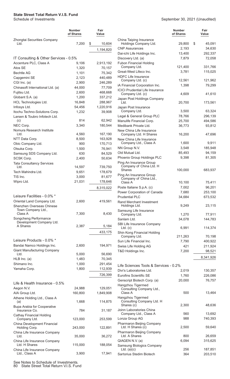|                                            | Number<br>of Shares | Fair<br>Value |
|--------------------------------------------|---------------------|---------------|
| Zhongtai Securities Company<br>Ltd.        | 7,200               | \$<br>10,604  |
|                                            |                     | 1,194,820     |
| IT Consulting & Other Services - 0.5%      |                     |               |
| Accenture PLC, Class A                     | 9,106               | 2,913,192     |
| Atos SE                                    | 1,320               | 70,157        |
| <b>Bechtle AG</b>                          | 1,101               | 75,342        |
| Capgemini SE                               | 2,123               | 440,489       |
| CGI Inc. (a)                               | 2,900               | 246,289       |
| Chinasoft International Ltd. (a)           | 44,000              | 77,709        |
| Fujitsu Ltd.                               | 2,600               | 468,668       |
| Globant S.A. (a)                           | 1,200               | 337,212       |
| HCL Technologies Ltd.                      | 16,848              | 288,967       |
| Infosys Ltd.                               | 54,456              | 1,220,916     |
| Itochu Techno-Solutions Corp.              | 1,232               | 39,908        |
| Larsen & Toubro Infotech Ltd.              |                     |               |
| (c)                                        | 814                 | 62,942        |
| NEC Corp.                                  | 3,340               | 180,544       |
| Nomura Research Institute<br>Ltd.          | 4,560               | 167,190       |
| NTT Data Corp.                             | 8,500               | 163,928       |
| Obic Company Ltd.                          | 900                 | 170,713       |
| Otsuka Corp.                               | 1,500               | 76,941        |
| Samsung SDS Company Ltd.                   | 630                 | 84,529        |
| SCSK Corp.                                 | 2,400               | 50,634        |
| <b>Tata Consultancy Services</b>           |                     |               |
| Ltd.                                       | 14,597              | 739,750       |
| Tech Mahindra Ltd.                         | 9,651               | 178,679       |
| TIS Inc.                                   | 3,000               | 81,677        |
| Wipro Ltd.                                 | 21,031              | 178,646       |
|                                            |                     | 8,315,022     |
|                                            |                     |               |
| Leisure Facilities - 0.0%                  |                     |               |
| Oriental Land Company Ltd.                 | 2,600               | 419,561       |
| Shenzhen Overseas Chinese                  |                     |               |
| Town Company Ltd.,<br>Class A              | 7,300               | 8,430         |
| Songcheng Performance                      |                     |               |
| Development Company Ltd.                   |                     |               |
| A Shares                                   | 2,387               | 5,184         |
|                                            |                     | 433,175       |
|                                            |                     |               |
| Leisure Products - 0.0% *                  |                     |               |
| Bandai Namco Holdings Inc.                 | 2,600               | 194,971       |
| <b>Giant Manufacturing Company</b><br>Ltd. | 5,000               | 56,690        |
| $HLB$ Inc. (a)                             | 1,483               | 70,345        |
| Shimano Inc.                               | 1,000               | 291,454       |
| Yamaha Corp.                               | 1,800               | 112,939       |
|                                            |                     | 726,399       |
|                                            |                     |               |
| Life & Health Insurance - 0.5%             |                     |               |
| Aegon N.V.                                 | 24,988              | 129,051       |
| AIA Group Ltd.                             | 160,800             | 1,849,908     |
| Athene Holding Ltd., Class A               | 1,668               | 114,875       |
| (a)<br>Bupa Arabia for Cooperative         |                     |               |
| Insurance Co.                              | 784                 | 31,187        |
| Cathay Financial Holding                   |                     |               |
| Company Ltd.                               | 123,000             | 253,599       |
| China Development Financial                |                     |               |
| Holding Corp.                              | 243,000             | 122,891       |
| China Life Insurance Company<br>Ltd.       | 35,000              | 36,272        |
| China Life Insurance Company               |                     |               |
| Ltd. H Shares                              | 115,000             | 188,054       |
| China Life Insurance Company               |                     |               |
| Ltd., Class A                              | 3,900               | 17,941        |

**Number of Shares Fair Value** China Taiping Insurance Holdings Company Ltd. 29,800 \$ 45,091 CNP Assurances 2,193 34,630 Dai-ichi Life Holdings Inc. 13,400 292,337 Discovery Ltd. (a) 7,879 72,058 Fubon Financial Holding Company Ltd. <sup>2</sup> 121,400 331,766 Great-West Lifeco Inc. 63,781 115,025 HDFC Life Insurance Company Ltd. (c) 12,561 121,962 iA Financial Corporation Inc. 1,398 79,299 ICICI Prudential Life Insurance Company Ltd. (c) 4,609 41,610 Japan Post Holdings Company Ltd. 20,700 173,561 Japan Post Insurance .<br>Company Ltd. 63,324 Legal & General Group PLC 78,766 296,139 Manulife Financial Corp. 25,700 494,586 Medibank Private Ltd. 36.773 93.812 New China Life Insurance Company Ltd. H Shares 16,200 47,696 New China Life Insurance Company Ltd., Class A 1,600 9,911 NN Group N.V. 3,548 185,948 Old Mutual Ltd. 65,493 94,159 Phoenix Group Holdings PLC 9,398 81,305 Ping An Insurance Group Company of China Ltd. H Shares 100,000 683,937 Ping An Insurance Group Company of China Ltd.,<br>Class A Class A 10,100 75,411 Poste Italiane S.p.A. (c) 7,002 96,201 Power Corporation of Canada 7,680 253,100 Prudential PLC 34,684 673,532 Rand Merchant Investment Holdings Ltd. 6. 23,115 Samsung Life Insurance Company Ltd. 270 77,911 Sanlam Ltd. 6. 144,783 SBI Life Insurance Company Ltd. (c) 6,991 114,374 Shin Kong Financial Holding Company Ltd. 211,263 70,198 Sun Life Financial Inc. 7,790 400,922 Swiss Life Holding AG 421 211,924 T&D Holdings Inc. 200 98,521 8,341,926 Life Sciences Tools & Services - 0.2% Divi's Laboratories Ltd. 2,019 130,357 Eurofins Scientific SE 1,760 226,086 Genscript Biotech Corp. (a) 20,000 76,757 Hangzhou Tigermed Consulting Company Ltd., Class A 500 13,464 Hangzhou Tigermed Consulting Company Ltd. H Shares (c) 2,300 48,636 Joinn Laboratories China Company Ltd., Class A 560 13,692 Lonza Group AG 68 8 988 740,393 Pharmaron Beijing Company

Ltd. H Shares (c) 2,500 59,640

Ltd. A Shares 800 26,659 QIAGEN N.V. (a) 6,094 315,625

Ltd. (a)(c) 256 187,851 Sartorius Stedim Biotech 364 203,510

Pharmaron Beijing Company

Samsung Biologics Company

See Notes to Schedule of Investments.<br>80 State Street Total Return VLS Fur

State Street Total Return V.I.S. Fund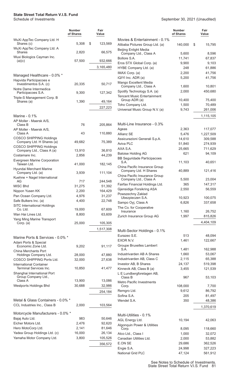|                                                    | <b>Number</b><br>of Shares | Fair<br>Value |                                                                   | <b>Number</b><br>of Shares | Fair<br>Value      |
|----------------------------------------------------|----------------------------|---------------|-------------------------------------------------------------------|----------------------------|--------------------|
| WuXi AppTec Company Ltd. H<br>Shares (c)           | 5,308                      | \$<br>123,569 | Movies & Entertainment - 0.1%                                     |                            |                    |
| WuXi AppTec Company Ltd. A<br><b>Shares</b>        | 2,820                      | 66,575        | Alibaba Pictures Group Ltd. (a)<br>Beijing Enlight Media          | 140,000                    | \$<br>15,795       |
| Wuxi Biologics Cayman Inc.                         |                            |               | Company Ltd., Class A                                             | 5,600                      | 8,596              |
| (a)(c)                                             | 57,500                     | 932,666       | Bollore S.A.<br>Eros STX Global Corp. (a)                         | 11,741<br>9,900            | 67,837<br>9,103    |
|                                                    |                            | 3,165,480     | HYBE Company Ltd. (a)                                             | 248                        | 61,886             |
|                                                    |                            |               | IMAX Corp. (a)                                                    | 2,200                      | 41,756             |
| Managed Healthcare - 0.0% *                        |                            |               | iQIYI Inc. ADR (a)                                                | 5,200                      | 41,756             |
| Hapvida Participacoes e<br>Investimentos S.A. (c)  | 20,335                     | 50,717        | Mango Excellent Media                                             |                            |                    |
| Notre Dame Intermedica                             |                            |               | Company Ltd., Class A                                             | 1,600                      | 10,801             |
| Participacoes S.A.                                 | 9,300                      | 127,342       | Spotify Technology S.A. (a)<br><b>Tencent Music Entertainment</b> | 2,000                      | 450,680            |
| Triple-S Management Corp. B                        |                            |               | Group ADR (a)                                                     | 10,400                     | 75,400             |
| Shares (a)                                         | 1,390                      | 49,164        | Toho Company Ltd.                                                 | 1,500                      | 70,489             |
|                                                    |                            | 227,223       | Universal Music Group N.V. (a)                                    | 9,743                      | 261,006            |
| Marine - $0.1\%$                                   |                            |               |                                                                   |                            | 1,115,105          |
| AP Moller - Maersk A/S,                            |                            |               |                                                                   |                            |                    |
| Class B                                            | 76                         | 205,864       | Multi-Line Insurance - 0.3%                                       |                            |                    |
| AP Moller - Maersk A/S,                            |                            |               | Ageas                                                             | 2,363                      | 117,077            |
| Class A<br><b>COSCO SHIPPING Holdings</b>          | 43                         | 110,880       | Allianz SE                                                        | 5,476                      | 1,227,509          |
| Company Ltd. H Shares (a)                          | 49,682                     | 75,389        | Assicurazioni Generali S.p.A.                                     | 14,610                     | 309,588            |
| <b>COSCO SHIPPING Holdings</b>                     |                            |               | Aviva PLC<br>AXA S.A.                                             | 51,840<br>25,665           | 274,939            |
| Company Ltd., Class A (a)                          | 13,910                     | 36,810        | <b>Baloise Holding AG</b>                                         | 621                        | 711,629<br>94,109  |
| Costamare Inc.                                     | 2,856                      | 44,239        | <b>BB Seguridade Participacoes</b>                                |                            |                    |
| Evergreen Marine Corporation<br>Taiwan Ltd.        | 41,000                     | 182,145       | S.A.                                                              | 11,103                     | 40,651             |
| Hyundai Merchant Marine                            |                            |               | China Pacific Insurance Group<br>Company Ltd. H Shares            | 40,889                     | 121,416            |
| Company Ltd. (a)                                   | 3,939                      | 111,104       | China Pacific Insurance Group                                     |                            |                    |
| Kuehne + Nagel International<br>AG                 | 717                        | 244,548       | Company Ltd., Class A                                             | 5,500                      | 23,004             |
| <b>MISC Bhd</b>                                    | 31,275                     | 51,392        | Fairfax Financial Holdings Ltd.                                   | 365                        | 147,317            |
| Nippon Yusen KK                                    | 2,200                      | 164,429       | Gjensidige Forsikring ASA                                         | 2,550                      | 56,559             |
| Pan Ocean Company Ltd.                             | 4,976                      | 31,237        | Powszechny Zaklad                                                 |                            |                    |
| Safe Bulkers Inc. (a)                              | 4,400                      | 22,748        | Ubezpieczen S.A.<br>Sampo Oyj, Class A                            | 10,923<br>6,826            | 100,075<br>337,658 |
| SITC International Holdings                        |                            |               | The Co. for Cooperative                                           |                            |                    |
| Co. Ltd.                                           | 19,000                     | 67,609        | Insurance                                                         | 1,160                      | 26,752             |
| Wan Hai Lines Ltd.                                 | 8,800                      | 63,609        | Zurich Insurance Group AG                                         | 1,997                      | 815,826            |
| Yang Ming Marine Transport<br>Corp. (a)            | 25,000                     | 105,305       |                                                                   |                            | 4,404,109          |
|                                                    |                            | 1,517,308     |                                                                   |                            |                    |
|                                                    |                            |               | Multi-Sector Holdings - 0.1%<br>Eurazeo S.E.                      | 513                        | 48,094             |
| Marine Ports & Services - 0.0% *                   |                            |               | EXOR N.V.                                                         | 1,461                      | 122,667            |
| Adani Ports & Special<br>Economic Zone Ltd.        | 9,202                      | 91,117        | <b>Groupe Bruxelles Lambert</b>                                   |                            |                    |
| China Merchants Port                               |                            |               | S.A.                                                              | 1,481                      | 162,988            |
| Holdings Company Ltd.                              | 28,000                     | 47,880        | Industrivarden AB A Shares                                        | 1,660                      | 53,067             |
| COSCO SHIPPING Ports Ltd.                          | 32,000                     | 27,638        | Industrivarden AB, Class C                                        | 2,115                      | 65,388             |
| <b>International Container</b>                     |                            |               | Investor AB, B Shares                                             | 24,137                     | 519,398            |
| Terminal Services Inc.                             | 10,850                     | 41,477        | Kinnevik AB, Class B (a)                                          | 3,455                      | 121,539            |
| Shanghai International Port<br>Group Company Ltd., |                            |               | L E Lundbergforetagen AB,<br>Class B                              | 967                        | 53,103             |
| Class A                                            | 13,900                     | 13,086        | Metro Pacific Investments                                         |                            |                    |
| Westports Holdings Bhd                             | 30,688                     | 32,986        | Corp.                                                             | 108,000                    | 7,700              |
|                                                    |                            | 254,184       | Remgro Ltd.                                                       | 9,612                      | 86,792             |
|                                                    |                            |               | Sofina S.A.                                                       | 205                        | 81,497             |
| Metal & Glass Containers - 0.0% *                  |                            |               | Wendel S.A.                                                       | 350                        | 48,386             |
| CCL Industries Inc., Class B                       | 2,000                      | 103,564       |                                                                   |                            | 1,370,619          |
| Motorcycle Manufacturers - 0.0% *                  |                            |               | Multi-Utilities - 0.1%                                            |                            |                    |
| Bajaj Auto Ltd.                                    | 983                        | 50,646        | AGL Energy Ltd.                                                   | 10,194                     | 42,063             |
| Eicher Motors Ltd.                                 | 2,476                      | 92,620        | Algonquin Power & Utilities                                       |                            |                    |
| Hero MotoCorp Ltd.                                 | 2,141                      | 81,646        | Corp.                                                             | 8,095                      | 118,660            |
| Yadea Group Holdings Ltd. (c)                      | 16,000                     | 26,134        | Atco Ltd., Class I                                                | 1,000                      | 32,072             |
| Yamaha Motor Company Ltd.                          | 3,800                      | 105,526       | Canadian Utilities Ltd.                                           | 2,000                      | 53,882             |
|                                                    |                            | 356,572       | E.ON SE                                                           | 29,686                     | 362,526            |
|                                                    |                            |               | Engie S.A.                                                        | 24,998                     | 327,223            |
|                                                    |                            |               | National Grid PLC                                                 | 47,124                     | 561,912            |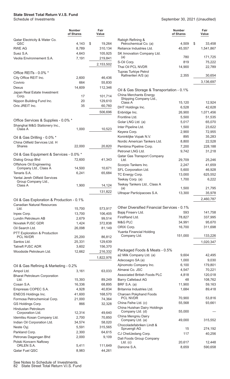|                                                     | <b>Number</b><br>of Shares | Fair<br>Value     |                            |
|-----------------------------------------------------|----------------------------|-------------------|----------------------------|
| Qatar Electricity & Water Co.<br>QSC                | 4,143                      | \$<br>19,264      | R                          |
| <b>RWE AG</b>                                       | 8,789                      | 310,134           | R٥                         |
| Suez S.A.                                           | 4,643                      | 105,925           | Sł                         |
| Veolia Environnement S.A.                           | 7,191                      | 219,841           |                            |
|                                                     |                            | 2,153,502         | S-                         |
|                                                     |                            |                   | Tł                         |
| Office REITs - 0.0% *                               |                            |                   | Τu                         |
| City Office REIT Inc.                               | 2,600                      | 46,436            |                            |
| Covivio<br>Dexus                                    | 664<br>14,609              | 55,830<br>112,346 |                            |
| Japan Real Estate Investment                        |                            |                   | O                          |
| Corp.                                               | 17                         | 101,714           | CI                         |
| Nippon Building Fund Inc.                           | 20                         | 129,610           |                            |
| Orix JREIT Inc.                                     | 35                         | 60,760            | DI                         |
|                                                     |                            | 506,696           | Er                         |
| Office Services & Supplies - 0.0% *                 |                            |                   | Fr<br>G۱                   |
| Shanghai M&G Stationery Inc.,<br>Class A            |                            |                   | ln.                        |
|                                                     | 1,000                      | 10,523            | Kε                         |
| Oil & Gas Drilling - 0.0% *                         |                            |                   | Kα                         |
| China Oilfield Services Ltd. H                      |                            |                   | N٥                         |
| Shares                                              | 22,000                     | 20,820            | $P\epsilon$<br>$P\epsilon$ |
| Oil & Gas Equipment & Services - 0.0% *             |                            |                   | Qi                         |
| Dialog Group Bhd                                    | 72,600                     | 41,343            |                            |
| Offshore Oil Engineering                            |                            |                   | S <sub>0</sub>             |
| Company Ltd., Class A<br>Tenaris S.A.               | 14,500                     | 10,671            | SF                         |
| Yantai Jereh Oilfield Services                      | 6,241                      | 65,684            | T                          |
| Group Company Ltd.,                                 |                            |                   | Тe                         |
| Class A                                             | 1,900                      | 14,124            | Тe                         |
|                                                     |                            | 131,822           | UI                         |
| Oil & Gas Exploration & Production - 0.1%           |                            |                   |                            |
| <b>Canadian Natural Resources</b>                   |                            |                   |                            |
| Ltd.                                                | 15,700                     | 573,917           | O                          |
| Inpex Corp.                                         | 13,700                     | 106,405           | Bε                         |
| Lundin Petroleum AB                                 | 2,679                      | 99,514            | Fi<br>M                    |
| Novatek PJSC GDR                                    | 1,424                      | 372,838           | Ol                         |
| Oil Search Ltd.<br>PTT Exploration & Production     | 26,098                     | 81,149            | Yι                         |
| <b>PCL NVDR</b>                                     | 25,200                     | 86,812            |                            |
| Santos Ltd.                                         | 25,331                     | 129,639           |                            |
| <b>Tatneft PJSC ADR</b>                             | 3,602                      | 156,370           |                            |
| Woodside Petroleum Ltd.                             | 12,662                     | 216,332           | P                          |
|                                                     |                            | 1,822,976         | a2<br>A٥                   |
|                                                     |                            |                   | Aj                         |
| Oil & Gas Refining & Marketing - 0.2%<br>Ampol Ltd. | 3,161                      | 63,033            | Al                         |
| <b>Bharat Petroleum Corporation</b>                 |                            |                   | A٤                         |
| Ltd.                                                | 15,393                     | 89,249            | Βa                         |
| Cosan S.A.                                          | 16,336                     | 68,895            | Bŀ                         |
| Empresas COPEC S.A.                                 | 4,928                      | 40,834            | Br                         |
| ENEOS Holdings Inc.                                 | 41,600                     | 168,570           | Cl                         |
| Formosa Petrochemical Corp.                         | 21,000                     | 74,364            | Cl                         |
| GS Holdings Corp.<br><b>Hindustan Petroleum</b>     | 866                        | 32,328            | CI                         |
| Corporation Ltd.                                    | 12,314                     | 49,640            |                            |
| Idemitsu Kosan Company Ltd.                         | 2,700                      | 70,850            | Cl                         |
| Indian Oil Corporation Ltd.                         | 34,574                     | 58,020            |                            |
| Neste Oyj                                           | 5,591                      | 315,565           | Cl                         |
| Parkland Corp.                                      | 2,300                      | 64,615            | C.                         |
| Petronas Dagangan Bhd                               | 2,000                      | 9,109             | D                          |
| Polski Koncern Naftowy<br>ORLEN S.A.                | 5,411                      | 111,649           |                            |
| Qatar Fuel QSC                                      | 8,983                      | 44,261            | D                          |

|                |                                                        | <b>Number</b><br>of Shares | Fair<br>Value |
|----------------|--------------------------------------------------------|----------------------------|---------------|
|                | Rabigh Refining &                                      |                            |               |
| 64             | Petrochemical Co. (a)                                  | 4,509                      | \$<br>33,458  |
| 34             | Reliance Industries Ltd.                               | 45,557                     | 1,541,867     |
| 25             | SK Innovation Company Ltd.<br>(a)                      | 780                        | 171,725       |
| 41             | S-Oil Corp.                                            | 819                        | 75,222        |
| 02             | Thai Oil PCL NVDR                                      | 14,900                     | 22,789        |
|                | <b>Tupras Turkiye Petrol</b>                           |                            |               |
|                | Rafinerileri A/S (a)                                   | 2,355                      | 30,654        |
| 36             |                                                        |                            | 3,136,697     |
| 30             |                                                        |                            |               |
| 46             | Oil & Gas Storage & Transportation - 0.1%              |                            |               |
| 14             | China Merchants Energy                                 |                            |               |
| 10             | Shipping Company Ltd.,                                 |                            |               |
| 66             | Class A                                                | 15,120                     | 12,924        |
|                | DHT Holdings Inc.                                      | 6,528                      | 42,628        |
| 96             | Enbridge Inc.                                          | 26,900                     | 1,071,456     |
|                | Frontline Ltd.                                         | 5,500                      | 51,535        |
|                | Golar LNG Ltd. (a)                                     | 5,017                      | 65,070        |
| $^{23}$        | Inter Pipeline Ltd.                                    | 1,500                      | 23,622        |
|                | Keyera Corp.                                           | 2,900                      | 72,955        |
|                | Koninklijke Vopak N.V.<br>Nordic American Tankers Ltd. | 895                        | 35,283        |
|                |                                                        | 8,800                      | 22,528        |
| 20             | Pembina Pipeline Corp.                                 | 7,200                      | 228,188       |
|                | Petronet LNG Ltd.                                      | 9,742                      | 31,218        |
| 13             | Qatar Gas Transport Company<br>Ltd.                    | 29,709                     | 25,246        |
|                | Scorpio Tankers Inc.                                   | 2,247                      | 41,659        |
| 71             | SFL Corporation Ltd.                                   | 5,600                      | 46,928        |
| 34             | TC Energy Corp.                                        | 13,000                     | 625,552       |
|                | Teekay Corp. (a)                                       | 1,700                      | 6,222         |
|                | Teekay Tankers Ltd., Class A                           |                            |               |
| $\frac{24}{1}$ | (a)                                                    | 1,500                      | 21,795        |
| $^{22}$        | Ultrapar Participacoes S.A.                            | 13,300                     | 35,978        |
|                |                                                        |                            | 2,460,787     |
| 17             | Other Diversified Financial Services - 0.1%            |                            |               |
| 05             | Bajaj Finserv Ltd.                                     | 593                        | 141,758       |
| 14             | FirstRand Ltd.                                         | 78,827                     | 337,995       |
| 38             | M&G PLC                                                | 34,991                     | 95,670        |
| 19             | ORIX Corp.                                             | 16,700                     | 311,698       |
|                | Yuanta Financial Holding                               |                            |               |
| 12             | Company Ltd.                                           | 151,000                    | 133,226       |
| 39             |                                                        |                            | 1,020,347     |
| 70             |                                                        |                            |               |
| 32             | Packaged Foods & Meats - 0.5%                          |                            |               |
| 76             | a2 Milk Company Ltd. (a)                               | 9,604                      | 42,495        |
|                | Adecoagro SA (a)                                       | 1,000                      | 9,030         |
|                | Ajinomoto Company Inc.                                 | 6,100                      | 179,801       |
| 33             | Almarai Co. JSC                                        | 4,547                      | 70,221        |
|                | <b>Associated British Foods PLC</b>                    | 4,818                      | 120,018       |
| 19             | <b>Barry Callebaut AG</b>                              | 48                         | 108,762       |
| 95             | BRF S.A. (a)                                           | 11,900                     | 59,163        |
| 34             | Britannia Industries Ltd.                              | 1,684                      | 89,418        |
| 70             | Charoen Pokphand Foods<br><b>PCL NVDR</b>              | 70,900                     | 53,816        |
| 64             | China Feihe Ltd. (c)                                   | 55,568                     | 93,661        |
| 28             | China Huishan Dairy Holdings                           |                            |               |
| 40             | Company Ltd. (d)                                       | 55,000                     |               |
| 50             | China Mengniu Dairy                                    |                            |               |
| 20             | Company Ltd. (a)                                       | 49,000                     | 315,552       |
| 65             | Chocoladefabriken Lindt &                              |                            |               |
| 15             | Spruengli AG                                           | 15                         | 274,192       |
| 09             | CJ CheilJedang Corp.                                   | 117                        | 40,256        |
|                | Dali Foods Group Company<br>$Ltd.$ (c)                 | 20,617                     | 12,448        |
| 49             | Danone S.A.                                            | 8,659                      | 590,658       |
| 24             |                                                        |                            |               |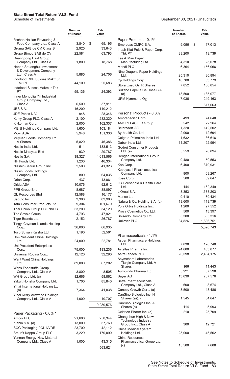|                                                       | <b>Number</b><br>of Shares | Fair<br>Value |                                              | <b>Number</b><br>of Shares | Fair<br>Value |
|-------------------------------------------------------|----------------------------|---------------|----------------------------------------------|----------------------------|---------------|
| Foshan Haitian Flavouring &                           |                            |               | Paper Products - 0.1%                        |                            |               |
| Food Company Ltd., Class A                            | 3,840                      | \$<br>65,195  | Empresas CMPC S.A.                           | 9,056                      | \$<br>17,013  |
| Gruma SAB de CV, Class B                              | 2,925                      | 33,643        | Indah Kiat Pulp & Paper Corp.                |                            |               |
| Grupo Bimbo SAB de CV<br>Guangdong Haid Group         | 22,581                     | 63,793        | Tbk PT<br>Lee & Man Paper                    | 33,200                     | 19,739        |
| Company Ltd., Class A                                 | 1,800                      | 18,768        | Manufacturing Ltd.                           | 34,310                     | 25,078        |
| Henan Shuanghui Investment                            |                            |               | Mondi PLC                                    | 6,364                      | 156,066       |
| & Development Company<br>Ltd., Class A                | 5,885                      | 24,706        | Nine Dragons Paper Holdings<br>Ltd.          | 25,310                     | 30,894        |
| Indofood CBP Sukses Makmur                            |                            |               | Oji Holdings Corp.                           | 10,700                     | 53,779        |
| <b>Tbk PT</b>                                         | 44,100                     | 25,683        | Stora Enso Oyj R Shares                      | 7,852                      | 130,854       |
| Indofood Sukses Makmur Tbk                            |                            |               | Suzano Papel e Celulose S.A.                 |                            |               |
| PT                                                    | 55,136                     | 24,393        | (a)                                          | 13,500                     | 135,077       |
| Inner Mongolia Yili Industrial<br>Group Company Ltd., |                            |               | UPM-Kymmene Oyj                              | 7,036                      | 249,163       |
| Class A                                               | 6,500                      | 37,911        |                                              |                            | 817,663       |
| JBS S.A.                                              | 16,200                     | 110,212       |                                              |                            |               |
| JDE Peet's N.V.                                       | 948                        | 28,346        | Personal Products - 0.3%                     |                            |               |
| Kerry Group PLC, Class A                              | 2,100                      | 282,320       | Amorepacific Corp.                           | 499                        | 74,640        |
| Kikkoman Corp.                                        | 2,000                      | 162,337       | <b>AMOREPACIFIC Group</b>                    | 542                        | 22,264        |
| MEIJI Holdings Company Ltd.                           | 1,600                      | 103,184       | Beiersdorf AG                                | 1,320                      | 142,502       |
| Mowi ASA                                              | 5,948                      | 151,336       | By-health Co. Ltd.                           | 2,900                      | 12,694        |
| Muyuan Foods Company Ltd.                             |                            |               | Colgate-Palmolive India Ltd.                 | 1,632                      | 36,616        |
| A Shares                                              | 5,820                      | 46,386        | Dabur India Ltd.                             | 11,207                     | 92,994        |
| Nestle India Ltd.                                     | 511                        | 133,513       | Godrej Consumer Products                     |                            |               |
| Nestle Malaysia Bhd                                   | 939                        | 29,787        | Ltd. $(a)$                                   | 5,559                      | 76,894        |
| Nestle S.A.                                           | 38,327                     | 4,613,566     | Hengan International Group<br>Company Ltd.   | 9,480                      | 50,553        |
| NH Foods Ltd.                                         | 1,230                      | 46,334        | Kao Corp.                                    | 6,400                      | 379,931       |
| Nisshin Seifun Group Inc.                             | 2,500                      | 41,323        | Kobayashi Pharmaceutical                     |                            |               |
| Nissin Foods Holdings<br>Company Ltd.                 | 800                        | 64,035        | Company Ltd.                                 | 800                        | 63,267        |
| Orion Corp.                                           | 437                        | 43,061        | Kose Corp.                                   | 500                        | 59,647        |
| Orkla ASA                                             | 10,076                     | 92,612        | LG Household & Health Care                   |                            |               |
| PPB Group Bhd                                         | 8,687                      | 38,097        | Ltd.                                         | 144                        | 162,349       |
| <b>QL Resources Bhd</b>                               | 12,588                     | 16,177        | L'Oreal S.A.                                 | 3,353                      | 1,388,203     |
| Saputo Inc.                                           | 3,300                      | 83,903        | Marico Ltd.                                  | 9,410                      | 69,434        |
| Tata Consumer Products Ltd.                           | 9,304                      | 101,679       | Natura & Co. Holding S.A. (a)                | 13,600                     | 113,739       |
| Thai Union Group PCL NVDR                             | 53,200                     | 34,120        | Pola Orbis Holdings Inc.                     | 1,200                      | 27,552        |
| The Savola Group                                      | 4,793                      | 47,921        | Proya Cosmetics Co. Ltd.                     | 500                        | 13,397        |
| Tiger Brands Ltd.                                     | 2,152                      | 26,787        | Shiseido Company Ltd.                        | 5,300                      | 355,316       |
| Tingyi Cayman Islands Holding                         |                            |               | <b>Unilever PLC</b>                          | 34,826                     | 1,886,751     |
| Corp.                                                 | 36,000                     | 66,935        |                                              |                            | 5,028,743     |
| Toyo Suisan Kaisha Ltd.                               | 1,190                      | 52,561        | Pharmaceuticals - 1.1%                       |                            |               |
| Uni-President China Holdings                          |                            |               | Aspen Pharmacare Holdings                    |                            |               |
| Ltd.                                                  | 24,000                     | 22,781        | Ltd.                                         | 7,038                      | 126,740       |
| <b>Uni-President Enterprises</b><br>Corp.             | 75,000                     | 183,236       | Astellas Pharma Inc.                         | 24,600                     | 403,877       |
| Universal Robina Corp.                                | 12,120                     | 32,290        | AstraZeneca PLC                              | 20,598                     | 2,484,175     |
| Want Want China Holdings                              |                            |               | Asymchem Laboratories                        |                            |               |
| Ltd.                                                  | 89,000                     | 67,202        | Tianjin Company Ltd. A                       |                            |               |
| Wens Foodstuffs Group                                 |                            |               | <b>Shares</b>                                | 166                        | 11,443        |
| Company Ltd., Class A                                 | 3,800                      | 8,505         | Aurobindo Pharma Ltd.                        | 5,921                      | 57,598        |
| WH Group Ltd. (c)                                     | 82,666                     | 58,862        | Bayer AG<br><b>Betta Pharmaceuticals</b>     | 13,030                     | 707,576       |
| Yakult Honsha Company Ltd.                            | 1,700                      | 85,840        | Company Ltd., Class A                        | 600                        | 8,674         |
| Yihai International Holding Ltd.<br>(a)               | 7,364                      | 41,038        | Canopy Growth Corp. (a)                      | 3,500                      | 48,486        |
| Yihai Kerry Arawana Holdings                          |                            |               | CanSino Biologics Inc. H                     |                            |               |
| Company Ltd., Class A                                 | 1,000                      | 10,707        | Shares (a)(c)                                | 1,545                      | 54,647        |
|                                                       |                            | 9,280,576     | CanSino Biologics Inc. A                     |                            |               |
|                                                       |                            |               | Shares (a)                                   | 114                        | 5,993         |
| Paper Packaging - 0.0% *                              |                            |               | Celltrion Pharm Inc. (a)                     | 210                        | 25,709        |
| Amcor PLC                                             | 21,600                     | 250,344       | Changchun High & New<br>Technology Industry  |                            |               |
| Klabin S.A. (a)                                       | 13,000                     | 57,760        | Group Inc., Class A                          | 300                        | 12,721        |
| <b>SCG Packaging PCL NVDR</b>                         | 23,700                     | 42,112        | China Medical System                         |                            |               |
| Smurfit Kappa Group PLC                               | 3,229                      | 170,090       | Holdings Ltd.                                | 25,000                     | 45,562        |
| Yunnan Energy New Material<br>Company Ltd., Class A   | 1,000                      | 43,315        | China Resources<br>Pharmaceutical Group Ltd. |                            |               |
|                                                       |                            |               | (c)                                          | 15,500                     | 7,608         |
|                                                       |                            | 563,621       |                                              |                            |               |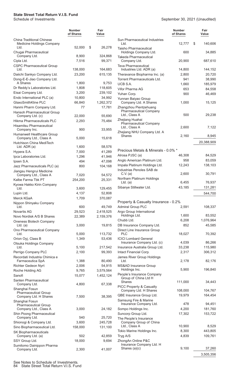|                                                                        | Number<br>of Shares | Fair<br>Value          |  |
|------------------------------------------------------------------------|---------------------|------------------------|--|
| China Traditional Chinese<br>Medicine Holdings Company                 |                     |                        |  |
| Ltd.                                                                   | 52,000              | \$<br>26,278           |  |
| Chugai Pharmaceutical<br>Company Ltd.                                  | 8,900               | 324,868                |  |
| Cipla Ltd.                                                             | 7,516               | 99,371                 |  |
| <b>CSPC Pharmaceutical Group</b>                                       | 138,000             |                        |  |
| Ltd.<br>Daiichi Sankyo Company Ltd.                                    | 23,200              | 164,683<br>615,135     |  |
| Dong-E-E-Jiao Company Ltd.                                             |                     |                        |  |
| A Shares                                                               | 1,800               | 9,753                  |  |
| Dr Reddy's Laboratories Ltd.                                           | 1,808               | 118,605                |  |
| Eisai Company Ltd.<br>Endo International PLC (a)                       | 3,200<br>10,800     | 239,102<br>34,992      |  |
| GlaxoSmithKline PLC                                                    | 66,840              | 1,262,372              |  |
| Hanmi Pharm Company Ltd.                                               | 77                  | 17,781                 |  |
| Hansoh Pharmaceutical Group<br>Company Ltd. (c)                        | 22,000              | 55,690                 |  |
| Hikma Pharmaceuticals PLC                                              | 2,293               | 75,484                 |  |
| Hisamitsu Pharmaceutical                                               |                     |                        |  |
| Company Inc.                                                           | 900                 | 33,955                 |  |
| Humanwell Healthcare Group<br>Company Ltd., Class A                    | 5,000               | 15,618                 |  |
| Hutchison China MediTech                                               |                     |                        |  |
| Ltd. ADR (a)<br>Hypera S.A.                                            | 1,600<br>7,000      | 58,576<br>41,289       |  |
| Ipca Laboratories Ltd.                                                 | 1,296               | 41,946                 |  |
| Ipsen S.A.                                                             | 494                 | 47,098                 |  |
| Jazz Pharmaceuticals PLC (a)                                           | 800                 | 104,168                |  |
| Jiangsu Hengrui Medicine<br>Company Ltd., Class A                      | 7,020               | 54,572                 |  |
| Kalbe Farma Tbk PT                                                     | 254,200             | 25,331                 |  |
| Kyowa Hakko Kirin Company<br>Ltd.                                      |                     |                        |  |
| Lupin Ltd.                                                             | 3,600<br>4,137      | 129,455<br>52,808      |  |
| Merck KGaA                                                             | 1,709               | 370,087                |  |
| Nippon Shinyaku Company                                                |                     |                        |  |
| Ltd.<br><b>Novartis AG</b>                                             | 600<br>29,523       | 49,749<br>2,418,525    |  |
| Novo Nordisk A/S B Shares                                              | 22,389              | 2,159,376              |  |
| Oneness Biotech Company                                                |                     |                        |  |
| Ltd. $(a)$                                                             | 3,000               | 19,815                 |  |
| Ono Pharmaceutical Company<br>Ltd.                                     | 5,000               | 113,732                |  |
| Orion Oyj, Class B                                                     | 1,349               | 53,436                 |  |
| Otsuka Holdings Company                                                |                     |                        |  |
| Ltd.<br>Perrigo Company PLC                                            | 5,100<br>2,100      | 217,542<br>99,393      |  |
| Recordati Industria Chimica e                                          |                     |                        |  |
| Farmaceutica SpA                                                       | 1,388               | 80,490                 |  |
| Richter Gedeon Nyrt                                                    | 2,006               | 54,915                 |  |
| Roche Holding AG<br>Sanofi                                             | 9,765<br>15,077     | 3,579,564<br>1,452,124 |  |
| Santen Pharmaceutical                                                  |                     |                        |  |
| Company Ltd.                                                           | 4,800               | 67,338                 |  |
| Shanghai Fosun<br><b>Pharmaceutical Group</b><br>Company Ltd. H Shares | 7,500               | 38,395                 |  |
| Shanghai Fosun<br><b>Pharmaceutical Group</b><br>Company Ltd., Class A | 3,000               | 24,182                 |  |
| Shin Poong Pharmaceutical                                              |                     |                        |  |
| Company Ltd.                                                           | 540                 | 25,720                 |  |
| Shionogi & Company Ltd.<br>Sino Biopharmaceutical Ltd.                 | 3,600<br>158,000    | 245,728<br>131,100     |  |
| <b>SK Biopharmaceuticals</b>                                           |                     |                        |  |
| Company Ltd. (a)                                                       | 502                 | 42,859                 |  |
| SSY Group Ltd.                                                         | 18,000              | 9,694                  |  |
| Sumitomo Dainippon Pharma<br>Company Ltd.                              | 2,300               | 41,007                 |  |

#### See Notes to Schedule of Investments. 84 State Street Total Return V.I.S. Fund

|                                                                          | <b>Number</b><br>of Shares | Fair<br>Value |
|--------------------------------------------------------------------------|----------------------------|---------------|
| Sun Pharmaceutical Industries<br>Ltd.                                    | 12,777                     | \$<br>140,606 |
| Taisho Pharmaceutical<br>Holdings Company Ltd.                           | 600                        | 34,885        |
| Takeda Pharmaceutical<br>Company Ltd.                                    | 20,900                     | 687,610       |
| Teva Pharmaceutical<br>Industries Ltd. ADR (a)                           | 14,800                     | 144,152       |
| Theravance Biopharma Inc. (a)                                            | 2,800                      | 20,720        |
| <b>Torrent Pharmaceuticals Ltd.</b>                                      | 941                        | 38,990        |
| UCB S.A.                                                                 | 1,660                      | 185,979       |
| Vifor Pharma AG                                                          | 653                        | 84,558        |
| Yuhan Corp.                                                              | 900                        | 46,469        |
| Yunnan Baiyao Group                                                      |                            |               |
| Company Ltd. A Shares                                                    | 1,000                      | 15,125        |
| Zhangzhou Pientzehuang<br><b>Pharmaceutical Company</b><br>Ltd., Class A | 500                        | 29,238        |
| Zhejiang Huahai<br><b>Pharmaceutical Company</b>                         |                            |               |
| Ltd., Class A<br>Zhejiang NHU Company Ltd. A                             | 2,600                      | 7,122         |
| <b>Shares</b>                                                            | 2,160                      | 8,945         |
|                                                                          |                            | 20,388,909    |
| Precious Metals & Minerals - 0.0% *                                      |                            |               |
| Alrosa PJSC (a)                                                          | 46,308                     | 84,529        |
| Anglo American Platinum Ltd.                                             | 958                        | 83,059        |
| Impala Platinum Holdings Ltd.<br>Industrias Penoles SAB de               | 12,243                     | 138,103       |
| C.V. (a)<br>Northam Platinum Holdings                                    | 2,600                      | 30,791        |
| $Ltd.$ (a)                                                               | 6,455                      | 76,937        |
| Sibanye Stillwater Ltd.                                                  | 43,185                     | 131,281       |
|                                                                          |                            | 544,700       |
| Property & Casualty Insurance - 0.2%                                     |                            |               |
| <b>Admiral Group PLC</b>                                                 | 2,591                      | 108,337       |
| Argo Group International                                                 |                            |               |
| Holdings Ltd.                                                            | 1,600                      | 83,552        |
| Chubb Ltd.                                                               | 6,208                      | 1,076,964     |
| DB Insurance Company Ltd.<br>Direct Line Insurance Group                 | 852                        | 45,585        |
| PLC<br><b>ICICI Lombard General</b>                                      | 18,027                     | 70,392        |
| Insurance Company Ltd. (c)                                               | 4,039                      | 86,266        |
| Insurance Australia Group Ltd.                                           | 33,238                     | 115,980       |
| Intact Financial Corp.                                                   | 2,317                      | 306,312       |
| James River Group Holdings<br>Ltd.                                       | 2,178                      | 82,176        |
| <b>MS&amp;AD Insurance Group</b><br>Holdings Inc.                        |                            |               |
| People's Insurance Company<br>Group of China Ltd H                       | 5,900                      | 196,840       |
| Shares                                                                   | 111,000                    | 34,443        |
| PICC Property & Casualty<br>Company Ltd. H Shares                        | 108,000                    | 104,767       |
| QBE Insurance Group Ltd.                                                 | 19,979                     | 164,454       |
| Samsung Fire & Marine                                                    |                            |               |
| Insurance Company Ltd.                                                   | 478                        | 94,451        |
| Sompo Holdings Inc.                                                      | 4,200                      | 181,760       |
| Suncorp Group Ltd.                                                       | 17,302                     | 153,722       |
| The People's Insurance                                                   |                            |               |
| Company Group of China<br>Ltd., Class A                                  | 10,900                     | 8,529         |
|                                                                          |                            | 443,805       |
| Tokio Marine Holdings Inc.                                               | 8,300                      |               |
| Tryg A/S<br>ZhongAn Online P&C                                           | 4,839                      | 109,761       |
| Insurance Company Ltd. H<br>Shares (a)(c)                                | 9,100                      | 37,260        |
|                                                                          |                            |               |
|                                                                          |                            | 3,505,356     |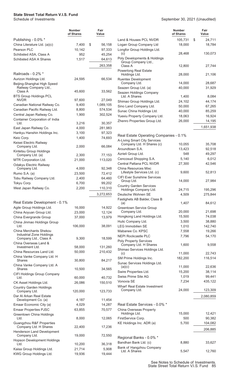## **State Street Total Return V.I.S. Fund**

|                                                                                    | Number<br>of Shares | Fair<br>Value     |
|------------------------------------------------------------------------------------|---------------------|-------------------|
| Publishing - 0.0% *                                                                |                     |                   |
| China Literature Ltd. (a)(c)                                                       | 7,400               | \$<br>56,158      |
| Pearson PLC                                                                        | 10,142              | 97,333            |
| Schibsted ASA, Class A                                                             | 952                 | 45,254            |
| <b>Schibsted ASA A Shares</b>                                                      | 1,517               | 64,613            |
|                                                                                    |                     | 263,358           |
| Railroads - 0.2% *<br>Aurizon Holdings Ltd.                                        | 24,595              | 66,534            |
| Beijing-Shanghai High Speed<br>Railway Company Ltd.,                               |                     |                   |
| Class A<br><b>BTS Group Holdings PCL</b>                                           | 45,600              | 33,562            |
| <b>NVDR</b>                                                                        | 97,600              | 27,049            |
| Canadian National Railway Co.                                                      | 9,400               | 1,089,105         |
| Canadian Pacific Railway Ltd.                                                      | 8,800               | 574,534           |
| Central Japan Railway Co.                                                          | 1,900               | 302,524           |
| Container Corporation of India<br>Ltd.                                             | 3,216               | 30,357            |
| East Japan Railway Co.                                                             | 4,000               | 281,983           |
| Hankyu Hanshin Holdings Inc.                                                       | 3,100               | 97,323            |
| Keio Corp.                                                                         | 1,400               | 74,693            |
| Keisei Electric Railway<br>Company Ltd.                                            | 2,000               | 66,084            |
| Kintetsu Group Holdings                                                            |                     |                   |
| Company Ltd. (a)<br>MTR Corporation Ltd.                                           | 2,300<br>21,000     | 77,153<br>113,020 |
| Odakyu Electric Railway                                                            |                     |                   |
| Company Ltd.<br>Rumo S.A. (a)                                                      | 4,000<br>23,500     | 92,348<br>72,412  |
| Tobu Railway Company Ltd.                                                          | 2,400               | 64,460            |
| Tokyu Corp.                                                                        | 6,700               | 99,202            |
| West Japan Railway Co.                                                             | 2,200               | 110,310           |
|                                                                                    |                     | 3,272,653         |
|                                                                                    |                     |                   |
| Real Estate Development - 0.1%                                                     |                     |                   |
| Agile Group Holdings Ltd.                                                          | 16,000              | 14,922            |
| China Aoyuan Group Ltd.                                                            | 23,000              | 12,124            |
| China Evergrande Group                                                             | 37,000              | 13,979            |
| China Jinmao Holdings Group<br>Ltd.                                                | 106,000             | 38,091            |
| China Merchants Shekou<br><b>Industrial Zone Holdings</b><br>Company Ltd., Class A | 9,300               | 18,599            |
| China Overseas Land &                                                              |                     |                   |
| Investment Ltd.                                                                    | 58,000              | 131,260           |
| China Resources Land Ltd.                                                          | 50,000              | 210,432           |
| China Vanke Company Ltd. H<br>Shares                                               | 30,800              | 84,217            |
| China Vanke Company Ltd. A<br>Shares                                               | 10,500              | 34,565            |
| CIFI Holdings Group Company<br>Ltd.                                                | 60,000              | 40,732            |
| CK Asset Holdings Ltd.                                                             | 26,086              | 150,510           |
| <b>Country Garden Holdings</b><br>Company Ltd.                                     | 120,000             | 123,733           |
| Dar Al Arkan Real Estate<br>Development Co. (a)                                    | 4,187               | 11,454            |
| Emaar Economic City (a)                                                            | 4,029               | 14,287            |
| <b>Emaar Properties PJSC</b>                                                       | 63,855              | 70,577            |
| Greentown China Holdings<br>Ltd.                                                   | 8,000               | 12,065            |
| Guangzhou R&F Properties<br>Company Ltd. H Shares                                  | 22,400              | 17,236            |
| Henderson Land Development<br>Company Ltd.                                         | 19,000              | 72,550            |
| <b>Hopson Development Holdings</b>                                                 |                     |                   |
| Ltd.                                                                               | 10,200              | 36,318            |
| Kaisa Group Holdings Ltd.                                                          | 21,714              | 5,908             |
| KWG Group Holdings Ltd.                                                            | 19,936              | 19,444            |

|                                                                        | <b>Number</b><br>of Shares | Fair<br>Value |  |
|------------------------------------------------------------------------|----------------------------|---------------|--|
| Land & Houses PCL NVDR                                                 | 105,731                    | \$<br>24,711  |  |
| Logan Group Company Ltd<br>Longfor Group Holdings Ltd.                 | 18,000                     | 18,784        |  |
| (C)<br>Poly Developments & Holdings                                    | 28,468                     | 130,073       |  |
| Group Company Ltd.,<br>Class A                                         | 12,800                     | 27,744        |  |
| <b>Powerlong Real Estate</b><br>Holdings Ltd.                          | 28,000                     | 21,106        |  |
| <b>Ruentex Development</b><br>Company Ltd.                             | 14,000                     | 28,687        |  |
| Seazen Group Ltd. (a)                                                  | 40,000                     | 31,929        |  |
| Seazen Holdings Company<br>Ltd. A Shares                               | 1,400                      | 8,084         |  |
| Shimao Group Holdings Ltd.                                             | 24,102                     | 44,174        |  |
| Sino Land Company Ltd.                                                 | 50,000                     | 67,265        |  |
| Sunac China Holdings Ltd.                                              | 40,000                     | 85,259        |  |
| Yuexiu Property Company Ltd.                                           | 18,063                     | 16,924        |  |
| Zhenro Properties Group Ltd.                                           | 26,000                     | 14,195        |  |
|                                                                        |                            | 1,651,938     |  |
| Real Estate Operating Companies - 0.1%<br>A-Living Smart City Services |                            |               |  |
| Company Ltd. H Shares (c)                                              | 10,055                     | 35,708        |  |
| Aroundtown S.A.                                                        | 13,423                     | 92,518        |  |
| Azrieli Group Ltd.                                                     | 548                        | 49,297        |  |
| Cencosud Shopping S.A.                                                 | 5,140                      | 6,012         |  |
| Central Pattana PCL NVDR<br>China Resources Mixc                       | 27,300                     | 42,546        |  |
| Lifestyle Services Ltd. (c)<br><b>CIFI Ever Sunshine Services</b>      | 9,600                      | 52,813        |  |
| Group Ltd.<br><b>Country Garden Services</b>                           | 14,000                     | 27,984        |  |
| Holdings Company Ltd.                                                  | 24,715                     | 195,296       |  |
| Deutsche Wohnen SE<br>Fastighets AB Balder, Class B                    | 4,509                      | 275,844       |  |
| (a)<br><b>Greentown Service Group</b>                                  | 1,407                      | 84,612        |  |
| Company Ltd.                                                           | 20,000                     | 21,698        |  |
| Hongkong Land Holdings Ltd.                                            | 15,500                     | 74,038        |  |
| Hulic Company Ltd.                                                     | 3,500                      | 38,880        |  |
| <b>LEG Immobilien SE</b>                                               | 1,010                      | 142,740       |  |
| Mabanee Co. KPSC                                                       | 7,558                      | 19,266        |  |
| <b>NEPI Rockcastle PLC</b>                                             | 7,796                      | 54,170        |  |
| <b>Poly Property Services</b><br>Company Ltd. H Shares                 | 1,600                      | 9,558         |  |
| Shimao Services Holdings Ltd.                                          |                            |               |  |
| (c)                                                                    | 11,000                     | 22,743        |  |
| SM Prime Holdings Inc.                                                 | 182,200                    | 116,514       |  |
| Sunac Services Holdings Ltd.<br>(a)(c)                                 | 11,000                     | 22,636        |  |
| Swire Properties Ltd.                                                  | 15,200                     | 38,114        |  |
| Swiss Prime Site AG                                                    | 1,019                      | 99,441        |  |
| Vonovia SE                                                             | 7,234                      | 435,122       |  |
| Wharf Real Estate Investment                                           |                            |               |  |
| Company Ltd.                                                           | 24,000                     | 123,309       |  |
|                                                                        |                            | 2,080,859     |  |
| Real Estate Services - 0.0% *                                          |                            |               |  |
| China Overseas Property                                                |                            |               |  |
| Holdings Ltd.                                                          | 15,000                     | 12,421        |  |
| FirstService Corp.                                                     | 500                        | 90,382        |  |
| KE Holdings Inc. ADR (a)                                               | 5,700                      | 104,082       |  |
|                                                                        |                            | 206,885       |  |
| Regional Banks - 0.0% *                                                |                            |               |  |
| Bandhan Bank Ltd. (c)                                                  | 8,880                      | 33,627        |  |
| Bank of Hangzhou Company<br>Ltd. A Shares                              | 5,547                      |               |  |
|                                                                        |                            | 12,760        |  |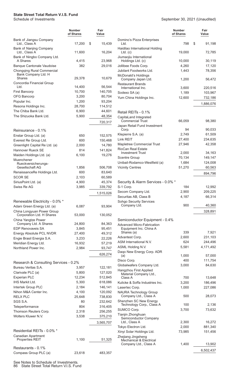|                                                             | Number<br>of Shares | Fair<br>Value      |
|-------------------------------------------------------------|---------------------|--------------------|
| Bank of Jiangsu Company<br>Ltd., Class A                    | 17,200              | \$<br>15,439       |
| Bank of Nanjing Company<br>Ltd., Class A                    | 11,600              | 16,204             |
| Bank of Ningbo Company Ltd.<br>A Shares                     | 4,415               | 23,968             |
| <b>Banque Cantonale Vaudoise</b>                            | 382                 | 29,016             |
| Chongqing Rural Commercial<br>Bank Company Ltd. H<br>Shares | 29,378              | 10,679             |
| Concordia Financial Group                                   |                     |                    |
| Ltd.<br><b>First Bancorp</b>                                | 14,400<br>10,700    | 56,544<br>140,705  |
| <b>OFG Bancorp</b>                                          | 3,200               | 80,704             |
| Popular Inc.                                                | 1,200               | 93,204             |
| Resona Holdings Inc.                                        | 28,700              | 114,512            |
| The Chiba Bank Ltd.                                         | 6,900               | 44,601             |
| The Shizuoka Bank Ltd.                                      | 5,900               | 48,354             |
|                                                             |                     | 720,317            |
| Reinsurance - 0.1%                                          |                     |                    |
| Enstar Group Ltd. (a)                                       | 650                 | 152,575            |
| Everest Re Group Ltd.                                       | 600                 | 150,468            |
| Greenlight Capital Re Ltd. (a)                              | 2,000               | 14,780             |
| Hannover Rueck SE                                           | 814                 | 141,824            |
| Maiden Holdings Ltd. (a)                                    | 6,100               | 19,276             |
| Muenchener<br>Rueckversicherungs-                           |                     |                    |
| Gesellschaft AG                                             | 1,856               | 506,708            |
| RenaissanceRe Holdings Ltd.                                 | 600                 | 83,640             |
| <b>SCOR SE</b>                                              | 2,103               | 60,589             |
| SiriusPoint Ltd. (a)                                        | 4,900               | 45.374             |
| Swiss Re AG                                                 | 3,985               | 339,792            |
|                                                             |                     | 1,515,026          |
| Renewable Electricity - 0.0% *                              |                     |                    |
| Adani Green Energy Ltd. (a)<br>China Longyuan Power Group   | 6,087               | 93,904             |
| Corporation Ltd. H Shares<br>China Yangtze Power            | 53,000              | 130,052            |
| Company Ltd. A Shares                                       | 24,800              | 84,363             |
| <b>EDP Renovaveis SA</b>                                    | 3,845               | 95,451             |
| Energy Absolute PCL NVDR                                    | 27,400              | 49,312             |
| Engie Brasil Energia S.A.                                   | 3,233               | 22,226             |
| Meridian Energy Ltd.                                        | 16,932              | 57.219             |
| Northland Power Inc.                                        | 2,984               | 93,747             |
|                                                             |                     | 626,274            |
| Research & Consulting Services - 0.2%                       |                     |                    |
| Bureau Veritas S.A.                                         | 3,957               | 122,181            |
| Clarivate PLC (a)                                           | 5,800               | 127,020            |
| <b>Experian PLC</b><br><b>IHS Markit Ltd.</b>               | 12,234              | 512,845            |
| Intertek Group PLC                                          | 5,300<br>2,184      | 618,086<br>146,141 |
| Nihon M&A Center Inc.                                       | 4,100               | 120,092            |
| RELX PLC                                                    | 25,648              | 738,830            |
| SGS S.A.                                                    | 80                  | 232,642            |
| Teleperformance                                             | 804                 | 316,405            |
| Thomson Reuters Corp.                                       | 2,318               | 256,255            |
| Wolters Kluwer N.V.                                         | 3,538               | 375,210            |
|                                                             |                     | 3,565,707          |
| Residential REITs - 0.0% *                                  |                     |                    |
| Canadian Apartment                                          |                     |                    |
| <b>Properties REIT</b>                                      | 1,100               | 51,325             |
| Restaurants - 0.1%                                          |                     |                    |
| Compass Group PLC (a)                                       | 23,618              | 483,357            |

September 30, 2021 (Unaudited)

|                                                                     | Number<br>of Shares | Fair<br>Value |                   |
|---------------------------------------------------------------------|---------------------|---------------|-------------------|
| Domino's Pizza Enterprises<br>Ltd.                                  | 798                 | \$            | 91,198            |
| Haidilao International Holding<br>$Ltd.$ (c)                        | 19,000              |               | 72,785            |
| Jiumaojiu International<br>Holdings Ltd. (c)                        | 10,000              |               | 30,119            |
| Jollibee Foods Corp.                                                | 4,260               |               | 17,120            |
| Jubilant Foodworks Ltd.                                             | 1,443               |               | 78,356            |
| McDonald's Holdings<br>Company Japan Ltd.                           | 1,200               |               | 56,472            |
| <b>Restaurant Brands</b><br>International Inc.                      | 3,600               |               | 220,516           |
| Sodexo SA (a)                                                       | 1,189               |               | 103,967           |
| Yum China Holdings Inc.                                             | 12,600              |               | 732,186           |
|                                                                     |                     | 1,886,076     |                   |
| Retail REITs - 0.1%                                                 |                     |               |                   |
| CapitaLand Integrated                                               |                     |               |                   |
| Commercial Trust                                                    | 66,059              |               | 98,380            |
| Japan Retail Fund Investment<br>Corp.                               | 94                  |               | 90,033            |
| Klepierre S.A. (a)                                                  | 2,749               |               | 61,509            |
| Link REIT                                                           | 27,400              |               | 234,635           |
| Mapletree Commercial Trust                                          | 27,946              |               | 42,358            |
| <b>RioCan Real Estate</b><br><b>Investment Trust</b>                | 2,000               |               | 34,163            |
| <b>Scentre Group</b>                                                | 70,134              |               | 149,147           |
| Unibail-Rodamco-Westfield (a)                                       | 1,684               |               | 124,008           |
| <b>Vicinity Centres</b>                                             | 51,270              |               | 60,563            |
|                                                                     |                     |               | 894,796           |
| Security & Alarm Services - 0.0% *                                  |                     |               |                   |
| S-1 Corp.                                                           | 184                 |               | 12,992            |
| Secom Company Ltd.                                                  | 2,900               |               | 209,225           |
| Securitas AB, Class B                                               | 4,187               |               | 66,314            |
| Sohgo Security Services<br>Company Ltd.                             | 900                 |               | 40,360            |
|                                                                     |                     |               | 328,891           |
|                                                                     |                     |               |                   |
| Semiconductor Equipment - 0.4%<br><b>Advanced Micro-Fabrication</b> |                     |               |                   |
| Equipment Inc. China A<br>Shares (a)                                | 339                 |               | 7,921             |
| Advantest Corp.                                                     | 2,600               |               | 231,103           |
| ASM International N.V.                                              | 624                 |               | 244,496           |
| ASML Holding N.V.                                                   | 5,581               | 4,171,492     |                   |
| Daqo New Energy Corp. ADR<br>(a)                                    | 1,000               |               | 57,000            |
| Disco Corp.                                                         | 400                 |               | 111,754           |
| Globalwafers Company Ltd.                                           | 3,000               |               | 84,630            |
| Hangzhou First Applied<br>Material Company Ltd.,                    |                     |               |                   |
| Class A<br>Kulicke & Soffa Industries Inc.                          | 700<br>3,200        |               | 13,648<br>186,496 |
| Lasertec Corp.                                                      | 1,000               |               | 227,086           |
| <b>NAURA Technology Group</b>                                       |                     |               |                   |
| Company Ltd., Class A<br>Shenzhen SC New Energy                     | 500                 |               | 28,073            |
| Technology Corp., Class A                                           | 100                 |               | 2,136             |
| SUMCO Corp.                                                         | 3,700               |               | 73,632            |
| Tianjin Zhonghuan                                                   |                     |               |                   |
| Semiconductor Company<br>Ltd., Class A                              | 2,300               |               | 16,272            |
| Tokyo Electron Ltd.                                                 | 2,000               |               | 881,340           |
| Xinyi Solar Holdings Ltd.                                           | 73,985              |               | 151,456           |
| Zhejiang Jingsheng<br><b>Mechanical &amp; Electrical</b>            |                     |               |                   |
| Company Ltd., Class A                                               | 1,400               |               | 13,902            |
|                                                                     |                     | 6,502,437     |                   |

See Notes to Schedule of Investments. 86 State Street Total Return V.I.S. Fund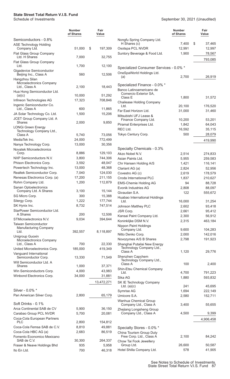## **State Street Total Return V.I.S. Fund**

|                                                       | <b>Number</b><br>of Shares | Fair<br>Value     |                                                      | <b>Number</b><br>of Shares | Fair<br>Value     |
|-------------------------------------------------------|----------------------------|-------------------|------------------------------------------------------|----------------------------|-------------------|
| Semiconductors - 0.8%                                 |                            |                   | Nongfu Spring Company Ltd.                           |                            |                   |
| <b>ASE Technology Holding</b>                         |                            |                   | H Shares (c)                                         | 7,400                      | \$<br>37,465      |
| Company Ltd.                                          | 51,000                     | \$<br>197,309     | Osotspa PCL NVDR                                     | 12,991                     | 12,997            |
| Flat Glass Group Company<br>Ltd. H Shares             | 7,000                      | 32,755            | Suntory Beverage & Food Ltd.                         | 1,900                      | 78,567            |
| Flat Glass Group Company                              |                            |                   |                                                      |                            | 793,085           |
| Ltd.                                                  | 1,700                      | 12,100            | Specialized Consumer Services - 0.0% *               |                            |                   |
| Gigadevice Semiconductor                              |                            |                   | OneSpaWorld Holdings Ltd.                            |                            |                   |
| Beijing Inc., Class A                                 | 560                        | 12,506            | (a)                                                  | 2,700                      | 26,919            |
| Hangzhou Silan<br>Microelectronics Company            |                            |                   |                                                      |                            |                   |
| Ltd., Class A                                         | 2,100                      | 18,443            | Specialized Finance - 0.0% *                         |                            |                   |
| Hua Hong Semiconductor Ltd.                           |                            |                   | Banco Latinoamericano de<br>Comercio Exterior SA,    |                            |                   |
| (a)(c)                                                | 10,000                     | 51,292            | Class E                                              | 1,800                      | 31,572            |
| Infineon Technologies AG<br>Ingenic Semiconductor Co. | 17,323                     | 708,846           | <b>Chailease Holding Company</b>                     |                            |                   |
| Ltd., Class A                                         | 600                        | 11,865            | Ltd.                                                 | 20,100                     | 176,520           |
| JA Solar Technology Co. Ltd.                          | 1,500                      | 15,206            | Far East Horizon Ltd.<br>Mitsubishi UFJ Lease &      | 31,000                     | 31,460            |
| JCET Group Company Ltd. A                             |                            |                   | Finance Company Ltd.                                 | 10,200                     | 53,201            |
| Shares                                                | 2,000                      | 9,850             | Piramal Enterprises Ltd.                             | 1,842                      | 64,043            |
| <b>LONGi Green Energy</b><br>Technology Company Ltd., |                            |                   | REC Ltd.                                             | 16,592                     | 35,115            |
| Class A                                               | 5,740                      | 73,056            | Tokyo Century Corp.                                  | 500                        | 28,079            |
| MediaTek Inc.                                         | 24,000                     | 772,499           |                                                      |                            | 419,990           |
| Nanya Technology Corp.                                | 13,000                     | 30,356            |                                                      |                            |                   |
| Novatek Microelectronics                              |                            |                   | Specialty Chemicals - 0.3%                           |                            |                   |
| Corp.<br>NXP Semiconductors N.V.                      | 8,886                      | 129,103           | Akzo Nobel N.V.                                      | 2,514                      | 274,833           |
| Phison Electronics Corp.                              | 3,800<br>3,592             | 744,306<br>48,047 | Asian Paints Ltd.                                    | 5,955                      | 259,583           |
| Powertech Technology Inc.                             | 13,000                     | 48,368            | Chr Hansen Holding A/S                               | 1,421<br>2,824             | 116,141<br>52,956 |
| Realtek Semiconductor Corp.                           | 7,040                      | 124,030           | Clariant AG (a)<br>Covestro AG (c)                   | 2,619                      | 178,579           |
| Renesas Electronics Corp. (a)                         | 17,200                     | 211,155           | Croda International PLC                              | 1,837                      | 210,627           |
| Rohm Company Ltd.                                     | 1,200                      | 112,879           | <b>EMS-Chemie Holding AG</b>                         | 94                         | 88,728            |
| Sanan Optoelectronics                                 |                            |                   | Evonik Industries AG                                 | 2,808                      | 88,097            |
| Company Ltd. A Shares                                 | 3,100                      | 15,144            | Givaudan S.A.                                        | 122                        | 555,672           |
| SG Micro Corp.                                        | 300                        | 15,388            | Huabao International Holdings                        |                            |                   |
| Silergy Corp.                                         | 1,222                      | 177,744           | Ltd.                                                 | 16,000                     | 31,254            |
| SK Hynix Inc.<br>StarPower Semiconductor Ltd.         | 8,732                      | 747,514           | Johnson Matthey PLC                                  | 2,602                      | 93,418            |
| A Shares                                              | 200                        | 12,506            | JSR Corp.<br>Kansai Paint Company Ltd.               | 2,661<br>2,300             | 95,412<br>56,912  |
| STMicroelectronics N.V.                               | 9,034                      | 394,644           | Koninklijke DSM N.V.                                 | 2,315                      | 463,184           |
| Taiwan Semiconductor                                  |                            |                   | Nippon Paint Holdings                                |                            |                   |
| <b>Manufacturing Company</b><br>Ltd.                  | 392,557                    | 8,118,897         | Company Ltd.                                         | 9,600                      | 104,283           |
| Unigroup Guoxin                                       |                            |                   | Nitto Denko Corp.                                    | 2,000                      | 142,016           |
| Microelectronics Company                              |                            |                   | Novozymes A/S B Shares                               | 2,798                      | 191,923           |
| Ltd., Class A                                         | 700                        | 22,330            | Shanghai Putailai New Energy                         |                            |                   |
| United Microelectronics Corp.                         | 185,000                    | 419,349           | Technology Company Ltd.,<br>Class A                  | 1,120                      | 29,776            |
| Vanguard International<br>Semiconductor Corp.         | 13,330                     | 71,549            | Shenzhen Capchem                                     |                            |                   |
| Will Semiconductor Ltd. A                             |                            |                   | Technology Company Ltd.,                             |                            |                   |
| Shares                                                | 1,000                      | 37,371            | Class A<br>Shin-Etsu Chemical Company                | 100                        | 2,400             |
| Win Semiconductors Corp.                              | 4,000                      | 43,983            | Ltd.                                                 | 4,700                      | 791,223           |
| Winbond Electronics Corp.                             | 34,000                     | 31,881            | Sika AG                                              | 1,880                      | 593,832           |
|                                                       |                            | 13,472,271        | SK IE Technology Company                             |                            |                   |
|                                                       |                            |                   | Ltd. $(a)(c)$                                        | 241                        | 45,695            |
| Silver - 0.0% *<br>Pan American Silver Corp.          | 2,800                      | 65,179            | Symrise AG                                           | 1,694                      | 222,149           |
|                                                       |                            |                   | Umicore S.A.<br>Wanhua Chemical Group                | 2,580                      | 152,711           |
| Soft Drinks - 0.1%                                    |                            |                   | Company Ltd., Class A                                | 3,400                      | 55,655            |
| Arca Continental SAB de CV                            | 5,900                      | 36,150            | Zhejiang Longsheng Group                             |                            |                   |
| Carabao Group PCL NVDR                                | 5,700                      | 20,081            | Company Ltd., Class A                                | 4,500                      | 9,399             |
| Coca-Cola European Partners                           |                            |                   |                                                      |                            | 4,906,458         |
| <b>PLC</b><br>Coca-Cola Femsa SAB de C.V.             | 2,800<br>8,810             | 154,812<br>49,881 |                                                      |                            |                   |
| Coca-Cola HBC AG (a)                                  | 2,683                      | 86,519            | Specialty Stores - 0.0% *                            |                            |                   |
| Fomento Economico Mexicano                            |                            |                   | China Tourism Group Duty<br>Free Corp. Ltd., Class A | 2,100                      | 84,242            |
| SAB de C.V.                                           | 30,300                     | 264,337           | Chow Tai Fook Jewellery                              |                            |                   |
| Fraser & Neave Holdings Bhd                           | 935                        | 5,958             | Group Ltd.                                           | 26,600                     | 50,587            |
| Ito En Ltd.                                           | 700                        | 46,318            | Hotel Shilla Company Ltd.                            | 578                        | 41,905            |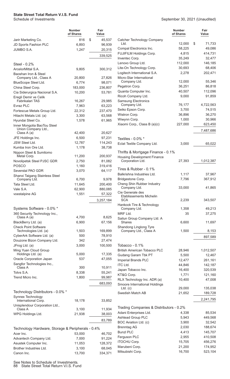|                                                   | <b>Number</b><br>of Shares | Fair<br>Value     |                                                        | <b>Number</b><br>of Shares | Fair<br>Value       |
|---------------------------------------------------|----------------------------|-------------------|--------------------------------------------------------|----------------------------|---------------------|
| Jarir Marketing Co.                               | 816                        | \$<br>45,537      | Catcher Technology Company                             |                            |                     |
| JD Sports Fashion PLC                             | 6,893                      | 96,939            | Ltd.                                                   | 12,000                     | \$<br>71,733        |
| JUMBO S.A.                                        | 1,247                      | 20,315            | Compal Electronics Inc.                                | 58,225                     | 49,086              |
|                                                   |                            | 339,525           | FUJIFILM Holdings Corp.                                | 4,815                      | 414,731             |
|                                                   |                            |                   | Inventec Corp.<br>Lenovo Group Ltd.                    | 35,249<br>112,000          | 32,477<br>146,185   |
| Steel - $0.2\%$                                   |                            |                   | Lite-On Technology Corp.                               | 30,693                     | 68,406              |
| ArcelorMittal S.A.                                | 9,805                      | 300,312           | Logitech International S.A.                            | 2,278                      | 202,471             |
| Baoshan Iron & Steel<br>Company Ltd., Class A     | 20,800                     | 27,826            | Micro-Star International                               |                            |                     |
| BlueScope Steel Ltd.                              | 6,774                      | 98,071            | Company Ltd.                                           | 12,000                     | 55,346              |
| China Steel Corp.                                 | 183,000                    | 236,807           | Pegatron Corp.                                         | 36,251                     | 86,818              |
| Cia Siderurgica Nacional S.A.                     | 10,200                     | 53,781            | Quanta Computer Inc.                                   | 40,507                     | 112,096             |
| Eregli Demir ve Celik                             |                            |                   | Ricoh Company Ltd.                                     | 9,000                      | 91,859              |
| Fabrikalari TAS                                   | 16,267                     | 29,985            | <b>Samsung Electronics</b>                             |                            |                     |
| Evraz PLC                                         | 7,963                      | 63,223            | Company Ltd.<br>Seiko Epson Corp.                      | 76,177<br>3,700            | 4,722,563<br>74,515 |
| Fortescue Metals Group Ltd.                       | 22,312                     | 237,470           | Wistron Corp.                                          | 36,896                     | 36,270              |
| Hitachi Metals Ltd. (a)                           | 3,300                      | 63,568            | Wiwynn Corp.                                           | 1,000                      | 30,966              |
| Hyundai Steel Co.<br>Inner Mongolia BaoTou Steel  | 1,578                      | 61,965            | Xiaomi Corp., Class B (a)(c)                           | 227,000                    | 623,450             |
| Union Company Ltd.,                               |                            |                   |                                                        |                            |                     |
| Class A (a)                                       | 42,400                     | 20,627            |                                                        |                            | 7,487,686           |
| JFE Holdings Inc.                                 | 6,500                      | 97,231            | Textiles - 0.0% *                                      |                            |                     |
| JSW Steel Ltd.                                    | 12,787                     | 114,243           | Eclat Textile Company Ltd.                             | 3,000                      | 65,022              |
| Kumba Iron Ore Ltd.                               | 1,178                      | 38,738            |                                                        |                            |                     |
| Nippon Steel & Sumitomo                           |                            |                   | Thrifts & Mortgage Finance - 0.1%                      |                            |                     |
| Metal Corp.<br>Novolipetsk Steel PJSC GDR         | 11,200<br>2,750            | 200,937<br>81,082 | <b>Housing Development Finance</b><br>Corporation Ltd. | 27,393                     | 1,012,387           |
| POSCO                                             | 1,160                      | 319,416           |                                                        |                            |                     |
| Severstal PAO GDR                                 | 3,070                      | 64,117            | Tires & Rubber - 0.1%                                  |                            |                     |
| Shanxi Taigang Stainless Steel                    |                            |                   | Balkrishna Industries Ltd.                             | 1,117                      | 37,967              |
| Company Ltd.                                      | 6,700                      | 9,978             | Bridgestone Corp.                                      | 7,796                      | 367,912             |
| Tata Steel Ltd.                                   | 11,645                     | 200,400           | Cheng Shin Rubber Industry                             |                            |                     |
| Vale S.A.                                         | 62,900                     | 880,085           | Company Ltd.                                           | 33,000                     | 41,865              |
| voestalpine AG                                    | 1,551                      | 57,322            | Cie Generale des<br><b>Etablissements Michelin</b>     |                            |                     |
|                                                   |                            | 3,257,184         | <b>SCA</b>                                             | 2,239                      | 343,507             |
|                                                   |                            |                   | Hankook Tire & Technology                              |                            |                     |
| Systems Software - 0.0% *                         |                            |                   | Company Ltd.                                           | 1,358                      | 49,213              |
| 360 Security Technology Inc.,<br>Class A (a)      | 4,700                      | 8,625             | MRF Ltd.                                               | 35                         | 37,275              |
| BlackBerry Ltd. (a)                               | 6,900                      | 67,156            | Sailun Group Company Ltd. A<br><b>Shares</b>           | 6,600                      | 11,697              |
| <b>Check Point Software</b>                       |                            |                   | Shandong Linglong Tyre                                 |                            |                     |
| Technologies Ltd. (a)                             | 1,503                      | 169,899           | Company Ltd., Class A                                  | 1,500                      | 8,153               |
| CyberArk Software Ltd. (a)                        | 500                        | 78,910            |                                                        |                            | 897,589             |
| Douzone Bizon Company Ltd.                        | 342                        | 27,474            |                                                        |                            |                     |
| JFrog Ltd. (a)                                    | 3,000                      | 100,500           | Tobacco - $0.1\%$                                      |                            |                     |
| Ming Yuan Cloud Group<br>Holdings Ltd. (a)        | 5,000                      | 17,335            | British American Tobacco PLC                           | 28,946                     | 1,012,507           |
| Oracle Corporation Japan                          | 537                        | 47,055            | Gudang Garam Tbk PT                                    | 5,500                      | 12,467              |
| Sangfor Technologies Inc.,                        |                            |                   | Imperial Brands PLC                                    | 12,477                     | 261,161             |
| Class A                                           | 300                        | 10,911            | <b>ITC Ltd.</b>                                        | 44,846<br>16,400           | 142,187             |
| Totvs S.A.                                        | 8,338                      | 55,241            | Japan Tobacco Inc.<br>KT&G Corp.                       | 1,771                      | 320,539<br>121,160  |
| Trend Micro Inc.                                  | 1,800                      | 99,987            | RLX Technology Inc. ADR (a)                            | 10,400                     | 47,008              |
|                                                   |                            | 683,093           | Smoore International Holdings                          |                            |                     |
|                                                   |                            |                   | $Ltd.$ (c)                                             | 29,000                     | 135,038             |
| Technology Distributors - 0.0% *                  |                            |                   | Swedish Match AB                                       | 21,652                     | 189,728             |
| Synnex Technology<br>International Corp.          | 18,178                     | 33,852            |                                                        |                            | 2,241,795           |
| Unisplendour Corporation Ltd.,                    |                            |                   |                                                        |                            |                     |
| Class A                                           | 3,100                      | 11,934            | Trading Companies & Distributors - 0.2%                |                            |                     |
| WPG Holdings Ltd.                                 | 21,938                     | 38,003            | Adani Enterprises Ltd.                                 | 4,338                      | 85,534              |
|                                                   |                            | 83,789            | <b>Ashtead Group PLC</b>                               | 5,943                      | 449,568             |
|                                                   |                            |                   | BOC Aviation Ltd. (c)                                  | 3,900                      | 32,542              |
| Technology Hardware, Storage & Peripherals - 0.4% |                            |                   | <b>Brenntag AG</b>                                     | 2,030                      | 188,674             |
| Acer Inc.                                         | 53,000                     | 46,702            | <b>Bunzl PLC</b>                                       | 4,413                      | 145,707             |
| Advantech Company Ltd.                            | 7,000                      | 91,224            | Ferguson PLC<br><b>ITOCHU Corp.</b>                    | 2,955<br>15,705            | 410,508             |
| Asustek Computer Inc.                             | 11,053                     | 128,372           | Marubeni Corp.                                         | 21,200                     | 456,276<br>174,952  |
| Brother Industries Ltd.                           | 3,100                      | 68,045            | Mitsubishi Corp.                                       | 16,700                     | 523,104             |
| Canon Inc.                                        | 13,700                     | 334,371           |                                                        |                            |                     |

See Notes to Schedule of Investments. 88 State Street Total Return V.I.S. Fund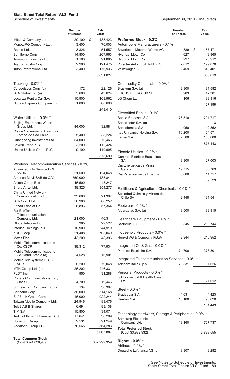## **State Street Total Return V.I.S. Fund**

|                                                    | <b>Number</b><br>of Shares | Fair<br>Value    |                                                     | <b>Number</b><br>of Shares | Fair<br>Value |
|----------------------------------------------------|----------------------------|------------------|-----------------------------------------------------|----------------------------|---------------|
| Mitsui & Company Ltd.                              | 20,100                     | \$<br>438,423    | <b>Preferred Stock - 0.2%</b>                       |                            |               |
| MonotaRO Company Ltd.                              | 3,400                      | 76,003           | Automobile Manufacturers - 0.1%                     |                            |               |
| Reece Ltd.                                         | 3,826                      | 51,557           | Bayerische Motoren Werke AG                         | 889                        | \$<br>67,471  |
| Sumitomo Corp.                                     | 14,800                     | 207,963          | Hyundai Motor Co.                                   | 627                        | 49,965        |
| Toromont Industries Ltd.                           | 1,100                      | 91,805           | Hyundai Motor Co.                                   | 297                        | 23,912        |
| Toyota Tsusho Corp.                                | 2,900                      | 121,475          | Porsche Automobil Holding SE                        | 2,012                      | 199,070       |
| Triton International Ltd.                          | 3,400                      | 176,936          | Volkswagen AG                                       | 2,459                      | 548,401       |
|                                                    |                            | 3,631,027        |                                                     |                            | 888,819       |
| Trucking - $0.0\%$ *                               |                            |                  | Commodity Chemicals - 0.0% *                        |                            |               |
| CJ Logistics Corp. (a)                             | 172                        | 22,126           | Braskem S.A. (a)                                    | 2,900                      | 31,582        |
| DiDi Global Inc. (a)                               | 5,600                      | 43,624           | FUCHS PETROLUB SE                                   | 903                        | 42,301        |
| Localiza Rent a Car S.A.                           | 10,900                     | 108,962          | LG Chem Ltd.                                        | 106                        | 33,316        |
| Nippon Express Company Ltd.                        | 1,000                      | 68,698           |                                                     |                            | 107,199       |
|                                                    |                            | 243,410          |                                                     |                            |               |
|                                                    |                            |                  | Diversified Banks - 0.1%                            |                            |               |
| Water Utilities - 0.0% *                           |                            |                  | Banco Bradesco S.A.                                 | 76,310                     | 291,717       |
| <b>Beijing Enterprises Water</b>                   |                            |                  | Banco Inter S.A. (c)                                | 1                          | 3             |
| Group Ltd.                                         | 84,000                     | 32,881           | Bancolombia S.A.                                    | 4,950                      | 42,852        |
| Cia de Saneamento Basico do<br>Estado de Sao Paulo | 5,400                      | 38,224           | Itau Unibanco Holding S.A.                          | 76,200                     | 404,571       |
| Guangdong Investment Ltd.                          | 54,000                     | 70,466           | Itausa S.A.                                         | 67,500                     | 138,000       |
| Severn Trent PLC                                   | 3,209                      | 112,424          |                                                     |                            | 877,143       |
| United Utilities Group PLC                         | 9,190                      | 119,695          |                                                     |                            |               |
|                                                    |                            | 373,690          | Electric Utilities - 0.0% *                         |                            |               |
|                                                    |                            |                  | Centrais Eletricas Brasileiras<br>SА                | 3,800                      | 27,003        |
| Wireless Telecommunication Services - 0.3%         |                            |                  | Cia Energetica de Minas                             |                            |               |
| Advanced Info Service PCL                          |                            |                  | Gerais                                              | 19,715                     | 50,763        |
| <b>NVDR</b>                                        | 21,500                     | 124,048          | Cia Paranaense de Energia                           | 8,800                      | 11,757        |
| America Movil SAB de C.V.                          | 550,000                    | 488,841          |                                                     |                            | 89,523        |
| Axiata Group Bhd                                   | 46,500                     | 43,247           |                                                     |                            |               |
| Bharti Airtel Ltd.                                 | 38,325                     | 354,277          | Fertilizers & Agricultural Chemicals - 0.0% *       |                            |               |
| <b>China United Network</b>                        |                            |                  | Sociedad Quimica y Minera de                        |                            |               |
| Communications Ltd.<br>DiGi.Com Bhd                | 33,600<br>56,900           | 21,397<br>60,252 | Chile SA                                            | 2,448                      | 131,541       |
| Etihad Etisalat Co.                                | 6,896                      | 57,364           | Footwear - 0.0% *                                   |                            |               |
| Far EasTone                                        |                            |                  | Alpargatas S.A. (a)                                 | 3,500                      | 33,915        |
| Telecommunications                                 |                            |                  |                                                     |                            |               |
| Company Ltd.                                       | 21,000                     | 46,311           | Healthcare Equipment - 0.0% *                       |                            |               |
| Globe Telecom Inc.                                 | 385                        | 22,522           | Sartorius AG                                        | 345                        | 219,744       |
| Intouch Holdings PCL                               | 18,900                     | 44,910           |                                                     |                            |               |
| KDDI Corp.                                         | 21,408                     | 703,049          | Household Products - 0.0% *                         |                            |               |
| Maxis Bhd                                          | 43,200                     | 48,396           | Henkel AG & Company KGaA                            | 2,344                      | 216,952       |
| Mobile Telecommunications<br>Co. KSCP              | 39,312                     | 77,934           | Integrated Oil & Gas - 0.0% *                       |                            |               |
| Mobile Telecommunications                          |                            |                  | Petroleo Brasileiro S.A.                            | 74,700                     | 373,301       |
| Co. Saudi Arabia (a)                               | 4,528                      | 16,901           |                                                     |                            |               |
| Mobile TeleSystems PJSC                            |                            |                  | Integrated Telecommunication Services - 0.0% *      |                            |               |
| <b>ADR</b>                                         | 8,200                      | 79,048           | Telecom Italia S.p.A.                               | 78,331                     | 31,626        |
| MTN Group Ltd. (a)                                 | 26,202                     | 246,331          |                                                     |                            |               |
| PLDT Inc.                                          | 950                        | 31,288           | Personal Products - 0.0% *                          |                            |               |
| Rogers Communications Inc.,<br>Class B             | 4,700                      | 219,446          | LG Household & Health Care<br>Ltd.                  | 40                         | 21,612        |
| SK Telecom Company Ltd. (a)                        | 134                        | 36,397           |                                                     |                            |               |
| Softbank Corp.                                     | 38,000                     | 514,168          | Steel - 0.0% *                                      |                            |               |
| SoftBank Group Corp.                               | 16,000                     | 922,244          | Bradespar S.A.                                      | 4,631                      | 44,423        |
| Taiwan Mobile Company Ltd.                         | 24,946                     | 88,476           | Gerdau S.A.                                         | 18,100                     | 90,020        |
| Tele2 AB B Shares                                  | 6,691                      | 99,138           |                                                     |                            | 134,443       |
| TIM S.A.                                           | 15,800                     | 34,071           |                                                     |                            |               |
| Turkcell Iletisim Hizmetleri A/S                   | 17,641                     | 30,299           | Technology Hardware, Storage & Peripherals - 0.0% * |                            |               |
| Vodacom Group Ltd.                                 | 9,531                      | 91,249           | <b>Samsung Electronics</b>                          |                            |               |
| Vodafone Group PLC                                 | 370,565                    | 564,283          | Company Ltd.                                        | 13,160                     | 767,737       |
|                                                    |                            | 5,065,887        | <b>Total Preferred Stock</b><br>(Cost \$3,992,932)  |                            | 3,893,555     |
| <b>Total Common Stock</b>                          |                            |                  |                                                     |                            |               |
| (Cost \$374,028,939)                               |                            | 387,299,359      | Rights - 0.0% *                                     |                            |               |
|                                                    |                            |                  | Airlines - 0.0% *                                   |                            |               |
|                                                    |                            |                  | Deutsche Lufthansa AG (a)                           | 3,907                      | 9,282         |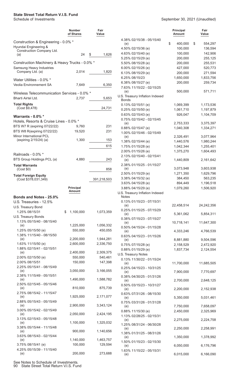|                                                                    | Number<br>of Shares  | Fair<br>Value        |
|--------------------------------------------------------------------|----------------------|----------------------|
| Construction & Engineering - 0.0% *<br>Hyundai Engineering &       |                      |                      |
| Construction Company Ltd.<br>(a)                                   | 24                   | \$<br>1,626          |
| Construction Machinery & Heavy Trucks - 0.0% *                     |                      |                      |
| Samsung Heavy Industries<br>Company Ltd. (a)                       | 2,014                | 1,820                |
| Water Utilities - 0.0% *<br>Veolia Environnement SA                | 7,649                | 6,350                |
| Wireless Telecommunication Services - 0.0% *<br>Bharti Airtel Ltd. | 2,737                | 5,653                |
| <b>Total Rights</b><br>(Cost \$9,478)                              |                      | 24,731               |
| Warrants - $0.0\%$ *                                               |                      |                      |
| Hotels, Resorts & Cruise Lines - 0.0% *                            |                      |                      |
| BTS W7 R (expiring 07/22/22)<br>BTS W8 R(expiring 07/22/22)        | 9,760<br>19,520      | 231<br>231           |
| <b>Minor International PCL</b><br>(expiring 2/15/24) (a)           | 1,300                | 153                  |
|                                                                    |                      | 615                  |
| Railroads - 0.0% *<br>BTS Group Holdings PCL (a)                   | 4,880                | 243                  |
| <b>Total Warrants</b><br>(Cost \$0)                                |                      | 858                  |
| <b>Total Foreign Equity</b><br>(Cost \$378,031,349)                |                      | 391,218,503          |
|                                                                    | Principal<br>Amount  |                      |
| Bonds and Notes - 25.0%                                            |                      |                      |
| U.S. Treasuries - 12.5%                                            |                      |                      |
| U.S. Treasury Bond                                                 |                      |                      |
| 1.25% 08/15/31                                                     | \$<br>1,100,000      | 1,073,359            |
| U.S. Treasury Bonds<br>1.13% 05/15/40 - 08/15/40                   |                      |                      |
| (e)                                                                | 1,225,000            | 1,056,332            |
| 1.25% 05/15/50 (e)                                                 | 550,000              | 450,055              |
| 1.38% 11/15/40 - 08/15/50<br>(e)                                   | 2,200,000            | 1,944,281            |
| 1.63% 11/15/50 (e)                                                 | 2,600,000            | 2,336,750            |
| 1.88% 02/15/41 - 02/15/51                                          |                      |                      |
| (e)                                                                | 2,400,000            | 2,309,375            |
| 2.00% 02/15/50 (e)<br>2.00% 08/15/51                               | 550,000<br>150,000   | 540,461<br>147,398   |
| 2.25% 05/15/41 - 08/15/49                                          |                      |                      |
| (e)<br>2.38% 11/15/49 - 05/15/51                                   | 3,050,000            | 3,166,055            |
| (e)<br>2.50% 02/15/45 - 05/15/46                                   | 1,490,000            | 1,588,782            |
| (e)<br>2.75% 08/15/42 - 11/15/47<br>(e)                            | 810,000<br>1,925,000 | 875,739<br>2,171,077 |
| 2.88% 05/15/43 - 05/15/49<br>(e)                                   | 2,900,000            | 3,343,124            |
| 3.00% 05/15/42 - 02/15/49<br>(e)                                   | 2,050,000            | 2,424,195            |
| 3.13% 02/15/43 - 05/15/48<br>(e)                                   | 1,100,000            | 1,325,032            |
| 3.38% 05/15/44 - 11/15/48<br>(e)                                   | 900,000              | 1,140,656            |
| 3.63% 08/15/43 - 02/15/44<br>(e)<br>3.75% 08/15/41 (e)             | 1,140,000<br>100,000 | 1,463,757<br>129,594 |
| 4.25% 05/15/39 - 11/15/40<br>(e)                                   | 200,000              | 273,688              |

#### September 30, 2021 (Unaudited)

|                                                               | <b>Principal</b><br>Amount | Fair<br>Value          |
|---------------------------------------------------------------|----------------------------|------------------------|
| 4.38% 02/15/38 - 05/15/40<br>(e)                              | \$<br>400,000              | \$<br>554,297          |
| 4.50% 02/15/36 (e)                                            | 100,000                    | 136,594                |
| 4.63% 02/15/40 (e)                                            | 100,000                    | 142,906                |
| 5.25% 02/15/29 (e)                                            | 200,000                    | 255,125                |
| 5.50% 08/15/28 (e)                                            | 200,000                    | 255,531                |
| 6.00% 02/15/26 (e)                                            | 427,000                    | 520,773                |
| 6.13% 08/15/29 (e)                                            | 200,000                    | 271,594                |
| 6.25% 08/15/23                                                | 1,650,000                  | 1,833,756              |
| 6.38% 08/15/27 (e)                                            | 200,000                    | 259,734                |
| 7.63% 11/15/22 - 02/15/25<br>(e)                              | 500,000                    | 571,711                |
| U.S. Treasury Inflation Indexed<br><b>Bonds</b>               |                            |                        |
| 0.13% 02/15/51 (e)                                            | 1,069,399                  | 1,173,536              |
| 0.25% 02/15/50 (e)                                            | 1,061,710                  | 1,197,879              |
| 0.63% 02/15/43 (e)                                            | 926,047                    | 1,104,709              |
| 0.75% 02/15/42 - 02/15/45                                     |                            |                        |
| (e)                                                           | 2,753,333                  | 3,375,397              |
| 0.88% 02/15/47 (e)<br>1.00% 02/15/46 - 02/15/49<br>(e)        | 1,040,308<br>2,326,491     | 1,334,271<br>3,077,964 |
| 1.38% 02/15/44 (e)                                            | 1,440,576                  | 1,980,244              |
| 1.75% 01/15/28 (e)                                            | 1,042,344                  | 1,255,401              |
| 2.00% 01/15/26 (e)                                            | 1,375,270                  | 1,604,493              |
| 2.13% 02/15/40 - 02/15/41                                     |                            |                        |
| (e)<br>2.38% 01/15/25 - 01/15/27                              | 1,440,809                  | 2,161,642              |
| (e)                                                           | 3,073,948                  | 3,603,938              |
| 2.50% 01/15/29 (e)                                            | 1,271,350                  | 1,629,796              |
| 3.38% 04/15/32 (e)                                            | 384,450                    | 563,235                |
| 3.63% 04/15/28 (e)                                            | 894,449                    | 1,196,518              |
| 3.88% 04/15/29 (e)                                            | 1,079,260                  | 1,506,920              |
| U.S. Treasury Inflation Indexed<br>Notes                      |                            |                        |
| 0.13% 01/15/23 - 07/15/31                                     |                            |                        |
| (e)                                                           | 22,458,514                 | 24,242,356             |
| 0.25% 01/15/25 - 07/15/29<br>(e)                              | 5,361,062                  | 5,854,311              |
| 0.38% 07/15/23 - 07/15/27<br>(e)                              | 10,718,141                 | 11,647,300             |
| 0.50% 04/15/24 - 01/15/28<br>(e)                              | 4,333,246                  | 4,766,539              |
| 0.63% 04/15/23 - 01/15/26                                     |                            |                        |
| (e)                                                           | 8,881,880                  | 9,504,596              |
| 0.75% 07/15/28 (e)                                            | 2,158,529                  | 2,472,920              |
| 0.88% 01/15/29 (e)                                            | 1,837,734                  | 2,124,554              |
| U.S. Treasury Notes                                           |                            |                        |
| 0.13% 11/30/22 - 01/15/24<br>(e)<br>0.25% 04/15/23 - 10/31/25 | 11,700,000                 | 11,685,505             |
| (e)<br>0.38% 04/30/25 - 01/31/26                              | 7,900,000                  | 7,770,697              |
| (e)<br>0.50% 03/15/23 - 10/31/27                              | 2,700,000                  | 2,648,125              |
| (e)<br>0.63% 07/31/26 - 08/15/30                              | 2,200,000                  | 2,152,938              |
| (e)<br>0.75% 03/31/26 - 01/31/28                              | 5,350,000                  | 5,031,461              |
| (e)<br>0.88% 11/15/30 (e)                                     | 7,750,000<br>2,450,000     | 7,658,097<br>2,325,969 |
| 1.13% 02/28/25 - 02/15/31                                     |                            |                        |
| (e)<br>1.25% 08/31/24 - 06/30/28                              | 2,275,000                  | 2,224,758              |
| (e)<br>1.38% 01/31/25 - 08/31/26                              | 2,250,000                  | 2,258,991              |
| (e)<br>1.50% 01/15/23 - 02/15/30                              | 1,350,000                  | 1,378,992              |
| (e)<br>1.63% 11/15/22 - 05/15/31                              | 6,050,000                  | 6,176,796              |
| (e)                                                           | 6,015,000                  | 6,166,090              |

See Notes to Schedule of Investments.

90 State Street Total Return V.I.S. Fund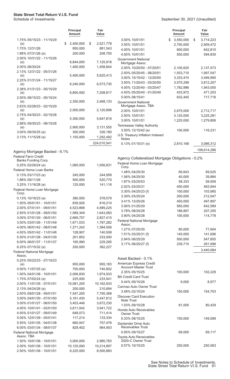|                                            | <b>Principal</b><br><b>Amount</b> | Fair<br>Value   |                                                   | <b>Principal</b><br><b>Amount</b> | Fair<br>Value      |
|--------------------------------------------|-----------------------------------|-----------------|---------------------------------------------------|-----------------------------------|--------------------|
| 1.75% 05/15/23 - 11/15/29                  |                                   |                 | 3.00% 10/01/51                                    | 3,550,000                         | \$<br>3,714,223    |
| (e)                                        | \$<br>2,450,000                   | \$<br>2,521,778 | 3.50% 10/01/51                                    | 2,750,000                         | 2,909,472          |
| 1.75% 12/31/26                             | 850,000                           | 881,543         | 4.00% 10/01/51                                    | 600,000                           | 642,810            |
| 1.88% 07/31/26 (e)                         | 200,000                           | 208,750         | 4.50% 10/01/51                                    | 550,000                           | 594,830            |
| 2.00% 10/31/22 - 11/15/26                  | 6,844,000                         | 7,125,918       | <b>Government National</b>                        |                                   |                    |
| (e)<br>2.00% 06/30/24                      | 1,400,000                         | 1,458,844       | Mortgage Assoc.                                   |                                   |                    |
| 2.13% 12/31/22 - 05/31/26                  |                                   |                 | 2.00% 10/20/50 - 07/20/51                         | 2,105,625                         | 2,137,573          |
| (e)                                        | 5,400,000                         | 5,625,413       | 2.50% 05/20/45 - 08/20/51                         | 1,933,710                         | 1,997,547          |
| 2.25% 01/31/24 - 11/15/27                  |                                   |                 | 3.00% 10/15/42 - 12/20/50                         | 3,333,474                         | 3,499,990          |
| (e)                                        | 6,240,000                         | 6,573,735       | 3.50% 11/20/43 - 03/20/50                         | 3,575,299                         | 3,812,207          |
| 2.38% 01/31/23 - 05/15/29                  |                                   |                 | 4.00% 12/20/40 - 03/20/47                         | 1,782,886                         | 1,943,055          |
| (e)                                        | 6,800,000                         | 7,208,817       | 4.50% 05/20/40 - 01/20/49<br>5.00% 08/15/41       | 433,972<br>632,445                | 471,253<br>717,716 |
| 2.50% 08/15/23 - 05/15/24<br>(e)           | 2,350,000                         | 2,468,133       | <b>Government National</b>                        |                                   |                    |
| 2.63% 02/28/23 - 02/15/29                  |                                   |                 | Mortgage Assoc. TBA                               |                                   |                    |
| (e)                                        | 2,000,000                         | 2,120,898       | 2.00% 10/01/51                                    | 2,675,000                         | 2,712,717          |
| 2.75% 04/30/23 - 02/15/28                  |                                   |                 | 2.50% 10/01/51                                    | 3,125,000                         | 3,225,281          |
| (e)                                        | 5,300,000                         | 5,647,816       | 3.00% 10/01/51                                    | 1,225,000                         | 1,279,806          |
| 2.88% 09/30/23 - 08/15/28                  |                                   |                 | Tennessee Valley Authority                        |                                   |                    |
| (e)                                        | 2,900,000                         | 3,131,555       | 3.50% 12/15/42 (e)                                | 100,000                           | 116,231            |
| 3.00% 09/30/25 (e)                         | 300,000                           | 326,180         | U.S. Treasury Inflation Indexed                   |                                   |                    |
| 3.13% 11/15/28 (e)                         | 1,150,000                         | 1,292,492       | <b>Notes</b>                                      |                                   |                    |
|                                            |                                   | 224,010,541     | 0.13% 01/15/31 (e)                                | 2,810,168                         | 3,086,312          |
| Agency Mortgage Backed - 6.1%              |                                   |                 |                                                   |                                   | 108,614,286        |
| <b>Federal Farm Credit</b>                 |                                   |                 |                                                   |                                   |                    |
| Banks Funding Corp.                        |                                   |                 | Agency Collateralized Mortgage Obligations - 0.2% |                                   |                    |
| 0.25% 02/26/24 (e)                         | 1,060,000                         | 1,056,831       | Federal Home Loan Mortgage<br>Corp.               |                                   |                    |
| Federal Home Loan Banks                    |                                   |                 | 1.48% 04/25/30                                    | 69,643                            | 69,025             |
| 0.13% 03/17/23 (e)                         | 245,000                           | 244,958         | 1.56% 04/25/30                                    | 40,000                            | 39,884             |
| 1.88% 09/11/26                             | 500,000                           | 520,770         | 1.87% 03/25/53                                    | 58,333                            | 59,509             |
| 3.25% 11/16/28 (e)                         | 125,000                           | 141,116         | 2.02% 03/25/31                                    | 450,000                           | 463,944            |
| Federal Home Loan Mortgage                 |                                   |                 | 3.30% 04/25/23 (f)                                | 100,000                           | 103,985            |
| Corp.                                      |                                   |                 | 3.39% 03/25/24                                    | 200,000                           | 212,047            |
| 0.13% 10/16/23 (e)                         | 380,000                           | 378,579         | 3.41% 12/25/26                                    | 450,000                           | 497,897            |
| 1.50% 05/01/51 - 10/01/51                  | 839,926                           | 816,210         | 3.56% 01/25/29                                    | 565,000                           | 642,589            |
| 2.00% 07/01/41 - 09/01/51                  | 4,523,868                         | 4,589,225       | 3.78% 08/25/28                                    | 186,897                           | 207,255            |
| 2.50% 01/01/28 - 09/01/50                  | 1,589,349                         | 1,643,083       | 3.90% 04/25/28                                    | 100,000                           | 114,778            |
| 3.00% 07/01/30 - 06/01/51                  | 2,669,757                         | 2,827,415       | <b>Federal National Mortgage</b>                  |                                   |                    |
| 3.50% 03/01/26 - 11/01/49                  | 1,671,033                         | 1,787,282       | Assoc.                                            |                                   |                    |
| 4.00% 06/01/42 - 08/01/48                  | 1,271,242                         | 1,384,556       | 1.27% 07/25/30                                    | 80,000                            | 77,604             |
| 4.50% 05/01/42 - 11/01/48                  | 128,907                           | 140,508         | 1.51% 03/25/31 (f)                                | 145,000                           | 141,696            |
| 5.50% 01/01/38 - 04/01/39                  | 201,852                           | 233,000         | 2.94% 06/25/29                                    | 500,000                           | 547,855            |
| 6.00% 06/01/37 - 11/01/37                  | 195,990                           | 229,295         | 3.17% 06/25/27 (f)                                | 239,715                           | 261,996            |
| 6.25% 07/15/32 (e)                         | 250,000                           | 362,227         |                                                   |                                   | 3,440,064          |
| <b>Federal National Mortgage</b><br>Assoc. |                                   |                 |                                                   |                                   |                    |
| 0.25% 05/22/23 - 07/10/23                  |                                   |                 | Asset Backed - 0.1%                               |                                   |                    |
| (e)                                        | 955,000                           | 955,183         | American Express Credit                           |                                   |                    |
| 0.50% 11/07/25 (e)                         | 750,000                           | 740,602         | <b>Account Master Trust</b>                       |                                   |                    |
| 1.50% 04/01/36 - 10/01/51                  | 2,006,830                         | 1,974,933       | 2.35% 05/15/25                                    | 100,000                           | 102,229            |
| 1.75% 07/02/24 (e)                         | 225,000                           | 233,041         | <b>BA Credit Card Trust</b>                       |                                   |                    |
| 2.00% 11/01/35 - 07/01/51                  | 10,081,205                        | 10,162,933      | 0.44% 09/15/26<br>Carmax Auto Owner Trust         | 9,000                             | 8,977              |
| 2.13% 04/24/26 (e)                         | 200,000                           | 210,694         | 3.48% 02/15/24                                    | 150,000                           | 154,703            |
| 2.50% 09/01/28 - 09/01/51                  | 7,547,205                         | 7,795,368       | <b>Discover Card Execution</b>                    |                                   |                    |
| 3.00% 04/01/30 - 07/01/50                  | 5,161,430                         | 5,447,812       | Note Trust                                        |                                   |                    |
| 3.50% 01/01/27 - 06/01/50                  | 3,453,446                         | 3,672,230       | 1.03% 09/15/28                                    | 81,000                            | 80,429             |
| 4.00% 10/01/41 - 02/01/50                  | 3,611,042                         | 3,941,722       | Honda Auto Receivables                            |                                   |                    |
| 4.50% 01/01/27 - 09/01/49                  | 648,073                           | 711,414         | <b>Owner Trust</b>                                |                                   |                    |
| 5.00% 12/01/39 - 05/01/41                  | 117,214                           | 133,334         | 0.33% 08/15/25                                    | 150,000                           | 149,589            |
| 5.50% 12/01/35 - 04/01/38                  | 660,547                           | 757,476         | Santander Drive Auto                              |                                   |                    |
| 6.00% 03/01/34 - 08/01/37                  | 828,402                           | 964,903         | Receivables Trust                                 |                                   |                    |
| Federal National Mortgage<br>Assoc. TBA    |                                   |                 | 0.95% 09/15/27                                    | 69,000                            | 69,117             |
| 1.50% 10/01/36 - 10/01/51                  | 3,000,000                         | 2,980,783       | Toyota Auto Receivables<br>2020-C Owner Trust     |                                   |                    |
| 2.00% 10/01/36 - 10/01/51                  | 10,125,000                        | 10,214,897      | 0.57% 10/15/25                                    | 250,000                           | 250,563            |
| 2.50% 10/01/36 - 10/01/51                  | 8,225,000                         | 8,500,883       |                                                   |                                   |                    |
|                                            |                                   |                 |                                                   |                                   |                    |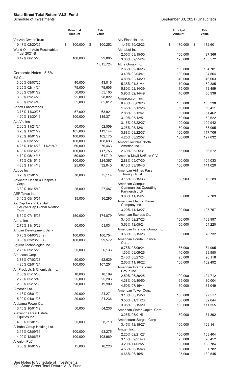|                                                        | <b>Principal</b><br><b>Amount</b> | Fair<br>Value |                                                 | <b>Principal</b><br><b>Amount</b> | Fair<br>Value |
|--------------------------------------------------------|-----------------------------------|---------------|-------------------------------------------------|-----------------------------------|---------------|
| Verizon Owner Trust                                    |                                   |               | Ally Financial Inc.                             |                                   |               |
| 0.47% 02/20/25<br>World Omni Auto Receivables          | 100,000<br>\$                     | \$<br>100,252 | 1.45% 10/02/23<br>Alphabet Inc.                 | \$<br>170,000                     | \$<br>172,601 |
| <b>Trust 2021-B</b>                                    |                                   |               | 2.05% 08/15/50                                  | 100,000                           | 87,366        |
| 0.42% 06/15/26                                         | 100,000                           | 99,865        | 3.38% 02/25/24                                  | 125,000                           | 133,572       |
|                                                        |                                   | 1,015,724     | Altria Group Inc.                               |                                   |               |
|                                                        |                                   |               | 2.63% 09/16/26                                  | 100,000                           | 104,701       |
| Corporate Notes - 5.5%                                 |                                   |               | 3.40% 02/04/41                                  | 100,000                           | 94,564        |
| 3M Co.                                                 |                                   |               | 4.80% 02/14/29                                  | 40,000                            | 46,003        |
| 3.00% 08/07/25                                         | 40,000                            | 43,016        | 5.38% 01/31/44                                  | 70,000                            | 82,385        |
| 3.25% 02/14/24                                         | 75,000                            | 79,606        | 5.80% 02/14/39                                  | 15,000                            | 18,459        |
| 3.38% 03/01/29                                         | 50,000                            | 55,100        | 5.95% 02/14/49                                  | 40,000                            | 50,936        |
| 3.63% 09/14/28                                         | 25,000                            | 28,022        | Amazon.com Inc.                                 |                                   |               |
| 4.00% 09/14/48                                         | 55,000                            | 65,612        | 0.40% 06/03/23                                  | 105,000                           | 105,238       |
| <b>Abbott Laboratories</b>                             |                                   |               | 1.65% 05/12/28                                  | 50,000                            | 50,411        |
| 3.75% 11/30/26                                         | 57,000<br>100,000                 | 63,921        | 2.88% 05/12/41                                  | 50,000                            | 51,462        |
| 4.90% 11/30/46<br>AbbVie Inc.                          |                                   | 135,371       | 3.10% 05/12/51                                  | 50,000                            | 52,622        |
| 2.60% 11/21/24                                         | 50,000                            | 52,559        | 3.15% 08/22/27                                  | 100,000                           | 109,942       |
| 3.20% 11/21/29                                         | 105,000                           | 113,144       | 3.25% 05/12/61                                  | 50,000                            | 53,095        |
| 3.25% 10/01/22                                         | 100,000                           | 102,175       | 3.88% 08/22/37                                  | 100,000                           | 117,706       |
| 3.80% 03/15/25                                         | 100,000                           | 108,633       | 4.25% 08/22/57                                  | 100,000                           | 127,032       |
| 4.25% 11/14/28 - 11/21/49                              | 60,000                            | 70,463        | Amcor Flexibles North<br>America Inc.           |                                   |               |
| 4.30% 05/14/36                                         | 100,000                           | 117,756       | 2.69% 05/25/31                                  | 65,000                            | 66,572        |
| 4.70% 05/14/45                                         | 50,000                            | 61,719        | America Movil SAB de C.V.                       |                                   |               |
| 4.75% 03/15/45                                         | 100,000                           | 124,367       | 2.88% 05/07/30                                  | 100,000                           | 104,033       |
| 4.88% 11/14/48                                         | 25,000                            | 32,040        | 6.13% 03/30/40                                  | 100,000                           | 141,020       |
| Adobe Inc.                                             |                                   |               | <b>American Airlines Pass</b><br>Through Trust  |                                   |               |
| 3.25% 02/01/25                                         | 70,000                            | 75,114        | 3.15% 08/15/33                                  | 68,903                            | 70,289        |
| Advocate Health & Hospitals<br>Corp.<br>3.39% 10/15/49 |                                   |               | American Campus<br><b>Communities Operating</b> |                                   |               |
| AEP Texas Inc.                                         | 25,000                            | 27,487        | Partnership LP                                  |                                   |               |
| 3.45% 05/15/51                                         | 35,000                            | 36,295        | 3.63% 11/15/27                                  | 30,000                            | 32,709        |
| AerCap Ireland Capital                                 |                                   |               | American Electric Power                         |                                   |               |
| DAC/AerCap Global Aviation                             |                                   |               | Company Inc.                                    |                                   |               |
| Trust                                                  |                                   |               | 3.20% 11/13/27                                  | 100,000                           | 107,757       |
| 6.50% 07/15/25                                         | 150,000                           | 174,079       | American Express Co.                            |                                   |               |
| Aetna Inc.                                             |                                   |               | 3.40% 02/27/23                                  | 100,000                           | 103,997       |
| 2.75% 11/15/22                                         | 50,000                            | 51,031        | 3.63% 12/05/24<br>American Financial Group Inc. | 50,000                            | 54,220        |
| African Development Bank                               |                                   |               | 3.50% 08/15/26                                  | 65,000                            |               |
| 0.75% 04/03/23 (e)                                     | 100,000                           | 100,754       | American Honda Finance                          |                                   | 70,732        |
| 0.88% 03/23/26 (e)                                     | 100,000                           | 99,572        | Corp.                                           |                                   |               |
| Agilent Technologies Inc.                              |                                   |               | 0.75% 08/09/24                                  | 35,000                            | 34,995        |
| 2.75% 09/15/29                                         | 25,000                            | 26,133        | 1.30% 09/09/26                                  | 40,000                            | 39,950        |
| Air Lease Corp.<br>3.88% 07/03/23                      | 50,000                            | 52,629        | 2.40% 06/27/24                                  | 25,000                            | 26,118        |
| 4.25% 02/01/24                                         | 100,000                           | 107,251       | 2.60% 11/16/22                                  | 100,000                           | 102,492       |
| Air Products & Chemicals Inc.                          |                                   |               | American International                          |                                   |               |
| 2.05% 05/15/30                                         | 10,000                            | 10,109        | Group Inc.                                      |                                   |               |
| 2.70% 05/15/40                                         | 25,000                            | 25,203        | 2.50% 06/30/25                                  | 100,000                           | 104,712       |
| 2.80% 05/15/50                                         | 20,000                            | 19,909        | 4.38% 06/30/50                                  | 65,000                            | 80,004        |
| Aircastle Ltd.                                         |                                   |               | 4.50% 07/16/44                                  | 50,000                            | 61,049        |
| 4.13% 05/01/24                                         | 20,000                            | 21,271        | American Tower Corp.                            |                                   |               |
| 5.00% 04/01/23                                         | 20,000                            | 21,236        | 3.10% 06/15/50                                  | 100,000                           | 97,517        |
| Alabama Power Co.                                      |                                   |               | 3.50% 01/31/23                                  | 50,000                            | 52,044        |
| 3.45% 10/01/49                                         | 50,000                            | 54,236        | 3.95% 03/15/29                                  | 100,000                           | 111,355       |
| Alexandria Real Estate                                 |                                   |               | American Water Capital Corp.<br>3.25% 06/01/51  | 50,000                            | 51,892        |
| Equities Inc.                                          |                                   |               | AmerisourceBergen Corp.                         |                                   |               |
| 4.00% 02/01/50                                         | 25,000                            | 28,710        | 3.45% 12/15/27                                  | 100,000                           | 109,141       |
| Alibaba Group Holding Ltd.                             |                                   |               | Amgen Inc.                                      |                                   |               |
| 3.15% 02/09/51                                         | 100,000                           | 93,275        | 2.20% 02/21/27                                  | 100,000                           | 103,404       |
| 4.00% 12/06/37                                         | 100,000                           | 108,969       | 3.15% 02/21/40                                  | 75,000                            | 76,452        |
| Allegion PLC                                           |                                   |               | 3.20% 11/02/27                                  | 100,000                           | 108,784       |
| 3.50% 10/01/29                                         | 15,000                            | 16,228        | 4.56% 06/15/48                                  | 50,000                            | 61,782        |
|                                                        |                                   |               | 4.66% 06/15/51                                  | 105,000                           | 132,545       |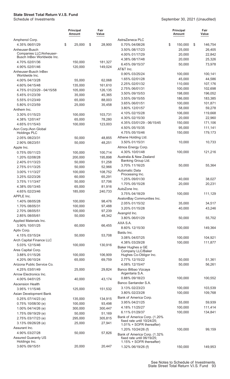|                                           | <b>Principal</b><br><b>Amount</b> | Fair<br>Value     |                                                        | Principal<br>Amount | Fair<br>Value |
|-------------------------------------------|-----------------------------------|-------------------|--------------------------------------------------------|---------------------|---------------|
| Amphenol Corp.                            |                                   |                   | AstraZeneca PLC                                        |                     |               |
| 4.35% 06/01/29                            | \$<br>25,000                      | \$<br>28,900      | 0.70% 04/08/26                                         | \$<br>150,000       | \$<br>146,754 |
| Anheuser-Busch<br>Companies LLC/Anheuser- |                                   |                   | 3.50% 08/17/23                                         | 25,000              | 26,405        |
| Busch InBev Worldwide Inc.                |                                   |                   | 4.00% 01/17/29                                         | 20,000              | 22,842        |
| 4.70% 02/01/36                            | 150,000                           | 181,327           | 4.38% 08/17/48                                         | 20,000              | 25,326        |
| 4.90% 02/01/46                            | 120,000                           | 149,024           | 6.45% 09/15/37                                         | 50,000              | 73,978        |
| Anheuser-Busch InBev                      |                                   |                   | AT&T Inc.                                              |                     |               |
| Worldwide Inc.                            |                                   |                   | 0.90% 03/25/24                                         | 100,000             | 100,141       |
| 4.00% 04/13/28                            | 55,000                            | 62,068            | 1.65% 02/01/28                                         | 45,000              | 44,586        |
| 4.60% 04/15/48                            | 135,000                           | 161,610           | 2.25% 02/01/32                                         | 110,000             | 107,176       |
| 4.75% 01/23/29 - 04/15/58                 | 105,000                           | 126,135           | 2.75% 06/01/31                                         | 100,000             | 102,698       |
| 5.45% 01/23/39                            | 35,000                            | 45,365            | 3.50% 09/15/53                                         | 198,000             | 196,052       |
| 5.55% 01/23/49                            | 65,000                            | 88,003            | 3.55% 09/15/55                                         | 186,000             | 183,385       |
| 5.80% 01/23/59                            | 25,000                            | 35,458            | 3.65% 06/01/51                                         | 100,000             | 101,871       |
| Anthem Inc.                               |                                   |                   | 3.80% 12/01/57                                         | 58,000              | 59,278        |
| 3.30% 01/15/23                            | 100,000                           | 103,731           | 4.10% 02/15/28                                         | 106,000             | 119,668       |
| 4.38% 12/01/47                            | 65,000                            | 78,280            | 4.30% 02/15/30                                         | 20,000              | 22,960        |
| 4.65% 01/15/43                            | 100,000                           | 123,003           | 4.35% 03/01/29 - 06/15/45                              | 150,000             | 171,106       |
| Aon Corp./Aon Global                      |                                   |                   | 4.50% 05/15/35                                         | 95,000              | 111,141       |
| <b>Holdings PLC</b>                       |                                   |                   | 4.75% 05/15/46                                         | 150,000             | 179,173       |
| 2.05% 08/23/31                            | 50,000                            | 48,855            | Athene Holding Ltd.                                    |                     |               |
| 2.90% 08/23/51                            | 50,000                            | 48,251            | 3.50% 01/15/31                                         | 10,000              | 10,733        |
| Apple Inc.                                |                                   |                   | Atmos Energy Corp.                                     |                     |               |
| 0.75% 05/11/23                            | 100,000                           | 100,714           | 4.30% 10/01/48                                         | 100,000             | 121,216       |
| 1.20% 02/08/28                            | 200,000                           | 195,898           | Australia & New Zealand                                |                     |               |
| 2.40% 01/13/23                            | 50,000                            | 51,258            | Banking Group Ltd.                                     |                     |               |
| 2.75% 01/13/25                            | 50,000                            | 52,966            | 3.70% 11/16/25                                         | 50,000              | 55,364        |
| 3.00% 11/13/27                            | 100,000                           | 108,752           | Automatic Data                                         |                     |               |
| 3.25% 02/23/26                            | 60,000                            | 65,291            | Processing Inc.                                        |                     |               |
| 3.75% 11/13/47                            | 50,000                            | 57,706            | 1.25% 09/01/30                                         | 40,000              | 38,027        |
| 4.38% 05/13/45                            | 65,000                            |                   | 1.70% 05/15/28                                         | 20,000              | 20,231        |
| 4.65% 02/23/46                            | 185,000                           | 81,916<br>240,733 | AutoZone Inc.                                          |                     |               |
|                                           |                                   |                   | 3.75% 04/18/29                                         | 100,000             | 111,129       |
| APPLE Inc.<br>1.40% 08/05/28              |                                   |                   | AvalonBay Communities Inc.                             |                     |               |
|                                           | 100,000                           | 98,476            | 2.05% 01/15/32                                         | 35,000              | 34,517        |
| 1.70% 08/05/31                            | 100,000                           | 97,488            | 3.20% 01/15/28                                         | 40,000              | 43,246        |
| 2.70% 08/05/51                            | 100,000                           | 97,239            | Avangrid Inc.                                          |                     |               |
| 2.85% 08/05/61                            | 50,000                            | 48,342            | 3.80% 06/01/29                                         | 50,000              | 55,702        |
| Applied Materials Inc.                    |                                   |                   | AXA S.A.                                               |                     |               |
| 3.90% 10/01/25                            | 60,000                            | 66,455            | 8.60% 12/15/30                                         | 100,000             | 149,364       |
| Aptiv Corp.                               |                                   |                   | Baidu Inc.                                             |                     |               |
| 4.15% 03/15/24                            | 50,000                            | 53,708            | 3.08% 04/07/25                                         | 100,000             | 104,921       |
| Arch Capital Finance LLC                  |                                   |                   | 4.38% 03/29/28                                         | 100,000             | 111,877       |
| 5.03% 12/15/46                            | 100,000                           | 130,916           | Baker Hughes a GE                                      |                     |               |
| Ares Capital Corp.                        |                                   |                   | Company LLC/Baker                                      |                     |               |
| 3.88% 01/15/26                            | 100,000                           | 106,909           | Hughes Co-Obligor Inc.                                 |                     |               |
| 4.20% 06/10/24                            | 65,000                            | 69,759            | 2.77% 12/15/22                                         | 50,000              | 51,361        |
| Arizona Public Service Co.                |                                   |                   | 4.08% 12/15/47                                         | 50,000              | 56,261        |
| 4.25% 03/01/49                            | 25,000                            | 29,824            | Banco Bilbao Vizcaya                                   |                     |               |
| Arrow Electronics Inc.                    |                                   |                   | Argentaria S.A.                                        |                     |               |
| 4.00% 04/01/25                            | 40,000                            | 43,174            | 0.88% 09/18/23                                         | 100,000             | 100,552       |
| <b>Ascension Health</b>                   |                                   |                   | Banco Santander S.A.                                   |                     |               |
| 3.95% 11/15/46                            | 125,000                           | 151,532           | 3.13% 02/23/23                                         | 100,000             | 103,539       |
| Asian Development Bank                    |                                   |                   | 3.80% 02/23/28                                         | 100,000             | 109,768       |
| 0.25% 07/14/23 (e)                        | 135,000                           | 134,915           | Bank of America Corp.                                  |                     |               |
| 0.75% 10/08/30 (e)                        | 100,000                           | 93,498            | 3.95% 04/21/25                                         | 55,000              | 59,939        |
| 1.00% 04/14/26 (e)                        | 300,000                           | 300,447           | 4.18% 11/25/27                                         | 100,000             | 111,414       |
| 1.75% 09/19/29 (e)                        | 50,000                            | 51,169            | 6.11% 01/29/37                                         | 100,000             | 134,841       |
| 2.75% 03/17/23 (e)                        | 295,000                           | 305,815           | Bank of America Corp. (1.20%                           |                     |               |
| 3.13% 09/26/28 (e)                        | 25,000                            | 27,941            | fixed rate until 10/24/25;<br>1.01% + SOFR thereafter) |                     |               |
| Assurant Inc.                             |                                   |                   | 1.20% 10/24/26 (f)                                     | 100,000             | 99,159        |
| 4.90% 03/27/28                            | 50,000                            | 57,826            | Bank of America Corp. (1.32%                           |                     |               |
| <b>Assured Guaranty US</b>                |                                   |                   | fixed rate until 06/19/25;                             |                     |               |
| Holdings Inc.                             |                                   |                   | 1.15% + SOFR thereafter)                               |                     |               |
| 3.60% 09/15/51                            | 20,000                            | 20,447            | 1.32% 06/19/26 (f)                                     | 150,000             | 149,953       |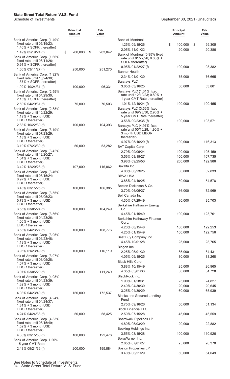|                                                                                                       | <b>Principal</b><br>Amount | Fair<br>Value |         |                                                                                                      | <b>Principal</b><br><b>Amount</b> | Fair<br>Value |
|-------------------------------------------------------------------------------------------------------|----------------------------|---------------|---------|------------------------------------------------------------------------------------------------------|-----------------------------------|---------------|
| Bank of America Corp. (1.49%<br>fixed rate until 05/19/23;<br>1.46% + SOFR thereafter)                |                            |               |         | <b>Bank of Montreal</b><br>1.25% 09/15/26                                                            | \$<br>100,000                     | 99,305<br>\$  |
| 1.49% 05/19/24 (f)<br>Bank of America Corp. (1.66%                                                    | \$<br>200,000              | \$            | 203,042 | 2.05% 11/01/22<br>Bank of Montreal (0.95% fixed<br>rate until 01/22/26; 0.60% +                      | 20,000                            | 20,386        |
| fixed rate until 03/11/26;<br>0.91% + SOFR thereafter)<br>1.66% 03/11/27 (f)                          | 250,000                    |               | 251,270 | SOFR thereafter)<br>$0.95\%$ 01/22/27 (f)                                                            | 100,000                           | 98,382        |
| Bank of America Corp. (1.92%<br>fixed rate until 10/24/30:                                            |                            |               |         | <b>Banner Health</b><br>2.34% 01/01/30<br><b>Barclays PLC</b>                                        | 75,000                            | 76,665        |
| 1.37% + SOFR thereafter)<br>1.92% 10/24/31 (f)<br>Bank of America Corp. (2.59%                        | 100,000                    |               | 96,331  | 3.65% 03/16/25<br>Barclays PLC (1.01% fixed                                                          | 50,000                            | 53,801        |
| fixed rate until 04/29/30;<br>2.15% + SOFR thereafter)<br>2.59% 04/29/31 (f)                          | 75,000                     |               | 76,503  | rate until 12/10/23; 0.80% +<br>1 year CMT Rate thereafter)<br>1.01% 12/10/24 (f)                    | 100,000                           | 100,455       |
| Bank of America Corp. (2.88%<br>fixed rate until 10/22/29;<br>$1.19% + 3$ month USD                   |                            |               |         | Barclays PLC (3.56% fixed<br>rate until 09/23/30; 2.90% +<br>5 year CMT Rate thereafter)             |                                   |               |
| LIBOR thereafter)<br>2.88% 10/22/30 (f)<br>Bank of America Corp. (3.19%<br>fixed rate until 07/23/29; | 100,000                    |               | 104,393 | 3.56% 09/23/35 (f)<br>Barclays PLC (4.97% fixed<br>rate until 05/16/28: 1.90% +<br>3 month USD LIBOR | 100,000                           | 103,571       |
| $1.18\% + 3$ month USD<br>LIBOR thereafter)<br>3.19% 07/23/30 (f)                                     | 50,000                     |               | 53,282  | thereafter)<br>4.97% 05/16/29 (f)                                                                    | 100,000                           | 116,313       |
| Bank of America Corp. (3.42%                                                                          |                            |               |         | <b>BAT Capital Corp.</b><br>2.79% 09/06/24                                                           | 100,000                           | 105,159       |
| fixed rate until 12/20/27;<br>$1.04\% + 3$ month USD                                                  |                            |               |         | 3.56% 08/15/27                                                                                       | 100,000                           | 107,735       |
| LIBOR thereafter)                                                                                     |                            |               |         | 3.98% 09/25/50                                                                                       | 200,000                           | 192,986       |
| 3.42% 12/20/28 (f)                                                                                    | 107,000                    |               | 116,062 | Baxalta Inc.<br>4.00% 06/23/25                                                                       | 30,000                            | 32,833        |
| Bank of America Corp. (3.46%<br>fixed rate until 03/15/24;                                            |                            |               |         | <b>BBVA USA</b>                                                                                      |                                   |               |
| $0.97\% + 3$ month USD<br>LIBOR thereafter)<br>3.46% 03/15/25 (f)                                     | 100,000                    |               | 106,385 | 3.88% 04/10/25<br>Becton Dickinson & Co.                                                             | 50,000                            | 54,578        |
| Bank of America Corp. (3.55%                                                                          |                            |               |         | 3.70% 06/06/27                                                                                       | 66,000                            | 72,969        |
| fixed rate until 03/05/23;<br>$0.78% + 3$ month USD<br>LIBOR thereafter)                              |                            |               |         | Bell Canada Inc.<br>4.30% 07/29/49<br><b>Berkshire Hathaway Energy</b>                               | 30,000                            | 35,703        |
| 3.55% 03/05/24 (f)                                                                                    | 100,000                    |               | 104,249 | Co.                                                                                                  |                                   |               |
| Bank of America Corp. (3.56%<br>fixed rate until 04/23/26;<br>$1.06\% + 3$ month USD                  |                            |               |         | 4.45% 01/15/49<br>Berkshire Hathaway Finance<br>Corp.                                                | 100,000                           | 123,761       |
| LIBOR thereafter)                                                                                     |                            |               |         | 4.20% 08/15/48                                                                                       | 100,000                           | 122,253       |
| 3.56% 04/23/27 (f)<br>Bank of America Corp. (3.95%                                                    | 100,000                    |               | 108,776 | 4.25% 01/15/49                                                                                       | 100,000                           | 122,756       |
| fixed rate until 01/23/48;<br>$1.19% + 3$ month USD<br>LIBOR thereafter)                              |                            |               |         | Best Buy Company Inc.<br>4.45% 10/01/28                                                              | 25,000                            | 28,765        |
| 3.95% 01/23/49 (f)                                                                                    | 100,000                    |               | 116,119 | Biogen Inc.<br>2.25% 05/01/30                                                                        | 85,000                            | 84,431        |
| Bank of America Corp. (3.97%<br>fixed rate until 03/05/28;<br>$1.07\% + 3$ month USD                  |                            |               |         | 4.05% 09/15/25<br>Black Hills Corp.                                                                  | 80,000                            | 88,268        |
| LIBOR thereafter)                                                                                     |                            |               |         | 3.88% 10/15/49                                                                                       | 25,000                            | 26,965        |
| 3.97% 03/05/29 (f)                                                                                    | 100,000                    |               | 111,249 | 4.35% 05/01/33                                                                                       | 30,000                            | 34,728        |
| Bank of America Corp. (4.08%<br>fixed rate until 04/23/39;                                            |                            |               |         | BlackRock Inc.<br>1.90% 01/28/31                                                                     | 25,000                            | 24,827        |
| $1.32\% + 3$ month USD                                                                                |                            |               |         | 2.40% 04/30/30                                                                                       | 20,000                            | 20,645        |
| LIBOR thereafter)<br>4.08% 04/23/40 (f)                                                               | 150,000                    |               | 172,537 | 3.25% 04/30/29                                                                                       | 60,000                            | 65,939        |
| Bank of America Corp. (4.24%                                                                          |                            |               |         | <b>Blackstone Secured Lending</b>                                                                    |                                   |               |
| fixed rate until 04/24/37;<br>$1.81\% + 3$ month USD<br>LIBOR thereafter)                             |                            |               |         | Fund<br>2.75% 09/16/26<br><b>Block Financial LLC</b>                                                 | 50,000                            | 51,134        |
| 4.24% 04/24/38 (f)                                                                                    | 50,000                     |               | 58,425  | 2.50% 07/15/28                                                                                       | 45,000                            | 45,559        |
| Bank of America Corp. (4.33%                                                                          |                            |               |         | <b>Boardwalk Pipelines LP</b>                                                                        |                                   |               |
| fixed rate until 03/15/49;<br>$1.52\% + 3$ month USD                                                  |                            |               |         | 4.80% 05/03/29                                                                                       | 20,000                            | 22,882        |
| LIBOR thereafter)                                                                                     |                            |               |         | Booking Holdings Inc.<br>3.55% 03/15/28                                                              | 100,000                           | 110,926       |
| 4.33% 03/15/50 (f)<br>Bank of America Corp. 1.20%                                                     | 100,000                    |               | 122,476 | BorgWarner Inc.                                                                                      |                                   |               |
| - 5 year CMT Rate                                                                                     |                            |               |         | 2.65% 07/01/27                                                                                       | 25,000                            | 26,370        |
| 2.48% 09/21/36 (f)                                                                                    | 200,000                    |               | 195,884 | <b>Boston Properties LP</b>                                                                          |                                   |               |
|                                                                                                       |                            |               |         | 3.40% 06/21/29                                                                                       | 50,000                            | 54,049        |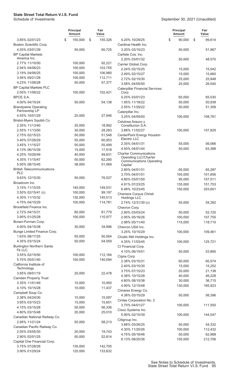|                                                 | <b>Principal</b><br>Amount | Fair<br>Value      |                                                               | <b>Principal</b><br><b>Amount</b> | Fair<br>Value      |
|-------------------------------------------------|----------------------------|--------------------|---------------------------------------------------------------|-----------------------------------|--------------------|
| 3.85% 02/01/23                                  | \$<br>150,000              | \$<br>155,326      | 4.20% 10/29/25                                                | \$<br>90,000                      | \$<br>99,614       |
| Boston Scientific Corp.                         |                            |                    | Cardinal Health Inc.                                          |                                   |                    |
| 4.55% 03/01/39                                  | 50,000                     | 60,725             | 3.20% 03/15/23                                                | 50,000                            | 51,967             |
| <b>BP Capital Markets</b><br>America Inc.       |                            |                    | Carlisle Cos. Inc.<br>2.20% 03/01/32                          | 50,000                            | 48,570             |
| 2.77% 11/10/50                                  | 100,000                    | 92,221             | Carrier Global Corp.                                          |                                   |                    |
| 2.94% 04/06/23                                  | 100,000                    | 103,755            | 2.24% 02/15/25                                                | 15,000                            | 15,542             |
| 3.19% 04/06/25                                  | 100,000                    | 106,980            | 2.49% 02/15/27                                                | 15,000                            | 15,660             |
| 3.94% 09/21/28                                  | 100,000                    | 112,711            | 2.72% 02/15/30                                                | 25,000                            | 25,848             |
| 4.23% 11/06/28                                  | 50,000                     | 57,377             | 3.58% 04/05/50                                                | 25,000                            | 26,540             |
| <b>BP Capital Markets PLC</b>                   |                            |                    | <b>Caterpillar Financial Services</b>                         |                                   |                    |
| 2.50% 11/06/22                                  | 100,000                    | 102,421            | Corp.                                                         |                                   |                    |
| BPCE S.A.                                       |                            |                    | 0.25% 03/01/23                                                | 65,000                            | 65,030             |
| 4.00% 04/15/24                                  | 50,000                     | 54,138             | 1.95% 11/18/22                                                | 50,000                            | 50,938             |
| <b>Brandywine Operating</b><br>Partnership LP   |                            |                    | 2.55% 11/29/22<br>Caterpillar Inc.                            | 50,000                            | 51,309             |
| 4.55% 10/01/29                                  | 25,000                     | 27,946             | 3.25% 04/09/50                                                | 100,000                           | 108,781            |
| Bristol-Myers Squibb Co.                        |                            |                    | Celulosa Arauco y                                             |                                   |                    |
| 2.35% 11/13/40                                  | 20,000                     | 18,992             | Constitucion S.A.                                             |                                   |                    |
| 2.55% 11/13/50                                  | 30,000                     | 28,283             | 3.88% 11/02/27                                                | 100,000                           | 107,829            |
| 2.75% 02/15/23                                  | 50,000                     | 51,548             | CenterPoint Energy Houston                                    |                                   |                    |
| 3.40% 07/26/29                                  | 55,000                     | 60,953             | <b>Electric LLC</b>                                           |                                   |                    |
| 3.45% 11/15/27                                  | 50,000                     | 55,499             | 2.35% 04/01/31                                                | 55,000                            | 56,066             |
| 4.13% 06/15/39                                  | 15,000                     | 17,918             | 4.50% 04/01/44                                                | 50,000                            | 63,388             |
| 4.25% 10/26/49                                  | 40,000                     | 49,631             | <b>Charter Communications</b><br><b>Operating LLC/Charter</b> |                                   |                    |
| 4.35% 11/15/47                                  | 50,000                     | 62,260             | <b>Communications Operating</b>                               |                                   |                    |
| 5.00% 08/15/45                                  | 38,000                     | 51,069             | Capital                                                       |                                   |                    |
| <b>British Telecommunications</b><br><b>PLC</b> |                            |                    | 2.80% 04/01/31                                                | 65,000                            | 65,287             |
| 9.63% 12/15/30                                  | 50,000                     | 76,527             | 3.70% 04/01/51<br>4.80% 03/01/50                              | 105,000                           | 101,656            |
| Broadcom Inc.                                   |                            |                    | 4.91% 07/23/25                                                | 95,000<br>135,000                 | 107,011<br>151,753 |
| 3.15% 11/15/25                                  | 140,000                    | 149,531            | 6.48% 10/23/45                                                | 150,000                           | 203,601            |
| 3.50% 02/15/41 (c)                              | 100,000                    | 99,197             | <b>Cheniere Corpus Christi</b>                                |                                   |                    |
| 4.30% 11/15/32                                  | 130,000                    | 145,513            | <b>Holdings LLC</b>                                           |                                   |                    |
| 4.75% 04/15/29                                  | 100,000                    | 114,781            | 2.74% 12/31/39 (c)                                            | 55,000                            | 54,392             |
| Brookfield Finance Inc.                         |                            |                    | Chevron Corp.                                                 |                                   |                    |
| 2.72% 04/15/31                                  | 80,000                     | 81,779             | 2.90% 03/03/24                                                | 50,000                            | 52,720             |
| 3.90% 01/25/28                                  | 100,000                    | 110,977            | 2.95% 05/16/26                                                | 100,000                           | 107,755            |
| Brown-Forman Corp.                              |                            | 34,996             | 2.98% 05/11/40                                                | 115,000                           | 118,710            |
| 4.00% 04/15/38<br>Bunge Limited Finance Corp.   | 30,000                     |                    | Chevron USA Inc.                                              |                                   |                    |
| 1.63% 08/17/25                                  | 50,000                     | 50,564             | 3.25% 10/15/29<br>Chubb INA Holdings Inc.                     | 100,000                           | 109,461            |
| 4.35% 03/15/24                                  | 50,000                     | 54,059             | 4.35% 11/03/45                                                | 100,000                           | 125,721            |
| <b>Burlington Northern Santa</b>                |                            |                    | CI Financial Corp.                                            |                                   |                    |
| Fe LLC                                          |                            |                    | 4.10% 06/15/51                                                | 50,000                            | 53,860             |
| 3.55% 02/15/50                                  | 100,000                    | 112,184            | Cigna Corp.                                                   |                                   |                    |
| 5.75% 05/01/40                                  | 100,000                    | 140,094            | 2.38% 03/15/31                                                | 60,000                            | 60,574             |
| California Institute of                         |                            |                    | 2.40% 03/15/30                                                | 15,000                            | 15,252             |
| Technology<br>3.65% 09/01/19                    | 20,000                     | 22,478             | 3.75% 07/15/23                                                | 20,000                            | 21,138             |
| <b>Camden Property Trust</b>                    |                            |                    | 4.38% 10/15/28                                                | 40,000                            | 46,228             |
| 3.35% 11/01/49                                  | 10,000                     | 10,950             | 4.80% 08/15/38                                                | 30,000                            | 36,715             |
| 4.10% 10/15/28                                  | 10,000                     | 11,437             | 4.90% 12/15/48                                                | 130,000                           | 165,923            |
| Campbell Soup Co.                               |                            |                    | Cimarex Energy Co.                                            |                                   |                    |
| 2.38% 04/24/30                                  | 15,000                     | 15,097             | 4.38% 03/15/29                                                | 50,000                            | 56,396             |
| 3.65% 03/15/23                                  | 15,000                     | 15,651             | Cintas Corporation No. 2                                      |                                   |                    |
| 4.15% 03/15/28                                  | 50,000                     | 56,336             | 3.70% 04/01/27                                                | 100,000                           | 111,550            |
| 4.80% 03/15/48                                  | 20,000                     | 25,010             | Cisco Systems Inc.<br>5.90% 02/15/39                          | 100,000                           | 144,547            |
| Canadian National Railway Co.                   |                            |                    | Citigroup Inc.                                                |                                   |                    |
| 2.95% 11/21/24                                  | 55,000                     | 58,213             | 3.88% 03/26/25                                                | 50,000                            | 54,332             |
| Canadian Pacific Railway Co.                    |                            |                    | 4.30% 11/20/26                                                | 100,000                           | 112,432            |
| 2.05% 03/05/30                                  | 20,000                     | 19,743             | 4.75% 05/18/46                                                | 50,000                            | 62,968             |
| 2.90% 02/01/25                                  | 50,000                     | 52,814             | 6.13% 08/25/36                                                | 155,000                           | 212,706            |
| Capital One Financial Corp.                     |                            |                    |                                                               |                                   |                    |
| 3.75% 07/28/26<br>3.90% 01/29/24                | 130,000<br>125,000         | 142,705<br>133,832 |                                                               |                                   |                    |
|                                                 |                            |                    |                                                               |                                   |                    |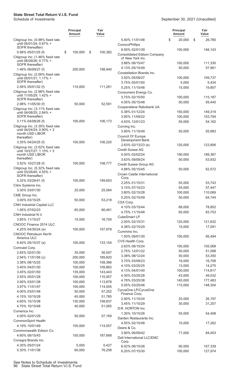|                                                               | <b>Principal</b><br>Amount | Fair<br>Value      |                                                        | <b>Principal</b><br>Amount | Fair<br>Value     |
|---------------------------------------------------------------|----------------------------|--------------------|--------------------------------------------------------|----------------------------|-------------------|
| Citigroup Inc. (0.98% fixed rate<br>until 05/01/24; 0.67% +   |                            |                    | 5.40% 11/01/48<br>ConocoPhillips                       | \$<br>20,000               | \$<br>26,780      |
| SOFR thereafter)<br>0.98% 05/01/25 (f)                        | \$<br>100,000              | \$<br>100,382      | 6.50% 02/01/39                                         | 100,000                    | 146,143           |
| Citigroup Inc. (1.46% fixed rate                              |                            |                    | <b>Consolidated Edison Company</b><br>of New York Inc. |                            |                   |
| until 06/09/26; 0.77% +<br>SOFR thereafter)                   |                            |                    | 3.88% 06/15/47                                         | 100,000                    | 111,330           |
| 1.46% 06/09/27 (f)                                            | 200,000                    | 198,940            | 4.13% 05/15/49                                         | 50,000                     | 57,961            |
| Citigroup Inc. (2.56% fixed rate                              |                            |                    | Constellation Brands Inc.<br>3.50% 05/09/27            | 100,000                    | 109,737           |
| until 05/01/31; 1.17% +<br>SOFR thereafter)                   |                            |                    | 3.75% 05/01/50                                         | 5,000                      | 5,434             |
| 2.56% 05/01/32 (f)                                            | 110,000                    | 111,261            | 5.25% 11/15/48                                         | 15,000                     | 19,807            |
| Citigroup Inc. (2.98% fixed rate<br>until 11/05/29; 1.42% +   |                            |                    | Consumers Energy Co.                                   |                            |                   |
| SOFR thereafter)                                              |                            |                    | 3.75% 02/15/50<br>4.05% 05/15/48                       | 100,000<br>50,000          | 115,187<br>59,440 |
| 2.98% 11/05/30 (f)                                            | 50,000                     | 52,591             | Cooperatieve Rabobank UA                               |                            |                   |
| Citigroup Inc. (3.11% fixed rate<br>until 04/08/25; 2.84% +   |                            |                    | 0.38% 01/12/24                                         | 150,000                    | 149,319           |
| SOFR thereafter)                                              |                            |                    | 3.95% 11/09/22                                         | 100,000                    | 103,794           |
| 3.11% 04/08/26 (f)                                            | 100,000                    | 106,173            | 4.63% 12/01/23                                         | 50,000                     | 54,162            |
| Citigroup Inc. (3.35% fixed rate<br>until 04/24/24; 0.90% + 3 |                            |                    | Corning Inc.<br>3.90% 11/15/49                         | 50,000                     | 55,883            |
| month USD LIBOR<br>thereafter)                                |                            |                    | Council Of Europe                                      |                            |                   |
| 3.35% 04/24/25 (f)                                            | 100,000                    | 106,220            | Development Bank                                       |                            |                   |
| Citigroup Inc. (3.52% fixed rate                              |                            |                    | 2.63% 02/13/23 (e)                                     | 120,000                    | 123,806           |
| until 10/27/27; 1.15% + 3<br>month USD LIBOR                  |                            |                    | <b>Credit Suisse AG</b><br>0.50% 02/02/24              | 190,000                    | 189,367           |
| thereafter)                                                   |                            |                    | 3.63% 09/09/24                                         | 50,000                     | 53,932            |
| 3.52% 10/27/28 (f)                                            | 100,000                    | 108,777            | Credit Suisse Group AG                                 |                            |                   |
| Citigroup Inc. (5.32% fixed rate<br>until 03/26/40; 4.55% +   |                            |                    | 4.88% 05/15/45                                         | 50,000                     | 62,572            |
| SOFR thereafter)                                              |                            |                    | Crown Castle International<br>Corp.                    |                            |                   |
| 5.32% 03/26/41 (f)                                            | 150,000                    | 199,603            | 2.25% 01/15/31                                         | 55,000                     | 53,743            |
| Citrix Systems Inc.                                           |                            |                    | 3.15% 07/15/23                                         | 55,000                     | 57,447            |
| 3.30% 03/01/30<br>CME Group Inc.                              | 25,000                     | 25,584             | 3.80% 02/15/28                                         | 100,000                    | 110,069           |
| 3.00% 03/15/25                                                | 50,000                     | 53,218             | 5.20% 02/15/49                                         | 50,000                     | 64,744            |
| <b>CNH Industrial Capital LLC</b>                             |                            |                    | CSX Corp.<br>4.10% 03/15/44                            | 68,000                     | 78,852            |
| 1.95% 07/02/23                                                | 65,000                     | 66,461             | 4.75% 11/15/48                                         | 65,000                     | 83,753            |
| CNH Industrial N.V.                                           |                            |                    | CubeSmart LP                                           |                            |                   |
| 3.85% 11/15/27<br>CNOOC Finance 2014 ULC                      | 15,000                     | 16,700             | 2.00% 02/15/31                                         | 125,000                    | 121,632           |
| 4.25% 04/30/24 (e)                                            | 100,000                    | 107,978            | 4.38% 02/15/29                                         | 15,000                     | 17,091            |
| <b>CNOOC Petroleum North</b>                                  |                            |                    | Cummins Inc.<br>1.50% 09/01/30                         | 100,000                    | 95,494            |
| America ULC                                                   |                            |                    | CVS Health Corp.                                       |                            |                   |
| 6.40% 05/15/37 (e)<br>Comcast Corp.                           | 100,000                    | 133,154            | 2.63% 08/15/24                                         | 100,000                    | 105,068           |
| 2.65% 02/01/30                                                | 35,000                     | 36,507             | 2.75% 12/01/22                                         | 50,000                     | 51,098            |
| 2.94% 11/01/56 (c)                                            | 200,000                    | 189,820            | 3.38% 08/12/24                                         | 50,000                     | 53,350            |
| 3.38% 08/15/25                                                | 100,000                    | 108,386            | 3.70% 03/09/23<br>4.10% 03/25/25                       | 16,000<br>13,000           | 16,708<br>14,275  |
| 3.40% 04/01/30                                                | 100,000                    | 109,862            | 4.13% 04/01/40                                         | 100,000                    | 114,817           |
| 3.45% 02/01/50<br>3.55% 05/01/28                              | 135,000<br>100,000         | 143,443<br>110,957 | 4.30% 03/25/28                                         | 43,000                     | 49,032            |
| 3.90% 03/01/38                                                | 100,000                    | 113,878            | 4.78% 03/25/38                                         | 145,000                    | 177,483           |
| 3.97% 11/01/47                                                | 100,000                    | 114,005            | 5.05% 03/25/48                                         | 115,000                    | 148,304           |
| 4.00% 03/01/48                                                | 50,000                     | 57,252             | CyrusOne LP/CyrusOne<br>Finance Corp.                  |                            |                   |
| 4.15% 10/15/28                                                | 45,000                     | 51,785             | 2.90% 11/15/24                                         | 25,000                     | 26,197            |
| 4.60% 10/15/38<br>4.70% 10/15/48                              | 130,000<br>40,000          | 158,837<br>51,065  | 3.45% 11/15/29                                         | 30,000                     | 31,257            |
| Comerica Inc.                                                 |                            |                    | D.R. HORTON Inc.                                       |                            |                   |
| 4.00% 02/01/29                                                | 50,000                     | 57,169             | 1.30% 10/15/26<br>Darden Restaurants Inc.              | 55,000                     | 54,408            |
| CommonSpirit Health                                           |                            |                    | 4.55% 02/15/48                                         | 15,000                     | 17,262            |
| 4.19% 10/01/49                                                | 100,000                    | 114,057            | Deere & Co.                                            |                            |                   |
| Commonwealth Edison Co.<br>4.60% 08/15/43                     | 150,000                    | 187,668            | 3.90% 06/09/42                                         | 71,000                     | 84,403            |
| Conagra Brands Inc.                                           |                            |                    | Dell International LLC/EMC<br>Corp.                    |                            |                   |
| 4.30% 05/01/24                                                | 5,000                      | 5,427              | 6.02% 06/15/26                                         | 90,000                     | 107,339           |
| 5.30% 11/01/38                                                | 60,000                     | 76,258             | 6.20% 07/15/30                                         | 100,000                    | 127,974           |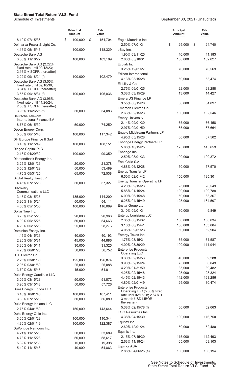|                                                                                   | <b>Principal</b><br>Amount | Fair<br>Value |                                                            | <b>Principal</b><br>Amount | Fair<br>Value     |
|-----------------------------------------------------------------------------------|----------------------------|---------------|------------------------------------------------------------|----------------------------|-------------------|
| 8.10% 07/15/36                                                                    | \$<br>100,000              | \$<br>151,704 | Eagle Materials Inc.                                       |                            |                   |
| Delmarva Power & Light Co.                                                        |                            |               | 2.50% 07/01/31                                             | \$<br>25,000               | \$<br>24,740      |
| 4.15% 05/15/45                                                                    | 100,000                    | 118,329       | eBay Inc.                                                  |                            |                   |
| Deutsche Bank AG                                                                  |                            |               | 1.90% 03/11/25                                             | 40,000                     | 41,183            |
| 3.30% 11/16/22                                                                    | 100,000                    | 103,109       | 2.60% 05/10/31                                             | 100,000                    | 102,027           |
| Deutsche Bank AG (2.22%<br>fixed rate until 09/18/23;<br>2.16% + SOFR thereafter) |                            |               | Ecolab Inc.<br>3.25% 12/01/27                              | 70,000                     | 76,569            |
| 2.22% 09/18/24 (f)                                                                | 100,000                    | 102,479       | Edison International                                       |                            |                   |
| Deutsche Bank AG (3.55%                                                           |                            |               | 4.13% 03/15/28                                             | 50,000                     | 53,474            |
| fixed rate until 09/18/30;<br>3.04% + SOFR thereafter)                            |                            |               | Eli Lilly & Co.<br>2.75% 06/01/25                          | 22,000                     | 23,288            |
| 3.55% 09/18/31 (f)                                                                | 100,000                    | 106,836       | 3.38% 03/15/29                                             | 13,000                     | 14,427            |
| Deutsche Bank AG (3.96%<br>fixed rate until 11/26/24;<br>2.58% + SOFR thereafter) |                            |               | Emera US Finance LP<br>3.55% 06/15/26                      | 60,000                     | 64,897            |
| 3.96% 11/26/25 (f)                                                                | 50,000                     | 54,083        | Emerson Electric Co.                                       |                            |                   |
| Deutsche Telekom                                                                  |                            |               | 2.63% 02/15/23                                             | 100,000                    | 102,546           |
| International Finance BV                                                          |                            |               | <b>Emory University</b>                                    |                            |                   |
| 8.75% 06/15/30                                                                    | 50,000                     | 74,250        | 2.14% 09/01/30                                             | 65,000                     | 66,158            |
| Devon Energy Corp.                                                                |                            |               | 2.97% 09/01/50                                             | 65,000                     | 67,664            |
| 5.00% 06/15/45                                                                    | 100,000                    | 117,342       | Enable Midstream Partners LP                               |                            |                   |
| DH Europe Finance II Sarl                                                         |                            |               | 4.95% 05/15/28                                             | 60,000                     | 67,502            |
| 3.40% 11/15/49                                                                    | 100,000                    | 108,151       | <b>Enbridge Energy Partners LP</b><br>5.88% 10/15/25       | 125,000                    | 145,659           |
| Diageo Capital PLC                                                                |                            |               | Enbridge Inc.                                              |                            |                   |
| 2.13% 04/29/32                                                                    | 100,000                    | 99,350        | 2.50% 08/01/33                                             | 100,000                    | 100,372           |
| Diamondback Energy Inc.                                                           |                            |               | Enel Chile S.A.                                            |                            |                   |
| 3.25% 12/01/26                                                                    | 20,000                     | 21,378        | 4.88% 06/12/28                                             | 50,000                     | 57,570            |
| 3.50% 12/01/29                                                                    | 50,000                     | 53,489        | Energy Transfer LP                                         |                            |                   |
| 4.75% 05/31/25                                                                    | 65,000                     | 72,538        | 6.50% 02/01/42                                             | 150,000                    | 195,301           |
| Digital Realty Trust LP<br>4.45% 07/15/28                                         | 50,000                     | 57,327        | <b>Energy Transfer Operating LP</b>                        |                            |                   |
| <b>Discovery</b>                                                                  |                            |               | 4.20% 09/15/23                                             | 25,000                     | 26,549            |
| <b>Communications LLC</b>                                                         |                            |               | 5.88% 01/15/24                                             | 100,000                    | 109,788           |
| 3.45% 03/15/25                                                                    | 135,000                    | 144,200       | 6.00% 06/15/48                                             | 50,000                     | 63,367            |
| 3.90% 11/15/24                                                                    | 50,000                     | 54,111        | 6.25% 04/15/49                                             | 125,000                    | 164,507           |
| 4.65% 05/15/50                                                                    | 100,000                    | 116,089       | Enstar Group Ltd.                                          |                            |                   |
| Dollar Tree Inc.                                                                  |                            |               | 3.10% 09/01/31                                             | 10,000                     | 9,849             |
| 3.70% 05/15/23                                                                    | 20,000                     | 20,966        | Entergy Louisiana LLC                                      |                            |                   |
| 4.00% 05/15/25                                                                    | 50,000                     | 54,663        | 2.35% 06/15/32                                             | 100,000                    | 100,034           |
| 4.20% 05/15/28                                                                    | 25,000                     | 28,276        | 3.10% 06/15/41                                             | 100,000                    | 103,084           |
| Dominion Energy Inc.                                                              |                            |               | 4.05% 09/01/23                                             | 50,000                     | 52,904            |
| 1.45% 04/15/26                                                                    | 40,000                     | 40,193        | Entergy Texas Inc.                                         |                            |                   |
| 2.25% 08/15/31                                                                    | 45,000                     | 44,886        | 1.75% 03/15/31<br>4.00% 03/30/29                           | 65,000<br>100,000          | 61,587<br>111,944 |
| 3.30% 04/15/41                                                                    | 30,000                     | 31,325        | <b>Enterprise Products</b>                                 |                            |                   |
| 4.25% 06/01/28<br>DTE Electric Co.                                                | 50,000                     | 56,752        | <b>Operating LLC</b>                                       |                            |                   |
| 2.25% 03/01/30                                                                    | 125,000                    | 126,874       | 3.30% 02/15/53                                             | 40,000                     | 39,288            |
| 2.95% 03/01/50                                                                    | 25,000                     | 25,088        | 3.90% 02/15/24                                             | 75,000                     | 80,049            |
| 3.70% 03/15/45                                                                    | 45,000                     | 51,011        | 4.20% 01/31/50                                             | 35,000                     | 39,482            |
| Duke Energy Carolinas LLC                                                         |                            |               | 4.25% 02/15/48                                             | 25,000                     | 28,324            |
| 3.05% 03/15/23                                                                    | 50,000                     | 51,872        | 4.45% 02/15/43                                             | 142,000                    | 163,286           |
| 3.95% 03/15/48                                                                    | 50,000                     | 57,726        | 4.80% 02/01/49                                             | 25,000                     | 30,474            |
| Duke Energy Florida LLC                                                           |                            |               | <b>Enterprise Products</b>                                 |                            |                   |
| 3.40% 10/01/46                                                                    | 100,000                    | 107,411       | Operating LLC (5.38% fixed<br>rate until 02/15/28; 2.57% + |                            |                   |
| 3.80% 07/15/28                                                                    | 50,000                     | 56,089        | 3 month USD LIBOR                                          |                            |                   |
| Duke Energy Indiana LLC                                                           |                            |               | thereafter)                                                |                            |                   |
| 2.75% 04/01/50                                                                    | 150,000                    | 143,644       | 5.38% 02/15/78 (f)                                         | 50,000                     | 52,063            |
| Duke Energy Ohio Inc.                                                             |                            |               | EOG Resources Inc.                                         |                            |                   |
| 3.65% 02/01/29                                                                    | 100,000                    | 110,344       | 4.38% 04/15/30                                             | 100,000                    | 116,750           |
| 4.30% 02/01/49                                                                    | 100,000                    | 122,387       | Equifax Inc.                                               |                            |                   |
| DuPont de Nemours Inc.                                                            |                            |               | 2.60% 12/01/24                                             | 50,000                     | 52,480            |
| 4.21% 11/15/23                                                                    | 50,000                     | 53,689        | Equinix Inc.<br>2.15% 07/15/30                             | 115,000                    | 112,493           |
| 4.73% 11/15/28                                                                    | 50,000                     | 58,617        | 2.63% 11/18/24                                             | 65,000                     | 68,103            |
| 5.32% 11/15/38                                                                    | 15,000                     | 19,398        | Equinor ASA                                                |                            |                   |
| 5.42% 11/15/48                                                                    | 40,000                     | 54,863        | 2.88% 04/06/25 (e)                                         | 100,000                    | 106,194           |
|                                                                                   |                            |               |                                                            |                            |                   |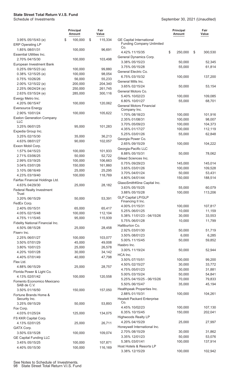|                                           | <b>Principal</b><br>Amount | Fair<br>Value |                                                                     | <b>Principal</b><br>Amount | Fair<br>Value |
|-------------------------------------------|----------------------------|---------------|---------------------------------------------------------------------|----------------------------|---------------|
| 3.95% 05/15/43 (e)                        | 100,000<br>\$              | \$<br>115,334 | <b>GE Capital International</b><br><b>Funding Company Unlimited</b> |                            |               |
| <b>ERP Operating LP</b><br>1.85% 08/01/31 | 100,000                    | 96,691        | Co.                                                                 |                            |               |
| <b>Essential Utilities Inc.</b>           |                            |               | 4.42% 11/15/35                                                      | \$<br>250,000              | \$<br>300,530 |
| 2.70% 04/15/30                            | 100,000                    | 103,498       | General Dynamics Corp.                                              |                            |               |
| European Investment Bank                  |                            |               | 3.38% 05/15/23                                                      | 50,000                     | 52,345        |
| 0.25% 09/15/23 (e)                        | 100,000                    | 99,880        | 3.75% 05/15/28                                                      | 55,000                     | 61,814        |
| 0.38% 12/15/25 (e)                        | 100,000                    | 98,054        | General Electric Co.                                                |                            |               |
| 0.75% 10/26/26                            | 56,000                     | 55,233        | 6.75% 03/15/32                                                      | 100,000                    | 137,200       |
| 2.00% 12/15/22 (e)                        | 200,000                    | 204,340       | General Mills Inc.                                                  |                            |               |
| 2.25% 06/24/24 (e)                        | 250,000                    | 261,745       | 3.65% 02/15/24                                                      | 50,000                     | 53,154        |
| 2.63% 03/15/24 (e)                        | 285,000                    | 300,116       | General Motors Co.                                                  |                            |               |
| Evergy Metro Inc.                         |                            |               | 5.40% 10/02/23                                                      | 100,000                    | 109,085       |
| 4.20% 06/15/47                            | 100,000                    | 120,062       | 6.80% 10/01/27                                                      | 55,000                     | 68,701        |
| <b>Eversource Energy</b>                  |                            |               | <b>General Motors Financial</b>                                     |                            |               |
| 2.90% 10/01/24                            | 100,000                    | 105,622       | Company Inc.                                                        |                            |               |
| <b>Exelon Generation Company</b>          |                            |               | 1.70% 08/18/23                                                      | 100,000                    | 101,916       |
| <b>LLC</b>                                |                            |               | 2.35% 01/08/31                                                      | 100,000                    | 98,007        |
| 3.25% 06/01/25                            | 95,000                     | 101,283       | 3.70% 05/09/23                                                      | 100,000                    | 104,373       |
| Expedia Group Inc.                        |                            |               | 4.35% 01/17/27                                                      | 100,000                    | 112,119       |
| 3.25% 02/15/30                            | 35,000                     | 36,213        | 5.25% 03/01/26                                                      | 55,000                     | 62,848        |
| 4.63% 08/01/27                            | 90,000                     | 102,057       | Georgia Power Co.                                                   |                            |               |
| Exxon Mobil Corp.                         |                            |               | 2.65% 09/15/29                                                      | 100,000                    | 104,222       |
| 1.57% 04/15/23                            | 100,000                    | 101,933       | Georgia-Pacific LLC                                                 |                            |               |
| 2.71% 03/06/25                            | 50,000                     | 52,722        | 8.88% 05/15/31                                                      | 50,000                     | 78,062        |
| 2.99% 03/19/25                            | 100,000                    | 106,663       | Gilead Sciences Inc.                                                |                            |               |
| 3.04% 03/01/26                            | 150,000                    | 161,860       | 0.75% 09/29/23                                                      | 145,000                    | 145,014       |
| 3.10% 08/16/49                            | 25,000                     | 25,295        | 3.65% 03/01/26                                                      | 100,000                    | 109,528       |
| 4.23% 03/19/40                            | 100,000                    | 118,769       | 3.70% 04/01/24                                                      | 50,000                     | 53,431        |
| Fairfax Financial Holdings Ltd.           |                            |               | 4.80% 04/01/44                                                      | 150,000                    | 188,514       |
| 4.63% 04/29/30                            | 25,000                     | 28,182        | GlaxoSmithKline Capital Inc.                                        |                            |               |
| <b>Federal Realty Investment</b>          |                            |               | 3.63% 05/15/25                                                      | 55,000                     | 60,079        |
| Trust                                     |                            |               | 3.88% 05/15/28                                                      | 100,000                    | 113,206       |
| 3.20% 06/15/29                            | 50,000                     | 53,391        | <b>GLP Capital LP/GLP</b>                                           |                            |               |
| FedEx Corp.                               |                            |               | Financing II Inc.                                                   |                            |               |
| 2.40% 05/15/31                            | 65,000                     | 65,417        | 4.00% 01/15/31                                                      | 100,000                    | 107,817       |
| 4.05% 02/15/48                            | 100,000                    | 112,104       | 5.25% 06/01/25                                                      | 10,000                     | 11,159        |
| 4.75% 11/15/45                            | 95,000                     | 115,939       | 5.38% 11/01/23 - 04/15/26                                           | 30,000                     | 33,553        |
| Fidelity National Financial Inc.          |                            |               | 5.75% 06/01/28                                                      | 10,000                     | 11,799        |
| 4.50% 08/15/28                            | 25,000                     | 28,458        | Halliburton Co.                                                     |                            |               |
| Fiserv Inc.                               |                            |               | 2.92% 03/01/30                                                      | 50,000                     | 51,719        |
| 2.25% 06/01/27                            | 100,000                    | 103,077       | 3.50% 08/01/23                                                      | 6,000                      | 6,285         |
| 3.50% 07/01/29                            | 45,000                     | 49,008        | 5.00% 11/15/45                                                      | 50,000                     | 59,852        |
| 3.80% 10/01/23                            | 25,000                     | 26,578        | Hasbro Inc.                                                         |                            |               |
| 4.20% 10/01/28                            | 30,000                     | 34,142        | 3.00% 11/19/24                                                      | 50,000                     | 52,944        |
| 4.40% 07/01/49                            | 40,000                     | 47,798        | HCA Inc.                                                            |                            |               |
| Flex Ltd.                                 |                            |               | 3.50% 07/15/51                                                      | 100,000                    | 99,200        |
| 4.88% 06/15/29                            | 25,000                     | 28,757        | 4.50% 02/15/27                                                      | 30,000                     | 33,772        |
| Florida Power & Light Co.                 |                            |               | 4.75% 05/01/23                                                      | 30,000                     | 31,881        |
| 4.13% 02/01/42                            | 100,000                    | 120,558       | 5.00% 03/15/24                                                      | 50,000                     | 54,841        |
| Fomento Economico Mexicano                |                            |               | 5.25% 04/15/25 - 06/15/26                                           | 70,000                     | 79,833        |
| SAB de C.V.                               |                            |               | 5.50% 06/15/47                                                      | 35,000                     | 45,194        |
| 3.50% 01/16/50                            | 150,000                    | 157,050       | Healthpeak Properties Inc.                                          |                            |               |
| Fortune Brands Home &                     |                            |               | 2.88% 01/15/31                                                      | 100,000                    | 104,261       |
| Security Inc.                             |                            |               | <b>Hewlett Packard Enterprise</b>                                   |                            |               |
| 3.25% 09/15/29                            | 50,000                     | 53,893        | Co.                                                                 |                            |               |
| Fox Corp.                                 |                            |               | 4.45% 10/02/23                                                      | 100,000                    | 107,130       |
| 4.03% 01/25/24                            | 125,000                    | 134,075       | 6.35% 10/15/45                                                      | 150,000                    | 202,041       |
| FS KKR Capital Corp.                      |                            |               | <b>Highwoods Realty LP</b>                                          |                            |               |
| 4.13% 02/01/25                            | 25,000                     | 26,711        | 4.20% 04/15/29                                                      | 25,000                     | 27,997        |
| GATX Corp.                                |                            |               | Honeywell International Inc.                                        |                            |               |
| 3.50% 03/15/28                            | 100,000                    | 109,074       | 2.70% 08/15/29                                                      | 30,000                     | 31,862        |
| <b>GE Capital Funding LLC</b>             |                            |               | 3.35% 12/01/23                                                      | 50,000                     | 53,076        |
| 3.45% 05/15/25                            | 100,000                    | 107,871       | 5.38% 03/01/41                                                      | 100,000                    | 137,914       |
| 4.40% 05/15/30                            | 100,000                    | 116,169       | Host Hotels & Resorts LP                                            |                            |               |
|                                           |                            |               | 3.38% 12/15/29                                                      | 100,000                    | 102,942       |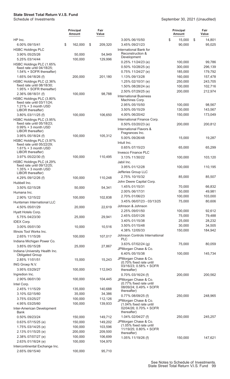|                                                        | <b>Principal</b><br><b>Amount</b> | Fair<br>Value |                                                   | Principal<br><b>Amount</b> | Fair<br>Value |
|--------------------------------------------------------|-----------------------------------|---------------|---------------------------------------------------|----------------------------|---------------|
| HP Inc.                                                |                                   |               | 3.00% 06/15/50                                    | \$<br>15,000               | \$<br>14,801  |
| 6.00% 09/15/41                                         | \$<br>162,000                     | \$<br>209,320 | 3.45% 09/21/23                                    | 90,000                     | 95,025        |
| <b>HSBC Holdings PLC</b><br>3.90% 05/25/26             | 50,000                            | 54,949        | International Bank for<br>Reconstruction &        |                            |               |
| 5.25% 03/14/44                                         | 100,000                           | 129,996       | Development                                       |                            |               |
| HSBC Holdings PLC (1.65%                               |                                   |               | $0.25\%$ 11/24/23 (e)                             | 100,000                    | 99,786        |
| fixed rate until 04/18/25;                             |                                   |               | 0.50% 10/28/25 (e)                                | 300,000                    | 296,139       |
| 1.54% + SOFR thereafter)                               |                                   |               | $0.75\%$ 11/24/27 (e)                             | 185,000                    | 179,792       |
| 1.65% 04/18/26 (f)                                     | 200,000                           | 201,180       | 1.13% 09/13/28                                    | 160,000                    | 157,478       |
| HSBC Holdings PLC (2.36%<br>fixed rate until 08/18/30; |                                   |               | 1.25% 02/10/31 (e)                                | 250,000                    | 243,705       |
| 1.95% + SOFR thereafter)                               |                                   |               | 1.50% 08/28/24 (e)                                | 100,000                    | 102,716       |
| 2.36% 08/18/31 (f)                                     | 100,000                           | 98,788        | 2.50% 07/29/25 (e)                                | 200,000                    | 212,974       |
| HSBC Holdings PLC (3.80%                               |                                   |               | <b>International Business</b><br>Machines Corp.   |                            |               |
| fixed rate until 03/11/24;                             |                                   |               | 2.95% 05/15/50                                    | 100,000                    | 98,567        |
| $1.21\% + 3$ month USD<br>LIBOR thereafter)            |                                   |               | 3.50% 05/15/29                                    | 130,000                    | 143,567       |
| 3.80% 03/11/25 (f)                                     | 100,000                           | 106,650       | 4.00% 06/20/42                                    | 150,000                    | 173,049       |
| HSBC Holdings PLC (3.95%                               |                                   |               | International Finance Corp.                       |                            |               |
| fixed rate until 05/18/23;                             |                                   |               | 0.50% 03/20/23 (e)                                | 200,000                    | 200,812       |
| $0.99\% + 3$ month USD                                 |                                   |               | International Flavors &                           |                            |               |
| LIBOR thereafter)                                      |                                   |               | Fragrances Inc.                                   |                            |               |
| 3.95% 05/18/24 (f)                                     | 100,000                           | 105,312       | 5.00% 09/26/48                                    | 15,000                     | 19,287        |
| HSBC Holdings PLC (3.97%<br>fixed rate until 05/22/29; |                                   |               | Intuit Inc.                                       |                            |               |
| $1.61\% + 3$ month USD                                 |                                   |               | 0.65% 07/15/23                                    | 65,000                     | 65,299        |
| LIBOR thereafter)                                      |                                   |               | <b>Invesco Finance PLC</b>                        |                            |               |
| 3.97% 05/22/30 (f)                                     | 100,000                           | 110,495       | 3.13% 11/30/22                                    | 100,000                    | 103,120       |
| HSBC Holdings PLC (4.29%                               |                                   |               | Jabil Inc.                                        |                            |               |
| fixed rate until 09/12/25;<br>1.35% + 3 month USD      |                                   |               | 3.95% 01/12/28                                    | 100,000                    | 110,195       |
| LIBOR thereafter)                                      |                                   |               | Jefferies Group LLC                               |                            |               |
| 4.29% 09/12/26 (f)                                     | 100,000                           | 110,248       | 2.75% 10/15/32                                    | 85,000                     | 85,507        |
| Hubbell Inc.                                           |                                   |               | John Deere Capital Corp.                          |                            |               |
| 3.50% 02/15/28                                         | 50,000                            | 54,341        | 1.45% 01/15/31                                    | 70,000                     | 66,832        |
| Humana Inc.                                            |                                   |               | 2.00% 06/17/31                                    | 50,000                     | 49,981        |
| 2.90% 12/15/22                                         | 100,000                           | 102,838       | 2.70% 01/06/23                                    | 100,000                    | 103,000       |
| Huntsman International LLC                             |                                   |               | 3.45% 06/07/23 - 03/13/25                         | 75,000                     | 80,606        |
| 4.50% 05/01/29                                         | 20,000                            | 22,619        | Johnson & Johnson                                 |                            |               |
| Hyatt Hotels Corp.                                     |                                   |               | 2.25% 09/01/50                                    | 100,000                    | 92,612        |
| 5.75% 04/23/30                                         | 25,000                            | 29,941        | 2.45% 03/01/26                                    | 75,000                     | 79,488        |
| <b>IDEX Corp.</b>                                      |                                   |               | 3.40% 01/15/38                                    | 25,000                     | 28,232        |
| 3.00% 05/01/30                                         | 10,000                            | 10,516        | 3.50% 01/15/48                                    | 30,000                     | 34,505        |
| Illinois Tool Works Inc.                               |                                   |               | 4.38% 12/05/33                                    | 150,000                    | 184,942       |
| 2.65% 11/15/26                                         | 100,000                           | 107,017       | Johnson Controls International<br><b>PLC</b>      |                            |               |
| Indiana Michigan Power Co.                             |                                   |               | 3.63% 07/02/24 (g)                                | 75,000                     | 80,059        |
| 3.85% 05/15/28                                         | 25,000                            | 27,867        | JPMorgan Chase & Co.                              |                            |               |
| Indiana University Health Inc.                         |                                   |               | 6.40% 05/15/38                                    | 100,000                    | 145,734       |
| <b>Obligated Group</b>                                 |                                   |               | JPMorgan Chase & Co.                              |                            |               |
| 2.85% 11/01/51                                         | 15,000                            | 15,243        | (0.70% fixed rate until                           |                            |               |
| ING Groep N.V.                                         |                                   |               | 03/16/23; 0.58% + SOFR                            |                            |               |
| 3.95% 03/29/27<br>Ingredion Inc.                       | 100,000                           | 112,043       | thereafter)                                       |                            |               |
| 2.90% 06/01/30                                         | 100,000                           | 104,445       | 0.70% 03/16/24 (f)                                | 200,000                    | 200,562       |
| Intel Corp.                                            |                                   |               | JPMorgan Chase & Co.<br>(0.77% fixed rate until   |                            |               |
| 2.45% 11/15/29                                         | 135,000                           | 140,688       | 08/09/24; 0.49% + SOFR                            |                            |               |
| 3.10% 02/15/60                                         | 35,000                            | 34,386        | thereafter)                                       |                            |               |
| 3.75% 03/25/27                                         | 100,000                           | 112,126       | 0.77% 08/09/25 (f)                                | 250,000                    | 248,965       |
| 4.95% 03/25/60                                         | 100,000                           | 139,933       | JPMorgan Chase & Co.                              |                            |               |
| Inter-American Development                             |                                   |               | (1.04% fixed rate until<br>02/04/26; 0.70% + SOFR |                            |               |
| Bank                                                   |                                   |               | thereafter)                                       |                            |               |
| 0.50% 09/23/24                                         | 150,000                           | 149,712       | 1.04% 02/04/27 (f)                                | 250,000                    | 245,257       |
| 0.63% 07/15/25 (e)                                     | 150,000                           | 149,202       | JPMorgan Chase & Co.                              |                            |               |
| 1.75% 03/14/25 (e)                                     | 100,000                           | 103,596       | (1.05% fixed rate until                           |                            |               |
| 2.13% 01/15/25 (e)                                     | 200,000                           | 209,500       | 11/19/25; 0.80% + SOFR<br>thereafter)             |                            |               |
| 2.38% 07/07/27 (e)                                     | 100,000                           | 106,699       | 1.05% 11/19/26 (f)                                | 150,000                    | 147,621       |
| 2.63% 01/16/24 (e)                                     | 100,000                           | 104,970       |                                                   |                            |               |
| Intercontinental Exchange Inc.                         |                                   |               |                                                   |                            |               |
| 2.65% 09/15/40                                         | 100,000                           | 95,710        |                                                   |                            |               |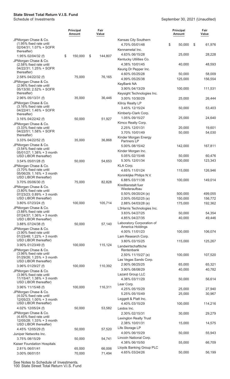#### September 30, 2021 (Unaudited)

|                                                                                          | <b>Principal</b><br><b>Amount</b> | Fair<br>Value |                                                           | <b>Principal</b><br><b>Amount</b> | Fair<br>Value      |
|------------------------------------------------------------------------------------------|-----------------------------------|---------------|-----------------------------------------------------------|-----------------------------------|--------------------|
| JPMorgan Chase & Co.<br>(1.95% fixed rate until<br>02/04/31; 1.07% + SOFR<br>thereafter) |                                   |               | Kansas City Southern<br>4.70% 05/01/48<br>Kennametal Inc. | \$<br>50,000                      | \$<br>61,976       |
| 1.95% 02/04/32 (f)                                                                       | \$<br>150,000                     | \$<br>144,807 | 4.63% 06/15/28<br>Kentucky Utilities Co.                  | 25,000                            | 28,228             |
| JPMorgan Chase & Co.<br>(2.58% fixed rate until<br>04/22/31; 1.25% + SOFR                |                                   |               | 4.38% 10/01/45<br>Keurig Dr Pepper Inc.                   | 40,000                            | 48,593             |
| thereafter)<br>2.58% 04/22/32 (f)                                                        | 75,000                            | 76,165        | 4.60% 05/25/28                                            | 50,000                            | 58,009             |
| JPMorgan Chase & Co.<br>(2.96% fixed rate until<br>05/13/30; 2.52% + SOFR                |                                   |               | 4.99% 05/25/38<br>KeyBank NA<br>3.90% 04/13/29            | 125,000<br>100,000                | 156,554<br>111,531 |
| thereafter)                                                                              |                                   |               | Keysight Technologies Inc.                                |                                   |                    |
| 2.96% 05/13/31 (f)<br>JPMorgan Chase & Co.<br>(3.16% fixed rate until                    | 35,000                            | 36,446        | 3.00% 10/30/29<br>Kilroy Realty LP<br>3.45% 12/15/24      | 25,000<br>50,000                  | 26,444<br>53,403   |
| 04/22/41; 1.46% + SOFR<br>thereafter)                                                    |                                   |               | Kimberly-Clark Corp.                                      |                                   |                    |
| 3.16% 04/22/42 (f)<br>JPMorgan Chase & Co.                                               | 50,000                            | 51,927        | 1.05% 09/15/27<br>Kimco Realty Corp.                      | 25,000                            | 24,640             |
| (3.33% fixed rate until<br>04/22/51; 1.58% + SOFR                                        |                                   |               | 2.25% 12/01/31                                            | 20,000                            | 19,601             |
| thereafter)<br>3.33% 04/22/52 (f)                                                        | 35,000                            | 36,868        | 3.70% 10/01/49<br>Kinder Morgan Energy                    | 50,000                            | 54,030             |
| JPMorgan Chase & Co.                                                                     |                                   |               | Partners LP<br>5.00% 08/15/42                             | 142,000                           | 167,811            |
| (3.54% fixed rate until<br>$05/01/27$ ; 1.38% + 3 month                                  |                                   |               | Kinder Morgan Inc.                                        |                                   |                    |
| USD LIBOR thereafter)                                                                    |                                   |               | 5.05% 02/15/46<br>5.30% 12/01/34                          | 50,000<br>100,000                 | 60,476<br>123,343  |
| 3.54% 05/01/28 (f)<br>JPMorgan Chase & Co.                                               | 50,000                            | 54,653        | KLA Corp.                                                 |                                   |                    |
| (3.70% fixed rate until                                                                  |                                   |               | 4.65% 11/01/24                                            | 115,000                           | 126,946            |
| 05/06/29; 1.16% + 3 month<br>USD LIBOR thereafter)                                       |                                   |               | Koninklijke Philips N.V.                                  |                                   |                    |
| 3.70% 05/06/30 (f)<br>JPMorgan Chase & Co.                                               | 75,000                            | 82,828        | 6.88% 03/11/38<br>Kreditanstalt fuer<br>Wiederaufbau      | 100,000                           | 149,014            |
| (3.80% fixed rate until<br>$07/23/23$ ; $0.89% + 3$ month                                |                                   |               | 0.50% 09/20/24 (e)                                        | 500,000                           | 499,055            |
| USD LIBOR thereafter)                                                                    |                                   |               | 2.00% 05/02/25 (e)                                        | 150,000                           | 156,772            |
| 3.80% 07/23/24 (f)<br>JPMorgan Chase & Co.                                               | 100,000                           | 105,714       | 2.88% 04/03/28 (e)                                        | 175,000                           | 192,362            |
| (3.88% fixed rate until                                                                  |                                   |               | L3Harris Technologies Inc.<br>3.83% 04/27/25              | 50,000                            | 54,354             |
| 07/24/37; 1.36% + 3 month<br>USD LIBOR thereafter)                                       |                                   |               | 4.85% 04/27/35                                            | 40,000                            | 49,446             |
| 3.88% 07/24/38 (f)                                                                       | 50,000                            | 57,140        | Laboratory Corporation of<br>America Holdings             |                                   |                    |
| JPMorgan Chase & Co.<br>(3.90% fixed rate until                                          |                                   |               | 4.00% 11/01/23                                            | 100,000                           | 106,074            |
| $01/23/48$ ; 1.22% + 3 month                                                             |                                   |               | Lam Research Corp.                                        |                                   |                    |
| USD LIBOR thereafter)<br>3.90% 01/23/49 (f)                                              | 100,000                           | 115,124       | 3.80% 03/15/25                                            | 115,000                           | 125,267            |
| JPMorgan Chase & Co.                                                                     |                                   |               | Landwirtschaftliche<br>Rentenbank                         |                                   |                    |
| (3.96% fixed rate until<br>01/29/26; 1.25% + 3 month                                     |                                   |               | 2.50% 11/15/27 (e)                                        | 100,000                           | 107,520            |
| USD LIBOR thereafter)                                                                    |                                   |               | Las Vegas Sands Corp.<br>2.90% 06/25/25                   | 65,000                            | 65,321             |
| 3.96% 01/29/27 (f)<br>JPMorgan Chase & Co.                                               | 100,000                           | 110,392       | 3.90% 08/08/29                                            | 40,000                            | 40,782             |
| (3.96% fixed rate until                                                                  |                                   |               | Lazard Group LLC                                          |                                   |                    |
| 11/15/47; 1.38% + 3 month<br>USD LIBOR thereafter)                                       |                                   |               | 4.38% 03/11/29                                            | 50,000                            | 56,614             |
| 3.96% 11/15/48 (f)                                                                       | 100,000                           | 116,311       | Lear Corp.<br>4.25% 05/15/29                              | 25,000                            | 27,940             |
| JPMorgan Chase & Co.<br>(4.02% fixed rate until                                          |                                   |               | 5.25% 05/15/49                                            | 25,000                            | 30,967             |
| $12/05/23$ ; 1.00% + 3 month                                                             |                                   |               | Leggett & Platt Inc.                                      |                                   |                    |
| USD LIBOR thereafter)<br>4.02% 12/05/24 (f)                                              | 50,000                            | 53,582        | 4.40% 03/15/29<br>Leidos Inc.                             | 100,000                           | 114,216            |
| JPMorgan Chase & Co.                                                                     |                                   |               | 2.30% 02/15/31                                            | 30,000                            | 29,279             |
| (4.45% fixed rate until<br>12/05/28; 1.33% + 3 month<br>USD LIBOR thereafter)            |                                   |               | <b>Lexington Realty Trust</b><br>2.38% 10/01/31           | 15,000                            | 14,575             |
| 4.45% 12/05/29 (f)                                                                       | 50,000                            | 57,520        | Life Storage LP                                           |                                   |                    |
| Juniper Networks Inc.                                                                    |                                   |               | 4.00% 06/15/29                                            | 50,000                            | 55,943             |
| 3.75% 08/15/29                                                                           | 50,000                            | 54,741        | Lincoln National Corp.<br>4.38% 06/15/50                  | 55,000                            | 66,709             |
| Kaiser Foundation Hospitals<br>2.81% 06/01/41                                            | 65,000                            | 66,006        | Lloyds Banking Group PLC                                  |                                   |                    |
| 3.00% 06/01/51                                                                           | 70,000                            | 71,494        | 4.65% 03/24/26                                            | 50,000                            | 56,199             |

See Notes to Schedule of Investments. 100 State Street Total Return V.I.S. Fund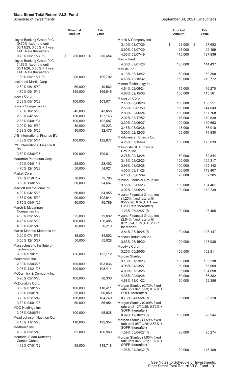|                                                          | <b>Principal</b><br>Amount | Fair<br>Value |                                                             | <b>Principal</b><br>Amount | Fair<br>Value     |
|----------------------------------------------------------|----------------------------|---------------|-------------------------------------------------------------|----------------------------|-------------------|
| Lloyds Banking Group PLC                                 |                            |               | Merck & Company Inc.                                        |                            |                   |
| (0.70% fixed rate until<br>$05/11/23$ ; $0.55% + 1$ year |                            |               | 3.40% 03/07/29                                              | \$<br>25,000               | \$<br>27,683      |
| CMT Rate thereafter)                                     |                            |               | 3.90% 03/07/39                                              | 25,000                     | 29,199            |
| 0.70% 05/11/24 (f)                                       | \$<br>200,000              | \$<br>200,454 | 4.00% 03/07/49                                              | 115,000                    | 137,836           |
| Lloyds Banking Group PLC                                 |                            |               | <b>Mercy Health</b>                                         |                            |                   |
| (1.63% fixed rate until<br>05/11/26; 0.85% + 1 year      |                            |               | 4.30% 07/01/28                                              | 100,000                    | 114,437           |
| CMT Rate thereafter)                                     |                            |               | MetLife Inc.                                                |                            |                   |
| 1.63% 05/11/27 (f)                                       | 200,000                    | 199,792       | 4.13% 08/13/42<br>6.50% 12/15/32                            | 50,000<br>150,000          | 59,390<br>210,772 |
| Lockheed Martin Corp.                                    |                            |               |                                                             |                            |                   |
| 2.80% 06/15/50                                           | 50,000                     | 49,562        | Micron Technology Inc.<br>4.64% 02/06/24                    | 15,000                     | 16,270            |
| 4.70% 05/15/46                                           | 150,000                    | 196,846       | 4.66% 02/15/30                                              | 100,000                    | 115,561           |
| Loews Corp.                                              |                            |               | Microsoft Corp.                                             |                            |                   |
| 2.63% 05/15/23                                           | 100,000                    | 103,071       | 2.40% 08/08/26                                              | 100,000                    | 106,251           |
| Lowe's Companies Inc.                                    |                            |               | 2.53% 06/01/50                                              | 150,000                    | 144,849           |
| 1.70% 10/15/30                                           | 45,000                     | 43,058        | 2.88% 02/06/24                                              | 150,000                    | 157,768           |
| 2.50% 04/15/26                                           | 130,000                    | 137,146       | 2.92% 03/17/52                                              | 115,000                    | 119,639           |
| 2.63% 04/01/31                                           | 100,000                    | 102,687       | 3.30% 02/06/27                                              | 100,000                    | 110,653           |
| 3.00% 10/15/50                                           | 30,000                     | 29,223        | 3.45% 08/08/36                                              | 48,000                     | 55,010            |
| 3.38% 09/15/25                                           | 30,000                     | 32,477        | 3.50% 02/12/35                                              | 65,000                     | 74,930            |
| LYB International Finance BV                             |                            |               | MidAmerican Energy Co.                                      |                            |                   |
| 4.88% 03/15/44                                           | 100,000                    | 122,877       | 4.25% 07/15/49                                              | 100,000                    | 123,639           |
| LYB International Finance II<br><b>BV</b>                |                            |               | Mitsubishi UFJ Financial                                    |                            |                   |
| 3.50% 03/02/27                                           | 100,000                    | 109,011       | Group Inc.                                                  |                            |                   |
| Marathon Petroleum Corp.                                 |                            |               | 2.76% 09/13/26                                              | 50,000                     | 52,844            |
| 4.50% 04/01/48                                           | 25,000                     | 28,402        | 3.46% 03/02/23                                              | 100,000                    | 104,317           |
| 4.75% 12/15/23                                           | 50,000                     | 54,021        | 3.96% 03/02/28                                              | 100,000                    | 112,142           |
| Markel Corp.                                             |                            |               | 4.05% 09/11/28                                              | 100,000                    | 113,407           |
| 3.45% 05/07/52                                           | 70,000                     | 72,705        | 4.15% 03/07/39                                              | 70,000                     | 82,305            |
| 3.50% 11/01/27                                           | 50,000                     | 54,667        | Mizuho Financial Group Inc.                                 |                            |                   |
| Marriott International Inc.                              |                            |               | 3.55% 03/05/23                                              | 100,000                    | 104,461           |
| 4.00% 04/15/28                                           | 50,000                     | 54,955        | 4.02% 03/05/28                                              | 100,000                    | 112,739           |
| 4.63% 06/15/30                                           | 90,000                     | 102,944       | Mizuho Financial Group Inc.<br>(1.23% fixed rate until      |                            |                   |
| 5.75% 05/01/25                                           | 40,000                     | 45,789        | 05/22/26; 0.67% + 1 year                                    |                            |                   |
| Marsh & McLennan                                         |                            |               | <b>CMT</b> Rate thereafter)                                 |                            |                   |
| Companies Inc.                                           |                            |               | 1.23% 05/22/27 (f)                                          | 100,000                    | 98,405            |
| 4.38% 03/15/29                                           | 25,000                     | 29,032        | Mizuho Financial Group Inc.<br>(2.84% fixed rate until      |                            |                   |
| 4.75% 03/15/39                                           | 100,000                    | 126,485       | 07/16/24; 1.24% + SOFR                                      |                            |                   |
| 4.90% 03/15/49                                           | 15,000                     | 20,210        | thereafter)                                                 |                            |                   |
| Martin Marietta Materials Inc.                           |                            |               | 2.84% 07/16/25 (f)                                          | 100,000                    | 105,147           |
| 3.20% 07/15/51                                           | 35,000                     | 34,802        | Mohawk Industries Inc.                                      |                            |                   |
| 3.50% 12/15/27                                           | 50,000                     | 55,028        | 3.63% 05/15/30                                              | 100,000                    | 108,936           |
| Massachusetts Institute of<br>Technology                 |                            |               | Moody's Corp.                                               |                            |                   |
| 3.89% 07/01/16                                           | 126,000                    | 152,112       | 3.25% 05/20/50                                              | 100,000                    | 102,811           |
| Mastercard Inc.                                          |                            |               | Morgan Stanley                                              |                            |                   |
| 2.00% 03/03/25                                           | 100,000                    | 103,836       | 3.13% 01/23/23                                              | 100,000                    | 103,538           |
| 2.95% 11/21/26                                           | 100,000                    | 108,414       | 3.95% 04/23/27                                              | 50,000                     | 55,609            |
| McCormick & Company Inc.                                 |                            |               | 4.00% 07/23/25                                              | 95,000<br>50,000           | 104,698<br>56,382 |
| 0.90% 02/15/26                                           | 100,000                    | 98,336        | 4.35% 09/08/26<br>4.88% 11/01/22                            | 50,000                     | 52,386            |
| McDonald's Corp.                                         |                            |               | Morgan Stanley (0.73% fixed                                 |                            |                   |
| 3.50% 07/01/27                                           | 100,000                    | 110,411       | rate until 04/05/23; 0.62% +                                |                            |                   |
| 3.63% 09/01/49                                           | 55,000                     | 60,050        | SOFR thereafter)                                            |                            |                   |
| 3.70% 02/15/42                                           | 150,000                    | 164,749       | 0.73% 04/05/24 (f)                                          | 95,000                     | 95,320            |
| 3.80% 04/01/28                                           | 50,000                     | 55,954        | Morgan Stanley (0.99% fixed                                 |                            |                   |
| MDC Holdings Inc.                                        |                            |               | rate until 12/10/25; 0.72% +<br>SOFR thereafter)            |                            |                   |
| 3.97% 08/06/61                                           | 100,000                    | 95,638        | 0.99% 12/10/26 (f)                                          | 100,000                    | 98,244            |
| Mead Johnson Nutrition Co.                               |                            |               | Morgan Stanley (1.59% fixed                                 |                            |                   |
| 4.13% 11/15/25                                           | 110,000                    | 122,354       | rate until 05/04/26; 2.53% +                                |                            |                   |
| Medtronic Inc.                                           |                            |               | SOFR thereafter)                                            |                            |                   |
| 4.63% 03/15/45                                           | 82,000                     | 106,960       | 1.59% 05/04/27 (f)                                          | 95,000                     | 95,274            |
| <b>Memorial Sloan-Kettering</b><br><b>Cancer Center</b>  |                            |               | Morgan Stanley (1.93% fixed<br>rate until 04/28/31; 1.02% + |                            |                   |
| 4.13% 07/01/52                                           | 95,000                     | 118,718       | SOFR thereafter)                                            |                            |                   |
|                                                          |                            |               | 1.93% 04/28/32 (f)                                          | 120,000                    | 115,189           |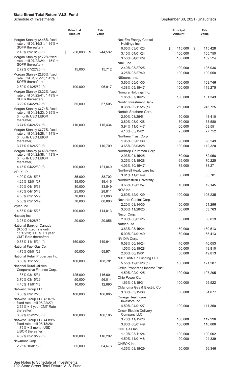|                                                                                   | <b>Principal</b><br>Amount | Fair<br>Value |                                                      | <b>Principal</b><br><b>Amount</b> | Fair<br>Value |
|-----------------------------------------------------------------------------------|----------------------------|---------------|------------------------------------------------------|-----------------------------------|---------------|
| Morgan Stanley (2.48% fixed<br>rate until 09/16/31; 1.36% +                       |                            |               | NextEra Energy Capital<br>Holdings Inc.              |                                   |               |
| SOFR thereafter)                                                                  |                            |               | 0.65% 03/01/23                                       | \$<br>115,000                     | 115,428<br>\$ |
| 2.48% 09/16/36 (f)<br>Morgan Stanley (2.72% fixed                                 | \$<br>250,000              | \$<br>244,532 | 3.15% 04/01/24                                       | 100,000                           | 105,750       |
| rate until 07/22/24; 1.15% +<br>SOFR thereafter)                                  |                            |               | 3.50% 04/01/29<br>NIKE Inc.                          | 100,000                           | 109,524       |
| 2.72% 07/22/25 (f)                                                                | 15,000                     | 15,712        | 2.40% 03/27/25                                       | 100,000                           | 105,036       |
| Morgan Stanley (2.80% fixed<br>rate until 01/25/51; 1.43% +                       |                            |               | 3.25% 03/27/40<br>NiSource Inc.                      | 100,000                           | 109,058       |
| SOFR thereafter)<br>2.80% 01/25/52 (f)                                            | 100,000                    | 96,917        | 3.60% 05/01/30                                       | 100,000                           | 109,746       |
| Morgan Stanley (3.22% fixed                                                       |                            |               | 4.38% 05/15/47                                       | 100,000                           | 119,275       |
| rate until 04/22/41; 1.49% +<br>SOFR thereafter)                                  |                            |               | Nomura Holdings Inc.<br>1.85% 07/16/25               | 100,000                           | 101,343       |
| 3.22% 04/22/42 (f)                                                                | 55,000                     | 57,505        | Nordic Investment Bank                               |                                   |               |
| Morgan Stanley (3.74% fixed                                                       |                            |               | 0.38% 09/11/25 (e)<br>Norfolk Southern Corp.         | 250,000                           | 245,725       |
| rate until 04/24/23; 0.85% +<br>3 month USD LIBOR                                 |                            |               | 2.90% 08/25/51                                       | 50,000                            | 48,410        |
| thereafter)                                                                       |                            |               | 3.80% 08/01/28                                       | 30,000                            | 33,580        |
| 3.74% 04/24/24 (f)                                                                | 110,000                    | 115,434       | 3.94% 11/01/47                                       | 60,000                            | 68,551        |
| Morgan Stanley (3.77% fixed                                                       |                            |               | 4.10% 05/15/21                                       | 25,000                            | 27,752        |
| rate until 01/24/28; 1.14% +<br>3 month USD LIBOR                                 |                            |               | Northern Trust Corp.                                 |                                   |               |
| thereafter)                                                                       |                            |               | 1.95% 05/01/30                                       | 90,000                            | 90,249        |
| 3.77% 01/24/29 (f)                                                                | 100,000                    | 110,709       | 3.65% 08/03/28                                       | 100,000                           | 112,320       |
| Morgan Stanley (4.46% fixed                                                       |                            |               | Northrop Grumman Corp.                               |                                   |               |
| rate until 04/22/38; 1.43% +                                                      |                            |               | 2.93% 01/15/25                                       | 50,000                            | 52,956        |
| 3 month USD LIBOR<br>thereafter)                                                  |                            |               | 3.25% 01/15/28                                       | 65,000                            | 70,225        |
| 4.46% 04/22/39 (f)                                                                | 100,000                    | 121,040       | 4.03% 10/15/47                                       | 75,000                            | 88,271        |
| <b>MPLX LP</b>                                                                    |                            |               | Northwell Healthcare Inc.                            |                                   |               |
| 4.00% 03/15/28                                                                    | 35,000                     | 38,702        | 3.81% 11/01/49                                       | 50,000                            | 55,701        |
| 4.25% 12/01/27                                                                    | 35,000                     | 39,416        | Northwestern University                              |                                   |               |
| 4.50% 04/15/38                                                                    | 30,000                     | 33,549        | 3.66% 12/01/57                                       | 10,000                            | 12,145        |
| 4.70% 04/15/48                                                                    | 25,000                     | 28,811        | NOV Inc.                                             |                                   |               |
| 4.80% 02/15/29                                                                    | 70,000                     | 81,066        | 3.60% 12/01/29                                       | 100,000                           | 105,235       |
| 5.50% 02/15/49                                                                    | 70,000                     | 88,803        | Novartis Capital Corp.                               |                                   |               |
| Mylan Inc.                                                                        |                            |               | 2.20% 08/14/30                                       | 50,000                            | 51,296        |
| 4.55% 04/15/28                                                                    | 100,000                    | 114,013       | 3.00% 11/20/25                                       | 50,000                            | 53,763        |
| Nasdag Inc.                                                                       |                            |               | Nucor Corp.<br>2.00% 06/01/25                        | 35,000                            | 36,019        |
| 3.25% 04/28/50                                                                    | 20,000                     | 20,056        | Nutrien Ltd.                                         |                                   |               |
| National Bank of Canada<br>(0.55% fixed rate until                                |                            |               | 3.63% 03/15/24                                       | 150,000                           | 159,513       |
| $11/15/23$ ; 0.40% + 1 year                                                       |                            |               | 5.00% 04/01/49                                       | 50,000                            | 65,413        |
| <b>CMT</b> Rate thereafter)                                                       |                            |               | NVIDIA Corp.                                         |                                   |               |
| 0.55% 11/15/24 (f)                                                                | 150,000                    | 149,641       | 0.58% 06/14/24                                       | 40,000                            | 40,053        |
| National Fuel Gas Co.                                                             |                            |               | 1.55% 06/15/28                                       | 50,000                            | 49,810        |
| 4.75% 09/01/28                                                                    | 50,000                     | 55,974        | 2.00% 06/15/31                                       | 50,000                            | 49,813        |
| National Retail Properties Inc.<br>3.60% 12/15/26                                 |                            |               | NXP BV/NXP Funding LLC                               |                                   |               |
| <b>National Rural Utilities</b>                                                   | 100,000                    | 108,781       | 5.55% 12/01/28 (c)                                   | 100,000                           | 121,287       |
| Cooperative Finance Corp.                                                         |                            |               | Office Properties Income Trust                       |                                   |               |
| 1.35% 03/15/31                                                                    | 125,000                    | 116,601       | 4.50% 02/01/25                                       | 100,000                           | 107,205       |
| 3.70% 03/15/29                                                                    | 50,000                     | 56,014        | Ohio Power Co.                                       |                                   |               |
| 4.40% 11/01/48                                                                    | 10,000                     | 12,690        | 1.63% 01/15/31                                       | 100,000                           | 95,522        |
| Natwest Group PLC                                                                 |                            |               | Oklahoma Gas & Electric Co.                          |                                   |               |
| 3.88% 09/12/23                                                                    | 100,000                    | 106,065       | 3.30% 03/15/30                                       | 50,000                            | 54,077        |
| Natwest Group PLC (3.07%<br>fixed rate until 05/22/27;<br>2.55% + 1 year CMT Rate |                            |               | Omega Healthcare<br>Investors Inc.<br>4.50% 04/01/27 | 100,000                           | 111,350       |
| thereafter)                                                                       |                            |               | <b>Oncor Electric Delivery</b>                       |                                   |               |
| 3.07% 05/22/28 (f)                                                                | 100,000                    | 106,105       | Company LLC                                          |                                   |               |
| Natwest Group PLC (4.89%                                                          |                            |               | 3.70% 11/15/28                                       | 100,000                           | 112,296       |
| fixed rate until 05/18/28;<br>$1.75% + 3$ month USD                               |                            |               | 3.80% 06/01/49                                       | 100,000                           | 116,806       |
| LIBOR thereafter)                                                                 |                            |               | ONE Gas Inc.                                         |                                   |               |
| 4.89% 05/18/29 (f)                                                                | 100,000                    | 116,292       | 1.10% 03/11/24                                       | 100,000                           | 100,002       |
| Newmont Corp.                                                                     |                            |               | 4.50% 11/01/48                                       | 20,000                            | 24,339        |
| 2.25% 10/01/30                                                                    | 65,000                     | 64,673        | ONEOK Inc.<br>4.35% 03/15/29                         | 50,000                            | 56,346        |
|                                                                                   |                            |               |                                                      |                                   |               |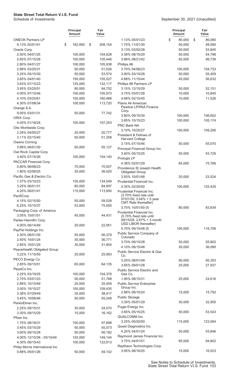|                                  | <b>Principal</b><br>Amount | Fair<br>Value |                                                     | <b>Principal</b><br><b>Amount</b> | Fair<br>Value |
|----------------------------------|----------------------------|---------------|-----------------------------------------------------|-----------------------------------|---------------|
| <b>ONEOK Partners LP</b>         |                            |               | 1.13% 05/01/23                                      | \$<br>85,000                      | \$<br>86,080  |
| 6.13% 02/01/41                   | \$<br>162,000              | \$<br>208,154 | 1.75% 11/01/30                                      | 50,000                            | 48,090        |
| Oracle Corp.                     |                            |               | 3.13% 03/02/28                                      | 50,000                            | 53,845        |
| 2.50% 04/01/25                   | 100,000                    | 104,628       | 3.38% 08/15/29                                      | 50,000                            | 54,798        |
| 2.65% 07/15/26                   | 100,000                    | 105,446       | 3.88% 08/21/42                                      | 92,000                            | 99,739        |
| 2.80% 04/01/27                   | 100,000                    | 105,938       | Phillips 66                                         |                                   |               |
| 2.88% 03/25/31                   | 50,000                     | 51,526        | 3.70% 04/06/23                                      | 100,000                           | 104,733       |
| 3.25% 05/15/30                   | 50,000                     | 53,574        | 3.90% 03/15/28                                      | 50,000                            | 55,459        |
| 3.60% 04/01/40                   | 150,000                    | 155,527       | 4.88% 11/15/44                                      | 45,000                            | 56,632        |
| 3.63% 07/15/23                   | 125,000                    | 132,117       | Phillips 66 Partners LP                             |                                   |               |
| 3.95% 03/25/51                   | 80,000                     | 84,752        | 3.15% 12/15/29                                      | 50,000                            | 52,151        |
| 4.00% 07/15/46                   | 100,000                    | 105,973       | 3.75% 03/01/28                                      | 10,000                            | 10,845        |
| 4.10% 03/25/61                   | 150,000                    | 160,488       | 4.68% 02/15/45                                      | 10,000                            | 11,526        |
| 4.30% 07/08/34                   | 100,000                    | 113,720       | Plains All American                                 |                                   |               |
| Orange S.A.                      |                            |               | Pipeline LP/PAA Finance                             |                                   |               |
| 9.00% 03/01/31                   | 50,000                     | 77,742        | Corp.                                               |                                   |               |
| ORIX Corp.                       |                            |               | 3.80% 09/15/30                                      | 100,000                           | 106,602       |
| 4.05% 01/16/24                   | 100,000                    | 107,253       | 3.85% 10/15/23                                      | 100,000                           | 105,174       |
| Otis Worldwide Corp.             |                            |               | PNC Bank NA                                         |                                   |               |
| 2.29% 04/05/27                   | 20,000                     | 20,777        | 3.10% 10/25/27                                      | 100,000                           | 109,206       |
| 3.11% 02/15/40                   | 50,000                     | 51,258        | President & Fellows of                              |                                   |               |
| Owens Corning                    |                            |               | <b>Harvard College</b>                              |                                   |               |
| 3.88% 06/01/30                   | 50,000                     | 55,127        | 3.15% 07/15/46                                      | 50,000                            | 55,070        |
| Owl Rock Capital Corp.           |                            |               | Principal Financial Group Inc.                      |                                   |               |
| 3.40% 07/15/26                   | 100,000                    |               | 3.40% 05/15/25                                      | 50,000                            | 53,729        |
|                                  |                            | 104,140       | Prologis LP                                         |                                   |               |
| PACCAR Financial Corp.           |                            |               | 4.38% 02/01/29                                      | 65,000                            | 75,766        |
| 0.80% 06/08/23                   | 70,000                     | 70,507        | Providence St Joseph Health                         |                                   |               |
| 1.80% 02/06/25                   | 35,000                     | 36,020        | <b>Obligated Group</b>                              |                                   |               |
| Pacific Gas & Electric Co.       |                            |               | 3.93% 10/01/48                                      | 20,000                            | 23,524        |
| 1.37% 03/10/23                   | 135,000                    | 134,549       | Prudential Financial Inc.                           |                                   |               |
| 3.25% 06/01/31                   | 85,000                     | 84,697        | 4.35% 02/25/50                                      | 100,000                           | 125,434       |
| 4.20% 06/01/41                   | 115,000                    | 113,950       | Prudential Financial Inc.                           |                                   |               |
| PacifiCorp                       |                            |               | (3.70% fixed rate until<br>07/01/30; 3.04% + 5 year |                                   |               |
| 4.15% 02/15/50                   | 50,000                     | 59,528        | CMT Rate thereafter)                                |                                   |               |
| 6.25% 10/15/37                   | 53,000                     | 75,055        | 3.70% 10/01/50 (f)                                  | 80,000                            | 83,834        |
| Packaging Corp. of America       |                            |               | Prudential Financial Inc.                           |                                   |               |
| 3.05% 10/01/51                   | 45,000                     | 44,431        | (5.70% fixed rate until                             |                                   |               |
| Parker-Hannifin Corp.            |                            |               | 09/15/28; 2.67% + 3 month<br>USD LIBOR thereafter)  |                                   |               |
| 4.00% 06/14/49                   | 20,000                     | 22,951        |                                                     |                                   |               |
| PayPal Holdings Inc.             |                            |               | 5.70% 09/15/48 (f)                                  | 100,000                           | 116,706       |
| 2.30% 06/01/30                   | 55,000                     | 56,379        | Public Service Company of<br>Colorado               |                                   |               |
| 2.40% 10/01/24                   | 35,000                     | 36,771        | 3.70% 06/15/28                                      | 50,000                            | 55,802        |
| 2.85% 10/01/29                   | 30,000                     | 31,954        | 4.10% 06/15/48                                      | 30,000                            | 36,080        |
| PeaceHealth Obligated Group      |                            |               | Public Service Electric & Gas                       |                                   |               |
| 3.22% 11/15/50                   | 25,000                     | 25,993        | Co.                                                 |                                   |               |
| PECO Energy Co.                  |                            |               | 3.20% 08/01/49                                      | 90,000                            | 95,353        |
| 2.85% 09/15/51                   | 65,000                     | 64,135        | 3.65% 09/01/28                                      | 25,000                            | 27,937        |
| PepsiCo Inc.                     |                            |               | Public Service Electric and                         |                                   |               |
| 2.25% 03/19/25                   | 100,000                    | 104,376       | Gas Co.                                             |                                   |               |
| 2.75% 03/01/23                   | 50,000                     | 51,768        | 1.90% 08/15/31                                      | 25,000                            | 24,616        |
| 2.88% 10/15/49                   | 25,000                     | 25,459        | <b>Public Service Enterprise</b>                    |                                   |               |
| 3.00% 10/15/27                   | 100,000                    | 109,435       | Group Inc.                                          |                                   |               |
| 3.38% 07/29/49                   | 35,000                     | 38,417        | 2.88% 06/15/24                                      | 15,000                            | 15,792        |
| 3.45% 10/06/46                   | 50,000                     | 55,248        | <b>Public Storage</b>                               |                                   |               |
| PerkinElmer Inc.                 |                            |               | 3.39% 05/01/29                                      | 30,000                            | 32,955        |
| 2.25% 09/15/31                   | 35,000                     | 34,570        | Puget Energy Inc.                                   |                                   |               |
| 3.30% 09/15/29                   | 15,000                     | 16,162        | 3.65% 05/15/25                                      | 50,000                            | 53,543        |
| Pfizer Inc.                      |                            |               | QUALCOMM Inc.                                       |                                   |               |
| 1.75% 08/18/31                   | 100,000                    | 97,698        | 3.25% 05/20/50                                      | 115,000                           | 123,064       |
| 3.45% 03/15/29                   | 50,000                     | 55,573        | Quest Diagnostics Inc.                              |                                   |               |
| 3.60% 09/15/28                   | 50,000                     | 56,182        | 4.25% 04/01/24                                      | 50,000                            | 53,846        |
| 4.00% 12/15/36 - 03/15/49        | 125,000                    | 149,144       | Raymond James Financial Inc.                        |                                   |               |
| 4.30% 06/15/43                   | 100,000                    | 122,613       | 3.75% 04/01/51                                      | 85,000                            | 94,602        |
| Philip Morris International Inc. |                            |               | Raytheon Technologies Corp.                         |                                   |               |
| 0.88% 05/01/26                   | 50,000                     | 49,102        | 3.95% 08/16/25                                      | 15,000                            | 16,523        |
|                                  |                            |               |                                                     |                                   |               |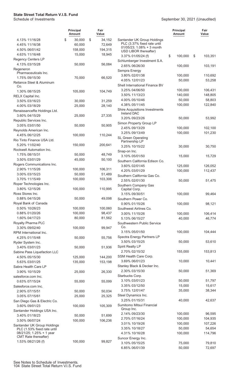|                                                         | <b>Principal</b><br>Amount | Fair<br>Value |                                                          | Principal<br><b>Amount</b> | Fair<br>Value      |
|---------------------------------------------------------|----------------------------|---------------|----------------------------------------------------------|----------------------------|--------------------|
| 4.13% 11/16/28                                          | \$<br>30,000               | \$<br>34,152  | Santander UK Group Holdings                              |                            |                    |
| 4.45% 11/16/38                                          | 60,000                     | 72,649        | PLC (3.37% fixed rate until<br>01/05/23; 1.08% + 3 month |                            |                    |
| 4.50% 06/01/42                                          | 158,000                    | 194,315       | USD LIBOR thereafter)                                    |                            |                    |
| 4.63% 11/16/48                                          | 15,000                     | 18,945        | 3.37% 01/05/24 (f)                                       | \$<br>100,000              | \$<br>103,351      |
| <b>Regency Centers LP</b>                               |                            |               | Schlumberger Investment S.A.                             |                            |                    |
| 4.13% 03/15/28                                          | 50,000                     | 56,084        | 2.65% 06/26/30                                           | 100,000                    | 103,191            |
| Regeneron                                               |                            |               | Sempra Energy                                            |                            |                    |
| Pharmaceuticals Inc.<br>1.75% 09/15/30                  | 70,000                     | 66,520        | 3.80% 02/01/38                                           | 100,000                    | 110,692            |
| Reliance Steel & Aluminum                               |                            |               | 4.05% 12/01/23                                           | 50,000                     | 53,258             |
| Co.                                                     |                            |               | Shell International Finance BV                           |                            |                    |
| 1.30% 08/15/25                                          | 105,000                    | 104,749       | 3.25% 04/06/50                                           | 100,000                    | 106,431            |
| RELX Capital Inc.                                       |                            |               | 3.50% 11/13/23                                           | 140,000                    | 148,805            |
| 3.50% 03/16/23                                          | 30,000                     | 31,259        | 4.00% 05/10/46                                           | 50,000                     | 58,803             |
| 4.00% 03/18/29                                          | 25,000                     | 28,140        | 4.38% 05/11/45                                           | 100,000                    | 122,840            |
| RenaissanceRe Holdings Ltd.                             |                            |               | <b>Shire Acquisitions Investments</b>                    |                            |                    |
| 3.60% 04/15/29                                          | 25,000                     | 27,335        | <b>Ireland DAC</b>                                       |                            |                    |
| Republic Services Inc.                                  |                            |               | 3.20% 09/23/26                                           | 50,000                     | 53,992             |
| 3.05% 03/01/50                                          | 50,000                     | 50,905        | Simon Property Group LP<br>2.45% 09/13/29                |                            |                    |
| Reynolds American Inc.                                  |                            |               | 3.25% 09/13/49                                           | 100,000<br>100,000         | 102,100<br>101,230 |
| 4.45% 06/12/25                                          | 100,000                    | 110,244       | SL Green Operating                                       |                            |                    |
| Rio Tinto Finance USA Ltd.                              |                            |               | Partnership LP                                           |                            |                    |
| 5.20% 11/02/40                                          | 150,000                    | 200,641       | 3.25% 10/15/22                                           | 30,000                     | 30,750             |
| Rockwell Automation Inc.                                |                            |               | Snap-on Inc.                                             |                            |                    |
| 1.75% 08/15/31                                          | 50,000                     | 48,749        | 3.10% 05/01/50                                           | 15,000                     | 15,729             |
| 3.50% 03/01/29                                          | 45,000                     | 50,100        | Southern California Edison Co.                           |                            |                    |
| Rogers Communications Inc.                              |                            |               | 3.60% 02/01/45                                           | 125,000                    | 126,052            |
| 2.90% 11/15/26                                          | 100,000                    | 106,311       | 4.20% 03/01/29                                           | 100,000                    | 112,437            |
| 3.00% 03/15/23                                          | 50,000                     | 51,489        | Southern California Gas Co.                              |                            |                    |
| 3.70% 11/15/49                                          | 100,000                    | 103,306       | 2.55% 02/01/30                                           | 50,000                     | 51,475             |
| Roper Technologies Inc.                                 |                            |               | Southern Company Gas                                     |                            |                    |
| 3.80% 12/15/26                                          | 100,000                    | 110,995       | Capital Corp.                                            |                            |                    |
| Ross Stores Inc.                                        |                            |               | 3.15% 09/30/51                                           | 100,000                    | 99,464             |
| 0.88% 04/15/26                                          | 50,000                     | 49,098        | Southern Power Co.                                       |                            |                    |
| Royal Bank of Canada                                    |                            |               | 0.90% 01/15/26                                           | 100,000                    | 98,121             |
| 0.50% 10/26/23                                          | 100,000                    | 100,060       | Southwest Airlines Co.                                   |                            |                    |
| 0.88% 01/20/26                                          | 100,000                    | 98,437        | 3.00% 11/15/26                                           | 100,000                    | 106,414            |
| 1.60% 04/17/23                                          | 80,000                     | 81,562        | 5.13% 06/15/27                                           | 40,000                     | 46,774             |
| Royalty Pharma PLC<br>3.30% 09/02/40                    | 100,000                    | 99,947        | Southwestern Public Service<br>Co.                       |                            |                    |
| RPM International Inc.                                  |                            |               | 3.15% 05/01/50                                           | 100,000                    | 104,444            |
| 4.25% 01/15/48                                          | 50,000                     | 55,756        | Spectra Energy Partners LP                               |                            |                    |
| Ryder System Inc.                                       |                            |               | 3.50% 03/15/25                                           | 50,000                     | 53,610             |
| 3.40% 03/01/23                                          | 50,000                     | 51,936        | Spirit Realty LP                                         |                            |                    |
| Sabine Pass Liquefaction LLC                            |                            |               | 2.70% 02/15/32                                           | 155,000                    | 153,813            |
| 4.50% 05/15/30                                          | 125,000                    | 144,200       | SSM Health Care Corp.                                    |                            |                    |
| 5.63% 03/01/25                                          | 135,000                    | 153,198       | 3.69% 06/01/23                                           | 10,000                     | 10,441             |
| Sabra Health Care LP                                    |                            |               | Stanley Black & Decker Inc.                              |                            |                    |
| 3.90% 10/15/29                                          | 25,000                     | 26,330        | 2.30% 03/15/30                                           | 50,000                     | 51,369             |
| salesforce.com Inc.                                     |                            |               | Starbucks Corp.                                          |                            |                    |
| 0.63% 07/15/24                                          | 55,000                     | 55,099        | 3.10% 03/01/23                                           | 50,000                     | 51,797             |
| Salesforce.com Inc.                                     |                            |               | 3.35% 03/12/50                                           | 15,000                     | 15,617             |
| 2.90% 07/15/51                                          | 50,000                     | 50,034        | 3.75% 12/01/47                                           | 35,000                     | 38,344             |
| 3.05% 07/15/61                                          | 25,000                     | 25,325        | Steel Dynamics Inc.                                      |                            |                    |
| San Diego Gas & Electric Co.                            |                            |               | 3.25% 01/15/31                                           | 40,000                     | 42,637             |
| 3.60% 09/01/23                                          | 100,000                    | 105,309       | Sumitomo Mitsui Financial                                |                            |                    |
| Santander Holdings USA Inc.                             |                            |               | Group Inc.                                               |                            |                    |
| 3.40% 01/18/23                                          | 50,000                     | 51,699        | 2.14% 09/23/30                                           | 100,000                    | 96,595             |
| 3.50% 06/07/24                                          | 100,000                    | 106,236       | 2.70% 07/16/24                                           | 100,000                    | 104,935            |
| Santander UK Group Holdings                             |                            |               | 3.01% 10/19/26<br>3.35% 10/18/27                         | 100,000<br>50,000          | 107,226            |
| PLC (1.53% fixed rate until<br>08/21/25; 1.25% + 1 year |                            |               | 4.31% 10/16/28                                           | 100,000                    | 54,654<br>114,796  |
| CMT Rate thereafter)                                    |                            |               | Suncor Energy Inc.                                       |                            |                    |
| 1.53% 08/21/26 (f)                                      | 100,000                    | 99,827        | 3.10% 05/15/25                                           | 75,000                     | 79,810             |
|                                                         |                            |               | 6.85% 06/01/39                                           | 50,000                     | 72,697             |
|                                                         |                            |               |                                                          |                            |                    |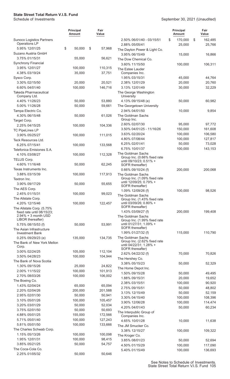|                                                   | <b>Principal</b><br><b>Amount</b> | Fair<br>Value     |                                                         | <b>Principal</b><br><b>Amount</b> | Fair<br>Value           |
|---------------------------------------------------|-----------------------------------|-------------------|---------------------------------------------------------|-----------------------------------|-------------------------|
| <b>Sunoco Logistics Partners</b><br>Operations LP |                                   |                   | 2.50% 06/01/40 - 03/15/51<br>2.88% 05/05/41             | \$<br>170,000<br>25,000           | \$<br>162,485<br>25,766 |
| 5.95% 12/01/25                                    | \$<br>50,000                      | \$<br>57,968      | The Dayton Power & Light Co.                            |                                   |                         |
| Suzano Austria GmbH                               |                                   |                   | 3.95% 06/15/49                                          | 15,000                            | 16,866                  |
| 3.75% 01/15/31                                    | 55,000                            | 56,621            | The Dow Chemical Co.                                    |                                   |                         |
| Synchrony Financial                               |                                   |                   | 3.60% 11/15/50                                          | 100,000                           | 106,311                 |
| 3.95% 12/01/27                                    | 100,000                           | 110,315           | The Estee Lauder                                        |                                   |                         |
| 4.38% 03/19/24                                    | 35,000                            | 37,751            | Companies Inc.                                          |                                   |                         |
| Sysco Corp.                                       |                                   |                   | 1.95% 03/15/31                                          | 45,000                            | 44,764                  |
| 3.30% 02/15/50                                    | 20,000                            | 20,521            | 2.38% 12/01/29                                          | 20,000                            | 20,760                  |
| 6.60% 04/01/40                                    | 100,000                           | 146,716           | 3.13% 12/01/49                                          | 30,000                            | 32,229                  |
| <b>Takeda Pharmaceutical</b><br>Company Ltd.      |                                   |                   | The George Washington<br>University                     |                                   |                         |
| 4.40% 11/26/23                                    | 50,000                            | 53,880            | 4.13% 09/15/48 (e)                                      | 50,000                            | 60,982                  |
| 5.00% 11/26/28                                    | 50,000                            | 59,661            | The Georgetown University                               |                                   |                         |
| Tampa Electric Co.                                |                                   |                   | 2.94% 04/01/50                                          | 10,000                            | 9,854                   |
| 4.30% 06/15/48                                    | 50,000                            | 61,026            | The Goldman Sachs<br>Group Inc.                         |                                   |                         |
| Target Corp.                                      |                                   |                   | 2.60% 02/07/30                                          | 95,000                            | 97,772                  |
| 2.25% 04/15/25                                    | 100,000                           | 104,336           | 3.50% 04/01/25 - 11/16/26                               | 150,000                           | 161,608                 |
| <b>TC PipeLines LP</b>                            |                                   |                   | 3.63% 02/20/24                                          | 100,000                           | 106,580                 |
| 3.90% 05/25/27                                    | 100,000                           | 111,015           | 4.80% 07/08/44                                          | 100,000                           | 127,817                 |
| Teck Resources Ltd.                               |                                   |                   | 6.25% 02/01/41                                          | 50,000                            | 73,028                  |
| 6.25% 07/15/41                                    | 100,000                           | 133,568           | 6.75% 10/01/37                                          | 100,000                           | 143,153                 |
| Telefonica Emisiones S.A.                         |                                   |                   | The Goldman Sachs                                       |                                   |                         |
| 4.10% 03/08/27                                    | 100,000                           | 112,328           | Group Inc. (0.66% fixed rate                            |                                   |                         |
| TELUS Corp.                                       |                                   |                   | until 09/10/23; 0.51% +                                 |                                   |                         |
| 4.60% 11/16/48<br>Texas Instruments Inc.          | 50,000                            | 62,245            | SOFR thereafter)                                        |                                   |                         |
| 3.88% 03/15/39                                    | 100,000                           | 117,913           | 0.66% 09/10/24 (f)                                      | 200,000                           | 200,068                 |
| Textron Inc.                                      |                                   |                   | The Goldman Sachs<br>Group Inc. (1.09% fixed rate       |                                   |                         |
| 3.90% 09/17/29                                    | 50,000                            | 55,655            | until 12/09/25; 0.79% +                                 |                                   |                         |
| The AES Corp.                                     |                                   |                   | SOFR thereafter)                                        |                                   |                         |
| 2.45% 01/15/31                                    | 100,000                           | 99,023            | 1.09% 12/09/26 (f)                                      | 100,000                           | 98,526                  |
| The Allstate Corp.                                |                                   |                   | The Goldman Sachs<br>Group Inc. (1.43% fixed rate       |                                   |                         |
| 4.20% 12/15/46                                    | 100,000                           | 122,457           | until 03/09/26; 0.80% +                                 |                                   |                         |
| The Allstate Corp. (5.75%                         |                                   |                   | SOFR thereafter)                                        |                                   |                         |
| fixed rate until 08/15/23;                        |                                   |                   | 1.43% 03/09/27 (f)                                      | 200,000                           | 199,408                 |
| $2.94\% + 3$ month USD                            |                                   |                   | The Goldman Sachs                                       |                                   |                         |
| LIBOR thereafter)<br>5.75% 08/15/53 (f)           | 50,000                            | 53,991            | Group Inc. (1.99% fixed rate<br>until 01/27/31; 1.09% + |                                   |                         |
| The Asian Infrastructure                          |                                   |                   | SOFR thereafter)                                        |                                   |                         |
| <b>Investment Bank</b>                            |                                   |                   | 1.99% 01/27/32 (f)                                      | 115,000                           | 110,790                 |
| 0.25% 09/29/23 (e)                                | 135,000                           | 134,735           | The Goldman Sachs                                       |                                   |                         |
| The Bank of New York Mellon                       |                                   |                   | Group Inc. (2.62% fixed rate                            |                                   |                         |
| Corp.                                             |                                   |                   | until 04/22/31; 1.28% +<br>SOFR thereafter)             |                                   |                         |
| 3.00% 02/24/25                                    | 105,000                           | 112,104           | 2.62% 04/22/32 (f)                                      | 70,000                            | 70,826                  |
| 3.50% 04/28/23                                    | 100,000                           | 104,944           | The Hershey Co.                                         |                                   |                         |
| The Bank of Nova Scotia                           |                                   |                   | 3.38% 05/15/23                                          | 50,000                            | 52,329                  |
| 1.30% 09/15/26                                    | 25,000                            | 24,822            | The Home Depot Inc.                                     |                                   |                         |
| 2.00% 11/15/22                                    | 100,000                           | 101,913           | 1.50% 09/15/28                                          | 50,000                            | 49,495                  |
| 2.70% 08/03/26                                    | 100,000                           | 106,002           | 1.88% 09/15/31                                          | 20,000                            | 19,652                  |
| The Boeing Co.                                    |                                   |                   | 2.38% 03/15/51                                          | 100,000                           | 90,920                  |
| 1.43% 02/04/24                                    | 65,000                            | 65,094            | 2.75% 09/15/51                                          | 50,000                            | 48,802                  |
| 2.20% 02/04/26                                    | 200,000                           | 201,588           | 3.13% 12/15/49                                          | 50,000                            | 52,159                  |
| 2.95% 02/01/30                                    | 50,000                            | 50,941            | 3.30% 04/15/40                                          | 100,000                           | 108,396                 |
| 3.10% 05/01/26                                    | 100,000                           | 105,457           | 3.90% 12/06/28                                          | 100,000                           | 114,474                 |
| 3.20% 03/01/29<br>3.75% 02/01/50                  | 50,000<br>50,000                  | 52,034            | 4.20% 04/01/43                                          | 50,000                            | 60,234                  |
| 4.88% 05/01/25                                    | 155,000                           | 50,693<br>172,566 | The Interpublic Group of                                |                                   |                         |
| 5.71% 05/01/40                                    | 100,000                           | 127,243           | Companies Inc.                                          |                                   |                         |
| 5.81% 05/01/50                                    | 100,000                           | 133,666           | 4.65% 10/01/28                                          | 10,000                            | 11,638                  |
| The Charles Schwab Corp.                          |                                   |                   | The JM Smucker Co.                                      |                                   |                         |
| 1.15% 05/13/26                                    | 100,000                           | 100,098           | 3.38% 12/15/27                                          | 100,000                           | 109,322                 |
| 1.95% 12/01/31                                    | 100,000                           | 98,415            | The Kroger Co.                                          |                                   |                         |
| 3.85% 05/21/25                                    | 50,000                            | 54,757            | 3.85% 08/01/23                                          | 50,000<br>100,000                 | 52,694                  |
| The Coca-Cola Co.                                 |                                   |                   | 4.50% 01/15/29<br>5.40% 01/15/49                        | 100,000                           | 117,090<br>136,693      |
| 2.25% 01/05/32                                    | 50,000                            | 50,646            |                                                         |                                   |                         |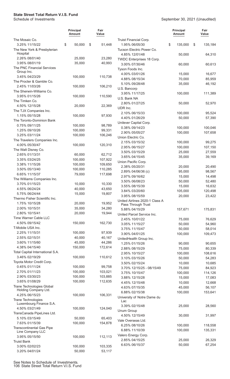|                                                      | Principal<br>Amount | Fair<br>Value      |                                                      | <b>Principal</b><br><b>Amount</b> | Fair<br>Value |
|------------------------------------------------------|---------------------|--------------------|------------------------------------------------------|-----------------------------------|---------------|
| The Mosaic Co.                                       |                     |                    | Truist Financial Corp.                               |                                   |               |
| 3.25% 11/15/22<br>The New York & Presbyterian        | \$<br>50,000        | \$<br>51,448       | 1.95% 06/05/30<br>Tucson Electric Power Co.          | \$<br>135,000                     | \$<br>135,184 |
| Hospital<br>2.26% 08/01/40                           | 25,000              | 23,280             | 4.85% 12/01/48<br>TWDC Enterprises 18 Corp.          | 50,000                            | 64,310        |
| 3.95% 08/01/19                                       | 35,000              | 40,993             | 3.00% 07/30/46                                       | 60,000                            | 60,613        |
| The PNC Financial Services<br>Group Inc.             |                     |                    | Tyson Foods Inc.                                     |                                   |               |
| 3.45% 04/23/29                                       | 100,000             | 110,738            | 4.00% 03/01/26                                       | 15,000                            | 16,677        |
| The Procter & Gamble Co.                             |                     |                    | 4.88% 08/15/34                                       | 70,000                            | 85,959        |
| 2.45% 11/03/26                                       | 100,000             | 106,210            | 5.10% 09/28/48                                       | 35,000                            | 46,192        |
| The Sherwin-Williams Co.                             |                     |                    | U.S. Bancorp                                         |                                   |               |
| 3.95% 01/15/26                                       | 100,000             | 110,590            | 3.95% 11/17/25                                       | 100,000                           | 111,389       |
| The Timken Co.                                       |                     |                    | U.S. Bank NA                                         |                                   |               |
| 4.50% 12/15/28                                       | 20,000              | 22,369             | 2.80% 01/27/25                                       | 50,000                            | 52,970        |
| The TJX Companies Inc.                               |                     |                    | UDR Inc.                                             |                                   |               |
| 1.15% 05/15/28                                       | 100,000             | 97,930             | 2.10% 06/15/33<br>4.40% 01/26/29                     | 100,000<br>50,000                 | 95,524        |
| The Toronto-Dominion Bank                            |                     |                    | Unilever Capital Corp.                               |                                   | 57,390        |
| 0.75% 09/11/25                                       | 100,000             | 98,789             | 0.38% 09/14/23                                       | 100,000                           | 100,046       |
| 1.25% 09/10/26                                       | 100,000             | 99,331             | 2.90% 05/05/27                                       | 100,000                           | 107,658       |
| 3.25% 03/11/24                                       | 100,000             | 106,246            | Union Electric Co.                                   |                                   |               |
| The Travelers Companies Inc.                         |                     |                    | 2.15% 03/15/32                                       | 100,000                           | 99,275        |
| 4.00% 05/30/47                                       | 100,000             | 120,310            | 2.95% 06/15/27                                       | 100,000                           | 107,150       |
| The Walt Disney Co.                                  |                     |                    | 3.50% 03/15/29                                       | 25,000                            | 27,559        |
| 2.65% 01/13/31                                       | 60,000              | 62,712             | 3.65% 04/15/45                                       | 35,000                            | 39,169        |
| 3.35% 03/24/25                                       | 100,000             | 107,922            | Union Pacific Corp.                                  |                                   |               |
| 3.38% 11/15/26                                       | 100,000             | 109,650            | 2.38% 05/20/31                                       | 20,000                            | 20,490        |
| 3.50% 05/13/40                                       | 100,000             | 110,285            | 2.89% 04/06/36 (c)                                   | 95,000                            | 98,567        |
| 6.65% 11/15/37                                       | 79,000              | 117,698            | 2.97% 09/16/62                                       | 15,000                            | 14,498        |
| The Williams Companies Inc.<br>3.70% 01/15/23        | 10,000              | 10,330             | 3.50% 06/08/23                                       | 50,000                            | 52,480        |
| 4.55% 06/24/24                                       | 40,000              | 43,650             | 3.55% 08/15/39                                       | 15,000                            | 16,632        |
| 5.75% 06/24/44                                       | 15,000              | 19,807             | 3.84% 03/20/60                                       | 105,000                           | 120,498       |
| Thermo Fisher Scientific Inc.                        |                     |                    | 3.95% 08/15/59                                       | 20,000                            | 23,422        |
| 1.75% 10/15/28                                       | 20,000              | 19,952             | United Airlines 2020-1 Class A<br>Pass Through Trust |                                   |               |
| 2.00% 10/15/31                                       | 35,000              | 34,280             | 5.88% 04/15/29                                       | 157,671                           | 175,831       |
| 2.80% 10/15/41                                       | 20,000              | 19,944             | United Parcel Service Inc.                           |                                   |               |
| Time Warner Cable LLC                                |                     |                    | 2.45% 10/01/22                                       | 75,000                            | 76,629        |
| 4.50% 09/15/42                                       | 150,000             | 162,730            | 3.05% 11/15/27                                       | 50,000                            | 54,960        |
| T-Mobile USA Inc.                                    |                     |                    | 3.75% 11/15/47                                       | 50,000                            | 58,014        |
| 2.25% 11/15/31                                       | 100,000             | 97,939             | 3.90% 04/01/25                                       | 100,000                           | 109,473       |
| 2.55% 02/15/31                                       | 40,000              | 40,167             | UnitedHealth Group Inc.                              |                                   |               |
| 3.60% 11/15/60                                       | 45,000              | 44,286             | 1.25% 01/15/26                                       | 90,000                            | 90,655        |
| 4.38% 04/15/40                                       | 150,000             | 172,614            | 2.88% 08/15/29                                       | 75,000                            | 80,339        |
| Total Capital International S.A.                     |                     |                    | 2.95% 10/15/27                                       | 100,000                           | 108,616       |
| 3.46% 02/19/29                                       | 100,000             | 110,612            | 3.10% 03/15/26                                       | 50,000                            | 54,283        |
| Toyota Motor Credit Corp.                            |                     |                    | 3.50% 02/15/24                                       | 10,000                            | 10,685        |
| 0.45% 01/11/24                                       | 100,000             | 99,758             | 3.70% 12/15/25 - 08/15/49                            | 75,000                            | 84,923        |
| 2.70% 01/11/23<br>2.90% 03/30/23                     | 100,000<br>100,000  | 103,021<br>103,885 | 3.75% 10/15/47                                       | 100,000                           | 114,126       |
| 3.65% 01/08/29                                       | 100,000             | 112,635            | 3.88% 12/15/28                                       | 15,000                            | 17,083        |
| Trane Technologies Global                            |                     |                    | 4.45% 12/15/48                                       | 10,000                            | 12,668        |
| Holding Company Ltd.                                 |                     |                    | 4.63% 07/15/35<br>6.88% 02/15/38                     | 45,000<br>100,000                 | 56,107        |
| 4.25% 06/15/23                                       | 100,000             | 106,331            | University of Notre Dame du                          |                                   | 153,641       |
| Trane Technologies<br>Luxembourg Finance S.A.        |                     |                    | Lac                                                  |                                   |               |
| 4.50% 03/21/49                                       | 100,000             | 124,040            | 3.39% 02/15/48<br>Unum Group                         | 25,000                            | 28,560        |
| TransCanada PipeLines Ltd.                           |                     |                    | 4.50% 12/15/49                                       | 30,000                            | 31,997        |
| 5.10% 03/15/49                                       | 50,000              | 65,403             | Vale Overseas Ltd.                                   |                                   |               |
| 7.63% 01/15/39                                       | 100,000             | 154,878            | 6.25% 08/10/26                                       | 100,000                           | 118,558       |
| <b>Transcontinental Gas Pipe</b><br>Line Company LLC |                     |                    | 6.88% 11/10/39                                       | 100,000                           | 135,331       |
| 3.95% 05/15/50                                       | 100,000             | 112,113            | Valero Energy Corp.                                  |                                   |               |
| <b>Truist Bank</b>                                   |                     |                    | 2.85% 04/15/25                                       | 25,000                            | 26,329        |
| 3.00% 02/02/23                                       | 100,000             | 103,335            | 6.63% 06/15/37                                       | 50,000                            | 67,254        |
| 3.20% 04/01/24                                       | 50,000              | 53,117             |                                                      |                                   |               |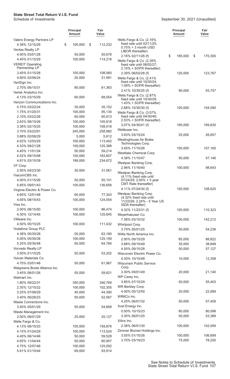|                                             | <b>Principal</b><br>Amount | Fair<br>Value      |                                                        | Principal<br><b>Amount</b> | Fair<br>Value    |
|---------------------------------------------|----------------------------|--------------------|--------------------------------------------------------|----------------------------|------------------|
| Valero Energy Partners LP<br>4.38% 12/15/26 | \$<br>100,000              | \$<br>112,232      | Wells Fargo & Co. (2.16%<br>fixed rate until 02/11/25; |                            |                  |
| Ventas Realty LP                            |                            |                    | $0.75% + 3$ month USD                                  |                            |                  |
| 4.00% 03/01/28                              | 50,000                     | 55,676             | LIBOR thereafter)                                      | 165,000                    | \$               |
| 4.40% 01/15/29                              | 100,000                    | 114,216            | 2.16% 02/11/26 (f)<br>Wells Fargo & Co. (2.39%         | \$                         | 170,300          |
| <b>VEREIT Operating</b>                     |                            |                    | fixed rate until 06/02/27;                             |                            |                  |
| Partnership LP                              |                            |                    | 2.10% + SOFR thereafter)                               |                            |                  |
| 3.40% 01/15/28                              | 100,000                    | 108,060            | 2.39% 06/02/28 (f)                                     | 120,000                    | 123,767          |
| 4.60% 02/06/24                              | 20,000                     | 21,581             | Wells Fargo & Co. (2.41%<br>fixed rate until 10/30/24; |                            |                  |
| VeriSign Inc.                               |                            |                    | 1.09% + SOFR thereafter)                               |                            |                  |
| 2.70% 06/15/31<br>Verisk Analytics Inc.     | 80,000                     | 81,363             | 2.41% 10/30/25 (f)                                     | 90,000                     | 93,747           |
| 4.13% 03/15/29                              | 60,000                     | 68,054             | Wells Fargo & Co. (2.87%                               |                            |                  |
| Verizon Communications Inc.                 |                            |                    | fixed rate until 10/30/29;<br>1.43% + SOFR thereafter) |                            |                  |
| 0.75% 03/22/24                              | 35,000                     | 35,152             | 2.88% 10/30/30 (f)                                     | 100,000                    | 104,590          |
| 1.75% 01/20/31                              | 100,000                    | 95,134             | Wells Fargo & Co. (3.07%                               |                            |                  |
| 2.10% 03/22/28                              | 60,000                     | 60,913             | fixed rate until 04/30/40;                             |                            |                  |
| 2.63% 08/15/26                              | 100,000                    | 105,818            | 2.53% + SOFR thereafter)                               |                            |                  |
| 3.38% 02/15/25                              | 100,000                    | 108,018            | 3.07% 04/30/41 (f)                                     | 165,000                    | 169,830          |
| 3.70% 03/22/61                              | 245,000                    | 258,982            | Welltower Inc.                                         |                            |                  |
| 3.88% 02/08/29                              | 5,000                      | 5,612              | 3.63% 03/15/24                                         | 25,000                     | 26,657           |
| 4.02% 12/03/29                              | 100,000                    | 113,402            | Westinghouse Air Brake<br>Technologies Corp.           |                            |                  |
| 4.33% 09/21/28                              | 109,000                    | 125,388            | 3.45% 11/15/26                                         | 100,000                    | 107,160          |
| 4.40% 11/01/34                              | 50,000                     | 59,214             | Westlake Chemical Corp.                                |                            |                  |
| 4.52% 09/15/48                              | 150,000                    | 183,607            | 4.38% 11/15/47                                         | 50,000                     | 57,146           |
| 4.81% 03/15/39                              | 189,000                    | 234,672            | Westpac Banking Corp.                                  |                            |                  |
| VF Corp.                                    |                            |                    | 2.96% 11/16/40                                         | 100,000                    | 98,643           |
| 2.95% 04/23/30<br>ViacomCBS Inc.            | 30,000                     | 31,561             | Westpac Banking Corp.                                  |                            |                  |
| 4.00% 01/15/26                              | 50,000                     | 55,101             | (4.11% fixed rate until<br>07/24/29; 2.00% + 5 year    |                            |                  |
| 5.85% 09/01/43                              | 100,000                    | 136,656            | CMT Rate thereafter)                                   |                            |                  |
| Virginia Electric & Power Co.               |                            |                    | 4.11% 07/24/34 (f)                                     | 100,000                    | 108,625          |
| 4.60% 12/01/48                              | 60,000                     | 77,343             | Westpac Banking Corp.                                  |                            |                  |
| 4.65% 08/15/43                              | 100,000                    | 124,554            | (4.32% fixed rate until<br>11/23/26; 2.24% - 5 Year US |                            |                  |
| Visa Inc.                                   |                            |                    | ISDA thereafter)                                       |                            |                  |
| 2.00% 08/15/50                              | 100,000                    | 86,474             | 4.32% 11/23/31 (f)                                     | 100,000                    | 110,323          |
| 4.30% 12/14/45                              | 100,000                    | 125,645            | Weyerhaeuser Co.                                       |                            |                  |
| VMware Inc.                                 |                            |                    | 7.38% 03/15/32                                         | 100,000                    | 142,212          |
| 4.50% 05/15/25                              | 100,000                    | 111,432            | Whirlpool Corp.                                        |                            |                  |
| Vodafone Group PLC                          |                            |                    | 3.70% 05/01/25                                         | 50,000                     | 54,236           |
| 4.38% 05/30/28                              | 55,000                     | 63,180             | Willis North America Inc.                              |                            |                  |
| 5.00% 05/30/38                              | 100,000                    | 125,199            | 2.95% 09/15/29                                         | 85,000                     | 88,822           |
| 5.25% 05/30/48<br>Vornado Realty LP         | 50,000                     | 64,784             | 3.88% 09/15/49                                         | 35,000                     | 38,848           |
| 3.50% 01/15/25                              | 50,000                     | 53,202             | 4.50% 09/15/28<br>Wisconsin Electric Power Co.         | 50,000                     | 57,127           |
| Vulcan Materials Co.                        |                            |                    | 4.30% 10/15/48                                         | 10,000                     | 12,358           |
| 4.70% 03/01/48                              | 50,000                     | 61,967             | <b>Wisconsin Public Service</b>                        |                            |                  |
| Walgreens Boots Alliance Inc.               |                            |                    | Corp.                                                  |                            |                  |
| 3.45% 06/01/26                              | 55,000                     | 59,621             | 3.30% 09/01/49                                         | 20,000                     | 21,140           |
| Walmart Inc.                                |                            |                    | WP Carey Inc.                                          |                            |                  |
| 1.80% 09/22/31                              | 350,000                    | 346,769            | 3.85% 07/15/29                                         | 50,000                     | 55,403           |
| 2.35% 12/15/22                              | 100,000                    | 102,305            | WR Berkley Corp.                                       |                            |                  |
| 3.25% 07/08/29                              | 40,000                     | 44,390             | 4.00% 05/12/50                                         | 20,000                     | 22,999           |
| 3.40% 06/26/23                              | 50,000                     | 52,567             | WRKCo Inc.                                             |                            |                  |
| Waste Connections Inc.                      |                            |                    | 4.20% 06/01/32                                         | 50,000                     | 57,459           |
| 3.50% 05/01/29                              | 50,000                     | 54,808             | Xcel Energy Inc.                                       |                            |                  |
| Waste Management Inc.                       |                            |                    | 0.50% 10/15/23<br>3.30% 06/01/25                       | 80,000<br>50,000           | 80,098<br>53,389 |
| 2.00% 06/01/29                              | 25,000                     | 25,127             | Xilinx Inc.                                            |                            |                  |
| Wells Fargo & Co.                           |                            |                    | 2.38% 06/01/30                                         | 100,000                    | 102,009          |
| 4.13% 08/15/23<br>4.15% 01/24/29            | 150,000<br>100,000         | 159,876<br>113,524 | Zimmer Biomet Holdings Inc.                            |                            |                  |
| 4.40% 06/14/46                              | 50,000                     | 59,528             | 3.05% 01/15/26                                         | 100,000                    | 106,699          |
| 4.65% 11/04/44                              | 50,000                     | 60,907             | 3.70% 03/19/23                                         | 75,000                     | 78,250           |
| 4.75% 12/07/46                              | 100,000                    | 125,092            |                                                        |                            |                  |
| 5.61% 01/15/44                              | 69,000                     | 93,914             |                                                        |                            |                  |
|                                             |                            |                    |                                                        |                            |                  |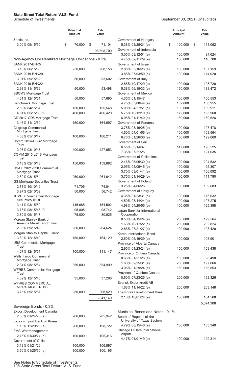#### **Principal Amount Fair Value** Zoetis Inc. 3.00% 05/15/50 \$ 70,000 \$ 71,104 98,698,700 Non-Agency Collateralized Mortgage Obligations - 0.2% BANK 2017-BNK5 3.13% 06/15/60 250,000 268,158 BANK 2019-BNK20 3.01% 09/15/62 50,000 53,602 BANK 2019-BNK22 2.98% 11/15/62 50,000 53,498 BBCMS Mortgage Trust 4.31% 12/15/51 50,000 57,690 Benchmark Mortgage Trust 2.58% 04/15/54 150,000 155,548 4.51% 05/15/53 (f) 400,000 466,420 CD 2017-CD6 Mortgage Trust 3.46% 11/13/50 150,000 164,697 Citigroup Commercial Mortgage Trust 4.03% 05/10/47 100,000 106,211 Comm 2014-UBS2 Mortgage Trust 3.96% 03/10/47 400,000 427,653 COMM 2015-LC19 Mortgage **Trust** 3.18% 02/10/48 150,000 159,882 CSAIL 2021-C20 Commercial Mortgage Trust 2.80% 03/15/54 250,000 261,642 GS Mortgage Securities Trust 2.78% 10/10/49 71,706 74,841 3.97% 02/10/52 50,000 56,742 JPMBB Commercial Mortgage Securities Trust 3.41% 03/15/50 145,685 154,502 3.76% 08/15/46 (f) 95,805 98,742 3.80% 09/15/47 75,000 80,625 Morgan Stanley Bank of America Merrill Lynch Trust 2.86% 09/15/49 250,000 264,624 Morgan Stanley Capital I Trust 3.60% 12/15/49 150,000 164,129 UBS Commercial Mortgage Trust 4.07% 12/15/51 100,000 111,147 Wells Fargo Commercial Mortgage Trust 2.34% 08/15/54 350,000 354,999 WFRBS Commercial Mortgage Trust 4.02% 12/15/46 35,000 37,268 WF-RBS COMMERCIAL MORTGAGE TRUST 3.75% 09/15/57 250,000 268,529 3,841,149 Sovereign Bonds - 0.3% Export Development Canada 2.50% 01/24/23 (e) 200,000 205,942 Export-Import Bank of Korea 1.13% 12/29/26 (e) 200,000 198,722 FMS Wertmanagement 2.75% 01/30/24 (e) 100,000 105,316 Government of Chile 3.13% 01/21/26 100,000 106,897 Airport

#### September 30, 2021 (Unaudited)

|                                                             | <b>Principal</b><br>Amount | Fair<br>Value |
|-------------------------------------------------------------|----------------------------|---------------|
| Government of Hungary                                       |                            |               |
| 5.38% 03/25/24 (e)                                          | \$<br>100,000              | \$<br>111,052 |
| Government of Indonesia                                     |                            |               |
| 3.05% 03/12/51 (e)                                          | 100,000                    | 94,624        |
| 4.75% 02/11/29 (e)                                          | 100,000                    | 116,706       |
| Government of Israel                                        |                            |               |
| 2.88% 03/16/26 (e)                                          | 100,000                    | 107,159       |
| 3.88% 07/03/50 (e)                                          | 100,000                    | 114,020       |
| Government of Italy                                         |                            |               |
| 2.88% 10/17/29 (e)                                          | 100,000                    | 103,720       |
| 5.38% 06/15/33 (e)                                          | 150,000                    | 188,472       |
| Government of Mexico                                        |                            |               |
| 4.35% 01/15/47                                              | 100,000                    | 100,553       |
| 4.75% 03/08/44 (e)                                          | 102,000                    | 108,955       |
| 5.00% 04/27/51 (e)                                          | 100,000                    | 109,911       |
| 5.75% 10/12/10 (e)                                          | 172,000                    | 195,960       |
| 6.05% 01/11/40 (e)                                          | 130,000                    | 159,526       |
| Government of Panama                                        |                            |               |
| 3.75% 03/16/25 (e)                                          | 100,000                    | 107,478       |
| 4.50% 04/01/56 (e)                                          | 100,000                    | 108,564       |
| 6.70% 01/26/36 (e)                                          | 150,000                    | 199,669       |
| Government of Peru                                          |                            |               |
| 6.55% 03/14/37                                              | 147,000                    | 198,525       |
| 7.35% 07/21/25                                              | 100,000                    | 121,035       |
| Government of Philippines                                   |                            |               |
| 2.46% 05/05/30 (e)                                          | 200,000                    | 204,532       |
| 2.95% 05/05/45 (e)                                          | 100,000                    | 95,307        |
| 3.70% 03/01/41 (e)                                          | 100,000                    | 106,092       |
| 3.75% 01/14/29 (e)                                          | 100,000                    | 111,790       |
| Government of Poland                                        |                            |               |
| 3.25% 04/06/26                                              | 100,000                    | 109,683       |
| Government of Uruguay                                       |                            |               |
| 4.38% 01/23/31 (e)                                          | 100,000                    | 115,632       |
| 4.50% 08/14/24 (e)                                          | 100,000                    | 107,275       |
| 4.98% 04/20/55 (e)                                          | 100,000                    | 125,398       |
| Japan Bank for International<br>Cooperation                 |                            |               |
| 0.50% 04/15/24 (e)                                          | 200,000                    | 199,564       |
| 1.63% 10/17/22 (e)                                          | 200,000                    | 202,824       |
| 2.88% 07/21/27 (e)                                          | 100,000                    | 108,420       |
| Korea International Bond                                    |                            |               |
| 2.50% 06/19/29 (e)                                          | 100,000                    | 105,901       |
| Province of Alberta Canada                                  |                            |               |
| 2.95% 01/23/24 (e)                                          | 150,000                    | 158,438       |
| Province of Ontario Canada                                  |                            |               |
| 0.63% 01/21/26 (e)                                          | 100,000                    | 98,490        |
| 1.60% 02/25/31 (e)                                          | 200,000                    | 197,066       |
| 3.05% 01/29/24 (e)                                          | 150,000                    | 158,853       |
| Province of Quebec Canada                                   |                            |               |
| 0.60% 07/23/25 (e)                                          | 200,000                    | 198,326       |
| Svensk Exportkredit AB                                      |                            |               |
| 1.63% 11/14/22 (e)                                          | 200,000                    | 203,148       |
| The Korea Development Bank                                  |                            |               |
| 2.13% 10/01/24 (e)                                          | 100,000                    | 104,568       |
|                                                             |                            | 5,674,308     |
| Municipal Bonds and Notes - 0.1%<br>Board of Regents of the |                            |               |

| <b>DUAIU UI INCUCIRS UI LIIC</b><br>University of Texas System |         |         |
|----------------------------------------------------------------|---------|---------|
| 4.79% 08/15/46 (e)                                             | 100,000 | 133.340 |
| Chicago O'Hare International<br>Airport                        |         |         |
| 4.47% 01/01/49 (e)                                             | 100,000 | 129.314 |

3.50% 01/25/50 (e) 100,000 100,195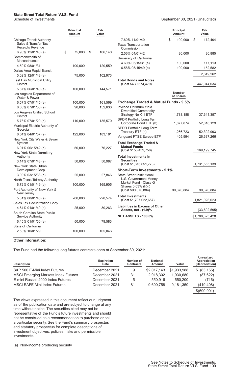#### September 30, 2021 (Unaudited)

|                                                         | <b>Principal</b><br>Amount | Fair<br>Value |                                                      | <b>Principal</b><br>Amount | Fair<br>Value            |
|---------------------------------------------------------|----------------------------|---------------|------------------------------------------------------|----------------------------|--------------------------|
| Chicago Transit Authority<br>Sales & Transfer Tax       |                            |               | 7.60% 11/01/40<br><b>Texas Transportation</b>        | \$<br>100,000              | \$<br>172,404            |
| <b>Receipts Revenue</b>                                 |                            |               | Commission                                           |                            |                          |
| 6.90% 12/01/40 (e)                                      | \$<br>75,000               | \$<br>106,140 | 2.56% 04/01/42                                       | 80,000                     | 80,885                   |
| Commonwealth of<br><b>Massachusetts</b>                 |                            |               | University of California                             |                            |                          |
| 4.50% 08/01/31                                          | 100,000                    | 120,559       | 4.60% 05/15/31 (e)                                   | 100,000                    | 117,113                  |
| Dallas Area Rapid Transit                               |                            |               | 6.58% 05/15/49 (e)                                   | 100,000                    | 152,582                  |
| 5.02% 12/01/48 (e)                                      | 75,000                     | 102,973       |                                                      |                            | 2,649,262                |
| East Bay Municipal Utility<br><b>District</b>           |                            |               | <b>Total Bonds and Notes</b><br>(Cost \$430,674,479) |                            | 447,944,034              |
| 5.87% 06/01/40 (e)                                      | 100,000                    | 144,571       |                                                      |                            |                          |
| Los Angeles Department of<br>Water & Power              |                            |               |                                                      | <b>Number</b><br>of Shares |                          |
| 6.57% 07/01/45 (e)                                      | 100,000                    | 161,569       | <b>Exchange Traded &amp; Mutual Funds - 9.5%</b>     |                            |                          |
| 6.60% 07/01/50 (e)                                      | 90,000                     | 152,630       | Invesco Optimum Yield                                |                            |                          |
| Los Angeles Unified School<br><b>District</b>           |                            |               | <b>Diversified Commodity</b><br>Strategy No K-1 ETF  | 1,788,188                  | 37,641,357               |
| 5.76% 07/01/29 (e)                                      | 110,000                    | 135,570       | SPDR Portfolio Long Term                             |                            |                          |
| Municipal Electric Authority of<br>Georgia              |                            |               | Corporate Bond ETF (h)<br>SPDR Portfolio Long Term   | 1,677,874<br>1,266,723     | 52,618,129<br>52,302,993 |
| 6.64% 04/01/57 (e)                                      | 122,000                    | 183,181       | Treasury ETF (h)<br>Vanguard FTSE Europe ETF         |                            | 26,637,266               |
| New York City Water & Sewer<br>System                   |                            |               | <b>Total Exchange Traded &amp;</b>                   | 405,994                    |                          |
| 6.01% 06/15/42 (e)                                      | 50,000                     | 76,227        | <b>Mutual Funds</b><br>(Cost \$158,439,756)          |                            | 169,199,745              |
| New York State Dormitory<br>Authority                   |                            |               | <b>Total Investments in</b>                          |                            |                          |
| 3.14% 07/01/43 (e)                                      | 50,000                     | 50,987        | <b>Securities</b><br>(Cost \$1,616,651,773)          |                            | 1,731,555,139            |
| New York State Urban<br>Development Corp.               |                            |               | <b>Short-Term Investments - 5.1%</b>                 |                            |                          |
| 3.90% 03/15/33 (e)                                      | 25,000                     | 27,846        | <b>State Street Institutional</b>                    |                            |                          |
| North Texas Tollway Authority                           |                            |               | U.S. Government Money<br>Market Fund - Class G       |                            |                          |
| 6.72% 01/01/49 (e)                                      | 100,000                    | 165,905       | Shares 0.03% (h)(i)                                  |                            |                          |
| Port Authority of New York &<br>New Jersey              |                            |               | (Cost \$90,370,884)<br><b>Total Investments</b>      | 90,370,884                 | 90,370,884               |
| 5.31% 08/01/46 (e)                                      | 200,000                    | 220,574       | (Cost \$1,707,022,657)                               |                            | 1,821,926,023            |
| Sales Tax Securitization Corp.                          |                            |               | <b>Liabilities in Excess of Other</b>                |                            |                          |
| 4.64% 01/01/40 (e)                                      | 25,000                     | 30,263        | Assets, net - (1.9)%                                 |                            | (33,602,595)             |
| South Carolina State Public<br><b>Service Authority</b> |                            |               | <b>NET ASSETS - 100.0%</b>                           |                            | \$1,788,323,428          |
| 6.45% 01/01/50 (e)                                      | 50,000                     | 79,583        |                                                      |                            |                          |
| State of California                                     |                            |               |                                                      |                            |                          |
| 2.50% 10/01/29                                          | 100,000                    | 105,046       |                                                      |                            |                          |
| <b>Other Information:</b>                               |                            |               |                                                      |                            |                          |

The Fund had the following long futures contracts open at September 30, 2021:

| <b>Description</b>                         | <b>Expiration</b><br><b>Date</b> | Number of<br><b>Contracts</b> | <b>Notional</b><br>Amount | Value       | Unrealized<br>Appreciation<br>(Depreciation) |
|--------------------------------------------|----------------------------------|-------------------------------|---------------------------|-------------|----------------------------------------------|
| S&P 500 E-Mini Index Futures               | December 2021                    | 9                             | \$2,017,143               | \$1,933,988 | \$ (83, 155)                                 |
| <b>MSCI Emerging Markets Index Futures</b> | December 2021                    | 31                            | 2.018.302                 | 1.930.680   | (87, 622)                                    |
| E-mini Russell 2000 Index Futures          | December 2021                    | 5                             | 550.916                   | 550,200     | (716)                                        |
| <b>MSCI EAFE Mini Index Futures</b>        | December 2021                    | 81                            | 9.600.758                 | 9.181.350   | (419, 408)                                   |
|                                            |                                  |                               |                           |             | \$(590,901)                                  |

The views expressed in this document reflect our judgment as of the publication date and are subject to change at any time without notice. The securities cited may not be representative of the Fund's future investments and should not be construed as a recommendation to purchase or sell a particular security. See the Fund's summary prospectus and statutory prospectus for complete descriptions of investment objectives, policies, risks and permissible investments.

(a) Non-income producing security.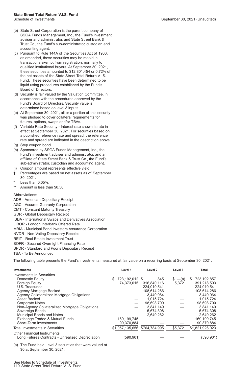- (b) State Street Corporation is the parent company of SSGA Funds Management, Inc., the Fund's investment adviser and administrator, and State Street Bank & Trust Co., the Fund's sub-administrator, custodian and accounting agent.
- (c) Pursuant to Rule 144A of the Securities Act of 1933, as amended, these securities may be resold in transactions exempt from registration, normally to qualified institutional buyers. At September 30, 2021, these securities amounted to \$12,801,454 or 0.72% of the net assets of the State Street Total Return V.I.S. Fund. These securities have been determined to be liquid using procedures established by the Fund's Board of Directors.
- (d) Security is fair valued by the Valuation Committee, in accordance with the procedures approved by the Fund's Board of Directors. Security value is determined based on level 3 inputs.
- (e) At September 30, 2021, all or a portion of this security was pledged to cover collateral requirements for futures, options, swaps and/or TBAs.
- (f) Variable Rate Security Interest rate shown is rate in effect at September 30, 2021. For securities based on a published reference rate and spread, the reference rate and spread are indicated in the description above.
- (g) Step coupon bond.
- (h) Sponsored by SSGA Funds Management, Inc., the Fund's investment adviser and administrator, and an affiliate of State Street Bank & Trust Co., the Fund's sub-administrator, custodian and accounting agent.
- (i) Coupon amount represents effective yield.
- † Percentages are based on net assets as of September 30, 2021.
- Less than 0.05%.
- \*\* Amount is less than \$0.50.

Abbreviations:

- ADR American Depositary Receipt
- AGC Assured Guaranty Corporation
- CMT Constant Maturity Treasury
- GDR Global Depositary Receipt
- ISDA International Swaps and Derivatives Association
- LIBOR London Interbank Offered Rate
- MBIA Municipal Bond Investors Assurance Corporation
- NVDR Non-Voting Depositary Receipt
- REIT Real Estate Investment Trust
- SOFR Secured Overnight Financing Rate
- SPDR Standard and Poor's Depositary Receipt
- TBA To Be Announced

The following table presents the Fund's investments measured at fair value on a recurring basis at September 30, 2021:

| <b>Investments</b>                                                                     | Level 1                       | Level 2     | Level 3               | Total             |
|----------------------------------------------------------------------------------------|-------------------------------|-------------|-----------------------|-------------------|
| <b>Investments in Securities</b>                                                       |                               |             |                       |                   |
| Domestic Equity                                                                        | 723,192,012 \$<br>S.          | 845         | $-\mathbf{(a)}$<br>S. | 723,192,857<br>S. |
| Foreign Equity                                                                         | 74,373,015                    | 316,840,116 | 5,372                 | 391,218,503       |
| U.S. Treasuries                                                                        |                               | 224,010,541 |                       | 224,010,541       |
| Agency Mortgage Backed                                                                 |                               | 108,614,286 |                       | 108,614,286       |
| Agency Collateralized Mortgage Obligations                                             |                               | 3,440,064   |                       | 3,440,064         |
| Asset Backed                                                                           |                               | 1,015,724   |                       | 1,015,724         |
| <b>Corporate Notes</b>                                                                 |                               | 98,698,700  |                       | 98,698,700        |
| Non-Agency Collateralized Mortgage Obligations                                         |                               | 3,841,149   |                       | 3,841,149         |
| Sovereign Bonds                                                                        |                               | 5,674,308   |                       | 5,674,308         |
| Municipal Bonds and Notes                                                              |                               | 2,649,262   |                       | 2,649,262         |
| Exchange Traded & Mutual Funds                                                         | 169,199,745                   |             |                       | 169,199,745       |
| Short-Term Investments                                                                 | 90,370,884                    |             |                       | 90,370,884        |
| Total Investments in Securities                                                        | \$1,057,135,656 \$764,784,995 |             | \$5,372               | \$1,821,926,023   |
| <b>Other Financial Instruments</b><br>Long Futures Contracts - Unrealized Depreciation | (590, 901)                    |             |                       | (590, 901)        |

(a) The Fund held Level 3 securities that were valued at \$0 at September 30, 2021.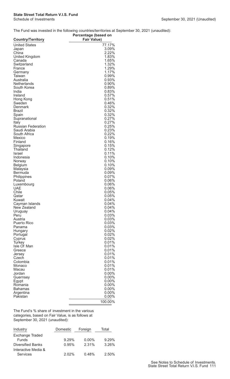#### The Fund was invested in the following countries/territories at September 30, 2021 (unaudited):

|                              | Percentage (based on |
|------------------------------|----------------------|
| <b>Country/Territory</b>     | <b>Fair Value)</b>   |
| <b>United States</b>         | 77.17%               |
| Japan                        | 3.09%                |
| China                        | 2.22%                |
| <b>United Kingdom</b>        | 1.83%                |
| Canada                       | 1.65%                |
| Switzerland                  | 1.32%                |
| France                       | 1.29%                |
| Germany<br>Taiwan            | 1.17%<br>0.99%       |
| Australia                    | 0.93%                |
| <b>Netherlands</b>           | $0.90\%$             |
| South Korea                  | 0.89%                |
| India                        | 0.83%                |
| Ireland                      | 0.57%                |
| Hong Kong                    | 0.51%                |
| Sweden                       | 0.46%                |
| Denmark                      | 0.32%                |
| Brazil                       | 0.32%                |
| Spain                        | 0.32%                |
| Supranational                | 0.27%                |
| Italy                        | 0.27%                |
| <b>Russian Federation</b>    | 0.25%<br>0.23%       |
| Saudi Arabia<br>South Africa | 0.22%                |
| Mexico                       | 0.19%                |
| Finland                      | 0.16%                |
| Singapore                    | 0.15%                |
| Thailand                     | 0.12%                |
| Israel                       | 0.11%                |
| Indonesia                    | 0.10%                |
| Norway                       | 0.10%                |
| <b>Belgium</b>               | 0.10%                |
| Malaysia                     | $0.09\%$             |
| Bermuda                      | $0.09\%$             |
| Philippines                  | 0.07%                |
| Poland                       | 0.06%                |
| Luxembourg<br>UAE            | 0.06%<br>0.06%       |
| Chile                        | 0.05%                |
| Qatar                        | 0.05%                |
| Kuwait                       | 0.04%                |
| Cayman Islands               | $0.04\%$             |
| New Zealand                  | 0.04%                |
| Uruguay                      | 0.04%                |
| Peru                         | 0.03%                |
| Austria                      | 0.03%                |
| <b>Puerto Rico</b>           | 0.03%                |
| Panama                       | 0.03%                |
| Hungary                      | 0.02%<br>0.02%       |
| Portugal<br>Cyprus           | 0.02%                |
| <b>Turkey</b>                | 0.01%                |
| Isle Of Man                  | 0.01%                |
| Greece                       | 0.01%                |
| Jersey                       | 0.01%                |
| Czech                        | 0.01%                |
| Colombia                     | 0.01%                |
| Monaco                       | 0.01%                |
| Macau                        | 0.01%                |
| Jordan                       | $0.00\%$             |
| Guernsey                     | $0.00\%$             |
| Egypt                        | $0.00\%$             |
| Romania                      | $0.00\%$             |
| Bahamas                      | $0.00\%$<br>$0.00\%$ |
| Argentina<br>Pakistan        | 0.00%                |
|                              |                      |
|                              | 100.00%              |

The Fund's % share of investment in the various categories, based on Fair Value, is as follows at September 30, 2021 (unaudited):

| Industry                               | Domestic | Foreign  | Total |
|----------------------------------------|----------|----------|-------|
| <b>Exchange Traded</b>                 |          |          |       |
| <b>Funds</b>                           | 9.29%    | $0.00\%$ | 9.29% |
| <b>Diversified Banks</b>               | 0.95%    | 2.31%    | 3.26% |
| Interactive Media &<br><b>Services</b> | 2.02%    | 0.48%    | 2.50% |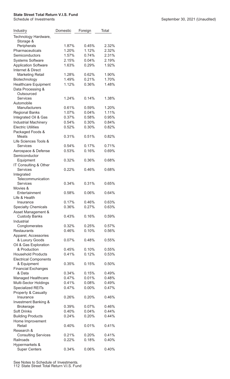| Industry                               | Domestic | Foreign  | Total |
|----------------------------------------|----------|----------|-------|
| Technology Hardware,<br>Storage &      |          |          |       |
| Peripherals                            | 1.87%    | 0.45%    | 2.32% |
| Pharmaceuticals                        | 1.20%    | 1.12%    | 2.32% |
| Semiconductors                         | 1.57%    | 0.74%    | 2.31% |
| <b>Systems Software</b>                | 2.15%    | 0.04%    | 2.19% |
| <b>Application Software</b>            | 1.63%    | 0.29%    | 1.92% |
| Internet & Direct                      |          |          |       |
| <b>Marketing Retail</b>                | 1.28%    | 0.62%    | 1.90% |
| Biotechnology                          | 1.49%    | 0.21%    | 1.70% |
| <b>Healthcare Equipment</b>            | 1.12%    | 0.36%    | 1.48% |
| Data Processing &<br>Outsourced        |          |          |       |
| <b>Services</b>                        | 1.24%    | 0.14%    | 1.38% |
| Automobile                             |          |          |       |
| Manufacturers                          | 0.61%    | 0.59%    | 1.20% |
| <b>Regional Banks</b>                  | 1.07%    | 0.04%    | 1.11% |
| Integrated Oil & Gas                   | 0.37%    | 0.58%    | 0.95% |
| <b>Industrial Machinery</b>            | 0.54%    | 0.30%    | 0.84% |
| <b>Electric Utilities</b>              | 0.52%    | 0.30%    | 0.82% |
| Packaged Foods &                       |          |          |       |
| <b>Meats</b>                           | 0.31%    | 0.51%    | 0.82% |
| Life Sciences Tools &                  |          |          |       |
| <b>Services</b>                        | 0.54%    | 0.17%    | 0.71% |
| Aerospace & Defense                    | 0.53%    | 0.16%    | 0.69% |
| Semiconductor                          |          |          |       |
| Equipment                              | 0.32%    | 0.36%    | 0.68% |
| IT Consulting & Other                  |          |          |       |
| <b>Services</b>                        | 0.22%    | 0.46%    | 0.68% |
| Integrated                             |          |          |       |
| Telecommunication                      |          |          |       |
| Services                               | 0.34%    | 0.31%    | 0.65% |
| Movies &                               |          |          |       |
| Entertainment                          | 0.58%    | 0.06%    | 0.64% |
| Life & Health                          |          |          |       |
| Insurance                              | 0.17%    | 0.46%    | 0.63% |
| <b>Specialty Chemicals</b>             | 0.36%    | 0.27%    | 0.63% |
| Asset Management &                     |          |          |       |
| <b>Custody Banks</b>                   | 0.43%    | 0.16%    | 0.59% |
| Industrial                             |          |          |       |
| Conglomerates                          | 0.32%    | 0.25%    | 0.57% |
| <b>Restaurants</b>                     | 0.46%    | 0.10%    | 0.56% |
| Apparel, Accessories                   |          |          |       |
| & Luxury Goods                         | $0.07\%$ | 0.48%    | 0.55% |
| Oil & Gas Exploration                  |          |          |       |
| & Production                           | 0.45%    | 0.10%    | 0.55% |
| <b>Household Products</b>              | 0.41%    | 0.12%    | 0.53% |
| <b>Electrical Components</b>           |          |          |       |
| & Equipment                            | 0.35%    | 0.15%    | 0.50% |
| <b>Financial Exchanges</b>             |          |          |       |
| & Data                                 | 0.34%    | 0.15%    | 0.49% |
| Managed Healthcare                     | 0.47%    | 0.01%    | 0.48% |
| Multi-Sector Holdings                  | 0.41%    | 0.08%    | 0.49% |
| <b>Specialized REITs</b>               | 0.47%    | $0.00\%$ | 0.47% |
| Property & Casualty                    |          |          |       |
| Insurance                              | 0.26%    | 0.20%    | 0.46% |
| Investment Banking &                   |          |          |       |
| <b>Brokerage</b>                       | 0.39%    | 0.07%    | 0.46% |
| Soft Drinks                            | 0.40%    | 0.04%    | 0.44% |
| <b>Building Products</b>               | 0.24%    | 0.20%    | 0.44% |
| Home Improvement                       |          |          |       |
| Retail                                 | 0.40%    | 0.01%    | 0.41% |
| Research &                             |          |          |       |
| <b>Consulting Services</b>             | 0.21%    | 0.20%    | 0.41% |
| Railroads                              | 0.22%    | 0.18%    | 0.40% |
| Hypermarkets &<br><b>Super Centers</b> | 0.34%    | 0.06%    | 0.40% |
|                                        |          |          |       |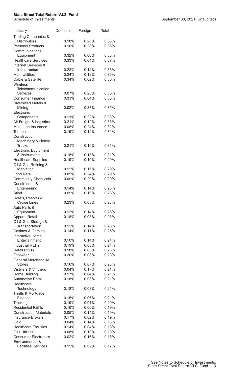| Industry                                                  | Domestic       | Foreign        | Total          |
|-----------------------------------------------------------|----------------|----------------|----------------|
| Trading Companies &                                       |                |                |                |
| <b>Distributors</b><br><b>Personal Products</b>           | 0.18%<br>0.10% | 0.20%<br>0.28% | 0.38%<br>0.38% |
| Communications                                            |                |                |                |
| Equipment                                                 | 0.32%          | 0.06%          | 0.38%          |
| <b>Healthcare Services</b>                                | 0.33%          | 0.04%          | 0.37%          |
| Internet Services &                                       |                |                |                |
| Infrastructure                                            | 0.22%          | 0.14%          | 0.36%          |
| Multi-Utilities                                           | 0.24%          | 0.12%          | 0.36%          |
| Cable & Satellite                                         | 0.34%          | 0.02%          | 0.36%          |
| <b>Wireless</b>                                           |                |                |                |
| Telecommunication                                         |                |                |                |
| <b>Services</b><br><b>Consumer Finance</b>                | 0.07%<br>0.31% | 0.28%<br>0.04% | 0.35%<br>0.35% |
| Diversified Metals &                                      |                |                |                |
| Mining                                                    | 0.02%          | 0.33%          | 0.35%          |
| Electronic                                                |                |                |                |
| Components                                                | 0.11%          | 0.22%          | 0.33%          |
| Air Freight & Logistics                                   | 0.21%          | 0.12%          | 0.33%          |
| Multi-Line Insurance                                      | 0.08%          | 0.24%          | 0.32%          |
| Tobacco                                                   | 0.19%          | 0.12%          | 0.31%          |
| Construction                                              |                |                |                |
| Machinery & Heavy                                         |                |                |                |
| <b>Trucks</b>                                             | 0.21%          | 0.10%          | 0.31%          |
| <b>Electronic Equipment</b><br>& Instruments              | 0.18%          | 0.13%          | 0.31%          |
| <b>Healthcare Supplies</b>                                | 0.19%          | 0.10%          | 0.29%          |
| Oil & Gas Refining &                                      |                |                |                |
| Marketing                                                 | 0.12%          | 0.17%          | 0.29%          |
| <b>Food Retail</b>                                        | 0.05%          | 0.24%          | 0.29%          |
| <b>Commodity Chemicals</b>                                | 0.09%          | 0.20%          | 0.29%          |
| Construction &                                            |                |                |                |
| Engineering                                               | 0.14%          | 0.14%          | 0.28%          |
| <b>Steel</b>                                              | 0.09%          | 0.19%          | 0.28%          |
| Hotels, Resorts &<br><b>Cruise Lines</b>                  | 0.23%          | 0.05%          | 0.28%          |
| Auto Parts &                                              |                |                |                |
| Equipment                                                 | 0.12%          | 0.14%          | 0.26%          |
| <b>Apparel Retail</b>                                     | 0.18%          | 0.08%          | 0.26%          |
| Oil & Gas Storage &                                       |                |                |                |
| Transportation                                            | 0.12%          | 0.14%          | 0.26%          |
| Casinos & Gaming                                          | 0.14%          | 0.11%          | 0.25%          |
| Interactive Home                                          |                |                |                |
| Entertainment                                             | 0.10%          | 0.14%          | 0.24%          |
| <b>Industrial REITs</b>                                   | 0.19%          | 0.05%          | 0.24%          |
| <b>Retail REITs</b><br>Footwear                           | 0.18%<br>0.20% | 0.05%<br>0.03% | 0.23%<br>0.23% |
| <b>General Merchandise</b>                                |                |                |                |
| <b>Stores</b>                                             | 0.16%          | 0.07%          | 0.23%          |
| <b>Distillers &amp; Vintners</b>                          | 0.04%          | 0.17%          | 0.21%          |
| Home Building                                             | 0.17%          | 0.04%          | 0.21%          |
| <b>Automotive Retail</b>                                  | 0.18%          | 0.03%          | 0.21%          |
| Healthcare                                                |                |                |                |
| Technology                                                | 0.18%          | 0.03%          | 0.21%          |
| Thrifts & Mortgage                                        |                |                |                |
| Finance                                                   | 0.15%          | 0.06%          | 0.21%          |
| Trucking                                                  | 0.19%          | 0.01%          | 0.20%          |
| <b>Residential REITs</b><br><b>Construction Materials</b> | 0.19%          | $0.00\%$       | 0.19%          |
| <b>Insurance Brokers</b>                                  | 0.05%<br>0.17% | 0.14%<br>0.02% | 0.19%<br>0.19% |
| Gold                                                      | 0.04%          | 0.14%          | 0.18%          |
| <b>Healthcare Facilities</b>                              | 0.14%          | 0.04%          | 0.18%          |
| <b>Gas Utilities</b>                                      | 0.08%          | 0.10%          | 0.18%          |
| <b>Consumer Electronics</b>                               | 0.02%          | 0.16%          | 0.18%          |
| Environmental &                                           |                |                |                |
| <b>Facilities Services</b>                                | 0.15%          | 0.02%          | 0.17%          |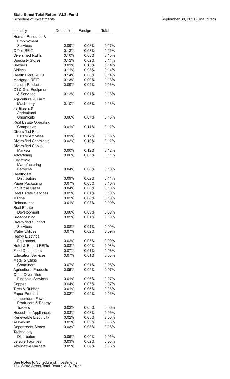| Industry                               | Domestic | Foreign  | Total          |
|----------------------------------------|----------|----------|----------------|
| Human Resource &<br>Employment         |          |          |                |
| <b>Services</b>                        | 0.09%    | 0.08%    | 0.17%          |
| <b>Office REITs</b>                    | 0.13%    | 0.03%    | 0.16%          |
| <b>Diversified REITs</b>               | 0.10%    | 0.05%    | 0.15%          |
| <b>Specialty Stores</b>                | 0.12%    | 0.02%    | 0.14%          |
| <b>Brewers</b>                         | 0.01%    | 0.13%    | 0.14%          |
| Airlines                               | 0.11%    | 0.03%    | 0.14%          |
| <b>Health Care REITs</b>               | 0.14%    | $0.00\%$ | 0.14%          |
| Mortgage REITs                         | 0.13%    | $0.00\%$ | 0.13%          |
| Leisure Products                       | 0.09%    | 0.04%    | 0.13%          |
| Oil & Gas Equipment                    |          |          |                |
| & Services                             | 0.12%    | 0.01%    | 0.13%          |
| Agricultural & Farm                    |          |          |                |
| Machinery                              | 0.10%    | 0.03%    | 0.13%          |
| Fertilizers &                          |          |          |                |
| Agricultural<br>Chemicals              | 0.06%    | 0.07%    | 0.13%          |
| <b>Real Estate Operating</b>           |          |          |                |
| Companies                              | 0.01%    | 0.11%    | 0.12%          |
| <b>Diversified Real</b>                |          |          |                |
| <b>Estate Activities</b>               | 0.01%    | 0.12%    | 0.13%          |
| <b>Diversified Chemicals</b>           | 0.02%    | 0.10%    | 0.12%          |
| <b>Diversified Capital</b>             |          |          |                |
| <b>Markets</b>                         | $0.00\%$ | 0.12%    | 0.12%          |
| Advertising                            | 0.06%    | 0.05%    | 0.11%          |
| Electronic                             |          |          |                |
| Manufacturing                          |          |          |                |
| <b>Services</b>                        | 0.04%    | 0.06%    | 0.10%          |
| Healthcare                             |          |          |                |
| <b>Distributors</b>                    | 0.09%    | 0.02%    | 0.11%          |
| Paper Packaging                        | 0.07%    | 0.03%    | 0.10%          |
| <b>Industrial Gases</b>                | 0.04%    | 0.06%    | 0.10%          |
| <b>Real Estate Services</b>            | 0.09%    | 0.01%    | 0.10%          |
| Marine                                 | 0.02%    | 0.08%    | 0.10%          |
| Reinsurance                            | 0.01%    | 0.08%    | 0.09%          |
| <b>Real Estate</b>                     |          |          |                |
| Development                            | $0.00\%$ | 0.09%    | 0.09%          |
| <b>Broadcasting</b>                    | 0.09%    | 0.01%    | 0.10%          |
| <b>Diversified Support</b>             |          |          |                |
| <b>Services</b>                        | 0.08%    | 0.01%    | 0.09%          |
| <b>Water Utilities</b>                 | 0.07%    | 0.02%    | 0.09%          |
| <b>Heavy Electrical</b>                |          |          |                |
| Equipment                              | 0.02%    | 0.07%    | 0.09%          |
| <b>Hotel &amp; Resort REITs</b>        | 0.08%    | $0.00\%$ | 0.08%          |
| <b>Food Distributors</b>               | 0.07%    | 0.01%    | 0.08%          |
| <b>Education Services</b>              | 0.07%    | 0.01%    | 0.08%          |
| Metal & Glass                          |          |          |                |
| Containers                             | 0.07%    | 0.01%    | 0.08%          |
| <b>Agricultural Products</b>           | 0.05%    | 0.02%    | 0.07%          |
| <b>Other Diversified</b>               |          |          |                |
| <b>Financial Services</b>              | 0.01%    | 0.06%    | 0.07%          |
| Copper                                 | 0.04%    | 0.03%    | 0.07%          |
| <b>Tires &amp; Rubber</b>              | 0.01%    | 0.05%    | 0.06%          |
| <b>Paper Products</b>                  | 0.02%    | 0.04%    | 0.06%          |
| Independent Power                      |          |          |                |
| Producers & Energy<br>Traders          | 0.03%    | 0.03%    | 0.06%          |
|                                        | 0.03%    | 0.03%    | 0.06%          |
| <b>Household Appliances</b>            | 0.02%    | 0.03%    |                |
| Renewable Electricity<br>Aluminum      | 0.02%    | 0.03%    | 0.05%<br>0.05% |
|                                        | 0.03%    | 0.03%    | 0.06%          |
| <b>Department Stores</b><br>Technology |          |          |                |
| <b>Distributors</b>                    | 0.05%    | 0.00%    | 0.05%          |
| Leisure Facilities                     | 0.03%    | 0.02%    | 0.05%          |
| <b>Alternative Carriers</b>            | 0.05%    | 0.00%    | 0.05%          |
|                                        |          |          |                |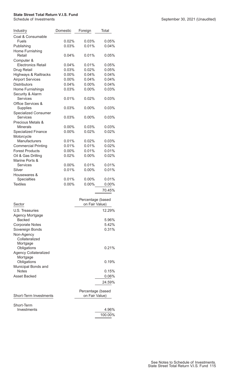| Industry                         | Domestic | Foreign           | Total    |
|----------------------------------|----------|-------------------|----------|
| Coal & Consumable                |          |                   |          |
| <b>Fuels</b>                     | 0.02%    | 0.03%             | 0.05%    |
| Publishing                       | 0.03%    | 0.01%             | 0.04%    |
| Home Furnishing                  |          |                   |          |
| Retail                           | 0.04%    | 0.01%             | 0.05%    |
| Computer &                       |          |                   |          |
| <b>Electronics Retail</b>        | 0.04%    | $0.01\%$          | 0.05%    |
| Drug Retail                      | 0.03%    | 0.02%             | 0.05%    |
| <b>Highways &amp; Railtracks</b> | 0.00%    | 0.04%             | 0.04%    |
| <b>Airport Services</b>          | 0.00%    | 0.04%             | 0.04%    |
| <b>Distributors</b>              | 0.04%    | 0.00%             | 0.04%    |
| Home Furnishings                 | 0.03%    | 0.00%             | 0.03%    |
| Security & Alarm                 |          |                   |          |
| Services                         | 0.01%    | 0.02%             | 0.03%    |
| Office Services &                |          |                   |          |
| Supplies                         | 0.03%    | $0.00\%$          | 0.03%    |
| <b>Specialized Consumer</b>      |          |                   |          |
| <b>Services</b>                  | 0.03%    | $0.00\%$          | $0.03\%$ |
| Precious Metals &                |          |                   |          |
| Minerals                         | 0.00%    | 0.03%             | 0.03%    |
| <b>Specialized Finance</b>       | 0.00%    | 0.02%             | 0.02%    |
| Motorcycle                       |          |                   |          |
| Manufacturers                    | 0.01%    | 0.02%             | 0.03%    |
| <b>Commercial Printing</b>       | 0.01%    | 0.01%             | 0.02%    |
| <b>Forest Products</b>           | 0.00%    | 0.01%             | 0.01%    |
| Oil & Gas Drilling               | 0.02%    | 0.00%             | 0.02%    |
| Marine Ports &                   |          |                   |          |
| <b>Services</b>                  | $0.00\%$ | 0.01%             | 0.01%    |
| Silver                           | 0.01%    | 0.00%             | 0.01%    |
| Housewares &                     |          |                   |          |
| Specialties                      | 0.01%    | 0.00%             | 0.01%    |
| <b>Textiles</b>                  | 0.00%    | 0.00%             | 0.00%    |
|                                  |          |                   | 70.45%   |
|                                  |          | Percentage (based |          |
| Sector                           |          | on Fair Value)    |          |
| <b>U.S. Treasuries</b>           |          |                   | 12.29%   |
| Agency Mortgage                  |          |                   |          |

| U.S. Treasuries              | 12.29%            |
|------------------------------|-------------------|
| Agency Mortgage              |                   |
| <b>Backed</b>                | 5.96%             |
| Corporate Notes              | 5.42%             |
| Sovereign Bonds              | 0.31%             |
| Non-Agency                   |                   |
| Collateralized               |                   |
| Mortgage                     |                   |
| Obligations                  | $0.21\%$          |
| <b>Agency Collateralized</b> |                   |
| Mortgage                     |                   |
| Obligations                  | $0.19\%$          |
| Municipal Bonds and          |                   |
| <b>Notes</b>                 | $0.15\%$          |
| Asset Backed                 | $0.06\%$          |
|                              | 24.59%            |
|                              | Percentage (based |
|                              |                   |

| <b>Short-Term Investments</b> | on Fair Value) |  |  |  |
|-------------------------------|----------------|--|--|--|
| Short-Term                    |                |  |  |  |
| Investments                   | 4.96%          |  |  |  |
|                               | 100.00%        |  |  |  |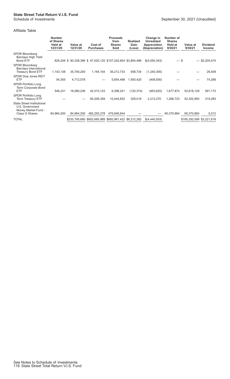### Affiliate Table

|                                                                                                      | <b>Number</b><br>of Shares<br>Held at<br>12/31/20 | Value at<br>12/31/20                                        | Cost of<br><b>Purchases</b> | <b>Proceeds</b><br>from<br><b>Shares</b><br>Sold      | <b>Realized</b><br>Gain<br>(Loss) | Change in<br><b>Unrealized</b><br><b>Appreciation</b><br>(Depreciation) | Number of<br><b>Shares</b><br>Held at<br>9/30/21 | Value at<br>9/30/21       | <b>Dividend</b><br><b>Income</b> |
|------------------------------------------------------------------------------------------------------|---------------------------------------------------|-------------------------------------------------------------|-----------------------------|-------------------------------------------------------|-----------------------------------|-------------------------------------------------------------------------|--------------------------------------------------|---------------------------|----------------------------------|
| SPDR Bloomberg<br><b>Barclays High Yield</b><br>Bond ETF                                             |                                                   | 829,249 \$90,338,386 \$67,020,125 \$157,202,654 \$3,894,486 |                             |                                                       |                                   | \$(4,050,343)                                                           | $-$ \$                                           |                           | $-$ \$2,205,474                  |
| SPDR Bloomberg<br><b>Barclays International</b><br><b>Treasury Bond ETF</b>                          | 1,143,138                                         | 35,700,200                                                  | 1,194,104                   | 36,212,733                                            | 558,734                           | (1,240,305)                                                             |                                                  |                           | 26,409                           |
| <b>SPDR Dow Jones REIT</b><br><b>ETF</b>                                                             | 54,355                                            | 4,712,578                                                   |                             | 5,854,498                                             | 1,550,420                         | (408, 500)                                                              |                                                  |                           | 74,268                           |
| SPDR Portfolio Long<br>Term Corporate Bond<br><b>ETF</b>                                             | 546,231                                           | 18,080,246                                                  | 42,010,123                  | 6,398,241                                             | (120, 374)                        | (953, 625)                                                              | 1,677,874                                        | 52,618,129                | 591,173                          |
| <b>SPDR Portfolio Long</b><br>Term Treasury ETF                                                      |                                                   |                                                             | 60,206,359                  | 10,444,652                                            | 329,016                           | 2,212,270                                                               | 1,266,723                                        | 52,302,993                | 319,283                          |
| <b>State Street Institutional</b><br>U.S. Government<br>Money Market Fund -<br><b>Class G Shares</b> | 84,964,250                                        | 84,964,250                                                  | 482,255,278                 | 476,848,644                                           |                                   |                                                                         | 90,370,884                                       | 90,370,884                | 5,012                            |
| <b>TOTAL</b>                                                                                         |                                                   |                                                             |                             | \$233,795,660 \$652,685,989 \$692,961,422 \$6,212,282 |                                   | \$(4,440,503)                                                           |                                                  | \$195,292,006 \$3,221,619 |                                  |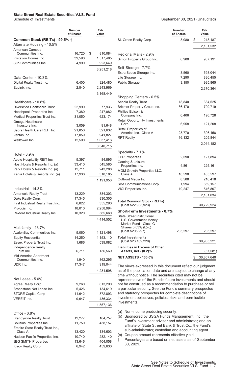### **State Street Real Estate Securities V.I.S. Fund**

|                                                         | <b>Number</b><br>of Shares | Fair<br>Value          |
|---------------------------------------------------------|----------------------------|------------------------|
| Common Stock (REITs) - 99.5% †                          |                            |                        |
| Alternate Housing - 10.5%                               |                            |                        |
| American Campus<br>Communities Inc.                     | 16,720                     | \$<br>810,084          |
| Invitation Homes Inc.                                   | 39,590                     | 1,517,485              |
| Sun Communities Inc.                                    | 4,990                      | 923,649                |
|                                                         |                            | 3,251,218              |
|                                                         |                            |                        |
| Data Center - 10.3%                                     |                            |                        |
| Digital Realty Trust Inc.                               | 6,400                      | 924,480                |
| Equinix Inc.                                            | 2,840                      | 2,243,969              |
|                                                         |                            | 3,168,449              |
| Healthcare - 10.8%                                      |                            |                        |
| <b>Diversified Healthcare Trust</b>                     | 22,990                     | 77,936                 |
| Healthpeak Properties Inc.                              | 7,380                      | 247,082                |
| Medical Properties Trust Inc.                           | 31,050                     | 623,174                |
| Omega Healthcare                                        |                            |                        |
| Investors Inc.                                          | 3,059                      | 91,648                 |
| Sabra Health Care REIT Inc.                             | 21,850                     | 321,632                |
| Ventas Inc.<br>Welltower Inc.                           | 17,059                     | 941,827                |
|                                                         | 12,590                     | 1,037,416              |
|                                                         |                            | 3,340,715              |
| Hotel - 3.9%                                            |                            |                        |
| Apple Hospitality REIT Inc.                             | 5,397                      | 84,895                 |
| Host Hotels & Resorts Inc. (a)                          | 33,410                     | 545,585                |
| Park Hotels & Resorts Inc. (a)                          | 12,711                     | 243,288                |
| Xenia Hotels & Resorts Inc. (a)                         | 17,936                     | 318,185                |
|                                                         |                            | 1,191,953              |
| Industrial - 14.3%                                      |                            |                        |
| <b>Americold Realty Trust</b>                           | 13,229                     | 384,303                |
| Duke Realty Corp.                                       | 17,345                     | 830,305                |
| First Industrial Realty Trust Inc.                      | 6,822                      | 355,290                |
| Prologis Inc.                                           | 18,010                     | 2,258,994              |
| Rexford Industrial Realty Inc.                          | 10,320                     | 585,660                |
|                                                         |                            | 4,414,552              |
|                                                         |                            |                        |
| Multifamily - 13.7%                                     |                            |                        |
| AvalonBay Communities Inc.<br><b>Equity Residential</b> | 5,060                      | 1,121,498<br>1,153,110 |
| Essex Property Trust Inc.                               | 14,250<br>1,686            | 539,082                |
| Independence Realty                                     |                            |                        |
| Trust Inc.                                              | 6,711                      | 136,569                |
| Mid-America Apartment<br>Communities Inc.               |                            |                        |
| UDR Inc.                                                | 1,940<br>17,347            | 362,295<br>919,044     |
|                                                         |                            |                        |
|                                                         |                            | 4,231,598              |
| Net Lease - 5.0%                                        |                            |                        |
| Agree Realty Corp.                                      | 9,260                      | 613,290                |
| Broadstone Net Lease Inc.                               | 5,426                      | 134,619                |
| STORE Capital Corp.                                     | 11,642                     | 372,893                |
| <b>VEREIT Inc.</b>                                      | 9,647                      | 436,334                |
|                                                         |                            | 1,557,136              |
| Office - 6.8%                                           |                            |                        |
| <b>Brandywine Realty Trust</b>                          | 12,277                     | 164,757                |
| Cousins Properties Inc.                                 | 11,750                     | 438,157                |
| Empire State Realty Trust Inc.,                         |                            |                        |
| Class A                                                 | 13,420                     | 134,603                |
| Hudson Pacific Properties Inc.                          | 10,740                     | 282,140                |
| <b>JBG SMITH Properties</b><br>Kilroy Realty Corp.      | 13,646<br>6,942            | 404,058<br>459,630     |
|                                                         |                            |                        |

September 30, 2021 (Unaudited)

|                                                                                                     | <b>Number</b><br>of Shares | Fair<br>Value    |           |
|-----------------------------------------------------------------------------------------------------|----------------------------|------------------|-----------|
| SL Green Realty Corp.                                                                               | 3,080                      | \$               | 218,187   |
|                                                                                                     |                            |                  | 2,101,532 |
| Regional Malls - 2.9%                                                                               |                            |                  |           |
| Simon Property Group Inc.                                                                           | 6,980                      |                  | 907,191   |
| Self Storage - 7.7%                                                                                 |                            |                  |           |
| Extra Space Storage Inc.                                                                            | 3,560                      |                  | 598,044   |
| Life Storage Inc.                                                                                   | 7,290                      |                  | 836,455   |
| <b>Public Storage</b>                                                                               | 3,150                      |                  | 935,865   |
|                                                                                                     |                            |                  | 2,370,364 |
| Shopping Centers - 6.5%                                                                             |                            |                  |           |
| <b>Acadia Realty Trust</b>                                                                          | 18,840                     |                  | 384,525   |
| Brixmor Property Group Inc.                                                                         | 36,170                     |                  | 799,719   |
| Phillips Edison &                                                                                   |                            |                  |           |
| Company Inc.<br><b>Retail Opportunity Investments</b>                                               | 6,406                      |                  | 196,728   |
| Corp.                                                                                               | 6,958                      |                  | 121,208   |
| Retail Properties of<br>America Inc., Class A                                                       | 23,770                     |                  | 306,158   |
| <b>RPT Realty</b>                                                                                   | 16,132                     |                  | 205,844   |
|                                                                                                     |                            |                  | 2,014,182 |
|                                                                                                     |                            |                  |           |
| Specialty - 7.1%                                                                                    |                            |                  |           |
| <b>EPR Properties</b>                                                                               | 2,590                      |                  | 127,894   |
| Gaming & Leisure<br>Properties Inc.                                                                 | 4,861                      |                  | 225,161   |
| MGM Growth Properties LLC,                                                                          |                            |                  |           |
| Class A                                                                                             | 10,590                     |                  | 405,597   |
| Outfront Media Inc.                                                                                 | 8,588                      |                  | 216,418   |
| SBA Communications Corp.                                                                            | 1,994                      |                  | 659,157   |
| VICI Properties Inc.                                                                                | 19,247                     |                  | 546,807   |
|                                                                                                     |                            |                  | 2,181,034 |
| <b>Total Common Stock (REITs)</b><br>(Cost \$22,983,923)                                            |                            | 30,729,924       |           |
| <b>Short-Term Investments - 0.7%</b>                                                                |                            |                  |           |
| State Street Institutional<br>U.S. Government Money<br>Market Fund - Class G<br>Shares 0.03% (b)(c) |                            |                  |           |
| (Cost \$205,297)                                                                                    | 205,297                    |                  | 205,297   |
| <b>Total Investments</b><br>(Cost \$23,189,220)                                                     |                            | 30,935,221       |           |
| <b>Liabilities in Excess of Other</b><br>Assets, net - (0.2)%                                       |                            |                  | (67, 581) |
| <b>NET ASSETS - 100.0%</b>                                                                          |                            | \$<br>30,867,640 |           |

The views expressed in this document reflect our judgment as of the publication date and are subject to change at any time without notice. The securities cited may not be representative of the Fund's future investments and should not be construed as a recommendation to purchase or sell a particular security. See the Fund's summary prospectus and statutory prospectus for complete descriptions of investment objectives, policies, risks and permissible investments.

- (a) Non-income producing security.
- (b) Sponsored by SSGA Funds Management, Inc., the Fund's investment adviser and administrator, and an affiliate of State Street Bank & Trust Co., the Fund's sub-administrator, custodian and accounting agent. (c) Coupon amount represents effective yield.
- † Percentages are based on net assets as of September 30, 2021.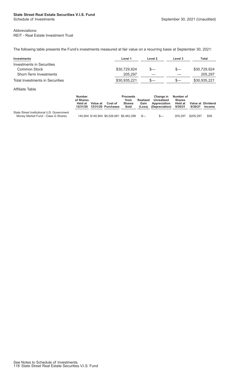### **State Street Real Estate Securities V.I.S. Fund**

#### Abbreviations: REIT - Real Estate Investment Trust

The following table presents the Fund's investments measured at fair value on a recurring basis at September 30, 2021:

| Investments                     | Level 1      | Level 2 | Level 3 | Total        |
|---------------------------------|--------------|---------|---------|--------------|
| Investments in Securities       |              |         |         |              |
| Common Stock                    | \$30,729,924 |         | $S-$    | \$30,729,924 |
| Short-Term Investments          | 205.297      |         |         | 205,297      |
| Total Investments in Securities | \$30,935,221 |         | $s-$    | \$30,935,221 |

#### Affiliate Table

|                                                                                  | <b>Number</b><br>of Shares<br><b>Held at</b><br>12/31/20 | Value at | Cost of<br>12/31/20 Purchases             | <b>Proceeds</b><br>from<br><b>Shares</b><br>Sold | <b>Realized</b><br>Gain<br>(Loss) | <b>Change in</b><br>Unrealized<br>Appreciation<br>(Depreciation) | Number of<br><b>Shares</b><br>Held at<br>9/30/21 | 9/30/21   | Value at Dividend<br><b>Income</b> |
|----------------------------------------------------------------------------------|----------------------------------------------------------|----------|-------------------------------------------|--------------------------------------------------|-----------------------------------|------------------------------------------------------------------|--------------------------------------------------|-----------|------------------------------------|
| State Street Institutional U.S. Government<br>Money Market Fund - Class G Shares |                                                          |          | 140,904 \$140,904 \$6,526,681 \$6,462,288 |                                                  | $S-$                              | $S-$                                                             | 205.297                                          | \$205.297 | \$36                               |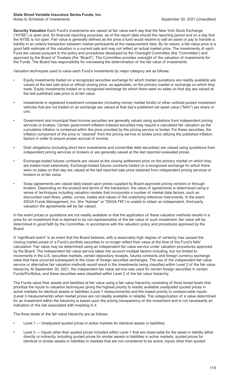### **State Street Variable Insurance Series Funds, Inc.**

**Security Valuation** Each Fund's investments are valued at fair value each day that the New York Stock Exchange ("NYSE") is open and, for financial reporting purposes, as of the report date should the reporting period end on a day that the NYSE is not open. Fair value is generally defined as the price a fund would receive to sell an asset or pay to transfer a liability in an orderly transaction between market participants at the measurement date. By its nature, a fair value price is a good faith estimate of the valuation in a current sale and may not reflect an actual market price. The investments of each Fund are valued pursuant to the policy and procedures developed by the Oversight Committee (the "Committee") and approved by the Board of Trustees (the "Board"). The Committee provides oversight of the valuation of investments for the Funds. The Board has responsibility for overseeing the determination of the fair value of investments.

Valuation techniques used to value each Fund's investments by major category are as follows:

- Equity investments traded on a recognized securities exchange for which market quotations are readily available are valued at the last sale price or official closing price, as applicable, on the primary market or exchange on which they trade. Equity investments traded on a recognized exchange for which there were no sales on that day are valued at the last published sale price or at fair value.
- Investments in registered investment companies (including money market funds) or other unitized pooled investment vehicles that are not traded on an exchange are valued at that day's published net asset value ("NAV") per share or unit.
- Government and municipal fixed income securities are generally valued using quotations from independent pricing services or brokers. Certain government inflation-indexed securities may require a calculated fair valuation as the cumulative inflation is contained within the price provided by the pricing service or broker. For these securities, the inflation component of the price is "cleaned" from the pricing service or broker price utilizing the published inflation factors in order to ensure proper accrual of income.
- Debt obligations (including short term investments and convertible debt securities) are valued using quotations from independent pricing services or brokers or are generally valued at the last reported evaluated prices.
- Exchange-traded futures contracts are valued at the closing settlement price on the primary market on which they are traded most extensively. Exchange-traded futures contracts traded on a recognized exchange for which there were no sales on that day are valued at the last reported sale price obtained from independent pricing services or brokers or at fair value.
- Swap agreements are valued daily based upon prices supplied by Board approved pricing vendors or through brokers. Depending on the product and terms of the transaction, the value of agreements is determined using a series of techniques including valuation models that incorporate a number of market data factors, such as discounted cash flows, yields, curves, trades and values of the underlying reference instruments. In the event SSGA Funds Management, Inc. (the "Adviser" or "SSGA FM") is unable to obtain an independent, third-party valuation the agreements will be fair valued.

In the event prices or quotations are not readily available or that the application of these valuation methods results in a price for an investment that is deemed to be not representative of the fair value of such investment, fair value will be determined in good faith by the Committee, in accordance with the valuation policy and procedures approved by the Board.

A "significant event" is an event that the Board believes, with a reasonably high degree of certainty, has caused the closing market prices of a Fund's portfolio securities to no longer reflect their value at the time of the Fund's NAV calculation. Fair value may be determined using an independent fair value service under valuation procedures approved by the Board. The independent fair value service takes into account multiple factors including, but not limited to, movements in the U.S. securities markets, certain depositary receipts, futures contracts and foreign currency exchange rates that have occurred subsequent to the close of foreign securities exchanges. The use of the independent fair value service or alternative fair valuation methods would result in the investments being classified within Level 2 of the fair value hierarchy. At September 30, 2021, the independent fair value service was used for certain foreign securities in certain Funds/Portfolios, and these securities were classified within Level 2 of the fair value hierarchy.

The Funds value their assets and liabilities at fair value using a fair value hierarchy consisting of three broad levels that prioritize the inputs to valuation techniques giving the highest priority to readily available unadjusted quoted prices in active markets for identical assets or liabilities (Level 1 measurements) and the lowest priority to unobservable inputs (Level 3 measurements) when market prices are not readily available or reliable. The categorization of a value determined for an investment within the hierarchy is based upon the pricing transparency of the investment and is not necessarily an indication of the risk associated with investing in it.

The three levels of the fair value hierarchy are as follows:

- Level 1 Unadjusted quoted prices in active markets for identical assets or liabilities;
- Level 2 Inputs other than quoted prices included within Level 1 that are observable for the asset or liability either directly or indirectly, including quoted prices for similar assets or liabilities in active markets, quoted prices for identical or similar assets or liabilities in markets that are not considered to be active, inputs other than quoted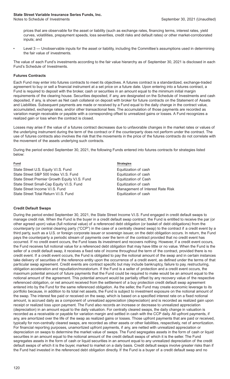prices that are observable for the asset or liability (such as exchange rates, financing terms, interest rates, yield curves, volatilities, prepayment speeds, loss severities, credit risks and default rates) or other market-corroborated inputs; and

Level 3 — Unobservable inputs for the asset or liability, including the Committee's assumptions used in determining the fair value of investments.

The value of each Fund's investments according to the fair value hierarchy as of September 30, 2021 is disclosed in each Fund's Schedule of Investments.

#### **Futures Contracts**

Each Fund may enter into futures contracts to meet its objectives. A futures contract is a standardized, exchange-traded agreement to buy or sell a financial instrument at a set price on a future date. Upon entering into a futures contract, a Fund is required to deposit with the broker, cash or securities in an amount equal to the minimum initial margin requirements of the clearing house. Securities deposited, if any, are designated on the Schedule of Investments and cash deposited, if any, is shown as Net cash collateral on deposit with broker for future contracts on the Statement of Assets and Liabilities. Subsequent payments are made or received by a Fund equal to the daily change in the contract value, accumulated, exchange rates, and/or other transactional fees. The accumulation of those payments are recorded as variation margin receivable or payable with a corresponding offset to unrealized gains or losses. A Fund recognizes a realized gain or loss when the contract is closed.

Losses may arise if the value of a futures contract decreases due to unfavorable changes in the market rates or values of the underlying instrument during the term of the contract or if the counterparty does not perform under the contract. The use of futures contracts also involves the risk that the movements in the price of the futures contracts do not correlate with the movement of the assets underlying such contracts.

During the period ended September 30, 2021, the following Funds entered into futures contracts for strategies listed below:

State Street U.S. Equity V.I.S. Fund Equitization of cash State Street S&P 500 Index V.I.S. Fund Equitization of cash State Street Premier Growth Equity V.I.S. Fund Equitization of Cash State Street Small-Cap Equity V.I.S. Fund Equitization of cash State Street Income V.I.S. Fund Management of Interest Rate Risk State Street Total Return V.I.S. Fund Equitization of cash

**Fund Strategies**

### **Credit Default Swaps**

During the period ended September 30, 2021, the State Street Income V.I.S. Fund engaged in credit default swaps to manage credit risk. When the Fund is the buyer in a credit default swap contract, the Fund is entitled to receive the par (or other agreed upon) value (full notional value) of a referenced debt obligation (or basket of debt obligations) from the counterparty (or central clearing party ("CCP") in the case of a centrally cleared swap) to the contract if a credit event by a third party, such as a U.S. or foreign corporate issuer or sovereign issuer, on the debt obligation occurs. In return, the Fund pays the counterparty a periodic stream of payments over the term of the contract provided that no credit event has occurred. If no credit event occurs, the Fund loses its investment and recovers nothing. However, if a credit event occurs, the Fund receives full notional value for a referenced debt obligation that may have little or no value. When the Fund is the seller of a credit default swap, it receives a fixed rate of income throughout the term of the contract, provided there is no credit event. If a credit event occurs, the Fund is obligated to pay the notional amount of the swap and in certain instances take delivery of securities of the reference entity upon the occurrence of a credit event, as defined under the terms of that particular swap agreement. Credit events are contract specific but may include bankruptcy, failure to pay, restructuring, obligation acceleration and repudiation/moratorium. If the Fund is a seller of protection and a credit event occurs, the maximum potential amount of future payments that the Fund could be required to make would be an amount equal to the notional amount of the agreement. This potential amount would be partially offset by any recovery value of the respective referenced obligation, or net amount received from the settlement of a buy protection credit default swap agreement entered into by the Fund for the same referenced obligation. As the seller, the Fund may create economic leverage to its portfolio because, in addition to its total net assets, the Fund is subject to investment exposure on the notional amount of the swap. The interest fee paid or received on the swap, which is based on a specified interest rate on a fixed notional amount, is accrued daily as a component of unrealized appreciation (depreciation) and is recorded as realized gain upon receipt or realized loss upon payment. The Fund also records an increase or decrease to unrealized appreciation (depreciation) in an amount equal to the daily valuation. For centrally cleared swaps, the daily change in valuation is recorded as a receivable or payable for variation margin and settled in cash with the CCP daily. All upfront payments, if any, are amortized over the life of the swap as realized gains or losses. Those upfront payments that are paid or received, typically for non-centrally cleared swaps, are recorded as other assets or other liabilities, respectively, net of amortization. For financial reporting purposes, unamortized upfront payments, if any, are netted with unrealized appreciation or depreciation on swaps to determine the market value of swaps. The Fund segregates assets in the form of cash or liquid securities in an amount equal to the notional amount of the credit default swaps of which it is the seller. The Fund segregates assets in the form of cash or liquid securities in an amount equal to any unrealized depreciation of the credit default swaps of which it is the buyer, marked to market on a daily basis. Credit default swaps involve greater risks than if the Fund had invested in the referenced debt obligation directly. If the Fund is a buyer of a credit default swap and no